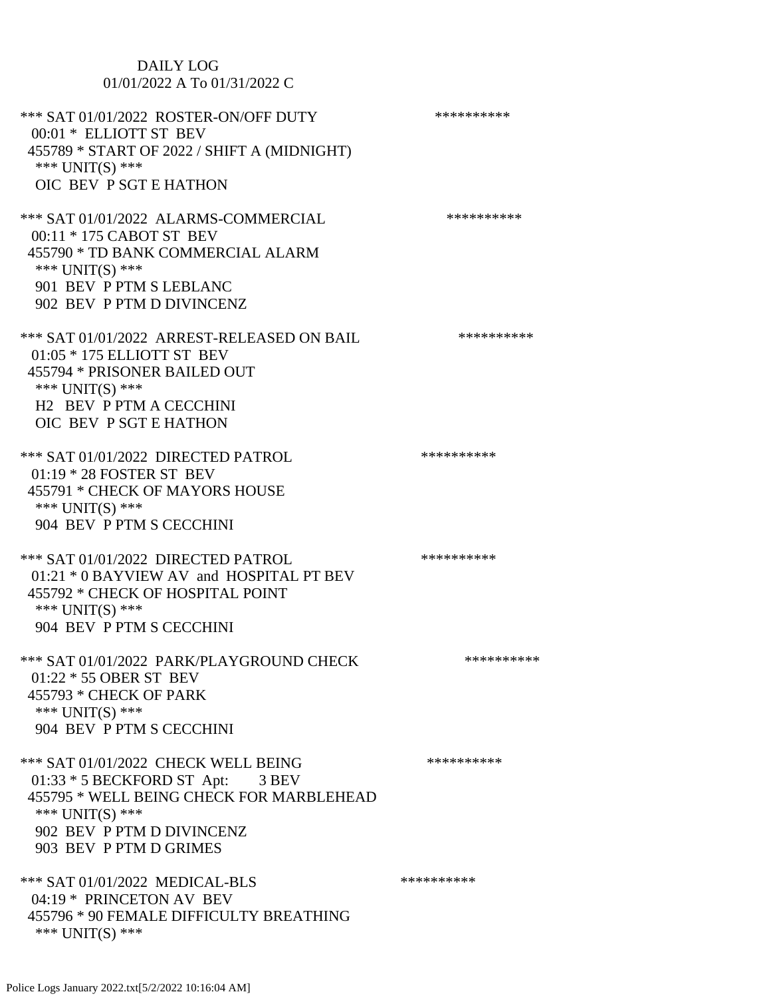# DAILY LOG 01/01/2022 A To 01/31/2022 C \*\*\* SAT 01/01/2022 ROSTER-ON/OFF DUTY \*\*\*\*\*\*\*\*\*\*\*\* 00:01 \* ELLIOTT ST BEV 455789 \* START OF 2022 / SHIFT A (MIDNIGHT) \*\*\* UNIT(S) \*\*\* OIC BEV P SGT E HATHON \*\*\* SAT 01/01/2022 ALARMS-COMMERCIAL \*\*\*\*\*\*\*\*\*\* 00:11 \* 175 CABOT ST BEV 455790 \* TD BANK COMMERCIAL ALARM \*\*\* UNIT(S) \*\*\* 901 BEV P PTM S LEBLANC 902 BEV P PTM D DIVINCENZ \*\*\* SAT 01/01/2022 ARREST-RELEASED ON BAIL \*\*\*\*\*\*\*\*\*\*\*\* 01:05 \* 175 ELLIOTT ST BEV 455794 \* PRISONER BAILED OUT \*\*\* UNIT(S) \*\*\* H2 BEV P PTM A CECCHINI OIC BEV P SGT E HATHON \*\*\* SAT 01/01/2022 DIRECTED PATROL \*\*\*\*\*\*\*\*\*\* 01:19 \* 28 FOSTER ST BEV 455791 \* CHECK OF MAYORS HOUSE \*\*\* UNIT(S) \*\*\* 904 BEV P PTM S CECCHINI \*\*\* SAT 01/01/2022 DIRECTED PATROL \*\*\*\*\*\*\*\*\*\* 01:21 \* 0 BAYVIEW AV and HOSPITAL PT BEV 455792 \* CHECK OF HOSPITAL POINT \*\*\* UNIT(S) \*\*\* 904 BEV P PTM S CECCHINI \*\*\* SAT 01/01/2022 PARK/PLAYGROUND CHECK \*\*\*\*\*\*\*\*\*\*\*\* 01:22 \* 55 OBER ST BEV 455793 \* CHECK OF PARK \*\*\* UNIT(S) \*\*\* 904 BEV P PTM S CECCHINI \*\*\* SAT 01/01/2022 CHECK WELL BEING \*\*\*\*\*\*\*\*\*\*\*\* 01:33 \* 5 BECKFORD ST Apt: 3 BEV 455795 \* WELL BEING CHECK FOR MARBLEHEAD \*\*\* UNIT(S) \*\*\* 902 BEV P PTM D DIVINCENZ 903 BEV P PTM D GRIMES \*\*\* SAT 01/01/2022 MEDICAL-BLS \*\*\*\*\*\*\*\*\*\*\*\*\*\*\* 04:19 \* PRINCETON AV BEV 455796 \* 90 FEMALE DIFFICULTY BREATHING \*\*\* UNIT(S) \*\*\*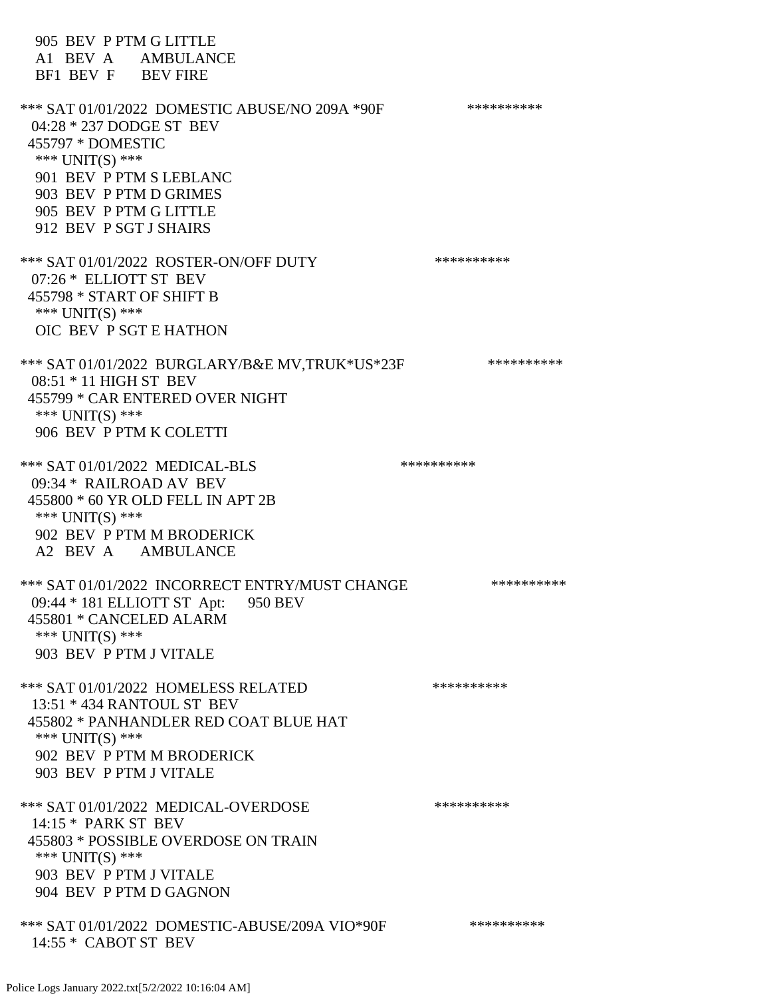905 BEV P PTM G LITTLE A1 BEV A AMBULANCE BF1 BEV F BEV FIRE \*\*\* SAT 01/01/2022 DOMESTIC ABUSE/NO 209A \*90F \*\*\*\*\*\*\*\*\*\*\*\* 04:28 \* 237 DODGE ST BEV 455797 \* DOMESTIC \*\*\* UNIT(S) \*\*\* 901 BEV P PTM S LEBLANC 903 BEV P PTM D GRIMES 905 BEV P PTM G LITTLE 912 BEV P SGT J SHAIRS \*\*\* SAT 01/01/2022 ROSTER-ON/OFF DUTY \*\*\*\*\*\*\*\*\*\* 07:26 \* ELLIOTT ST BEV 455798 \* START OF SHIFT B \*\*\* UNIT(S) \*\*\* OIC BEV P SGT E HATHON \*\*\* SAT 01/01/2022 BURGLARY/B&E MV,TRUK\*US\*23F \*\*\*\*\*\*\*\*\*\* 08:51 \* 11 HIGH ST BEV 455799 \* CAR ENTERED OVER NIGHT \*\*\* UNIT(S) \*\*\* 906 BEV P PTM K COLETTI \*\*\* SAT 01/01/2022 MEDICAL-BLS \*\*\*\*\*\*\*\*\*\*\*\*\*\*\* 09:34 \* RAILROAD AV BEV 455800 \* 60 YR OLD FELL IN APT 2B \*\*\* UNIT(S) \*\*\* 902 BEV P PTM M BRODERICK A2 BEV A AMBULANCE \*\*\* SAT 01/01/2022 INCORRECT ENTRY/MUST CHANGE \*\*\*\*\*\*\*\*\*\* 09:44 \* 181 ELLIOTT ST Apt: 950 BEV 455801 \* CANCELED ALARM \*\*\* UNIT(S) \*\*\* 903 BEV P PTM J VITALE \*\*\* SAT 01/01/2022 HOMELESS RELATED \*\*\*\*\*\*\*\*\*\* 13:51 \* 434 RANTOUL ST BEV 455802 \* PANHANDLER RED COAT BLUE HAT \*\*\* UNIT(S) \*\*\* 902 BEV P PTM M BRODERICK 903 BEV P PTM J VITALE \*\*\* SAT 01/01/2022 MEDICAL-OVERDOSE \*\*\*\*\*\*\*\*\*\*\*\*\* 14:15 \* PARK ST BEV 455803 \* POSSIBLE OVERDOSE ON TRAIN \*\*\* UNIT(S) \*\*\* 903 BEV P PTM J VITALE 904 BEV P PTM D GAGNON \*\*\* SAT 01/01/2022 DOMESTIC-ABUSE/209A VIO\*90F \*\*\*\*\*\*\*\*\*\* 14:55 \* CABOT ST BEV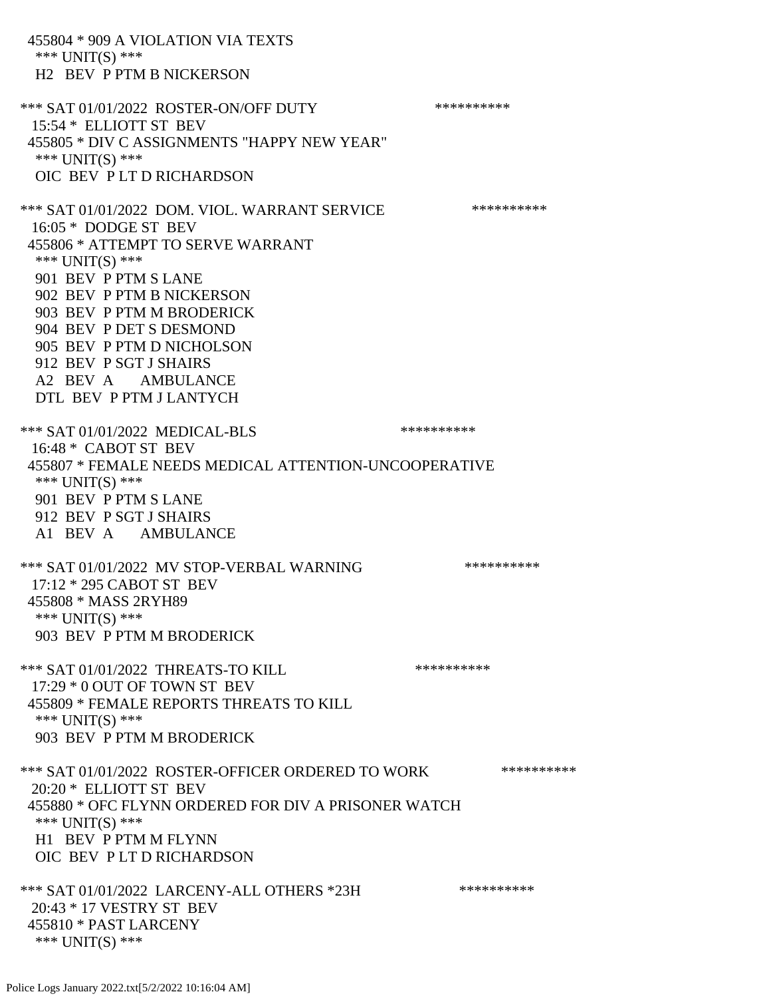455804 \* 909 A VIOLATION VIA TEXTS \*\*\* UNIT(S) \*\*\* H2 BEV P PTM B NICKERSON \*\*\* SAT 01/01/2022 ROSTER-ON/OFF DUTY \*\*\*\*\*\*\*\*\*\* 15:54 \* ELLIOTT ST BEV 455805 \* DIV C ASSIGNMENTS "HAPPY NEW YEAR" \*\*\* UNIT(S) \*\*\* OIC BEV P LT D RICHARDSON \*\*\* SAT 01/01/2022 DOM. VIOL. WARRANT SERVICE \*\*\*\*\*\*\*\*\*\* 16:05 \* DODGE ST BEV 455806 \* ATTEMPT TO SERVE WARRANT \*\*\* UNIT(S) \*\*\* 901 BEV P PTM S LANE 902 BEV P PTM B NICKERSON 903 BEV P PTM M BRODERICK 904 BEV P DET S DESMOND 905 BEV P PTM D NICHOLSON 912 BEV P SGT J SHAIRS A2 BEV A AMBULANCE DTL BEV P PTM J LANTYCH \*\*\* SAT 01/01/2022 MEDICAL-BLS \*\*\*\*\*\*\*\*\*\*\*\*\* 16:48 \* CABOT ST BEV 455807 \* FEMALE NEEDS MEDICAL ATTENTION-UNCOOPERATIVE \*\*\* UNIT(S) \*\*\* 901 BEV P PTM S LANE 912 BEV P SGT J SHAIRS A1 BEV A AMBULANCE \*\*\* SAT 01/01/2022 MV STOP-VERBAL WARNING \*\*\*\*\*\*\*\*\*\*\*\*\* 17:12 \* 295 CABOT ST BEV 455808 \* MASS 2RYH89 \*\*\* UNIT(S) \*\*\* 903 BEV P PTM M BRODERICK \*\*\* SAT 01/01/2022 THREATS-TO KILL \*\*\*\*\*\*\*\*\*\*\*\* 17:29 \* 0 OUT OF TOWN ST BEV 455809 \* FEMALE REPORTS THREATS TO KILL \*\*\* UNIT(S) \*\*\* 903 BEV P PTM M BRODERICK \*\*\* SAT 01/01/2022 ROSTER-OFFICER ORDERED TO WORK \*\*\*\*\*\*\*\*\*\*\*\* 20:20 \* ELLIOTT ST BEV 455880 \* OFC FLYNN ORDERED FOR DIV A PRISONER WATCH \*\*\* UNIT(S) \*\*\* H1 BEV P PTM M FLYNN OIC BEV P LT D RICHARDSON \*\*\* SAT 01/01/2022 LARCENY-ALL OTHERS \*23H \*\*\*\*\*\*\*\*\*\*\*\* 20:43 \* 17 VESTRY ST BEV 455810 \* PAST LARCENY \*\*\* UNIT(S) \*\*\*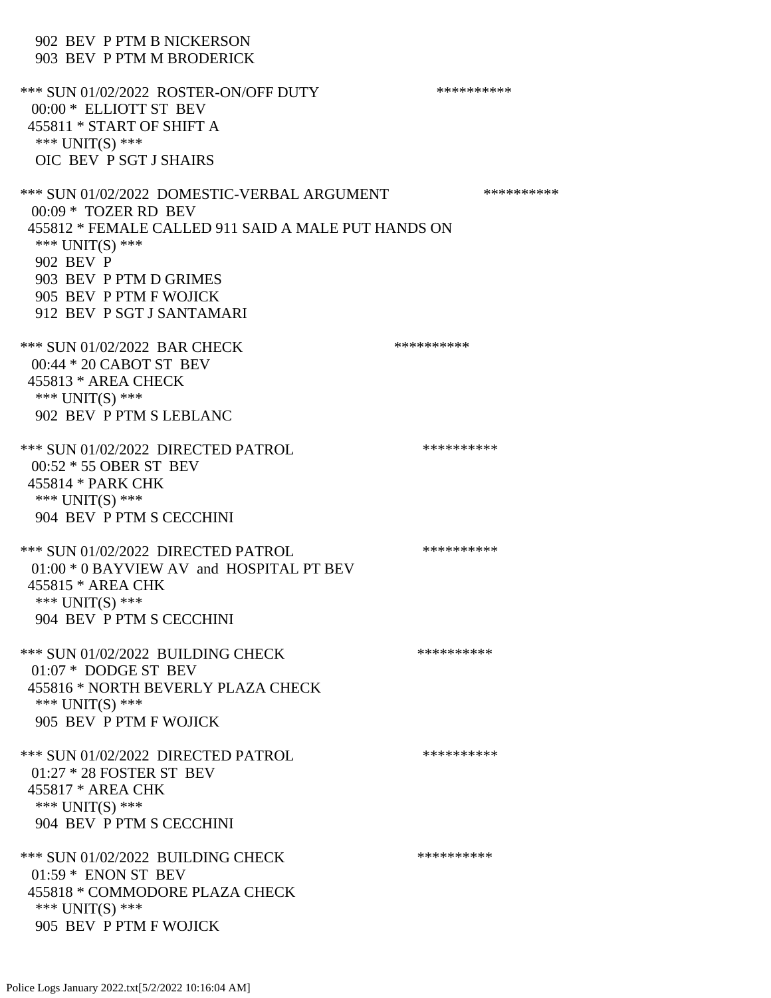902 BEV P PTM B NICKERSON 903 BEV P PTM M BRODERICK \*\*\* SUN 01/02/2022 ROSTER-ON/OFF DUTY \*\*\*\*\*\*\*\*\*\* 00:00 \* ELLIOTT ST BEV 455811 \* START OF SHIFT A \*\*\* UNIT(S) \*\*\* OIC BEV P SGT J SHAIRS \*\*\* SUN 01/02/2022 DOMESTIC-VERBAL ARGUMENT \*\*\*\*\*\*\*\*\*\*\*\*\* 00:09 \* TOZER RD BEV 455812 \* FEMALE CALLED 911 SAID A MALE PUT HANDS ON \*\*\* UNIT(S) \*\*\* 902 BEV P 903 BEV P PTM D GRIMES 905 BEV P PTM F WOJICK 912 BEV P SGT J SANTAMARI \*\*\* SUN 01/02/2022 BAR CHECK \*\*\*\*\*\*\*\*\*\*\* 00:44 \* 20 CABOT ST BEV 455813 \* AREA CHECK \*\*\* UNIT(S) \*\*\* 902 BEV P PTM S LEBLANC \*\*\* SUN 01/02/2022 DIRECTED PATROL \*\*\*\*\*\*\*\*\*\* 00:52 \* 55 OBER ST BEV 455814 \* PARK CHK \*\*\* UNIT(S) \*\*\* 904 BEV P PTM S CECCHINI \*\*\* SUN 01/02/2022 DIRECTED PATROL \*\*\*\*\*\*\*\*\*\* 01:00 \* 0 BAYVIEW AV and HOSPITAL PT BEV 455815 \* AREA CHK \*\*\* UNIT(S) \*\*\* 904 BEV P PTM S CECCHINI \*\*\* SUN 01/02/2022 BUILDING CHECK \*\*\*\*\*\*\*\*\*\*\* 01:07 \* DODGE ST BEV 455816 \* NORTH BEVERLY PLAZA CHECK \*\*\* UNIT(S) \*\*\* 905 BEV P PTM F WOJICK \*\*\* SUN 01/02/2022 DIRECTED PATROL \*\*\*\*\*\*\*\*\*\* 01:27 \* 28 FOSTER ST BEV 455817 \* AREA CHK \*\*\* UNIT(S) \*\*\* 904 BEV P PTM S CECCHINI \*\*\* SUN 01/02/2022 BUILDING CHECK \*\*\*\*\*\*\*\*\*\* 01:59 \* ENON ST BEV 455818 \* COMMODORE PLAZA CHECK \*\*\* UNIT(S) \*\*\* 905 BEV P PTM F WOJICK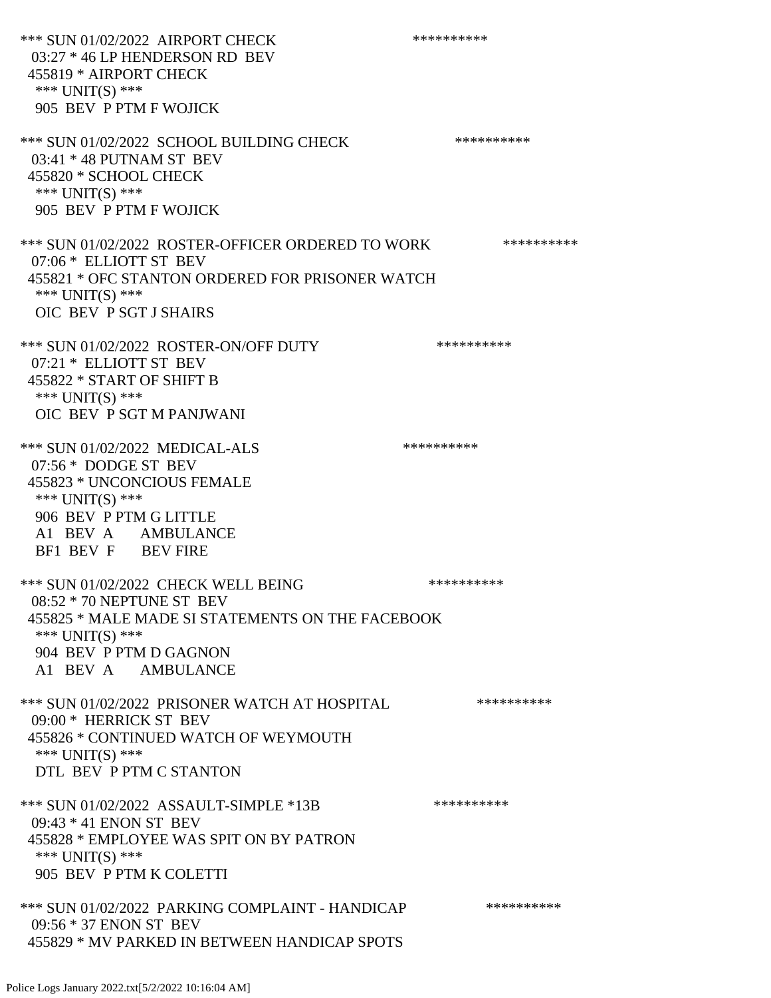\*\*\* SUN 01/02/2022 AIRPORT CHECK \*\*\*\*\*\*\*\*\*\*\*\*\* 03:27 \* 46 LP HENDERSON RD BEV 455819 \* AIRPORT CHECK \*\*\* UNIT(S) \*\*\* 905 BEV P PTM F WOJICK \*\*\* SUN 01/02/2022 SCHOOL BUILDING CHECK \*\*\*\*\*\*\*\*\*\*\* 03:41 \* 48 PUTNAM ST BEV 455820 \* SCHOOL CHECK \*\*\* UNIT(S) \*\*\* 905 BEV P PTM F WOJICK \*\*\* SUN 01/02/2022 ROSTER-OFFICER ORDERED TO WORK \*\*\*\*\*\*\*\*\*\*\* 07:06 \* ELLIOTT ST BEV 455821 \* OFC STANTON ORDERED FOR PRISONER WATCH \*\*\* UNIT(S) \*\*\* OIC BEV P SGT J SHAIRS \*\*\* SUN 01/02/2022 ROSTER-ON/OFF DUTY \*\*\*\*\*\*\*\*\*\* 07:21 \* ELLIOTT ST BEV 455822 \* START OF SHIFT B \*\*\* UNIT(S) \*\*\* OIC BEV P SGT M PANJWANI \*\*\* SUN 01/02/2022 MEDICAL-ALS \*\*\*\*\*\*\*\*\*\* 07:56 \* DODGE ST BEV 455823 \* UNCONCIOUS FEMALE \*\*\* UNIT(S) \*\*\* 906 BEV P PTM G LITTLE A1 BEV A AMBULANCE BF1 BEV F BEV FIRE \*\*\* SUN 01/02/2022 CHECK WELL BEING \*\*\*\*\*\*\*\*\*\*\*\* 08:52 \* 70 NEPTUNE ST BEV 455825 \* MALE MADE SI STATEMENTS ON THE FACEBOOK \*\*\* UNIT(S) \*\*\* 904 BEV P PTM D GAGNON A1 BEV A AMBULANCE \*\*\* SUN 01/02/2022 PRISONER WATCH AT HOSPITAL \*\*\*\*\*\*\*\*\*\* 09:00 \* HERRICK ST BEV 455826 \* CONTINUED WATCH OF WEYMOUTH \*\*\* UNIT(S) \*\*\* DTL BEV P PTM C STANTON \*\*\* SUN 01/02/2022 ASSAULT-SIMPLE \*13B \*\*\*\*\*\*\*\*\*\* 09:43 \* 41 ENON ST BEV 455828 \* EMPLOYEE WAS SPIT ON BY PATRON \*\*\* UNIT(S) \*\*\* 905 BEV P PTM K COLETTI \*\*\* SUN 01/02/2022 PARKING COMPLAINT - HANDICAP \*\*\*\*\*\*\*\*\*\* 09:56 \* 37 ENON ST BEV 455829 \* MV PARKED IN BETWEEN HANDICAP SPOTS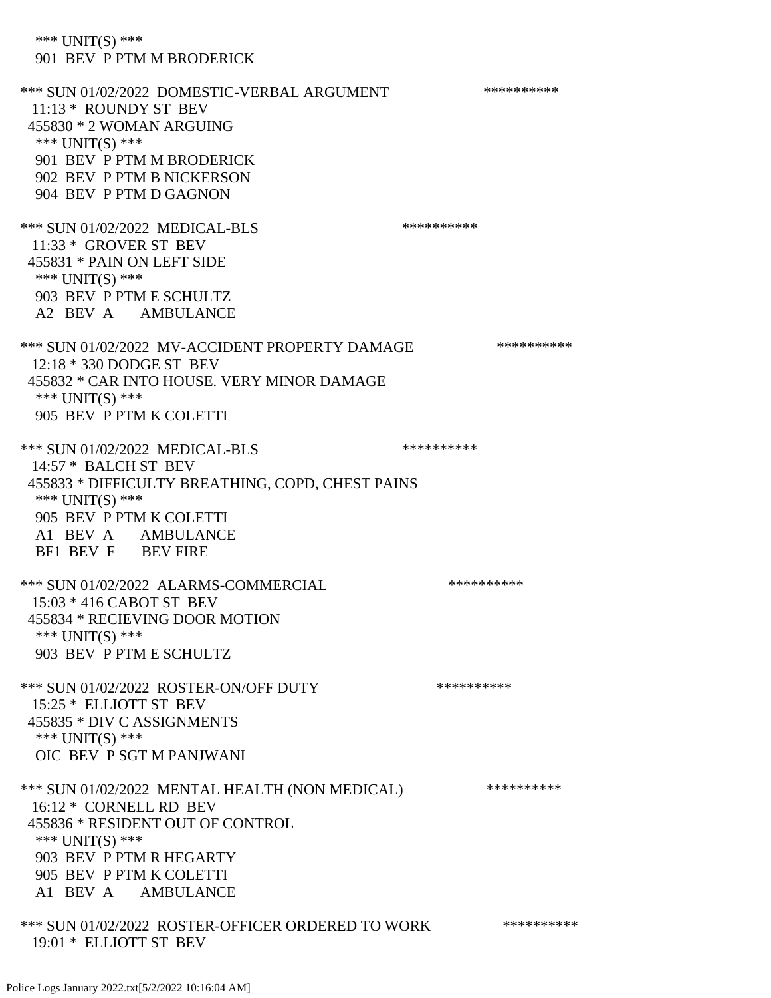\*\*\* UNIT(S) \*\*\* 901 BEV P PTM M BRODERICK \*\*\* SUN 01/02/2022 DOMESTIC-VERBAL ARGUMENT \*\*\*\*\*\*\*\*\*\*\*\*\* 11:13 \* ROUNDY ST BEV 455830 \* 2 WOMAN ARGUING \*\*\* UNIT(S) \*\*\* 901 BEV P PTM M BRODERICK 902 BEV P PTM B NICKERSON 904 BEV P PTM D GAGNON \*\*\* SUN 01/02/2022 MEDICAL-BLS \*\*\*\*\*\*\*\*\*\*\*\* 11:33 \* GROVER ST BEV 455831 \* PAIN ON LEFT SIDE \*\*\* UNIT(S) \*\*\* 903 BEV P PTM E SCHULTZ A2 BEV A AMBULANCE \*\*\* SUN 01/02/2022 MV-ACCIDENT PROPERTY DAMAGE \*\*\*\*\*\*\*\*\*\*\* 12:18 \* 330 DODGE ST BEV 455832 \* CAR INTO HOUSE. VERY MINOR DAMAGE \*\*\* UNIT(S) \*\*\* 905 BEV P PTM K COLETTI \*\*\* SUN 01/02/2022 MEDICAL-BLS \*\*\*\*\*\*\*\*\*\* 14:57 \* BALCH ST BEV 455833 \* DIFFICULTY BREATHING, COPD, CHEST PAINS \*\*\* UNIT(S) \*\*\* 905 BEV P PTM K COLETTI A1 BEV A AMBULANCE BF1 BEV F BEV FIRE \*\*\* SUN 01/02/2022 ALARMS-COMMERCIAL \*\*\*\*\*\*\*\*\*\* 15:03 \* 416 CABOT ST BEV 455834 \* RECIEVING DOOR MOTION \*\*\* UNIT(S) \*\*\* 903 BEV P PTM E SCHULTZ \*\*\* SUN 01/02/2022 ROSTER-ON/OFF DUTY \*\*\*\*\*\*\*\*\*\* 15:25 \* ELLIOTT ST BEV 455835 \* DIV C ASSIGNMENTS \*\*\* UNIT(S) \*\*\* OIC BEV P SGT M PANJWANI \*\*\* SUN 01/02/2022 MENTAL HEALTH (NON MEDICAL) \*\*\*\*\*\*\*\*\*\*\* 16:12 \* CORNELL RD BEV 455836 \* RESIDENT OUT OF CONTROL \*\*\* UNIT(S) \*\*\* 903 BEV P PTM R HEGARTY 905 BEV P PTM K COLETTI A1 BEV A AMBULANCE \*\*\* SUN 01/02/2022 ROSTER-OFFICER ORDERED TO WORK \*\*\*\*\*\*\*\*\*\*\* 19:01 \* ELLIOTT ST BEV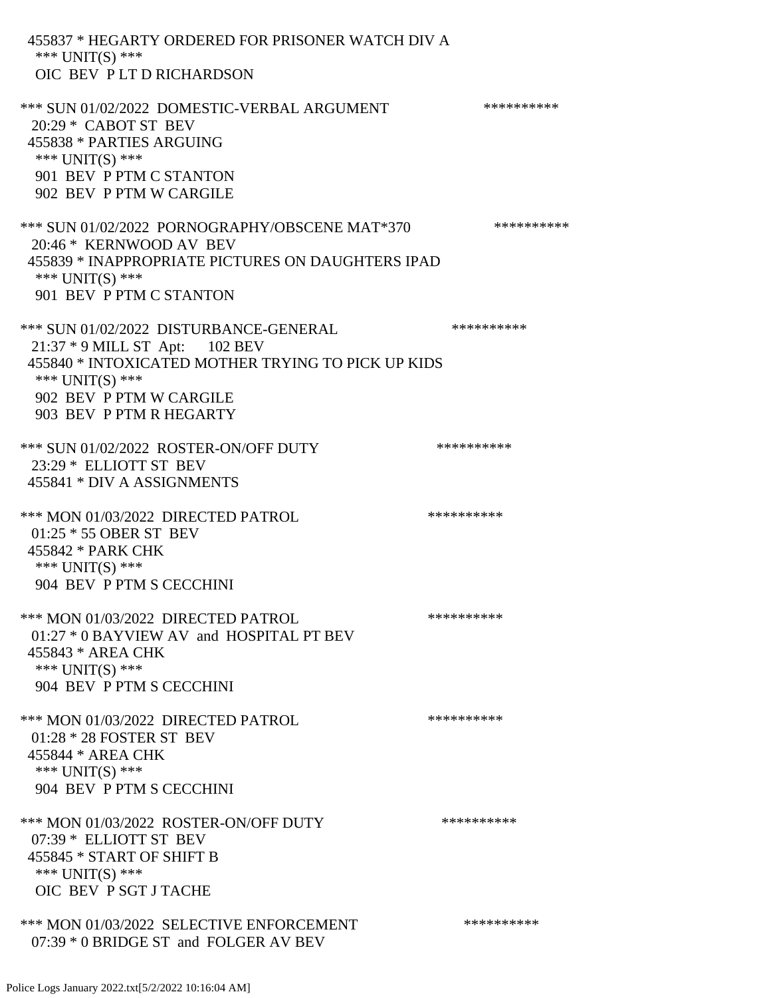455837 \* HEGARTY ORDERED FOR PRISONER WATCH DIV A \*\*\* UNIT(S) \*\*\* OIC BEV P LT D RICHARDSON \*\*\* SUN 01/02/2022 DOMESTIC-VERBAL ARGUMENT \*\*\*\*\*\*\*\*\*\*\*\*\* 20:29 \* CABOT ST BEV 455838 \* PARTIES ARGUING \*\*\* UNIT(S) \*\*\* 901 BEV P PTM C STANTON 902 BEV P PTM W CARGILE \*\*\* SUN 01/02/2022 PORNOGRAPHY/OBSCENE MAT\*370 \*\*\*\*\*\*\*\*\*\* 20:46 \* KERNWOOD AV BEV 455839 \* INAPPROPRIATE PICTURES ON DAUGHTERS IPAD \*\*\* UNIT(S) \*\*\* 901 BEV P PTM C STANTON \*\*\* SUN 01/02/2022 DISTURBANCE-GENERAL \*\*\*\*\*\*\*\*\*\* 21:37 \* 9 MILL ST Apt: 102 BEV 455840 \* INTOXICATED MOTHER TRYING TO PICK UP KIDS \*\*\* UNIT(S) \*\*\* 902 BEV P PTM W CARGILE 903 BEV P PTM R HEGARTY \*\*\* SUN 01/02/2022 ROSTER-ON/OFF DUTY \*\*\*\*\*\*\*\*\*\* 23:29 \* ELLIOTT ST BEV 455841 \* DIV A ASSIGNMENTS \*\*\* MON 01/03/2022 DIRECTED PATROL \*\*\*\*\*\*\*\*\*\* 01:25 \* 55 OBER ST BEV 455842 \* PARK CHK \*\*\* UNIT(S) \*\*\* 904 BEV P PTM S CECCHINI \*\*\* MON 01/03/2022 DIRECTED PATROL \*\*\*\*\*\*\*\*\*\* 01:27 \* 0 BAYVIEW AV and HOSPITAL PT BEV 455843 \* AREA CHK \*\*\* UNIT(S) \*\*\* 904 BEV P PTM S CECCHINI \*\*\* MON 01/03/2022 DIRECTED PATROL \*\*\*\*\*\*\*\*\*\* 01:28 \* 28 FOSTER ST BEV 455844 \* AREA CHK \*\*\* UNIT(S) \*\*\* 904 BEV P PTM S CECCHINI \*\*\* MON 01/03/2022 ROSTER-ON/OFF DUTY \*\*\*\*\*\*\*\*\*\* 07:39 \* ELLIOTT ST BEV 455845 \* START OF SHIFT B \*\*\* UNIT(S) \*\*\* OIC BEV P SGT J TACHE \*\*\* MON 01/03/2022 SELECTIVE ENFORCEMENT \*\*\*\*\*\*\*\*\*\*\*\* 07:39 \* 0 BRIDGE ST and FOLGER AV BEV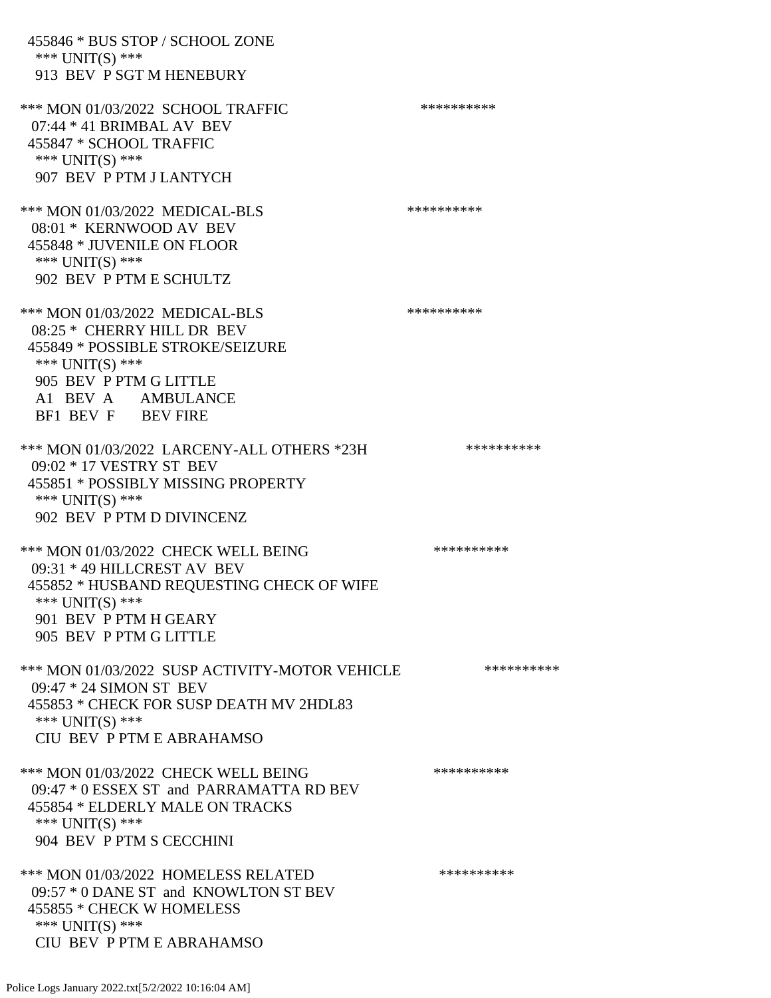455846 \* BUS STOP / SCHOOL ZONE \*\*\* UNIT(S) \*\*\* 913 BEV P SGT M HENEBURY \*\*\* MON 01/03/2022 SCHOOL TRAFFIC \*\*\*\*\*\*\*\*\*\*\*\*\* 07:44 \* 41 BRIMBAL AV BEV 455847 \* SCHOOL TRAFFIC \*\*\* UNIT(S) \*\*\* 907 BEV P PTM J LANTYCH \*\*\* MON 01/03/2022 MEDICAL-BLS \*\*\*\*\*\*\*\*\*\* 08:01 \* KERNWOOD AV BEV 455848 \* JUVENILE ON FLOOR \*\*\* UNIT(S) \*\*\* 902 BEV P PTM E SCHULTZ \*\*\* MON 01/03/2022 MEDICAL-BLS \*\*\*\*\*\*\*\*\*\* 08:25 \* CHERRY HILL DR BEV 455849 \* POSSIBLE STROKE/SEIZURE \*\*\* UNIT(S) \*\*\* 905 BEV P PTM G LITTLE A1 BEV A AMBULANCE BF1 BEV F BEV FIRE \*\*\* MON 01/03/2022 LARCENY-ALL OTHERS \*23H \*\*\*\*\*\*\*\*\*\* 09:02 \* 17 VESTRY ST BEV 455851 \* POSSIBLY MISSING PROPERTY \*\*\* UNIT(S) \*\*\* 902 BEV P PTM D DIVINCENZ \*\*\* MON 01/03/2022 CHECK WELL BEING \*\*\*\*\*\*\*\*\*\* 09:31 \* 49 HILLCREST AV BEV 455852 \* HUSBAND REQUESTING CHECK OF WIFE \*\*\* UNIT(S) \*\*\* 901 BEV P PTM H GEARY 905 BEV P PTM G LITTLE \*\*\* MON 01/03/2022 SUSP ACTIVITY-MOTOR VEHICLE \*\*\*\*\*\*\*\*\*\*\*\* 09:47 \* 24 SIMON ST BEV 455853 \* CHECK FOR SUSP DEATH MV 2HDL83 \*\*\* UNIT(S) \*\*\* CIU BEV P PTM E ABRAHAMSO \*\*\* MON 01/03/2022 CHECK WELL BEING \*\*\*\*\*\*\*\*\*\* 09:47 \* 0 ESSEX ST and PARRAMATTA RD BEV 455854 \* ELDERLY MALE ON TRACKS \*\*\* UNIT(S) \*\*\* 904 BEV P PTM S CECCHINI \*\*\* MON 01/03/2022 HOMELESS RELATED \*\*\*\*\*\*\*\*\*\* 09:57 \* 0 DANE ST and KNOWLTON ST BEV 455855 \* CHECK W HOMELESS \*\*\* UNIT(S) \*\*\* CIU BEV P PTM E ABRAHAMSO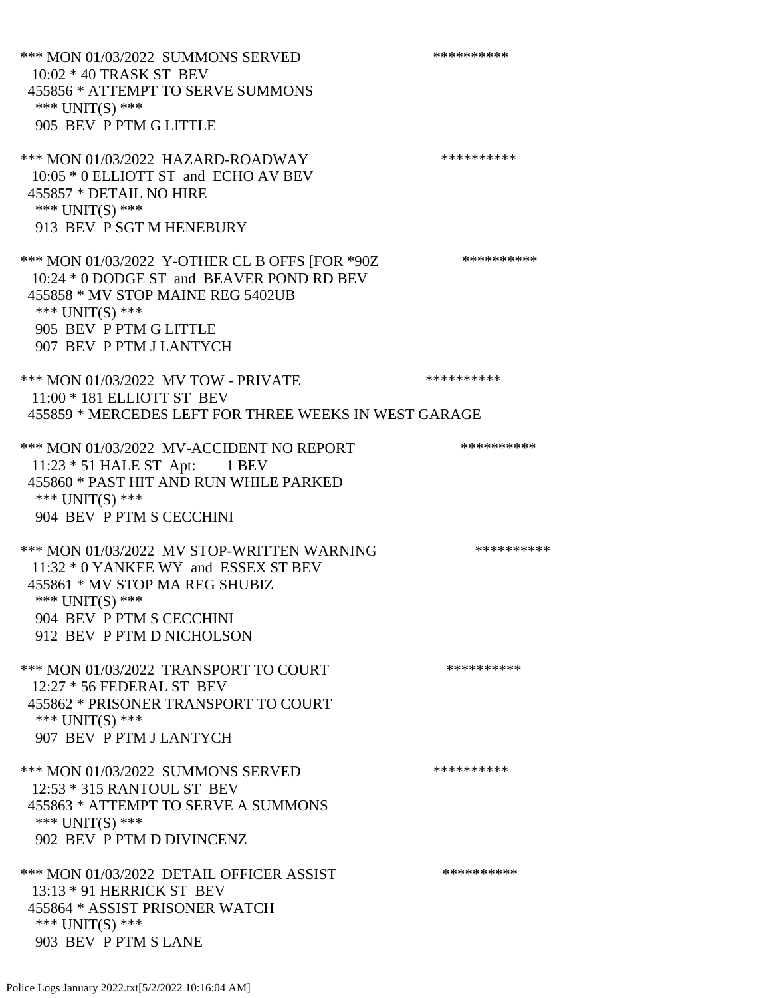\*\*\* MON 01/03/2022 SUMMONS SERVED \*\*\*\*\*\*\*\*\*\* 10:02 \* 40 TRASK ST BEV 455856 \* ATTEMPT TO SERVE SUMMONS \*\*\* UNIT(S) \*\*\* 905 BEV P PTM G LITTLE \*\*\* MON 01/03/2022 HAZARD-ROADWAY \*\*\*\*\*\*\*\*\*\* 10:05 \* 0 ELLIOTT ST and ECHO AV BEV 455857 \* DETAIL NO HIRE \*\*\* UNIT(S) \*\*\* 913 BEV P SGT M HENEBURY \*\*\* MON 01/03/2022 Y-OTHER CL B OFFS [FOR \*90Z \*\*\*\*\*\*\*\*\*\* 10:24 \* 0 DODGE ST and BEAVER POND RD BEV 455858 \* MV STOP MAINE REG 5402UB \*\*\* UNIT(S) \*\*\* 905 BEV P PTM G LITTLE 907 BEV P PTM J LANTYCH \*\*\* MON 01/03/2022 MV TOW - PRIVATE \*\*\*\*\*\*\*\*\*\*\*\* 11:00 \* 181 ELLIOTT ST BEV 455859 \* MERCEDES LEFT FOR THREE WEEKS IN WEST GARAGE \*\*\* MON 01/03/2022 MV-ACCIDENT NO REPORT \*\*\*\*\*\*\*\*\*\*\*\* 11:23 \* 51 HALE ST Apt: 1 BEV 455860 \* PAST HIT AND RUN WHILE PARKED \*\*\* UNIT(S) \*\*\* 904 BEV P PTM S CECCHINI \*\*\* MON 01/03/2022 MV STOP-WRITTEN WARNING \*\*\*\*\*\*\*\*\*\*\*\* 11:32 \* 0 YANKEE WY and ESSEX ST BEV 455861 \* MV STOP MA REG SHUBIZ \*\*\* UNIT(S) \*\*\* 904 BEV P PTM S CECCHINI 912 BEV P PTM D NICHOLSON \*\*\* MON 01/03/2022 TRANSPORT TO COURT \*\*\*\*\*\*\*\*\*\*\*\*\* 12:27 \* 56 FEDERAL ST BEV 455862 \* PRISONER TRANSPORT TO COURT \*\*\* UNIT(S) \*\*\* 907 BEV P PTM J LANTYCH \*\*\* MON 01/03/2022 SUMMONS SERVED \*\*\*\*\*\*\*\*\*\* 12:53 \* 315 RANTOUL ST BEV 455863 \* ATTEMPT TO SERVE A SUMMONS \*\*\* UNIT(S) \*\*\* 902 BEV P PTM D DIVINCENZ \*\*\* MON 01/03/2022 DETAIL OFFICER ASSIST \*\*\*\*\*\*\*\*\*\*\* 13:13 \* 91 HERRICK ST BEV 455864 \* ASSIST PRISONER WATCH \*\*\* UNIT(S) \*\*\* 903 BEV P PTM S LANE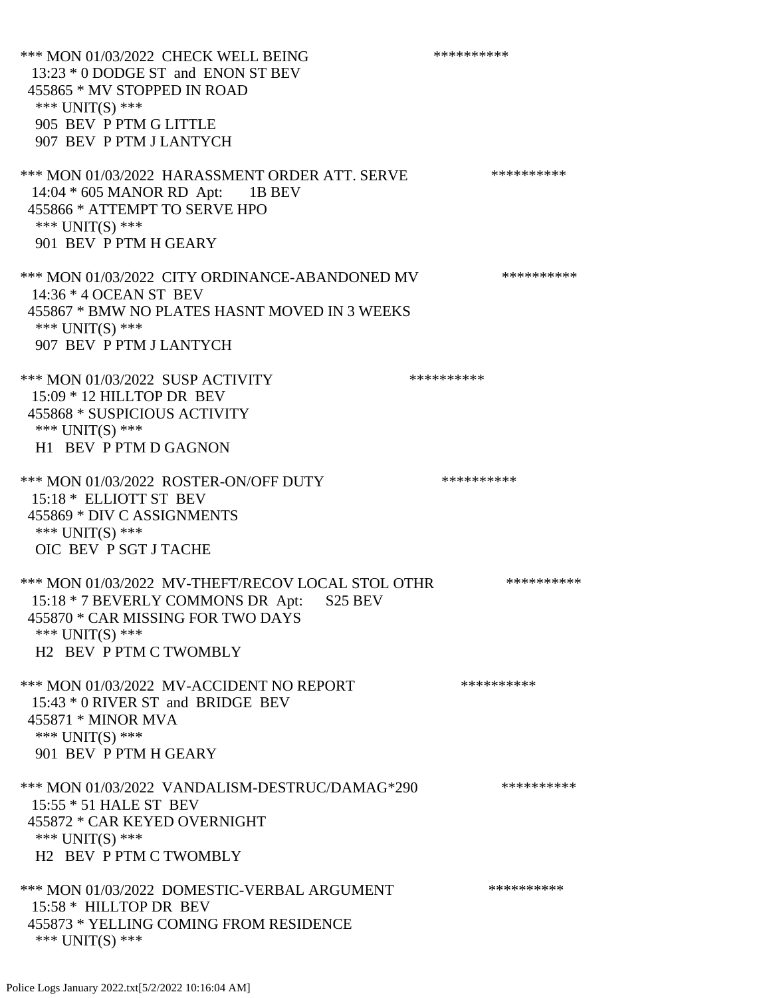\*\*\* MON 01/03/2022 CHECK WELL BEING \*\*\*\*\*\*\*\*\*\*\*\* 13:23 \* 0 DODGE ST and ENON ST BEV 455865 \* MV STOPPED IN ROAD \*\*\* UNIT(S) \*\*\* 905 BEV P PTM G LITTLE 907 BEV P PTM J LANTYCH \*\*\* MON 01/03/2022 HARASSMENT ORDER ATT. SERVE \*\*\*\*\*\*\*\*\*\* 14:04 \* 605 MANOR RD Apt: 1B BEV 455866 \* ATTEMPT TO SERVE HPO \*\*\*  $UNIT(S)$  \*\*\* 901 BEV P PTM H GEARY \*\*\* MON 01/03/2022 CITY ORDINANCE-ABANDONED MV \*\*\*\*\*\*\*\*\*\* 14:36 \* 4 OCEAN ST BEV 455867 \* BMW NO PLATES HASNT MOVED IN 3 WEEKS \*\*\* UNIT(S) \*\*\* 907 BEV P PTM J LANTYCH \*\*\* MON 01/03/2022 SUSP ACTIVITY \*\*\*\*\*\*\*\*\*\*\*\* 15:09 \* 12 HILLTOP DR BEV 455868 \* SUSPICIOUS ACTIVITY \*\*\* UNIT(S) \*\*\* H1 BEV P PTM D GAGNON \*\*\* MON 01/03/2022 ROSTER-ON/OFF DUTY \*\*\*\*\*\*\*\*\*\* 15:18 \* ELLIOTT ST BEV 455869 \* DIV C ASSIGNMENTS \*\*\* UNIT(S) \*\*\* OIC BEV P SGT J TACHE \*\*\* MON 01/03/2022 MV-THEFT/RECOV LOCAL STOL OTHR \*\*\*\*\*\*\*\*\*\*\* 15:18 \* 7 BEVERLY COMMONS DR Apt: S25 BEV 455870 \* CAR MISSING FOR TWO DAYS \*\*\* UNIT(S) \*\*\* H2 BEV P PTM C TWOMBLY \*\*\* MON 01/03/2022 MV-ACCIDENT NO REPORT \*\*\*\*\*\*\*\*\*\*\*\* 15:43 \* 0 RIVER ST and BRIDGE BEV 455871 \* MINOR MVA \*\*\* UNIT(S) \*\*\* 901 BEV P PTM H GEARY \*\*\* MON 01/03/2022 VANDALISM-DESTRUC/DAMAG\*290 \*\*\*\*\*\*\*\*\*\* 15:55 \* 51 HALE ST BEV 455872 \* CAR KEYED OVERNIGHT \*\*\* UNIT(S) \*\*\* H2 BEV P PTM C TWOMBLY \*\*\* MON 01/03/2022 DOMESTIC-VERBAL ARGUMENT \*\*\*\*\*\*\*\*\*\*\*\*\* 15:58 \* HILLTOP DR BEV 455873 \* YELLING COMING FROM RESIDENCE \*\*\* UNIT(S) \*\*\*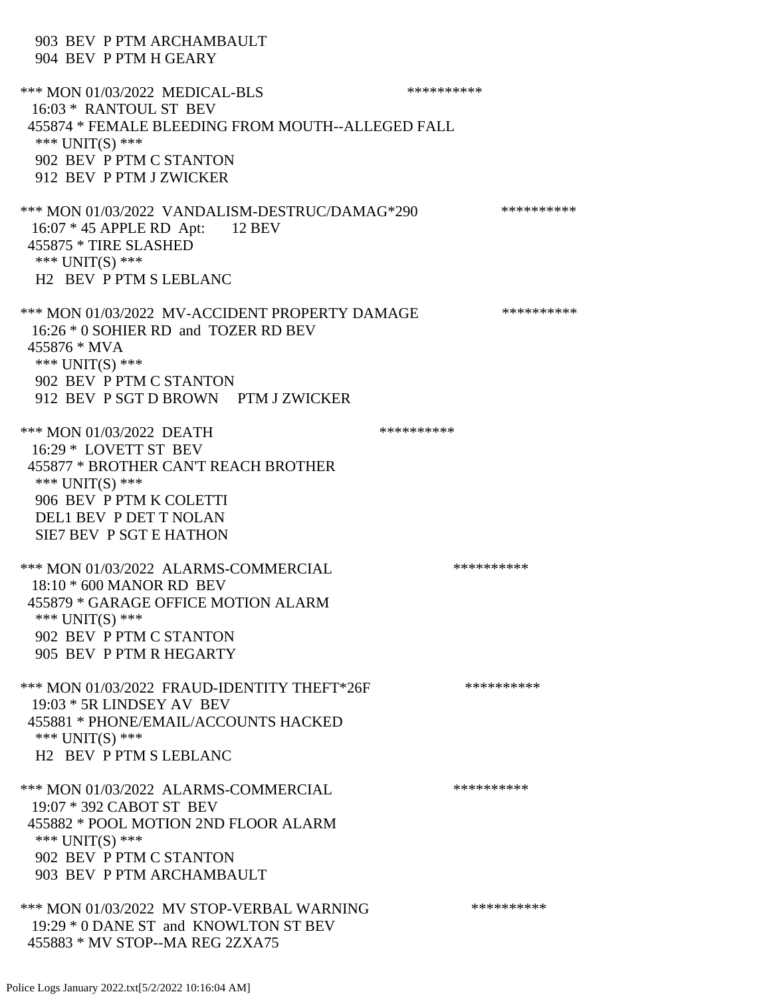| 903 BEV P PTM ARCHAMBAULT<br>904 BEV P PTM H GEARY                                                                                                                                                           |            |
|--------------------------------------------------------------------------------------------------------------------------------------------------------------------------------------------------------------|------------|
| *** MON 01/03/2022 MEDICAL-BLS<br>16:03 * RANTOUL ST BEV<br>455874 * FEMALE BLEEDING FROM MOUTH--ALLEGED FALL<br>*** UNIT(S) ***<br>902 BEV P PTM C STANTON<br>912 BEV P PTM J ZWICKER                       | ********** |
| *** MON 01/03/2022 VANDALISM-DESTRUC/DAMAG*290<br>16:07 * 45 APPLE RD Apt: 12 BEV<br>455875 * TIRE SLASHED<br>*** $UNIT(S)$ ***<br>H <sub>2</sub> BEV P PTM S LEBLANC                                        | ********** |
| *** MON 01/03/2022 MV-ACCIDENT PROPERTY DAMAGE<br>16:26 * 0 SOHIER RD and TOZER RD BEV<br>455876 * MVA<br>*** $UNIT(S)$ ***<br>902 BEV P PTM C STANTON<br>912 BEV P SGT D BROWN PTM J ZWICKER                | ********** |
| *** MON 01/03/2022 DEATH<br>16:29 * LOVETT ST BEV<br>455877 * BROTHER CAN'T REACH BROTHER<br>*** $UNIT(S)$ ***<br>906 BEV P PTM K COLETTI<br><b>DEL1 BEV P DET T NOLAN</b><br><b>SIE7 BEV P SGT E HATHON</b> | ********** |
| *** MON 01/03/2022 ALARMS-COMMERCIAL<br>18:10 * 600 MANOR RD BEV<br>455879 * GARAGE OFFICE MOTION ALARM<br>*** $UNIT(S)$ ***<br>902 BEV P PTM C STANTON<br>905 BEV P PTM R HEGARTY                           | ********** |
| *** MON 01/03/2022 FRAUD-IDENTITY THEFT*26F<br>$19:03 * 5R$ LINDSEY AV BEV<br>455881 * PHONE/EMAIL/ACCOUNTS HACKED<br>*** $UNIT(S)$ ***<br>H <sub>2</sub> BEV P PTM S LEBLANC                                | ********** |
| *** MON 01/03/2022 ALARMS-COMMERCIAL<br>19:07 * 392 CABOT ST BEV<br>455882 * POOL MOTION 2ND FLOOR ALARM<br>*** $UNIT(S)$ ***<br>902 BEV P PTM C STANTON<br>903 BEV P PTM ARCHAMBAULT                        | ********** |
| *** MON 01/03/2022 MV STOP-VERBAL WARNING<br>19:29 * 0 DANE ST and KNOWLTON ST BEV<br>455883 * MV STOP--MA REG 2ZXA75                                                                                        | ********** |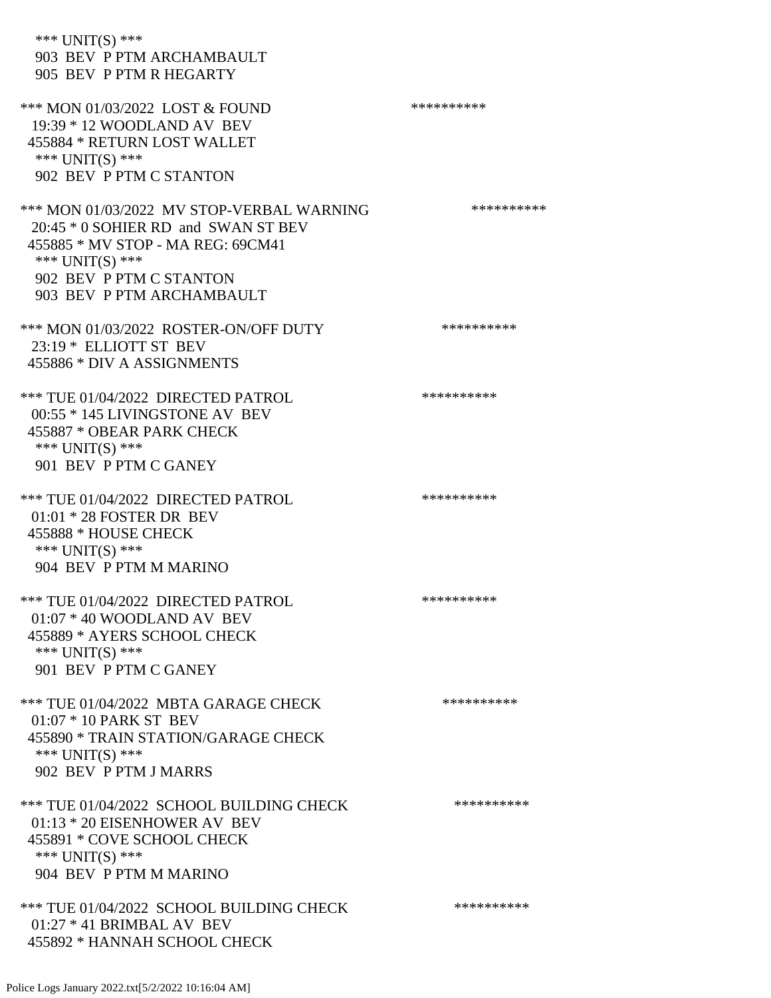| *** UNIT(S) ***<br>903 BEV P PTM ARCHAMBAULT<br>905 BEV P PTM R HEGARTY                                                                                                                            |            |
|----------------------------------------------------------------------------------------------------------------------------------------------------------------------------------------------------|------------|
| *** MON 01/03/2022 LOST & FOUND<br>$19:39 * 12$ WOODLAND AV BEV<br>455884 * RETURN LOST WALLET<br>*** $UNIT(S)$ ***<br>902 BEV P PTM C STANTON                                                     | ********** |
| *** MON 01/03/2022 MV STOP-VERBAL WARNING<br>20:45 * 0 SOHIER RD and SWAN ST BEV<br>455885 * MV STOP - MA REG: 69CM41<br>*** $UNIT(S)$ ***<br>902 BEV P PTM C STANTON<br>903 BEV P PTM ARCHAMBAULT | ********** |
| *** MON 01/03/2022 ROSTER-ON/OFF DUTY<br>23:19 * ELLIOTT ST BEV<br>455886 * DIV A ASSIGNMENTS                                                                                                      | ********** |
| *** TUE 01/04/2022 DIRECTED PATROL<br>00:55 * 145 LIVINGSTONE AV BEV<br>455887 * OBEAR PARK CHECK<br>*** $UNIT(S)$ ***<br>901 BEV P PTM C GANEY                                                    | ********** |
| *** TUE 01/04/2022 DIRECTED PATROL<br>01:01 * 28 FOSTER DR BEV<br>455888 * HOUSE CHECK<br>*** UNIT(S) ***<br>904 BEV P PTM M MARINO                                                                | ********** |
| *** TUE 01/04/2022 DIRECTED PATROL<br>$01:07 * 40$ WOODLAND AV BEV<br>455889 * AYERS SCHOOL CHECK<br>*** $UNIT(S)$ ***<br>901 BEV P PTM C GANEY                                                    | ********** |
| *** TUE 01/04/2022 MBTA GARAGE CHECK<br>01:07 * 10 PARK ST BEV<br>455890 * TRAIN STATION/GARAGE CHECK<br>*** $UNIT(S)$ ***<br>902 BEV P PTM J MARRS                                                | ********** |
| *** TUE 01/04/2022 SCHOOL BUILDING CHECK<br>01:13 * 20 EISENHOWER AV BEV<br>455891 * COVE SCHOOL CHECK<br>*** $UNIT(S)$ ***<br>904 BEV P PTM M MARINO                                              | ********** |
| *** TUE 01/04/2022 SCHOOL BUILDING CHECK<br>$01:27 * 41$ BRIMBAL AV BEV<br>455892 * HANNAH SCHOOL CHECK                                                                                            | ********** |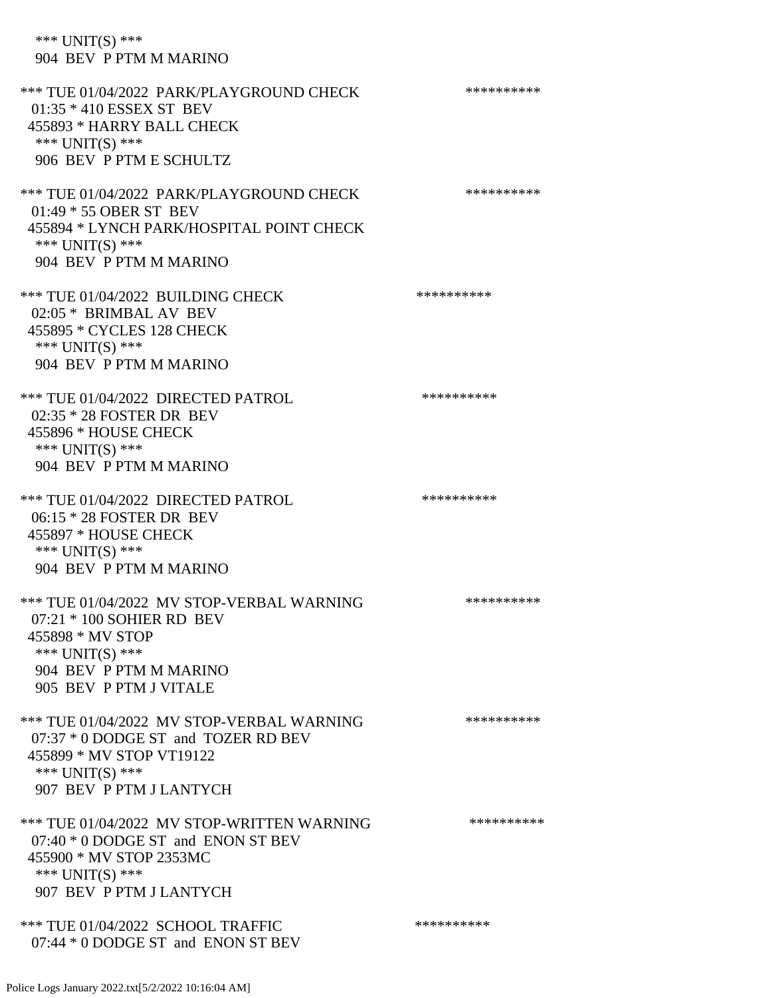\*\*\* UNIT(S) \*\*\* 904 BEV P PTM M MARINO \*\*\* TUE 01/04/2022 PARK/PLAYGROUND CHECK \*\*\*\*\*\*\*\*\*\* 01:35 \* 410 ESSEX ST BEV 455893 \* HARRY BALL CHECK \*\*\* UNIT(S) \*\*\* 906 BEV P PTM E SCHULTZ \*\*\* TUE 01/04/2022 PARK/PLAYGROUND CHECK \*\*\*\*\*\*\*\*\*\*\*\* 01:49 \* 55 OBER ST BEV 455894 \* LYNCH PARK/HOSPITAL POINT CHECK \*\*\* UNIT(S) \*\*\* 904 BEV P PTM M MARINO \*\*\* TUE 01/04/2022 BUILDING CHECK \*\*\*\*\*\*\*\*\*\*\*\*\* 02:05 \* BRIMBAL AV BEV 455895 \* CYCLES 128 CHECK \*\*\* UNIT(S) \*\*\* 904 BEV P PTM M MARINO \*\*\* TUE 01/04/2022 DIRECTED PATROL \*\*\*\*\*\*\*\*\*\* 02:35 \* 28 FOSTER DR BEV 455896 \* HOUSE CHECK \*\*\* UNIT(S) \*\*\* 904 BEV P PTM M MARINO \*\*\* TUE 01/04/2022 DIRECTED PATROL \*\*\*\*\*\*\*\*\*\*\* 06:15 \* 28 FOSTER DR BEV 455897 \* HOUSE CHECK \*\*\* UNIT(S) \*\*\* 904 BEV P PTM M MARINO \*\*\* TUE 01/04/2022 MV STOP-VERBAL WARNING \*\*\*\*\*\*\*\*\*\*\*\*\*\*\* 07:21 \* 100 SOHIER RD BEV 455898 \* MV STOP \*\*\* UNIT(S) \*\*\* 904 BEV P PTM M MARINO 905 BEV P PTM J VITALE \*\*\* TUE 01/04/2022 MV STOP-VERBAL WARNING \*\*\*\*\*\*\*\*\*\*\*\*\* 07:37 \* 0 DODGE ST and TOZER RD BEV 455899 \* MV STOP VT19122 \*\*\* UNIT(S) \*\*\* 907 BEV P PTM J LANTYCH \*\*\* TUE 01/04/2022 MV STOP-WRITTEN WARNING \*\*\*\*\*\*\*\*\*\*\*\* 07:40 \* 0 DODGE ST and ENON ST BEV 455900 \* MV STOP 2353MC \*\*\* UNIT(S) \*\*\* 907 BEV P PTM J LANTYCH \*\*\* TUE 01/04/2022 SCHOOL TRAFFIC \*\*\*\*\*\*\*\*\*\*\*\*\*\*\*

Police Logs January 2022.txt[5/2/2022 10:16:04 AM]

07:44 \* 0 DODGE ST and ENON ST BEV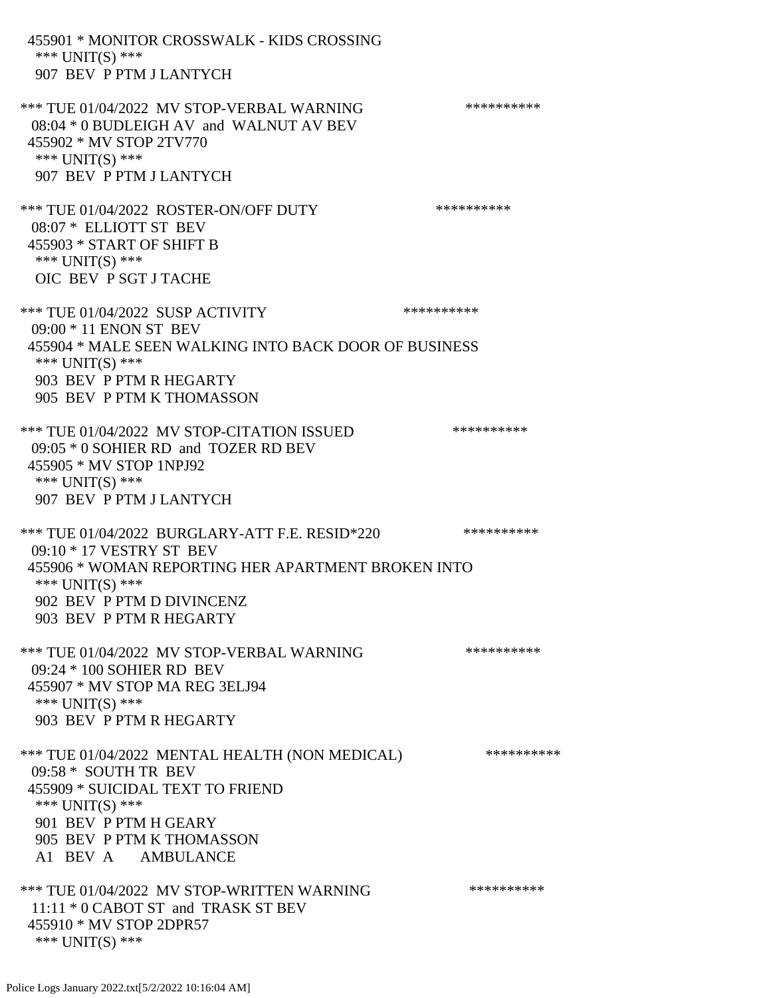455901 \* MONITOR CROSSWALK - KIDS CROSSING \*\*\* UNIT(S) \*\*\* 907 BEV P PTM J LANTYCH \*\*\* TUE 01/04/2022 MV STOP-VERBAL WARNING \*\*\*\*\*\*\*\*\*\*\*\*\* 08:04 \* 0 BUDLEIGH AV and WALNUT AV BEV 455902 \* MV STOP 2TV770 \*\*\* UNIT(S) \*\*\* 907 BEV P PTM J LANTYCH \*\*\* TUE 01/04/2022 ROSTER-ON/OFF DUTY \*\*\*\*\*\*\*\*\*\*\*\* 08:07 \* ELLIOTT ST BEV 455903 \* START OF SHIFT B \*\*\* UNIT(S) \*\*\* OIC BEV P SGT J TACHE \*\*\* TUE 01/04/2022 SUSP ACTIVITY \*\*\*\*\*\*\*\*\*\*\*\* 09:00 \* 11 ENON ST BEV 455904 \* MALE SEEN WALKING INTO BACK DOOR OF BUSINESS \*\*\* UNIT(S) \*\*\* 903 BEV P PTM R HEGARTY 905 BEV P PTM K THOMASSON \*\*\* TUE 01/04/2022 MV STOP-CITATION ISSUED \*\*\*\*\*\*\*\*\*\* 09:05 \* 0 SOHIER RD and TOZER RD BEV 455905 \* MV STOP 1NPJ92 \*\*\* UNIT(S) \*\*\* 907 BEV P PTM J LANTYCH \*\*\* TUE 01/04/2022 BURGLARY-ATT F.E. RESID\*220 \*\*\*\*\*\*\*\*\*\*\*\* 09:10 \* 17 VESTRY ST BEV 455906 \* WOMAN REPORTING HER APARTMENT BROKEN INTO \*\*\* UNIT(S) \*\*\* 902 BEV P PTM D DIVINCENZ 903 BEV P PTM R HEGARTY \*\*\* TUE 01/04/2022 MV STOP-VERBAL WARNING \*\*\*\*\*\*\*\*\*\*\*\*\* 09:24 \* 100 SOHIER RD BEV 455907 \* MV STOP MA REG 3ELJ94 \*\*\* UNIT(S) \*\*\* 903 BEV P PTM R HEGARTY \*\*\* TUE 01/04/2022 MENTAL HEALTH (NON MEDICAL) \*\*\*\*\*\*\*\*\*\* 09:58 \* SOUTH TR BEV 455909 \* SUICIDAL TEXT TO FRIEND \*\*\* UNIT(S) \*\*\* 901 BEV P PTM H GEARY 905 BEV P PTM K THOMASSON A1 BEV A AMBULANCE \*\*\* TUE 01/04/2022 MV STOP-WRITTEN WARNING \*\*\*\*\*\*\*\*\*\*\*\*\* 11:11 \* 0 CABOT ST and TRASK ST BEV 455910 \* MV STOP 2DPR57 \*\*\* UNIT(S) \*\*\*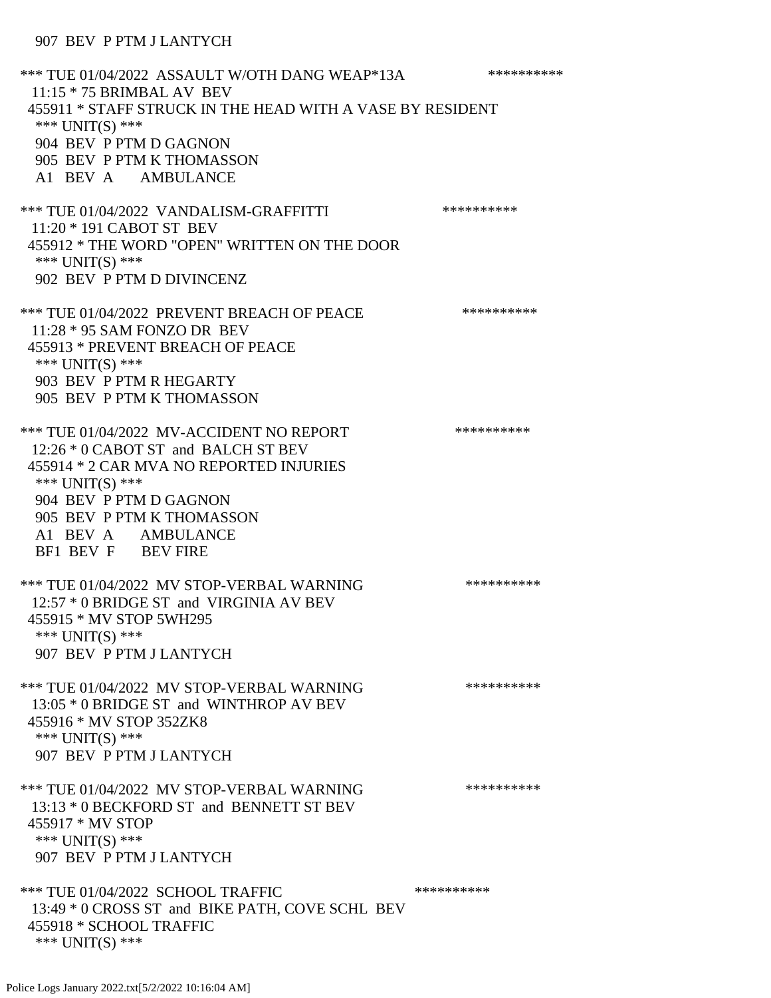#### 907 BEV P PTM J LANTYCH

\*\*\* TUE 01/04/2022 ASSAULT W/OTH DANG WEAP\*13A \*\*\*\*\*\*\*\*\*\* 11:15 \* 75 BRIMBAL AV BEV 455911 \* STAFF STRUCK IN THE HEAD WITH A VASE BY RESIDENT \*\*\* UNIT(S) \*\*\* 904 BEV P PTM D GAGNON 905 BEV P PTM K THOMASSON A1 BEV A AMBULANCE \*\*\* TUE 01/04/2022 VANDALISM-GRAFFITTI \*\*\*\*\*\*\*\*\*\* 11:20 \* 191 CABOT ST BEV 455912 \* THE WORD "OPEN" WRITTEN ON THE DOOR \*\*\* UNIT(S) \*\*\* 902 BEV P PTM D DIVINCENZ \*\*\* TUE 01/04/2022 PREVENT BREACH OF PEACE \*\*\*\*\*\*\*\*\*\* 11:28 \* 95 SAM FONZO DR BEV 455913 \* PREVENT BREACH OF PEACE \*\*\* UNIT(S) \*\*\* 903 BEV P PTM R HEGARTY 905 BEV P PTM K THOMASSON \*\*\* TUE 01/04/2022 MV-ACCIDENT NO REPORT \*\*\*\*\*\*\*\*\*\*\*\* 12:26 \* 0 CABOT ST and BALCH ST BEV 455914 \* 2 CAR MVA NO REPORTED INJURIES \*\*\* UNIT(S) \*\*\* 904 BEV P PTM D GAGNON 905 BEV P PTM K THOMASSON A1 BEV A AMBULANCE BF1 BEV F BEV FIRE \*\*\* TUE 01/04/2022 MV STOP-VERBAL WARNING \*\*\*\*\*\*\*\*\*\*\*\*\* 12:57 \* 0 BRIDGE ST and VIRGINIA AV BEV 455915 \* MV STOP 5WH295 \*\*\* UNIT(S) \*\*\* 907 BEV P PTM J LANTYCH \*\*\* TUE 01/04/2022 MV STOP-VERBAL WARNING \*\*\*\*\*\*\*\*\*\*\*\*\* 13:05 \* 0 BRIDGE ST and WINTHROP AV BEV 455916 \* MV STOP 352ZK8 \*\*\* UNIT(S) \*\*\* 907 BEV P PTM J LANTYCH \*\*\* TUE 01/04/2022 MV STOP-VERBAL WARNING \*\*\*\*\*\*\*\*\*\*\*\*\* 13:13 \* 0 BECKFORD ST and BENNETT ST BEV 455917 \* MV STOP \*\*\* UNIT(S) \*\*\* 907 BEV P PTM J LANTYCH \*\*\* TUE 01/04/2022 SCHOOL TRAFFIC \*\*\*\*\*\*\*\*\*\*\*\*\*\*\* 13:49 \* 0 CROSS ST and BIKE PATH, COVE SCHL BEV 455918 \* SCHOOL TRAFFIC \*\*\* UNIT(S) \*\*\*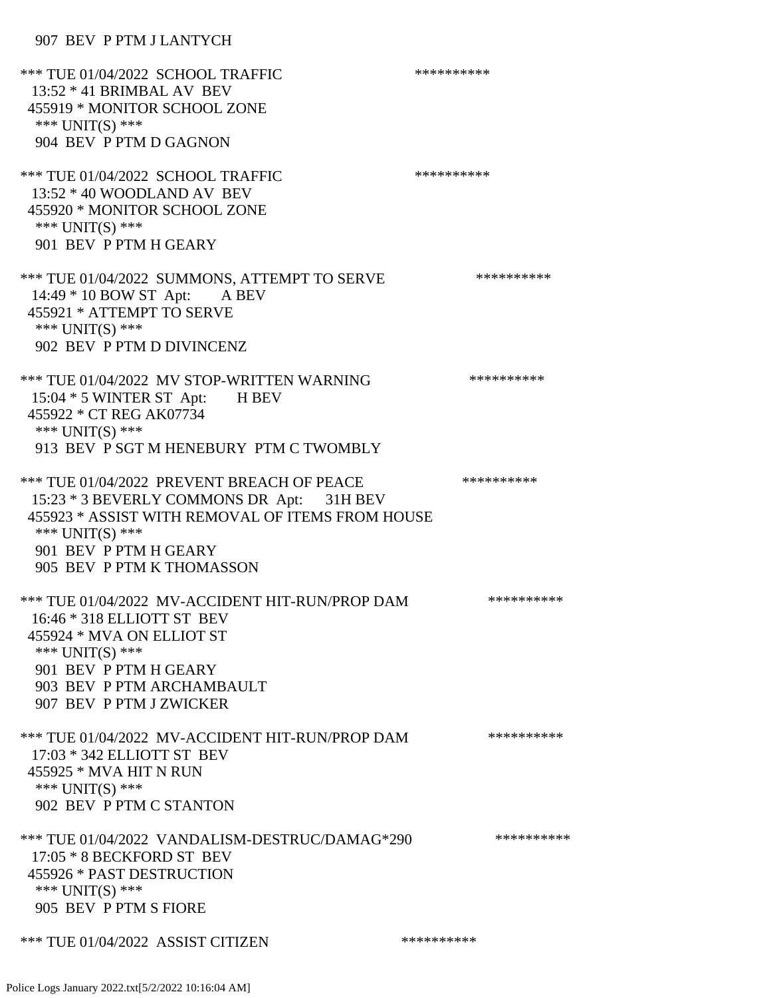### 907 BEV P PTM J LANTYCH

| *** TUE 01/04/2022 SCHOOL TRAFFIC<br>$13:52 * 41$ BRIMBAL AV BEV<br>455919 * MONITOR SCHOOL ZONE<br>*** UNIT(S) ***<br>904 BEV P PTM D GAGNON                                                                        | ********** |
|----------------------------------------------------------------------------------------------------------------------------------------------------------------------------------------------------------------------|------------|
| *** TUE 01/04/2022 SCHOOL TRAFFIC<br>13:52 * 40 WOODLAND AV BEV<br>455920 * MONITOR SCHOOL ZONE<br>*** $UNIT(S)$ ***<br>901 BEV P PTM H GEARY                                                                        | ********** |
| *** TUE 01/04/2022 SUMMONS, ATTEMPT TO SERVE<br>14:49 * 10 BOW ST Apt: A BEV<br>455921 * ATTEMPT TO SERVE<br>*** $UNIT(S)$ ***<br>902 BEV P PTM D DIVINCENZ                                                          | ********** |
| *** TUE 01/04/2022 MV STOP-WRITTEN WARNING<br>15:04 * 5 WINTER ST Apt: H BEV<br>455922 * CT REG AK07734<br>*** UNIT(S) ***<br>913 BEV P SGT M HENEBURY PTM C TWOMBLY                                                 | ********** |
| *** TUE 01/04/2022 PREVENT BREACH OF PEACE<br>15:23 * 3 BEVERLY COMMONS DR Apt: 31H BEV<br>455923 * ASSIST WITH REMOVAL OF ITEMS FROM HOUSE<br>*** UNIT(S) ***<br>901 BEV P PTM H GEARY<br>905 BEV P PTM K THOMASSON | ********** |
| *** TUE 01/04/2022 MV-ACCIDENT HIT-RUN/PROP DAM<br>16:46 * 318 ELLIOTT ST BEV<br>455924 * MVA ON ELLIOT ST<br>*** UNIT(S) ***<br>901 BEV P PTM H GEARY<br>903 BEV P PTM ARCHAMBAULT<br>907 BEV P PTM J ZWICKER       | ********** |
| *** TUE 01/04/2022 MV-ACCIDENT HIT-RUN/PROP DAM<br>17:03 * 342 ELLIOTT ST BEV<br>455925 * MVA HIT N RUN<br>*** UNIT(S) ***<br>902 BEV P PTM C STANTON                                                                | ********** |
| *** TUE 01/04/2022 VANDALISM-DESTRUC/DAMAG*290<br>17:05 * 8 BECKFORD ST BEV<br>455926 * PAST DESTRUCTION<br>*** UNIT(S) ***<br>905 BEV P PTM S FIORE                                                                 | ********** |
| *** TUE 01/04/2022 ASSIST CITIZEN                                                                                                                                                                                    | ********** |
|                                                                                                                                                                                                                      |            |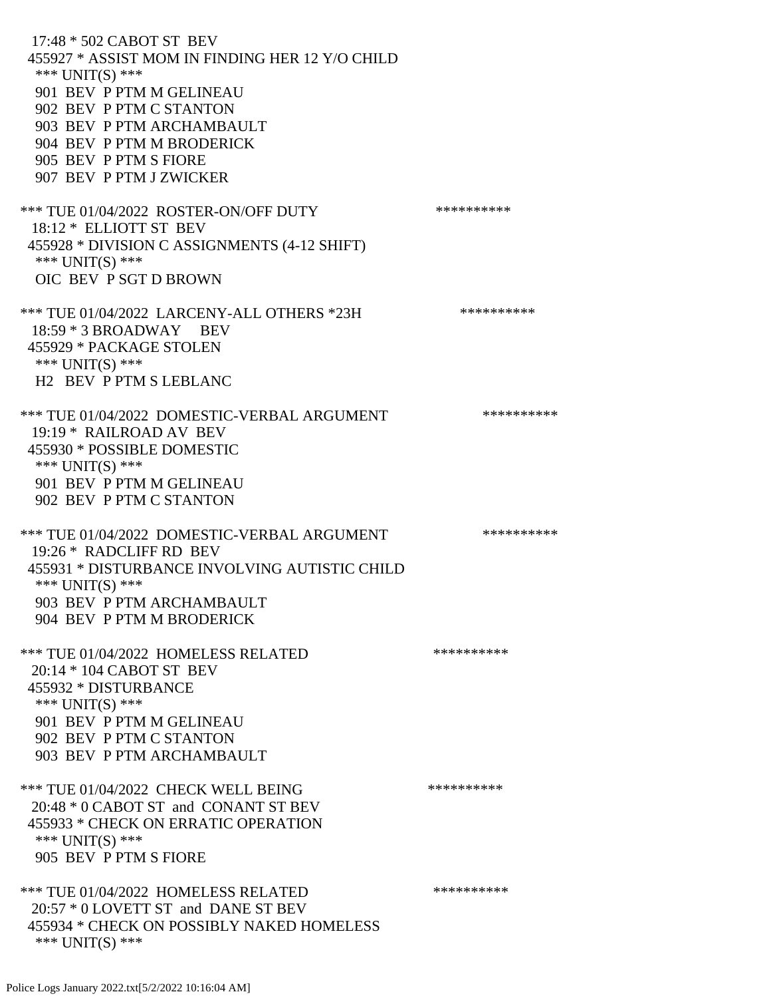17:48 \* 502 CABOT ST BEV 455927 \* ASSIST MOM IN FINDING HER 12 Y/O CHILD \*\*\* UNIT(S) \*\*\* 901 BEV P PTM M GELINEAU 902 BEV P PTM C STANTON 903 BEV P PTM ARCHAMBAULT 904 BEV P PTM M BRODERICK 905 BEV P PTM S FIORE 907 BEV P PTM J ZWICKER \*\*\* TUE 01/04/2022 ROSTER-ON/OFF DUTY \*\*\*\*\*\*\*\*\*\* 18:12 \* ELLIOTT ST BEV 455928 \* DIVISION C ASSIGNMENTS (4-12 SHIFT) \*\*\* UNIT(S) \*\*\* OIC BEV P SGT D BROWN \*\*\* TUE 01/04/2022 LARCENY-ALL OTHERS \*23H \*\*\*\*\*\*\*\*\*\*\* 18:59 \* 3 BROADWAY BEV 455929 \* PACKAGE STOLEN \*\*\* UNIT(S) \*\*\* H2 BEV P PTM S LEBLANC \*\*\* TUE 01/04/2022 DOMESTIC-VERBAL ARGUMENT \*\*\*\*\*\*\*\*\*\*\*\*\* 19:19 \* RAILROAD AV BEV 455930 \* POSSIBLE DOMESTIC \*\*\* UNIT(S) \*\*\* 901 BEV P PTM M GELINEAU 902 BEV P PTM C STANTON \*\*\* TUE 01/04/2022 DOMESTIC-VERBAL ARGUMENT \*\*\*\*\*\*\*\*\*\*\*\*\* 19:26 \* RADCLIFF RD BEV 455931 \* DISTURBANCE INVOLVING AUTISTIC CHILD \*\*\* UNIT(S) \*\*\* 903 BEV P PTM ARCHAMBAULT 904 BEV P PTM M BRODERICK \*\*\* TUE 01/04/2022 HOMELESS RELATED \*\*\*\*\*\*\*\*\*\* 20:14 \* 104 CABOT ST BEV 455932 \* DISTURBANCE \*\*\* UNIT(S) \*\*\* 901 BEV P PTM M GELINEAU 902 BEV P PTM C STANTON 903 BEV P PTM ARCHAMBAULT \*\*\* TUE 01/04/2022 CHECK WELL BEING \*\*\*\*\*\*\*\*\*\*\*\*\*\* 20:48 \* 0 CABOT ST and CONANT ST BEV 455933 \* CHECK ON ERRATIC OPERATION \*\*\* UNIT(S) \*\*\* 905 BEV P PTM S FIORE \*\*\* TUE 01/04/2022 HOMELESS RELATED \*\*\*\*\*\*\*\*\*\* 20:57 \* 0 LOVETT ST and DANE ST BEV 455934 \* CHECK ON POSSIBLY NAKED HOMELESS \*\*\* UNIT(S) \*\*\*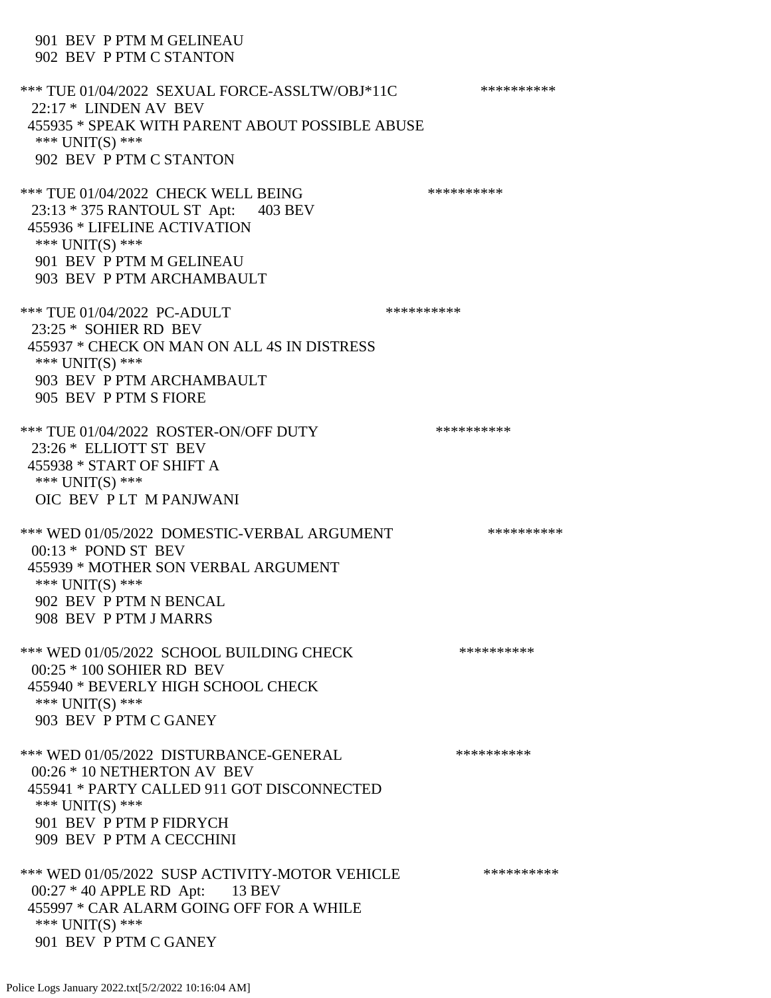## 901 BEV P PTM M GELINEAU 902 BEV P PTM C STANTON \*\*\* TUE 01/04/2022 SEXUAL FORCE-ASSLTW/OBJ\*11C \*\*\*\*\*\*\*\*\*\*\*\* 22:17 \* LINDEN AV BEV 455935 \* SPEAK WITH PARENT ABOUT POSSIBLE ABUSE \*\*\* UNIT(S) \*\*\* 902 BEV P PTM C STANTON \*\*\* TUE 01/04/2022 CHECK WELL BEING \*\*\*\*\*\*\*\*\*\*\*\*\* 23:13 \* 375 RANTOUL ST Apt: 403 BEV 455936 \* LIFELINE ACTIVATION \*\*\* UNIT(S) \*\*\* 901 BEV P PTM M GELINEAU 903 BEV P PTM ARCHAMBAULT \*\*\* TUE 01/04/2022 PC-ADULT \*\*\*\*\*\*\*\*\*\*\*\* 23:25 \* SOHIER RD BEV 455937 \* CHECK ON MAN ON ALL 4S IN DISTRESS \*\*\* UNIT(S) \*\*\* 903 BEV P PTM ARCHAMBAULT 905 BEV P PTM S FIORE \*\*\* TUE 01/04/2022 ROSTER-ON/OFF DUTY \*\*\*\*\*\*\*\*\*\* 23:26 \* ELLIOTT ST BEV 455938 \* START OF SHIFT A \*\*\* UNIT(S) \*\*\* OIC BEV P LT M PANJWANI \*\*\* WED 01/05/2022 DOMESTIC-VERBAL ARGUMENT \*\*\*\*\*\*\*\*\*\*\*\* 00:13 \* POND ST BEV 455939 \* MOTHER SON VERBAL ARGUMENT \*\*\* UNIT(S) \*\*\* 902 BEV P PTM N BENCAL 908 BEV P PTM J MARRS \*\*\* WED 01/05/2022 SCHOOL BUILDING CHECK \*\*\*\*\*\*\*\*\*\*\*\* 00:25 \* 100 SOHIER RD BEV 455940 \* BEVERLY HIGH SCHOOL CHECK \*\*\* UNIT(S) \*\*\* 903 BEV P PTM C GANEY \*\*\* WED 01/05/2022 DISTURBANCE-GENERAL \*\*\*\*\*\*\*\*\*\* 00:26 \* 10 NETHERTON AV BEV 455941 \* PARTY CALLED 911 GOT DISCONNECTED \*\*\* UNIT(S) \*\*\* 901 BEV P PTM P FIDRYCH 909 BEV P PTM A CECCHINI \*\*\* WED 01/05/2022 SUSP ACTIVITY-MOTOR VEHICLE \*\*\*\*\*\*\*\*\*\*\* 00:27 \* 40 APPLE RD Apt: 13 BEV 455997 \* CAR ALARM GOING OFF FOR A WHILE \*\*\* UNIT(S) \*\*\* 901 BEV P PTM C GANEY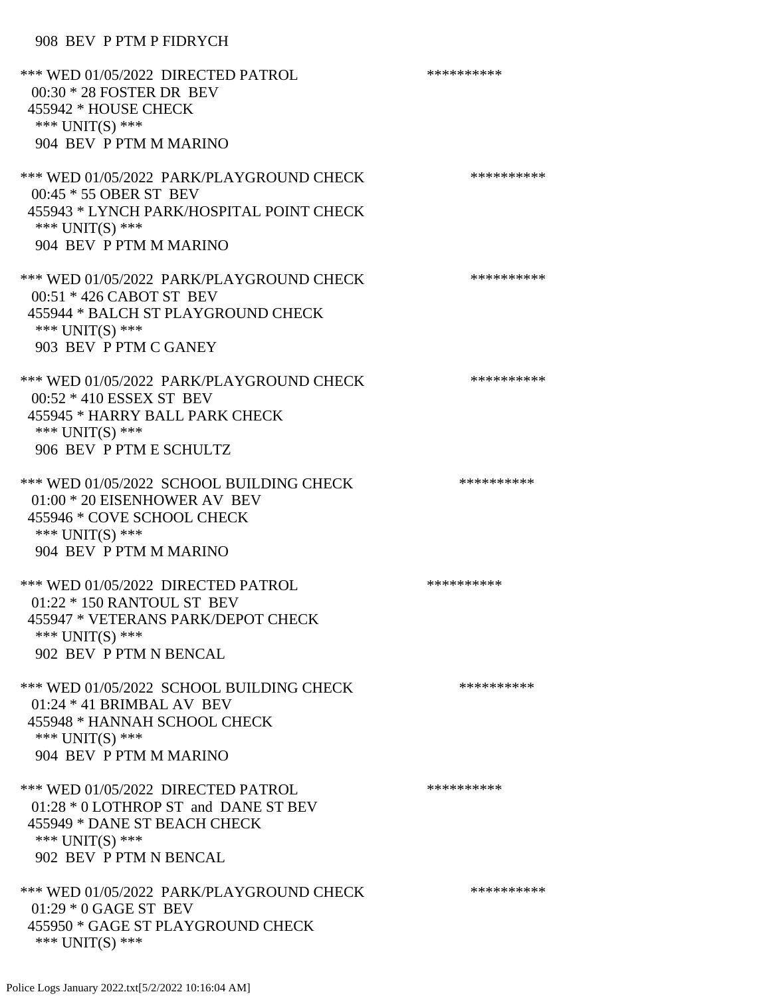#### 908 BEV P PTM P FIDRYCH

| *** WED 01/05/2022 DIRECTED PATROL<br>00:30 * 28 FOSTER DR BEV<br>455942 * HOUSE CHECK<br>*** UNIT(S) ***<br>904 BEV P PTM M MARINO                           | ********** |
|---------------------------------------------------------------------------------------------------------------------------------------------------------------|------------|
| *** WED 01/05/2022 PARK/PLAYGROUND CHECK<br>00:45 * 55 OBER ST BEV<br>455943 * LYNCH PARK/HOSPITAL POINT CHECK<br>*** $UNIT(S)$ ***<br>904 BEV P PTM M MARINO | ********** |
| *** WED 01/05/2022 PARK/PLAYGROUND CHECK<br>00:51 * 426 CABOT ST BEV<br>455944 * BALCH ST PLAYGROUND CHECK<br>*** UNIT(S) ***<br>903 BEV P PTM C GANEY        | ********** |
| *** WED 01/05/2022 PARK/PLAYGROUND CHECK<br>00:52 * 410 ESSEX ST BEV<br>455945 * HARRY BALL PARK CHECK<br>*** UNIT(S) ***<br>906 BEV P PTM E SCHULTZ          | ********** |
| *** WED 01/05/2022 SCHOOL BUILDING CHECK<br>$01:00 * 20$ EISENHOWER AV BEV<br>455946 * COVE SCHOOL CHECK<br>*** UNIT(S) ***<br>904 BEV P PTM M MARINO         | ********** |
| *** WED 01/05/2022 DIRECTED PATROL<br>01:22 * 150 RANTOUL ST BEV<br>455947 * VETERANS PARK/DEPOT CHECK<br>*** $UNIT(S)$ ***<br>902 BEV P PTM N BENCAL         | ********** |
| *** WED 01/05/2022 SCHOOL BUILDING CHECK<br>$01:24 * 41$ BRIMBAL AV BEV<br>455948 * HANNAH SCHOOL CHECK<br>*** UNIT(S) ***<br>904 BEV P PTM M MARINO          | ********** |
| *** WED 01/05/2022 DIRECTED PATROL<br>01:28 * 0 LOTHROP ST and DANE ST BEV<br>455949 * DANE ST BEACH CHECK<br>*** $UNIT(S)$ ***<br>902 BEV P PTM N BENCAL     | ********** |
| *** WED 01/05/2022 PARK/PLAYGROUND CHECK<br>$01:29 * 0$ GAGE ST BEV<br>455950 * GAGE ST PLAYGROUND CHECK<br>*** $UNIT(S)$ ***                                 | ********** |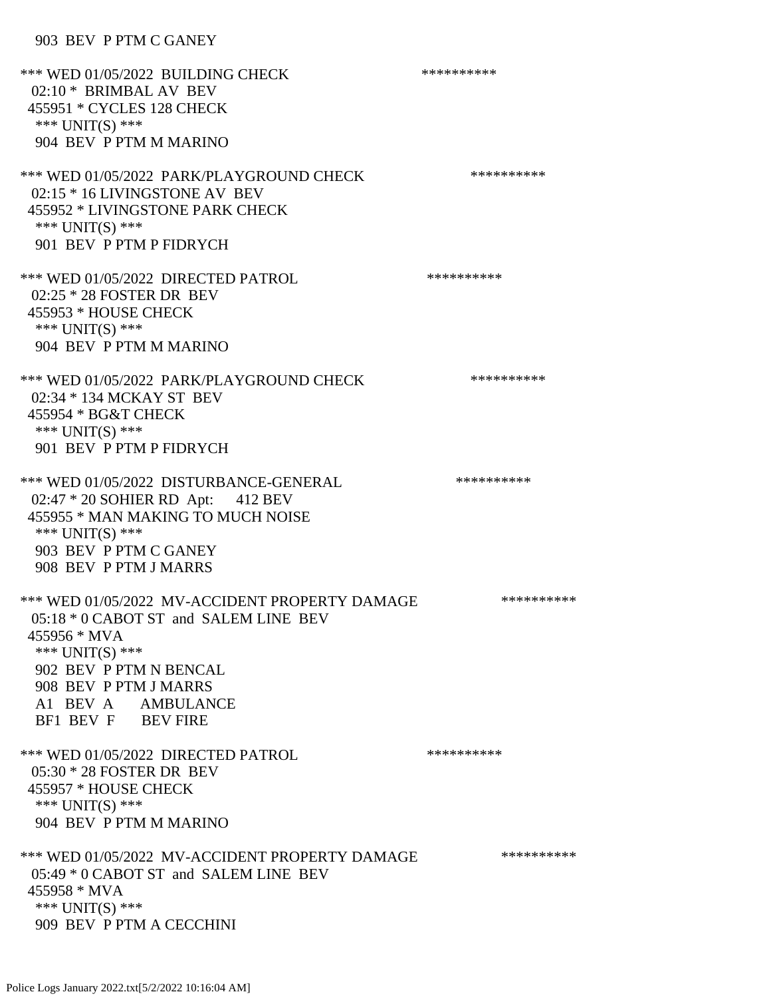#### 903 BEV P PTM C GANEY

\*\*\* WED 01/05/2022 BUILDING CHECK \*\*\*\*\*\*\*\*\*\*\*\* 02:10 \* BRIMBAL AV BEV 455951 \* CYCLES 128 CHECK \*\*\* UNIT(S) \*\*\* 904 BEV P PTM M MARINO \*\*\* WED 01/05/2022 PARK/PLAYGROUND CHECK \*\*\*\*\*\*\*\*\*\*\*\* 02:15 \* 16 LIVINGSTONE AV BEV 455952 \* LIVINGSTONE PARK CHECK \*\*\* UNIT(S) \*\*\* 901 BEV P PTM P FIDRYCH \*\*\* WED 01/05/2022 DIRECTED PATROL \*\*\*\*\*\*\*\*\*\* 02:25 \* 28 FOSTER DR BEV 455953 \* HOUSE CHECK \*\*\* UNIT(S) \*\*\* 904 BEV P PTM M MARINO \*\*\* WED 01/05/2022 PARK/PLAYGROUND CHECK \*\*\*\*\*\*\*\*\*\*\*\* 02:34 \* 134 MCKAY ST BEV 455954 \* BG&T CHECK \*\*\* UNIT(S) \*\*\* 901 BEV P PTM P FIDRYCH \*\*\* WED 01/05/2022 DISTURBANCE-GENERAL \*\*\*\*\*\*\*\*\*\* 02:47 \* 20 SOHIER RD Apt: 412 BEV 455955 \* MAN MAKING TO MUCH NOISE \*\*\* UNIT(S) \*\*\* 903 BEV P PTM C GANEY 908 BEV P PTM J MARRS \*\*\* WED 01/05/2022 MV-ACCIDENT PROPERTY DAMAGE \*\*\*\*\*\*\*\*\*\*\*\* 05:18 \* 0 CABOT ST and SALEM LINE BEV 455956 \* MVA \*\*\* UNIT(S) \*\*\* 902 BEV P PTM N BENCAL 908 BEV P PTM J MARRS A1 BEV A AMBULANCE BF1 BEV F BEV FIRE \*\*\* WED 01/05/2022 DIRECTED PATROL \*\*\*\*\*\*\*\*\*\* 05:30 \* 28 FOSTER DR BEV 455957 \* HOUSE CHECK \*\*\* UNIT(S) \*\*\* 904 BEV P PTM M MARINO \*\*\* WED 01/05/2022 MV-ACCIDENT PROPERTY DAMAGE \*\*\*\*\*\*\*\*\*\*\*\* 05:49 \* 0 CABOT ST and SALEM LINE BEV 455958 \* MVA \*\*\* UNIT(S) \*\*\* 909 BEV P PTM A CECCHINI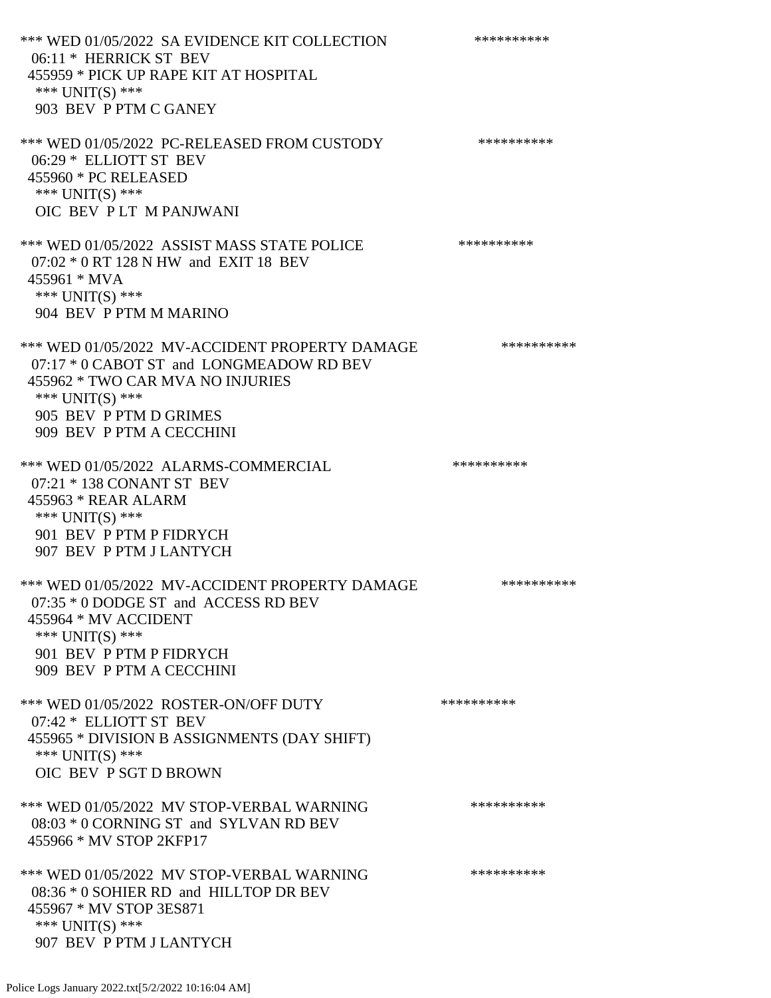\*\*\* WED 01/05/2022 SA EVIDENCE KIT COLLECTION \*\*\*\*\*\*\*\*\*\* 06:11 \* HERRICK ST BEV 455959 \* PICK UP RAPE KIT AT HOSPITAL \*\*\* UNIT(S) \*\*\* 903 BEV P PTM C GANEY \*\*\* WED 01/05/2022 PC-RELEASED FROM CUSTODY \*\*\*\*\*\*\*\*\*\* 06:29 \* ELLIOTT ST BEV 455960 \* PC RELEASED \*\*\* UNIT(S) \*\*\* OIC BEV P LT M PANJWANI \*\*\* WED 01/05/2022 ASSIST MASS STATE POLICE \*\*\*\*\*\*\*\*\*\*\*\* 07:02 \* 0 RT 128 N HW and EXIT 18 BEV 455961 \* MVA \*\*\* UNIT(S) \*\*\* 904 BEV P PTM M MARINO \*\*\* WED 01/05/2022 MV-ACCIDENT PROPERTY DAMAGE \*\*\*\*\*\*\*\*\*\*\* 07:17 \* 0 CABOT ST and LONGMEADOW RD BEV 455962 \* TWO CAR MVA NO INJURIES \*\*\* UNIT(S) \*\*\* 905 BEV P PTM D GRIMES 909 BEV P PTM A CECCHINI \*\*\* WED 01/05/2022 ALARMS-COMMERCIAL \*\*\*\*\*\*\*\*\*\* 07:21 \* 138 CONANT ST BEV 455963 \* REAR ALARM \*\*\* UNIT(S) \*\*\* 901 BEV P PTM P FIDRYCH 907 BEV P PTM J LANTYCH \*\*\* WED 01/05/2022 MV-ACCIDENT PROPERTY DAMAGE \*\*\*\*\*\*\*\*\*\*\*\*\* 07:35 \* 0 DODGE ST and ACCESS RD BEV 455964 \* MV ACCIDENT \*\*\* UNIT(S) \*\*\* 901 BEV P PTM P FIDRYCH 909 BEV P PTM A CECCHINI \*\*\* WED 01/05/2022 ROSTER-ON/OFF DUTY \*\*\*\*\*\*\*\*\*\* 07:42 \* ELLIOTT ST BEV 455965 \* DIVISION B ASSIGNMENTS (DAY SHIFT) \*\*\* UNIT(S) \*\*\* OIC BEV P SGT D BROWN \*\*\* WED 01/05/2022 MV STOP-VERBAL WARNING \*\*\*\*\*\*\*\*\*\*\*\*\* 08:03 \* 0 CORNING ST and SYLVAN RD BEV 455966 \* MV STOP 2KFP17 \*\*\* WED 01/05/2022 MV STOP-VERBAL WARNING \*\*\*\*\*\*\*\*\*\*\*\* 08:36 \* 0 SOHIER RD and HILLTOP DR BEV 455967 \* MV STOP 3ES871 \*\*\* UNIT(S) \*\*\* 907 BEV P PTM J LANTYCH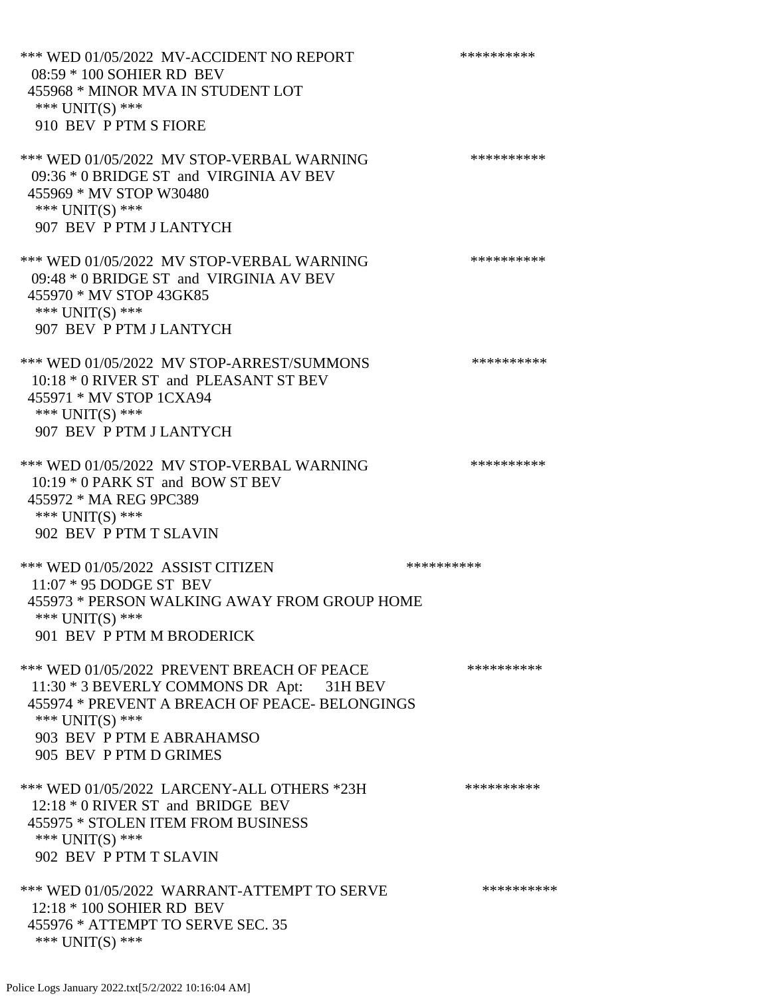\*\*\* WED 01/05/2022 MV-ACCIDENT NO REPORT \*\*\*\*\*\*\*\*\*\*\*\* 08:59 \* 100 SOHIER RD BEV 455968 \* MINOR MVA IN STUDENT LOT \*\*\* UNIT(S) \*\*\* 910 BEV P PTM S FIORE \*\*\* WED 01/05/2022 MV STOP-VERBAL WARNING \*\*\*\*\*\*\*\*\*\*\*\* 09:36 \* 0 BRIDGE ST and VIRGINIA AV BEV 455969 \* MV STOP W30480 \*\*\* UNIT(S) \*\*\* 907 BEV P PTM J LANTYCH \*\*\* WED 01/05/2022 MV STOP-VERBAL WARNING \*\*\*\*\*\*\*\*\*\*\*\* 09:48 \* 0 BRIDGE ST and VIRGINIA AV BEV 455970 \* MV STOP 43GK85 \*\*\* UNIT(S) \*\*\* 907 BEV P PTM J LANTYCH \*\*\* WED 01/05/2022 MV STOP-ARREST/SUMMONS \*\*\*\*\*\*\*\*\*\*\*\*\*\*\* 10:18 \* 0 RIVER ST and PLEASANT ST BEV 455971 \* MV STOP 1CXA94 \*\*\* UNIT(S) \*\*\* 907 BEV P PTM J LANTYCH \*\*\* WED 01/05/2022 MV STOP-VERBAL WARNING \*\*\*\*\*\*\*\*\*\*\*\* 10:19 \* 0 PARK ST and BOW ST BEV 455972 \* MA REG 9PC389 \*\*\* UNIT(S) \*\*\* 902 BEV P PTM T SLAVIN \*\*\* WED 01/05/2022 ASSIST CITIZEN \*\*\*\*\*\*\*\*\*\* 11:07 \* 95 DODGE ST BEV 455973 \* PERSON WALKING AWAY FROM GROUP HOME \*\*\* UNIT(S) \*\*\* 901 BEV P PTM M BRODERICK \*\*\* WED 01/05/2022 PREVENT BREACH OF PEACE \*\*\*\*\*\*\*\*\*\*\* 11:30 \* 3 BEVERLY COMMONS DR Apt: 31H BEV 455974 \* PREVENT A BREACH OF PEACE- BELONGINGS \*\*\* UNIT(S) \*\*\* 903 BEV P PTM E ABRAHAMSO 905 BEV P PTM D GRIMES \*\*\* WED 01/05/2022 LARCENY-ALL OTHERS \*23H \*\*\*\*\*\*\*\*\*\* 12:18 \* 0 RIVER ST and BRIDGE BEV 455975 \* STOLEN ITEM FROM BUSINESS \*\*\* UNIT(S) \*\*\* 902 BEV P PTM T SLAVIN \*\*\* WED 01/05/2022 WARRANT-ATTEMPT TO SERVE \*\*\*\*\*\*\*\*\*\* 12:18 \* 100 SOHIER RD BEV 455976 \* ATTEMPT TO SERVE SEC. 35 \*\*\* UNIT(S) \*\*\*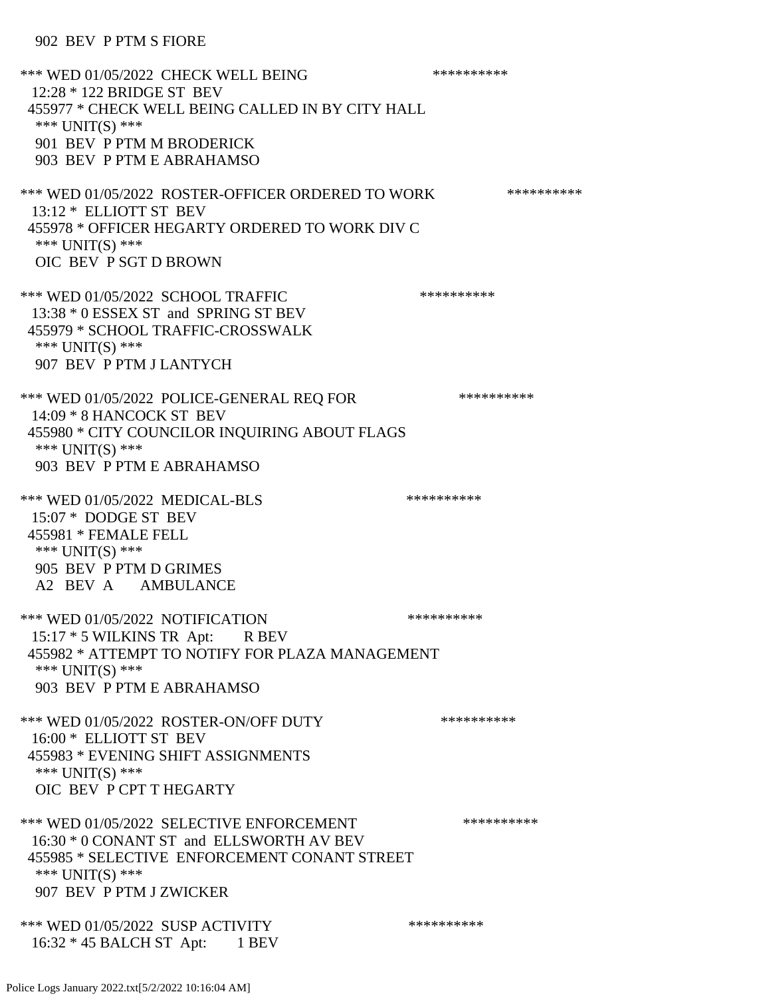#### 902 BEV P PTM S FIORE

\*\*\* WED 01/05/2022 CHECK WELL BEING \*\*\*\*\*\*\*\*\*\* 12:28 \* 122 BRIDGE ST BEV 455977 \* CHECK WELL BEING CALLED IN BY CITY HALL \*\*\* UNIT(S) \*\*\* 901 BEV P PTM M BRODERICK 903 BEV P PTM E ABRAHAMSO \*\*\* WED 01/05/2022 ROSTER-OFFICER ORDERED TO WORK \*\*\*\*\*\*\*\*\*\*\* 13:12 \* ELLIOTT ST BEV 455978 \* OFFICER HEGARTY ORDERED TO WORK DIV C \*\*\* UNIT(S) \*\*\* OIC BEV P SGT D BROWN \*\*\* WED 01/05/2022 SCHOOL TRAFFIC \*\*\*\*\*\*\*\*\*\*\*\*\*\* 13:38 \* 0 ESSEX ST and SPRING ST BEV 455979 \* SCHOOL TRAFFIC-CROSSWALK \*\*\* UNIT(S) \*\*\* 907 BEV P PTM J LANTYCH \*\*\* WED 01/05/2022 POLICE-GENERAL REQ FOR \*\*\*\*\*\*\*\*\*\* 14:09 \* 8 HANCOCK ST BEV 455980 \* CITY COUNCILOR INQUIRING ABOUT FLAGS \*\*\* UNIT(S) \*\*\* 903 BEV P PTM E ABRAHAMSO \*\*\* WED 01/05/2022 MEDICAL-BLS \*\*\*\*\*\*\*\*\*\*\*\* 15:07 \* DODGE ST BEV 455981 \* FEMALE FELL \*\*\* UNIT(S) \*\*\* 905 BEV P PTM D GRIMES A2 BEV A AMBULANCE \*\*\* WED 01/05/2022 NOTIFICATION \*\*\*\*\*\*\*\*\*\* 15:17 \* 5 WILKINS TR Apt: R BEV 455982 \* ATTEMPT TO NOTIFY FOR PLAZA MANAGEMENT \*\*\* UNIT(S) \*\*\* 903 BEV P PTM E ABRAHAMSO \*\*\* WED 01/05/2022 ROSTER-ON/OFF DUTY \*\*\*\*\*\*\*\*\*\* 16:00 \* ELLIOTT ST BEV 455983 \* EVENING SHIFT ASSIGNMENTS \*\*\* UNIT(S) \*\*\* OIC BEV P CPT T HEGARTY \*\*\* WED 01/05/2022 SELECTIVE ENFORCEMENT \*\*\*\*\*\*\*\*\*\*\*\*\* 16:30 \* 0 CONANT ST and ELLSWORTH AV BEV 455985 \* SELECTIVE ENFORCEMENT CONANT STREET \*\*\* UNIT(S) \*\*\* 907 BEV P PTM J ZWICKER \*\*\* WED 01/05/2022 SUSP ACTIVITY \*\*\*\*\*\*\*\*\*\*\*\* 16:32 \* 45 BALCH ST Apt: 1 BEV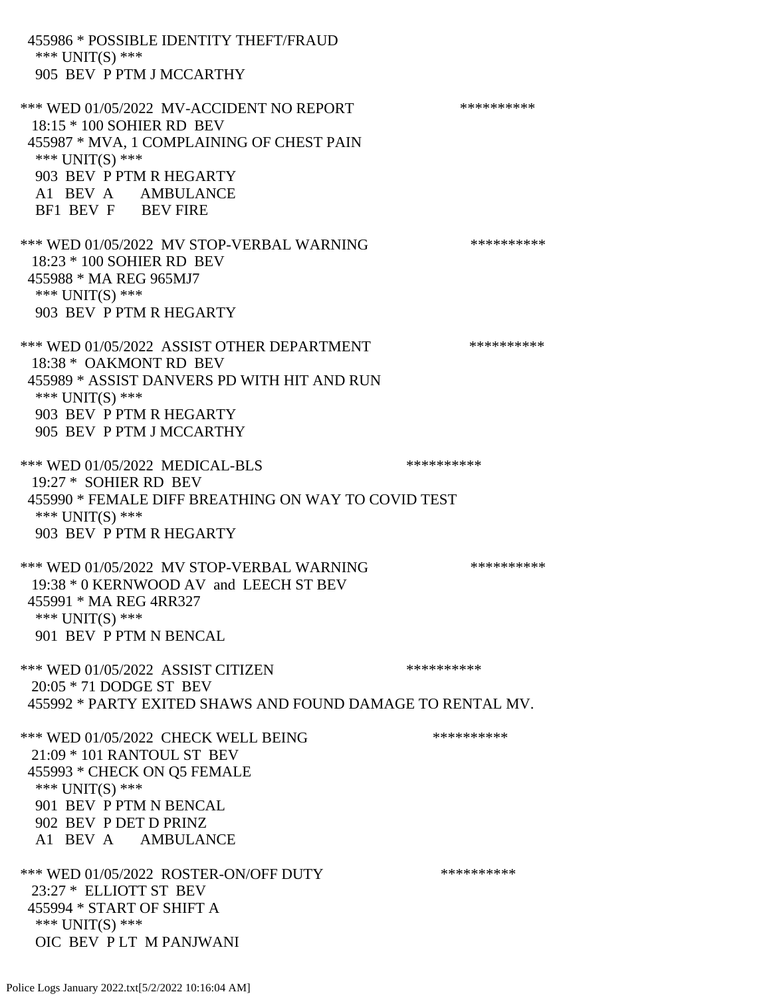455986 \* POSSIBLE IDENTITY THEFT/FRAUD \*\*\* UNIT(S) \*\*\* 905 BEV P PTM J MCCARTHY \*\*\* WED 01/05/2022 MV-ACCIDENT NO REPORT \*\*\*\*\*\*\*\*\*\*\*\* 18:15 \* 100 SOHIER RD BEV 455987 \* MVA, 1 COMPLAINING OF CHEST PAIN \*\*\* UNIT(S) \*\*\* 903 BEV P PTM R HEGARTY A1 BEV A AMBULANCE BF1 BEV F BEV FIRE \*\*\* WED 01/05/2022 MV STOP-VERBAL WARNING \*\*\*\*\*\*\*\*\*\*\*\*\*\* 18:23 \* 100 SOHIER RD BEV 455988 \* MA REG 965MJ7 \*\*\* UNIT(S) \*\*\* 903 BEV P PTM R HEGARTY \*\*\* WED 01/05/2022 ASSIST OTHER DEPARTMENT \*\*\*\*\*\*\*\*\*\*\*\*\* 18:38 \* OAKMONT RD BEV 455989 \* ASSIST DANVERS PD WITH HIT AND RUN \*\*\* UNIT(S) \*\*\* 903 BEV P PTM R HEGARTY 905 BEV P PTM J MCCARTHY \*\*\* WED 01/05/2022 MEDICAL-BLS \*\*\*\*\*\*\*\*\*\*\*\* 19:27 \* SOHIER RD BEV 455990 \* FEMALE DIFF BREATHING ON WAY TO COVID TEST \*\*\* UNIT(S) \*\*\* 903 BEV P PTM R HEGARTY \*\*\* WED 01/05/2022 MV STOP-VERBAL WARNING \*\*\*\*\*\*\*\*\*\*\*\* 19:38 \* 0 KERNWOOD AV and LEECH ST BEV 455991 \* MA REG 4RR327 \*\*\* UNIT(S) \*\*\* 901 BEV P PTM N BENCAL \*\*\* WED 01/05/2022 ASSIST CITIZEN \*\*\*\*\*\*\*\*\*\* 20:05 \* 71 DODGE ST BEV 455992 \* PARTY EXITED SHAWS AND FOUND DAMAGE TO RENTAL MV. \*\*\* WED 01/05/2022 CHECK WELL BEING \*\*\*\*\*\*\*\*\*\*\*\* 21:09 \* 101 RANTOUL ST BEV 455993 \* CHECK ON Q5 FEMALE \*\*\* UNIT(S) \*\*\* 901 BEV P PTM N BENCAL 902 BEV P DET D PRINZ A1 BEV A AMBULANCE \*\*\* WED 01/05/2022 ROSTER-ON/OFF DUTY \*\*\*\*\*\*\*\*\*\* 23:27 \* ELLIOTT ST BEV 455994 \* START OF SHIFT A \*\*\* UNIT(S) \*\*\* OIC BEV P LT M PANJWANI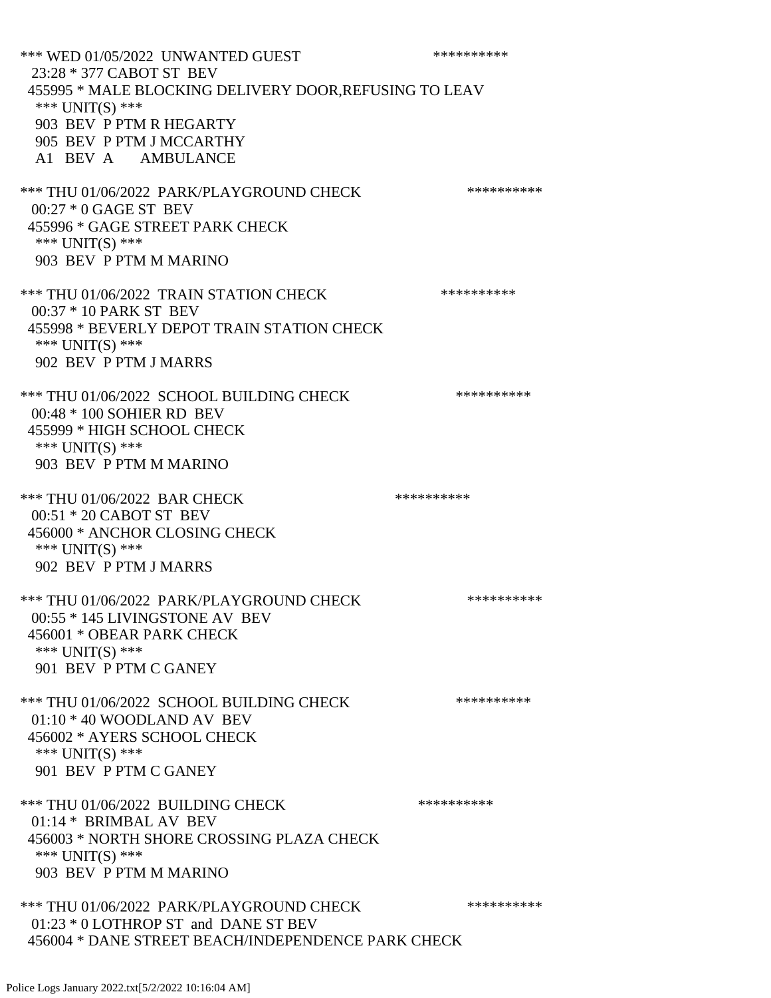\*\*\* WED 01/05/2022 UNWANTED GUEST \*\*\*\*\*\*\*\*\*\*\*\*\* 23:28 \* 377 CABOT ST BEV 455995 \* MALE BLOCKING DELIVERY DOOR,REFUSING TO LEAV \*\*\* UNIT(S) \*\*\* 903 BEV P PTM R HEGARTY 905 BEV P PTM J MCCARTHY A1 BEV A AMBULANCE \*\*\* THU 01/06/2022 PARK/PLAYGROUND CHECK \*\*\*\*\*\*\*\*\*\*\*\* 00:27 \* 0 GAGE ST BEV 455996 \* GAGE STREET PARK CHECK \*\*\* UNIT(S) \*\*\* 903 BEV P PTM M MARINO \*\*\* THU 01/06/2022 TRAIN STATION CHECK \*\*\*\*\*\*\*\*\*\*\*\* 00:37 \* 10 PARK ST BEV 455998 \* BEVERLY DEPOT TRAIN STATION CHECK \*\*\* UNIT(S) \*\*\* 902 BEV P PTM J MARRS \*\*\* THU 01/06/2022 SCHOOL BUILDING CHECK \*\*\*\*\*\*\*\*\*\*\* 00:48 \* 100 SOHIER RD BEV 455999 \* HIGH SCHOOL CHECK \*\*\* UNIT(S) \*\*\* 903 BEV P PTM M MARINO \*\*\* THU 01/06/2022 BAR CHECK \*\*\*\*\*\*\*\*\*\*\*\* 00:51 \* 20 CABOT ST BEV 456000 \* ANCHOR CLOSING CHECK \*\*\* UNIT(S) \*\*\* 902 BEV P PTM J MARRS \*\*\* THU 01/06/2022 PARK/PLAYGROUND CHECK \*\*\*\*\*\*\*\*\*\*\*\* 00:55 \* 145 LIVINGSTONE AV BEV 456001 \* OBEAR PARK CHECK \*\*\* UNIT(S) \*\*\* 901 BEV P PTM C GANEY \*\*\* THU 01/06/2022 SCHOOL BUILDING CHECK \*\*\*\*\*\*\*\*\*\*\*\* 01:10 \* 40 WOODLAND AV BEV 456002 \* AYERS SCHOOL CHECK \*\*\* UNIT(S) \*\*\* 901 BEV P PTM C GANEY \*\*\* THU 01/06/2022 BUILDING CHECK \*\*\*\*\*\*\*\*\*\*\*\* 01:14 \* BRIMBAL AV BEV 456003 \* NORTH SHORE CROSSING PLAZA CHECK \*\*\* UNIT(S) \*\*\* 903 BEV P PTM M MARINO \*\*\* THU 01/06/2022 PARK/PLAYGROUND CHECK \*\*\*\*\*\*\*\*\*\*\*\* 01:23 \* 0 LOTHROP ST and DANE ST BEV 456004 \* DANE STREET BEACH/INDEPENDENCE PARK CHECK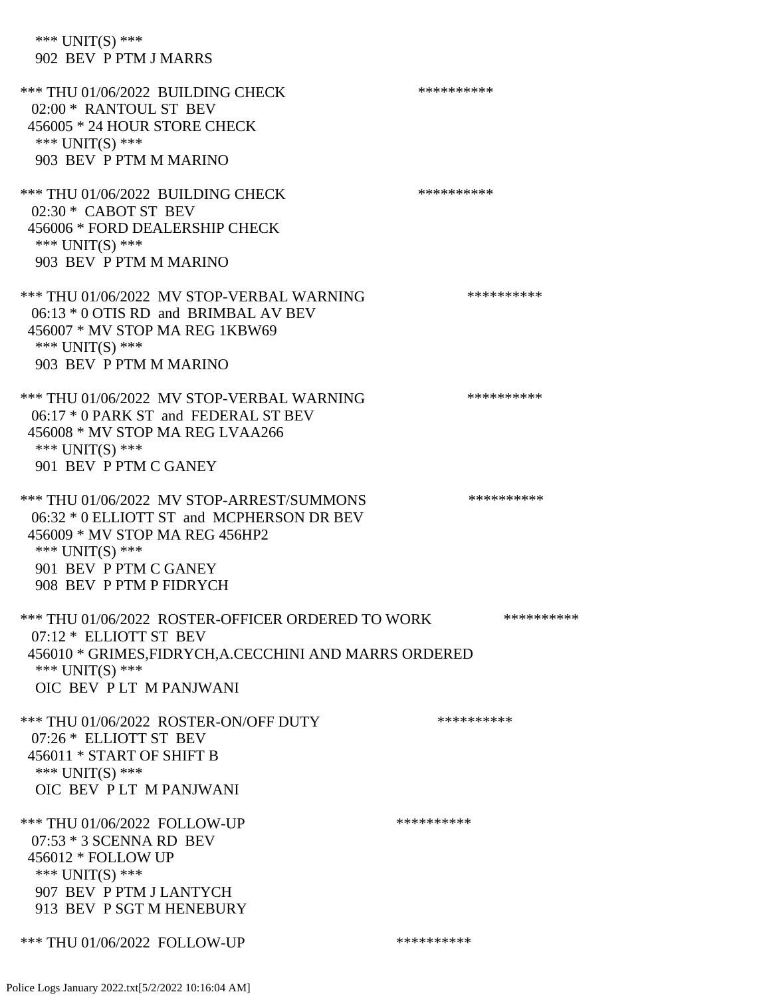\*\*\* UNIT(S) \*\*\* 902 BEV P PTM J MARRS

\*\*\* THU 01/06/2022 BUILDING CHECK \*\*\*\*\*\*\*\*\*\*\*\* 02:00 \* RANTOUL ST BEV 456005 \* 24 HOUR STORE CHECK \*\*\* UNIT(S) \*\*\* 903 BEV P PTM M MARINO \*\*\* THU 01/06/2022 BUILDING CHECK \*\*\*\*\*\*\*\*\*\*\*\* 02:30 \* CABOT ST BEV 456006 \* FORD DEALERSHIP CHECK \*\*\* UNIT(S) \*\*\* 903 BEV P PTM M MARINO \*\*\* THU 01/06/2022 MV STOP-VERBAL WARNING \*\*\*\*\*\*\*\*\*\*\*\*\*\* 06:13 \* 0 OTIS RD and BRIMBAL AV BEV 456007 \* MV STOP MA REG 1KBW69 \*\*\* UNIT(S) \*\*\* 903 BEV P PTM M MARINO \*\*\* THU 01/06/2022 MV STOP-VERBAL WARNING \*\*\*\*\*\*\*\*\*\*\*\*\* 06:17 \* 0 PARK ST and FEDERAL ST BEV 456008 \* MV STOP MA REG LVAA266 \*\*\* UNIT(S) \*\*\* 901 BEV P PTM C GANEY \*\*\* THU 01/06/2022 MV STOP-ARREST/SUMMONS \*\*\*\*\*\*\*\*\*\*\*\*\*\* 06:32 \* 0 ELLIOTT ST and MCPHERSON DR BEV 456009 \* MV STOP MA REG 456HP2 \*\*\* UNIT(S) \*\*\* 901 BEV P PTM C GANEY 908 BEV P PTM P FIDRYCH \*\*\* THU 01/06/2022 ROSTER-OFFICER ORDERED TO WORK \*\*\*\*\*\*\*\*\*\*\* 07:12 \* ELLIOTT ST BEV 456010 \* GRIMES,FIDRYCH,A.CECCHINI AND MARRS ORDERED \*\*\* UNIT(S) \*\*\* OIC BEV P LT M PANJWANI \*\*\* THU 01/06/2022 ROSTER-ON/OFF DUTY \*\*\*\*\*\*\*\*\*\* 07:26 \* ELLIOTT ST BEV 456011 \* START OF SHIFT B \*\*\* UNIT(S) \*\*\* OIC BEV P LT M PANJWANI \*\*\* THU 01/06/2022 FOLLOW-UP \*\*\*\*\*\*\*\*\*\*\*\*\*\* 07:53 \* 3 SCENNA RD BEV 456012 \* FOLLOW UP \*\*\* UNIT(S) \*\*\* 907 BEV P PTM J LANTYCH 913 BEV P SGT M HENEBURY \*\*\* THU 01/06/2022 FOLLOW-UP \*\*\*\*\*\*\*\*\*\*\*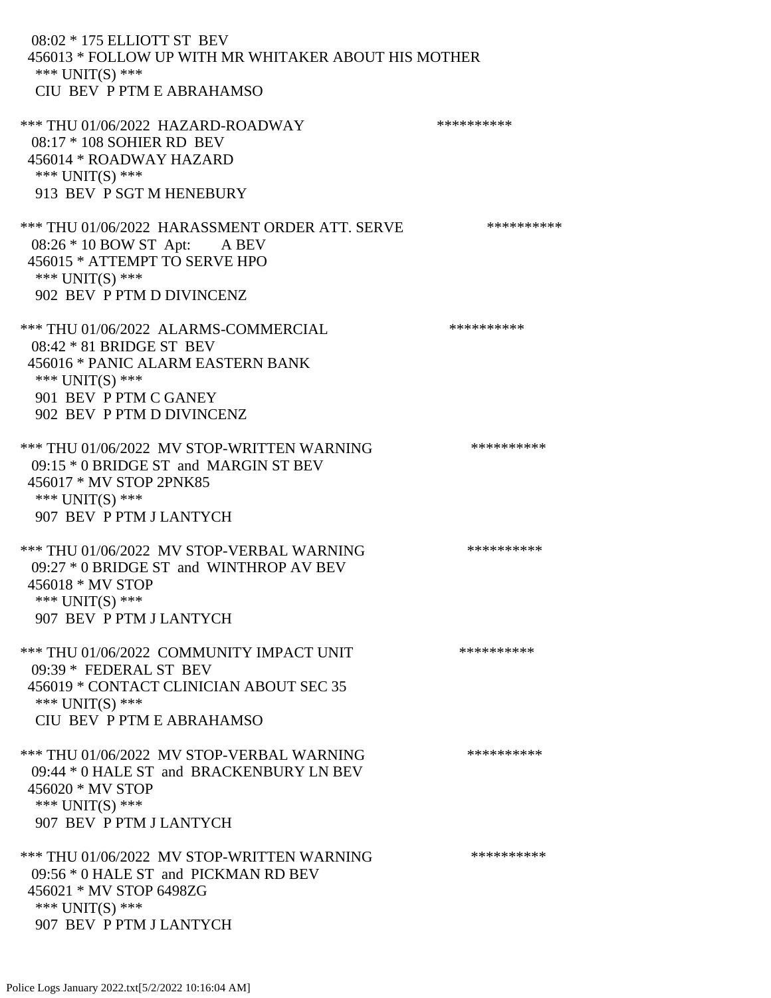08:02 \* 175 ELLIOTT ST BEV 456013 \* FOLLOW UP WITH MR WHITAKER ABOUT HIS MOTHER \*\*\* UNIT(S) \*\*\* CIU BEV P PTM E ABRAHAMSO \*\*\* THU 01/06/2022 HAZARD-ROADWAY \*\*\*\*\*\*\*\*\*\* 08:17 \* 108 SOHIER RD BEV 456014 \* ROADWAY HAZARD \*\*\* UNIT(S) \*\*\* 913 BEV P SGT M HENEBURY \*\*\* THU 01/06/2022 HARASSMENT ORDER ATT. SERVE \*\*\*\*\*\*\*\*\*\* 08:26 \* 10 BOW ST Apt: A BEV 456015 \* ATTEMPT TO SERVE HPO \*\*\* UNIT(S) \*\*\* 902 BEV P PTM D DIVINCENZ \*\*\* THU 01/06/2022 ALARMS-COMMERCIAL \*\*\*\*\*\*\*\*\*\* 08:42 \* 81 BRIDGE ST BEV 456016 \* PANIC ALARM EASTERN BANK \*\*\* UNIT(S) \*\*\* 901 BEV P PTM C GANEY 902 BEV P PTM D DIVINCENZ \*\*\* THU 01/06/2022 MV STOP-WRITTEN WARNING \*\*\*\*\*\*\*\*\*\*\*\* 09:15 \* 0 BRIDGE ST and MARGIN ST BEV 456017 \* MV STOP 2PNK85 \*\*\* UNIT(S) \*\*\* 907 BEV P PTM J LANTYCH \*\*\* THU 01/06/2022 MV STOP-VERBAL WARNING \*\*\*\*\*\*\*\*\*\*\*\*\* 09:27 \* 0 BRIDGE ST and WINTHROP AV BEV 456018 \* MV STOP \*\*\* UNIT(S) \*\*\* 907 BEV P PTM J LANTYCH \*\*\* THU 01/06/2022 COMMUNITY IMPACT UNIT \*\*\*\*\*\*\*\*\*\*\*\*\* 09:39 \* FEDERAL ST BEV 456019 \* CONTACT CLINICIAN ABOUT SEC 35 \*\*\* UNIT(S) \*\*\* CIU BEV P PTM E ABRAHAMSO \*\*\* THU 01/06/2022 MV STOP-VERBAL WARNING \*\*\*\*\*\*\*\*\*\*\*\*\* 09:44 \* 0 HALE ST and BRACKENBURY LN BEV 456020 \* MV STOP \*\*\* UNIT(S) \*\*\* 907 BEV P PTM J LANTYCH \*\*\* THU 01/06/2022 MV STOP-WRITTEN WARNING \*\*\*\*\*\*\*\*\*\*\*\*\* 09:56 \* 0 HALE ST and PICKMAN RD BEV 456021 \* MV STOP 6498ZG \*\*\* UNIT(S) \*\*\* 907 BEV P PTM J LANTYCH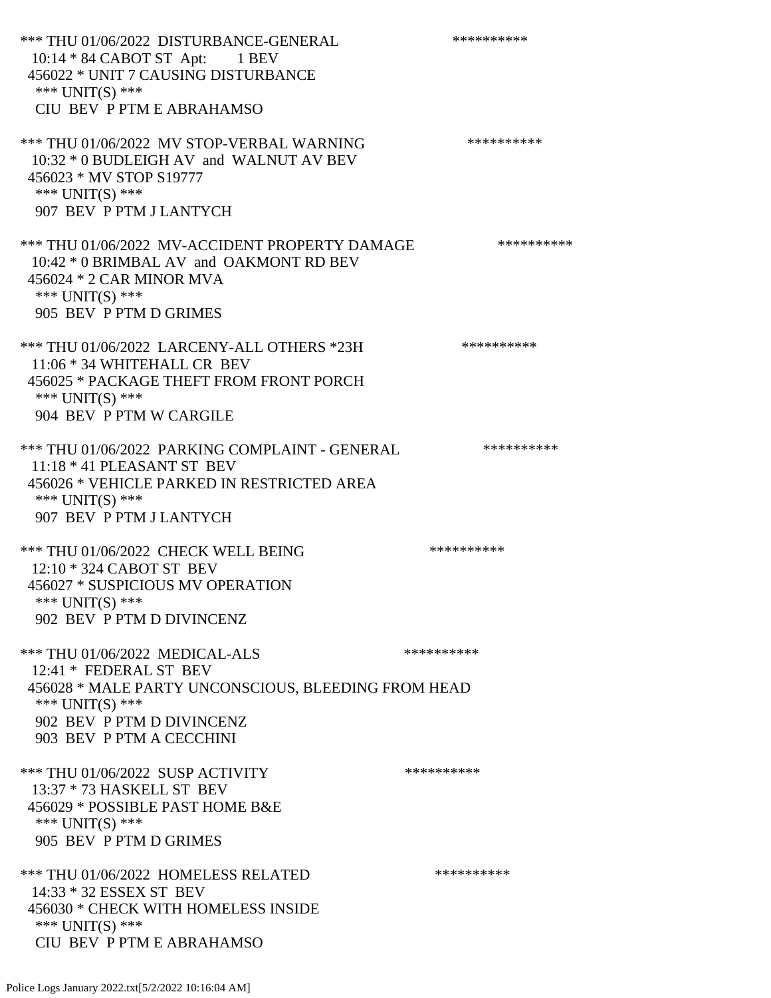\*\*\* THU 01/06/2022 DISTURBANCE-GENERAL \*\*\*\*\*\*\*\*\*\*\*\* 10:14 \* 84 CABOT ST Apt: 1 BEV 456022 \* UNIT 7 CAUSING DISTURBANCE \*\*\* UNIT(S) \*\*\* CIU BEV P PTM E ABRAHAMSO \*\*\* THU 01/06/2022 MV STOP-VERBAL WARNING \*\*\*\*\*\*\*\*\*\*\*\*\*\*\* 10:32 \* 0 BUDLEIGH AV and WALNUT AV BEV 456023 \* MV STOP S19777 \*\*\* UNIT(S) \*\*\* 907 BEV P PTM J LANTYCH \*\*\* THU 01/06/2022 MV-ACCIDENT PROPERTY DAMAGE \*\*\*\*\*\*\*\*\*\*\* 10:42 \* 0 BRIMBAL AV and OAKMONT RD BEV 456024 \* 2 CAR MINOR MVA \*\*\* UNIT(S) \*\*\* 905 BEV P PTM D GRIMES \*\*\* THU 01/06/2022 LARCENY-ALL OTHERS \*23H \*\*\*\*\*\*\*\*\*\*\* 11:06 \* 34 WHITEHALL CR BEV 456025 \* PACKAGE THEFT FROM FRONT PORCH \*\*\* UNIT(S) \*\*\* 904 BEV P PTM W CARGILE \*\*\* THU 01/06/2022 PARKING COMPLAINT - GENERAL \*\*\*\*\*\*\*\*\*\* 11:18 \* 41 PLEASANT ST BEV 456026 \* VEHICLE PARKED IN RESTRICTED AREA \*\*\* UNIT(S) \*\*\* 907 BEV P PTM J LANTYCH \*\*\* THU 01/06/2022 CHECK WELL BEING \*\*\*\*\*\*\*\*\*\* 12:10 \* 324 CABOT ST BEV 456027 \* SUSPICIOUS MV OPERATION \*\*\* UNIT(S) \*\*\* 902 BEV P PTM D DIVINCENZ \*\*\* THU 01/06/2022 MEDICAL-ALS \*\*\*\*\*\*\*\*\*\* 12:41 \* FEDERAL ST BEV 456028 \* MALE PARTY UNCONSCIOUS, BLEEDING FROM HEAD \*\*\* UNIT(S) \*\*\* 902 BEV P PTM D DIVINCENZ 903 BEV P PTM A CECCHINI \*\*\* THU 01/06/2022 SUSP ACTIVITY \*\*\*\*\*\*\*\*\*\*\*\* 13:37 \* 73 HASKELL ST BEV 456029 \* POSSIBLE PAST HOME B&E \*\*\* UNIT(S) \*\*\* 905 BEV P PTM D GRIMES \*\*\* THU 01/06/2022 HOMELESS RELATED \*\*\*\*\*\*\*\*\*\* 14:33 \* 32 ESSEX ST BEV 456030 \* CHECK WITH HOMELESS INSIDE \*\*\* UNIT(S) \*\*\* CIU BEV P PTM E ABRAHAMSO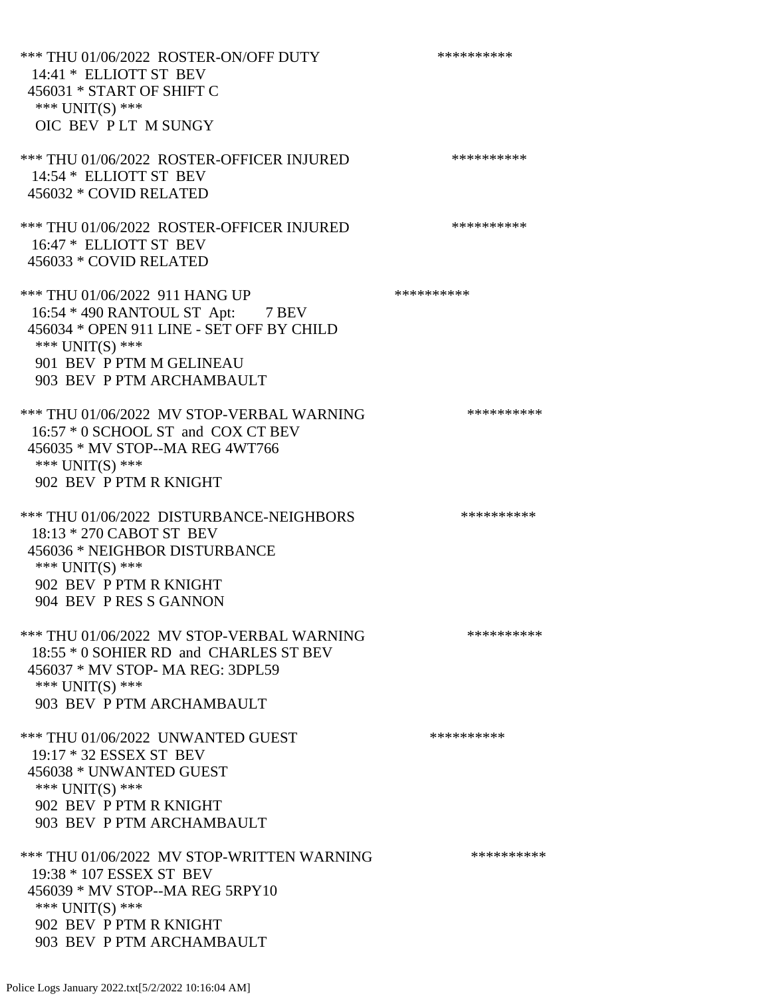\*\*\* THU 01/06/2022 ROSTER-ON/OFF DUTY \*\*\*\*\*\*\*\*\*\* 14:41 \* ELLIOTT ST BEV 456031 \* START OF SHIFT C \*\*\* UNIT(S) \*\*\* OIC BEV P LT M SUNGY \*\*\* THU 01/06/2022 ROSTER-OFFICER INJURED \*\*\*\*\*\*\*\*\*\* 14:54 \* ELLIOTT ST BEV 456032 \* COVID RELATED \*\*\* THU 01/06/2022 ROSTER-OFFICER INJURED \*\*\*\*\*\*\*\*\*\* 16:47 \* ELLIOTT ST BEV 456033 \* COVID RELATED \*\*\* THU 01/06/2022 911 HANG UP \*\*\*\*\*\*\*\*\*\*\*\*\* 16:54 \* 490 RANTOUL ST Apt: 7 BEV 456034 \* OPEN 911 LINE - SET OFF BY CHILD \*\*\* UNIT(S) \*\*\* 901 BEV P PTM M GELINEAU 903 BEV P PTM ARCHAMBAULT \*\*\* THU 01/06/2022 MV STOP-VERBAL WARNING \*\*\*\*\*\*\*\*\*\*\*\* 16:57 \* 0 SCHOOL ST and COX CT BEV 456035 \* MV STOP--MA REG 4WT766 \*\*\* UNIT(S) \*\*\* 902 BEV P PTM R KNIGHT \*\*\* THU 01/06/2022 DISTURBANCE-NEIGHBORS \*\*\*\*\*\*\*\*\*\*\*\* 18:13 \* 270 CABOT ST BEV 456036 \* NEIGHBOR DISTURBANCE \*\*\* UNIT(S) \*\*\* 902 BEV P PTM R KNIGHT 904 BEV P RES S GANNON \*\*\* THU 01/06/2022 MV STOP-VERBAL WARNING \*\*\*\*\*\*\*\*\*\*\*\*\*\* 18:55 \* 0 SOHIER RD and CHARLES ST BEV 456037 \* MV STOP- MA REG: 3DPL59 \*\*\* UNIT(S) \*\*\* 903 BEV P PTM ARCHAMBAULT \*\*\* THU 01/06/2022 UNWANTED GUEST \*\*\*\*\*\*\*\*\*\*\*\*\*\*\* 19:17 \* 32 ESSEX ST BEV 456038 \* UNWANTED GUEST \*\*\* UNIT(S) \*\*\* 902 BEV P PTM R KNIGHT 903 BEV P PTM ARCHAMBAULT \*\*\* THU 01/06/2022 MV STOP-WRITTEN WARNING \*\*\*\*\*\*\*\*\*\*\*\*\* 19:38 \* 107 ESSEX ST BEV 456039 \* MV STOP--MA REG 5RPY10 \*\*\* UNIT(S) \*\*\* 902 BEV P PTM R KNIGHT 903 BEV P PTM ARCHAMBAULT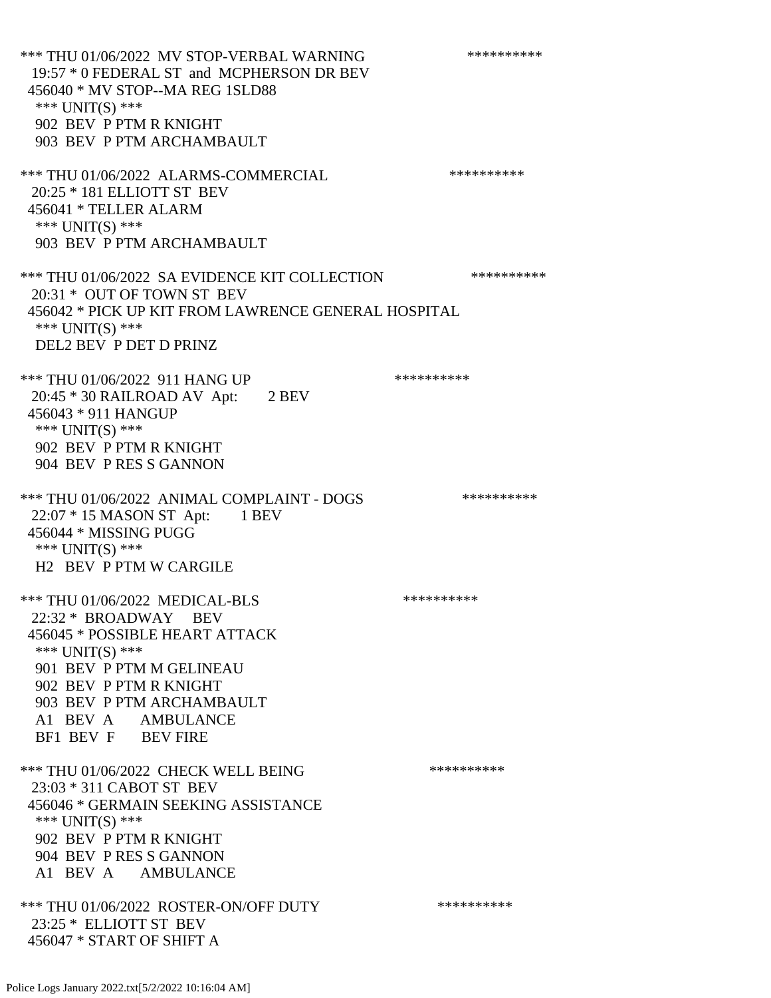\*\*\* THU 01/06/2022 MV STOP-VERBAL WARNING \*\*\*\*\*\*\*\*\*\*\*\*\* 19:57 \* 0 FEDERAL ST and MCPHERSON DR BEV 456040 \* MV STOP--MA REG 1SLD88 \*\*\* UNIT(S) \*\*\* 902 BEV P PTM R KNIGHT 903 BEV P PTM ARCHAMBAULT \*\*\* THU 01/06/2022 ALARMS-COMMERCIAL \*\*\*\*\*\*\*\*\*\* 20:25 \* 181 ELLIOTT ST BEV 456041 \* TELLER ALARM \*\*\*  $UNIT(S)$  \*\*\* 903 BEV P PTM ARCHAMBAULT \*\*\* THU 01/06/2022 SA EVIDENCE KIT COLLECTION \*\*\*\*\*\*\*\*\*\* 20:31 \* OUT OF TOWN ST BEV 456042 \* PICK UP KIT FROM LAWRENCE GENERAL HOSPITAL \*\*\* UNIT(S) \*\*\* DEL2 BEV P DET D PRINZ \*\*\* THU 01/06/2022 911 HANG UP \*\*\*\*\*\*\*\*\*\*\*\* 20:45 \* 30 RAILROAD AV Apt: 2 BEV 456043 \* 911 HANGUP \*\*\* UNIT(S) \*\*\* 902 BEV P PTM R KNIGHT 904 BEV P RES S GANNON \*\*\* THU 01/06/2022 ANIMAL COMPLAINT - DOGS \*\*\*\*\*\*\*\*\*\*\*\* 22:07 \* 15 MASON ST Apt: 1 BEV 456044 \* MISSING PUGG \*\*\* UNIT(S) \*\*\* H2 BEV P PTM W CARGILE \*\*\* THU 01/06/2022 MEDICAL-BLS \*\*\*\*\*\*\*\*\*\* 22:32 \* BROADWAY BEV 456045 \* POSSIBLE HEART ATTACK \*\*\* UNIT(S) \*\*\* 901 BEV P PTM M GELINEAU 902 BEV P PTM R KNIGHT 903 BEV P PTM ARCHAMBAULT A1 BEV A AMBULANCE BF1 BEV F BEV FIRE \*\*\* THU 01/06/2022 CHECK WELL BEING \*\*\*\*\*\*\*\*\*\*\*\* 23:03 \* 311 CABOT ST BEV 456046 \* GERMAIN SEEKING ASSISTANCE \*\*\* UNIT(S) \*\*\* 902 BEV P PTM R KNIGHT 904 BEV P RES S GANNON A1 BEV A AMBULANCE \*\*\* THU 01/06/2022 ROSTER-ON/OFF DUTY \*\*\*\*\*\*\*\*\*\*\*\* 23:25 \* ELLIOTT ST BEV 456047 \* START OF SHIFT A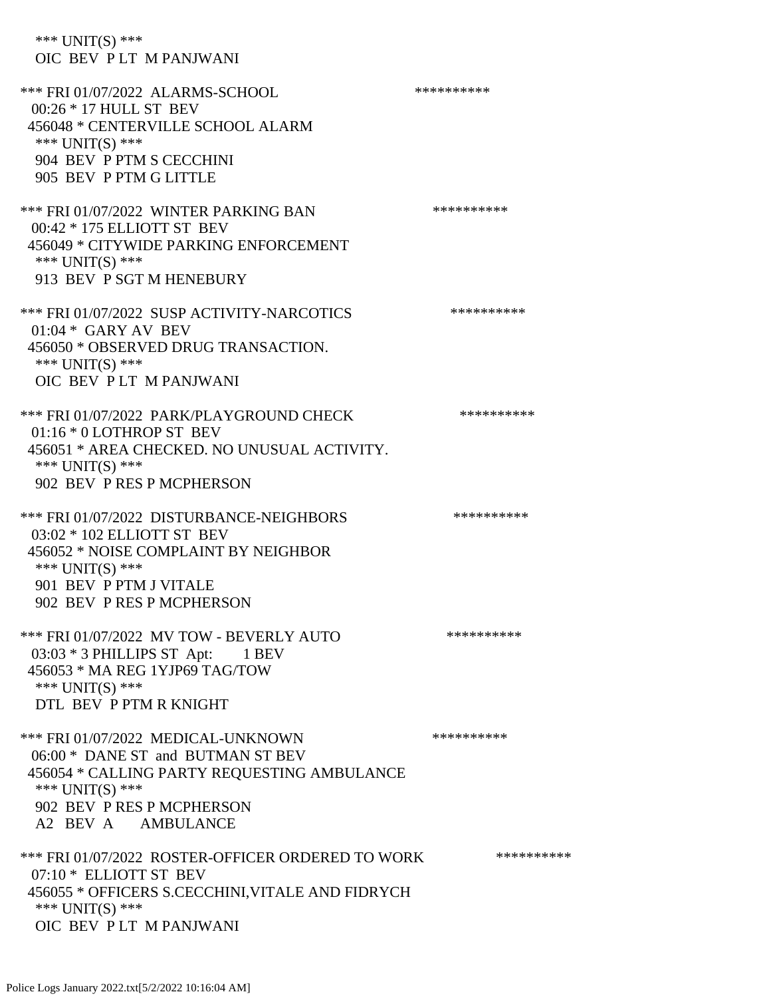\*\*\* UNIT(S) \*\*\* OIC BEV P LT M PANJWANI \*\*\* FRI 01/07/2022 ALARMS-SCHOOL \*\*\*\*\*\*\*\*\*\* 00:26 \* 17 HULL ST BEV 456048 \* CENTERVILLE SCHOOL ALARM \*\*\* UNIT(S) \*\*\* 904 BEV P PTM S CECCHINI 905 BEV P PTM G LITTLE \*\*\* FRI 01/07/2022 WINTER PARKING BAN \*\*\*\*\*\*\*\*\*\* 00:42 \* 175 ELLIOTT ST BEV 456049 \* CITYWIDE PARKING ENFORCEMENT \*\*\* UNIT(S) \*\*\* 913 BEV P SGT M HENEBURY \*\*\* FRI 01/07/2022 SUSP ACTIVITY-NARCOTICS \*\*\*\*\*\*\*\*\*\* 01:04 \* GARY AV BEV 456050 \* OBSERVED DRUG TRANSACTION. \*\*\* UNIT(S) \*\*\* OIC BEV P LT M PANJWANI \*\*\* FRI 01/07/2022 PARK/PLAYGROUND CHECK \*\*\*\*\*\*\*\*\*\*\*\* 01:16 \* 0 LOTHROP ST BEV 456051 \* AREA CHECKED. NO UNUSUAL ACTIVITY. \*\*\* UNIT(S) \*\*\* 902 BEV P RES P MCPHERSON \*\*\* FRI 01/07/2022 DISTURBANCE-NEIGHBORS \*\*\*\*\*\*\*\*\*\*\*\* 03:02 \* 102 ELLIOTT ST BEV 456052 \* NOISE COMPLAINT BY NEIGHBOR \*\*\* UNIT(S) \*\*\* 901 BEV P PTM J VITALE 902 BEV P RES P MCPHERSON \*\*\* FRI 01/07/2022 MV TOW - BEVERLY AUTO \*\*\*\*\*\*\*\*\*\* 03:03 \* 3 PHILLIPS ST Apt: 1 BEV 456053 \* MA REG 1YJP69 TAG/TOW \*\*\* UNIT(S) \*\*\* DTL BEV P PTM R KNIGHT \*\*\* FRI 01/07/2022 MEDICAL-UNKNOWN \*\*\*\*\*\*\*\*\*\* 06:00 \* DANE ST and BUTMAN ST BEV 456054 \* CALLING PARTY REQUESTING AMBULANCE \*\*\* UNIT(S) \*\*\* 902 BEV P RES P MCPHERSON A2 BEV A AMBULANCE \*\*\* FRI 01/07/2022 ROSTER-OFFICER ORDERED TO WORK \*\*\*\*\*\*\*\*\*\*\* 07:10 \* ELLIOTT ST BEV 456055 \* OFFICERS S.CECCHINI,VITALE AND FIDRYCH \*\*\* UNIT(S) \*\*\* OIC BEV P LT M PANJWANI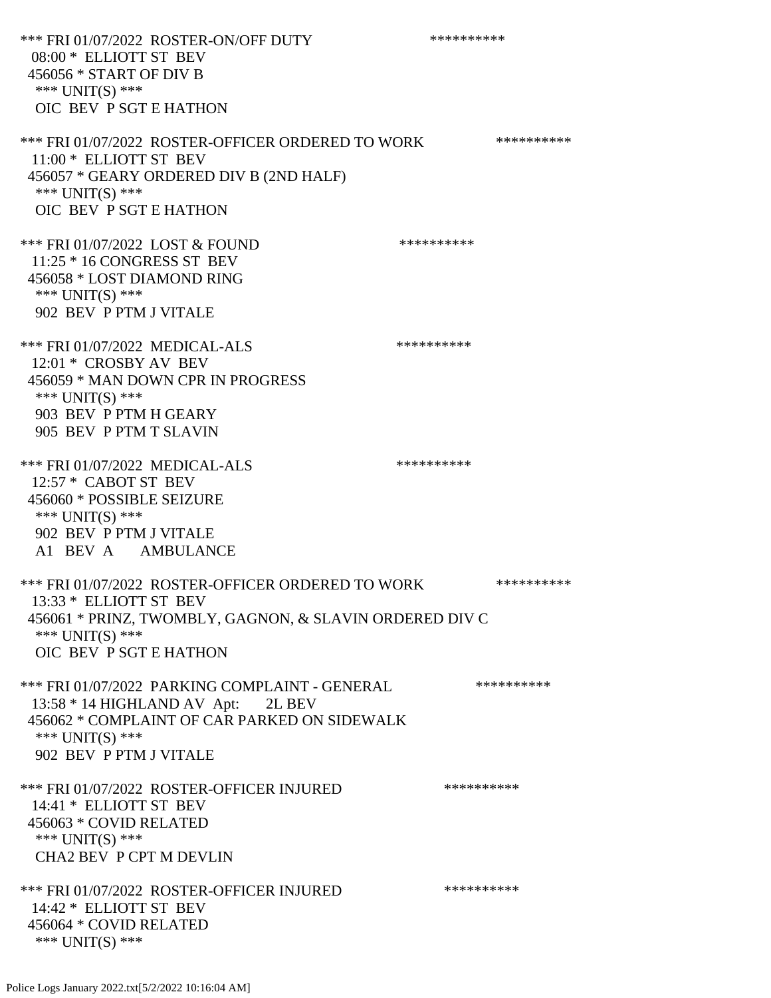\*\*\* FRI 01/07/2022 ROSTER-ON/OFF DUTY \*\*\*\*\*\*\*\*\*\*\*\* 08:00 \* ELLIOTT ST BEV 456056 \* START OF DIV B \*\*\* UNIT(S) \*\*\* OIC BEV P SGT E HATHON \*\*\* FRI 01/07/2022 ROSTER-OFFICER ORDERED TO WORK \*\*\*\*\*\*\*\*\*\*\* 11:00 \* ELLIOTT ST BEV 456057 \* GEARY ORDERED DIV B (2ND HALF) \*\*\* UNIT(S) \*\*\* OIC BEV P SGT E HATHON \*\*\* FRI 01/07/2022 LOST & FOUND \*\*\*\*\*\*\*\*\*\* 11:25 \* 16 CONGRESS ST BEV 456058 \* LOST DIAMOND RING \*\*\* UNIT(S) \*\*\* 902 BEV P PTM J VITALE \*\*\* FRI 01/07/2022 MEDICAL-ALS \*\*\*\*\*\*\*\*\*\*\*\*\* 12:01 \* CROSBY AV BEV 456059 \* MAN DOWN CPR IN PROGRESS \*\*\* UNIT(S) \*\*\* 903 BEV P PTM H GEARY 905 BEV P PTM T SLAVIN \*\*\* FRI 01/07/2022 MEDICAL-ALS \*\*\*\*\*\*\*\*\*\*\*\*\* 12:57 \* CABOT ST BEV 456060 \* POSSIBLE SEIZURE \*\*\* UNIT(S) \*\*\* 902 BEV P PTM J VITALE A1 BEV A AMBULANCE \*\*\* FRI 01/07/2022 ROSTER-OFFICER ORDERED TO WORK \*\*\*\*\*\*\*\*\*\*\* 13:33 \* ELLIOTT ST BEV 456061 \* PRINZ, TWOMBLY, GAGNON, & SLAVIN ORDERED DIV C \*\*\* UNIT(S) \*\*\* OIC BEV P SGT E HATHON \*\*\* FRI 01/07/2022 PARKING COMPLAINT - GENERAL \*\*\*\*\*\*\*\*\*\*\*\* 13:58 \* 14 HIGHLAND AV Apt: 2L BEV 456062 \* COMPLAINT OF CAR PARKED ON SIDEWALK \*\*\* UNIT(S) \*\*\* 902 BEV P PTM J VITALE \*\*\* FRI 01/07/2022 ROSTER-OFFICER INJURED \*\*\*\*\*\*\*\*\*\* 14:41 \* ELLIOTT ST BEV 456063 \* COVID RELATED \*\*\* UNIT(S) \*\*\* CHA2 BEV P CPT M DEVLIN \*\*\* FRI 01/07/2022 ROSTER-OFFICER INJURED \*\*\*\*\*\*\*\*\*\* 14:42 \* ELLIOTT ST BEV 456064 \* COVID RELATED \*\*\* UNIT(S) \*\*\*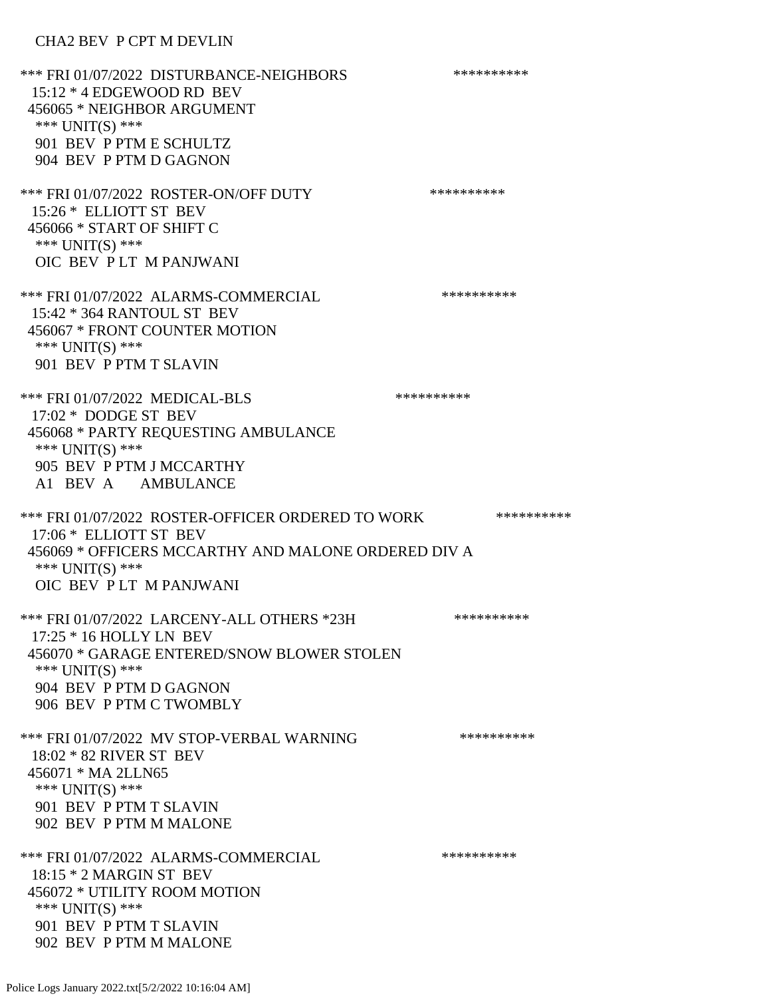### CHA2 BEV P CPT M DEVLIN

\*\*\* FRI 01/07/2022 DISTURBANCE-NEIGHBORS \*\*\*\*\*\*\*\*\*\*\*\* 15:12 \* 4 EDGEWOOD RD BEV 456065 \* NEIGHBOR ARGUMENT \*\*\* UNIT(S) \*\*\* 901 BEV P PTM E SCHULTZ 904 BEV P PTM D GAGNON \*\*\* FRI 01/07/2022 ROSTER-ON/OFF DUTY \*\*\*\*\*\*\*\*\*\* 15:26 \* ELLIOTT ST BEV 456066 \* START OF SHIFT C \*\*\* UNIT(S) \*\*\* OIC BEV P LT M PANJWANI \*\*\* FRI 01/07/2022 ALARMS-COMMERCIAL \*\*\*\*\*\*\*\*\*\* 15:42 \* 364 RANTOUL ST BEV 456067 \* FRONT COUNTER MOTION \*\*\* UNIT(S) \*\*\* 901 BEV P PTM T SLAVIN \*\*\* FRI 01/07/2022 MEDICAL-BLS \*\*\*\*\*\*\*\*\*\*\*\*\* 17:02 \* DODGE ST BEV 456068 \* PARTY REQUESTING AMBULANCE \*\*\* UNIT(S) \*\*\* 905 BEV P PTM J MCCARTHY A1 BEV A AMBULANCE \*\*\* FRI 01/07/2022 ROSTER-OFFICER ORDERED TO WORK \*\*\*\*\*\*\*\*\*\*\* 17:06 \* ELLIOTT ST BEV 456069 \* OFFICERS MCCARTHY AND MALONE ORDERED DIV A \*\*\* UNIT(S) \*\*\* OIC BEV P LT M PANJWANI \*\*\* FRI 01/07/2022 LARCENY-ALL OTHERS \*23H \*\*\*\*\*\*\*\*\*\*\*\* 17:25 \* 16 HOLLY LN BEV 456070 \* GARAGE ENTERED/SNOW BLOWER STOLEN \*\*\* UNIT(S) \*\*\* 904 BEV P PTM D GAGNON 906 BEV P PTM C TWOMBLY \*\*\* FRI 01/07/2022 MV STOP-VERBAL WARNING \*\*\*\*\*\*\*\*\*\*\*\*\*\* 18:02 \* 82 RIVER ST BEV 456071 \* MA 2LLN65 \*\*\* UNIT(S) \*\*\* 901 BEV P PTM T SLAVIN 902 BEV P PTM M MALONE \*\*\* FRI 01/07/2022 ALARMS-COMMERCIAL \*\*\*\*\*\*\*\*\*\* 18:15 \* 2 MARGIN ST BEV 456072 \* UTILITY ROOM MOTION \*\*\* UNIT(S) \*\*\* 901 BEV P PTM T SLAVIN 902 BEV P PTM M MALONE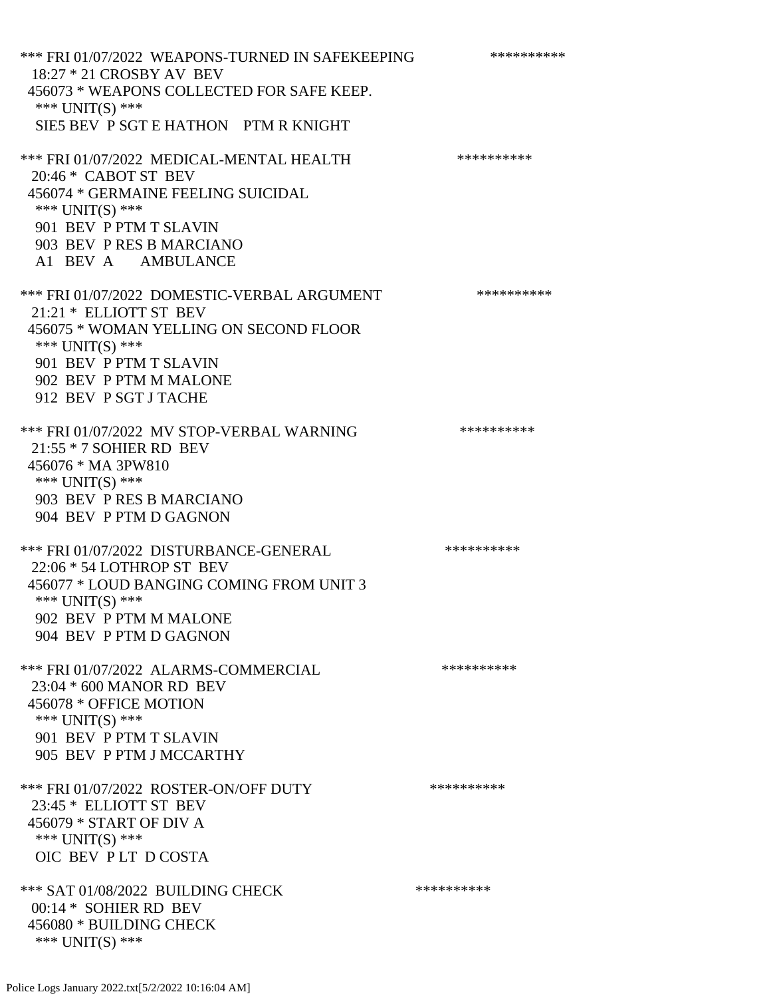\*\*\* FRI 01/07/2022 WEAPONS-TURNED IN SAFEKEEPING \*\*\*\*\*\*\*\*\*\* 18:27 \* 21 CROSBY AV BEV 456073 \* WEAPONS COLLECTED FOR SAFE KEEP. \*\*\* UNIT(S) \*\*\* SIE5 BEV P SGT E HATHON PTM R KNIGHT \*\*\* FRI 01/07/2022 MEDICAL-MENTAL HEALTH \*\*\*\*\*\*\*\*\*\* 20:46 \* CABOT ST BEV 456074 \* GERMAINE FEELING SUICIDAL \*\*\* UNIT(S) \*\*\* 901 BEV P PTM T SLAVIN 903 BEV P RES B MARCIANO A1 BEV A AMBULANCE \*\*\* FRI 01/07/2022 DOMESTIC-VERBAL ARGUMENT \*\*\*\*\*\*\*\*\*\*\*\*\* 21:21 \* ELLIOTT ST BEV 456075 \* WOMAN YELLING ON SECOND FLOOR \*\*\* UNIT(S) \*\*\* 901 BEV P PTM T SLAVIN 902 BEV P PTM M MALONE 912 BEV P SGT J TACHE \*\*\* FRI 01/07/2022 MV STOP-VERBAL WARNING \*\*\*\*\*\*\*\*\*\*\*\* 21:55 \* 7 SOHIER RD BEV 456076 \* MA 3PW810 \*\*\* UNIT(S) \*\*\* 903 BEV P RES B MARCIANO 904 BEV P PTM D GAGNON \*\*\* FRI 01/07/2022 DISTURBANCE-GENERAL \*\*\*\*\*\*\*\*\*\* 22:06 \* 54 LOTHROP ST BEV 456077 \* LOUD BANGING COMING FROM UNIT 3 \*\*\* UNIT(S) \*\*\* 902 BEV P PTM M MALONE 904 BEV P PTM D GAGNON \*\*\* FRI 01/07/2022 ALARMS-COMMERCIAL \*\*\*\*\*\*\*\*\*\* 23:04 \* 600 MANOR RD BEV 456078 \* OFFICE MOTION \*\*\* UNIT(S) \*\*\* 901 BEV P PTM T SLAVIN 905 BEV P PTM J MCCARTHY \*\*\* FRI 01/07/2022 ROSTER-ON/OFF DUTY \*\*\*\*\*\*\*\*\*\* 23:45 \* ELLIOTT ST BEV 456079 \* START OF DIV A \*\*\* UNIT(S) \*\*\* OIC BEV P LT D COSTA \*\*\* SAT 01/08/2022 BUILDING CHECK \*\*\*\*\*\*\*\*\*\*\*\*\* 00:14 \* SOHIER RD BEV 456080 \* BUILDING CHECK \*\*\* UNIT(S) \*\*\*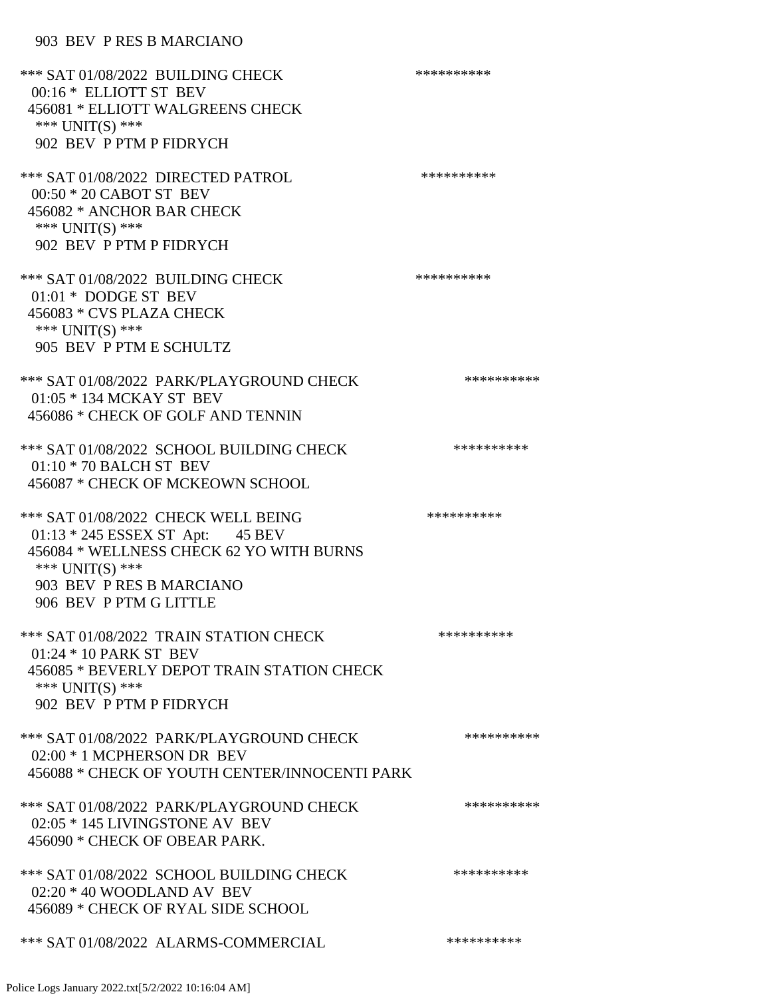| *** SAT 01/08/2022 BUILDING CHECK<br>00:16 * ELLIOTT ST BEV<br>456081 * ELLIOTT WALGREENS CHECK<br>*** UNIT(S) ***<br>902 BEV P PTM P FIDRYCH                                                | ********** |
|----------------------------------------------------------------------------------------------------------------------------------------------------------------------------------------------|------------|
| *** SAT 01/08/2022 DIRECTED PATROL<br>00:50 * 20 CABOT ST BEV<br>456082 * ANCHOR BAR CHECK<br>*** UNIT(S) ***<br>902 BEV P PTM P FIDRYCH                                                     | ********** |
| *** SAT 01/08/2022 BUILDING CHECK<br>01:01 * DODGE ST BEV<br>456083 * CVS PLAZA CHECK<br>*** UNIT(S) ***<br>905 BEV P PTM E SCHULTZ                                                          | ********** |
| *** SAT 01/08/2022 PARK/PLAYGROUND CHECK<br>01:05 * 134 MCKAY ST BEV<br>456086 * CHECK OF GOLF AND TENNIN                                                                                    | ********** |
| *** SAT 01/08/2022 SCHOOL BUILDING CHECK<br>01:10 * 70 BALCH ST BEV<br>456087 * CHECK OF MCKEOWN SCHOOL                                                                                      | ********** |
| *** SAT 01/08/2022 CHECK WELL BEING<br>01:13 * 245 ESSEX ST Apt: 45 BEV<br>456084 * WELLNESS CHECK 62 YO WITH BURNS<br>*** UNIT(S) ***<br>903 BEV P RES B MARCIANO<br>906 BEV P PTM G LITTLE | ********** |
| *** SAT 01/08/2022 TRAIN STATION CHECK<br>01:24 * 10 PARK ST BEV<br>456085 * BEVERLY DEPOT TRAIN STATION CHECK<br>*** $UNIT(S)$ ***<br>902 BEV P PTM P FIDRYCH                               | ********** |
| *** SAT 01/08/2022 PARK/PLAYGROUND CHECK<br>02:00 * 1 MCPHERSON DR BEV<br>456088 * CHECK OF YOUTH CENTER/INNOCENTI PARK                                                                      | ********** |
| *** SAT 01/08/2022 PARK/PLAYGROUND CHECK<br>02:05 * 145 LIVINGSTONE AV BEV<br>456090 * CHECK OF OBEAR PARK.                                                                                  | ********** |
| *** SAT 01/08/2022 SCHOOL BUILDING CHECK<br>$02:20 * 40$ WOODLAND AV BEV<br>456089 * CHECK OF RYAL SIDE SCHOOL                                                                               | ********** |
| *** SAT 01/08/2022 ALARMS-COMMERCIAL                                                                                                                                                         | ********** |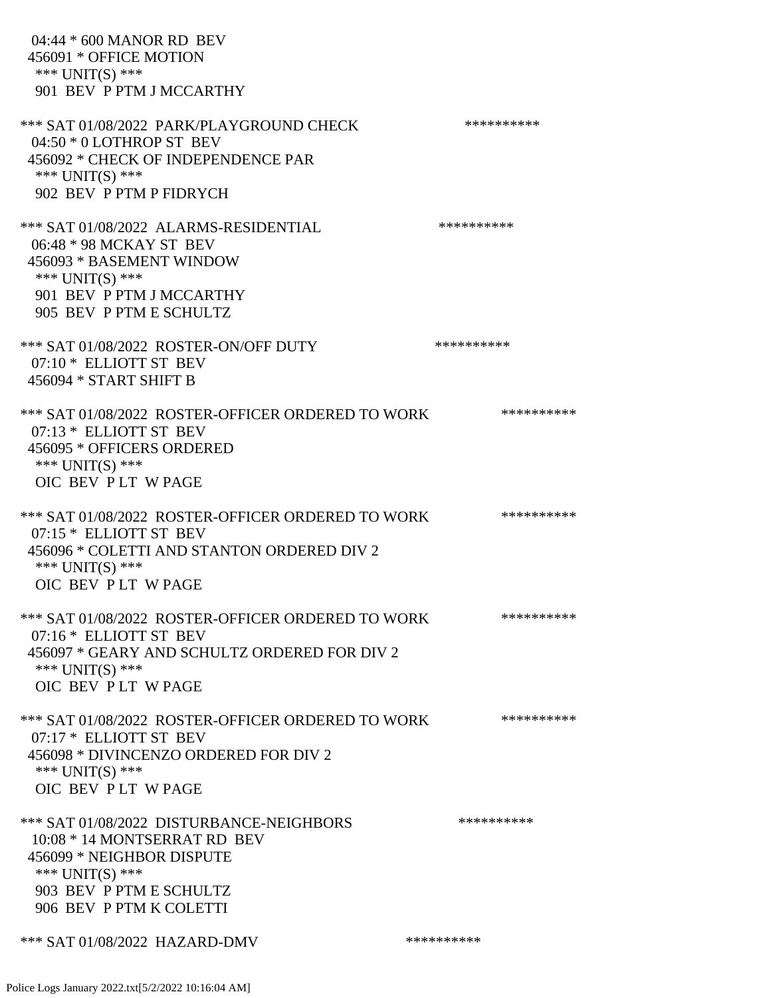| 04:44 * 600 MANOR RD BEV<br>456091 * OFFICE MOTION<br>*** UNIT(S) ***<br>901 BEV P PTM J MCCARTHY                                                                              |            |
|--------------------------------------------------------------------------------------------------------------------------------------------------------------------------------|------------|
| *** SAT 01/08/2022 PARK/PLAYGROUND CHECK<br>$04:50 * 0$ LOTHROP ST BEV<br>456092 * CHECK OF INDEPENDENCE PAR<br>*** UNIT(S) ***<br>902 BEV P PTM P FIDRYCH                     | ********** |
| *** SAT 01/08/2022 ALARMS-RESIDENTIAL<br>06:48 * 98 MCKAY ST BEV<br>456093 * BASEMENT WINDOW<br>*** UNIT(S) ***<br>901 BEV P PTM J MCCARTHY<br>905 BEV P PTM E SCHULTZ         | ********** |
| *** SAT 01/08/2022 ROSTER-ON/OFF DUTY<br>07:10 * ELLIOTT ST BEV<br>456094 * START SHIFT B                                                                                      | ********** |
| *** SAT 01/08/2022 ROSTER-OFFICER ORDERED TO WORK<br>07:13 * ELLIOTT ST BEV<br>456095 * OFFICERS ORDERED<br>*** UNIT(S) ***<br>OIC BEV PLT WPAGE                               | ********** |
| *** SAT 01/08/2022 ROSTER-OFFICER ORDERED TO WORK<br>07:15 * ELLIOTT ST BEV<br>456096 * COLETTI AND STANTON ORDERED DIV 2<br>*** UNIT(S) ***<br>OIC BEV PLT WPAGE              | ********** |
| *** SAT 01/08/2022 ROSTER-OFFICER ORDERED TO WORK<br>07:16 * ELLIOTT ST BEV<br>456097 * GEARY AND SCHULTZ ORDERED FOR DIV 2<br>*** UNIT(S) ***<br>OIC BEV PLT WPAGE            | ********** |
| *** SAT 01/08/2022 ROSTER-OFFICER ORDERED TO WORK<br>07:17 * ELLIOTT ST BEV<br>456098 * DIVINCENZO ORDERED FOR DIV 2<br>*** UNIT(S) ***<br>OIC BEV PLT WPAGE                   | ********** |
| *** SAT 01/08/2022 DISTURBANCE-NEIGHBORS<br>10:08 * 14 MONTSERRAT RD BEV<br>456099 * NEIGHBOR DISPUTE<br>*** UNIT(S) ***<br>903 BEV P PTM E SCHULTZ<br>906 BEV P PTM K COLETTI | ********** |
| *** SAT 01/08/2022 HAZARD-DMV                                                                                                                                                  | ********** |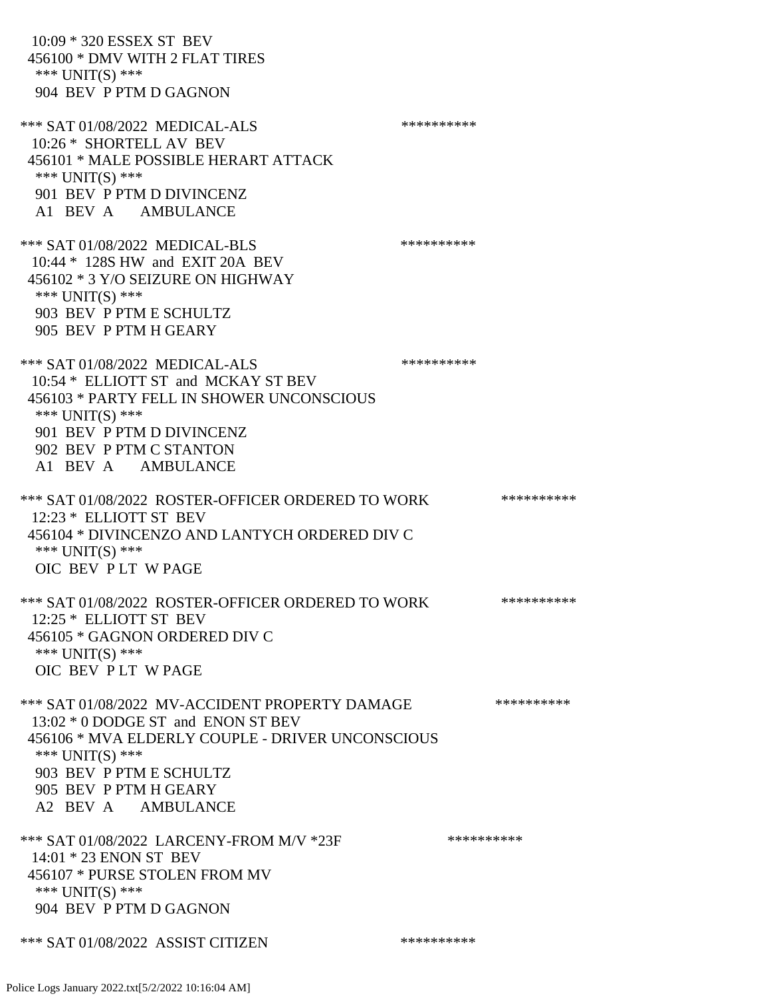10:09 \* 320 ESSEX ST BEV 456100 \* DMV WITH 2 FLAT TIRES \*\*\* UNIT(S) \*\*\* 904 BEV P PTM D GAGNON \*\*\* SAT 01/08/2022 MEDICAL-ALS \*\*\*\*\*\*\*\*\*\* 10:26 \* SHORTELL AV BEV 456101 \* MALE POSSIBLE HERART ATTACK \*\*\* UNIT(S) \*\*\* 901 BEV P PTM D DIVINCENZ A1 BEV A AMBULANCE \*\*\* SAT 01/08/2022 MEDICAL-BLS \*\*\*\*\*\*\*\*\*\*\*\*\*\* 10:44 \* 128S HW and EXIT 20A BEV 456102 \* 3 Y/O SEIZURE ON HIGHWAY \*\*\* UNIT(S) \*\*\* 903 BEV P PTM E SCHULTZ 905 BEV P PTM H GEARY \*\*\* SAT 01/08/2022 MEDICAL-ALS \*\*\*\*\*\*\*\*\*\* 10:54 \* ELLIOTT ST and MCKAY ST BEV 456103 \* PARTY FELL IN SHOWER UNCONSCIOUS \*\*\* UNIT(S) \*\*\* 901 BEV P PTM D DIVINCENZ 902 BEV P PTM C STANTON A1 BEV A AMBULANCE \*\*\* SAT 01/08/2022 ROSTER-OFFICER ORDERED TO WORK \*\*\*\*\*\*\*\*\*\*\* 12:23 \* ELLIOTT ST BEV 456104 \* DIVINCENZO AND LANTYCH ORDERED DIV C \*\*\* UNIT(S) \*\*\* OIC BEV P LT W PAGE \*\*\* SAT 01/08/2022 ROSTER-OFFICER ORDERED TO WORK \*\*\*\*\*\*\*\*\*\*\*\* 12:25 \* ELLIOTT ST BEV 456105 \* GAGNON ORDERED DIV C \*\*\* UNIT(S) \*\*\* OIC BEV P LT W PAGE \*\*\* SAT 01/08/2022 MV-ACCIDENT PROPERTY DAMAGE \*\*\*\*\*\*\*\*\*\* 13:02 \* 0 DODGE ST and ENON ST BEV 456106 \* MVA ELDERLY COUPLE - DRIVER UNCONSCIOUS \*\*\* UNIT(S) \*\*\* 903 BEV P PTM E SCHULTZ 905 BEV P PTM H GEARY A2 BEV A AMBULANCE \*\*\* SAT 01/08/2022 LARCENY-FROM M/V \*23F \*\*\*\*\*\*\*\*\*\*\*\* 14:01 \* 23 ENON ST BEV 456107 \* PURSE STOLEN FROM MV \*\*\* UNIT(S) \*\*\* 904 BEV P PTM D GAGNON \*\*\* SAT 01/08/2022 ASSIST CITIZEN \*\*\*\*\*\*\*\*\*\*\*\*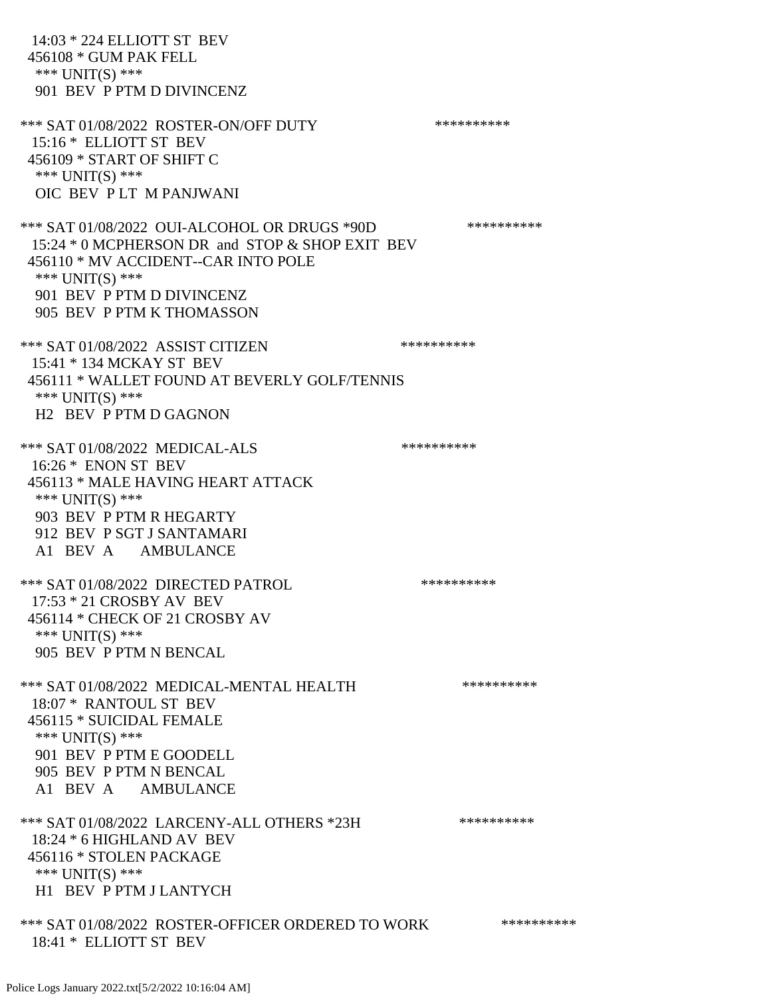14:03 \* 224 ELLIOTT ST BEV 456108 \* GUM PAK FELL \*\*\* UNIT(S) \*\*\* 901 BEV P PTM D DIVINCENZ \*\*\* SAT 01/08/2022 ROSTER-ON/OFF DUTY \*\*\*\*\*\*\*\*\*\* 15:16 \* ELLIOTT ST BEV 456109 \* START OF SHIFT C \*\*\* UNIT(S) \*\*\* OIC BEV P LT M PANJWANI \*\*\* SAT 01/08/2022 OUI-ALCOHOL OR DRUGS \*90D \*\*\*\*\*\*\*\*\*\* 15:24 \* 0 MCPHERSON DR and STOP & SHOP EXIT BEV 456110 \* MV ACCIDENT--CAR INTO POLE \*\*\* UNIT(S) \*\*\* 901 BEV P PTM D DIVINCENZ 905 BEV P PTM K THOMASSON \*\*\* SAT 01/08/2022 ASSIST CITIZEN \*\*\*\*\*\*\*\*\*\*\*\*\*\* 15:41 \* 134 MCKAY ST BEV 456111 \* WALLET FOUND AT BEVERLY GOLF/TENNIS \*\*\* UNIT(S) \*\*\* H2 BEV P PTM D GAGNON \*\*\* SAT 01/08/2022 MEDICAL-ALS \*\*\*\*\*\*\*\*\*\*\*\*\* 16:26 \* ENON ST BEV 456113 \* MALE HAVING HEART ATTACK \*\*\* UNIT(S) \*\*\* 903 BEV P PTM R HEGARTY 912 BEV P SGT J SANTAMARI A1 BEV A AMBULANCE \*\*\* SAT 01/08/2022 DIRECTED PATROL \*\*\*\*\*\*\*\*\*\* 17:53 \* 21 CROSBY AV BEV 456114 \* CHECK OF 21 CROSBY AV \*\*\* UNIT(S) \*\*\* 905 BEV P PTM N BENCAL \*\*\* SAT 01/08/2022 MEDICAL-MENTAL HEALTH \*\*\*\*\*\*\*\*\*\*\*\* 18:07 \* RANTOUL ST BEV 456115 \* SUICIDAL FEMALE \*\*\* UNIT(S) \*\*\* 901 BEV P PTM E GOODELL 905 BEV P PTM N BENCAL A1 BEV A AMBULANCE \*\*\* SAT 01/08/2022 LARCENY-ALL OTHERS \*23H \*\*\*\*\*\*\*\*\*\*\*\* 18:24 \* 6 HIGHLAND AV BEV 456116 \* STOLEN PACKAGE \*\*\* UNIT(S) \*\*\* H1 BEV P PTM J LANTYCH \*\*\* SAT 01/08/2022 ROSTER-OFFICER ORDERED TO WORK \*\*\*\*\*\*\*\*\*\*\*\*\* 18:41 \* ELLIOTT ST BEV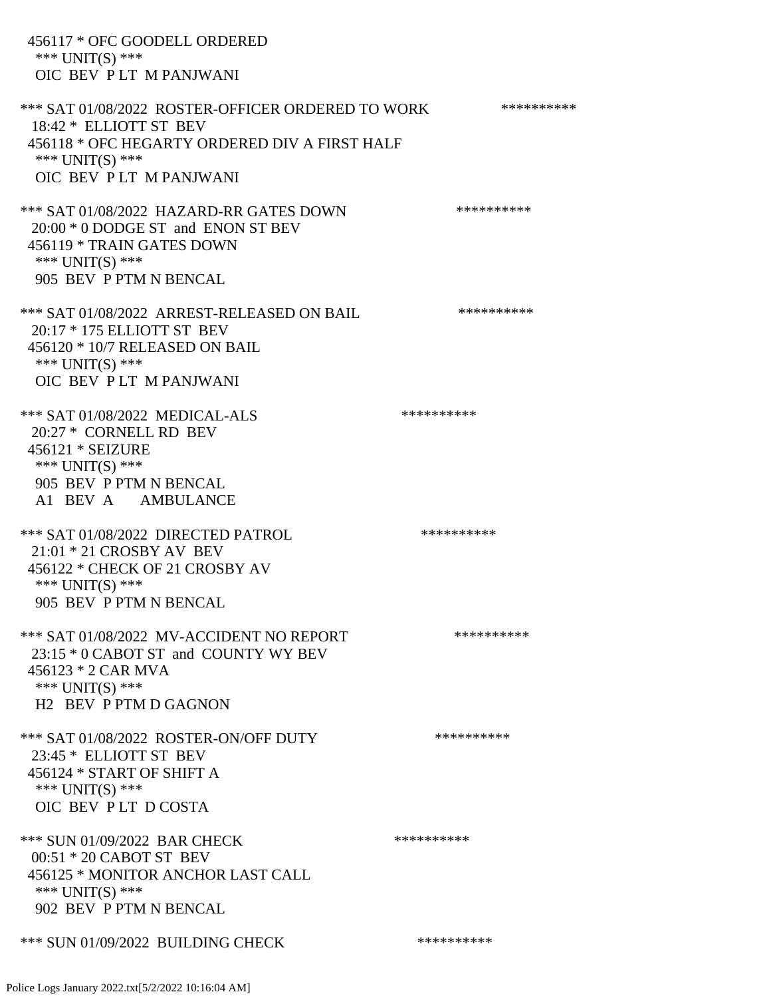456117 \* OFC GOODELL ORDERED \*\*\* UNIT(S) \*\*\* OIC BEV P LT M PANJWANI \*\*\* SAT 01/08/2022 ROSTER-OFFICER ORDERED TO WORK \*\*\*\*\*\*\*\*\*\*\* 18:42 \* ELLIOTT ST BEV 456118 \* OFC HEGARTY ORDERED DIV A FIRST HALF \*\*\* UNIT(S) \*\*\* OIC BEV P LT M PANJWANI \*\*\* SAT 01/08/2022 HAZARD-RR GATES DOWN \*\*\*\*\*\*\*\*\*\* 20:00 \* 0 DODGE ST and ENON ST BEV 456119 \* TRAIN GATES DOWN \*\*\* UNIT(S) \*\*\* 905 BEV P PTM N BENCAL \*\*\* SAT 01/08/2022 ARREST-RELEASED ON BAIL \*\*\*\*\*\*\*\*\*\* 20:17 \* 175 ELLIOTT ST BEV 456120 \* 10/7 RELEASED ON BAIL \*\*\* UNIT(S) \*\*\* OIC BEV P LT M PANJWANI \*\*\* SAT 01/08/2022 MEDICAL-ALS \*\*\*\*\*\*\*\*\*\* 20:27 \* CORNELL RD BEV 456121 \* SEIZURE \*\*\* UNIT(S) \*\*\* 905 BEV P PTM N BENCAL A1 BEV A AMBULANCE \*\*\* SAT 01/08/2022 DIRECTED PATROL \*\*\*\*\*\*\*\*\*\* 21:01 \* 21 CROSBY AV BEV 456122 \* CHECK OF 21 CROSBY AV \*\*\* UNIT(S) \*\*\* 905 BEV P PTM N BENCAL \*\*\* SAT 01/08/2022 MV-ACCIDENT NO REPORT \*\*\*\*\*\*\*\*\*\*\*\* 23:15 \* 0 CABOT ST and COUNTY WY BEV 456123 \* 2 CAR MVA \*\*\* UNIT(S) \*\*\* H2 BEV P PTM D GAGNON \*\*\* SAT 01/08/2022 ROSTER-ON/OFF DUTY \*\*\*\*\*\*\*\*\*\* 23:45 \* ELLIOTT ST BEV 456124 \* START OF SHIFT A \*\*\* UNIT(S) \*\*\* OIC BEV P LT D COSTA \*\*\* SUN 01/09/2022 BAR CHECK \*\*\*\*\*\*\*\*\*\*\*\* 00:51 \* 20 CABOT ST BEV 456125 \* MONITOR ANCHOR LAST CALL \*\*\* UNIT(S) \*\*\* 902 BEV P PTM N BENCAL \*\*\* SUN 01/09/2022 BUILDING CHECK \*\*\*\*\*\*\*\*\*\*\*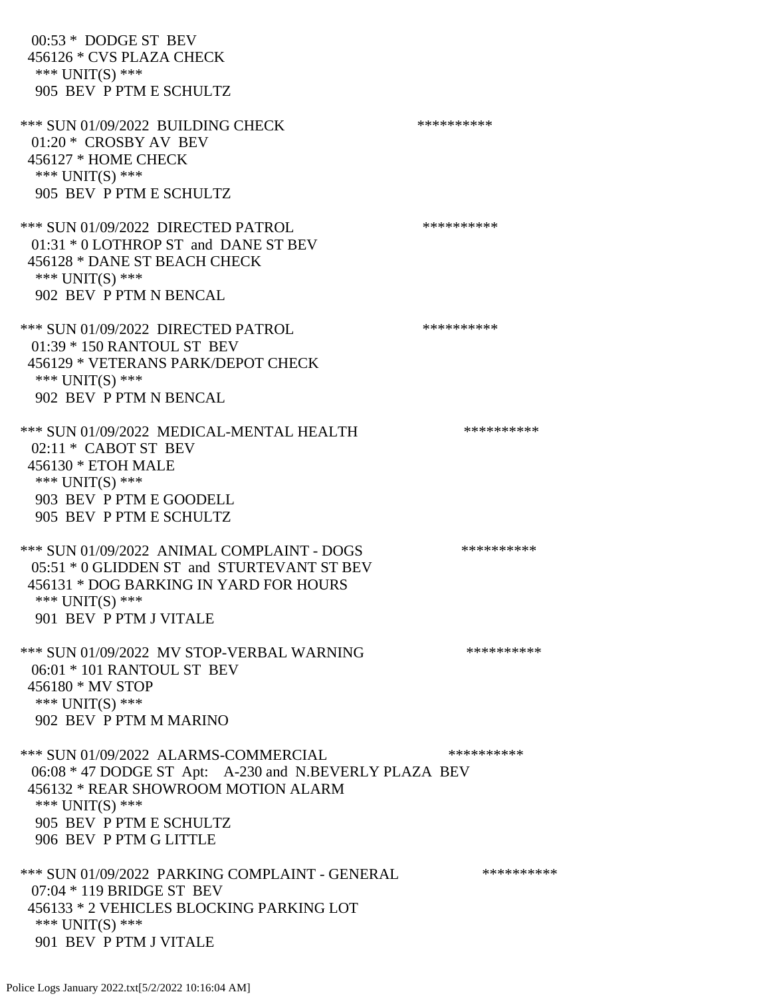00:53 \* DODGE ST BEV 456126 \* CVS PLAZA CHECK \*\*\* UNIT(S) \*\*\* 905 BEV P PTM E SCHULTZ \*\*\* SUN 01/09/2022 BUILDING CHECK \*\*\*\*\*\*\*\*\*\*\* 01:20 \* CROSBY AV BEV 456127 \* HOME CHECK \*\*\* UNIT(S) \*\*\* 905 BEV P PTM E SCHULTZ \*\*\* SUN 01/09/2022 DIRECTED PATROL \*\*\*\*\*\*\*\*\*\* 01:31 \* 0 LOTHROP ST and DANE ST BEV 456128 \* DANE ST BEACH CHECK \*\*\* UNIT(S) \*\*\* 902 BEV P PTM N BENCAL \*\*\* SUN 01/09/2022 DIRECTED PATROL \*\*\*\*\*\*\*\*\*\* 01:39 \* 150 RANTOUL ST BEV 456129 \* VETERANS PARK/DEPOT CHECK \*\*\* UNIT(S) \*\*\* 902 BEV P PTM N BENCAL \*\*\* SUN 01/09/2022 MEDICAL-MENTAL HEALTH \*\*\*\*\*\*\*\*\*\*\* 02:11 \* CABOT ST BEV 456130 \* ETOH MALE \*\*\* UNIT(S) \*\*\* 903 BEV P PTM E GOODELL 905 BEV P PTM E SCHULTZ \*\*\* SUN 01/09/2022 ANIMAL COMPLAINT - DOGS \*\*\*\*\*\*\*\*\*\*\*\* 05:51 \* 0 GLIDDEN ST and STURTEVANT ST BEV 456131 \* DOG BARKING IN YARD FOR HOURS \*\*\* UNIT(S) \*\*\* 901 BEV P PTM J VITALE \*\*\* SUN 01/09/2022 MV STOP-VERBAL WARNING \*\*\*\*\*\*\*\*\*\*\*\* 06:01 \* 101 RANTOUL ST BEV 456180 \* MV STOP \*\*\* UNIT(S) \*\*\* 902 BEV P PTM M MARINO \*\*\* SUN 01/09/2022 ALARMS-COMMERCIAL \*\*\*\*\*\*\*\*\*\* 06:08 \* 47 DODGE ST Apt: A-230 and N.BEVERLY PLAZA BEV 456132 \* REAR SHOWROOM MOTION ALARM \*\*\* UNIT(S) \*\*\* 905 BEV P PTM E SCHULTZ 906 BEV P PTM G LITTLE \*\*\* SUN 01/09/2022 PARKING COMPLAINT - GENERAL \*\*\*\*\*\*\*\*\*\*\*\* 07:04 \* 119 BRIDGE ST BEV 456133 \* 2 VEHICLES BLOCKING PARKING LOT \*\*\* UNIT(S) \*\*\* 901 BEV P PTM J VITALE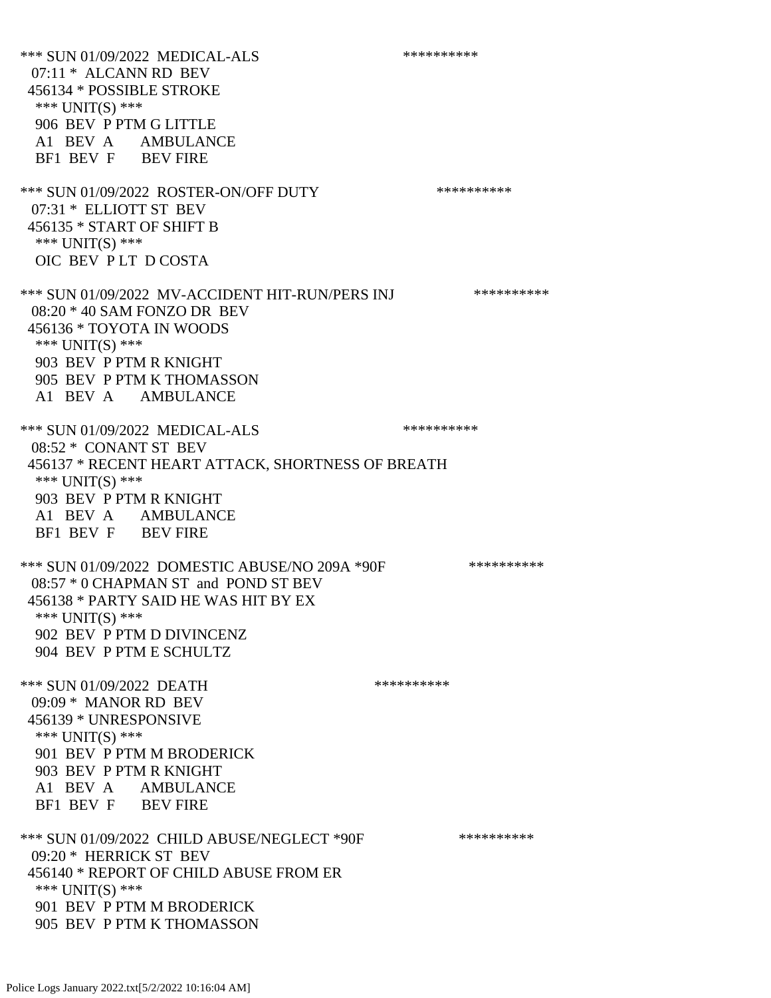\*\*\* SUN 01/09/2022 MEDICAL-ALS \*\*\*\*\*\*\*\*\*\* 07:11 \* ALCANN RD BEV 456134 \* POSSIBLE STROKE \*\*\* UNIT(S) \*\*\* 906 BEV P PTM G LITTLE A1 BEV A AMBULANCE BF1 BEV F BEV FIRE \*\*\* SUN 01/09/2022 ROSTER-ON/OFF DUTY \*\*\*\*\*\*\*\*\*\* 07:31 \* ELLIOTT ST BEV 456135 \* START OF SHIFT B \*\*\* UNIT(S) \*\*\* OIC BEV P LT D COSTA \*\*\* SUN 01/09/2022 MV-ACCIDENT HIT-RUN/PERS INJ \*\*\*\*\*\*\*\*\*\* 08:20 \* 40 SAM FONZO DR BEV 456136 \* TOYOTA IN WOODS \*\*\* UNIT(S) \*\*\* 903 BEV P PTM R KNIGHT 905 BEV P PTM K THOMASSON A1 BEV A AMBULANCE \*\*\* SUN 01/09/2022 MEDICAL-ALS \*\*\*\*\*\*\*\*\*\*\*\* 08:52 \* CONANT ST BEV 456137 \* RECENT HEART ATTACK, SHORTNESS OF BREATH \*\*\* UNIT(S) \*\*\* 903 BEV P PTM R KNIGHT A1 BEV A AMBULANCE BF1 BEV F BEV FIRE \*\*\* SUN 01/09/2022 DOMESTIC ABUSE/NO 209A \*90F \*\*\*\*\*\*\*\*\*\*\*\* 08:57 \* 0 CHAPMAN ST and POND ST BEV 456138 \* PARTY SAID HE WAS HIT BY EX \*\*\* UNIT(S) \*\*\* 902 BEV P PTM D DIVINCENZ 904 BEV P PTM E SCHULTZ \*\*\* SUN 01/09/2022 DEATH \*\*\*\*\*\*\*\*\*\*\* 09:09 \* MANOR RD BEV 456139 \* UNRESPONSIVE \*\*\* UNIT(S) \*\*\* 901 BEV P PTM M BRODERICK 903 BEV P PTM R KNIGHT A1 BEV A AMBULANCE BF1 BEV F BEV FIRE \*\*\* SUN 01/09/2022 CHILD ABUSE/NEGLECT \*90F \*\*\*\*\*\*\*\*\*\*\*\*\* 09:20 \* HERRICK ST BEV 456140 \* REPORT OF CHILD ABUSE FROM ER \*\*\* UNIT(S) \*\*\* 901 BEV P PTM M BRODERICK 905 BEV P PTM K THOMASSON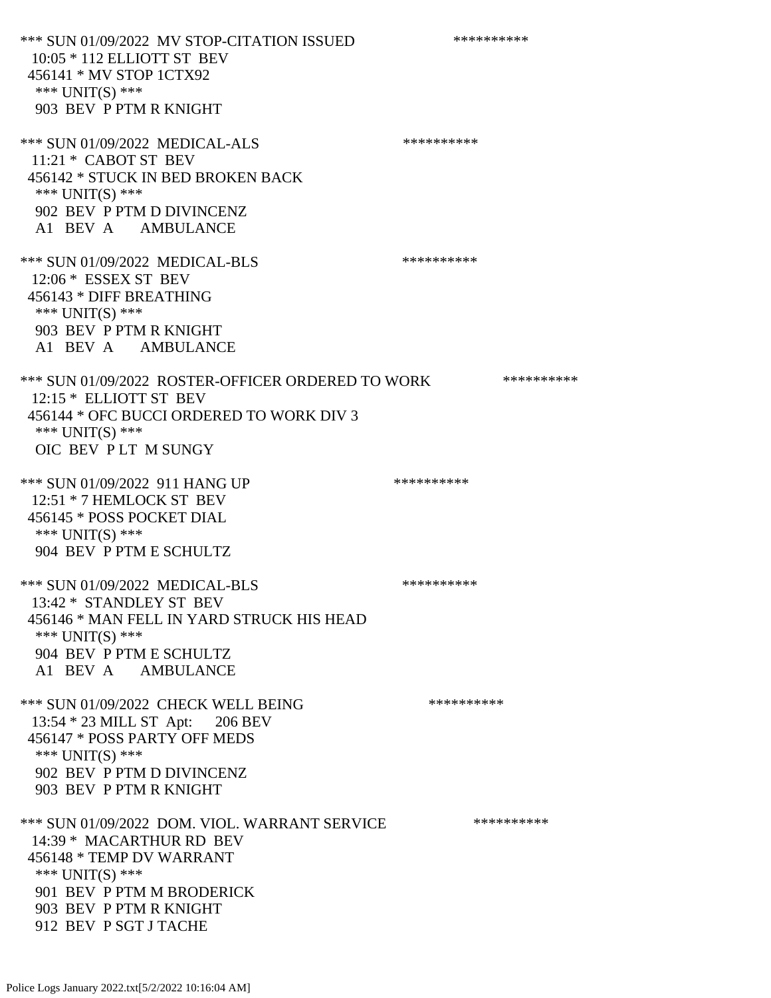\*\*\* SUN 01/09/2022 MV STOP-CITATION ISSUED \*\*\*\*\*\*\*\*\*\* 10:05 \* 112 ELLIOTT ST BEV 456141 \* MV STOP 1CTX92 \*\*\* UNIT(S) \*\*\* 903 BEV P PTM R KNIGHT \*\*\* SUN 01/09/2022 MEDICAL-ALS \*\*\*\*\*\*\*\*\*\* 11:21 \* CABOT ST BEV 456142 \* STUCK IN BED BROKEN BACK \*\*\* UNIT(S) \*\*\* 902 BEV P PTM D DIVINCENZ A1 BEV A AMBULANCE \*\*\* SUN 01/09/2022 MEDICAL-BLS \*\*\*\*\*\*\*\*\*\* 12:06 \* ESSEX ST BEV 456143 \* DIFF BREATHING \*\*\* UNIT(S) \*\*\* 903 BEV P PTM R KNIGHT A1 BEV A AMBULANCE \*\*\* SUN 01/09/2022 ROSTER-OFFICER ORDERED TO WORK \*\*\*\*\*\*\*\*\*\*\* 12:15 \* ELLIOTT ST BEV 456144 \* OFC BUCCI ORDERED TO WORK DIV 3 \*\*\* UNIT(S) \*\*\* OIC BEV P LT M SUNGY \*\*\* SUN 01/09/2022 911 HANG UP \*\*\*\*\*\*\*\*\*\*\*\*\* 12:51 \* 7 HEMLOCK ST BEV 456145 \* POSS POCKET DIAL \*\*\* UNIT(S) \*\*\* 904 BEV P PTM E SCHULTZ \*\*\* SUN 01/09/2022 MEDICAL-BLS \*\*\*\*\*\*\*\*\*\* 13:42 \* STANDLEY ST BEV 456146 \* MAN FELL IN YARD STRUCK HIS HEAD \*\*\* UNIT(S) \*\*\* 904 BEV P PTM E SCHULTZ A1 BEV A AMBULANCE \*\*\* SUN 01/09/2022 CHECK WELL BEING \*\*\*\*\*\*\*\*\*\*\*\* 13:54 \* 23 MILL ST Apt: 206 BEV 456147 \* POSS PARTY OFF MEDS \*\*\* UNIT(S) \*\*\* 902 BEV P PTM D DIVINCENZ 903 BEV P PTM R KNIGHT \*\*\* SUN 01/09/2022 DOM. VIOL. WARRANT SERVICE \*\*\*\*\*\*\*\*\*\*\*\* 14:39 \* MACARTHUR RD BEV 456148 \* TEMP DV WARRANT \*\*\* UNIT(S) \*\*\* 901 BEV P PTM M BRODERICK 903 BEV P PTM R KNIGHT 912 BEV P SGT J TACHE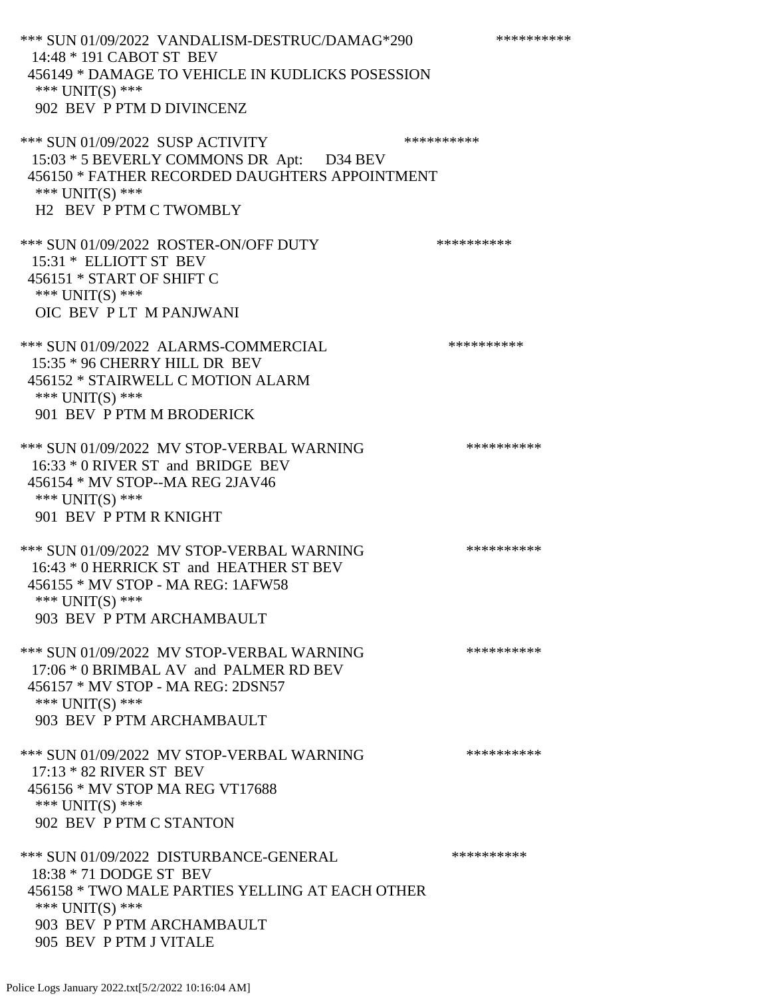\*\*\* SUN 01/09/2022 VANDALISM-DESTRUC/DAMAG\*290 \*\*\*\*\*\*\*\*\*\* 14:48 \* 191 CABOT ST BEV 456149 \* DAMAGE TO VEHICLE IN KUDLICKS POSESSION \*\*\* UNIT(S) \*\*\* 902 BEV P PTM D DIVINCENZ \*\*\* SUN 01/09/2022 SUSP ACTIVITY \*\*\*\*\*\*\*\*\*\*\*\* 15:03 \* 5 BEVERLY COMMONS DR Apt: D34 BEV 456150 \* FATHER RECORDED DAUGHTERS APPOINTMENT \*\*\* UNIT(S) \*\*\* H2 BEV P PTM C TWOMBLY \*\*\* SUN 01/09/2022 ROSTER-ON/OFF DUTY \*\*\*\*\*\*\*\*\*\* 15:31 \* ELLIOTT ST BEV 456151 \* START OF SHIFT C \*\*\* UNIT(S) \*\*\* OIC BEV P LT M PANJWANI \*\*\* SUN 01/09/2022 ALARMS-COMMERCIAL \*\*\*\*\*\*\*\*\*\* 15:35 \* 96 CHERRY HILL DR BEV 456152 \* STAIRWELL C MOTION ALARM \*\*\* UNIT(S) \*\*\* 901 BEV P PTM M BRODERICK \*\*\* SUN 01/09/2022 MV STOP-VERBAL WARNING \*\*\*\*\*\*\*\*\*\*\*\* 16:33 \* 0 RIVER ST and BRIDGE BEV 456154 \* MV STOP--MA REG 2JAV46 \*\*\* UNIT(S) \*\*\* 901 BEV P PTM R KNIGHT \*\*\* SUN 01/09/2022 MV STOP-VERBAL WARNING \*\*\*\*\*\*\*\*\*\*\*\*\* 16:43 \* 0 HERRICK ST and HEATHER ST BEV 456155 \* MV STOP - MA REG: 1AFW58 \*\*\* UNIT(S) \*\*\* 903 BEV P PTM ARCHAMBAULT \*\*\* SUN 01/09/2022 MV STOP-VERBAL WARNING \*\*\*\*\*\*\*\*\*\*\*\* 17:06 \* 0 BRIMBAL AV and PALMER RD BEV 456157 \* MV STOP - MA REG: 2DSN57 \*\*\* UNIT(S) \*\*\* 903 BEV P PTM ARCHAMBAULT \*\*\* SUN 01/09/2022 MV STOP-VERBAL WARNING \*\*\*\*\*\*\*\*\*\*\*\* 17:13 \* 82 RIVER ST BEV 456156 \* MV STOP MA REG VT17688 \*\*\* UNIT(S) \*\*\* 902 BEV P PTM C STANTON \*\*\* SUN 01/09/2022 DISTURBANCE-GENERAL \*\*\*\*\*\*\*\*\*\* 18:38 \* 71 DODGE ST BEV 456158 \* TWO MALE PARTIES YELLING AT EACH OTHER \*\*\* UNIT(S) \*\*\* 903 BEV P PTM ARCHAMBAULT 905 BEV P PTM J VITALE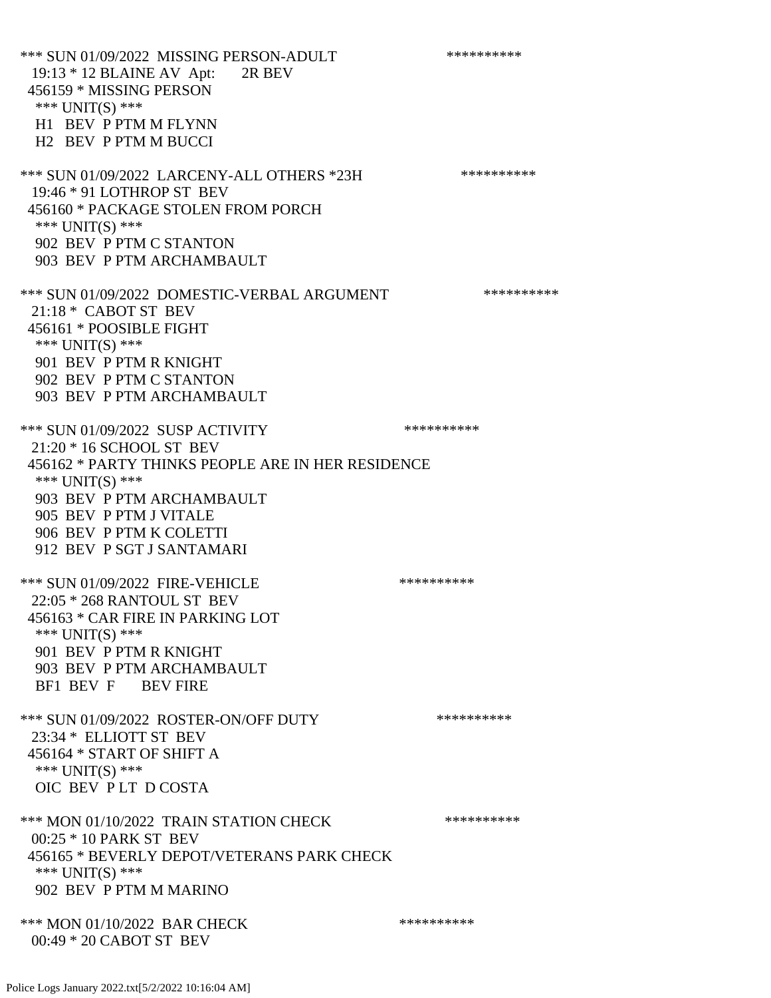\*\*\* SUN 01/09/2022 MISSING PERSON-ADULT \*\*\*\*\*\*\*\*\*\*\*\* 19:13 \* 12 BLAINE AV Apt: 2R BEV 456159 \* MISSING PERSON \*\*\* UNIT(S) \*\*\* H1 BEV P PTM M FLYNN H2 BEV P PTM M BUCCI \*\*\* SUN 01/09/2022 LARCENY-ALL OTHERS \*23H \*\*\*\*\*\*\*\*\*\*\* 19:46 \* 91 LOTHROP ST BEV 456160 \* PACKAGE STOLEN FROM PORCH \*\*\* UNIT(S) \*\*\* 902 BEV P PTM C STANTON 903 BEV P PTM ARCHAMBAULT \*\*\* SUN 01/09/2022 DOMESTIC-VERBAL ARGUMENT \*\*\*\*\*\*\*\*\*\*\*\* 21:18 \* CABOT ST BEV 456161 \* POOSIBLE FIGHT \*\*\* UNIT(S) \*\*\* 901 BEV P PTM R KNIGHT 902 BEV P PTM C STANTON 903 BEV P PTM ARCHAMBAULT \*\*\* SUN 01/09/2022 SUSP ACTIVITY \*\*\*\*\*\*\*\*\*\*\*\* 21:20 \* 16 SCHOOL ST BEV 456162 \* PARTY THINKS PEOPLE ARE IN HER RESIDENCE \*\*\* UNIT(S) \*\*\* 903 BEV P PTM ARCHAMBAULT 905 BEV P PTM J VITALE 906 BEV P PTM K COLETTI 912 BEV P SGT J SANTAMARI \*\*\* SUN 01/09/2022 FIRE-VEHICLE \*\*\*\*\*\*\*\*\*\*\*\* 22:05 \* 268 RANTOUL ST BEV 456163 \* CAR FIRE IN PARKING LOT \*\*\* UNIT(S) \*\*\* 901 BEV P PTM R KNIGHT 903 BEV P PTM ARCHAMBAULT BF1 BEV F BEV FIRE \*\*\* SUN 01/09/2022 ROSTER-ON/OFF DUTY \*\*\*\*\*\*\*\*\*\* 23:34 \* ELLIOTT ST BEV 456164 \* START OF SHIFT A \*\*\* UNIT(S) \*\*\* OIC BEV P LT D COSTA \*\*\* MON 01/10/2022 TRAIN STATION CHECK \*\*\*\*\*\*\*\*\*\* 00:25 \* 10 PARK ST BEV 456165 \* BEVERLY DEPOT/VETERANS PARK CHECK \*\*\* UNIT(S) \*\*\* 902 BEV P PTM M MARINO \*\*\* MON 01/10/2022 BAR CHECK \*\*\*\*\*\*\*\*\*\*\*\* 00:49 \* 20 CABOT ST BEV

Police Logs January 2022.txt[5/2/2022 10:16:04 AM]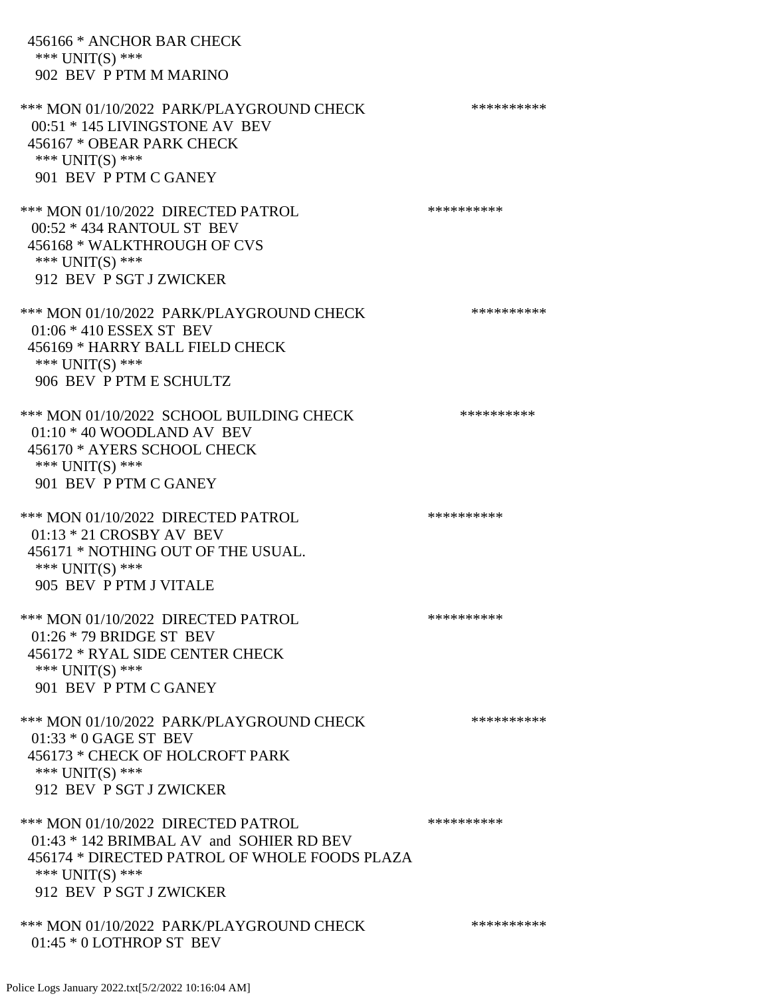456166 \* ANCHOR BAR CHECK \*\*\* UNIT(S) \*\*\* 902 BEV P PTM M MARINO \*\*\* MON 01/10/2022 PARK/PLAYGROUND CHECK \*\*\*\*\*\*\*\*\*\*\* 00:51 \* 145 LIVINGSTONE AV BEV 456167 \* OBEAR PARK CHECK \*\*\* UNIT(S) \*\*\* 901 BEV P PTM C GANEY \*\*\* MON 01/10/2022 DIRECTED PATROL \*\*\*\*\*\*\*\*\*\* 00:52 \* 434 RANTOUL ST BEV 456168 \* WALKTHROUGH OF CVS \*\*\* UNIT(S) \*\*\* 912 BEV P SGT J ZWICKER \*\*\* MON 01/10/2022 PARK/PLAYGROUND CHECK \*\*\*\*\*\*\*\*\*\*\* 01:06 \* 410 ESSEX ST BEV 456169 \* HARRY BALL FIELD CHECK \*\*\* UNIT(S) \*\*\* 906 BEV P PTM E SCHULTZ \*\*\* MON 01/10/2022 SCHOOL BUILDING CHECK \*\*\*\*\*\*\*\*\*\*\* 01:10 \* 40 WOODLAND AV BEV 456170 \* AYERS SCHOOL CHECK \*\*\* UNIT(S) \*\*\* 901 BEV P PTM C GANEY \*\*\* MON 01/10/2022 DIRECTED PATROL \*\*\*\*\*\*\*\*\*\* 01:13 \* 21 CROSBY AV BEV 456171 \* NOTHING OUT OF THE USUAL. \*\*\* UNIT(S) \*\*\* 905 BEV P PTM J VITALE \*\*\* MON 01/10/2022 DIRECTED PATROL \*\*\*\*\*\*\*\*\*\* 01:26 \* 79 BRIDGE ST BEV 456172 \* RYAL SIDE CENTER CHECK \*\*\* UNIT(S) \*\*\* 901 BEV P PTM C GANEY \*\*\* MON 01/10/2022 PARK/PLAYGROUND CHECK \*\*\*\*\*\*\*\*\*\*\*\* 01:33 \* 0 GAGE ST BEV 456173 \* CHECK OF HOLCROFT PARK \*\*\* UNIT(S) \*\*\* 912 BEV P SGT J ZWICKER \*\*\* MON 01/10/2022 DIRECTED PATROL \*\*\*\*\*\*\*\*\*\* 01:43 \* 142 BRIMBAL AV and SOHIER RD BEV 456174 \* DIRECTED PATROL OF WHOLE FOODS PLAZA \*\*\* UNIT(S) \*\*\* 912 BEV P SGT J ZWICKER \*\*\* MON 01/10/2022 PARK/PLAYGROUND CHECK \*\*\*\*\*\*\*\*\*\*\* 01:45 \* 0 LOTHROP ST BEV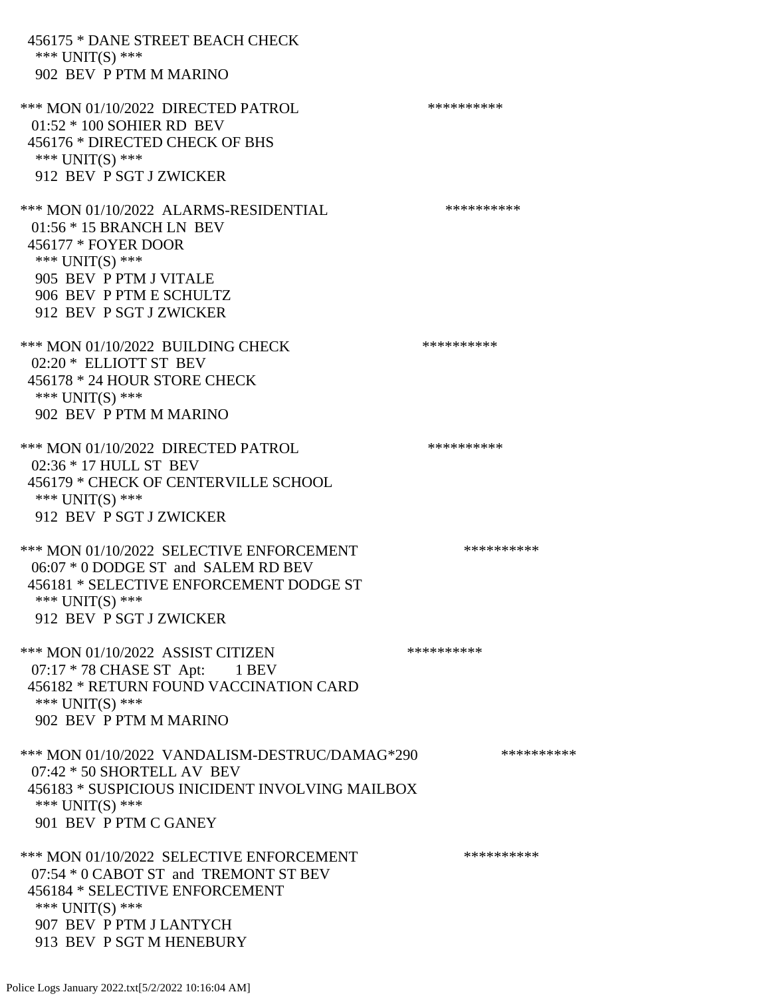| 456175 * DANE STREET BEACH CHECK<br>*** $UNIT(S)$ ***<br>902 BEV P PTM M MARINO                                                                                                                 |            |
|-------------------------------------------------------------------------------------------------------------------------------------------------------------------------------------------------|------------|
| *** MON 01/10/2022 DIRECTED PATROL<br>01:52 * 100 SOHIER RD BEV<br>456176 * DIRECTED CHECK OF BHS<br>*** UNIT(S) ***<br>912 BEV P SGT J ZWICKER                                                 | ********** |
| *** MON 01/10/2022 ALARMS-RESIDENTIAL<br>01:56 * 15 BRANCH LN BEV<br>456177 * FOYER DOOR<br>*** $UNIT(S)$ ***<br>905 BEV P PTM J VITALE<br>906 BEV P PTM E SCHULTZ<br>912 BEV P SGT J ZWICKER   | ********** |
| *** MON 01/10/2022 BUILDING CHECK<br>02:20 * ELLIOTT ST BEV<br>456178 * 24 HOUR STORE CHECK<br>*** UNIT(S) ***<br>902 BEV P PTM M MARINO                                                        | ********** |
| *** MON 01/10/2022 DIRECTED PATROL<br>02:36 * 17 HULL ST BEV<br>456179 * CHECK OF CENTERVILLE SCHOOL<br>*** UNIT(S) ***<br>912 BEV P SGT J ZWICKER                                              | ********** |
| *** MON 01/10/2022 SELECTIVE ENFORCEMENT<br>06:07 * 0 DODGE ST and SALEM RD BEV<br>456181 * SELECTIVE ENFORCEMENT DODGE ST<br>*** UNIT(S) ***<br>912 BEV P SGT J ZWICKER                        | ********** |
| *** MON 01/10/2022 ASSIST CITIZEN<br>07:17 * 78 CHASE ST Apt: 1 BEV<br>456182 * RETURN FOUND VACCINATION CARD<br>*** UNIT(S) ***<br>902 BEV P PTM M MARINO                                      | ********** |
| *** MON 01/10/2022 VANDALISM-DESTRUC/DAMAG*290<br>$07:42 * 50$ SHORTELL AV BEV<br>456183 * SUSPICIOUS INICIDENT INVOLVING MAILBOX<br>*** $UNIT(S)$ ***<br>901 BEV P PTM C GANEY                 | ********** |
| *** MON 01/10/2022 SELECTIVE ENFORCEMENT<br>07:54 * 0 CABOT ST and TREMONT ST BEV<br>456184 * SELECTIVE ENFORCEMENT<br>*** $UNIT(S)$ ***<br>907 BEV P PTM J LANTYCH<br>913 BEV P SGT M HENEBURY | ********** |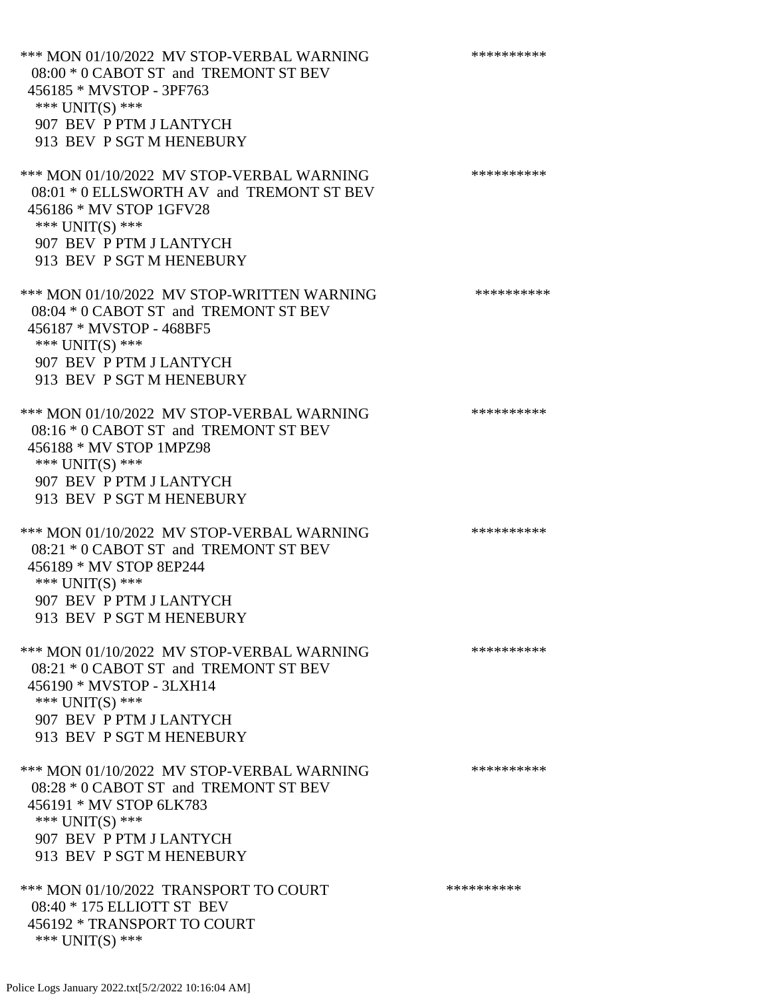\*\*\* MON 01/10/2022 MV STOP-VERBAL WARNING \*\*\*\*\*\*\*\*\*\*\*\* 08:00 \* 0 CABOT ST and TREMONT ST BEV 456185 \* MVSTOP - 3PF763 \*\*\* UNIT(S) \*\*\* 907 BEV P PTM J LANTYCH 913 BEV P SGT M HENEBURY \*\*\* MON 01/10/2022 MV STOP-VERBAL WARNING \*\*\*\*\*\*\*\*\*\*\*\*\*\*\* 08:01 \* 0 ELLSWORTH AV and TREMONT ST BEV 456186 \* MV STOP 1GFV28 \*\*\* UNIT(S) \*\*\* 907 BEV P PTM J LANTYCH 913 BEV P SGT M HENEBURY \*\*\* MON 01/10/2022 MV STOP-WRITTEN WARNING \*\*\*\*\*\*\*\*\*\*\*\* 08:04 \* 0 CABOT ST and TREMONT ST BEV 456187 \* MVSTOP - 468BF5 \*\*\* UNIT(S) \*\*\* 907 BEV P PTM J LANTYCH 913 BEV P SGT M HENEBURY \*\*\* MON 01/10/2022 MV STOP-VERBAL WARNING \*\*\*\*\*\*\*\*\*\*\*\* 08:16 \* 0 CABOT ST and TREMONT ST BEV 456188 \* MV STOP 1MPZ98 \*\*\* UNIT(S) \*\*\* 907 BEV P PTM J LANTYCH 913 BEV P SGT M HENEBURY \*\*\* MON 01/10/2022 MV STOP-VERBAL WARNING \*\*\*\*\*\*\*\*\*\*\*\* 08:21 \* 0 CABOT ST and TREMONT ST BEV 456189 \* MV STOP 8EP244 \*\*\* UNIT(S) \*\*\* 907 BEV P PTM J LANTYCH 913 BEV P SGT M HENEBURY \*\*\* MON 01/10/2022 MV STOP-VERBAL WARNING \*\*\*\*\*\*\*\*\*\*\*\* 08:21 \* 0 CABOT ST and TREMONT ST BEV 456190 \* MVSTOP - 3LXH14 \*\*\* UNIT(S) \*\*\* 907 BEV P PTM J LANTYCH 913 BEV P SGT M HENEBURY \*\*\* MON 01/10/2022 MV STOP-VERBAL WARNING \*\*\*\*\*\*\*\*\*\*\*\* 08:28 \* 0 CABOT ST and TREMONT ST BEV 456191 \* MV STOP 6LK783 \*\*\* UNIT(S) \*\*\* 907 BEV P PTM J LANTYCH 913 BEV P SGT M HENEBURY \*\*\* MON 01/10/2022 TRANSPORT TO COURT \*\*\*\*\*\*\*\*\*\*\*\* 08:40 \* 175 ELLIOTT ST BEV 456192 \* TRANSPORT TO COURT \*\*\* UNIT(S) \*\*\*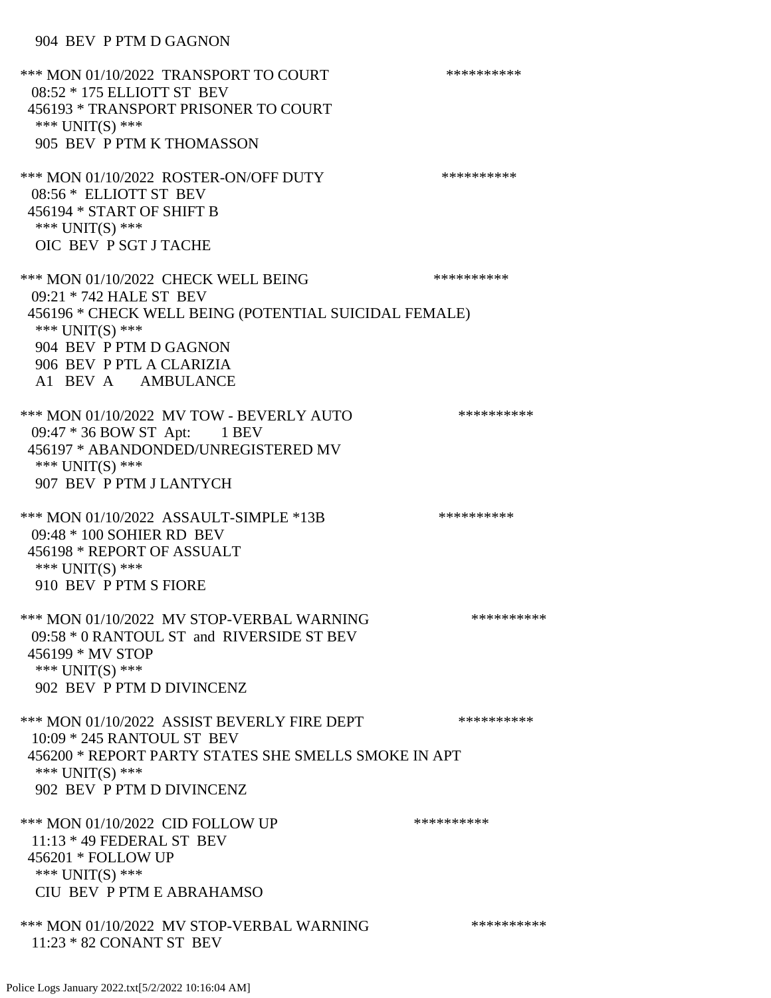\*\*\* MON 01/10/2022 TRANSPORT TO COURT \*\*\*\*\*\*\*\*\*\*\*\* 08:52 \* 175 ELLIOTT ST BEV 456193 \* TRANSPORT PRISONER TO COURT \*\*\* UNIT(S) \*\*\* 905 BEV P PTM K THOMASSON \*\*\* MON 01/10/2022 ROSTER-ON/OFF DUTY \*\*\*\*\*\*\*\*\*\*\*\* 08:56 \* ELLIOTT ST BEV 456194 \* START OF SHIFT B \*\*\* UNIT(S) \*\*\* OIC BEV P SGT J TACHE \*\*\* MON 01/10/2022 CHECK WELL BEING \*\*\*\*\*\*\*\*\*\* 09:21 \* 742 HALE ST BEV 456196 \* CHECK WELL BEING (POTENTIAL SUICIDAL FEMALE) \*\*\* UNIT(S) \*\*\* 904 BEV P PTM D GAGNON 906 BEV P PTL A CLARIZIA A1 BEV A AMBULANCE \*\*\* MON 01/10/2022 MV TOW - BEVERLY AUTO \*\*\*\*\*\*\*\*\*\*\*\* 09:47 \* 36 BOW ST Apt: 1 BEV 456197 \* ABANDONDED/UNREGISTERED MV \*\*\* UNIT(S) \*\*\* 907 BEV P PTM J LANTYCH \*\*\* MON 01/10/2022 ASSAULT-SIMPLE \*13B \*\*\*\*\*\*\*\*\*\*\*\* 09:48 \* 100 SOHIER RD BEV 456198 \* REPORT OF ASSUALT \*\*\* UNIT(S) \*\*\* 910 BEV P PTM S FIORE \*\*\* MON 01/10/2022 MV STOP-VERBAL WARNING \*\*\*\*\*\*\*\*\*\*\*\*\* 09:58 \* 0 RANTOUL ST and RIVERSIDE ST BEV 456199 \* MV STOP \*\*\* UNIT(S) \*\*\* 902 BEV P PTM D DIVINCENZ \*\*\* MON 01/10/2022 ASSIST BEVERLY FIRE DEPT \*\*\*\*\*\*\*\*\*\*\* 10:09 \* 245 RANTOUL ST BEV 456200 \* REPORT PARTY STATES SHE SMELLS SMOKE IN APT \*\*\* UNIT(S) \*\*\* 902 BEV P PTM D DIVINCENZ \*\*\* MON 01/10/2022 CID FOLLOW UP \*\*\*\*\*\*\*\*\*\*\* 11:13 \* 49 FEDERAL ST BEV 456201 \* FOLLOW UP \*\*\* UNIT(S) \*\*\* CIU BEV P PTM E ABRAHAMSO \*\*\* MON 01/10/2022 MV STOP-VERBAL WARNING \*\*\*\*\*\*\*\*\*\*\*\* 11:23 \* 82 CONANT ST BEV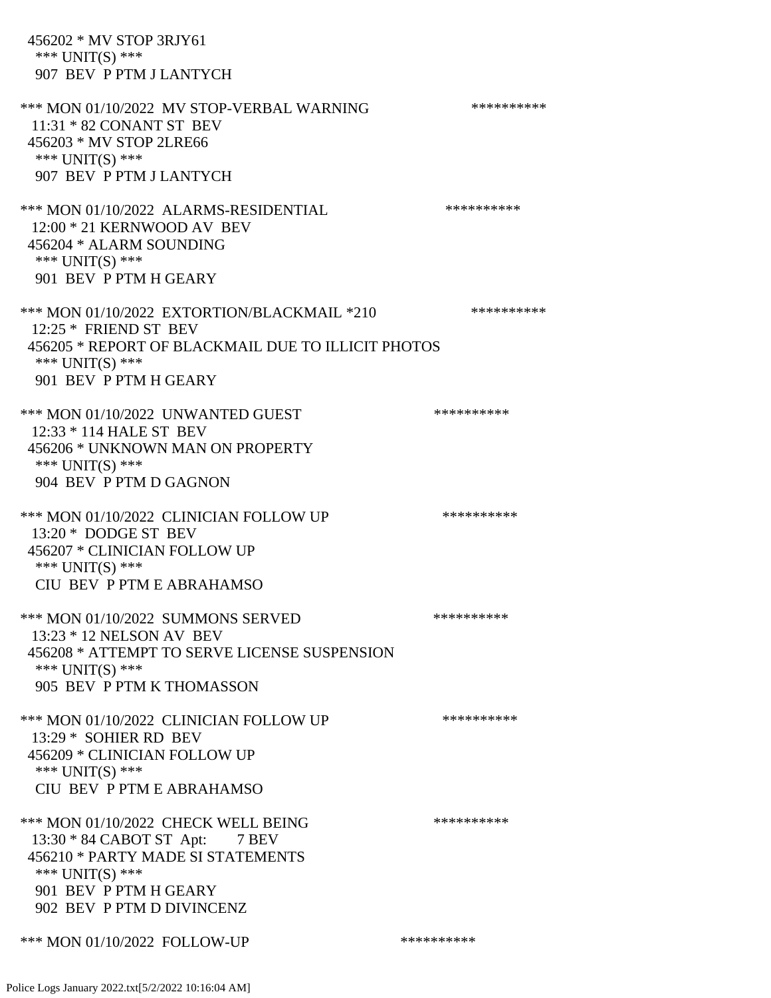456202 \* MV STOP 3RJY61 \*\*\* UNIT(S) \*\*\* 907 BEV P PTM J LANTYCH \*\*\* MON 01/10/2022 MV STOP-VERBAL WARNING \*\*\*\*\*\*\*\*\*\*\*\* 11:31 \* 82 CONANT ST BEV 456203 \* MV STOP 2LRE66 \*\*\* UNIT(S) \*\*\* 907 BEV P PTM J LANTYCH \*\*\* MON 01/10/2022 ALARMS-RESIDENTIAL \*\*\*\*\*\*\*\*\*\* 12:00 \* 21 KERNWOOD AV BEV 456204 \* ALARM SOUNDING \*\*\* UNIT(S) \*\*\* 901 BEV P PTM H GEARY \*\*\* MON 01/10/2022 EXTORTION/BLACKMAIL \*210 \*\*\*\*\*\*\*\*\*\* 12:25 \* FRIEND ST BEV 456205 \* REPORT OF BLACKMAIL DUE TO ILLICIT PHOTOS \*\*\* UNIT(S) \*\*\* 901 BEV P PTM H GEARY \*\*\* MON 01/10/2022 UNWANTED GUEST \*\*\*\*\*\*\*\*\*\* 12:33 \* 114 HALE ST BEV 456206 \* UNKNOWN MAN ON PROPERTY \*\*\* UNIT(S) \*\*\* 904 BEV P PTM D GAGNON \*\*\* MON 01/10/2022 CLINICIAN FOLLOW UP \*\*\*\*\*\*\*\*\*\* 13:20 \* DODGE ST BEV 456207 \* CLINICIAN FOLLOW UP \*\*\* UNIT(S) \*\*\* CIU BEV P PTM E ABRAHAMSO \*\*\* MON 01/10/2022 SUMMONS SERVED \*\*\*\*\*\*\*\*\*\*\*\*\* 13:23 \* 12 NELSON AV BEV 456208 \* ATTEMPT TO SERVE LICENSE SUSPENSION \*\*\* UNIT(S) \*\*\* 905 BEV P PTM K THOMASSON \*\*\* MON 01/10/2022 CLINICIAN FOLLOW UP \*\*\*\*\*\*\*\*\*\* 13:29 \* SOHIER RD BEV 456209 \* CLINICIAN FOLLOW UP \*\*\* UNIT(S) \*\*\* CIU BEV P PTM E ABRAHAMSO \*\*\* MON 01/10/2022 CHECK WELL BEING \*\*\*\*\*\*\*\*\*\* 13:30 \* 84 CABOT ST Apt: 7 BEV 456210 \* PARTY MADE SI STATEMENTS \*\*\* UNIT(S) \*\*\* 901 BEV P PTM H GEARY 902 BEV P PTM D DIVINCENZ \*\*\* MON 01/10/2022 FOLLOW-UP \*\*\*\*\*\*\*\*\*\*\*\*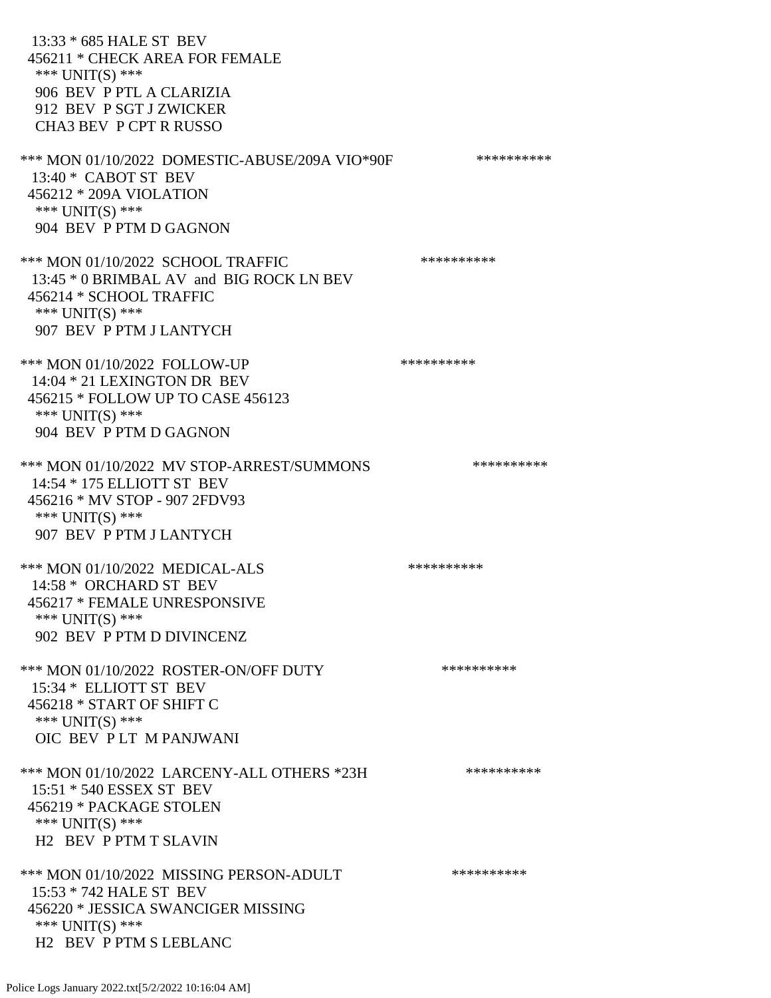13:33 \* 685 HALE ST BEV 456211 \* CHECK AREA FOR FEMALE \*\*\* UNIT(S) \*\*\* 906 BEV P PTL A CLARIZIA 912 BEV P SGT J ZWICKER CHA3 BEV P CPT R RUSSO \*\*\* MON 01/10/2022 DOMESTIC-ABUSE/209A VIO\*90F \*\*\*\*\*\*\*\*\*\* 13:40 \* CABOT ST BEV 456212 \* 209A VIOLATION \*\*\* UNIT(S) \*\*\* 904 BEV P PTM D GAGNON \*\*\* MON 01/10/2022 SCHOOL TRAFFIC \*\*\*\*\*\*\*\*\*\*\*\*\* 13:45 \* 0 BRIMBAL AV and BIG ROCK LN BEV 456214 \* SCHOOL TRAFFIC \*\*\* UNIT(S) \*\*\* 907 BEV P PTM J LANTYCH \*\*\* MON 01/10/2022 FOLLOW-UP \*\*\*\*\*\*\*\*\*\*\*\* 14:04 \* 21 LEXINGTON DR BEV 456215 \* FOLLOW UP TO CASE 456123 \*\*\* UNIT(S) \*\*\* 904 BEV P PTM D GAGNON \*\*\* MON 01/10/2022 MV STOP-ARREST/SUMMONS \*\*\*\*\*\*\*\*\*\*\*\*\* 14:54 \* 175 ELLIOTT ST BEV 456216 \* MV STOP - 907 2FDV93 \*\*\* UNIT(S) \*\*\* 907 BEV P PTM J LANTYCH \*\*\* MON 01/10/2022 MEDICAL-ALS \*\*\*\*\*\*\*\*\*\*\*\* 14:58 \* ORCHARD ST BEV 456217 \* FEMALE UNRESPONSIVE \*\*\* UNIT(S) \*\*\* 902 BEV P PTM D DIVINCENZ \*\*\* MON 01/10/2022 ROSTER-ON/OFF DUTY \*\*\*\*\*\*\*\*\*\* 15:34 \* ELLIOTT ST BEV 456218 \* START OF SHIFT C \*\*\* UNIT(S) \*\*\* OIC BEV P LT M PANJWANI \*\*\* MON 01/10/2022 LARCENY-ALL OTHERS \*23H \*\*\*\*\*\*\*\*\*\*\*\* 15:51 \* 540 ESSEX ST BEV 456219 \* PACKAGE STOLEN \*\*\* UNIT(S) \*\*\* H2 BEV P PTM T SLAVIN \*\*\* MON 01/10/2022 MISSING PERSON-ADULT \*\*\*\*\*\*\*\*\*\*\*\* 15:53 \* 742 HALE ST BEV 456220 \* JESSICA SWANCIGER MISSING \*\*\* UNIT(S) \*\*\* H2 BEV P PTM S LEBLANC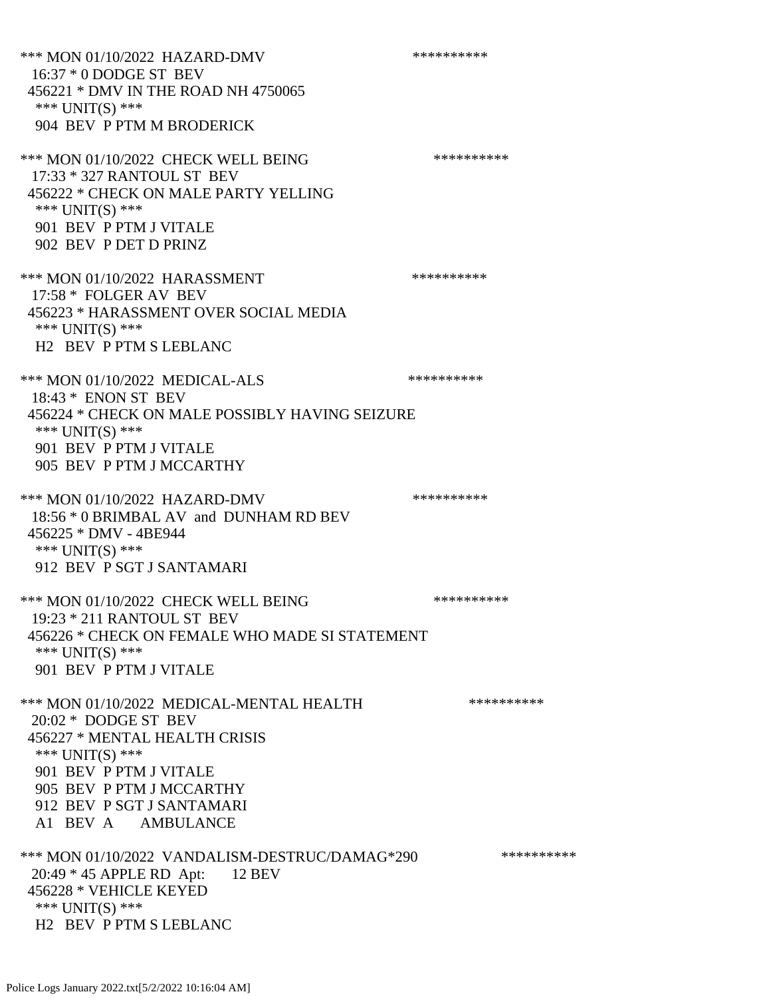\*\*\* MON 01/10/2022 HAZARD-DMV \*\*\*\*\*\*\*\*\*\* 16:37 \* 0 DODGE ST BEV 456221 \* DMV IN THE ROAD NH 4750065 \*\*\* UNIT(S) \*\*\* 904 BEV P PTM M BRODERICK \*\*\* MON 01/10/2022 CHECK WELL BEING \*\*\*\*\*\*\*\*\*\* 17:33 \* 327 RANTOUL ST BEV 456222 \* CHECK ON MALE PARTY YELLING \*\*\* UNIT(S) \*\*\* 901 BEV P PTM J VITALE 902 BEV P DET D PRINZ \*\*\* MON 01/10/2022 HARASSMENT \*\*\*\*\*\*\*\*\*\*\*\*\*\*\* 17:58 \* FOLGER AV BEV 456223 \* HARASSMENT OVER SOCIAL MEDIA \*\*\* UNIT(S) \*\*\* H2 BEV P PTM S LEBLANC \*\*\* MON 01/10/2022 MEDICAL-ALS \*\*\*\*\*\*\*\*\*\*\*\* 18:43 \* ENON ST BEV 456224 \* CHECK ON MALE POSSIBLY HAVING SEIZURE \*\*\* UNIT(S) \*\*\* 901 BEV P PTM J VITALE 905 BEV P PTM J MCCARTHY \*\*\* MON 01/10/2022 HAZARD-DMV \*\*\*\*\*\*\*\*\*\* 18:56 \* 0 BRIMBAL AV and DUNHAM RD BEV 456225 \* DMV - 4BE944 \*\*\* UNIT(S) \*\*\* 912 BEV P SGT J SANTAMARI \*\*\* MON 01/10/2022 CHECK WELL BEING \*\*\*\*\*\*\*\*\*\* 19:23 \* 211 RANTOUL ST BEV 456226 \* CHECK ON FEMALE WHO MADE SI STATEMENT \*\*\* UNIT(S) \*\*\* 901 BEV P PTM J VITALE \*\*\* MON 01/10/2022 MEDICAL-MENTAL HEALTH \*\*\*\*\*\*\*\*\*\*\*\* 20:02 \* DODGE ST BEV 456227 \* MENTAL HEALTH CRISIS \*\*\* UNIT(S) \*\*\* 901 BEV P PTM J VITALE 905 BEV P PTM J MCCARTHY 912 BEV P SGT J SANTAMARI A1 BEV A AMBULANCE \*\*\* MON 01/10/2022 VANDALISM-DESTRUC/DAMAG\*290 \*\*\*\*\*\*\*\*\*\* 20:49 \* 45 APPLE RD Apt: 12 BEV 456228 \* VEHICLE KEYED \*\*\* UNIT(S) \*\*\* H2 BEV P PTM S LEBLANC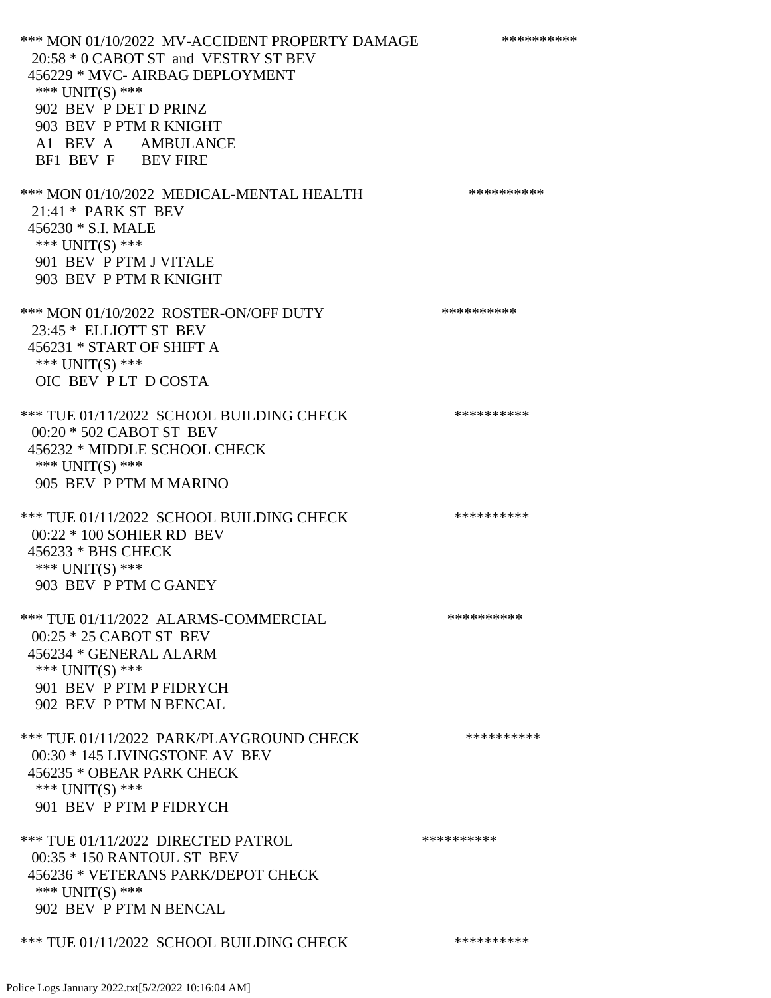\*\*\* MON 01/10/2022 MV-ACCIDENT PROPERTY DAMAGE \*\*\*\*\*\*\*\*\*\*\*\* 20:58 \* 0 CABOT ST and VESTRY ST BEV 456229 \* MVC- AIRBAG DEPLOYMENT \*\*\* UNIT(S) \*\*\* 902 BEV P DET D PRINZ 903 BEV P PTM R KNIGHT A1 BEV A AMBULANCE BF1 BEV F BEV FIRE \*\*\* MON 01/10/2022 MEDICAL-MENTAL HEALTH \*\*\*\*\*\*\*\*\*\*\* 21:41 \* PARK ST BEV 456230 \* S.I. MALE \*\*\* UNIT(S) \*\*\* 901 BEV P PTM J VITALE 903 BEV P PTM R KNIGHT \*\*\* MON 01/10/2022 ROSTER-ON/OFF DUTY \*\*\*\*\*\*\*\*\*\* 23:45 \* ELLIOTT ST BEV 456231 \* START OF SHIFT A \*\*\* UNIT(S) \*\*\* OIC BEV P LT D COSTA \*\*\* TUE 01/11/2022 SCHOOL BUILDING CHECK \*\*\*\*\*\*\*\*\*\*\* 00:20 \* 502 CABOT ST BEV 456232 \* MIDDLE SCHOOL CHECK \*\*\* UNIT(S) \*\*\* 905 BEV P PTM M MARINO \*\*\* TUE 01/11/2022 SCHOOL BUILDING CHECK \*\*\*\*\*\*\*\*\*\*\*\* 00:22 \* 100 SOHIER RD BEV 456233 \* BHS CHECK \*\*\* UNIT(S) \*\*\* 903 BEV P PTM C GANEY \*\*\* TUE 01/11/2022 ALARMS-COMMERCIAL \*\*\*\*\*\*\*\*\*\* 00:25 \* 25 CABOT ST BEV 456234 \* GENERAL ALARM \*\*\* UNIT(S) \*\*\* 901 BEV P PTM P FIDRYCH 902 BEV P PTM N BENCAL \*\*\* TUE 01/11/2022 PARK/PLAYGROUND CHECK \*\*\*\*\*\*\*\*\*\* 00:30 \* 145 LIVINGSTONE AV BEV 456235 \* OBEAR PARK CHECK \*\*\* UNIT(S) \*\*\* 901 BEV P PTM P FIDRYCH \*\*\* TUE 01/11/2022 DIRECTED PATROL \*\*\*\*\*\*\*\*\*\* 00:35 \* 150 RANTOUL ST BEV 456236 \* VETERANS PARK/DEPOT CHECK \*\*\* UNIT(S) \*\*\* 902 BEV P PTM N BENCAL \*\*\* TUE 01/11/2022 SCHOOL BUILDING CHECK \*\*\*\*\*\*\*\*\*\*\*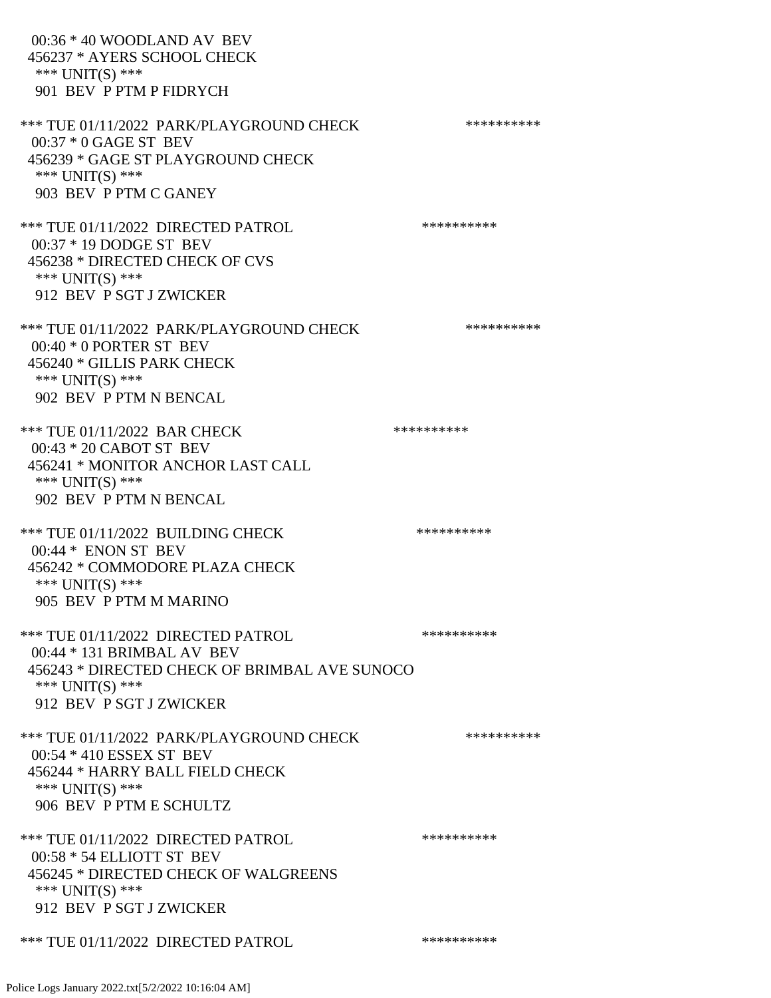00:36 \* 40 WOODLAND AV BEV 456237 \* AYERS SCHOOL CHECK \*\*\* UNIT(S) \*\*\* 901 BEV P PTM P FIDRYCH \*\*\* TUE 01/11/2022 PARK/PLAYGROUND CHECK \*\*\*\*\*\*\*\*\*\*\*\* 00:37 \* 0 GAGE ST BEV 456239 \* GAGE ST PLAYGROUND CHECK \*\*\* UNIT(S) \*\*\* 903 BEV P PTM C GANEY \*\*\* TUE 01/11/2022 DIRECTED PATROL \*\*\*\*\*\*\*\*\*\* 00:37 \* 19 DODGE ST BEV 456238 \* DIRECTED CHECK OF CVS \*\*\* UNIT(S) \*\*\* 912 BEV P SGT J ZWICKER \*\*\* TUE 01/11/2022 PARK/PLAYGROUND CHECK \*\*\*\*\*\*\*\*\*\* 00:40 \* 0 PORTER ST BEV 456240 \* GILLIS PARK CHECK \*\*\* UNIT(S) \*\*\* 902 BEV P PTM N BENCAL \*\*\* TUE 01/11/2022 BAR CHECK \*\*\*\*\*\*\*\*\*\*\* 00:43 \* 20 CABOT ST BEV 456241 \* MONITOR ANCHOR LAST CALL \*\*\* UNIT(S) \*\*\* 902 BEV P PTM N BENCAL \*\*\* TUE 01/11/2022 BUILDING CHECK \*\*\*\*\*\*\*\*\*\*\* 00:44 \* ENON ST BEV 456242 \* COMMODORE PLAZA CHECK \*\*\* UNIT(S) \*\*\* 905 BEV P PTM M MARINO \*\*\* TUE 01/11/2022 DIRECTED PATROL \*\*\*\*\*\*\*\*\*\* 00:44 \* 131 BRIMBAL AV BEV 456243 \* DIRECTED CHECK OF BRIMBAL AVE SUNOCO \*\*\* UNIT(S) \*\*\* 912 BEV P SGT J ZWICKER \*\*\* TUE 01/11/2022 PARK/PLAYGROUND CHECK \*\*\*\*\*\*\*\*\*\*\*\* 00:54 \* 410 ESSEX ST BEV 456244 \* HARRY BALL FIELD CHECK \*\*\* UNIT(S) \*\*\* 906 BEV P PTM E SCHULTZ \*\*\* TUE 01/11/2022 DIRECTED PATROL \*\*\*\*\*\*\*\*\*\* 00:58 \* 54 ELLIOTT ST BEV 456245 \* DIRECTED CHECK OF WALGREENS \*\*\* UNIT(S) \*\*\* 912 BEV P SGT J ZWICKER \*\*\* TUE 01/11/2022 DIRECTED PATROL \*\*\*\*\*\*\*\*\*\*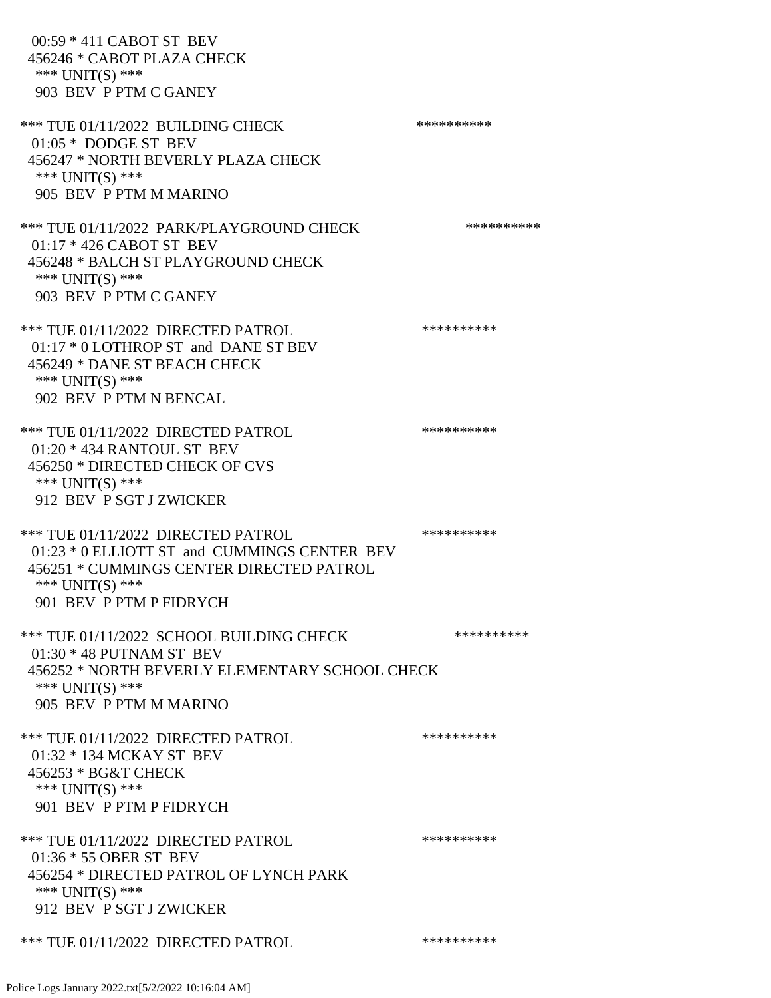00:59 \* 411 CABOT ST BEV 456246 \* CABOT PLAZA CHECK \*\*\* UNIT(S) \*\*\* 903 BEV P PTM C GANEY \*\*\* TUE 01/11/2022 BUILDING CHECK \*\*\*\*\*\*\*\*\*\*\*\* 01:05 \* DODGE ST BEV 456247 \* NORTH BEVERLY PLAZA CHECK \*\*\* UNIT(S) \*\*\* 905 BEV P PTM M MARINO \*\*\* TUE 01/11/2022 PARK/PLAYGROUND CHECK \*\*\*\*\*\*\*\*\*\*\*\* 01:17 \* 426 CABOT ST BEV 456248 \* BALCH ST PLAYGROUND CHECK \*\*\* UNIT(S) \*\*\* 903 BEV P PTM C GANEY \*\*\* TUE 01/11/2022 DIRECTED PATROL \*\*\*\*\*\*\*\*\*\* 01:17 \* 0 LOTHROP ST and DANE ST BEV 456249 \* DANE ST BEACH CHECK \*\*\* UNIT(S) \*\*\* 902 BEV P PTM N BENCAL \*\*\* TUE 01/11/2022 DIRECTED PATROL \*\*\*\*\*\*\*\*\*\* 01:20 \* 434 RANTOUL ST BEV 456250 \* DIRECTED CHECK OF CVS \*\*\* UNIT(S) \*\*\* 912 BEV P SGT J ZWICKER \*\*\* TUE 01/11/2022 DIRECTED PATROL \*\*\*\*\*\*\*\*\*\* 01:23 \* 0 ELLIOTT ST and CUMMINGS CENTER BEV 456251 \* CUMMINGS CENTER DIRECTED PATROL \*\*\* UNIT(S) \*\*\* 901 BEV P PTM P FIDRYCH \*\*\* TUE 01/11/2022 SCHOOL BUILDING CHECK \*\*\*\*\*\*\*\*\*\*\* 01:30 \* 48 PUTNAM ST BEV 456252 \* NORTH BEVERLY ELEMENTARY SCHOOL CHECK \*\*\* UNIT(S) \*\*\* 905 BEV P PTM M MARINO \*\*\* TUE 01/11/2022 DIRECTED PATROL \*\*\*\*\*\*\*\*\*\* 01:32 \* 134 MCKAY ST BEV 456253 \* BG&T CHECK \*\*\* UNIT(S) \*\*\* 901 BEV P PTM P FIDRYCH \*\*\* TUE 01/11/2022 DIRECTED PATROL \*\*\*\*\*\*\*\*\*\* 01:36 \* 55 OBER ST BEV 456254 \* DIRECTED PATROL OF LYNCH PARK \*\*\* UNIT(S) \*\*\* 912 BEV P SGT J ZWICKER \*\*\* TUE 01/11/2022 DIRECTED PATROL \*\*\*\*\*\*\*\*\*\*\*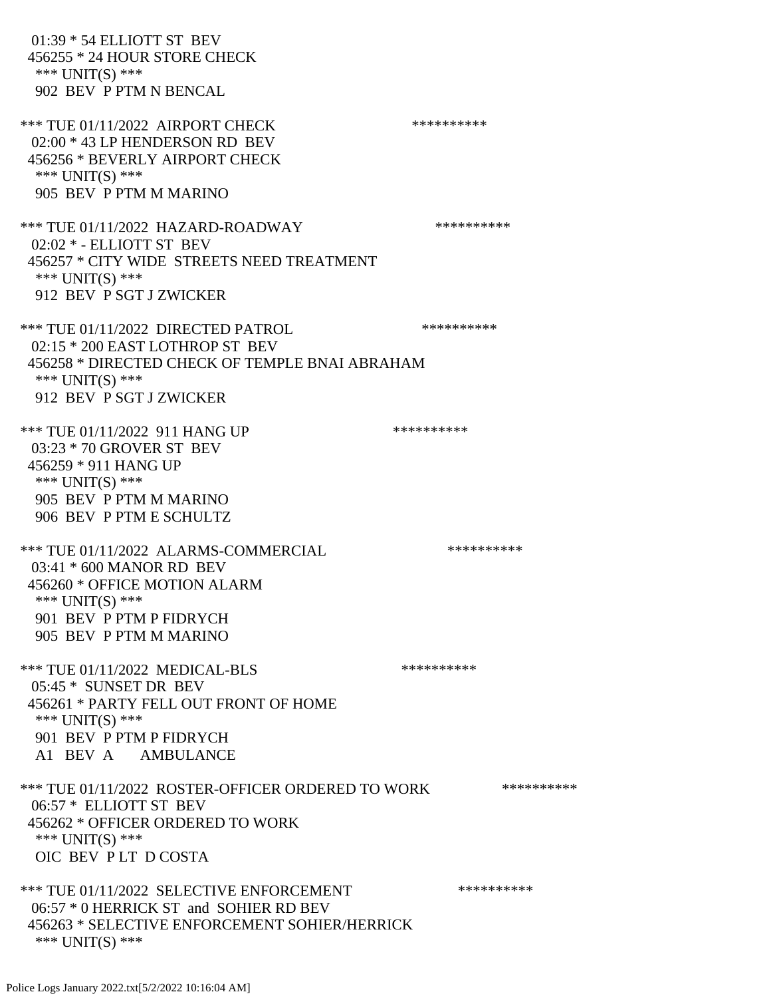01:39 \* 54 ELLIOTT ST BEV 456255 \* 24 HOUR STORE CHECK \*\*\* UNIT(S) \*\*\* 902 BEV P PTM N BENCAL \*\*\* TUE 01/11/2022 AIRPORT CHECK \*\*\*\*\*\*\*\*\*\*\* 02:00 \* 43 LP HENDERSON RD BEV 456256 \* BEVERLY AIRPORT CHECK \*\*\* UNIT(S) \*\*\* 905 BEV P PTM M MARINO \*\*\* TUE 01/11/2022 HAZARD-ROADWAY \*\*\*\*\*\*\*\*\*\* 02:02 \* - ELLIOTT ST BEV 456257 \* CITY WIDE STREETS NEED TREATMENT \*\*\* UNIT(S) \*\*\* 912 BEV P SGT J ZWICKER \*\*\* TUE 01/11/2022 DIRECTED PATROL \*\*\*\*\*\*\*\*\*\*\*\*\*\* 02:15 \* 200 EAST LOTHROP ST BEV 456258 \* DIRECTED CHECK OF TEMPLE BNAI ABRAHAM \*\*\* UNIT(S) \*\*\* 912 BEV P SGT J ZWICKER \*\*\* TUE 01/11/2022 911 HANG UP \*\*\*\*\*\*\*\*\*\*\*\* 03:23 \* 70 GROVER ST BEV 456259 \* 911 HANG UP \*\*\* UNIT(S) \*\*\* 905 BEV P PTM M MARINO 906 BEV P PTM E SCHULTZ \*\*\* TUE 01/11/2022 ALARMS-COMMERCIAL \*\*\*\*\*\*\*\*\*\* 03:41 \* 600 MANOR RD BEV 456260 \* OFFICE MOTION ALARM \*\*\* UNIT(S) \*\*\* 901 BEV P PTM P FIDRYCH 905 BEV P PTM M MARINO \*\*\* TUE 01/11/2022 MEDICAL-BLS \*\*\*\*\*\*\*\*\*\*\*\* 05:45 \* SUNSET DR BEV 456261 \* PARTY FELL OUT FRONT OF HOME \*\*\* UNIT(S) \*\*\* 901 BEV P PTM P FIDRYCH A1 BEV A AMBULANCE \*\*\* TUE 01/11/2022 ROSTER-OFFICER ORDERED TO WORK \*\*\*\*\*\*\*\*\*\*\* 06:57 \* ELLIOTT ST BEV 456262 \* OFFICER ORDERED TO WORK \*\*\* UNIT(S) \*\*\* OIC BEV P LT D COSTA \*\*\* TUE 01/11/2022 SELECTIVE ENFORCEMENT \*\*\*\*\*\*\*\*\*\*\*\* 06:57 \* 0 HERRICK ST and SOHIER RD BEV 456263 \* SELECTIVE ENFORCEMENT SOHIER/HERRICK \*\*\* UNIT(S) \*\*\*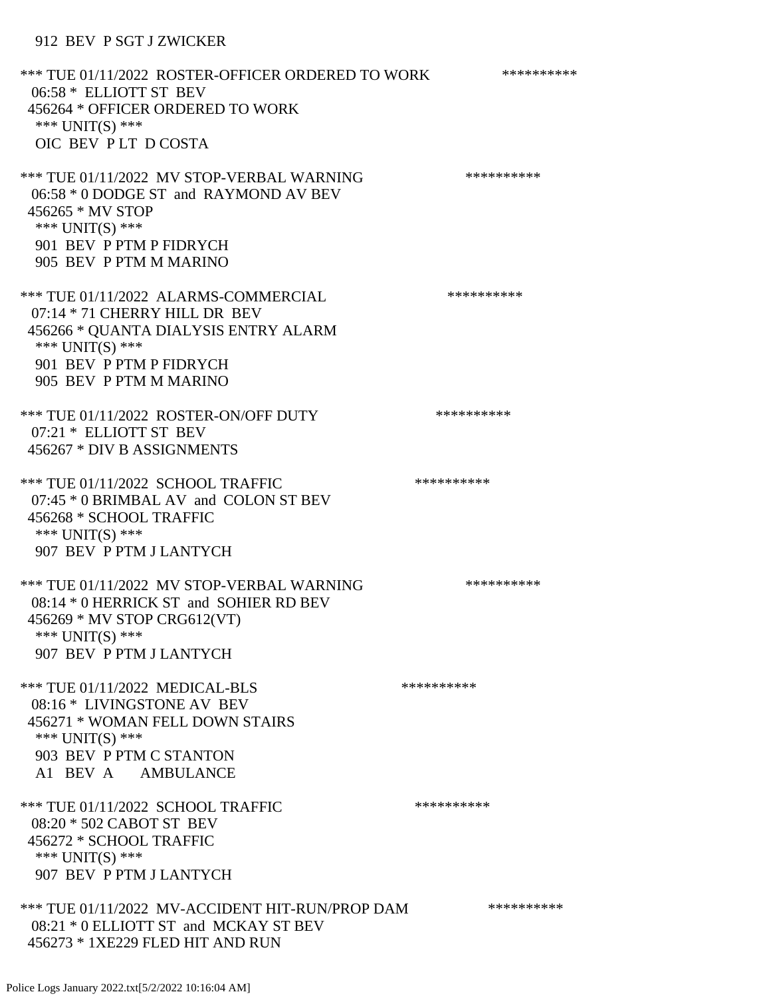## 912 BEV P SGT J ZWICKER

\*\*\* TUE 01/11/2022 ROSTER-OFFICER ORDERED TO WORK \*\*\*\*\*\*\*\*\*\*\* 06:58 \* ELLIOTT ST BEV 456264 \* OFFICER ORDERED TO WORK \*\*\* UNIT(S) \*\*\* OIC BEV P LT D COSTA \*\*\* TUE 01/11/2022 MV STOP-VERBAL WARNING \*\*\*\*\*\*\*\*\*\*\*\*\* 06:58 \* 0 DODGE ST and RAYMOND AV BEV 456265 \* MV STOP \*\*\* UNIT(S) \*\*\* 901 BEV P PTM P FIDRYCH 905 BEV P PTM M MARINO \*\*\* TUE 01/11/2022 ALARMS-COMMERCIAL \*\*\*\*\*\*\*\*\*\*\*\*\*\* 07:14 \* 71 CHERRY HILL DR BEV 456266 \* QUANTA DIALYSIS ENTRY ALARM \*\*\* UNIT(S) \*\*\* 901 BEV P PTM P FIDRYCH 905 BEV P PTM M MARINO \*\*\* TUE 01/11/2022 ROSTER-ON/OFF DUTY \*\*\*\*\*\*\*\*\*\* 07:21 \* ELLIOTT ST BEV 456267 \* DIV B ASSIGNMENTS \*\*\* TUE 01/11/2022 SCHOOL TRAFFIC \*\*\*\*\*\*\*\*\*\*\*\*\*\*\* 07:45 \* 0 BRIMBAL AV and COLON ST BEV 456268 \* SCHOOL TRAFFIC \*\*\* UNIT(S) \*\*\* 907 BEV P PTM J LANTYCH \*\*\* TUE 01/11/2022 MV STOP-VERBAL WARNING \*\*\*\*\*\*\*\*\*\*\*\*\*\* 08:14 \* 0 HERRICK ST and SOHIER RD BEV 456269 \* MV STOP CRG612(VT) \*\*\* UNIT(S) \*\*\* 907 BEV P PTM J LANTYCH \*\*\* TUE 01/11/2022 MEDICAL-BLS \*\*\*\*\*\*\*\*\*\*\*\*\* 08:16 \* LIVINGSTONE AV BEV 456271 \* WOMAN FELL DOWN STAIRS \*\*\* UNIT(S) \*\*\* 903 BEV P PTM C STANTON A1 BEV A AMBULANCE \*\*\* TUE 01/11/2022 SCHOOL TRAFFIC \*\*\*\*\*\*\*\*\*\*\*\*\* 08:20 \* 502 CABOT ST BEV 456272 \* SCHOOL TRAFFIC \*\*\* UNIT(S) \*\*\* 907 BEV P PTM J LANTYCH \*\*\* TUE 01/11/2022 MV-ACCIDENT HIT-RUN/PROP DAM \*\*\*\*\*\*\*\*\*\* 08:21 \* 0 ELLIOTT ST and MCKAY ST BEV 456273 \* 1XE229 FLED HIT AND RUN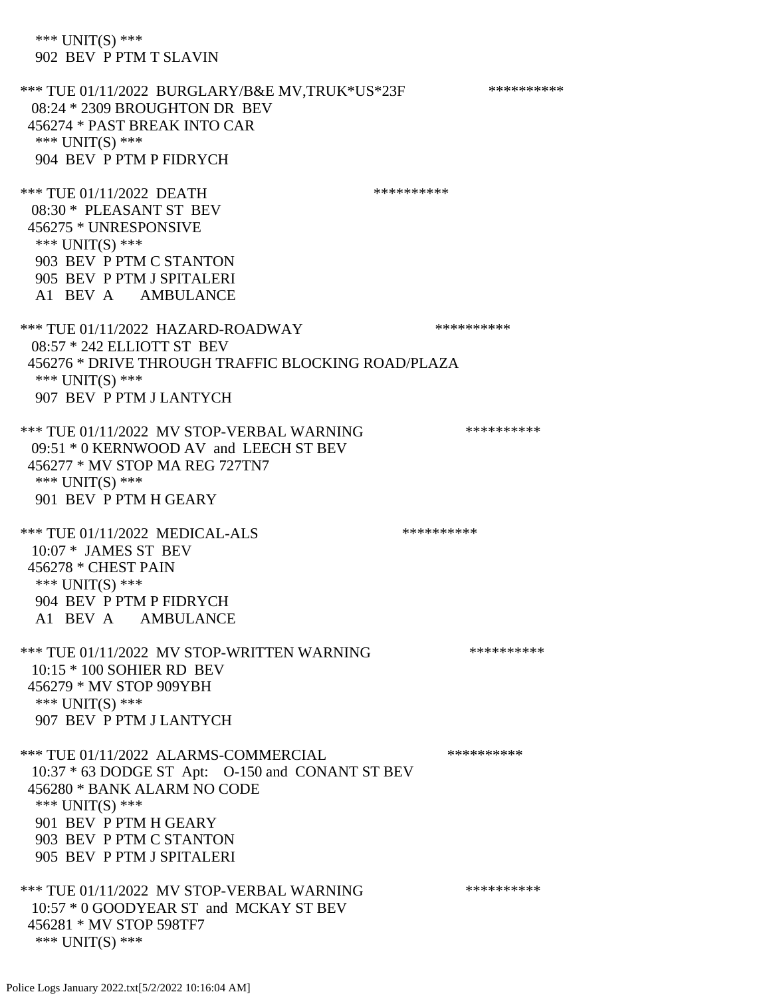\*\*\* UNIT(S) \*\*\* 902 BEV P PTM T SLAVIN \*\*\* TUE 01/11/2022 BURGLARY/B&E MV.TRUK\*US\*23F \*\*\*\*\*\*\*\*\*\*\*\* 08:24 \* 2309 BROUGHTON DR BEV 456274 \* PAST BREAK INTO CAR \*\*\* UNIT(S) \*\*\* 904 BEV P PTM P FIDRYCH \*\*\* TUE 01/11/2022 DEATH \*\*\*\*\*\*\*\*\*\*\*\*\*\*\* 08:30 \* PLEASANT ST BEV 456275 \* UNRESPONSIVE \*\*\* UNIT(S) \*\*\* 903 BEV P PTM C STANTON 905 BEV P PTM J SPITALERI A1 BEV A AMBULANCE \*\*\* TUE 01/11/2022 HAZARD-ROADWAY \*\*\*\*\*\*\*\*\*\* 08:57 \* 242 ELLIOTT ST BEV 456276 \* DRIVE THROUGH TRAFFIC BLOCKING ROAD/PLAZA \*\*\* UNIT(S) \*\*\* 907 BEV P PTM J LANTYCH \*\*\* TUE 01/11/2022 MV STOP-VERBAL WARNING \*\*\*\*\*\*\*\*\*\*\*\*\* 09:51 \* 0 KERNWOOD AV and LEECH ST BEV 456277 \* MV STOP MA REG 727TN7 \*\*\* UNIT(S) \*\*\* 901 BEV P PTM H GEARY \*\*\* TUE 01/11/2022 MEDICAL-ALS \*\*\*\*\*\*\*\*\*\*\*\*\* 10:07 \* JAMES ST BEV 456278 \* CHEST PAIN \*\*\* UNIT(S) \*\*\* 904 BEV P PTM P FIDRYCH A1 BEV A AMBULANCE \*\*\* TUE 01/11/2022 MV STOP-WRITTEN WARNING \*\*\*\*\*\*\*\*\*\*\*\*\* 10:15 \* 100 SOHIER RD BEV 456279 \* MV STOP 909YBH \*\*\* UNIT(S) \*\*\* 907 BEV P PTM J LANTYCH \*\*\* TUE 01/11/2022 ALARMS-COMMERCIAL \*\*\*\*\*\*\*\*\*\* 10:37 \* 63 DODGE ST Apt: O-150 and CONANT ST BEV 456280 \* BANK ALARM NO CODE \*\*\* UNIT(S) \*\*\* 901 BEV P PTM H GEARY 903 BEV P PTM C STANTON 905 BEV P PTM J SPITALERI \*\*\* TUE 01/11/2022 MV STOP-VERBAL WARNING \*\*\*\*\*\*\*\*\*\*\*\*\* 10:57 \* 0 GOODYEAR ST and MCKAY ST BEV 456281 \* MV STOP 598TF7 \*\*\* UNIT(S) \*\*\*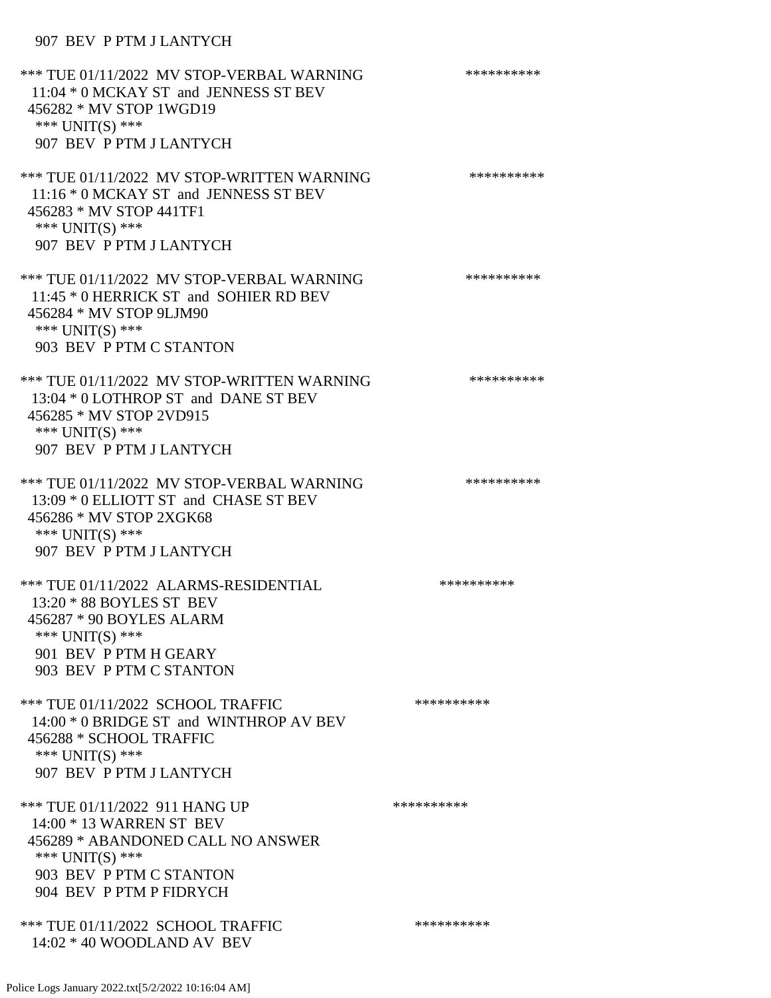## 907 BEV P PTM J LANTYCH

| *** TUE 01/11/2022 MV STOP-VERBAL WARNING<br>11:04 * 0 MCKAY ST and JENNESS ST BEV<br>456282 * MV STOP 1WGD19<br>*** $UNIT(S)$ ***<br>907 BEV P PTM J LANTYCH              | ********** |
|----------------------------------------------------------------------------------------------------------------------------------------------------------------------------|------------|
| *** TUE 01/11/2022 MV STOP-WRITTEN WARNING<br>11:16 * 0 MCKAY ST and JENNESS ST BEV<br>456283 * MV STOP 441TF1<br>*** UNIT(S) ***<br>907 BEV P PTM J LANTYCH               | ********** |
| *** TUE 01/11/2022 MV STOP-VERBAL WARNING<br>11:45 * 0 HERRICK ST and SOHIER RD BEV<br>456284 * MV STOP 9LJM90<br>*** UNIT(S) ***<br>903 BEV P PTM C STANTON               | ********** |
| *** TUE 01/11/2022 MV STOP-WRITTEN WARNING<br>13:04 * 0 LOTHROP ST and DANE ST BEV<br>456285 * MV STOP 2VD915<br>*** UNIT(S) ***<br>907 BEV P PTM J LANTYCH                | ********** |
| *** TUE 01/11/2022 MV STOP-VERBAL WARNING<br>13:09 * 0 ELLIOTT ST and CHASE ST BEV<br>456286 * MV STOP 2XGK68<br>*** UNIT(S) ***<br>907 BEV P PTM J LANTYCH                | ********** |
| *** TUE 01/11/2022 ALARMS-RESIDENTIAL<br>$13:20 * 88$ BOYLES ST BEV<br>456287 * 90 BOYLES ALARM<br>*** UNIT(S) ***<br>901 BEV P PTM H GEARY<br>903 BEV P PTM C STANTON     | ********** |
| *** TUE 01/11/2022 SCHOOL TRAFFIC<br>14:00 * 0 BRIDGE ST and WINTHROP AV BEV<br>456288 * SCHOOL TRAFFIC<br>*** $UNIT(S)$ ***<br>907 BEV P PTM J LANTYCH                    | ********** |
| *** TUE 01/11/2022 911 HANG UP<br>14:00 * 13 WARREN ST BEV<br>456289 * ABANDONED CALL NO ANSWER<br>*** $UNIT(S)$ ***<br>903 BEV P PTM C STANTON<br>904 BEV P PTM P FIDRYCH | ********** |
| *** TUE 01/11/2022 SCHOOL TRAFFIC<br>$14:02 * 40$ WOODLAND AV BEV                                                                                                          | ********** |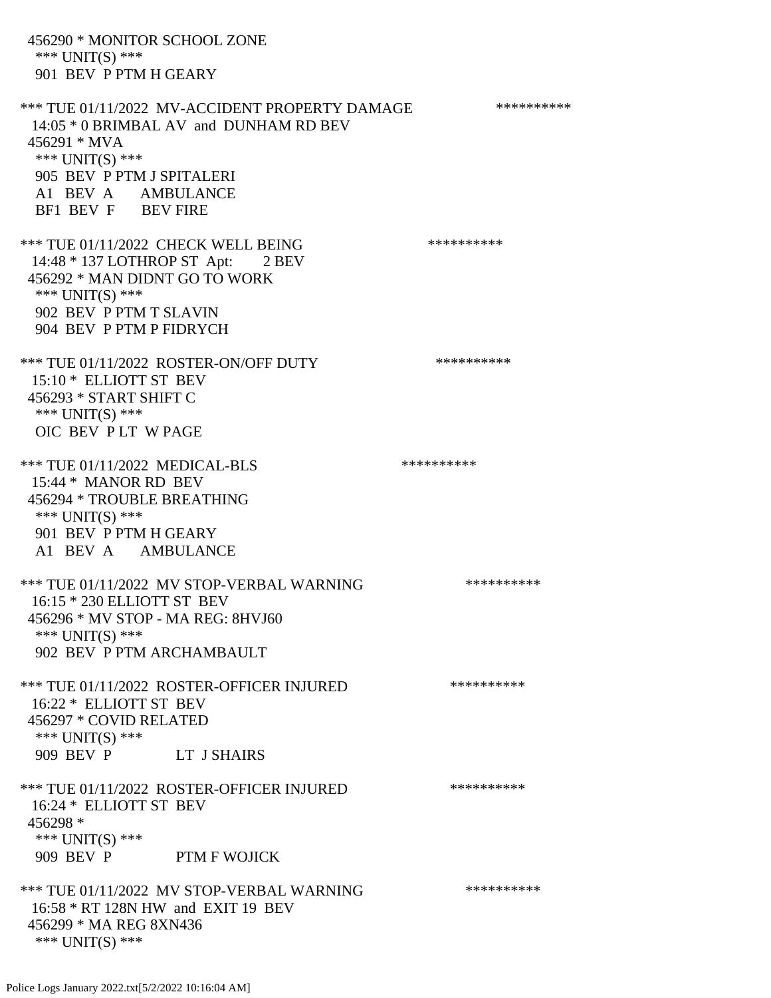456290 \* MONITOR SCHOOL ZONE \*\*\* UNIT(S) \*\*\* 901 BEV P PTM H GEARY \*\*\* TUE 01/11/2022 MV-ACCIDENT PROPERTY DAMAGE \*\*\*\*\*\*\*\*\*\*\*\* 14:05 \* 0 BRIMBAL AV and DUNHAM RD BEV 456291 \* MVA \*\*\* UNIT(S) \*\*\* 905 BEV P PTM J SPITALERI A1 BEV A AMBULANCE BF1 BEV F BEV FIRE \*\*\* TUE 01/11/2022 CHECK WELL BEING \*\*\*\*\*\*\*\*\*\*\*\* 14:48 \* 137 LOTHROP ST Apt: 2 BEV 456292 \* MAN DIDNT GO TO WORK \*\*\* UNIT(S) \*\*\* 902 BEV P PTM T SLAVIN 904 BEV P PTM P FIDRYCH \*\*\* TUE 01/11/2022 ROSTER-ON/OFF DUTY \*\*\*\*\*\*\*\*\*\* 15:10 \* ELLIOTT ST BEV 456293 \* START SHIFT C \*\*\* UNIT(S) \*\*\* OIC BEV P LT W PAGE \*\*\* TUE 01/11/2022 MEDICAL-BLS \*\*\*\*\*\*\*\*\*\*\*\* 15:44 \* MANOR RD BEV 456294 \* TROUBLE BREATHING \*\*\* UNIT(S) \*\*\* 901 BEV P PTM H GEARY A1 BEV A AMBULANCE \*\*\* TUE 01/11/2022 MV STOP-VERBAL WARNING \*\*\*\*\*\*\*\*\*\*\*\* 16:15 \* 230 ELLIOTT ST BEV 456296 \* MV STOP - MA REG: 8HVJ60 \*\*\* UNIT(S) \*\*\* 902 BEV P PTM ARCHAMBAULT \*\*\* TUE 01/11/2022 ROSTER-OFFICER INJURED \*\*\*\*\*\*\*\*\*\* 16:22 \* ELLIOTT ST BEV 456297 \* COVID RELATED \*\*\* UNIT(S) \*\*\* 909 BEV P LT J SHAIRS \*\*\* TUE 01/11/2022 ROSTER-OFFICER INJURED \*\*\*\*\*\*\*\*\*\* 16:24 \* ELLIOTT ST BEV 456298 \* \*\*\* UNIT(S) \*\*\* 909 BEV P PTM F WOJICK \*\*\* TUE 01/11/2022 MV STOP-VERBAL WARNING \*\*\*\*\*\*\*\*\*\*\*\*\* 16:58 \* RT 128N HW and EXIT 19 BEV 456299 \* MA REG 8XN436 \*\*\* UNIT(S) \*\*\*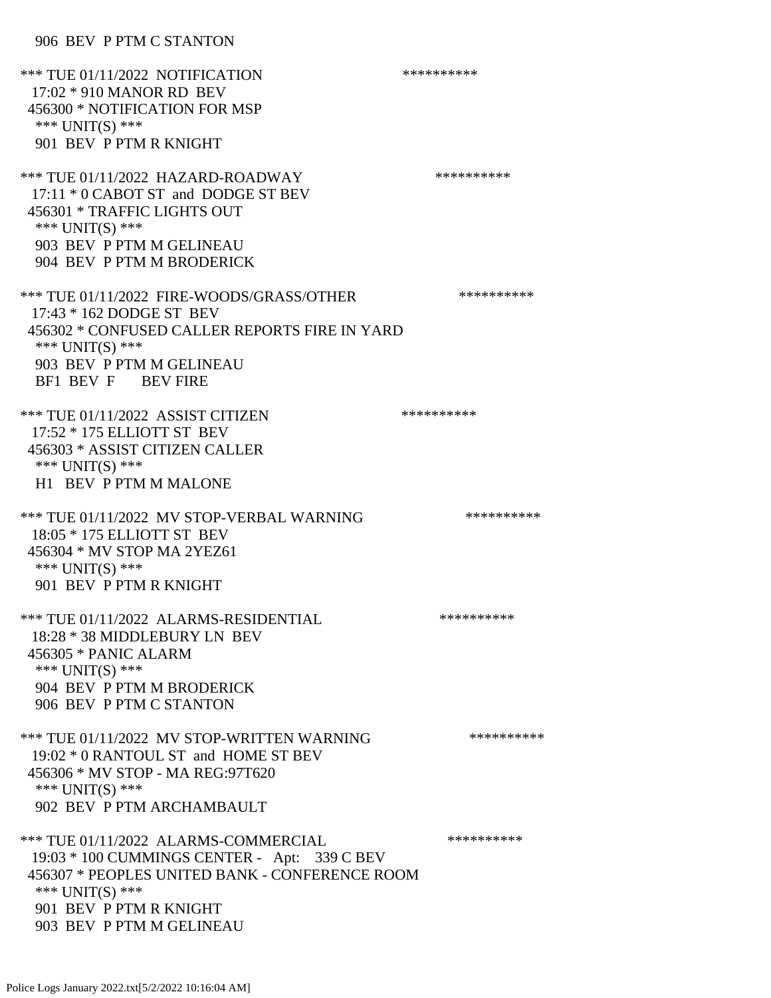906 BEV P PTM C STANTON

\*\*\* TUE 01/11/2022 NOTIFICATION \*\*\*\*\*\*\*\*\*\*\*\* 17:02 \* 910 MANOR RD BEV 456300 \* NOTIFICATION FOR MSP \*\*\* UNIT(S) \*\*\* 901 BEV P PTM R KNIGHT \*\*\* TUE 01/11/2022 HAZARD-ROADWAY \*\*\*\*\*\*\*\*\*\*\*\*\*\*\*\* 17:11 \* 0 CABOT ST and DODGE ST BEV 456301 \* TRAFFIC LIGHTS OUT \*\*\* UNIT(S) \*\*\* 903 BEV P PTM M GELINEAU 904 BEV P PTM M BRODERICK \*\*\* TUE 01/11/2022 FIRE-WOODS/GRASS/OTHER \*\*\*\*\*\*\*\*\*\* 17:43 \* 162 DODGE ST BEV 456302 \* CONFUSED CALLER REPORTS FIRE IN YARD \*\*\* UNIT(S) \*\*\* 903 BEV P PTM M GELINEAU BF1 BEV F BEV FIRE \*\*\* TUE 01/11/2022 ASSIST CITIZEN \*\*\*\*\*\*\*\*\*\*\*\* 17:52 \* 175 ELLIOTT ST BEV 456303 \* ASSIST CITIZEN CALLER \*\*\* UNIT(S) \*\*\* H1 BEV P PTM M MALONE \*\*\* TUE 01/11/2022 MV STOP-VERBAL WARNING \*\*\*\*\*\*\*\*\*\*\*\*\* 18:05 \* 175 ELLIOTT ST BEV 456304 \* MV STOP MA 2YEZ61 \*\*\* UNIT(S) \*\*\* 901 BEV P PTM R KNIGHT \*\*\* TUE 01/11/2022 ALARMS-RESIDENTIAL \*\*\*\*\*\*\*\*\*\* 18:28 \* 38 MIDDLEBURY LN BEV 456305 \* PANIC ALARM \*\*\* UNIT(S) \*\*\* 904 BEV P PTM M BRODERICK 906 BEV P PTM C STANTON \*\*\* TUE 01/11/2022 MV STOP-WRITTEN WARNING \*\*\*\*\*\*\*\*\*\*\*\*\* 19:02 \* 0 RANTOUL ST and HOME ST BEV 456306 \* MV STOP - MA REG:97T620 \*\*\* UNIT(S) \*\*\* 902 BEV P PTM ARCHAMBAULT \*\*\* TUE 01/11/2022 ALARMS-COMMERCIAL \*\*\*\*\*\*\*\*\*\* 19:03 \* 100 CUMMINGS CENTER - Apt: 339 C BEV 456307 \* PEOPLES UNITED BANK - CONFERENCE ROOM \*\*\* UNIT(S) \*\*\* 901 BEV P PTM R KNIGHT 903 BEV P PTM M GELINEAU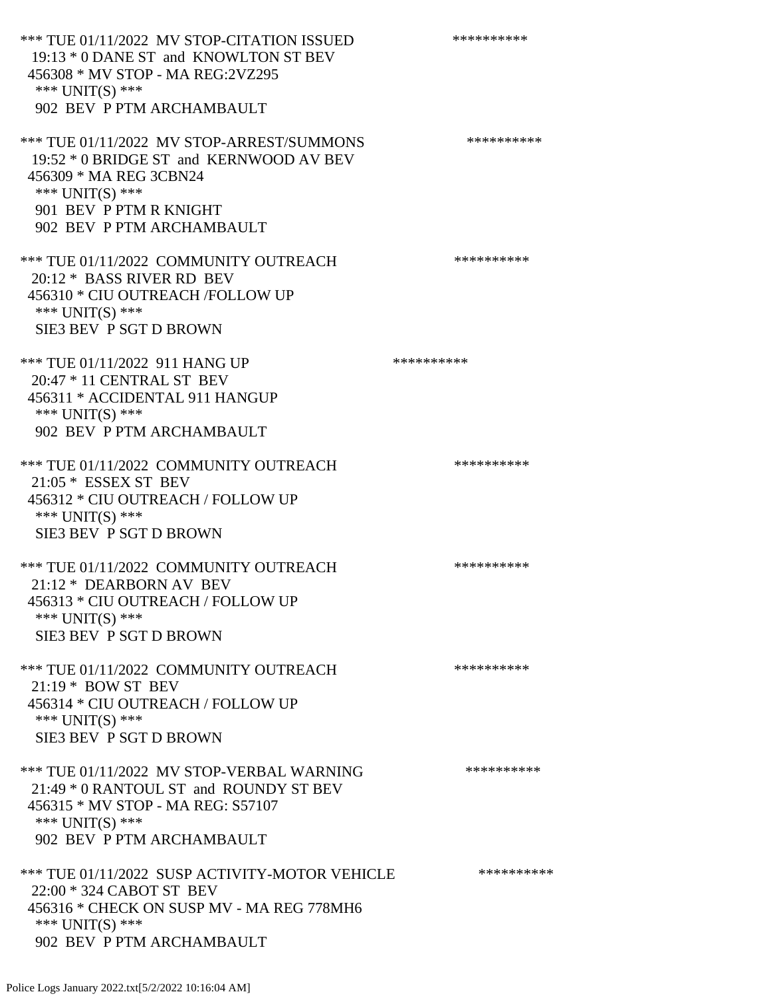\*\*\* TUE 01/11/2022 MV STOP-CITATION ISSUED \*\*\*\*\*\*\*\*\*\* 19:13 \* 0 DANE ST and KNOWLTON ST BEV 456308 \* MV STOP - MA REG:2VZ295 \*\*\* UNIT(S) \*\*\* 902 BEV P PTM ARCHAMBAULT \*\*\* TUE 01/11/2022 MV STOP-ARREST/SUMMONS \*\*\*\*\*\*\*\*\*\*\*\*\*\* 19:52 \* 0 BRIDGE ST and KERNWOOD AV BEV 456309 \* MA REG 3CBN24 \*\*\* UNIT(S) \*\*\* 901 BEV P PTM R KNIGHT 902 BEV P PTM ARCHAMBAULT \*\*\* TUE 01/11/2022 COMMUNITY OUTREACH \*\*\*\*\*\*\*\*\*\* 20:12 \* BASS RIVER RD BEV 456310 \* CIU OUTREACH /FOLLOW UP \*\*\* UNIT(S) \*\*\* SIE3 BEV P SGT D BROWN \*\*\* TUE 01/11/2022 911 HANG UP \*\*\*\*\*\*\*\*\*\* 20:47 \* 11 CENTRAL ST BEV 456311 \* ACCIDENTAL 911 HANGUP \*\*\* UNIT(S) \*\*\* 902 BEV P PTM ARCHAMBAULT \*\*\* TUE 01/11/2022 COMMUNITY OUTREACH \*\*\*\*\*\*\*\*\*\* 21:05 \* ESSEX ST BEV 456312 \* CIU OUTREACH / FOLLOW UP \*\*\* UNIT(S) \*\*\* SIE3 BEV P SGT D BROWN \*\*\* TUE 01/11/2022 COMMUNITY OUTREACH \*\*\*\*\*\*\*\*\*\*\*\*\* 21:12 \* DEARBORN AV BEV 456313 \* CIU OUTREACH / FOLLOW UP \*\*\* UNIT(S) \*\*\* SIE3 BEV P SGT D BROWN \*\*\* TUE 01/11/2022 COMMUNITY OUTREACH \*\*\*\*\*\*\*\*\*\* 21:19 \* BOW ST BEV 456314 \* CIU OUTREACH / FOLLOW UP \*\*\* UNIT(S) \*\*\* SIE3 BEV P SGT D BROWN \*\*\* TUE 01/11/2022 MV STOP-VERBAL WARNING \*\*\*\*\*\*\*\*\*\*\*\*\*\* 21:49 \* 0 RANTOUL ST and ROUNDY ST BEV 456315 \* MV STOP - MA REG: S57107 \*\*\* UNIT(S) \*\*\* 902 BEV P PTM ARCHAMBAULT \*\*\* TUE 01/11/2022 SUSP ACTIVITY-MOTOR VEHICLE \*\*\*\*\*\*\*\*\*\* 22:00 \* 324 CABOT ST BEV 456316 \* CHECK ON SUSP MV - MA REG 778MH6 \*\*\* UNIT(S) \*\*\* 902 BEV P PTM ARCHAMBAULT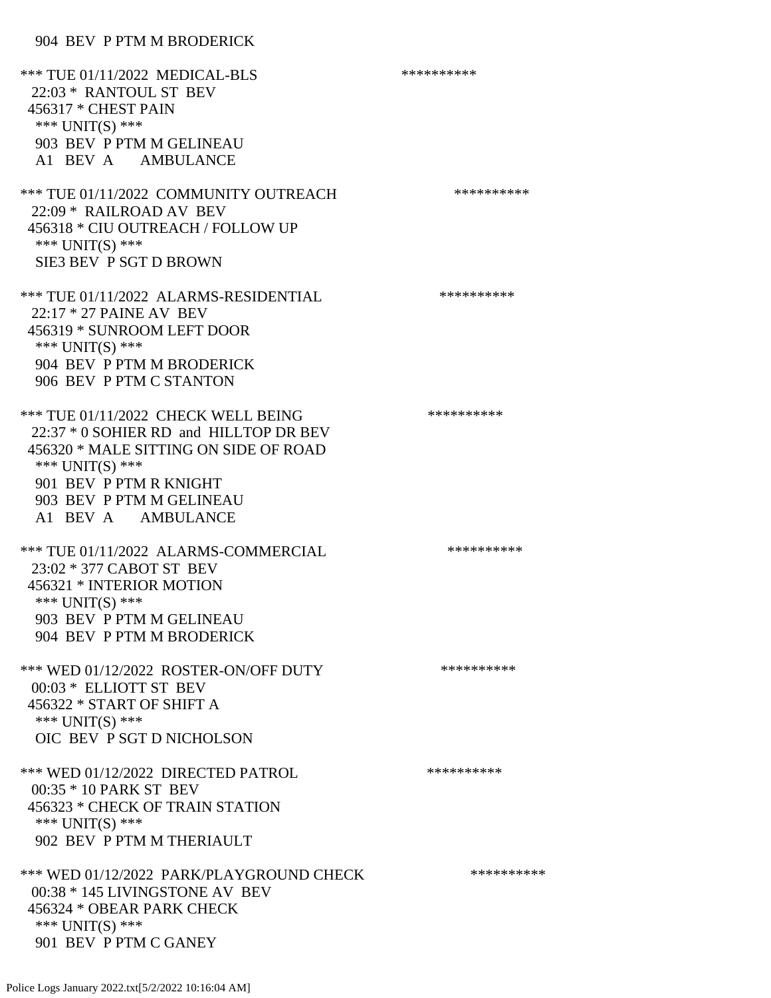## 904 BEV P PTM M BRODERICK

\*\*\* TUE 01/11/2022 MEDICAL-BLS \*\*\*\*\*\*\*\*\*\*\*\* 22:03 \* RANTOUL ST BEV 456317 \* CHEST PAIN \*\*\* UNIT(S) \*\*\* 903 BEV P PTM M GELINEAU A1 BEV A AMBULANCE \*\*\* TUE 01/11/2022 COMMUNITY OUTREACH \*\*\*\*\*\*\*\*\*\*\*\*\* 22:09 \* RAILROAD AV BEV 456318 \* CIU OUTREACH / FOLLOW UP \*\*\* UNIT(S) \*\*\* SIE3 BEV P SGT D BROWN \*\*\* TUE 01/11/2022 ALARMS-RESIDENTIAL \*\*\*\*\*\*\*\*\*\* 22:17 \* 27 PAINE AV BEV 456319 \* SUNROOM LEFT DOOR \*\*\* UNIT(S) \*\*\* 904 BEV P PTM M BRODERICK 906 BEV P PTM C STANTON \*\*\* TUE 01/11/2022 CHECK WELL BEING \*\*\*\*\*\*\*\*\*\*\*\*\* 22:37 \* 0 SOHIER RD and HILLTOP DR BEV 456320 \* MALE SITTING ON SIDE OF ROAD \*\*\* UNIT(S) \*\*\* 901 BEV P PTM R KNIGHT 903 BEV P PTM M GELINEAU A1 BEV A AMBULANCE \*\*\* TUE 01/11/2022 ALARMS-COMMERCIAL \*\*\*\*\*\*\*\*\*\* 23:02 \* 377 CABOT ST BEV 456321 \* INTERIOR MOTION \*\*\* UNIT(S) \*\*\* 903 BEV P PTM M GELINEAU 904 BEV P PTM M BRODERICK \*\*\* WED 01/12/2022 ROSTER-ON/OFF DUTY \*\*\*\*\*\*\*\*\*\* 00:03 \* ELLIOTT ST BEV 456322 \* START OF SHIFT A \*\*\* UNIT(S) \*\*\* OIC BEV P SGT D NICHOLSON \*\*\* WED 01/12/2022 DIRECTED PATROL \*\*\*\*\*\*\*\*\*\* 00:35 \* 10 PARK ST BEV 456323 \* CHECK OF TRAIN STATION \*\*\* UNIT(S) \*\*\* 902 BEV P PTM M THERIAULT \*\*\* WED 01/12/2022 PARK/PLAYGROUND CHECK \*\*\*\*\*\*\*\*\*\*\*\* 00:38 \* 145 LIVINGSTONE AV BEV 456324 \* OBEAR PARK CHECK \*\*\* UNIT(S) \*\*\* 901 BEV P PTM C GANEY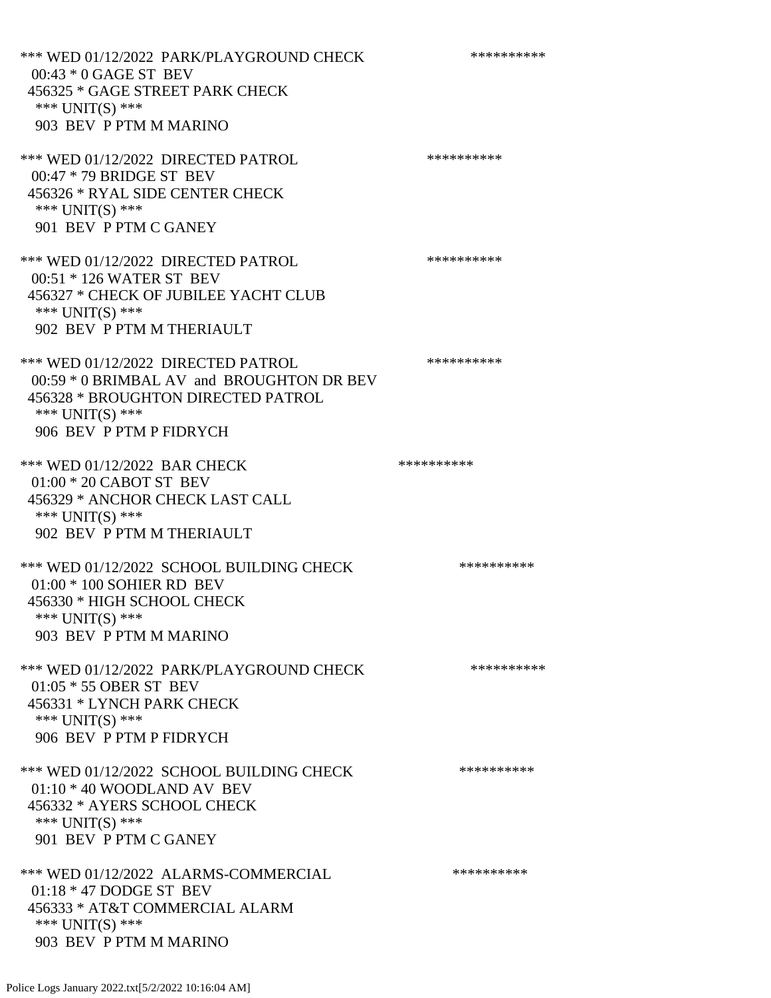\*\*\* WED 01/12/2022 PARK/PLAYGROUND CHECK \*\*\*\*\*\*\*\*\*\*\* 00:43 \* 0 GAGE ST BEV 456325 \* GAGE STREET PARK CHECK \*\*\* UNIT(S) \*\*\* 903 BEV P PTM M MARINO \*\*\* WED 01/12/2022 DIRECTED PATROL \*\*\*\*\*\*\*\*\*\* 00:47 \* 79 BRIDGE ST BEV 456326 \* RYAL SIDE CENTER CHECK \*\*\* UNIT(S) \*\*\* 901 BEV P PTM C GANEY \*\*\* WED 01/12/2022 DIRECTED PATROL \*\*\*\*\*\*\*\*\*\* 00:51 \* 126 WATER ST BEV 456327 \* CHECK OF JUBILEE YACHT CLUB \*\*\* UNIT(S) \*\*\* 902 BEV P PTM M THERIAULT \*\*\* WED 01/12/2022 DIRECTED PATROL \*\*\*\*\*\*\*\*\*\* 00:59 \* 0 BRIMBAL AV and BROUGHTON DR BEV 456328 \* BROUGHTON DIRECTED PATROL \*\*\* UNIT(S) \*\*\* 906 BEV P PTM P FIDRYCH \*\*\* WED 01/12/2022 BAR CHECK \*\*\*\*\*\*\*\*\*\*\* 01:00 \* 20 CABOT ST BEV 456329 \* ANCHOR CHECK LAST CALL \*\*\* UNIT(S) \*\*\* 902 BEV P PTM M THERIAULT \*\*\* WED 01/12/2022 SCHOOL BUILDING CHECK \*\*\*\*\*\*\*\*\*\*\* 01:00 \* 100 SOHIER RD BEV 456330 \* HIGH SCHOOL CHECK \*\*\* UNIT(S) \*\*\* 903 BEV P PTM M MARINO \*\*\* WED 01/12/2022 PARK/PLAYGROUND CHECK \*\*\*\*\*\*\*\*\*\*\* 01:05 \* 55 OBER ST BEV 456331 \* LYNCH PARK CHECK \*\*\* UNIT(S) \*\*\* 906 BEV P PTM P FIDRYCH \*\*\* WED 01/12/2022 SCHOOL BUILDING CHECK \*\*\*\*\*\*\*\*\*\*\*\* 01:10 \* 40 WOODLAND AV BEV 456332 \* AYERS SCHOOL CHECK \*\*\* UNIT(S) \*\*\* 901 BEV P PTM C GANEY \*\*\* WED 01/12/2022 ALARMS-COMMERCIAL \*\*\*\*\*\*\*\*\*\*\*\* 01:18 \* 47 DODGE ST BEV 456333 \* AT&T COMMERCIAL ALARM \*\*\* UNIT(S) \*\*\* 903 BEV P PTM M MARINO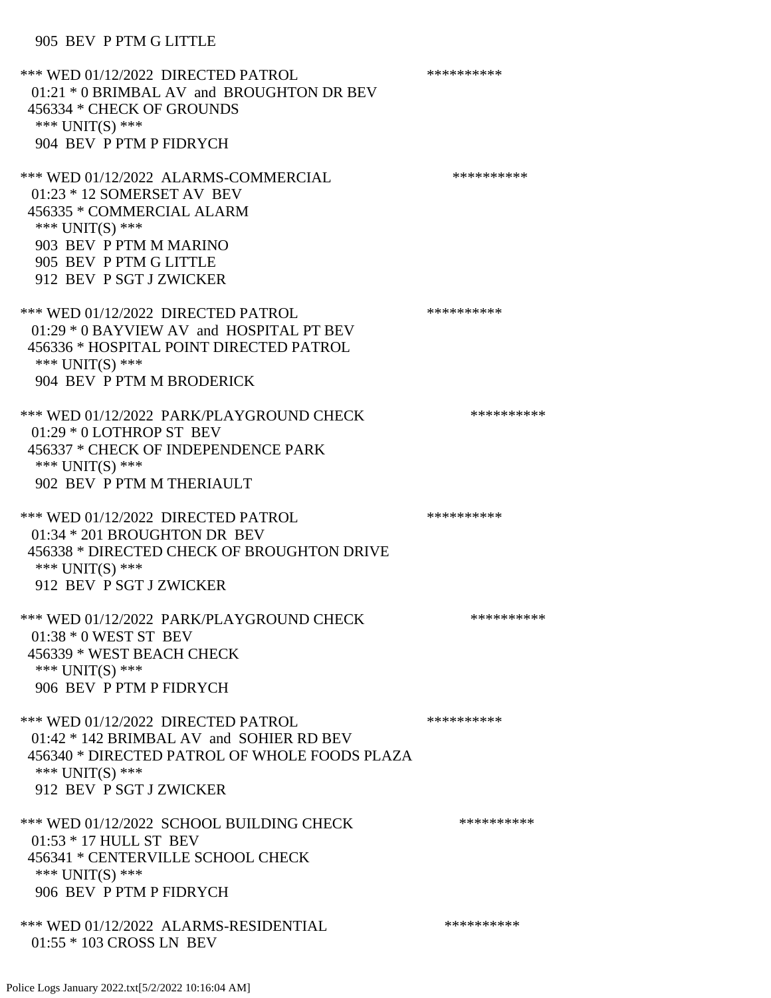## 905 BEV P PTM G LITTLE

\*\*\* WED 01/12/2022 DIRECTED PATROL \*\*\*\*\*\*\*\*\*\* 01:21 \* 0 BRIMBAL AV and BROUGHTON DR BEV 456334 \* CHECK OF GROUNDS \*\*\* UNIT(S) \*\*\* 904 BEV P PTM P FIDRYCH \*\*\* WED 01/12/2022 ALARMS-COMMERCIAL \*\*\*\*\*\*\*\*\*\* 01:23 \* 12 SOMERSET AV BEV 456335 \* COMMERCIAL ALARM \*\*\* UNIT(S) \*\*\* 903 BEV P PTM M MARINO 905 BEV P PTM G LITTLE 912 BEV P SGT J ZWICKER \*\*\* WED 01/12/2022 DIRECTED PATROL \*\*\*\*\*\*\*\*\*\* 01:29 \* 0 BAYVIEW AV and HOSPITAL PT BEV 456336 \* HOSPITAL POINT DIRECTED PATROL \*\*\* UNIT(S) \*\*\* 904 BEV P PTM M BRODERICK \*\*\* WED 01/12/2022 PARK/PLAYGROUND CHECK \*\*\*\*\*\*\*\*\*\*\*\* 01:29 \* 0 LOTHROP ST BEV 456337 \* CHECK OF INDEPENDENCE PARK \*\*\* UNIT(S) \*\*\* 902 BEV P PTM M THERIAULT \*\*\* WED 01/12/2022 DIRECTED PATROL \*\*\*\*\*\*\*\*\*\* 01:34 \* 201 BROUGHTON DR BEV 456338 \* DIRECTED CHECK OF BROUGHTON DRIVE \*\*\* UNIT(S) \*\*\* 912 BEV P SGT J ZWICKER \*\*\* WED 01/12/2022 PARK/PLAYGROUND CHECK \*\*\*\*\*\*\*\*\*\*\*\* 01:38 \* 0 WEST ST BEV 456339 \* WEST BEACH CHECK \*\*\* UNIT(S) \*\*\* 906 BEV P PTM P FIDRYCH \*\*\* WED 01/12/2022 DIRECTED PATROL \*\*\*\*\*\*\*\*\*\* 01:42 \* 142 BRIMBAL AV and SOHIER RD BEV 456340 \* DIRECTED PATROL OF WHOLE FOODS PLAZA \*\*\* UNIT(S) \*\*\* 912 BEV P SGT J ZWICKER \*\*\* WED 01/12/2022 SCHOOL BUILDING CHECK \*\*\*\*\*\*\*\*\*\*\* 01:53 \* 17 HULL ST BEV 456341 \* CENTERVILLE SCHOOL CHECK \*\*\* UNIT(S) \*\*\* 906 BEV P PTM P FIDRYCH \*\*\* WED 01/12/2022 ALARMS-RESIDENTIAL \*\*\*\*\*\*\*\*\*\* 01:55 \* 103 CROSS LN BEV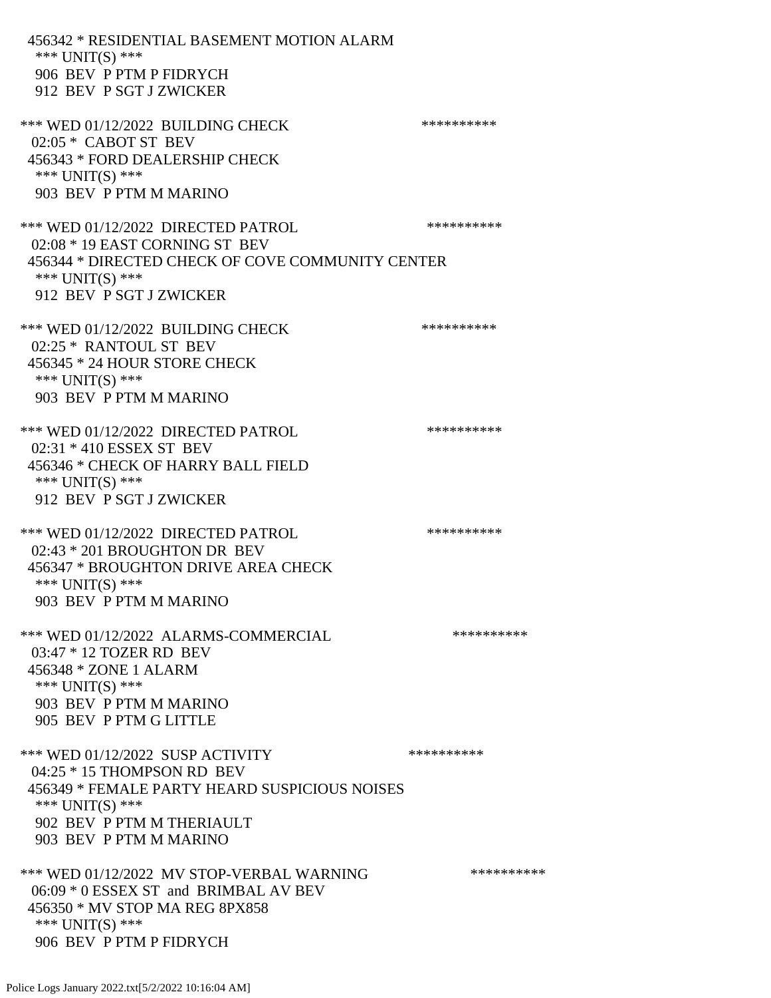456342 \* RESIDENTIAL BASEMENT MOTION ALARM \*\*\* UNIT(S) \*\*\* 906 BEV P PTM P FIDRYCH 912 BEV P SGT J ZWICKER \*\*\* WED 01/12/2022 BUILDING CHECK \*\*\*\*\*\*\*\*\*\*\*\* 02:05 \* CABOT ST BEV 456343 \* FORD DEALERSHIP CHECK \*\*\* UNIT(S) \*\*\* 903 BEV P PTM M MARINO \*\*\* WED 01/12/2022 DIRECTED PATROL \*\*\*\*\*\*\*\*\*\* 02:08 \* 19 EAST CORNING ST BEV 456344 \* DIRECTED CHECK OF COVE COMMUNITY CENTER \*\*\* UNIT(S) \*\*\* 912 BEV P SGT J ZWICKER \*\*\* WED 01/12/2022 BUILDING CHECK \*\*\*\*\*\*\*\*\*\*\*\* 02:25 \* RANTOUL ST BEV 456345 \* 24 HOUR STORE CHECK \*\*\* UNIT(S) \*\*\* 903 BEV P PTM M MARINO \*\*\* WED 01/12/2022 DIRECTED PATROL \*\*\*\*\*\*\*\*\*\* 02:31 \* 410 ESSEX ST BEV 456346 \* CHECK OF HARRY BALL FIELD \*\*\* UNIT(S) \*\*\* 912 BEV P SGT J ZWICKER \*\*\* WED 01/12/2022 DIRECTED PATROL \*\*\*\*\*\*\*\*\*\* 02:43 \* 201 BROUGHTON DR BEV 456347 \* BROUGHTON DRIVE AREA CHECK \*\*\* UNIT(S) \*\*\* 903 BEV P PTM M MARINO \*\*\* WED 01/12/2022 ALARMS-COMMERCIAL \*\*\*\*\*\*\*\*\*\* 03:47 \* 12 TOZER RD BEV 456348 \* ZONE 1 ALARM \*\*\* UNIT(S) \*\*\* 903 BEV P PTM M MARINO 905 BEV P PTM G LITTLE \*\*\* WED 01/12/2022 SUSP ACTIVITY \*\*\*\*\*\*\*\*\*\*\*\* 04:25 \* 15 THOMPSON RD BEV 456349 \* FEMALE PARTY HEARD SUSPICIOUS NOISES \*\*\* UNIT(S) \*\*\* 902 BEV P PTM M THERIAULT 903 BEV P PTM M MARINO \*\*\* WED 01/12/2022 MV STOP-VERBAL WARNING \*\*\*\*\*\*\*\*\*\*\*\* 06:09 \* 0 ESSEX ST and BRIMBAL AV BEV 456350 \* MV STOP MA REG 8PX858 \*\*\* UNIT(S) \*\*\* 906 BEV P PTM P FIDRYCH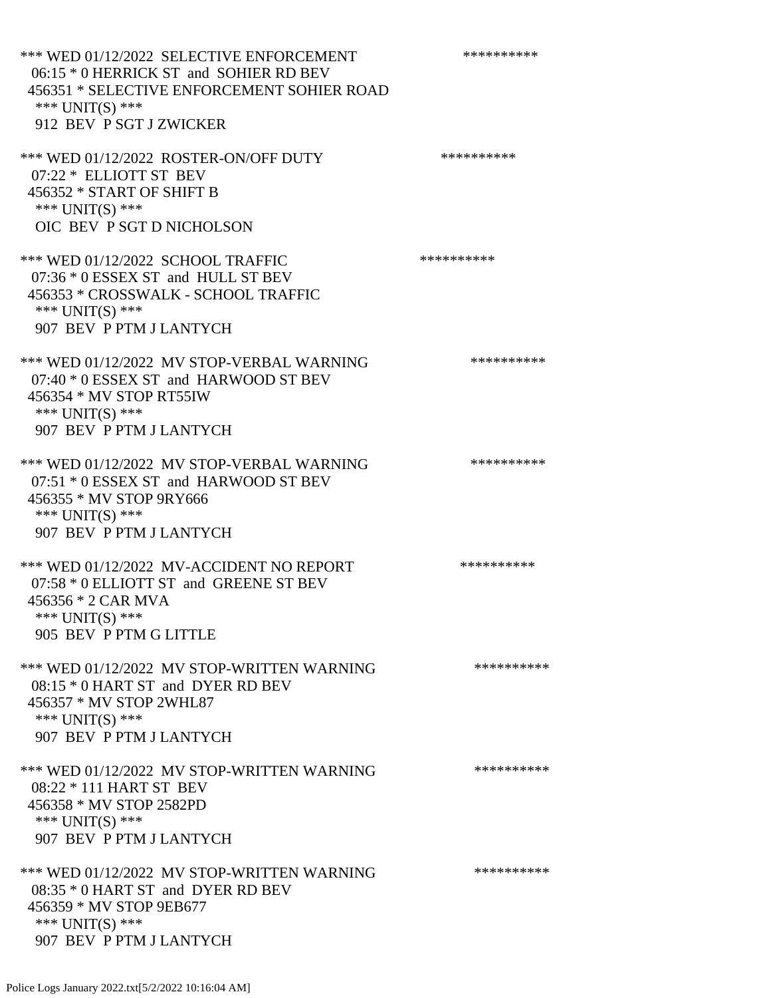\*\*\* WED 01/12/2022 SELECTIVE ENFORCEMENT \*\*\*\*\*\*\*\*\*\*\*\* 06:15 \* 0 HERRICK ST and SOHIER RD BEV 456351 \* SELECTIVE ENFORCEMENT SOHIER ROAD \*\*\* UNIT(S) \*\*\* 912 BEV P SGT J ZWICKER \*\*\* WED 01/12/2022 ROSTER-ON/OFF DUTY \*\*\*\*\*\*\*\*\*\* 07:22 \* ELLIOTT ST BEV 456352 \* START OF SHIFT B \*\*\* UNIT(S) \*\*\* OIC BEV P SGT D NICHOLSON \*\*\* WED 01/12/2022 SCHOOL TRAFFIC \*\*\*\*\*\*\*\*\*\*\*\*\* 07:36 \* 0 ESSEX ST and HULL ST BEV 456353 \* CROSSWALK - SCHOOL TRAFFIC \*\*\* UNIT(S) \*\*\* 907 BEV P PTM J LANTYCH \*\*\* WED 01/12/2022 MV STOP-VERBAL WARNING \*\*\*\*\*\*\*\*\*\*\*\* 07:40 \* 0 ESSEX ST and HARWOOD ST BEV 456354 \* MV STOP RT55IW \*\*\* UNIT(S) \*\*\* 907 BEV P PTM J LANTYCH \*\*\* WED 01/12/2022 MV STOP-VERBAL WARNING \*\*\*\*\*\*\*\*\*\*\*\* 07:51 \* 0 ESSEX ST and HARWOOD ST BEV 456355 \* MV STOP 9RY666 \*\*\* UNIT(S) \*\*\* 907 BEV P PTM J LANTYCH \*\*\* WED 01/12/2022 MV-ACCIDENT NO REPORT \*\*\*\*\*\*\*\*\*\*\*\* 07:58 \* 0 ELLIOTT ST and GREENE ST BEV 456356 \* 2 CAR MVA \*\*\* UNIT(S) \*\*\* 905 BEV P PTM G LITTLE \*\*\* WED 01/12/2022 MV STOP-WRITTEN WARNING \*\*\*\*\*\*\*\*\*\*\*\*\* 08:15 \* 0 HART ST and DYER RD BEV 456357 \* MV STOP 2WHL87 \*\*\* UNIT(S) \*\*\* 907 BEV P PTM J LANTYCH \*\*\* WED 01/12/2022 MV STOP-WRITTEN WARNING \*\*\*\*\*\*\*\*\*\*\*\* 08:22 \* 111 HART ST BEV 456358 \* MV STOP 2582PD \*\*\* UNIT(S) \*\*\* 907 BEV P PTM J LANTYCH \*\*\* WED 01/12/2022 MV STOP-WRITTEN WARNING \*\*\*\*\*\*\*\*\*\*\*\* 08:35 \* 0 HART ST and DYER RD BEV 456359 \* MV STOP 9EB677 \*\*\* UNIT(S) \*\*\* 907 BEV P PTM J LANTYCH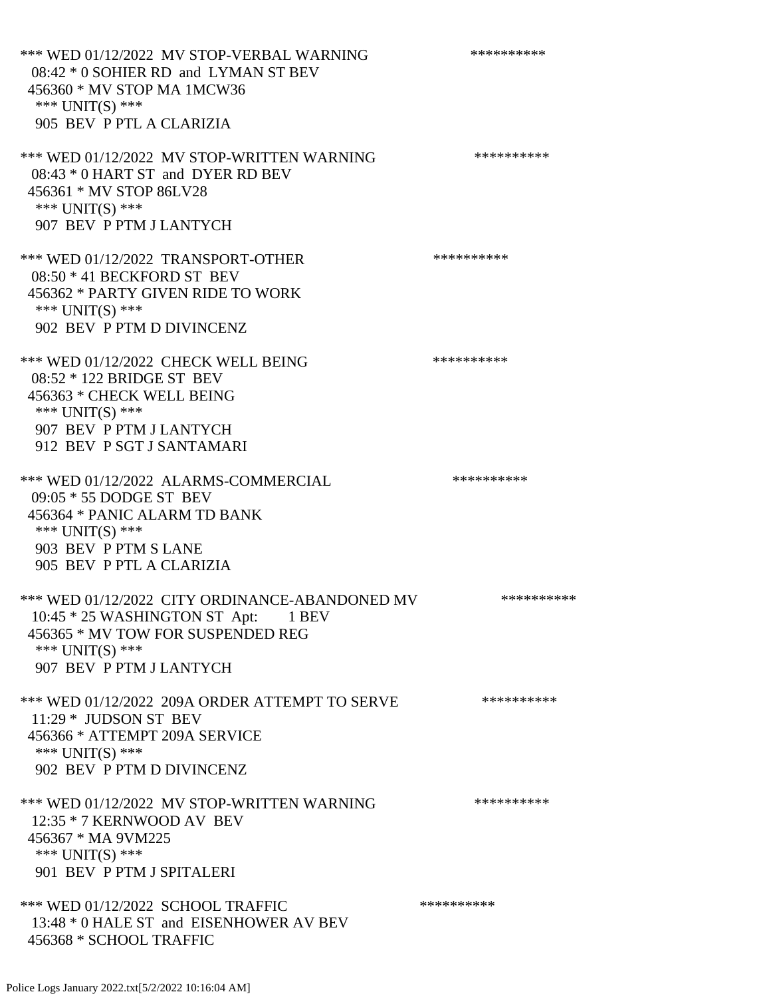\*\*\* WED 01/12/2022 MV STOP-VERBAL WARNING \*\*\*\*\*\*\*\*\*\*\*\* 08:42 \* 0 SOHIER RD and LYMAN ST BEV 456360 \* MV STOP MA 1MCW36 \*\*\* UNIT(S) \*\*\* 905 BEV P PTL A CLARIZIA \*\*\* WED 01/12/2022 MV STOP-WRITTEN WARNING \*\*\*\*\*\*\*\*\*\*\*\* 08:43 \* 0 HART ST and DYER RD BEV 456361 \* MV STOP 86LV28 \*\*\* UNIT(S) \*\*\* 907 BEV P PTM J LANTYCH \*\*\* WED 01/12/2022 TRANSPORT-OTHER \*\*\*\*\*\*\*\*\*\* 08:50 \* 41 BECKFORD ST BEV 456362 \* PARTY GIVEN RIDE TO WORK \*\*\* UNIT(S) \*\*\* 902 BEV P PTM D DIVINCENZ \*\*\* WED 01/12/2022 CHECK WELL BEING \*\*\*\*\*\*\*\*\*\*\*\*\* 08:52 \* 122 BRIDGE ST BEV 456363 \* CHECK WELL BEING \*\*\* UNIT(S) \*\*\* 907 BEV P PTM J LANTYCH 912 BEV P SGT J SANTAMARI \*\*\* WED 01/12/2022 ALARMS-COMMERCIAL \*\*\*\*\*\*\*\*\*\* 09:05 \* 55 DODGE ST BEV 456364 \* PANIC ALARM TD BANK \*\*\*  $UNIT(S)$  \*\*\* 903 BEV P PTM S LANE 905 BEV P PTL A CLARIZIA \*\*\* WED 01/12/2022 CITY ORDINANCE-ABANDONED MV \*\*\*\*\*\*\*\*\*\* 10:45 \* 25 WASHINGTON ST Apt: 1 BEV 456365 \* MV TOW FOR SUSPENDED REG \*\*\* UNIT(S) \*\*\* 907 BEV P PTM J LANTYCH \*\*\* WED 01/12/2022 209A ORDER ATTEMPT TO SERVE \*\*\*\*\*\*\*\*\*\* 11:29 \* JUDSON ST BEV 456366 \* ATTEMPT 209A SERVICE \*\*\*  $UNIT(S)$  \*\*\* 902 BEV P PTM D DIVINCENZ \*\*\* WED 01/12/2022 MV STOP-WRITTEN WARNING \*\*\*\*\*\*\*\*\*\*\*\* 12:35 \* 7 KERNWOOD AV BEV 456367 \* MA 9VM225 \*\*\* UNIT(S) \*\*\* 901 BEV P PTM J SPITALERI \*\*\* WED 01/12/2022 SCHOOL TRAFFIC \*\*\*\*\*\*\*\*\*\*\*\*\* 13:48 \* 0 HALE ST and EISENHOWER AV BEV 456368 \* SCHOOL TRAFFIC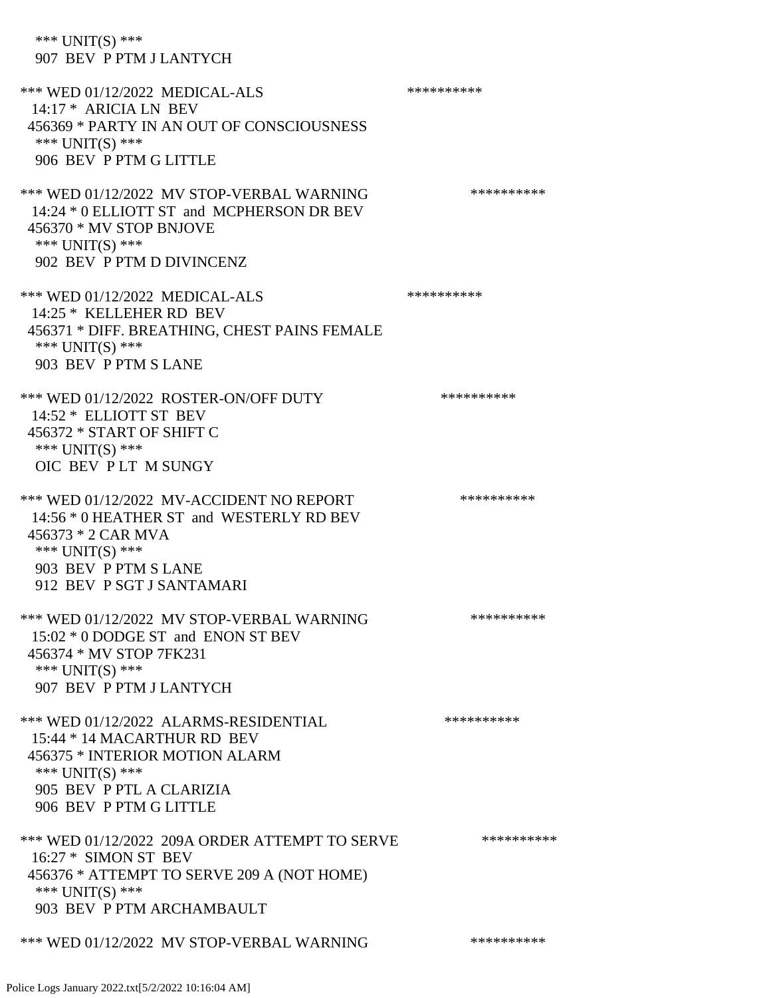\*\*\* UNIT(S) \*\*\* 907 BEV P PTM J LANTYCH \*\*\* WED 01/12/2022 MEDICAL-ALS \*\*\*\*\*\*\*\*\*\*\*\* 14:17 \* ARICIA LN BEV 456369 \* PARTY IN AN OUT OF CONSCIOUSNESS \*\*\* UNIT(S) \*\*\* 906 BEV P PTM G LITTLE \*\*\* WED 01/12/2022 MV STOP-VERBAL WARNING \*\*\*\*\*\*\*\*\*\*\*\* 14:24 \* 0 ELLIOTT ST and MCPHERSON DR BEV 456370 \* MV STOP BNJOVE \*\*\* UNIT(S) \*\*\* 902 BEV P PTM D DIVINCENZ \*\*\* WED 01/12/2022 MEDICAL-ALS \*\*\*\*\*\*\*\*\*\*\*\*\* 14:25 \* KELLEHER RD BEV 456371 \* DIFF. BREATHING, CHEST PAINS FEMALE \*\*\* UNIT(S) \*\*\* 903 BEV P PTM S LANE \*\*\* WED 01/12/2022 ROSTER-ON/OFF DUTY \*\*\*\*\*\*\*\*\*\* 14:52 \* ELLIOTT ST BEV 456372 \* START OF SHIFT C \*\*\* UNIT(S) \*\*\* OIC BEV P LT M SUNGY \*\*\* WED 01/12/2022 MV-ACCIDENT NO REPORT \*\*\*\*\*\*\*\*\*\*\*\* 14:56 \* 0 HEATHER ST and WESTERLY RD BEV 456373 \* 2 CAR MVA \*\*\* UNIT(S) \*\*\* 903 BEV P PTM S LANE 912 BEV P SGT J SANTAMARI \*\*\* WED 01/12/2022 MV STOP-VERBAL WARNING \*\*\*\*\*\*\*\*\*\*\*\*\* 15:02 \* 0 DODGE ST and ENON ST BEV 456374 \* MV STOP 7FK231 \*\*\* UNIT(S) \*\*\* 907 BEV P PTM J LANTYCH \*\*\* WED 01/12/2022 ALARMS-RESIDENTIAL \*\*\*\*\*\*\*\*\*\* 15:44 \* 14 MACARTHUR RD BEV 456375 \* INTERIOR MOTION ALARM \*\*\* UNIT(S) \*\*\* 905 BEV P PTL A CLARIZIA 906 BEV P PTM G LITTLE \*\*\* WED 01/12/2022 209A ORDER ATTEMPT TO SERVE \*\*\*\*\*\*\*\*\*\* 16:27 \* SIMON ST BEV 456376 \* ATTEMPT TO SERVE 209 A (NOT HOME) \*\*\* UNIT(S) \*\*\* 903 BEV P PTM ARCHAMBAULT \*\*\* WED 01/12/2022 MV STOP-VERBAL WARNING \*\*\*\*\*\*\*\*\*\*\*\*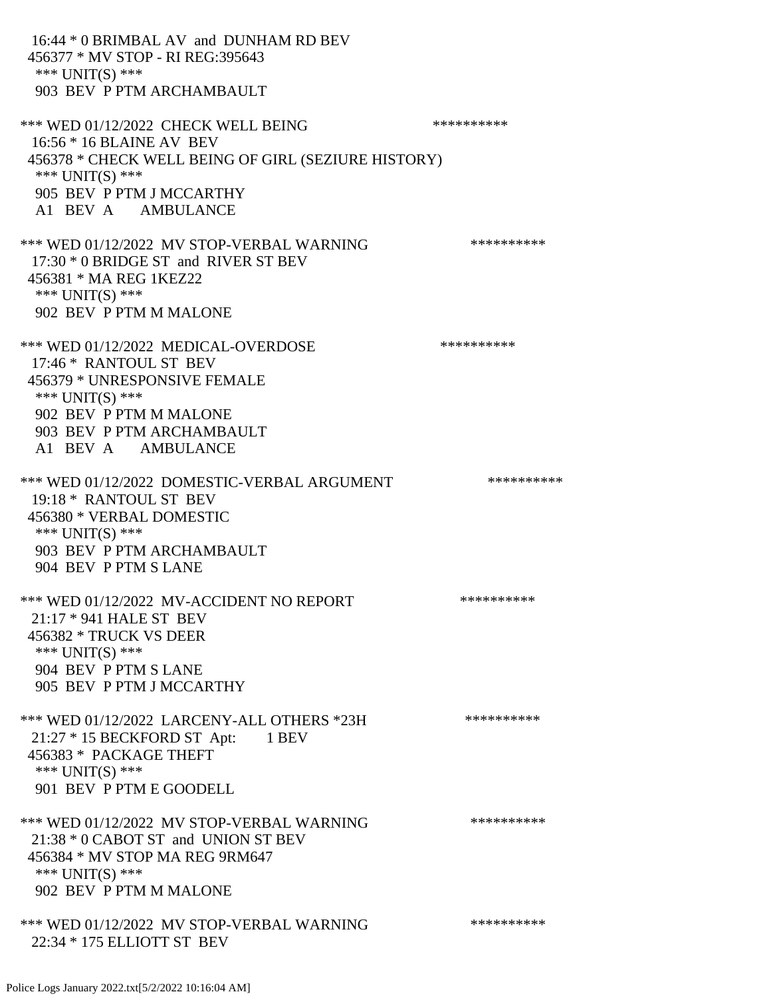16:44 \* 0 BRIMBAL AV and DUNHAM RD BEV 456377 \* MV STOP - RI REG:395643 \*\*\* UNIT(S) \*\*\* 903 BEV P PTM ARCHAMBAULT \*\*\* WED 01/12/2022 CHECK WELL BEING \*\*\*\*\*\*\*\*\*\*\*\*\* 16:56 \* 16 BLAINE AV BEV 456378 \* CHECK WELL BEING OF GIRL (SEZIURE HISTORY) \*\*\* UNIT(S) \*\*\* 905 BEV P PTM J MCCARTHY A1 BEV A AMBULANCE \*\*\* WED 01/12/2022 MV STOP-VERBAL WARNING \*\*\*\*\*\*\*\*\*\*\*\* 17:30 \* 0 BRIDGE ST and RIVER ST BEV 456381 \* MA REG 1KEZ22 \*\*\* UNIT(S) \*\*\* 902 BEV P PTM M MALONE \*\*\* WED 01/12/2022 MEDICAL-OVERDOSE \*\*\*\*\*\*\*\*\*\* 17:46 \* RANTOUL ST BEV 456379 \* UNRESPONSIVE FEMALE \*\*\* UNIT(S) \*\*\* 902 BEV P PTM M MALONE 903 BEV P PTM ARCHAMBAULT A1 BEV A AMBULANCE \*\*\* WED 01/12/2022 DOMESTIC-VERBAL ARGUMENT \*\*\*\*\*\*\*\*\*\*\*\*\* 19:18 \* RANTOUL ST BEV 456380 \* VERBAL DOMESTIC \*\*\* UNIT(S) \*\*\* 903 BEV P PTM ARCHAMBAULT 904 BEV P PTM S LANE \*\*\* WED 01/12/2022 MV-ACCIDENT NO REPORT \*\*\*\*\*\*\*\*\*\*\*\* 21:17 \* 941 HALE ST BEV 456382 \* TRUCK VS DEER \*\*\* UNIT(S) \*\*\* 904 BEV P PTM S LANE 905 BEV P PTM J MCCARTHY \*\*\* WED 01/12/2022 LARCENY-ALL OTHERS \*23H \*\*\*\*\*\*\*\*\*\*\* 21:27 \* 15 BECKFORD ST Apt: 1 BEV 456383 \* PACKAGE THEFT \*\*\* UNIT(S) \*\*\* 901 BEV P PTM E GOODELL \*\*\* WED 01/12/2022 MV STOP-VERBAL WARNING \*\*\*\*\*\*\*\*\*\*\*\* 21:38 \* 0 CABOT ST and UNION ST BEV 456384 \* MV STOP MA REG 9RM647 \*\*\* UNIT(S) \*\*\* 902 BEV P PTM M MALONE \*\*\* WED 01/12/2022 MV STOP-VERBAL WARNING \*\*\*\*\*\*\*\*\*\*\*\* 22:34 \* 175 ELLIOTT ST BEV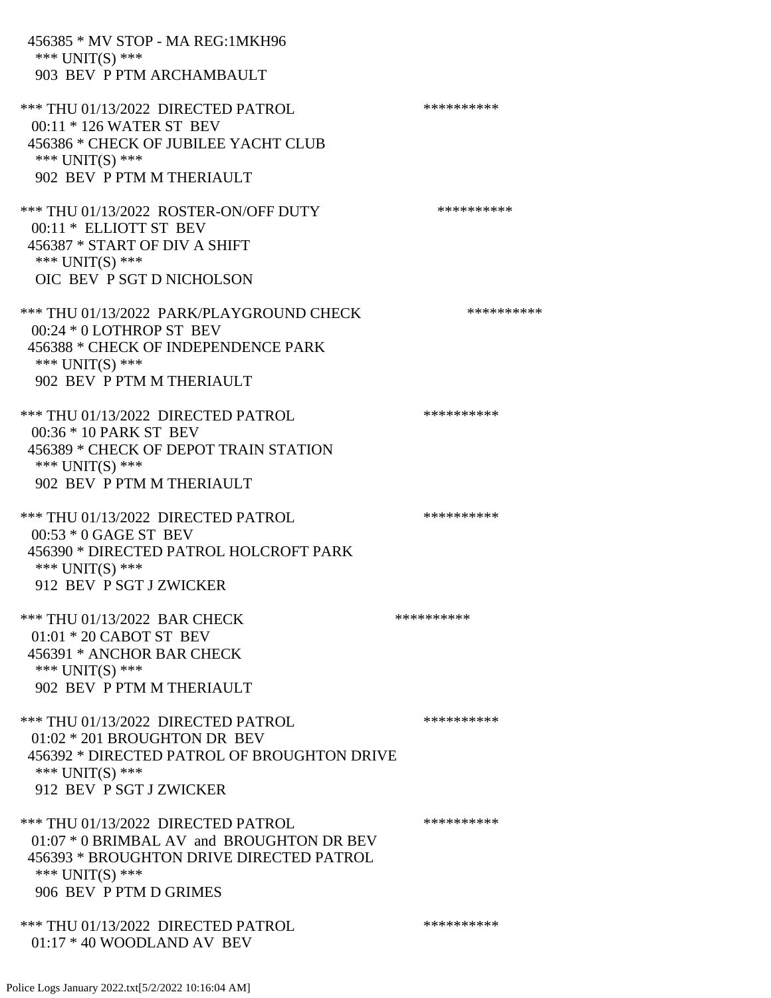| 456385 * MV STOP - MA REG:1MKH96<br>*** UNIT(S) ***<br>903 BEV P PTM ARCHAMBAULT                                                                                         |            |
|--------------------------------------------------------------------------------------------------------------------------------------------------------------------------|------------|
| *** THU 01/13/2022 DIRECTED PATROL<br>00:11 * 126 WATER ST BEV<br>456386 * CHECK OF JUBILEE YACHT CLUB<br>*** $UNIT(S)$ ***<br>902 BEV P PTM M THERIAULT                 | ********** |
| *** THU 01/13/2022 ROSTER-ON/OFF DUTY<br>00:11 * ELLIOTT ST BEV<br>456387 * START OF DIV A SHIFT<br>*** $UNIT(S)$ ***<br>OIC BEV P SGT D NICHOLSON                       | ********** |
| *** THU 01/13/2022 PARK/PLAYGROUND CHECK<br>00:24 * 0 LOTHROP ST BEV<br>456388 * CHECK OF INDEPENDENCE PARK<br>*** UNIT(S) ***<br>902 BEV P PTM M THERIAULT              | ********** |
| *** THU 01/13/2022 DIRECTED PATROL<br>00:36 * 10 PARK ST BEV<br>456389 * CHECK OF DEPOT TRAIN STATION<br>*** UNIT(S) ***<br>902 BEV P PTM M THERIAULT                    | ********** |
| *** THU 01/13/2022 DIRECTED PATROL<br>$00:53 * 0$ GAGE ST BEV<br>456390 * DIRECTED PATROL HOLCROFT PARK<br>*** UNIT(S) ***<br>912 BEV P SGT J ZWICKER                    | ********** |
| *** THU 01/13/2022 BAR CHECK<br>$01:01 * 20$ CABOT ST BEV<br>456391 * ANCHOR BAR CHECK<br>*** UNIT(S) ***<br>902 BEV P PTM M THERIAULT                                   | ********** |
| *** THU 01/13/2022 DIRECTED PATROL<br>$01:02 * 201$ BROUGHTON DR BEV<br>456392 * DIRECTED PATROL OF BROUGHTON DRIVE<br>*** UNIT(S) ***<br>912 BEV P SGT J ZWICKER        | ********** |
| *** THU 01/13/2022 DIRECTED PATROL<br>01:07 * 0 BRIMBAL AV and BROUGHTON DR BEV<br>456393 * BROUGHTON DRIVE DIRECTED PATROL<br>*** UNIT(S) ***<br>906 BEV P PTM D GRIMES | ********** |
| *** THU 01/13/2022 DIRECTED PATROL<br>$01:17 * 40$ WOODLAND AV BEV                                                                                                       | ********** |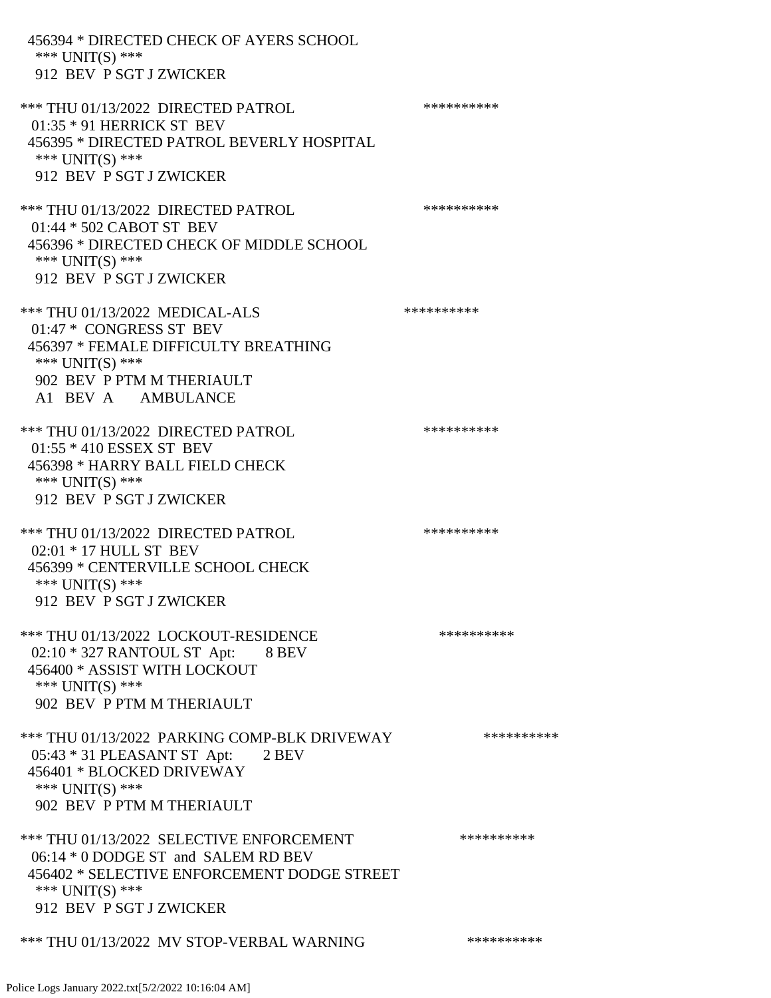| 456394 * DIRECTED CHECK OF AYERS SCHOOL<br>*** $UNIT(S)$ ***<br>912 BEV P SGT J ZWICKER                                                                                      |            |
|------------------------------------------------------------------------------------------------------------------------------------------------------------------------------|------------|
| *** THU 01/13/2022 DIRECTED PATROL<br>01:35 * 91 HERRICK ST BEV<br>456395 * DIRECTED PATROL BEVERLY HOSPITAL<br>*** UNIT(S) ***<br>912 BEV P SGT J ZWICKER                   | ********** |
| *** THU 01/13/2022 DIRECTED PATROL<br>01:44 * 502 CABOT ST BEV<br>456396 * DIRECTED CHECK OF MIDDLE SCHOOL<br>*** $UNIT(S)$ ***<br>912 BEV P SGT J ZWICKER                   | ********** |
| *** THU 01/13/2022 MEDICAL-ALS<br>01:47 * CONGRESS ST BEV<br>456397 * FEMALE DIFFICULTY BREATHING<br>*** UNIT(S) ***<br>902 BEV P PTM M THERIAULT<br>A1 BEV A AMBULANCE      | ********** |
| *** THU 01/13/2022 DIRECTED PATROL<br>$01:55 * 410$ ESSEX ST BEV<br>456398 * HARRY BALL FIELD CHECK<br>*** $UNIT(S)$ ***<br>912 BEV P SGT J ZWICKER                          | ********** |
| *** THU 01/13/2022 DIRECTED PATROL<br>02:01 * 17 HULL ST BEV<br>456399 * CENTERVILLE SCHOOL CHECK<br>*** $UNIT(S)$ ***<br>912 BEV P SGT J ZWICKER                            | ********** |
| *** THU 01/13/2022 LOCKOUT-RESIDENCE<br>$02:10 * 327$ RANTOUL ST Apt: 8 BEV<br>456400 * ASSIST WITH LOCKOUT<br>*** $UNIT(S)$ ***<br>902 BEV P PTM M THERIAULT                | ********** |
| *** THU 01/13/2022 PARKING COMP-BLK DRIVEWAY<br>05:43 * 31 PLEASANT ST Apt: 2 BEV<br>456401 * BLOCKED DRIVEWAY<br>*** UNIT(S) ***<br>902 BEV P PTM M THERIAULT               | ********** |
| *** THU 01/13/2022 SELECTIVE ENFORCEMENT<br>06:14 * 0 DODGE ST and SALEM RD BEV<br>456402 * SELECTIVE ENFORCEMENT DODGE STREET<br>*** UNIT(S) ***<br>912 BEV P SGT J ZWICKER | ********** |
| *** THU 01/13/2022 MV STOP-VERBAL WARNING                                                                                                                                    | ********** |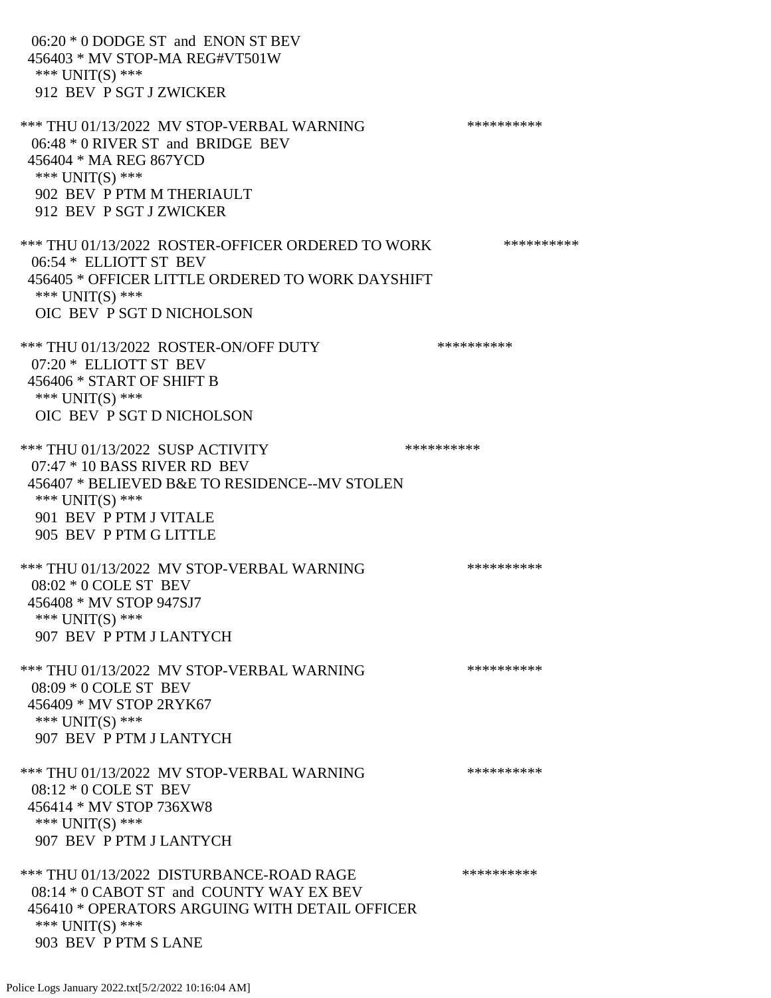06:20 \* 0 DODGE ST and ENON ST BEV 456403 \* MV STOP-MA REG#VT501W \*\*\* UNIT(S) \*\*\* 912 BEV P SGT J ZWICKER \*\*\* THU 01/13/2022 MV STOP-VERBAL WARNING \*\*\*\*\*\*\*\*\*\*\*\*\* 06:48 \* 0 RIVER ST and BRIDGE BEV 456404 \* MA REG 867YCD \*\*\* UNIT(S) \*\*\* 902 BEV P PTM M THERIAULT 912 BEV P SGT J ZWICKER \*\*\* THU 01/13/2022 ROSTER-OFFICER ORDERED TO WORK \*\*\*\*\*\*\*\*\*\*\* 06:54 \* ELLIOTT ST BEV 456405 \* OFFICER LITTLE ORDERED TO WORK DAYSHIFT \*\*\* UNIT(S) \*\*\* OIC BEV P SGT D NICHOLSON \*\*\* THU 01/13/2022 ROSTER-ON/OFF DUTY \*\*\*\*\*\*\*\*\*\* 07:20 \* ELLIOTT ST BEV 456406 \* START OF SHIFT B \*\*\* UNIT(S) \*\*\* OIC BEV P SGT D NICHOLSON \*\*\* THU 01/13/2022 SUSP ACTIVITY \*\*\*\*\*\*\*\*\*\*\*\*\*\*\*\*\* 07:47 \* 10 BASS RIVER RD BEV 456407 \* BELIEVED B&E TO RESIDENCE--MV STOLEN \*\*\* UNIT(S) \*\*\* 901 BEV P PTM J VITALE 905 BEV P PTM G LITTLE \*\*\* THU 01/13/2022 MV STOP-VERBAL WARNING \*\*\*\*\*\*\*\*\*\*\*\*\* 08:02 \* 0 COLE ST BEV 456408 \* MV STOP 947SJ7 \*\*\* UNIT(S) \*\*\* 907 BEV P PTM J LANTYCH \*\*\* THU 01/13/2022 MV STOP-VERBAL WARNING \*\*\*\*\*\*\*\*\*\*\*\*\* 08:09 \* 0 COLE ST BEV 456409 \* MV STOP 2RYK67 \*\*\* UNIT(S) \*\*\* 907 BEV P PTM J LANTYCH \*\*\* THU 01/13/2022 MV STOP-VERBAL WARNING \*\*\*\*\*\*\*\*\*\*\*\* 08:12 \* 0 COLE ST BEV 456414 \* MV STOP 736XW8 \*\*\* UNIT(S) \*\*\* 907 BEV P PTM J LANTYCH \*\*\* THU 01/13/2022 DISTURBANCE-ROAD RAGE \*\*\*\*\*\*\*\*\*\* 08:14 \* 0 CABOT ST and COUNTY WAY EX BEV 456410 \* OPERATORS ARGUING WITH DETAIL OFFICER \*\*\* UNIT(S) \*\*\*

903 BEV P PTM S LANE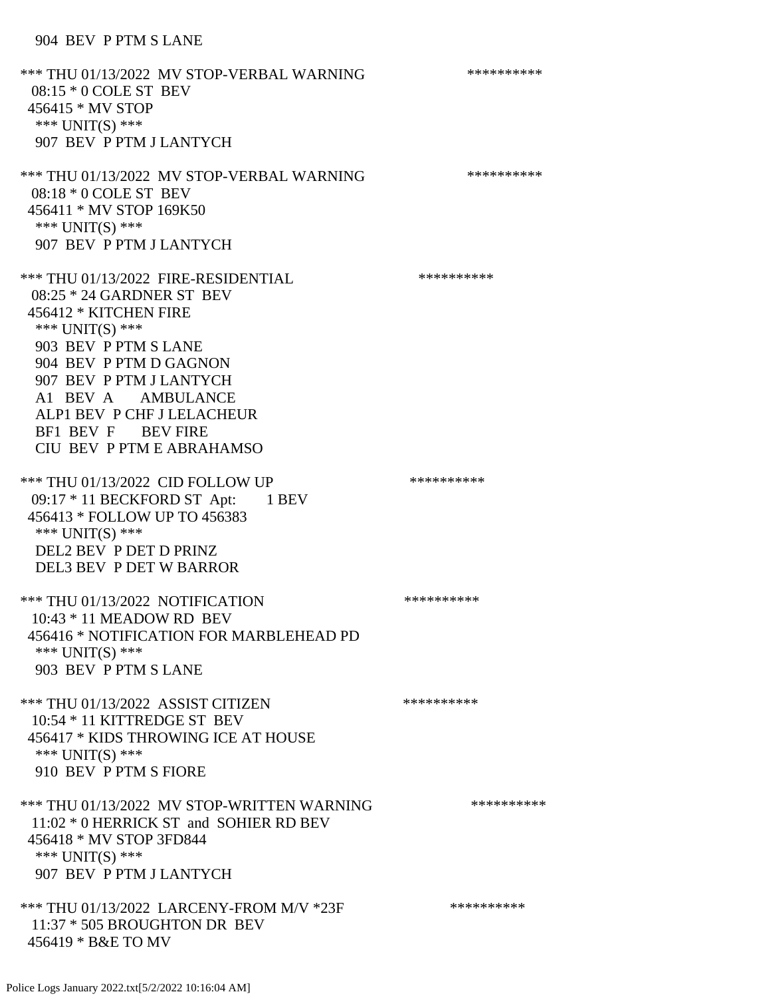\*\*\* THU 01/13/2022 MV STOP-VERBAL WARNING \*\*\*\*\*\*\*\*\*\*\*\* 08:15 \* 0 COLE ST BEV 456415 \* MV STOP \*\*\* UNIT(S) \*\*\* 907 BEV P PTM J LANTYCH \*\*\* THU 01/13/2022 MV STOP-VERBAL WARNING \*\*\*\*\*\*\*\*\*\*\*\*\* 08:18 \* 0 COLE ST BEV 456411 \* MV STOP 169K50 \*\*\* UNIT(S) \*\*\* 907 BEV P PTM J LANTYCH \*\*\* THU 01/13/2022 FIRE-RESIDENTIAL \*\*\*\*\*\*\*\*\*\*\*\*\* 08:25 \* 24 GARDNER ST BEV 456412 \* KITCHEN FIRE \*\*\* UNIT(S) \*\*\* 903 BEV P PTM S LANE 904 BEV P PTM D GAGNON 907 BEV P PTM J LANTYCH A1 BEV A AMBULANCE ALP1 BEV P CHF J LELACHEUR BF1 BEV F BEV FIRE CIU BEV P PTM E ABRAHAMSO \*\*\* THU 01/13/2022 CID FOLLOW UP \*\*\*\*\*\*\*\*\*\*\*\* 09:17 \* 11 BECKFORD ST Apt: 1 BEV 456413 \* FOLLOW UP TO 456383 \*\*\* UNIT(S) \*\*\* DEL2 BEV P DET D PRINZ DEL3 BEV P DET W BARROR \*\*\* THU 01/13/2022 NOTIFICATION \*\*\*\*\*\*\*\*\*\* 10:43 \* 11 MEADOW RD BEV 456416 \* NOTIFICATION FOR MARBLEHEAD PD \*\*\* UNIT(S) \*\*\* 903 BEV P PTM S LANE \*\*\* THU 01/13/2022 ASSIST CITIZEN \*\*\*\*\*\*\*\*\*\* 10:54 \* 11 KITTREDGE ST BEV 456417 \* KIDS THROWING ICE AT HOUSE \*\*\* UNIT(S) \*\*\* 910 BEV P PTM S FIORE \*\*\* THU 01/13/2022 MV STOP-WRITTEN WARNING \*\*\*\*\*\*\*\*\*\*\*\*\* 11:02 \* 0 HERRICK ST and SOHIER RD BEV 456418 \* MV STOP 3FD844 \*\*\* UNIT(S) \*\*\* 907 BEV P PTM J LANTYCH \*\*\* THU 01/13/2022 LARCENY-FROM M/V \*23F \*\*\*\*\*\*\*\*\*\*\*\* 11:37 \* 505 BROUGHTON DR BEV 456419 \* B&E TO MV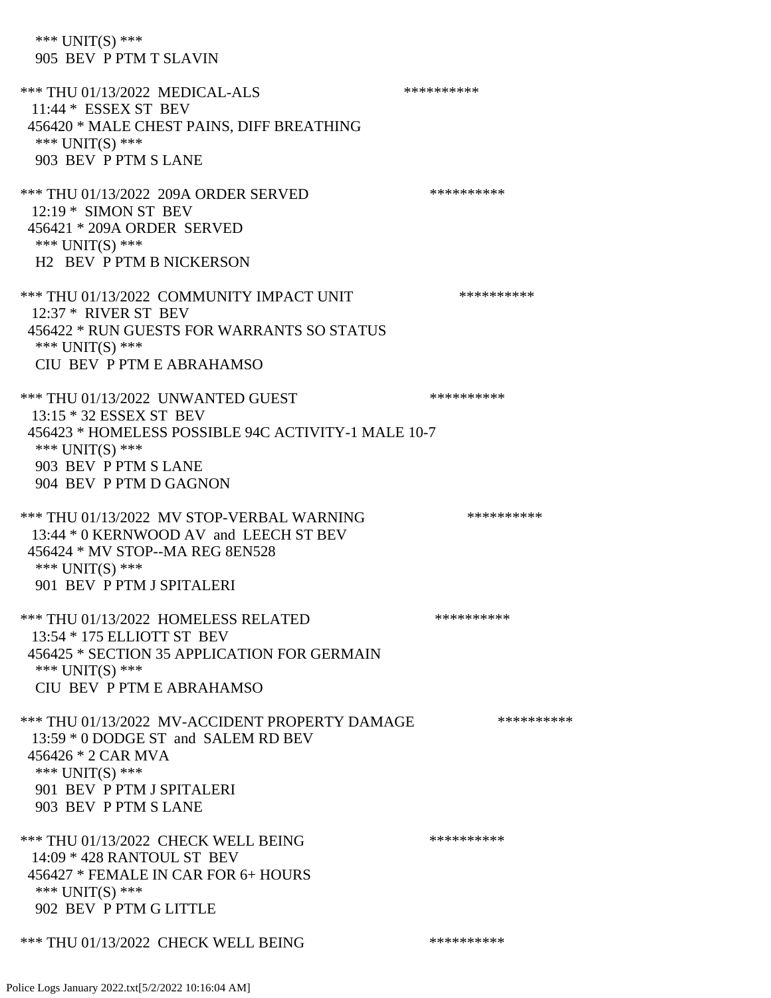\*\*\* UNIT(S) \*\*\* 905 BEV P PTM T SLAVIN \*\*\* THU 01/13/2022 MEDICAL-ALS \*\*\*\*\*\*\*\*\*\* 11:44 \* ESSEX ST BEV 456420 \* MALE CHEST PAINS, DIFF BREATHING \*\*\* UNIT(S) \*\*\* 903 BEV P PTM S LANE \*\*\* THU 01/13/2022 209A ORDER SERVED \*\*\*\*\*\*\*\*\*\* 12:19 \* SIMON ST BEV 456421 \* 209A ORDER SERVED \*\*\* UNIT(S) \*\*\* H2 BEV P PTM B NICKERSON \*\*\* THU 01/13/2022 COMMUNITY IMPACT UNIT \*\*\*\*\*\*\*\*\*\*\*\* 12:37 \* RIVER ST BEV 456422 \* RUN GUESTS FOR WARRANTS SO STATUS \*\*\* UNIT(S) \*\*\* CIU BEV P PTM E ABRAHAMSO \*\*\* THU 01/13/2022 UNWANTED GUEST \*\*\*\*\*\*\*\*\*\*\*\*\*\*\* 13:15 \* 32 ESSEX ST BEV 456423 \* HOMELESS POSSIBLE 94C ACTIVITY-1 MALE 10-7 \*\*\* UNIT(S) \*\*\* 903 BEV P PTM S LANE 904 BEV P PTM D GAGNON \*\*\* THU 01/13/2022 MV STOP-VERBAL WARNING \*\*\*\*\*\*\*\*\*\*\*\*\* 13:44 \* 0 KERNWOOD AV and LEECH ST BEV 456424 \* MV STOP--MA REG 8EN528 \*\*\* UNIT(S) \*\*\* 901 BEV P PTM J SPITALERI \*\*\* THU 01/13/2022 HOMELESS RELATED \*\*\*\*\*\*\*\*\*\* 13:54 \* 175 ELLIOTT ST BEV 456425 \* SECTION 35 APPLICATION FOR GERMAIN \*\*\* UNIT(S) \*\*\* CIU BEV P PTM E ABRAHAMSO \*\*\* THU 01/13/2022 MV-ACCIDENT PROPERTY DAMAGE \*\*\*\*\*\*\*\*\*\*\*\* 13:59 \* 0 DODGE ST and SALEM RD BEV 456426 \* 2 CAR MVA \*\*\* UNIT(S) \*\*\* 901 BEV P PTM J SPITALERI 903 BEV P PTM S LANE \*\*\* THU 01/13/2022 CHECK WELL BEING \*\*\*\*\*\*\*\*\*\* 14:09 \* 428 RANTOUL ST BEV 456427 \* FEMALE IN CAR FOR 6+ HOURS \*\*\* UNIT(S) \*\*\* 902 BEV P PTM G LITTLE \*\*\* THU 01/13/2022 CHECK WELL BEING \*\*\*\*\*\*\*\*\*\*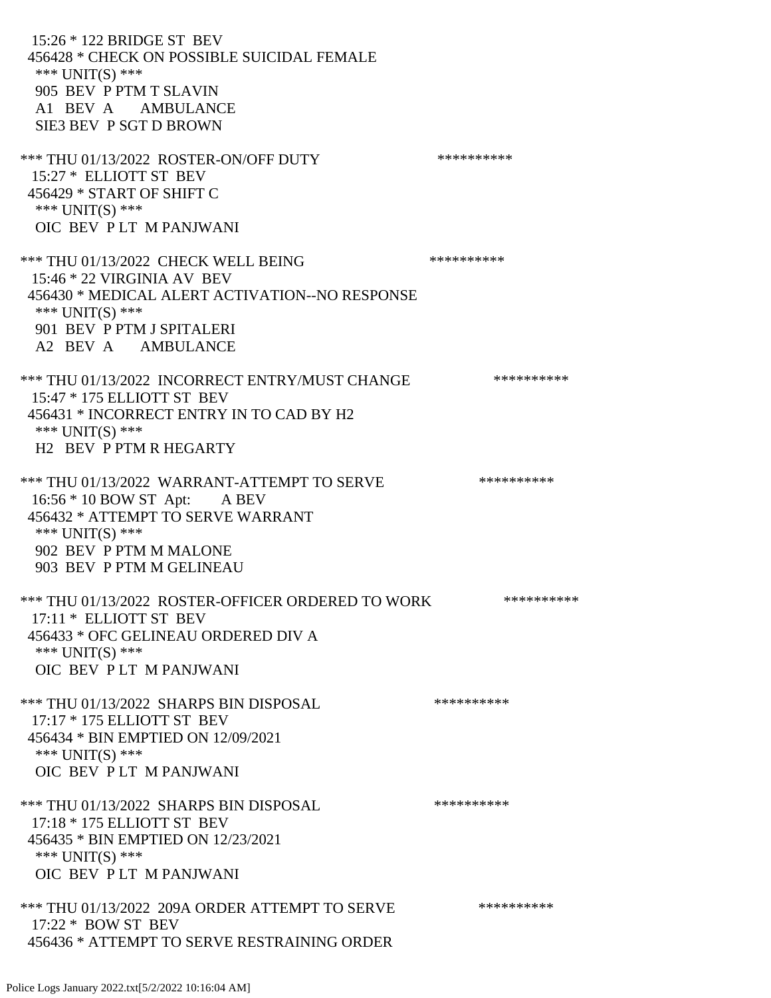15:26 \* 122 BRIDGE ST BEV 456428 \* CHECK ON POSSIBLE SUICIDAL FEMALE \*\*\* UNIT(S) \*\*\* 905 BEV P PTM T SLAVIN A1 BEV A AMBULANCE SIE3 BEV P SGT D BROWN \*\*\* THU 01/13/2022 ROSTER-ON/OFF DUTY \*\*\*\*\*\*\*\*\*\* 15:27 \* ELLIOTT ST BEV 456429 \* START OF SHIFT C \*\*\* UNIT(S) \*\*\* OIC BEV P LT M PANJWANI \*\*\* THU 01/13/2022 CHECK WELL BEING \*\*\*\*\*\*\*\*\*\* 15:46 \* 22 VIRGINIA AV BEV 456430 \* MEDICAL ALERT ACTIVATION--NO RESPONSE \*\*\* UNIT(S) \*\*\* 901 BEV P PTM J SPITALERI A2 BEV A AMBULANCE \*\*\* THU 01/13/2022 INCORRECT ENTRY/MUST CHANGE \*\*\*\*\*\*\*\*\*\* 15:47 \* 175 ELLIOTT ST BEV 456431 \* INCORRECT ENTRY IN TO CAD BY H2 \*\*\* UNIT(S) \*\*\* H2 BEV P PTM R HEGARTY \*\*\* THU 01/13/2022 WARRANT-ATTEMPT TO SERVE \*\*\*\*\*\*\*\*\*\*\*\*\* 16:56 \* 10 BOW ST Apt: A BEV 456432 \* ATTEMPT TO SERVE WARRANT \*\*\* UNIT(S) \*\*\* 902 BEV P PTM M MALONE 903 BEV P PTM M GELINEAU \*\*\* THU 01/13/2022 ROSTER-OFFICER ORDERED TO WORK \*\*\*\*\*\*\*\*\*\*\* 17:11 \* ELLIOTT ST BEV 456433 \* OFC GELINEAU ORDERED DIV A \*\*\* UNIT(S) \*\*\* OIC BEV P LT M PANJWANI \*\*\* THU 01/13/2022 SHARPS BIN DISPOSAL \*\*\*\*\*\*\*\*\*\* 17:17 \* 175 ELLIOTT ST BEV 456434 \* BIN EMPTIED ON 12/09/2021 \*\*\* UNIT(S) \*\*\* OIC BEV P LT M PANJWANI \*\*\* THU 01/13/2022 SHARPS BIN DISPOSAL \*\*\*\*\*\*\*\*\*\* 17:18 \* 175 ELLIOTT ST BEV 456435 \* BIN EMPTIED ON 12/23/2021 \*\*\* UNIT(S) \*\*\* OIC BEV P LT M PANJWANI \*\*\* THU 01/13/2022 209A ORDER ATTEMPT TO SERVE \*\*\*\*\*\*\*\*\*\* 17:22 \* BOW ST BEV 456436 \* ATTEMPT TO SERVE RESTRAINING ORDER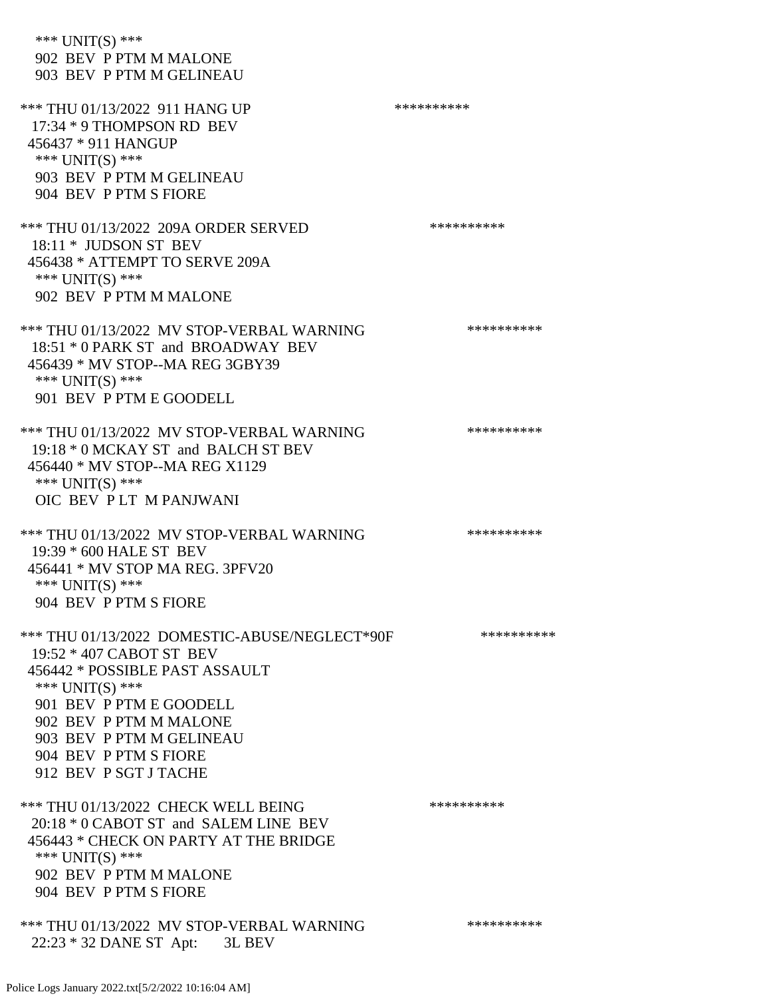| *** $UNIT(S)$ ***<br>902 BEV P PTM M MALONE<br>903 BEV P PTM M GELINEAU                                                                                                                                                                                             |            |
|---------------------------------------------------------------------------------------------------------------------------------------------------------------------------------------------------------------------------------------------------------------------|------------|
| *** THU 01/13/2022 911 HANG UP<br>17:34 * 9 THOMPSON RD BEV<br>456437 * 911 HANGUP<br>*** UNIT(S) ***                                                                                                                                                               | ********** |
| 903 BEV P PTM M GELINEAU<br>904 BEV P PTM S FIORE                                                                                                                                                                                                                   |            |
| *** THU 01/13/2022 209A ORDER SERVED<br>$18:11 *$ JUDSON ST BEV<br>456438 * ATTEMPT TO SERVE 209A<br>*** $UNIT(S)$ ***<br>902 BEV P PTM M MALONE                                                                                                                    | ********** |
| *** THU 01/13/2022 MV STOP-VERBAL WARNING<br>18:51 * 0 PARK ST and BROADWAY BEV<br>456439 * MV STOP--MA REG 3GBY39<br>*** UNIT(S) ***<br>901 BEV P PTM E GOODELL                                                                                                    | ********** |
| *** THU 01/13/2022 MV STOP-VERBAL WARNING<br>19:18 * 0 MCKAY ST and BALCH ST BEV<br>456440 * MV STOP--MA REG X1129<br>*** UNIT(S) ***<br>OIC BEV PLT M PANJWANI                                                                                                     | ********** |
| *** THU 01/13/2022 MV STOP-VERBAL WARNING<br>19:39 * 600 HALE ST BEV<br>456441 * MV STOP MA REG. 3PFV20<br>*** UNIT(S) ***<br>904 BEV P PTM S FIORE                                                                                                                 | ********** |
| *** THU 01/13/2022 DOMESTIC-ABUSE/NEGLECT*90F<br>19:52 * 407 CABOT ST BEV<br>456442 * POSSIBLE PAST ASSAULT<br>*** $UNIT(S)$ ***<br>901 BEV P PTM E GOODELL<br>902 BEV P PTM M MALONE<br>903 BEV P PTM M GELINEAU<br>904 BEV P PTM S FIORE<br>912 BEV P SGT J TACHE | ********** |
| *** THU 01/13/2022 CHECK WELL BEING<br>20:18 * 0 CABOT ST and SALEM LINE BEV<br>456443 * CHECK ON PARTY AT THE BRIDGE<br>*** $UNIT(S)$ ***<br>902 BEV P PTM M MALONE<br>904 BEV P PTM S FIORE                                                                       | ********** |
| *** THU 01/13/2022 MV STOP-VERBAL WARNING<br>22:23 * 32 DANE ST Apt: 3L BEV                                                                                                                                                                                         | ********** |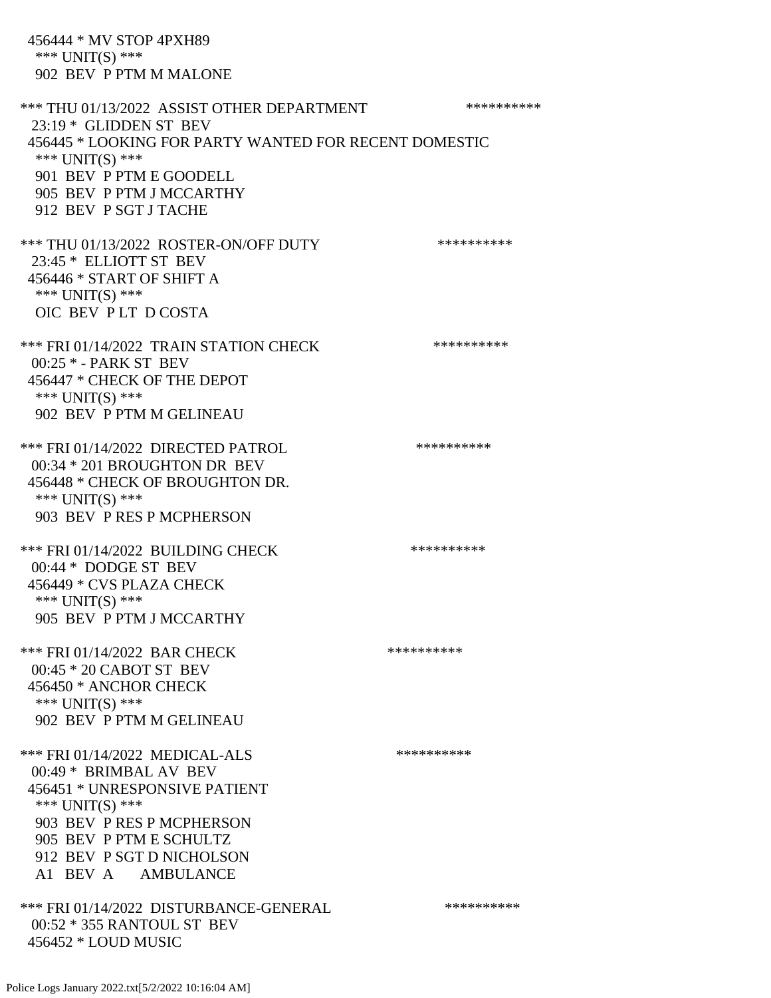\*\*\* UNIT(S) \*\*\* 902 BEV P PTM M MALONE \*\*\* THU 01/13/2022 ASSIST OTHER DEPARTMENT \*\*\*\*\*\*\*\*\*\*\*\*\* 23:19 \* GLIDDEN ST BEV 456445 \* LOOKING FOR PARTY WANTED FOR RECENT DOMESTIC \*\*\* UNIT(S) \*\*\* 901 BEV P PTM E GOODELL 905 BEV P PTM J MCCARTHY 912 BEV P SGT J TACHE \*\*\* THU 01/13/2022 ROSTER-ON/OFF DUTY \*\*\*\*\*\*\*\*\*\* 23:45 \* ELLIOTT ST BEV 456446 \* START OF SHIFT A \*\*\* UNIT(S) \*\*\* OIC BEV P LT D COSTA \*\*\* FRI 01/14/2022 TRAIN STATION CHECK \*\*\*\*\*\*\*\*\*\* 00:25 \* - PARK ST BEV 456447 \* CHECK OF THE DEPOT \*\*\* UNIT(S) \*\*\* 902 BEV P PTM M GELINEAU \*\*\* FRI 01/14/2022 DIRECTED PATROL \*\*\*\*\*\*\*\*\*\* 00:34 \* 201 BROUGHTON DR BEV 456448 \* CHECK OF BROUGHTON DR. \*\*\* UNIT(S) \*\*\* 903 BEV P RES P MCPHERSON \*\*\* FRI 01/14/2022 BUILDING CHECK \*\*\*\*\*\*\*\*\*\*\*\* 00:44 \* DODGE ST BEV 456449 \* CVS PLAZA CHECK \*\*\* UNIT(S) \*\*\* 905 BEV P PTM J MCCARTHY \*\*\* FRI 01/14/2022 BAR CHECK \*\*\*\*\*\*\*\*\*\*\*\*\*\* 00:45 \* 20 CABOT ST BEV 456450 \* ANCHOR CHECK \*\*\* UNIT(S) \*\*\* 902 BEV P PTM M GELINEAU \*\*\* FRI 01/14/2022 MEDICAL-ALS \*\*\*\*\*\*\*\*\*\*\*\*\*\* 00:49 \* BRIMBAL AV BEV 456451 \* UNRESPONSIVE PATIENT \*\*\* UNIT(S) \*\*\* 903 BEV P RES P MCPHERSON 905 BEV P PTM E SCHULTZ 912 BEV P SGT D NICHOLSON A1 BEV A AMBULANCE \*\*\* FRI 01/14/2022 DISTURBANCE-GENERAL \*\*\*\*\*\*\*\*\*\* 00:52 \* 355 RANTOUL ST BEV 456452 \* LOUD MUSIC

456444 \* MV STOP 4PXH89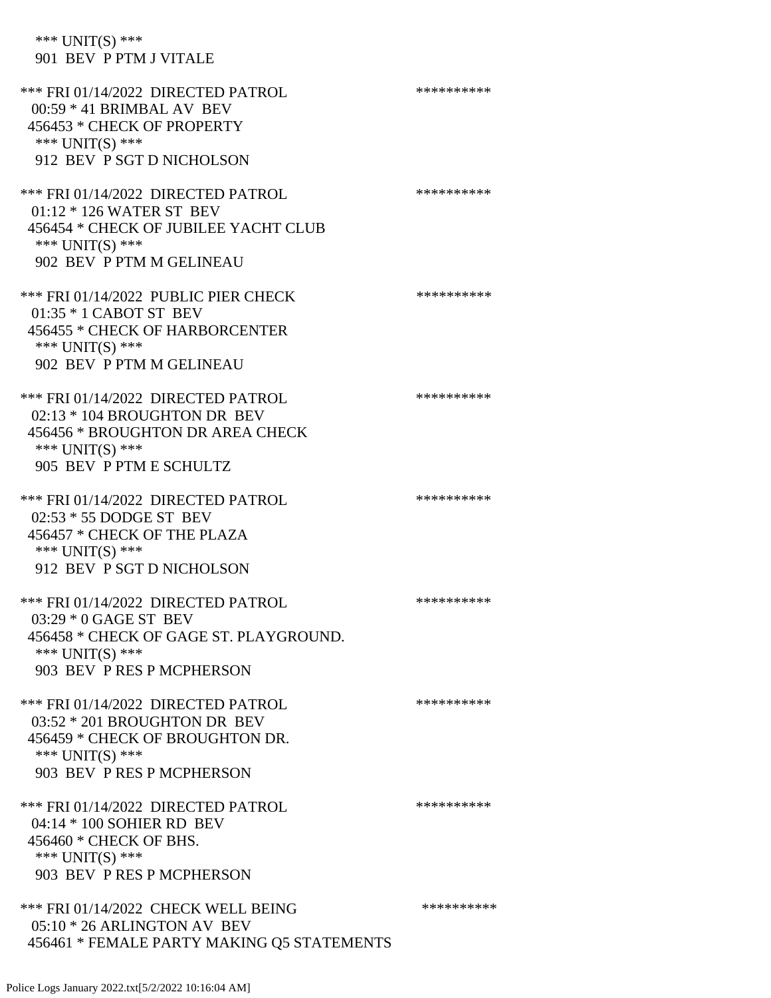\*\*\* UNIT(S) \*\*\* 901 BEV P PTM J VITALE

\*\*\* FRI 01/14/2022 DIRECTED PATROL \*\*\*\*\*\*\*\*\*\* 00:59 \* 41 BRIMBAL AV BEV 456453 \* CHECK OF PROPERTY \*\*\* UNIT(S) \*\*\* 912 BEV P SGT D NICHOLSON \*\*\* FRI 01/14/2022 DIRECTED PATROL \*\*\*\*\*\*\*\*\*\*\*\* 01:12 \* 126 WATER ST BEV 456454 \* CHECK OF JUBILEE YACHT CLUB \*\*\* UNIT(S) \*\*\* 902 BEV P PTM M GELINEAU \*\*\* FRI 01/14/2022 PUBLIC PIER CHECK \*\*\*\*\*\*\*\*\*\*\*\*\* 01:35 \* 1 CABOT ST BEV 456455 \* CHECK OF HARBORCENTER \*\*\* UNIT(S) \*\*\* 902 BEV P PTM M GELINEAU \*\*\* FRI 01/14/2022 DIRECTED PATROL \*\*\*\*\*\*\*\*\*\*\*\* 02:13 \* 104 BROUGHTON DR BEV 456456 \* BROUGHTON DR AREA CHECK \*\*\* UNIT(S) \*\*\* 905 BEV P PTM E SCHULTZ \*\*\* FRI 01/14/2022 DIRECTED PATROL \*\*\*\*\*\*\*\*\*\*\*\* 02:53 \* 55 DODGE ST BEV 456457 \* CHECK OF THE PLAZA \*\*\* UNIT(S) \*\*\* 912 BEV P SGT D NICHOLSON \*\*\* FRI 01/14/2022 DIRECTED PATROL \*\*\*\*\*\*\*\*\*\* 03:29 \* 0 GAGE ST BEV 456458 \* CHECK OF GAGE ST. PLAYGROUND. \*\*\* UNIT(S) \*\*\* 903 BEV P RES P MCPHERSON \*\*\* FRI 01/14/2022 DIRECTED PATROL \*\*\*\*\*\*\*\*\*\*\*\* 03:52 \* 201 BROUGHTON DR BEV 456459 \* CHECK OF BROUGHTON DR. \*\*\* UNIT(S) \*\*\* 903 BEV P RES P MCPHERSON \*\*\* FRI 01/14/2022 DIRECTED PATROL \*\*\*\*\*\*\*\*\*\*\*\* 04:14 \* 100 SOHIER RD BEV 456460 \* CHECK OF BHS. \*\*\* UNIT(S) \*\*\* 903 BEV P RES P MCPHERSON \*\*\* FRI 01/14/2022 CHECK WELL BEING \*\*\*\*\*\*\*\*\*\*\*\*\*\* 05:10 \* 26 ARLINGTON AV BEV 456461 \* FEMALE PARTY MAKING Q5 STATEMENTS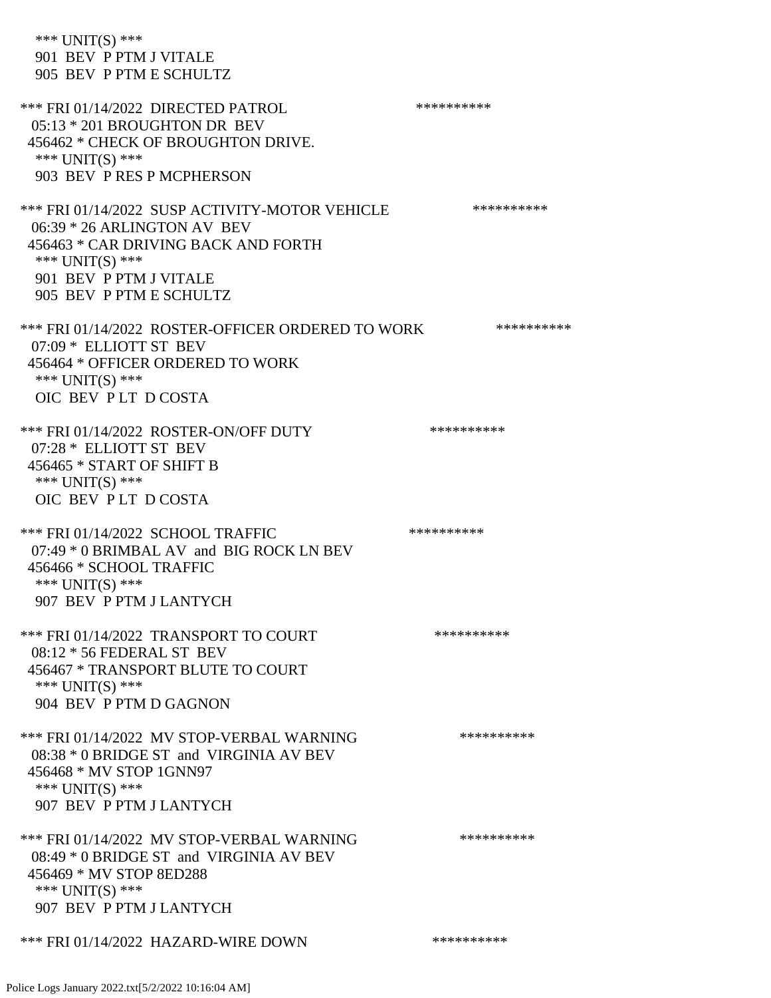\*\*\* UNIT(S) \*\*\* 901 BEV P PTM J VITALE 905 BEV P PTM E SCHULTZ \*\*\* FRI 01/14/2022 DIRECTED PATROL \*\*\*\*\*\*\*\*\*\*\*\* 05:13 \* 201 BROUGHTON DR BEV 456462 \* CHECK OF BROUGHTON DRIVE. \*\*\* UNIT(S) \*\*\* 903 BEV P RES P MCPHERSON \*\*\* FRI 01/14/2022 SUSP ACTIVITY-MOTOR VEHICLE \*\*\*\*\*\*\*\*\*\*\*\* 06:39 \* 26 ARLINGTON AV BEV 456463 \* CAR DRIVING BACK AND FORTH \*\*\* UNIT(S) \*\*\* 901 BEV P PTM J VITALE 905 BEV P PTM E SCHULTZ \*\*\* FRI 01/14/2022 ROSTER-OFFICER ORDERED TO WORK \*\*\*\*\*\*\*\*\*\*\* 07:09 \* ELLIOTT ST BEV 456464 \* OFFICER ORDERED TO WORK \*\*\* UNIT(S) \*\*\* OIC BEV P LT D COSTA \*\*\* FRI 01/14/2022 ROSTER-ON/OFF DUTY \*\*\*\*\*\*\*\*\*\*\*\* 07:28 \* ELLIOTT ST BEV 456465 \* START OF SHIFT B \*\*\* UNIT(S) \*\*\* OIC BEV P LT D COSTA \*\*\* FRI 01/14/2022 SCHOOL TRAFFIC \*\*\*\*\*\*\*\*\*\*\*\*\* 07:49 \* 0 BRIMBAL AV and BIG ROCK LN BEV 456466 \* SCHOOL TRAFFIC \*\*\* UNIT(S) \*\*\* 907 BEV P PTM J LANTYCH \*\*\* FRI 01/14/2022 TRANSPORT TO COURT \*\*\*\*\*\*\*\*\*\*\*\*\*\* 08:12 \* 56 FEDERAL ST BEV 456467 \* TRANSPORT BLUTE TO COURT \*\*\* UNIT(S) \*\*\* 904 BEV P PTM D GAGNON \*\*\* FRI 01/14/2022 MV STOP-VERBAL WARNING \*\*\*\*\*\*\*\*\*\*\*\* 08:38 \* 0 BRIDGE ST and VIRGINIA AV BEV 456468 \* MV STOP 1GNN97 \*\*\* UNIT(S) \*\*\* 907 BEV P PTM J LANTYCH \*\*\* FRI 01/14/2022 MV STOP-VERBAL WARNING \*\*\*\*\*\*\*\*\*\*\*\* 08:49 \* 0 BRIDGE ST and VIRGINIA AV BEV 456469 \* MV STOP 8ED288 \*\*\* UNIT(S) \*\*\* 907 BEV P PTM J LANTYCH \*\*\* FRI 01/14/2022 HAZARD-WIRE DOWN \*\*\*\*\*\*\*\*\*\*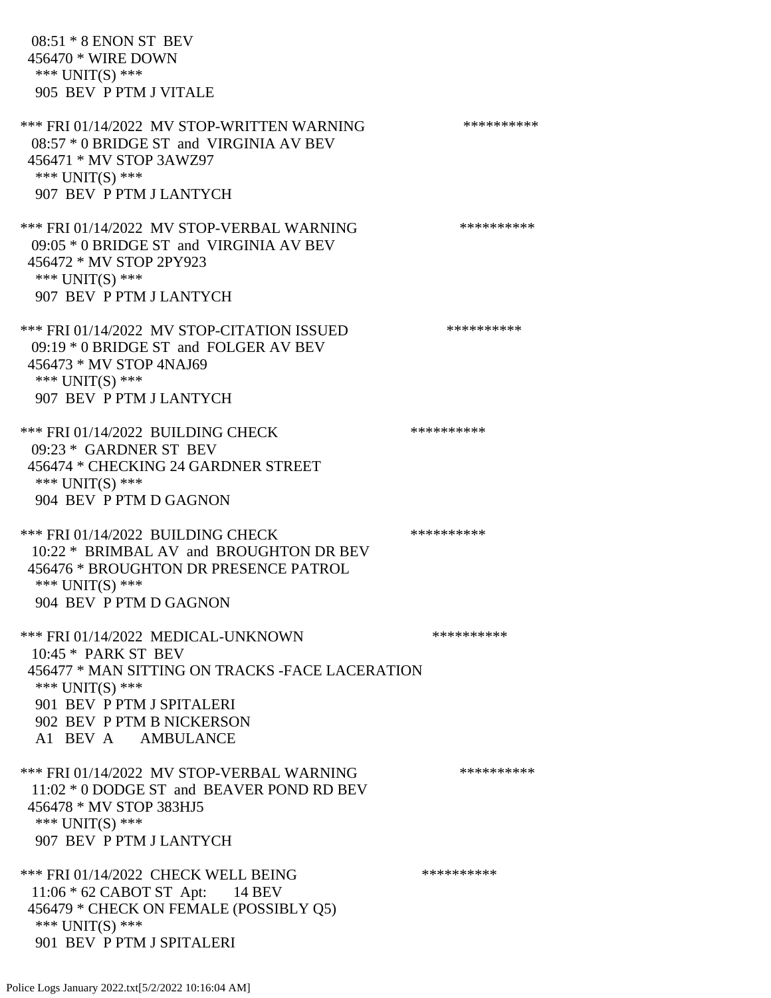08:51 \* 8 ENON ST BEV 456470 \* WIRE DOWN \*\*\* UNIT(S) \*\*\* 905 BEV P PTM J VITALE \*\*\* FRI 01/14/2022 MV STOP-WRITTEN WARNING \*\*\*\*\*\*\*\*\*\*\*\* 08:57 \* 0 BRIDGE ST and VIRGINIA AV BEV 456471 \* MV STOP 3AWZ97 \*\*\* UNIT(S) \*\*\* 907 BEV P PTM J LANTYCH \*\*\* FRI 01/14/2022 MV STOP-VERBAL WARNING \*\*\*\*\*\*\*\*\*\*\*\* 09:05 \* 0 BRIDGE ST and VIRGINIA AV BEV 456472 \* MV STOP 2PY923 \*\*\* UNIT(S) \*\*\* 907 BEV P PTM J LANTYCH \*\*\* FRI 01/14/2022 MV STOP-CITATION ISSUED \*\*\*\*\*\*\*\*\*\* 09:19 \* 0 BRIDGE ST and FOLGER AV BEV 456473 \* MV STOP 4NAJ69 \*\*\* UNIT(S) \*\*\* 907 BEV P PTM J LANTYCH \*\*\* FRI 01/14/2022 BUILDING CHECK \*\*\*\*\*\*\*\*\*\*\*\*\* 09:23 \* GARDNER ST BEV 456474 \* CHECKING 24 GARDNER STREET \*\*\* UNIT(S) \*\*\* 904 BEV P PTM D GAGNON \*\*\* FRI 01/14/2022 BUILDING CHECK \*\*\*\*\*\*\*\*\*\*\*\* 10:22 \* BRIMBAL AV and BROUGHTON DR BEV 456476 \* BROUGHTON DR PRESENCE PATROL \*\*\* UNIT(S) \*\*\* 904 BEV P PTM D GAGNON \*\*\* FRI 01/14/2022 MEDICAL-UNKNOWN \*\*\*\*\*\*\*\*\*\* 10:45 \* PARK ST BEV 456477 \* MAN SITTING ON TRACKS -FACE LACERATION \*\*\* UNIT(S) \*\*\* 901 BEV P PTM J SPITALERI 902 BEV P PTM B NICKERSON A1 BEV A AMBULANCE \*\*\* FRI 01/14/2022 MV STOP-VERBAL WARNING \*\*\*\*\*\*\*\*\*\*\*\* 11:02 \* 0 DODGE ST and BEAVER POND RD BEV 456478 \* MV STOP 383HJ5 \*\*\* UNIT(S) \*\*\* 907 BEV P PTM J LANTYCH \*\*\* FRI 01/14/2022 CHECK WELL BEING \*\*\*\*\*\*\*\*\*\* 11:06 \* 62 CABOT ST Apt: 14 BEV 456479 \* CHECK ON FEMALE (POSSIBLY Q5) \*\*\* UNIT(S) \*\*\*

901 BEV P PTM J SPITALERI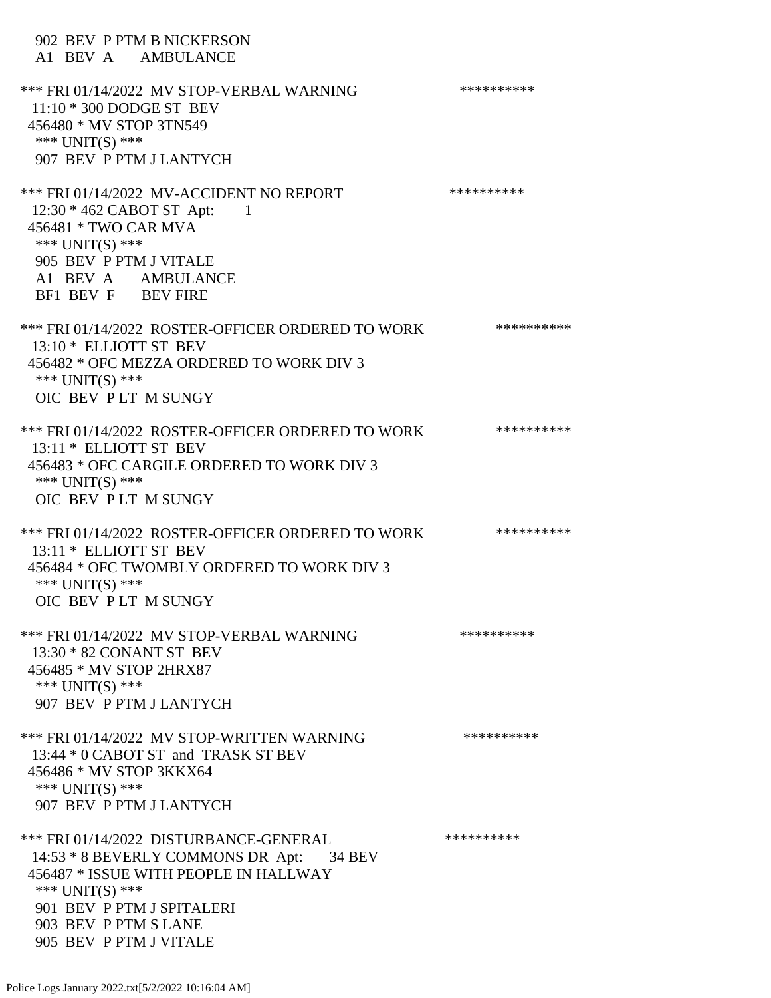902 BEV P PTM B NICKERSON A1 BEV A AMBULANCE \*\*\* FRI 01/14/2022 MV STOP-VERBAL WARNING \*\*\*\*\*\*\*\*\*\*\*\* 11:10 \* 300 DODGE ST BEV 456480 \* MV STOP 3TN549 \*\*\* UNIT(S) \*\*\* 907 BEV P PTM J LANTYCH \*\*\* FRI 01/14/2022 MV-ACCIDENT NO REPORT \*\*\*\*\*\*\*\*\*\*\*\*\* 12:30 \* 462 CABOT ST Apt: 1 456481 \* TWO CAR MVA \*\*\* UNIT(S) \*\*\* 905 BEV P PTM J VITALE A1 BEV A AMBULANCE BF1 BEV F BEV FIRE \*\*\* FRI 01/14/2022 ROSTER-OFFICER ORDERED TO WORK \*\*\*\*\*\*\*\*\*\*\* 13:10 \* ELLIOTT ST BEV 456482 \* OFC MEZZA ORDERED TO WORK DIV 3 \*\*\* UNIT(S) \*\*\* OIC BEV P LT M SUNGY \*\*\* FRI 01/14/2022 ROSTER-OFFICER ORDERED TO WORK \*\*\*\*\*\*\*\*\*\*\* 13:11 \* ELLIOTT ST BEV 456483 \* OFC CARGILE ORDERED TO WORK DIV 3 \*\*\* UNIT(S) \*\*\* OIC BEV P LT M SUNGY \*\*\* FRI 01/14/2022 ROSTER-OFFICER ORDERED TO WORK \*\*\*\*\*\*\*\*\*\*\* 13:11 \* ELLIOTT ST BEV 456484 \* OFC TWOMBLY ORDERED TO WORK DIV 3 \*\*\* UNIT(S) \*\*\* OIC BEV P LT M SUNGY \*\*\* FRI 01/14/2022 MV STOP-VERBAL WARNING \*\*\*\*\*\*\*\*\*\*\*\*\* 13:30 \* 82 CONANT ST BEV 456485 \* MV STOP 2HRX87 \*\*\* UNIT(S) \*\*\* 907 BEV P PTM J LANTYCH \*\*\* FRI 01/14/2022 MV STOP-WRITTEN WARNING \*\*\*\*\*\*\*\*\*\*\*\* 13:44 \* 0 CABOT ST and TRASK ST BEV 456486 \* MV STOP 3KKX64 \*\*\* UNIT(S) \*\*\* 907 BEV P PTM J LANTYCH \*\*\* FRI 01/14/2022 DISTURBANCE-GENERAL \*\*\*\*\*\*\*\*\*\* 14:53 \* 8 BEVERLY COMMONS DR Apt: 34 BEV 456487 \* ISSUE WITH PEOPLE IN HALLWAY \*\*\* UNIT(S) \*\*\* 901 BEV P PTM J SPITALERI 903 BEV P PTM S LANE 905 BEV P PTM J VITALE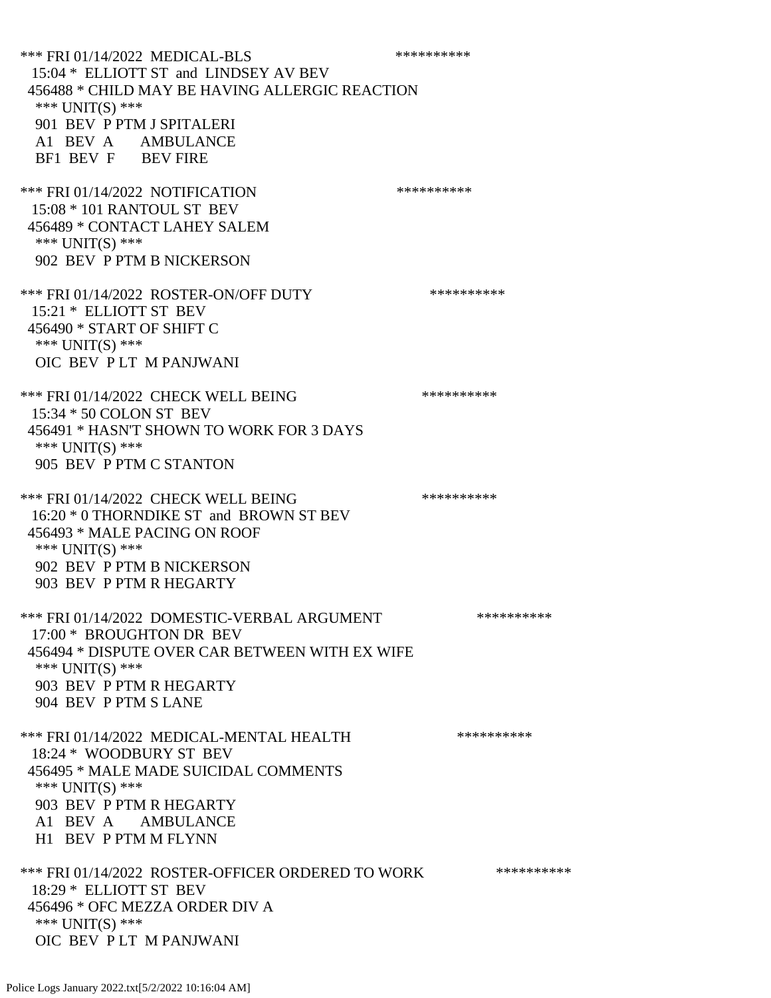\*\*\* FRI 01/14/2022 MEDICAL-BLS \*\*\*\*\*\*\*\*\*\*\*\*\* 15:04 \* ELLIOTT ST and LINDSEY AV BEV 456488 \* CHILD MAY BE HAVING ALLERGIC REACTION \*\*\* UNIT(S) \*\*\* 901 BEV P PTM J SPITALERI A1 BEV A AMBULANCE BF1 BEV F BEV FIRE \*\*\* FRI 01/14/2022 NOTIFICATION \*\*\*\*\*\*\*\*\*\* 15:08 \* 101 RANTOUL ST BEV 456489 \* CONTACT LAHEY SALEM \*\*\* UNIT(S) \*\*\* 902 BEV P PTM B NICKERSON \*\*\* FRI 01/14/2022 ROSTER-ON/OFF DUTY \*\*\*\*\*\*\*\*\*\* 15:21 \* ELLIOTT ST BEV 456490 \* START OF SHIFT C \*\*\* UNIT(S) \*\*\* OIC BEV P LT M PANJWANI \*\*\* FRI 01/14/2022 CHECK WELL BEING \*\*\*\*\*\*\*\*\*\* 15:34 \* 50 COLON ST BEV 456491 \* HASN'T SHOWN TO WORK FOR 3 DAYS \*\*\* UNIT(S) \*\*\* 905 BEV P PTM C STANTON \*\*\* FRI 01/14/2022 CHECK WELL BEING \*\*\*\*\*\*\*\*\*\* 16:20 \* 0 THORNDIKE ST and BROWN ST BEV 456493 \* MALE PACING ON ROOF \*\*\* UNIT(S) \*\*\* 902 BEV P PTM B NICKERSON 903 BEV P PTM R HEGARTY \*\*\* FRI 01/14/2022 DOMESTIC-VERBAL ARGUMENT \*\*\*\*\*\*\*\*\*\*\*\*\* 17:00 \* BROUGHTON DR BEV 456494 \* DISPUTE OVER CAR BETWEEN WITH EX WIFE \*\*\* UNIT(S) \*\*\* 903 BEV P PTM R HEGARTY 904 BEV P PTM S LANE \*\*\* FRI 01/14/2022 MEDICAL-MENTAL HEALTH \*\*\*\*\*\*\*\*\*\*\*\* 18:24 \* WOODBURY ST BEV 456495 \* MALE MADE SUICIDAL COMMENTS \*\*\* UNIT(S) \*\*\* 903 BEV P PTM R HEGARTY A1 BEV A AMBULANCE H1 BEV P PTM M FLYNN \*\*\* FRI 01/14/2022 ROSTER-OFFICER ORDERED TO WORK \*\*\*\*\*\*\*\*\*\*\* 18:29 \* ELLIOTT ST BEV 456496 \* OFC MEZZA ORDER DIV A \*\*\* UNIT(S) \*\*\* OIC BEV P LT M PANJWANI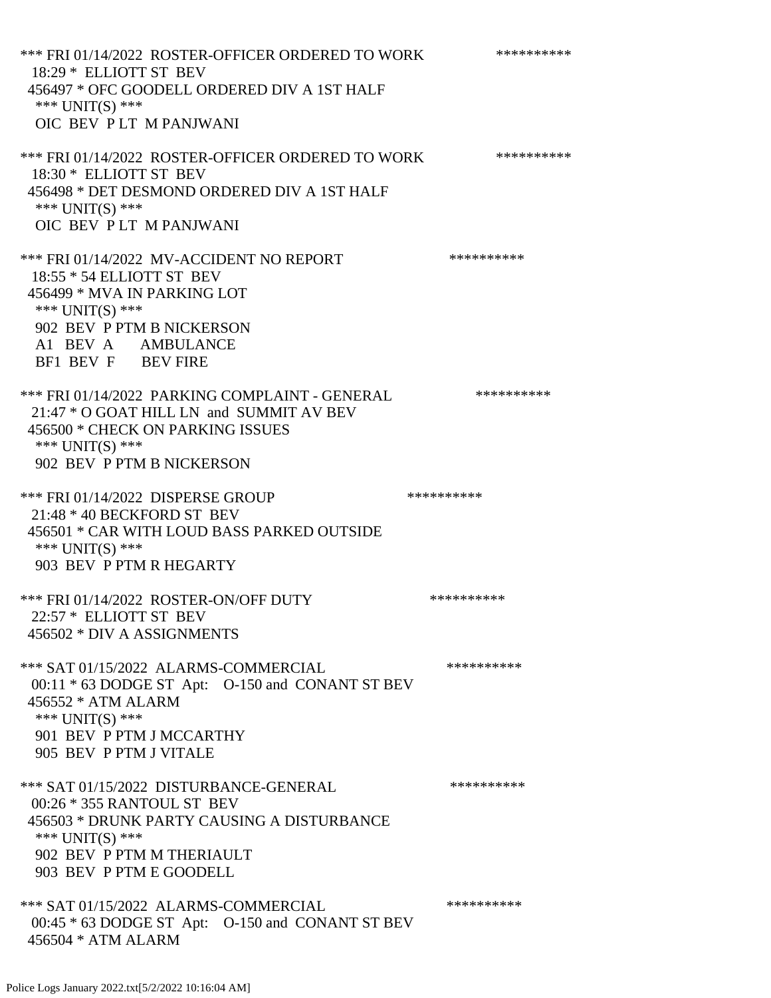\*\*\* FRI 01/14/2022 ROSTER-OFFICER ORDERED TO WORK \*\*\*\*\*\*\*\*\*\*\* 18:29 \* ELLIOTT ST BEV 456497 \* OFC GOODELL ORDERED DIV A 1ST HALF \*\*\* UNIT(S) \*\*\* OIC BEV P LT M PANJWANI \*\*\* FRI 01/14/2022 ROSTER-OFFICER ORDERED TO WORK \*\*\*\*\*\*\*\*\*\*\* 18:30 \* ELLIOTT ST BEV 456498 \* DET DESMOND ORDERED DIV A 1ST HALF \*\*\* UNIT(S) \*\*\* OIC BEV P LT M PANJWANI \*\*\* FRI 01/14/2022 MV-ACCIDENT NO REPORT \*\*\*\*\*\*\*\*\*\*\*\* 18:55 \* 54 ELLIOTT ST BEV 456499 \* MVA IN PARKING LOT \*\*\* UNIT(S) \*\*\* 902 BEV P PTM B NICKERSON A1 BEV A AMBULANCE BF1 BEV F BEV FIRE \*\*\* FRI 01/14/2022 PARKING COMPLAINT - GENERAL \*\*\*\*\*\*\*\*\*\* 21:47 \* O GOAT HILL LN and SUMMIT AV BEV 456500 \* CHECK ON PARKING ISSUES \*\*\* UNIT(S) \*\*\* 902 BEV P PTM B NICKERSON \*\*\* FRI 01/14/2022 DISPERSE GROUP \*\*\*\*\*\*\*\*\*\* 21:48 \* 40 BECKFORD ST BEV 456501 \* CAR WITH LOUD BASS PARKED OUTSIDE \*\*\* UNIT(S) \*\*\* 903 BEV P PTM R HEGARTY \*\*\* FRI 01/14/2022 ROSTER-ON/OFF DUTY \*\*\*\*\*\*\*\*\*\* 22:57 \* ELLIOTT ST BEV 456502 \* DIV A ASSIGNMENTS \*\*\* SAT 01/15/2022 ALARMS-COMMERCIAL \*\*\*\*\*\*\*\*\*\* 00:11 \* 63 DODGE ST Apt: O-150 and CONANT ST BEV 456552 \* ATM ALARM \*\*\* UNIT(S) \*\*\* 901 BEV P PTM J MCCARTHY 905 BEV P PTM J VITALE \*\*\* SAT 01/15/2022 DISTURBANCE-GENERAL \*\*\*\*\*\*\*\*\*\* 00:26 \* 355 RANTOUL ST BEV 456503 \* DRUNK PARTY CAUSING A DISTURBANCE \*\*\* UNIT(S) \*\*\* 902 BEV P PTM M THERIAULT 903 BEV P PTM E GOODELL \*\*\* SAT 01/15/2022 ALARMS-COMMERCIAL \*\*\*\*\*\*\*\*\*\* 00:45 \* 63 DODGE ST Apt: O-150 and CONANT ST BEV 456504 \* ATM ALARM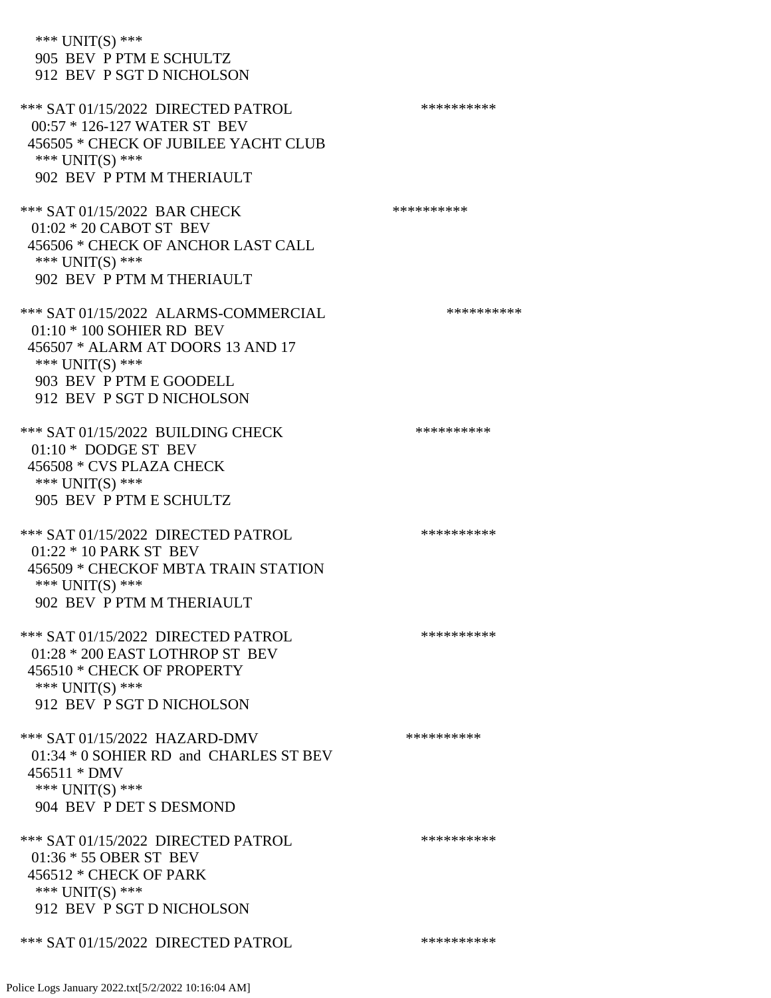| *** UNIT(S) ***<br>905 BEV P PTM E SCHULTZ<br>912 BEV P SGT D NICHOLSON                                                                                                             |            |
|-------------------------------------------------------------------------------------------------------------------------------------------------------------------------------------|------------|
| *** SAT 01/15/2022 DIRECTED PATROL<br>00:57 * 126-127 WATER ST BEV<br>456505 * CHECK OF JUBILEE YACHT CLUB<br>*** UNIT(S) ***<br>902 BEV P PTM M THERIAULT                          | ********** |
| *** SAT 01/15/2022 BAR CHECK<br>$01:02 * 20$ CABOT ST BEV<br>456506 * CHECK OF ANCHOR LAST CALL<br>*** $UNIT(S)$ ***<br>902 BEV P PTM M THERIAULT                                   | ********** |
| *** SAT 01/15/2022 ALARMS-COMMERCIAL<br>$01:10 * 100$ SOHIER RD BEV<br>456507 * ALARM AT DOORS 13 AND 17<br>*** UNIT(S) ***<br>903 BEV P PTM E GOODELL<br>912 BEV P SGT D NICHOLSON | ********** |
| *** SAT 01/15/2022 BUILDING CHECK<br>01:10 * DODGE ST BEV<br>456508 * CVS PLAZA CHECK<br>*** UNIT(S) ***<br>905 BEV P PTM E SCHULTZ                                                 | ********** |
| *** SAT 01/15/2022 DIRECTED PATROL<br>$01:22 * 10$ PARK ST BEV<br>456509 * CHECKOF MBTA TRAIN STATION<br>*** UNIT(S) ***<br>902 BEV P PTM M THERIAULT                               | ********** |
| *** SAT 01/15/2022 DIRECTED PATROL<br>01:28 * 200 EAST LOTHROP ST BEV<br>456510 * CHECK OF PROPERTY<br>*** UNIT(S) ***<br>912 BEV P SGT D NICHOLSON                                 | ********** |
| *** SAT 01/15/2022 HAZARD-DMV<br>01:34 * 0 SOHIER RD and CHARLES ST BEV<br>456511 * DMV<br>*** UNIT(S) ***<br>904 BEV P DET S DESMOND                                               | ********** |
| *** SAT 01/15/2022 DIRECTED PATROL<br>01:36 * 55 OBER ST BEV<br>456512 * CHECK OF PARK<br>*** UNIT(S) ***<br>912 BEV P SGT D NICHOLSON                                              | ********** |
| *** SAT 01/15/2022 DIRECTED PATROL                                                                                                                                                  | ********** |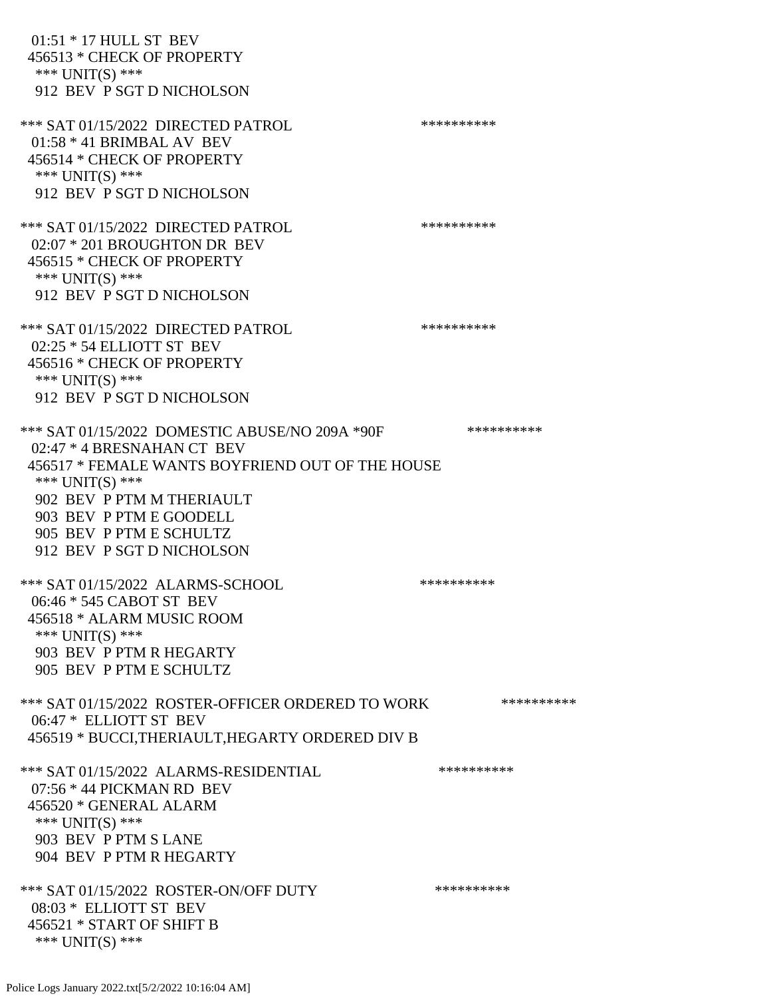| 01:51 * 17 HULL ST BEV<br>456513 * CHECK OF PROPERTY<br>*** UNIT(S) ***<br>912 BEV P SGT D NICHOLSON                                                                                                                                                                  |            |
|-----------------------------------------------------------------------------------------------------------------------------------------------------------------------------------------------------------------------------------------------------------------------|------------|
| *** SAT 01/15/2022 DIRECTED PATROL<br>$01:58 * 41$ BRIMBAL AV BEV<br>456514 * CHECK OF PROPERTY<br>*** UNIT(S) ***<br>912 BEV P SGT D NICHOLSON                                                                                                                       | ********** |
| *** SAT 01/15/2022 DIRECTED PATROL<br>02:07 * 201 BROUGHTON DR BEV<br>456515 * CHECK OF PROPERTY<br>*** UNIT(S) ***<br>912 BEV P SGT D NICHOLSON                                                                                                                      | ********** |
| *** SAT 01/15/2022 DIRECTED PATROL<br>02:25 * 54 ELLIOTT ST BEV<br>456516 * CHECK OF PROPERTY<br>*** UNIT(S) ***<br>912 BEV P SGT D NICHOLSON                                                                                                                         | ********** |
| *** SAT 01/15/2022 DOMESTIC ABUSE/NO 209A *90F<br>02:47 * 4 BRESNAHAN CT BEV<br>456517 * FEMALE WANTS BOYFRIEND OUT OF THE HOUSE<br>*** $UNIT(S)$ ***<br>902 BEV P PTM M THERIAULT<br>903 BEV P PTM E GOODELL<br>905 BEV P PTM E SCHULTZ<br>912 BEV P SGT D NICHOLSON | ********** |
| *** SAT 01/15/2022 ALARMS-SCHOOL<br>06:46 * 545 CABOT ST BEV<br>456518 * ALARM MUSIC ROOM<br>*** UNIT(S) ***<br>903 BEV P PTM R HEGARTY<br>905 BEV P PTM E SCHULTZ                                                                                                    | ********** |
| *** SAT 01/15/2022 ROSTER-OFFICER ORDERED TO WORK<br>06:47 * ELLIOTT ST BEV<br>456519 * BUCCI, THERIAULT, HEGARTY ORDERED DIV B                                                                                                                                       | ********** |
| *** SAT 01/15/2022 ALARMS-RESIDENTIAL<br>$07:56 * 44$ PICKMAN RD BEV<br>456520 * GENERAL ALARM<br>*** UNIT(S) ***<br>903 BEV P PTM S LANE<br>904 BEV P PTM R HEGARTY                                                                                                  | ********** |
| *** SAT 01/15/2022 ROSTER-ON/OFF DUTY<br>08:03 * ELLIOTT ST BEV<br>456521 * START OF SHIFT B<br>*** UNIT(S) ***                                                                                                                                                       | ********** |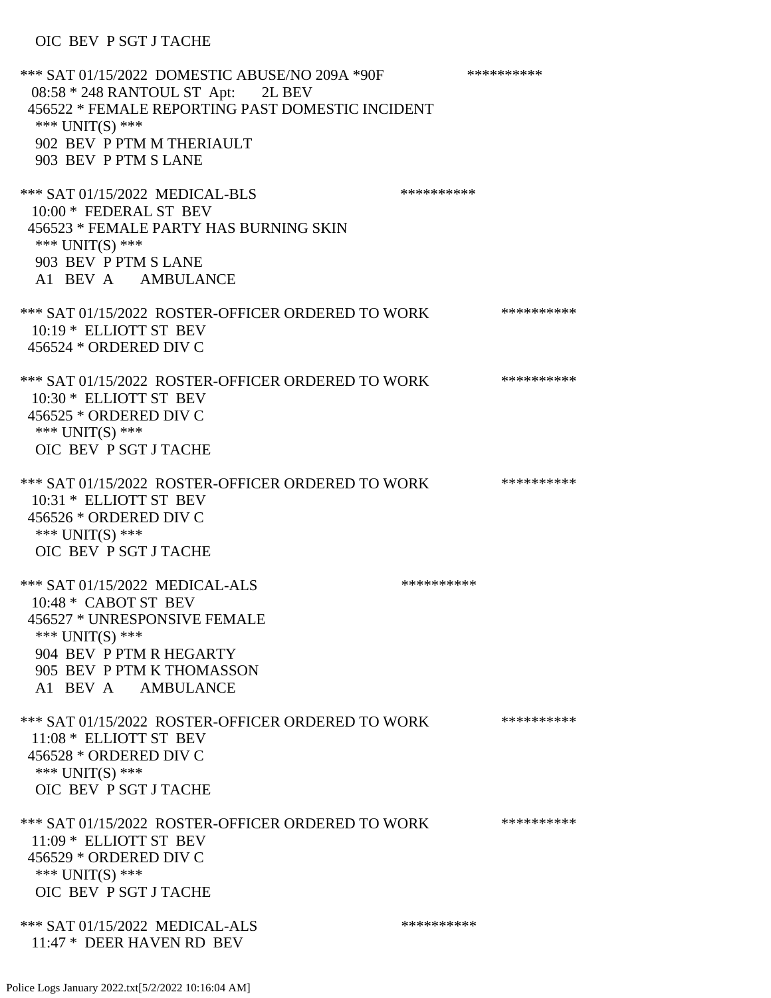### OIC BEV P SGT J TACHE

\*\*\* SAT 01/15/2022 DOMESTIC ABUSE/NO 209A \*90F \*\*\*\*\*\*\*\*\*\*\*\* 08:58 \* 248 RANTOUL ST Apt: 2L BEV 456522 \* FEMALE REPORTING PAST DOMESTIC INCIDENT \*\*\* UNIT(S) \*\*\* 902 BEV P PTM M THERIAULT 903 BEV P PTM S LANE \*\*\* SAT 01/15/2022 MEDICAL-BLS \*\*\*\*\*\*\*\*\*\*\*\*\*\* 10:00 \* FEDERAL ST BEV 456523 \* FEMALE PARTY HAS BURNING SKIN \*\*\* UNIT(S) \*\*\* 903 BEV P PTM S LANE A1 BEV A AMBULANCE \*\*\* SAT 01/15/2022 ROSTER-OFFICER ORDERED TO WORK \*\*\*\*\*\*\*\*\*\*\* 10:19 \* ELLIOTT ST BEV 456524 \* ORDERED DIV C \*\*\* SAT 01/15/2022 ROSTER-OFFICER ORDERED TO WORK \*\*\*\*\*\*\*\*\*\*\* 10:30 \* ELLIOTT ST BEV 456525 \* ORDERED DIV C \*\*\* UNIT(S) \*\*\* OIC BEV P SGT J TACHE \*\*\* SAT 01/15/2022 ROSTER-OFFICER ORDERED TO WORK \*\*\*\*\*\*\*\*\*\*\* 10:31 \* ELLIOTT ST BEV 456526 \* ORDERED DIV C \*\*\* UNIT(S) \*\*\* OIC BEV P SGT J TACHE \*\*\* SAT 01/15/2022 MEDICAL-ALS \*\*\*\*\*\*\*\*\*\* 10:48 \* CABOT ST BEV 456527 \* UNRESPONSIVE FEMALE \*\*\* UNIT(S) \*\*\* 904 BEV P PTM R HEGARTY 905 BEV P PTM K THOMASSON A1 BEV A AMBULANCE \*\*\* SAT 01/15/2022 ROSTER-OFFICER ORDERED TO WORK \*\*\*\*\*\*\*\*\*\*\* 11:08 \* ELLIOTT ST BEV 456528 \* ORDERED DIV C \*\*\* UNIT(S) \*\*\* OIC BEV P SGT J TACHE \*\*\* SAT 01/15/2022 ROSTER-OFFICER ORDERED TO WORK \*\*\*\*\*\*\*\*\*\*\* 11:09 \* ELLIOTT ST BEV 456529 \* ORDERED DIV C \*\*\* UNIT(S) \*\*\* OIC BEV P SGT J TACHE \*\*\* SAT 01/15/2022 MEDICAL-ALS \*\*\*\*\*\*\*\*\*\*\*\*\* 11:47 \* DEER HAVEN RD BEV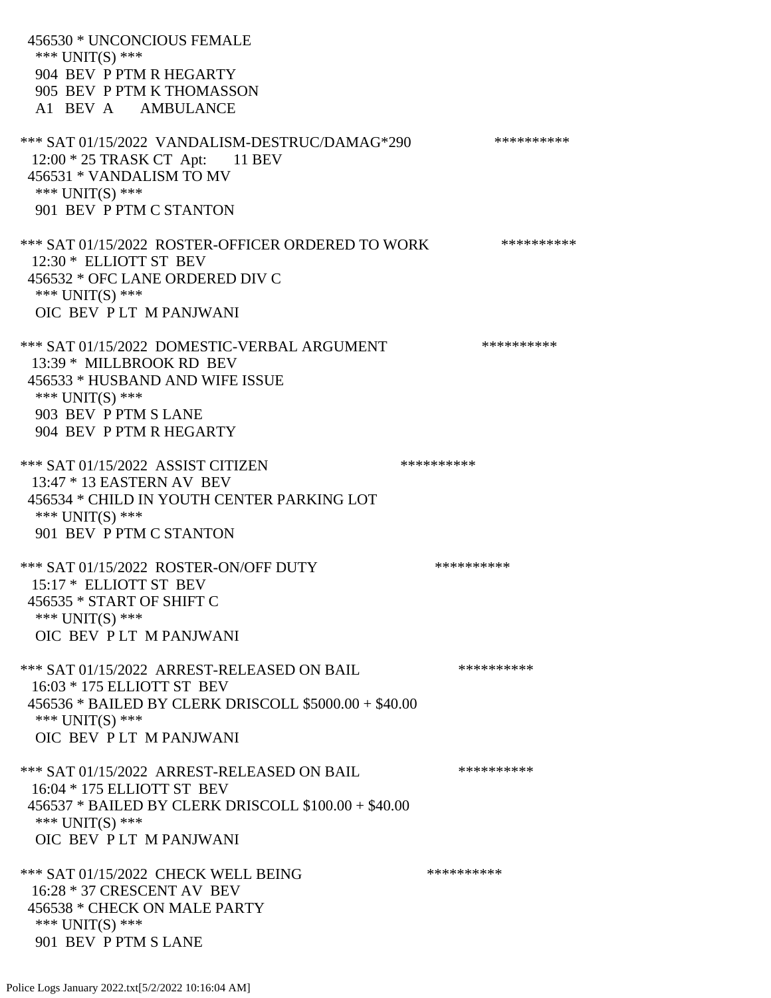456530 \* UNCONCIOUS FEMALE \*\*\* UNIT(S) \*\*\* 904 BEV P PTM R HEGARTY 905 BEV P PTM K THOMASSON A1 BEV A AMBULANCE \*\*\* SAT 01/15/2022 VANDALISM-DESTRUC/DAMAG\*290 \*\*\*\*\*\*\*\*\*\* 12:00 \* 25 TRASK CT Apt: 11 BEV 456531 \* VANDALISM TO MV \*\*\* UNIT(S) \*\*\* 901 BEV P PTM C STANTON \*\*\* SAT 01/15/2022 ROSTER-OFFICER ORDERED TO WORK \*\*\*\*\*\*\*\*\*\*\* 12:30 \* ELLIOTT ST BEV 456532 \* OFC LANE ORDERED DIV C \*\*\* UNIT(S) \*\*\* OIC BEV P LT M PANJWANI \*\*\* SAT 01/15/2022 DOMESTIC-VERBAL ARGUMENT \*\*\*\*\*\*\*\*\*\*\*\*\* 13:39 \* MILLBROOK RD BEV 456533 \* HUSBAND AND WIFE ISSUE \*\*\* UNIT(S) \*\*\* 903 BEV P PTM S LANE 904 BEV P PTM R HEGARTY \*\*\* SAT 01/15/2022 ASSIST CITIZEN \*\*\*\*\*\*\*\*\*\*\*\* 13:47 \* 13 EASTERN AV BEV 456534 \* CHILD IN YOUTH CENTER PARKING LOT \*\*\* UNIT(S) \*\*\* 901 BEV P PTM C STANTON \*\*\* SAT 01/15/2022 ROSTER-ON/OFF DUTY \*\*\*\*\*\*\*\*\*\* 15:17 \* ELLIOTT ST BEV 456535 \* START OF SHIFT C \*\*\* UNIT(S) \*\*\* OIC BEV P LT M PANJWANI \*\*\* SAT 01/15/2022 ARREST-RELEASED ON BAIL \*\*\*\*\*\*\*\*\*\* 16:03 \* 175 ELLIOTT ST BEV 456536 \* BAILED BY CLERK DRISCOLL \$5000.00 + \$40.00 \*\*\* UNIT(S) \*\*\* OIC BEV P LT M PANJWANI \*\*\* SAT 01/15/2022 ARREST-RELEASED ON BAIL \*\*\*\*\*\*\*\*\*\* 16:04 \* 175 ELLIOTT ST BEV 456537 \* BAILED BY CLERK DRISCOLL \$100.00 + \$40.00 \*\*\* UNIT(S) \*\*\* OIC BEV P LT M PANJWANI \*\*\* SAT 01/15/2022 CHECK WELL BEING \*\*\*\*\*\*\*\*\*\*\*\*\* 16:28 \* 37 CRESCENT AV BEV 456538 \* CHECK ON MALE PARTY \*\*\* UNIT(S) \*\*\* 901 BEV P PTM S LANE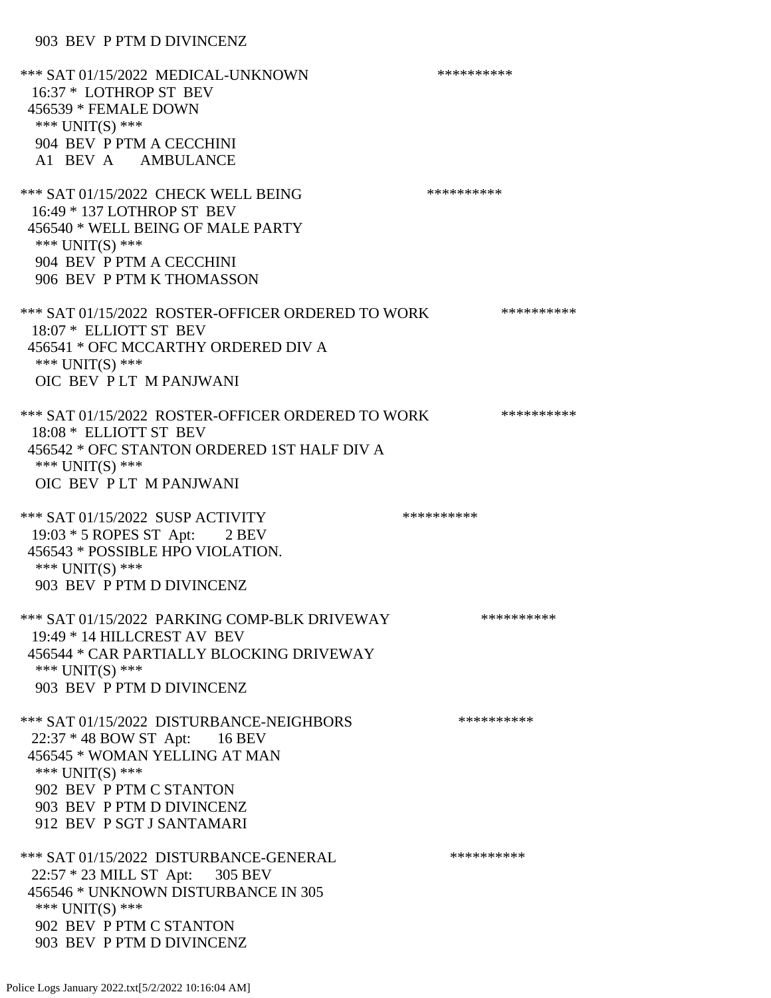#### 903 BEV P PTM D DIVINCENZ

\*\*\* SAT 01/15/2022 MEDICAL-UNKNOWN \*\*\*\*\*\*\*\*\*\* 16:37 \* LOTHROP ST BEV 456539 \* FEMALE DOWN \*\*\* UNIT(S) \*\*\* 904 BEV P PTM A CECCHINI A1 BEV A AMBULANCE \*\*\* SAT 01/15/2022 CHECK WELL BEING \*\*\*\*\*\*\*\*\*\*\*\*\* 16:49 \* 137 LOTHROP ST BEV 456540 \* WELL BEING OF MALE PARTY \*\*\* UNIT(S) \*\*\* 904 BEV P PTM A CECCHINI 906 BEV P PTM K THOMASSON \*\*\* SAT 01/15/2022 ROSTER-OFFICER ORDERED TO WORK \*\*\*\*\*\*\*\*\*\*\* 18:07 \* ELLIOTT ST BEV 456541 \* OFC MCCARTHY ORDERED DIV A \*\*\* UNIT(S) \*\*\* OIC BEV P LT M PANJWANI \*\*\* SAT 01/15/2022 ROSTER-OFFICER ORDERED TO WORK \*\*\*\*\*\*\*\*\*\*\* 18:08 \* ELLIOTT ST BEV 456542 \* OFC STANTON ORDERED 1ST HALF DIV A \*\*\* UNIT(S) \*\*\* OIC BEV P LT M PANJWANI \*\*\* SAT 01/15/2022 SUSP ACTIVITY \*\*\*\*\*\*\*\*\*\*\*\* 19:03 \* 5 ROPES ST Apt: 2 BEV 456543 \* POSSIBLE HPO VIOLATION. \*\*\* UNIT(S) \*\*\* 903 BEV P PTM D DIVINCENZ \*\*\* SAT 01/15/2022 PARKING COMP-BLK DRIVEWAY \*\*\*\*\*\*\*\*\*\* 19:49 \* 14 HILLCREST AV BEV 456544 \* CAR PARTIALLY BLOCKING DRIVEWAY \*\*\* UNIT(S) \*\*\* 903 BEV P PTM D DIVINCENZ \*\*\* SAT 01/15/2022 DISTURBANCE-NEIGHBORS \*\*\*\*\*\*\*\*\*\*\*\*\* 22:37 \* 48 BOW ST Apt: 16 BEV 456545 \* WOMAN YELLING AT MAN \*\*\* UNIT(S) \*\*\* 902 BEV P PTM C STANTON 903 BEV P PTM D DIVINCENZ 912 BEV P SGT J SANTAMARI \*\*\* SAT 01/15/2022 DISTURBANCE-GENERAL \*\*\*\*\*\*\*\*\*\* 22:57 \* 23 MILL ST Apt: 305 BEV 456546 \* UNKNOWN DISTURBANCE IN 305 \*\*\* UNIT(S) \*\*\* 902 BEV P PTM C STANTON 903 BEV P PTM D DIVINCENZ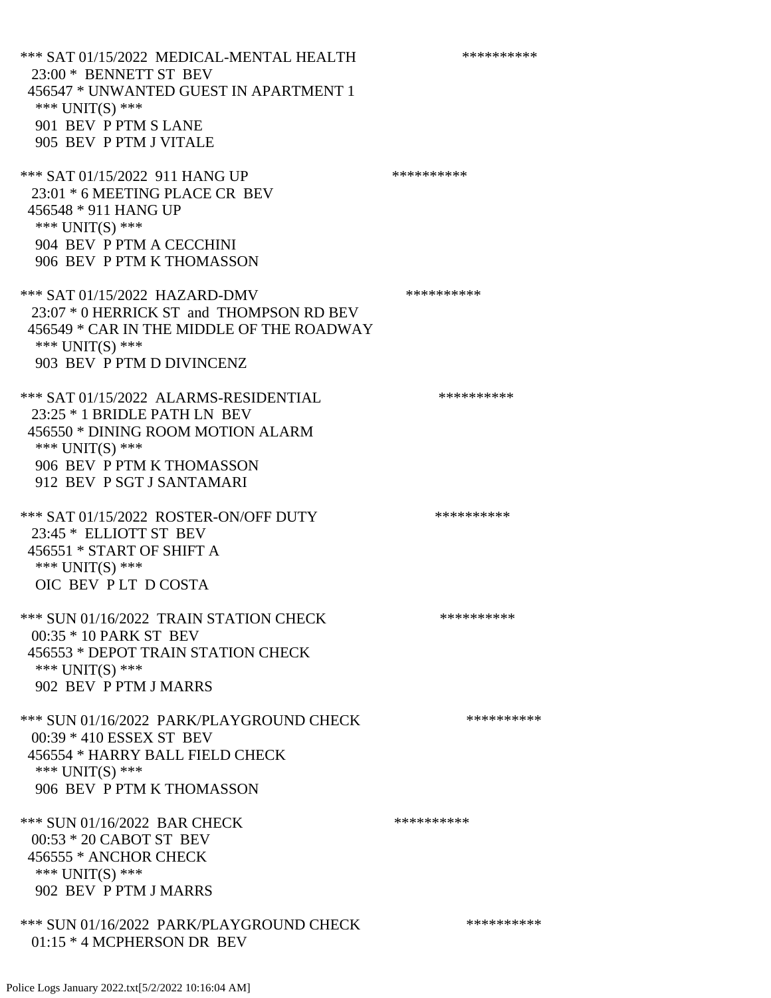\*\*\* SAT 01/15/2022 MEDICAL-MENTAL HEALTH \*\*\*\*\*\*\*\*\*\* 23:00 \* BENNETT ST BEV 456547 \* UNWANTED GUEST IN APARTMENT 1 \*\*\* UNIT(S) \*\*\* 901 BEV P PTM S LANE 905 BEV P PTM J VITALE \*\*\* SAT 01/15/2022 911 HANG UP \*\*\*\*\*\*\*\*\*\*\*\*\* 23:01 \* 6 MEETING PLACE CR BEV 456548 \* 911 HANG UP \*\*\* UNIT(S) \*\*\* 904 BEV P PTM A CECCHINI 906 BEV P PTM K THOMASSON \*\*\* SAT 01/15/2022 HAZARD-DMV \*\*\*\*\*\*\*\*\*\* 23:07 \* 0 HERRICK ST and THOMPSON RD BEV 456549 \* CAR IN THE MIDDLE OF THE ROADWAY \*\*\* UNIT(S) \*\*\* 903 BEV P PTM D DIVINCENZ \*\*\* SAT 01/15/2022 ALARMS-RESIDENTIAL \*\*\*\*\*\*\*\*\*\* 23:25 \* 1 BRIDLE PATH LN BEV 456550 \* DINING ROOM MOTION ALARM \*\*\* UNIT(S) \*\*\* 906 BEV P PTM K THOMASSON 912 BEV P SGT J SANTAMARI \*\*\* SAT 01/15/2022 ROSTER-ON/OFF DUTY \*\*\*\*\*\*\*\*\*\*\*\*\* 23:45 \* ELLIOTT ST BEV 456551 \* START OF SHIFT A \*\*\* UNIT(S) \*\*\* OIC BEV P LT D COSTA \*\*\* SUN 01/16/2022 TRAIN STATION CHECK \*\*\*\*\*\*\*\*\*\*\* 00:35 \* 10 PARK ST BEV 456553 \* DEPOT TRAIN STATION CHECK \*\*\* UNIT(S) \*\*\* 902 BEV P PTM J MARRS \*\*\* SUN 01/16/2022 PARK/PLAYGROUND CHECK \*\*\*\*\*\*\*\*\*\*\*\* 00:39 \* 410 ESSEX ST BEV 456554 \* HARRY BALL FIELD CHECK \*\*\* UNIT(S) \*\*\* 906 BEV P PTM K THOMASSON \*\*\* SUN 01/16/2022 BAR CHECK \*\*\*\*\*\*\*\*\*\*\*\*\* 00:53 \* 20 CABOT ST BEV 456555 \* ANCHOR CHECK \*\*\* UNIT(S) \*\*\* 902 BEV P PTM J MARRS \*\*\* SUN 01/16/2022 PARK/PLAYGROUND CHECK \*\*\*\*\*\*\*\*\*\* 01:15 \* 4 MCPHERSON DR BEV

Police Logs January 2022.txt[5/2/2022 10:16:04 AM]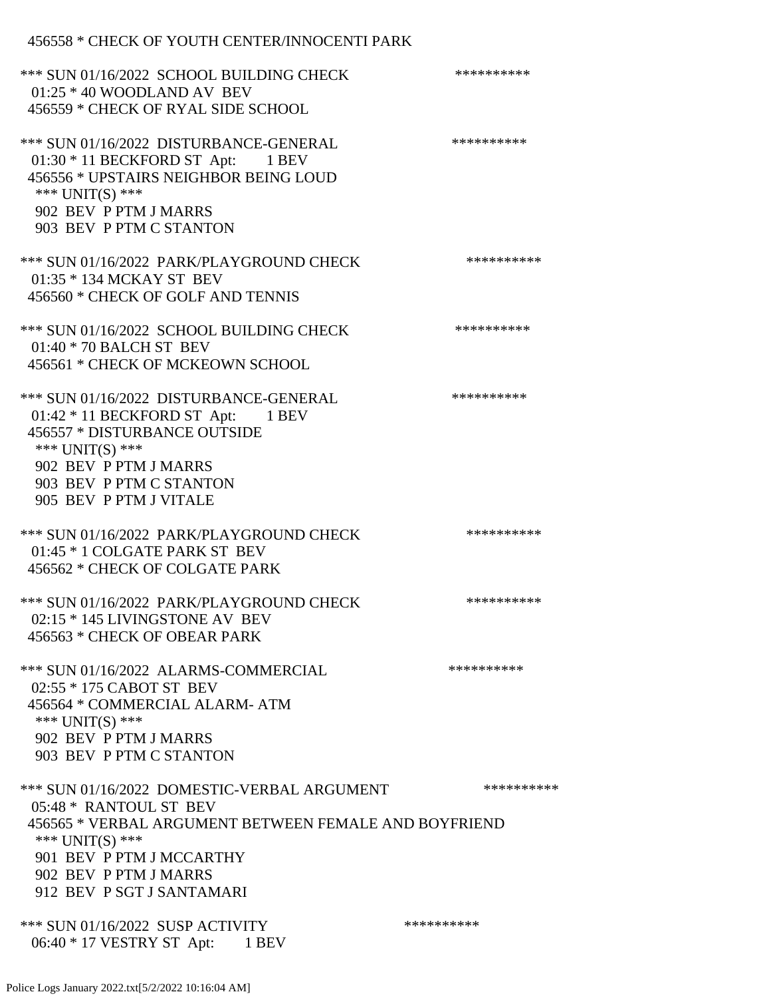## 456558 \* CHECK OF YOUTH CENTER/INNOCENTI PARK

| *** SUN 01/16/2022 SCHOOL BUILDING CHECK<br>$01:25 * 40$ WOODLAND AV BEV<br>456559 * CHECK OF RYAL SIDE SCHOOL                                                                                                                      | ********** |
|-------------------------------------------------------------------------------------------------------------------------------------------------------------------------------------------------------------------------------------|------------|
| *** SUN 01/16/2022 DISTURBANCE-GENERAL<br>01:30 * 11 BECKFORD ST Apt: 1 BEV<br>456556 * UPSTAIRS NEIGHBOR BEING LOUD<br>*** UNIT(S) ***<br>902 BEV P PTM J MARRS<br>903 BEV P PTM C STANTON                                         | ********** |
| *** SUN 01/16/2022 PARK/PLAYGROUND CHECK<br>01:35 * 134 MCKAY ST BEV<br>456560 * CHECK OF GOLF AND TENNIS                                                                                                                           | ********** |
| *** SUN 01/16/2022 SCHOOL BUILDING CHECK<br>$01:40 * 70$ BALCH ST BEV<br>456561 * CHECK OF MCKEOWN SCHOOL                                                                                                                           | ********** |
| *** SUN 01/16/2022 DISTURBANCE-GENERAL<br>$01:42 * 11$ BECKFORD ST Apt: 1 BEV<br>456557 * DISTURBANCE OUTSIDE<br>*** UNIT(S) ***<br>902 BEV P PTM J MARRS<br>903 BEV P PTM C STANTON<br>905 BEV P PTM J VITALE                      | ********** |
| *** SUN 01/16/2022 PARK/PLAYGROUND CHECK<br>01:45 * 1 COLGATE PARK ST BEV<br>456562 * CHECK OF COLGATE PARK                                                                                                                         | ********** |
| *** SUN 01/16/2022 PARK/PLAYGROUND CHECK<br>02:15 * 145 LIVINGSTONE AV BEV<br>456563 * CHECK OF OBEAR PARK                                                                                                                          | ********** |
| *** SUN 01/16/2022 ALARMS-COMMERCIAL<br>02:55 * 175 CABOT ST BEV<br>456564 * COMMERCIAL ALARM-ATM<br>*** UNIT(S) ***<br>902 BEV P PTM J MARRS<br>903 BEV P PTM C STANTON                                                            | ********** |
| *** SUN 01/16/2022 DOMESTIC-VERBAL ARGUMENT<br>05:48 * RANTOUL ST BEV<br>456565 * VERBAL ARGUMENT BETWEEN FEMALE AND BOYFRIEND<br>*** UNIT(S) ***<br>901 BEV P PTM J MCCARTHY<br>902 BEV P PTM J MARRS<br>912 BEV P SGT J SANTAMARI | ********** |
| *** SUN 01/16/2022 SUSP ACTIVITY<br>06:40 * 17 VESTRY ST Apt: 1 BEV                                                                                                                                                                 | ********** |

Police Logs January 2022.txt[5/2/2022 10:16:04 AM]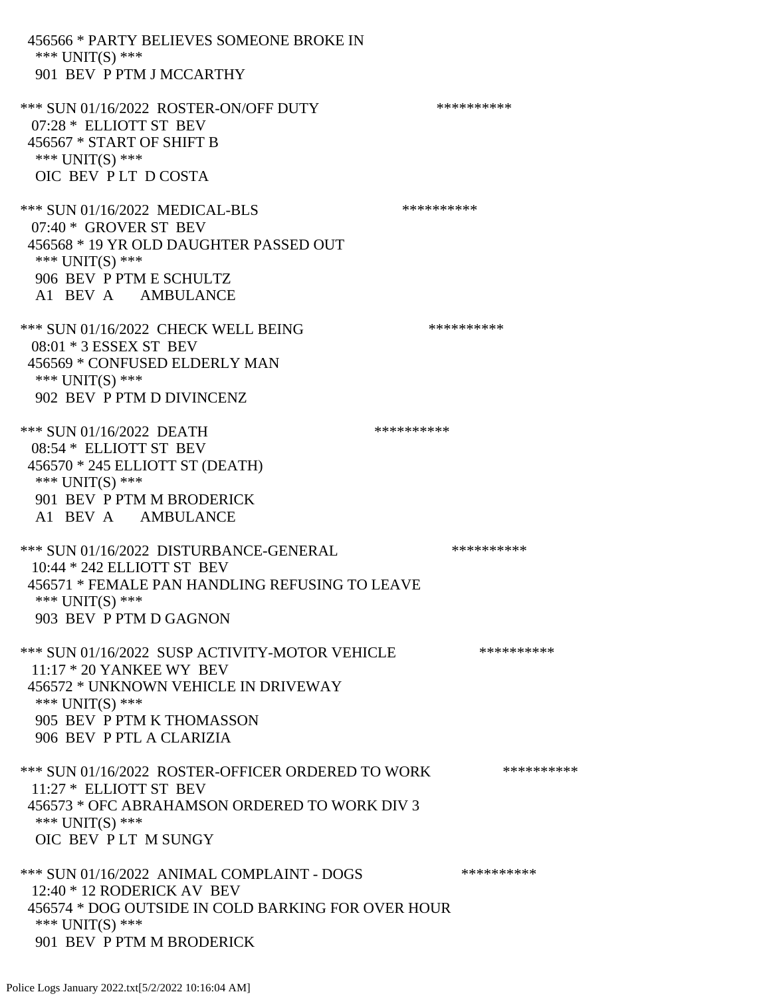456566 \* PARTY BELIEVES SOMEONE BROKE IN \*\*\* UNIT(S) \*\*\* 901 BEV P PTM J MCCARTHY \*\*\* SUN 01/16/2022 ROSTER-ON/OFF DUTY \*\*\*\*\*\*\*\*\*\* 07:28 \* ELLIOTT ST BEV 456567 \* START OF SHIFT B \*\*\* UNIT(S) \*\*\* OIC BEV P LT D COSTA \*\*\* SUN 01/16/2022 MEDICAL-BLS \*\*\*\*\*\*\*\*\*\* 07:40 \* GROVER ST BEV 456568 \* 19 YR OLD DAUGHTER PASSED OUT \*\*\* UNIT(S) \*\*\* 906 BEV P PTM E SCHULTZ A1 BEV A AMBULANCE \*\*\* SUN 01/16/2022 CHECK WELL BEING \*\*\*\*\*\*\*\*\*\* 08:01 \* 3 ESSEX ST BEV 456569 \* CONFUSED ELDERLY MAN \*\*\* UNIT(S) \*\*\* 902 BEV P PTM D DIVINCENZ \*\*\* SUN 01/16/2022 DEATH \*\*\*\*\*\*\*\*\*\* 08:54 \* ELLIOTT ST BEV 456570 \* 245 ELLIOTT ST (DEATH) \*\*\* UNIT(S) \*\*\* 901 BEV P PTM M BRODERICK A1 BEV A AMBULANCE \*\*\* SUN 01/16/2022 DISTURBANCE-GENERAL \*\*\*\*\*\*\*\*\*\*\*\*\* 10:44 \* 242 ELLIOTT ST BEV 456571 \* FEMALE PAN HANDLING REFUSING TO LEAVE \*\*\* UNIT(S) \*\*\* 903 BEV P PTM D GAGNON \*\*\* SUN 01/16/2022 SUSP ACTIVITY-MOTOR VEHICLE \*\*\*\*\*\*\*\*\*\*\*\* 11:17 \* 20 YANKEE WY BEV 456572 \* UNKNOWN VEHICLE IN DRIVEWAY \*\*\* UNIT(S) \*\*\* 905 BEV P PTM K THOMASSON 906 BEV P PTL A CLARIZIA \*\*\* SUN 01/16/2022 ROSTER-OFFICER ORDERED TO WORK \*\*\*\*\*\*\*\*\*\*\* 11:27 \* ELLIOTT ST BEV 456573 \* OFC ABRAHAMSON ORDERED TO WORK DIV 3 \*\*\* UNIT(S) \*\*\* OIC BEV P LT M SUNGY \*\*\* SUN 01/16/2022 ANIMAL COMPLAINT - DOGS \*\*\*\*\*\*\*\*\*\*\* 12:40 \* 12 RODERICK AV BEV 456574 \* DOG OUTSIDE IN COLD BARKING FOR OVER HOUR \*\*\* UNIT(S) \*\*\* 901 BEV P PTM M BRODERICK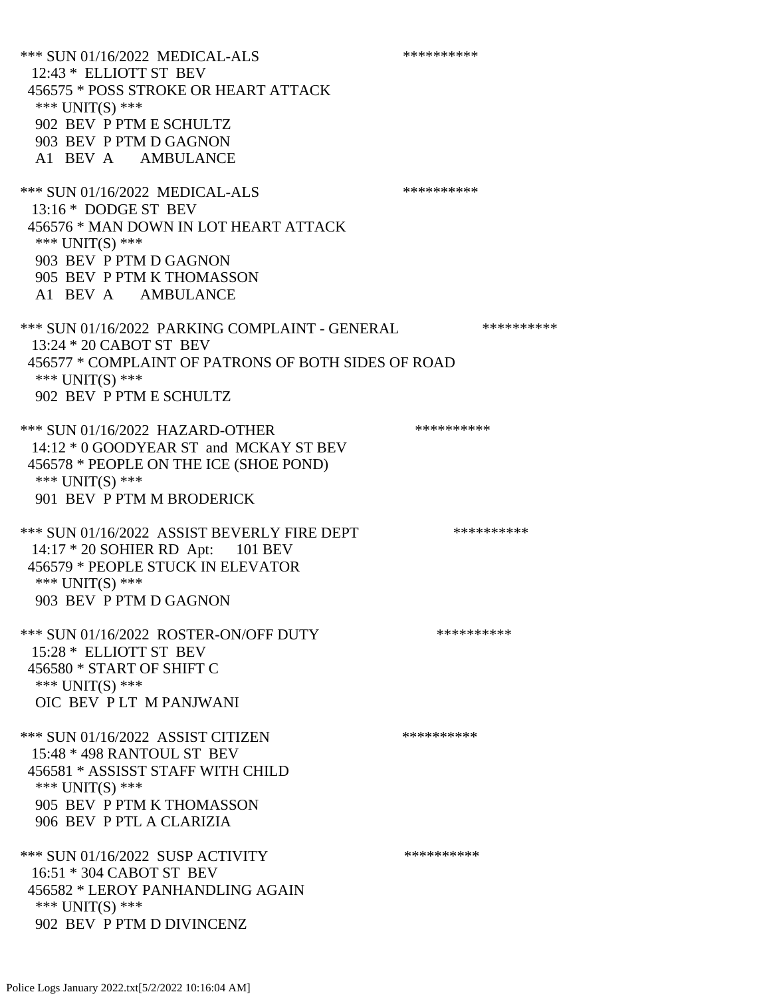\*\*\* SUN 01/16/2022 MEDICAL-ALS \*\*\*\*\*\*\*\*\*\* 12:43 \* ELLIOTT ST BEV 456575 \* POSS STROKE OR HEART ATTACK \*\*\* UNIT(S) \*\*\* 902 BEV P PTM E SCHULTZ 903 BEV P PTM D GAGNON A1 BEV A AMBULANCE \*\*\* SUN 01/16/2022 MEDICAL-ALS \*\*\*\*\*\*\*\*\*\* 13:16 \* DODGE ST BEV 456576 \* MAN DOWN IN LOT HEART ATTACK \*\*\* UNIT(S) \*\*\* 903 BEV P PTM D GAGNON 905 BEV P PTM K THOMASSON A1 BEV A AMBULANCE \*\*\* SUN 01/16/2022 PARKING COMPLAINT - GENERAL \*\*\*\*\*\*\*\*\*\* 13:24 \* 20 CABOT ST BEV 456577 \* COMPLAINT OF PATRONS OF BOTH SIDES OF ROAD \*\*\* UNIT(S) \*\*\* 902 BEV P PTM E SCHULTZ \*\*\* SUN 01/16/2022 HAZARD-OTHER \*\*\*\*\*\*\*\*\*\* 14:12 \* 0 GOODYEAR ST and MCKAY ST BEV 456578 \* PEOPLE ON THE ICE (SHOE POND) \*\*\* UNIT(S) \*\*\* 901 BEV P PTM M BRODERICK \*\*\* SUN 01/16/2022 ASSIST BEVERLY FIRE DEPT \*\*\*\*\*\*\*\*\*\*\* 14:17 \* 20 SOHIER RD Apt: 101 BEV 456579 \* PEOPLE STUCK IN ELEVATOR \*\*\* UNIT(S) \*\*\* 903 BEV P PTM D GAGNON \*\*\* SUN 01/16/2022 ROSTER-ON/OFF DUTY \*\*\*\*\*\*\*\*\*\* 15:28 \* ELLIOTT ST BEV 456580 \* START OF SHIFT C \*\*\* UNIT(S) \*\*\* OIC BEV P LT M PANJWANI \*\*\* SUN 01/16/2022 ASSIST CITIZEN \*\*\*\*\*\*\*\*\*\*\*\* 15:48 \* 498 RANTOUL ST BEV 456581 \* ASSISST STAFF WITH CHILD \*\*\* UNIT(S) \*\*\* 905 BEV P PTM K THOMASSON 906 BEV P PTL A CLARIZIA \*\*\* SUN 01/16/2022 SUSP ACTIVITY \*\*\*\*\*\*\*\*\*\*\*\*\* 16:51 \* 304 CABOT ST BEV 456582 \* LEROY PANHANDLING AGAIN \*\*\* UNIT(S) \*\*\* 902 BEV P PTM D DIVINCENZ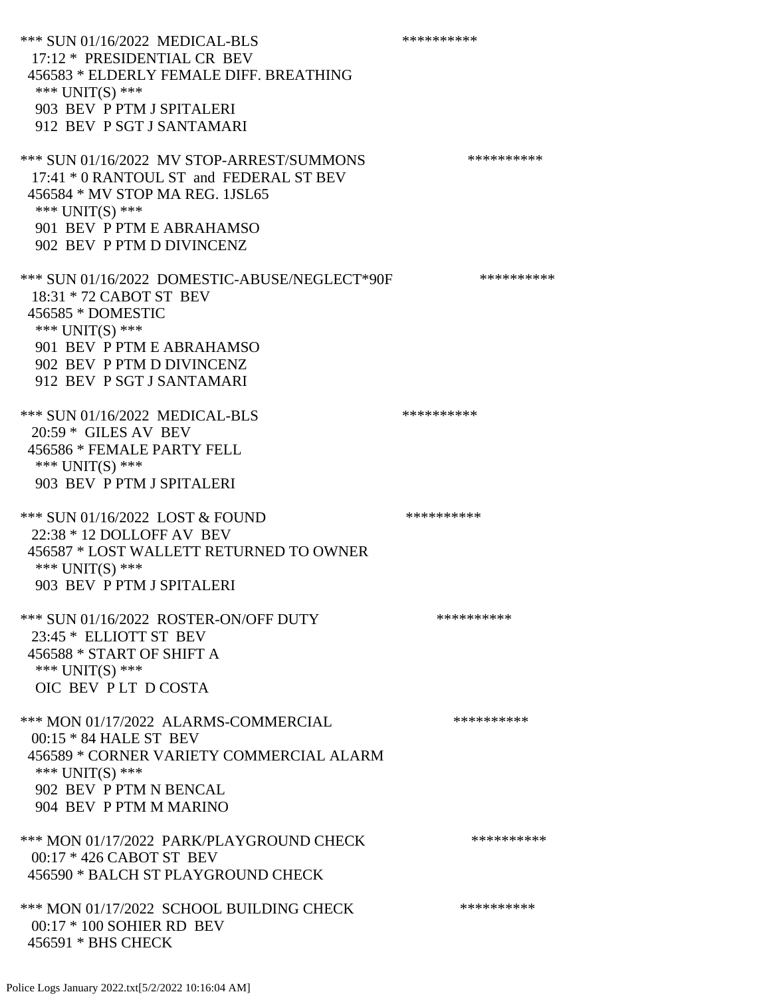\*\*\* SUN 01/16/2022 MEDICAL-BLS \*\*\*\*\*\*\*\*\*\*\*\*\* 17:12 \* PRESIDENTIAL CR BEV 456583 \* ELDERLY FEMALE DIFF. BREATHING \*\*\* UNIT(S) \*\*\* 903 BEV P PTM J SPITALERI 912 BEV P SGT J SANTAMARI \*\*\* SUN 01/16/2022 MV STOP-ARREST/SUMMONS \*\*\*\*\*\*\*\*\*\*\*\*\*\* 17:41 \* 0 RANTOUL ST and FEDERAL ST BEV 456584 \* MV STOP MA REG. 1JSL65 \*\*\* UNIT(S) \*\*\* 901 BEV P PTM E ABRAHAMSO 902 BEV P PTM D DIVINCENZ \*\*\* SUN 01/16/2022 DOMESTIC-ABUSE/NEGLECT\*90F \*\*\*\*\*\*\*\*\*\* 18:31 \* 72 CABOT ST BEV 456585 \* DOMESTIC \*\*\* UNIT(S) \*\*\* 901 BEV P PTM E ABRAHAMSO 902 BEV P PTM D DIVINCENZ 912 BEV P SGT J SANTAMARI \*\*\* SUN 01/16/2022 MEDICAL-BLS \*\*\*\*\*\*\*\*\*\*\*\*\* 20:59 \* GILES AV BEV 456586 \* FEMALE PARTY FELL \*\*\* UNIT(S) \*\*\* 903 BEV P PTM J SPITALERI \*\*\* SUN 01/16/2022 LOST & FOUND \*\*\*\*\*\*\*\*\*\* 22:38 \* 12 DOLLOFF AV BEV 456587 \* LOST WALLETT RETURNED TO OWNER \*\*\* UNIT(S) \*\*\* 903 BEV P PTM J SPITALERI \*\*\* SUN 01/16/2022 ROSTER-ON/OFF DUTY \*\*\*\*\*\*\*\*\*\* 23:45 \* ELLIOTT ST BEV 456588 \* START OF SHIFT A \*\*\* UNIT(S) \*\*\* OIC BEV P LT D COSTA \*\*\* MON 01/17/2022 ALARMS-COMMERCIAL \*\*\*\*\*\*\*\*\*\* 00:15 \* 84 HALE ST BEV 456589 \* CORNER VARIETY COMMERCIAL ALARM \*\*\* UNIT(S) \*\*\* 902 BEV P PTM N BENCAL 904 BEV P PTM M MARINO \*\*\* MON 01/17/2022 PARK/PLAYGROUND CHECK \*\*\*\*\*\*\*\*\*\*\* 00:17 \* 426 CABOT ST BEV 456590 \* BALCH ST PLAYGROUND CHECK \*\*\* MON 01/17/2022 SCHOOL BUILDING CHECK \*\*\*\*\*\*\*\*\*\*\* 00:17 \* 100 SOHIER RD BEV 456591 \* BHS CHECK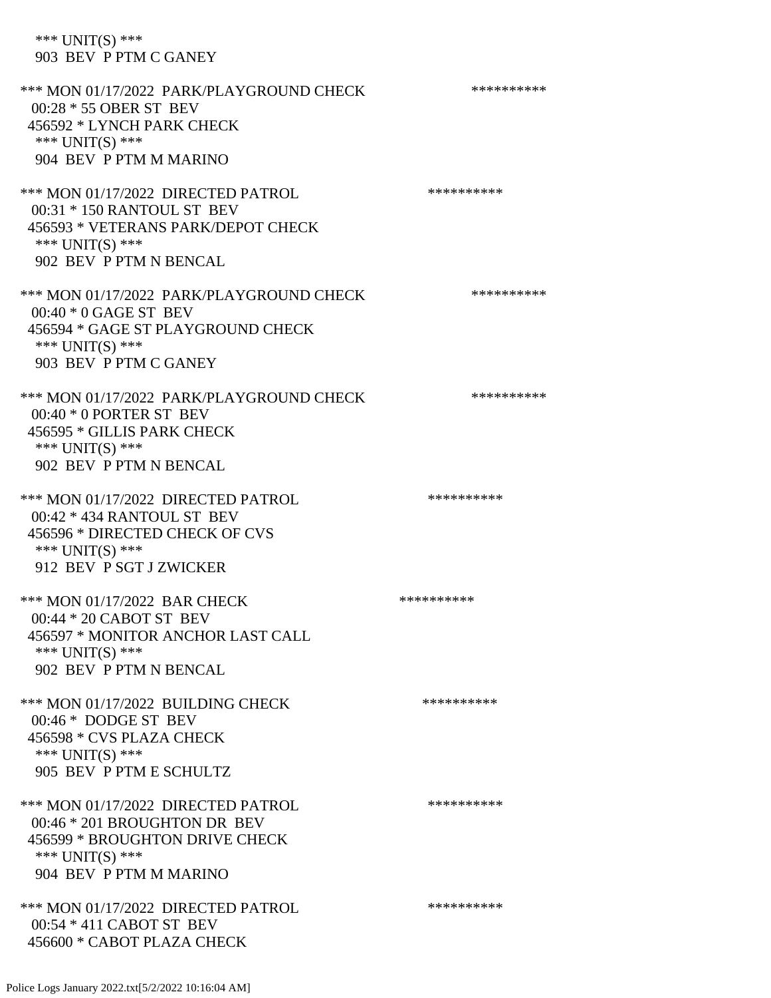# \*\*\* UNIT(S) \*\*\* 903 BEV P PTM C GANEY

| *** MON 01/17/2022 PARK/PLAYGROUND CHECK<br>00:28 * 55 OBER ST BEV<br>456592 * LYNCH PARK CHECK<br>*** $UNIT(S)$ ***<br>904 BEV P PTM M MARINO        | ********** |
|-------------------------------------------------------------------------------------------------------------------------------------------------------|------------|
| *** MON 01/17/2022 DIRECTED PATROL<br>00:31 * 150 RANTOUL ST BEV<br>456593 * VETERANS PARK/DEPOT CHECK<br>*** $UNIT(S)$ ***<br>902 BEV P PTM N BENCAL | ********** |
| *** MON 01/17/2022 PARK/PLAYGROUND CHECK<br>$00:40 * 0$ GAGE ST BEV<br>456594 * GAGE ST PLAYGROUND CHECK<br>*** UNIT(S) ***<br>903 BEV P PTM C GANEY  | ********** |
| *** MON 01/17/2022 PARK/PLAYGROUND CHECK<br>$00:40 * 0$ PORTER ST BEV<br>456595 * GILLIS PARK CHECK<br>*** UNIT(S) ***<br>902 BEV P PTM N BENCAL      | ********** |
| *** MON 01/17/2022 DIRECTED PATROL<br>00:42 * 434 RANTOUL ST BEV<br>456596 * DIRECTED CHECK OF CVS<br>*** UNIT(S) ***<br>912 BEV P SGT J ZWICKER      | ********** |
| *** MON 01/17/2022 BAR CHECK<br>00:44 * 20 CABOT ST BEV<br>456597 * MONITOR ANCHOR LAST CALL<br>*** $UNIT(S)$ ***<br>902 BEV P PTM N BENCAL           | ********** |
| *** MON 01/17/2022 BUILDING CHECK<br>00:46 * DODGE ST BEV<br>456598 * CVS PLAZA CHECK<br>*** UNIT(S) ***<br>905 BEV P PTM E SCHULTZ                   | ********** |
| *** MON 01/17/2022 DIRECTED PATROL<br>00:46 * 201 BROUGHTON DR BEV<br>456599 * BROUGHTON DRIVE CHECK<br>*** $UNIT(S)$ ***<br>904 BEV P PTM M MARINO   | ********** |
| *** MON 01/17/2022 DIRECTED PATROL<br>$00:54 * 411$ CABOT ST BEV<br>456600 * CABOT PLAZA CHECK                                                        | ********** |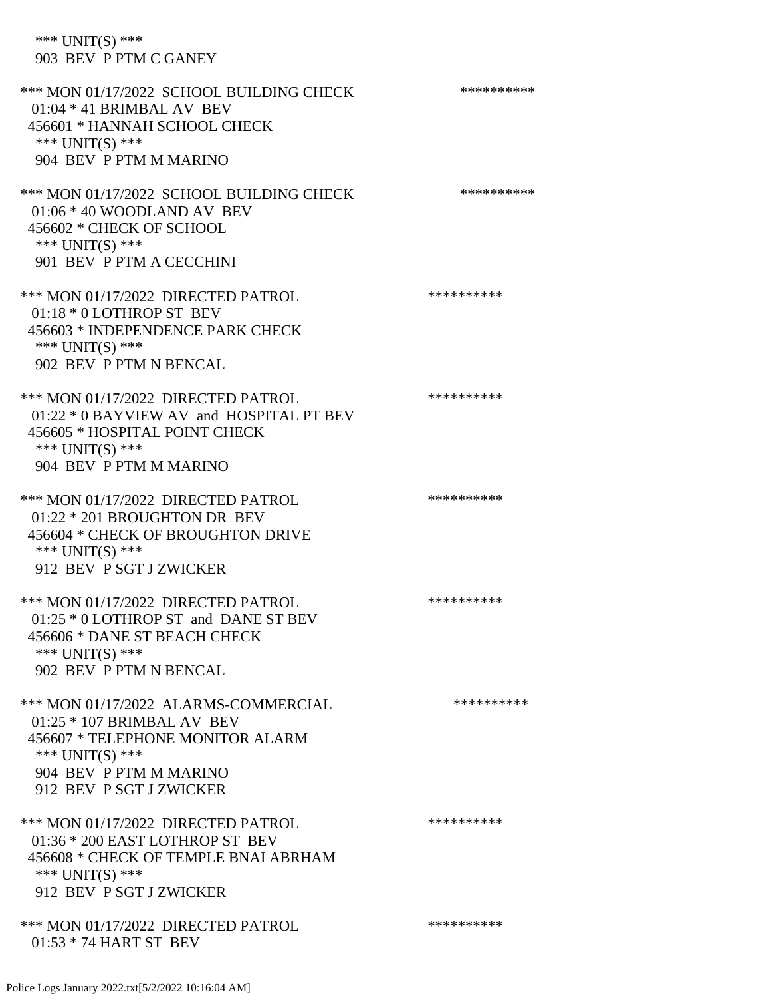\*\*\* UNIT(S) \*\*\* 903 BEV P PTM C GANEY

\*\*\* MON 01/17/2022 SCHOOL BUILDING CHECK \*\*\*\*\*\*\*\*\*\*\* 01:04 \* 41 BRIMBAL AV BEV 456601 \* HANNAH SCHOOL CHECK \*\*\* UNIT(S) \*\*\* 904 BEV P PTM M MARINO \*\*\* MON 01/17/2022 SCHOOL BUILDING CHECK \*\*\*\*\*\*\*\*\*\*\* 01:06 \* 40 WOODLAND AV BEV 456602 \* CHECK OF SCHOOL \*\*\* UNIT(S) \*\*\* 901 BEV P PTM A CECCHINI \*\*\* MON 01/17/2022 DIRECTED PATROL \*\*\*\*\*\*\*\*\*\* 01:18 \* 0 LOTHROP ST BEV 456603 \* INDEPENDENCE PARK CHECK \*\*\* UNIT(S) \*\*\* 902 BEV P PTM N BENCAL \*\*\* MON 01/17/2022 DIRECTED PATROL \*\*\*\*\*\*\*\*\*\* 01:22 \* 0 BAYVIEW AV and HOSPITAL PT BEV 456605 \* HOSPITAL POINT CHECK \*\*\* UNIT(S) \*\*\* 904 BEV P PTM M MARINO \*\*\* MON 01/17/2022 DIRECTED PATROL \*\*\*\*\*\*\*\*\*\* 01:22 \* 201 BROUGHTON DR BEV 456604 \* CHECK OF BROUGHTON DRIVE \*\*\* UNIT(S) \*\*\* 912 BEV P SGT J ZWICKER \*\*\* MON 01/17/2022 DIRECTED PATROL \*\*\*\*\*\*\*\*\*\* 01:25 \* 0 LOTHROP ST and DANE ST BEV 456606 \* DANE ST BEACH CHECK \*\*\* UNIT(S) \*\*\* 902 BEV P PTM N BENCAL \*\*\* MON 01/17/2022 ALARMS-COMMERCIAL \*\*\*\*\*\*\*\*\*\* 01:25 \* 107 BRIMBAL AV BEV 456607 \* TELEPHONE MONITOR ALARM \*\*\* UNIT(S) \*\*\* 904 BEV P PTM M MARINO 912 BEV P SGT J ZWICKER \*\*\* MON 01/17/2022 DIRECTED PATROL \*\*\*\*\*\*\*\*\*\* 01:36 \* 200 EAST LOTHROP ST BEV 456608 \* CHECK OF TEMPLE BNAI ABRHAM \*\*\* UNIT(S) \*\*\* 912 BEV P SGT J ZWICKER \*\*\* MON 01/17/2022 DIRECTED PATROL \*\*\*\*\*\*\*\*\*\* 01:53 \* 74 HART ST BEV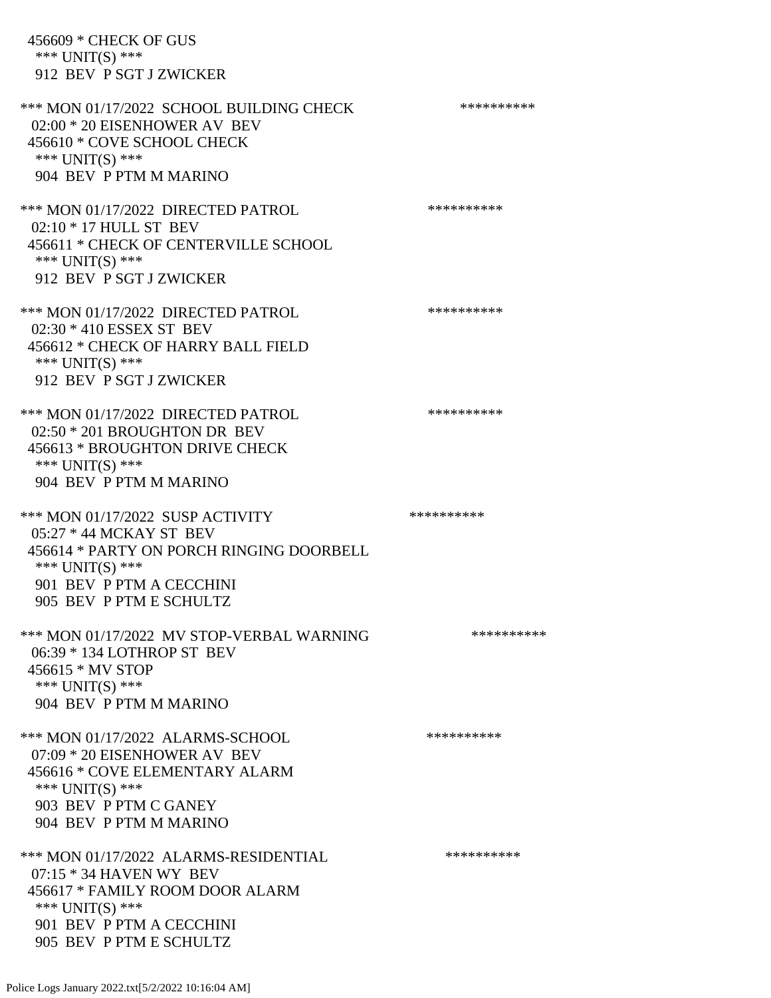456609 \* CHECK OF GUS \*\*\* UNIT(S) \*\*\* 912 BEV P SGT J ZWICKER \*\*\* MON 01/17/2022 SCHOOL BUILDING CHECK \*\*\*\*\*\*\*\*\*\*\* 02:00 \* 20 EISENHOWER AV BEV 456610 \* COVE SCHOOL CHECK \*\*\* UNIT(S) \*\*\* 904 BEV P PTM M MARINO \*\*\* MON 01/17/2022 DIRECTED PATROL \*\*\*\*\*\*\*\*\*\* 02:10 \* 17 HULL ST BEV 456611 \* CHECK OF CENTERVILLE SCHOOL \*\*\* UNIT(S) \*\*\* 912 BEV P SGT J ZWICKER \*\*\* MON 01/17/2022 DIRECTED PATROL \*\*\*\*\*\*\*\*\*\* 02:30 \* 410 ESSEX ST BEV 456612 \* CHECK OF HARRY BALL FIELD \*\*\* UNIT(S) \*\*\* 912 BEV P SGT J ZWICKER \*\*\* MON 01/17/2022 DIRECTED PATROL \*\*\*\*\*\*\*\*\*\* 02:50 \* 201 BROUGHTON DR BEV 456613 \* BROUGHTON DRIVE CHECK \*\*\* UNIT(S) \*\*\* 904 BEV P PTM M MARINO \*\*\* MON 01/17/2022 SUSP ACTIVITY \*\*\*\*\*\*\*\*\*\*\*\*\*\* 05:27 \* 44 MCKAY ST BEV 456614 \* PARTY ON PORCH RINGING DOORBELL \*\*\* UNIT(S) \*\*\* 901 BEV P PTM A CECCHINI 905 BEV P PTM E SCHULTZ \*\*\* MON 01/17/2022 MV STOP-VERBAL WARNING \*\*\*\*\*\*\*\*\*\*\*\* 06:39 \* 134 LOTHROP ST BEV 456615 \* MV STOP \*\*\* UNIT(S) \*\*\* 904 BEV P PTM M MARINO \*\*\* MON 01/17/2022 ALARMS-SCHOOL \*\*\*\*\*\*\*\*\*\* 07:09 \* 20 EISENHOWER AV BEV 456616 \* COVE ELEMENTARY ALARM \*\*\* UNIT(S) \*\*\* 903 BEV P PTM C GANEY 904 BEV P PTM M MARINO \*\*\* MON 01/17/2022 ALARMS-RESIDENTIAL \*\*\*\*\*\*\*\*\*\* 07:15 \* 34 HAVEN WY BEV 456617 \* FAMILY ROOM DOOR ALARM \*\*\* UNIT(S) \*\*\* 901 BEV P PTM A CECCHINI 905 BEV P PTM E SCHULTZ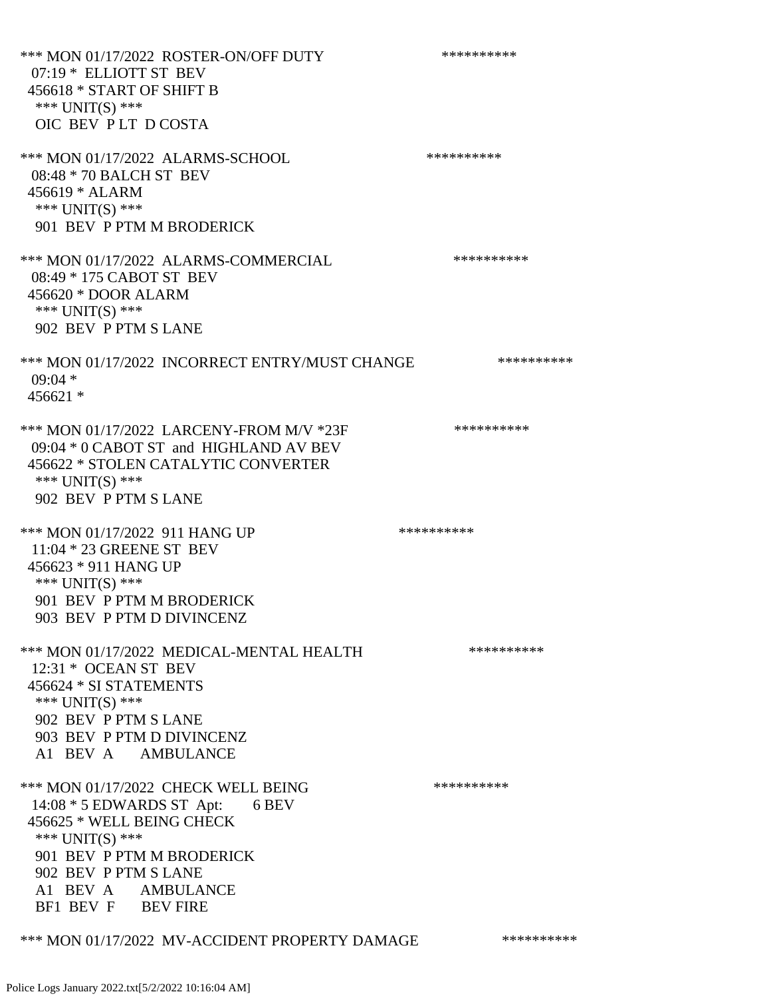\*\*\* MON 01/17/2022 ROSTER-ON/OFF DUTY \*\*\*\*\*\*\*\*\*\* 07:19 \* ELLIOTT ST BEV 456618 \* START OF SHIFT B \*\*\* UNIT(S) \*\*\* OIC BEV P LT D COSTA \*\*\* MON 01/17/2022 ALARMS-SCHOOL \*\*\*\*\*\*\*\*\*\* 08:48 \* 70 BALCH ST BEV 456619 \* ALARM \*\*\* UNIT(S) \*\*\* 901 BEV P PTM M BRODERICK \*\*\* MON 01/17/2022 ALARMS-COMMERCIAL \*\*\*\*\*\*\*\*\*\* 08:49 \* 175 CABOT ST BEV 456620 \* DOOR ALARM \*\*\* UNIT(S) \*\*\* 902 BEV P PTM S LANE \*\*\* MON 01/17/2022 INCORRECT ENTRY/MUST CHANGE \*\*\*\*\*\*\*\*\*\*\*\*  $09:04$  \* 456621 \* \*\*\* MON 01/17/2022 LARCENY-FROM M/V \*23F \*\*\*\*\*\*\*\*\*\*\*\* 09:04 \* 0 CABOT ST and HIGHLAND AV BEV 456622 \* STOLEN CATALYTIC CONVERTER \*\*\* UNIT(S) \*\*\* 902 BEV P PTM S LANE \*\*\* MON 01/17/2022 911 HANG UP \*\*\*\*\*\*\*\*\*\*\*\*\* 11:04 \* 23 GREENE ST BEV 456623 \* 911 HANG UP \*\*\* UNIT(S) \*\*\* 901 BEV P PTM M BRODERICK 903 BEV P PTM D DIVINCENZ \*\*\* MON 01/17/2022 MEDICAL-MENTAL HEALTH \*\*\*\*\*\*\*\*\*\*\*\* 12:31 \* OCEAN ST BEV 456624 \* SI STATEMENTS \*\*\* UNIT(S) \*\*\* 902 BEV P PTM S LANE 903 BEV P PTM D DIVINCENZ A1 BEV A AMBULANCE \*\*\* MON 01/17/2022 CHECK WELL BEING \*\*\*\*\*\*\*\*\*\* 14:08 \* 5 EDWARDS ST Apt: 6 BEV 456625 \* WELL BEING CHECK \*\*\* UNIT(S) \*\*\* 901 BEV P PTM M BRODERICK 902 BEV P PTM S LANE A1 BEV A AMBULANCE BF1 BEV F BEV FIRE

### \*\*\* MON 01/17/2022 MV-ACCIDENT PROPERTY DAMAGE \*\*\*\*\*\*\*\*\*\*\*\*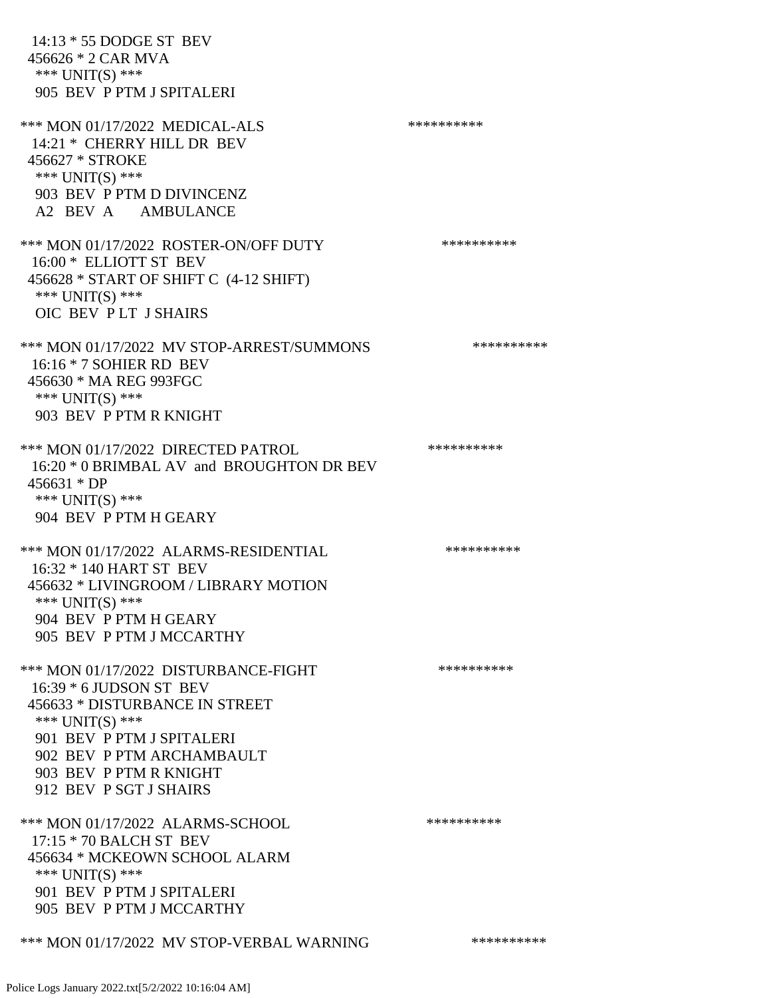14:13 \* 55 DODGE ST BEV 456626 \* 2 CAR MVA \*\*\* UNIT(S) \*\*\* 905 BEV P PTM J SPITALERI \*\*\* MON 01/17/2022 MEDICAL-ALS \*\*\*\*\*\*\*\*\*\*\*\*\* 14:21 \* CHERRY HILL DR BEV 456627 \* STROKE \*\*\* UNIT(S) \*\*\* 903 BEV P PTM D DIVINCENZ A2 BEV A AMBULANCE \*\*\* MON 01/17/2022 ROSTER-ON/OFF DUTY \*\*\*\*\*\*\*\*\*\* 16:00 \* ELLIOTT ST BEV 456628 \* START OF SHIFT C (4-12 SHIFT) \*\*\* UNIT(S) \*\*\* OIC BEV P LT J SHAIRS \*\*\* MON 01/17/2022 MV STOP-ARREST/SUMMONS \*\*\*\*\*\*\*\*\*\*\*\* 16:16 \* 7 SOHIER RD BEV 456630 \* MA REG 993FGC \*\*\* UNIT(S) \*\*\* 903 BEV P PTM R KNIGHT \*\*\* MON 01/17/2022 DIRECTED PATROL \*\*\*\*\*\*\*\*\*\* 16:20 \* 0 BRIMBAL AV and BROUGHTON DR BEV 456631 \* DP \*\*\* UNIT(S) \*\*\* 904 BEV P PTM H GEARY \*\*\* MON 01/17/2022 ALARMS-RESIDENTIAL \*\*\*\*\*\*\*\*\*\* 16:32 \* 140 HART ST BEV 456632 \* LIVINGROOM / LIBRARY MOTION \*\*\* UNIT(S) \*\*\* 904 BEV P PTM H GEARY 905 BEV P PTM J MCCARTHY \*\*\* MON 01/17/2022 DISTURBANCE-FIGHT \*\*\*\*\*\*\*\*\*\*\*\*\* 16:39 \* 6 JUDSON ST BEV 456633 \* DISTURBANCE IN STREET \*\*\* UNIT(S) \*\*\* 901 BEV P PTM J SPITALERI 902 BEV P PTM ARCHAMBAULT 903 BEV P PTM R KNIGHT 912 BEV P SGT J SHAIRS \*\*\* MON 01/17/2022 ALARMS-SCHOOL \*\*\*\*\*\*\*\*\*\* 17:15 \* 70 BALCH ST BEV 456634 \* MCKEOWN SCHOOL ALARM \*\*\* UNIT(S) \*\*\* 901 BEV P PTM J SPITALERI 905 BEV P PTM J MCCARTHY

\*\*\* MON 01/17/2022 MV STOP-VERBAL WARNING \*\*\*\*\*\*\*\*\*\*\*\*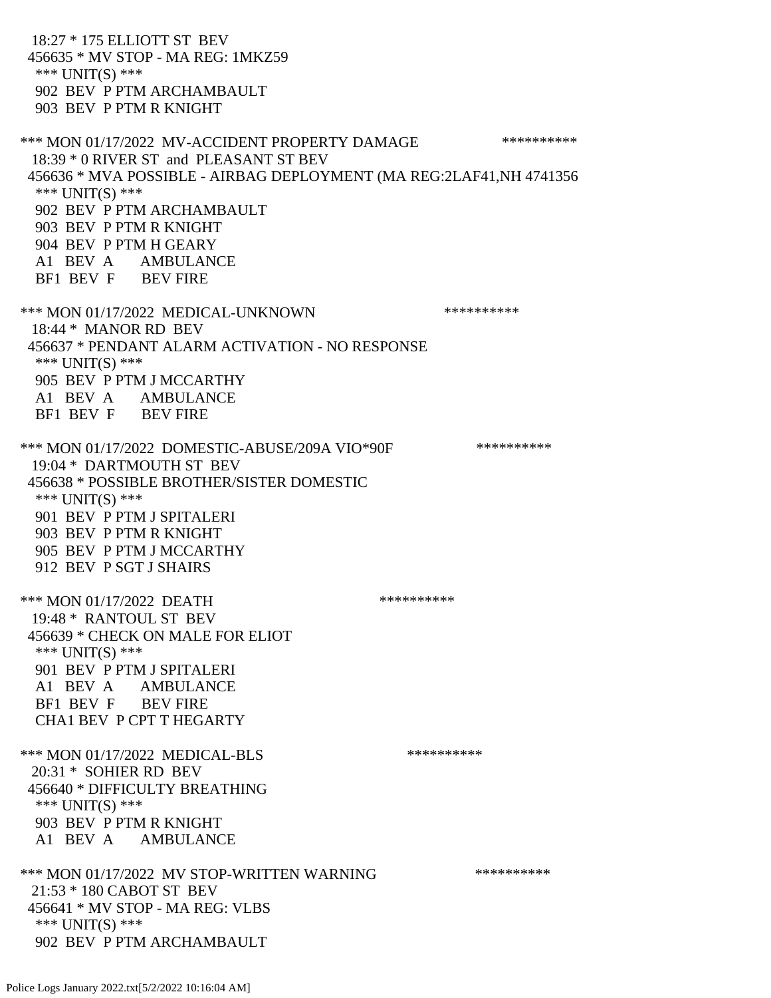18:27 \* 175 ELLIOTT ST BEV 456635 \* MV STOP - MA REG: 1MKZ59 \*\*\* UNIT(S) \*\*\* 902 BEV P PTM ARCHAMBAULT 903 BEV P PTM R KNIGHT \*\*\* MON 01/17/2022 MV-ACCIDENT PROPERTY DAMAGE \*\*\*\*\*\*\*\*\*\*\*\* 18:39 \* 0 RIVER ST and PLEASANT ST BEV 456636 \* MVA POSSIBLE - AIRBAG DEPLOYMENT (MA REG:2LAF41,NH 4741356 \*\*\* UNIT(S) \*\*\* 902 BEV P PTM ARCHAMBAULT 903 BEV P PTM R KNIGHT 904 BEV P PTM H GEARY A1 BEV A AMBULANCE BF1 BEV F BEV FIRE \*\*\* MON 01/17/2022 MEDICAL-UNKNOWN \*\*\*\*\*\*\*\*\*\* 18:44 \* MANOR RD BEV 456637 \* PENDANT ALARM ACTIVATION - NO RESPONSE \*\*\* UNIT(S) \*\*\* 905 BEV P PTM J MCCARTHY A1 BEV A AMBULANCE BF1 BEV F BEV FIRE \*\*\* MON 01/17/2022 DOMESTIC-ABUSE/209A VIO\*90F \*\*\*\*\*\*\*\*\*\* 19:04 \* DARTMOUTH ST BEV 456638 \* POSSIBLE BROTHER/SISTER DOMESTIC \*\*\* UNIT(S) \*\*\* 901 BEV P PTM J SPITALERI 903 BEV P PTM R KNIGHT 905 BEV P PTM J MCCARTHY 912 BEV P SGT J SHAIRS \*\*\* MON 01/17/2022 DEATH \*\*\*\*\*\*\*\*\*\* 19:48 \* RANTOUL ST BEV 456639 \* CHECK ON MALE FOR ELIOT \*\*\* UNIT(S) \*\*\* 901 BEV P PTM J SPITALERI A1 BEV A AMBULANCE BF1 BEV F BEV FIRE CHA1 BEV P CPT T HEGARTY \*\*\* MON 01/17/2022 MEDICAL-BLS \*\*\*\*\*\*\*\*\*\* 20:31 \* SOHIER RD BEV 456640 \* DIFFICULTY BREATHING \*\*\* UNIT(S) \*\*\* 903 BEV P PTM R KNIGHT A1 BEV A AMBULANCE \*\*\* MON 01/17/2022 MV STOP-WRITTEN WARNING \*\*\*\*\*\*\*\*\*\*\*\* 21:53 \* 180 CABOT ST BEV 456641 \* MV STOP - MA REG: VLBS \*\*\* UNIT(S) \*\*\* 902 BEV P PTM ARCHAMBAULT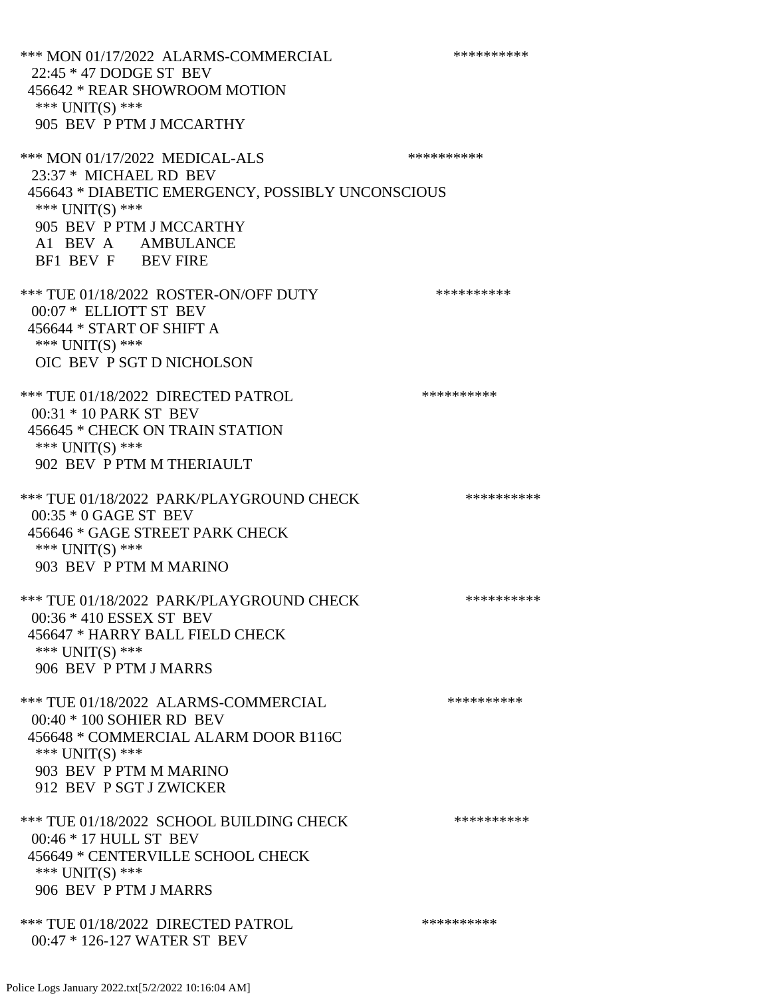\*\*\* MON 01/17/2022 ALARMS-COMMERCIAL \*\*\*\*\*\*\*\*\*\* 22:45 \* 47 DODGE ST BEV 456642 \* REAR SHOWROOM MOTION \*\*\* UNIT(S) \*\*\* 905 BEV P PTM J MCCARTHY \*\*\* MON 01/17/2022 MEDICAL-ALS \*\*\*\*\*\*\*\*\*\*\*\* 23:37 \* MICHAEL RD BEV 456643 \* DIABETIC EMERGENCY, POSSIBLY UNCONSCIOUS \*\*\* UNIT(S) \*\*\* 905 BEV P PTM J MCCARTHY A1 BEV A AMBULANCE BF1 BEV F BEV FIRE \*\*\* TUE 01/18/2022 ROSTER-ON/OFF DUTY \*\*\*\*\*\*\*\*\*\*\*\* 00:07 \* ELLIOTT ST BEV 456644 \* START OF SHIFT A \*\*\* UNIT(S) \*\*\* OIC BEV P SGT D NICHOLSON \*\*\* TUE 01/18/2022 DIRECTED PATROL \*\*\*\*\*\*\*\*\*\* 00:31 \* 10 PARK ST BEV 456645 \* CHECK ON TRAIN STATION \*\*\* UNIT(S) \*\*\* 902 BEV P PTM M THERIAULT \*\*\* TUE 01/18/2022 PARK/PLAYGROUND CHECK \*\*\*\*\*\*\*\*\*\*\*\* 00:35 \* 0 GAGE ST BEV 456646 \* GAGE STREET PARK CHECK \*\*\* UNIT(S) \*\*\* 903 BEV P PTM M MARINO \*\*\* TUE 01/18/2022 PARK/PLAYGROUND CHECK \*\*\*\*\*\*\*\*\*\*\*\* 00:36 \* 410 ESSEX ST BEV 456647 \* HARRY BALL FIELD CHECK \*\*\* UNIT(S) \*\*\* 906 BEV P PTM J MARRS \*\*\* TUE 01/18/2022 ALARMS-COMMERCIAL \*\*\*\*\*\*\*\*\*\* 00:40 \* 100 SOHIER RD BEV 456648 \* COMMERCIAL ALARM DOOR B116C \*\*\* UNIT(S) \*\*\* 903 BEV P PTM M MARINO 912 BEV P SGT J ZWICKER \*\*\* TUE 01/18/2022 SCHOOL BUILDING CHECK \*\*\*\*\*\*\*\*\*\*\* 00:46 \* 17 HULL ST BEV 456649 \* CENTERVILLE SCHOOL CHECK \*\*\* UNIT(S) \*\*\* 906 BEV P PTM J MARRS \*\*\* TUE 01/18/2022 DIRECTED PATROL \*\*\*\*\*\*\*\*\*\* 00:47 \* 126-127 WATER ST BEV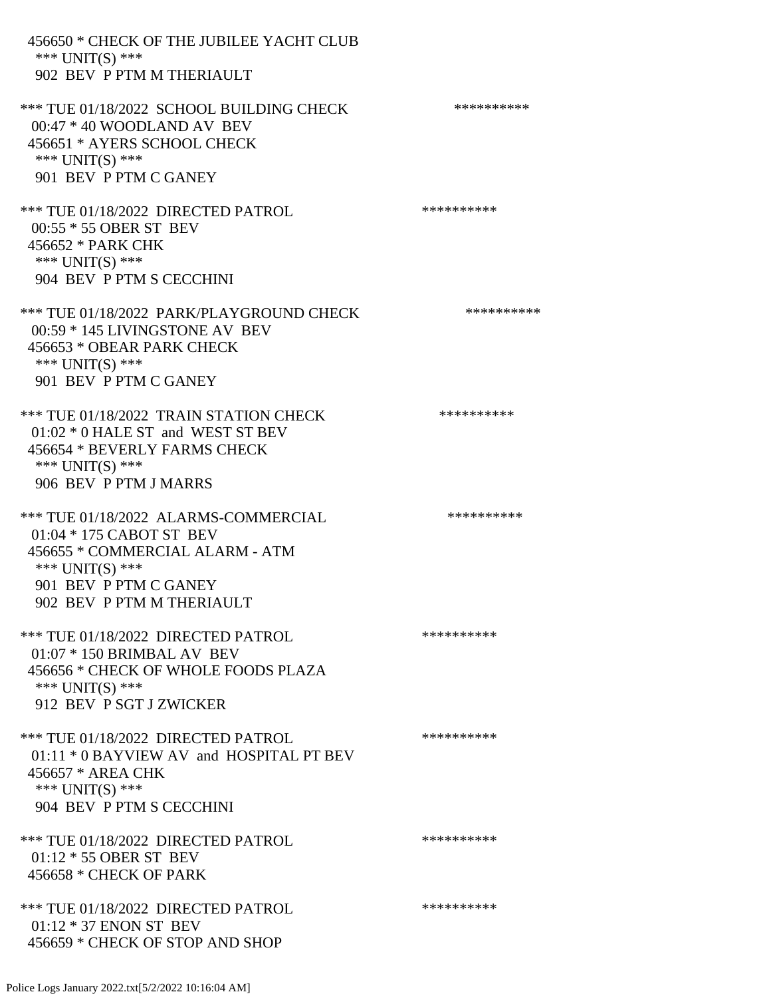456650 \* CHECK OF THE JUBILEE YACHT CLUB \*\*\* UNIT(S) \*\*\* 902 BEV P PTM M THERIAULT \*\*\* TUE 01/18/2022 SCHOOL BUILDING CHECK \*\*\*\*\*\*\*\*\*\*\* 00:47 \* 40 WOODLAND AV BEV 456651 \* AYERS SCHOOL CHECK \*\*\* UNIT(S) \*\*\* 901 BEV P PTM C GANEY \*\*\* TUE 01/18/2022 DIRECTED PATROL \*\*\*\*\*\*\*\*\*\* 00:55 \* 55 OBER ST BEV 456652 \* PARK CHK \*\*\* UNIT(S) \*\*\* 904 BEV P PTM S CECCHINI \*\*\* TUE 01/18/2022 PARK/PLAYGROUND CHECK \*\*\*\*\*\*\*\*\*\*\*\* 00:59 \* 145 LIVINGSTONE AV BEV 456653 \* OBEAR PARK CHECK \*\*\* UNIT(S) \*\*\* 901 BEV P PTM C GANEY \*\*\* TUE 01/18/2022 TRAIN STATION CHECK \*\*\*\*\*\*\*\*\*\*\*\* 01:02 \* 0 HALE ST and WEST ST BEV 456654 \* BEVERLY FARMS CHECK \*\*\* UNIT(S) \*\*\* 906 BEV P PTM J MARRS \*\*\* TUE 01/18/2022 ALARMS-COMMERCIAL \*\*\*\*\*\*\*\*\*\* 01:04 \* 175 CABOT ST BEV 456655 \* COMMERCIAL ALARM - ATM \*\*\* UNIT(S) \*\*\* 901 BEV P PTM C GANEY 902 BEV P PTM M THERIAULT \*\*\* TUE 01/18/2022 DIRECTED PATROL \*\*\*\*\*\*\*\*\*\* 01:07 \* 150 BRIMBAL AV BEV 456656 \* CHECK OF WHOLE FOODS PLAZA \*\*\* UNIT(S) \*\*\* 912 BEV P SGT J ZWICKER \*\*\* TUE 01/18/2022 DIRECTED PATROL \*\*\*\*\*\*\*\*\*\* 01:11 \* 0 BAYVIEW AV and HOSPITAL PT BEV 456657 \* AREA CHK \*\*\* UNIT(S) \*\*\* 904 BEV P PTM S CECCHINI \*\*\* TUE 01/18/2022 DIRECTED PATROL \*\*\*\*\*\*\*\*\*\* 01:12 \* 55 OBER ST BEV 456658 \* CHECK OF PARK \*\*\* TUE 01/18/2022 DIRECTED PATROL \*\*\*\*\*\*\*\*\*\* 01:12 \* 37 ENON ST BEV 456659 \* CHECK OF STOP AND SHOP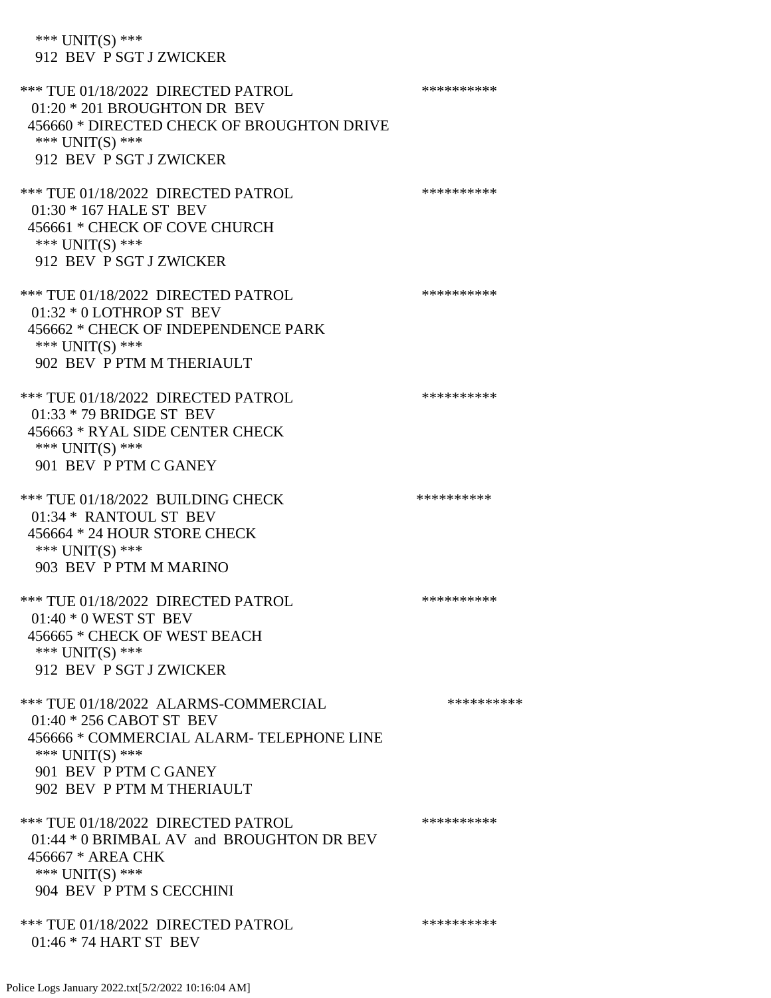\*\*\* UNIT(S) \*\*\* 912 BEV P SGT J ZWICKER

\*\*\* TUE 01/18/2022 DIRECTED PATROL \*\*\*\*\*\*\*\*\*\* 01:20 \* 201 BROUGHTON DR BEV 456660 \* DIRECTED CHECK OF BROUGHTON DRIVE \*\*\* UNIT(S) \*\*\* 912 BEV P SGT J ZWICKER \*\*\* TUE 01/18/2022 DIRECTED PATROL \*\*\*\*\*\*\*\*\*\* 01:30 \* 167 HALE ST BEV 456661 \* CHECK OF COVE CHURCH \*\*\* UNIT(S) \*\*\* 912 BEV P SGT J ZWICKER \*\*\* TUE 01/18/2022 DIRECTED PATROL \*\*\*\*\*\*\*\*\*\* 01:32 \* 0 LOTHROP ST BEV 456662 \* CHECK OF INDEPENDENCE PARK \*\*\* UNIT(S) \*\*\* 902 BEV P PTM M THERIAULT \*\*\* TUE 01/18/2022 DIRECTED PATROL \*\*\*\*\*\*\*\*\*\* 01:33 \* 79 BRIDGE ST BEV 456663 \* RYAL SIDE CENTER CHECK \*\*\* UNIT(S) \*\*\* 901 BEV P PTM C GANEY \*\*\* TUE 01/18/2022 BUILDING CHECK \*\*\*\*\*\*\*\*\*\*\*\* 01:34 \* RANTOUL ST BEV 456664 \* 24 HOUR STORE CHECK \*\*\* UNIT(S) \*\*\* 903 BEV P PTM M MARINO \*\*\* TUE 01/18/2022 DIRECTED PATROL \*\*\*\*\*\*\*\*\*\* 01:40 \* 0 WEST ST BEV 456665 \* CHECK OF WEST BEACH \*\*\* UNIT(S) \*\*\* 912 BEV P SGT J ZWICKER \*\*\* TUE 01/18/2022 ALARMS-COMMERCIAL \*\*\*\*\*\*\*\*\*\* 01:40 \* 256 CABOT ST BEV 456666 \* COMMERCIAL ALARM- TELEPHONE LINE \*\*\* UNIT(S) \*\*\* 901 BEV P PTM C GANEY 902 BEV P PTM M THERIAULT \*\*\* TUE 01/18/2022 DIRECTED PATROL \*\*\*\*\*\*\*\*\*\* 01:44 \* 0 BRIMBAL AV and BROUGHTON DR BEV 456667 \* AREA CHK \*\*\* UNIT(S) \*\*\* 904 BEV P PTM S CECCHINI \*\*\* TUE 01/18/2022 DIRECTED PATROL \*\*\*\*\*\*\*\*\*\* 01:46 \* 74 HART ST BEV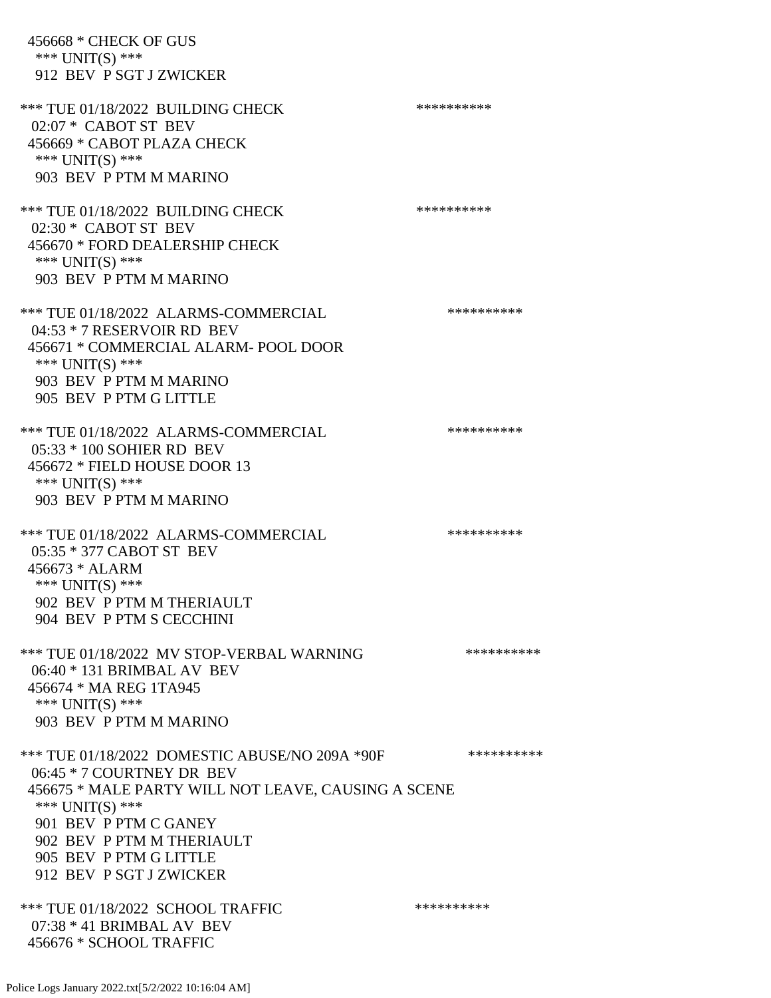456668 \* CHECK OF GUS \*\*\* UNIT(S) \*\*\* 912 BEV P SGT J ZWICKER \*\*\* TUE 01/18/2022 BUILDING CHECK \*\*\*\*\*\*\*\*\*\*\*\* 02:07 \* CABOT ST BEV 456669 \* CABOT PLAZA CHECK \*\*\* UNIT(S) \*\*\* 903 BEV P PTM M MARINO \*\*\* TUE 01/18/2022 BUILDING CHECK \*\*\*\*\*\*\*\*\*\*\*\* 02:30 \* CABOT ST BEV 456670 \* FORD DEALERSHIP CHECK \*\*\* UNIT(S) \*\*\* 903 BEV P PTM M MARINO \*\*\* TUE 01/18/2022 ALARMS-COMMERCIAL \*\*\*\*\*\*\*\*\*\* 04:53 \* 7 RESERVOIR RD BEV 456671 \* COMMERCIAL ALARM- POOL DOOR \*\*\* UNIT(S) \*\*\* 903 BEV P PTM M MARINO 905 BEV P PTM G LITTLE \*\*\* TUE 01/18/2022 ALARMS-COMMERCIAL \*\*\*\*\*\*\*\*\*\* 05:33 \* 100 SOHIER RD BEV 456672 \* FIELD HOUSE DOOR 13 \*\*\* UNIT(S) \*\*\* 903 BEV P PTM M MARINO \*\*\* TUE 01/18/2022 ALARMS-COMMERCIAL \*\*\*\*\*\*\*\*\*\* 05:35 \* 377 CABOT ST BEV 456673 \* ALARM \*\*\* UNIT(S) \*\*\* 902 BEV P PTM M THERIAULT 904 BEV P PTM S CECCHINI \*\*\* TUE 01/18/2022 MV STOP-VERBAL WARNING \*\*\*\*\*\*\*\*\*\*\*\*\* 06:40 \* 131 BRIMBAL AV BEV 456674 \* MA REG 1TA945 \*\*\* UNIT(S) \*\*\* 903 BEV P PTM M MARINO \*\*\* TUE 01/18/2022 DOMESTIC ABUSE/NO 209A \*90F \*\*\*\*\*\*\*\*\*\*\*\* 06:45 \* 7 COURTNEY DR BEV 456675 \* MALE PARTY WILL NOT LEAVE, CAUSING A SCENE \*\*\* UNIT(S) \*\*\* 901 BEV P PTM C GANEY 902 BEV P PTM M THERIAULT 905 BEV P PTM G LITTLE 912 BEV P SGT J ZWICKER \*\*\* TUE 01/18/2022 SCHOOL TRAFFIC \*\*\*\*\*\*\*\*\*\*\*\*\*\*\* 07:38 \* 41 BRIMBAL AV BEV 456676 \* SCHOOL TRAFFIC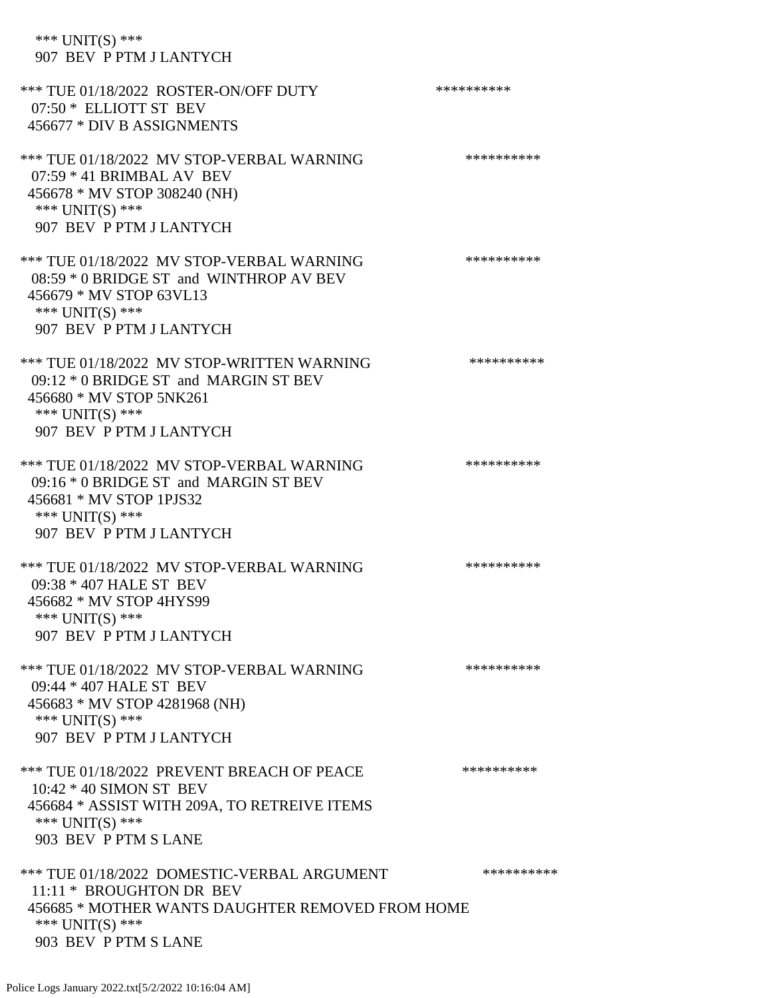| *** $UNIT(S)$ ***<br>907 BEV P PTM J LANTYCH                                                                                                                             |            |
|--------------------------------------------------------------------------------------------------------------------------------------------------------------------------|------------|
| *** TUE 01/18/2022 ROSTER-ON/OFF DUTY<br>07:50 * ELLIOTT ST BEV<br>456677 * DIV B ASSIGNMENTS                                                                            | ********** |
| *** TUE 01/18/2022 MV STOP-VERBAL WARNING<br>$07:59 * 41$ BRIMBAL AV BEV<br>456678 * MV STOP 308240 (NH)<br>*** UNIT(S) ***<br>907 BEV P PTM J LANTYCH                   | ********** |
| *** TUE 01/18/2022 MV STOP-VERBAL WARNING<br>08:59 * 0 BRIDGE ST and WINTHROP AV BEV<br>456679 * MV STOP 63VL13<br>*** UNIT(S) ***<br>907 BEV P PTM J LANTYCH            | ********** |
| *** TUE 01/18/2022 MV STOP-WRITTEN WARNING<br>09:12 * 0 BRIDGE ST and MARGIN ST BEV<br>456680 * MV STOP 5NK261<br>*** UNIT(S) ***<br>907 BEV P PTM J LANTYCH             | ********** |
| *** TUE 01/18/2022 MV STOP-VERBAL WARNING<br>09:16 * 0 BRIDGE ST and MARGIN ST BEV<br>456681 * MV STOP 1PJS32<br>*** UNIT(S) ***<br>907 BEV P PTM J LANTYCH              | ********** |
| *** TUE 01/18/2022 MV STOP-VERBAL WARNING<br>09:38 * 407 HALE ST BEV<br>456682 * MV STOP 4HYS99<br>*** UNIT(S) ***<br>907 BEV P PTM J LANTYCH                            | ********** |
| *** TUE 01/18/2022 MV STOP-VERBAL WARNING<br>09:44 * 407 HALE ST BEV<br>456683 * MV STOP 4281968 (NH)<br>*** UNIT(S) ***<br>907 BEV P PTM J LANTYCH                      | ********** |
| *** TUE 01/18/2022 PREVENT BREACH OF PEACE<br>10:42 * 40 SIMON ST BEV<br>456684 * ASSIST WITH 209A, TO RETREIVE ITEMS<br>*** UNIT(S) ***<br>903 BEV P PTM S LANE         | ********** |
| *** TUE 01/18/2022 DOMESTIC-VERBAL ARGUMENT<br>11:11 * BROUGHTON DR BEV<br>456685 * MOTHER WANTS DAUGHTER REMOVED FROM HOME<br>*** $UNIT(S)$ ***<br>903 BEV P PTM S LANE | ********** |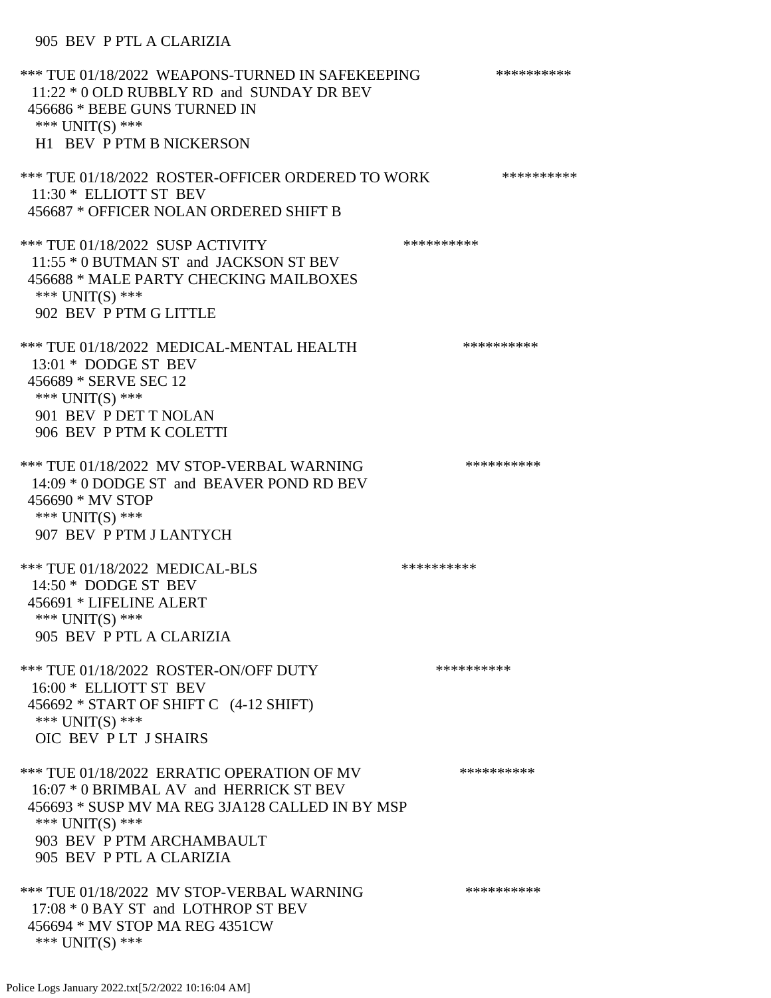### 905 BEV P PTL A CLARIZIA

\*\*\* TUE 01/18/2022 WEAPONS-TURNED IN SAFEKEEPING \*\*\*\*\*\*\*\*\*\* 11:22 \* 0 OLD RUBBLY RD and SUNDAY DR BEV 456686 \* BEBE GUNS TURNED IN \*\*\* UNIT(S) \*\*\* H1 BEV P PTM B NICKERSON \*\*\* TUE 01/18/2022 ROSTER-OFFICER ORDERED TO WORK \*\*\*\*\*\*\*\*\*\*\*\* 11:30 \* ELLIOTT ST BEV 456687 \* OFFICER NOLAN ORDERED SHIFT B \*\*\* TUE 01/18/2022 SUSP ACTIVITY \*\*\*\*\*\*\*\*\*\*\*\*\* 11:55 \* 0 BUTMAN ST and JACKSON ST BEV 456688 \* MALE PARTY CHECKING MAILBOXES \*\*\* UNIT(S) \*\*\* 902 BEV P PTM G LITTLE \*\*\* TUE 01/18/2022 MEDICAL-MENTAL HEALTH \*\*\*\*\*\*\*\*\*\*\* 13:01 \* DODGE ST BEV 456689 \* SERVE SEC 12 \*\*\* UNIT(S) \*\*\* 901 BEV P DET T NOLAN 906 BEV P PTM K COLETTI \*\*\* TUE 01/18/2022 MV STOP-VERBAL WARNING \*\*\*\*\*\*\*\*\*\*\*\*\*\* 14:09 \* 0 DODGE ST and BEAVER POND RD BEV 456690 \* MV STOP \*\*\* UNIT(S) \*\*\* 907 BEV P PTM J LANTYCH \*\*\* TUE 01/18/2022 MEDICAL-BLS \*\*\*\*\*\*\*\*\*\*\*\* 14:50 \* DODGE ST BEV 456691 \* LIFELINE ALERT \*\*\* UNIT(S) \*\*\* 905 BEV P PTL A CLARIZIA \*\*\* TUE 01/18/2022 ROSTER-ON/OFF DUTY \*\*\*\*\*\*\*\*\*\* 16:00 \* ELLIOTT ST BEV 456692 \* START OF SHIFT C (4-12 SHIFT) \*\*\* UNIT(S) \*\*\* OIC BEV P LT J SHAIRS \*\*\* TUE 01/18/2022 ERRATIC OPERATION OF MV \*\*\*\*\*\*\*\*\*\* 16:07 \* 0 BRIMBAL AV and HERRICK ST BEV 456693 \* SUSP MV MA REG 3JA128 CALLED IN BY MSP \*\*\* UNIT(S) \*\*\* 903 BEV P PTM ARCHAMBAULT 905 BEV P PTL A CLARIZIA \*\*\* TUE 01/18/2022 MV STOP-VERBAL WARNING \*\*\*\*\*\*\*\*\*\*\*\*\* 17:08 \* 0 BAY ST and LOTHROP ST BEV 456694 \* MV STOP MA REG 4351CW \*\*\* UNIT(S) \*\*\*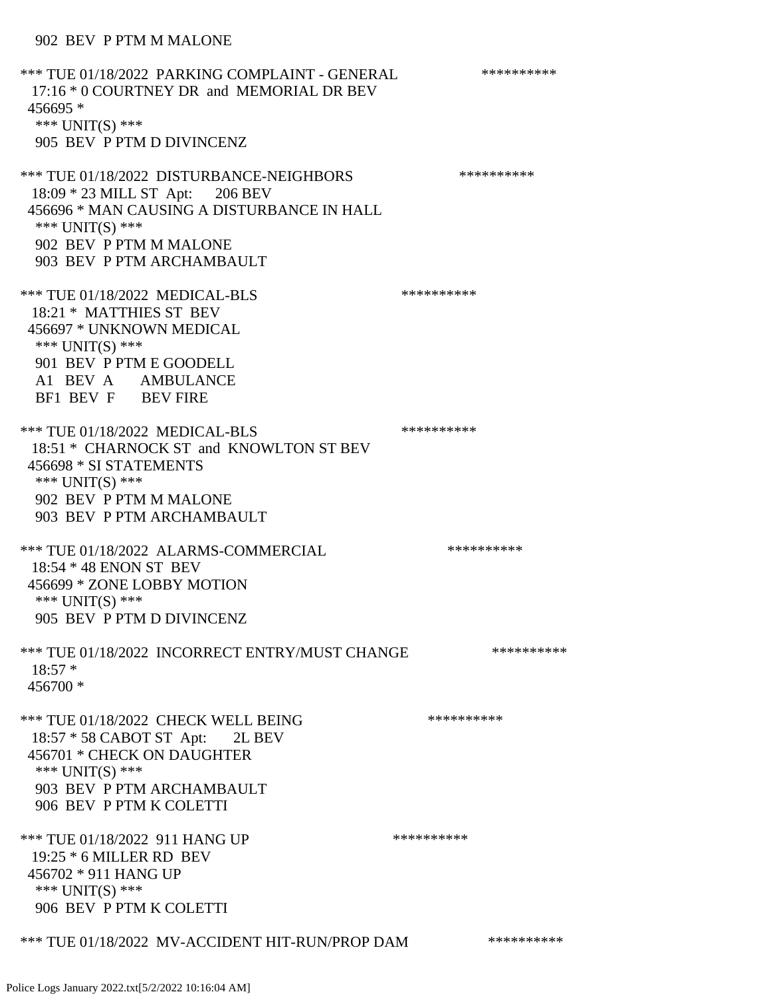\*\*\* TUE 01/18/2022 PARKING COMPLAINT - GENERAL \*\*\*\*\*\*\*\*\*\* 17:16 \* 0 COURTNEY DR and MEMORIAL DR BEV 456695 \* \*\*\* UNIT(S) \*\*\* 905 BEV P PTM D DIVINCENZ \*\*\* TUE 01/18/2022 DISTURBANCE-NEIGHBORS \*\*\*\*\*\*\*\*\*\*\*\*\*\*\* 18:09 \* 23 MILL ST Apt: 206 BEV 456696 \* MAN CAUSING A DISTURBANCE IN HALL \*\*\* UNIT(S) \*\*\* 902 BEV P PTM M MALONE 903 BEV P PTM ARCHAMBAULT \*\*\* TUE 01/18/2022 MEDICAL-BLS \*\*\*\*\*\*\*\*\*\*\*\*\* 18:21 \* MATTHIES ST BEV 456697 \* UNKNOWN MEDICAL \*\*\* UNIT(S) \*\*\* 901 BEV P PTM E GOODELL A1 BEV A AMBULANCE BF1 BEV F BEV FIRE \*\*\* TUE 01/18/2022 MEDICAL-BLS \*\*\*\*\*\*\*\*\*\*\*\*\* 18:51 \* CHARNOCK ST and KNOWLTON ST BEV 456698 \* SI STATEMENTS \*\*\* UNIT(S) \*\*\* 902 BEV P PTM M MALONE 903 BEV P PTM ARCHAMBAULT \*\*\* TUE 01/18/2022 ALARMS-COMMERCIAL \*\*\*\*\*\*\*\*\*\* 18:54 \* 48 ENON ST BEV 456699 \* ZONE LOBBY MOTION \*\*\* UNIT(S) \*\*\* 905 BEV P PTM D DIVINCENZ \*\*\* TUE 01/18/2022 INCORRECT ENTRY/MUST CHANGE \*\*\*\*\*\*\*\*\*\* 18:57 \* 456700 \* \*\*\* TUE 01/18/2022 CHECK WELL BEING \*\*\*\*\*\*\*\*\*\*\*\*\*\* 18:57 \* 58 CABOT ST Apt: 2L BEV 456701 \* CHECK ON DAUGHTER \*\*\* UNIT(S) \*\*\* 903 BEV P PTM ARCHAMBAULT 906 BEV P PTM K COLETTI \*\*\* TUE 01/18/2022 911 HANG UP \*\*\*\*\*\*\*\*\*\*\*\* 19:25 \* 6 MILLER RD BEV 456702 \* 911 HANG UP \*\*\* UNIT(S) \*\*\* 906 BEV P PTM K COLETTI \*\*\* TUE 01/18/2022 MV-ACCIDENT HIT-RUN/PROP DAM \*\*\*\*\*\*\*\*\*\*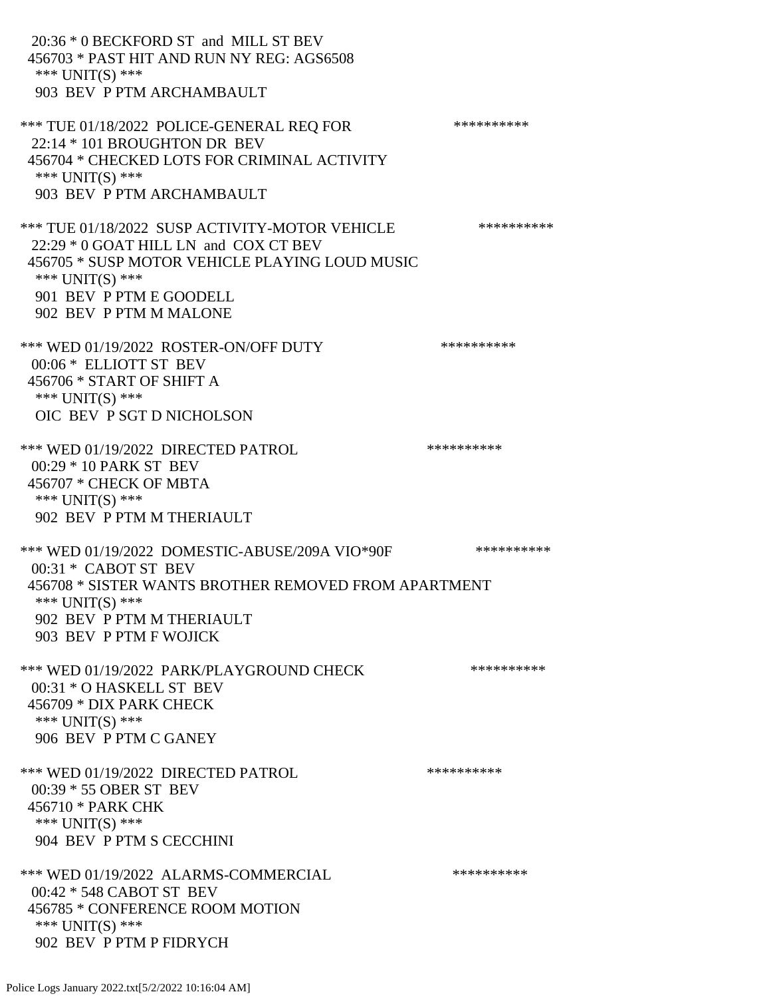20:36 \* 0 BECKFORD ST and MILL ST BEV 456703 \* PAST HIT AND RUN NY REG: AGS6508 \*\*\* UNIT(S) \*\*\* 903 BEV P PTM ARCHAMBAULT \*\*\* TUE 01/18/2022 POLICE-GENERAL REO FOR \*\*\*\*\*\*\*\*\*\*\* 22:14 \* 101 BROUGHTON DR BEV 456704 \* CHECKED LOTS FOR CRIMINAL ACTIVITY \*\*\* UNIT(S) \*\*\* 903 BEV P PTM ARCHAMBAULT \*\*\* TUE 01/18/2022 SUSP ACTIVITY-MOTOR VEHICLE \*\*\*\*\*\*\*\*\*\* 22:29 \* 0 GOAT HILL LN and COX CT BEV 456705 \* SUSP MOTOR VEHICLE PLAYING LOUD MUSIC \*\*\* UNIT(S) \*\*\* 901 BEV P PTM E GOODELL 902 BEV P PTM M MALONE \*\*\* WED 01/19/2022 ROSTER-ON/OFF DUTY \*\*\*\*\*\*\*\*\*\*\* 00:06 \* ELLIOTT ST BEV 456706 \* START OF SHIFT A \*\*\* UNIT(S) \*\*\* OIC BEV P SGT D NICHOLSON \*\*\* WED 01/19/2022 DIRECTED PATROL \*\*\*\*\*\*\*\*\*\* 00:29 \* 10 PARK ST BEV 456707 \* CHECK OF MBTA \*\*\* UNIT(S) \*\*\* 902 BEV P PTM M THERIAULT \*\*\* WED 01/19/2022 DOMESTIC-ABUSE/209A VIO\*90F \*\*\*\*\*\*\*\*\*\* 00:31 \* CABOT ST BEV 456708 \* SISTER WANTS BROTHER REMOVED FROM APARTMENT \*\*\* UNIT(S) \*\*\* 902 BEV P PTM M THERIAULT 903 BEV P PTM F WOJICK \*\*\* WED 01/19/2022 PARK/PLAYGROUND CHECK \*\*\*\*\*\*\*\*\*\*\*\* 00:31 \* O HASKELL ST BEV 456709 \* DIX PARK CHECK \*\*\* UNIT(S) \*\*\* 906 BEV P PTM C GANEY \*\*\* WED 01/19/2022 DIRECTED PATROL \*\*\*\*\*\*\*\*\*\* 00:39 \* 55 OBER ST BEV 456710 \* PARK CHK \*\*\* UNIT(S) \*\*\* 904 BEV P PTM S CECCHINI \*\*\* WED 01/19/2022 ALARMS-COMMERCIAL \*\*\*\*\*\*\*\*\*\* 00:42 \* 548 CABOT ST BEV 456785 \* CONFERENCE ROOM MOTION \*\*\* UNIT(S) \*\*\* 902 BEV P PTM P FIDRYCH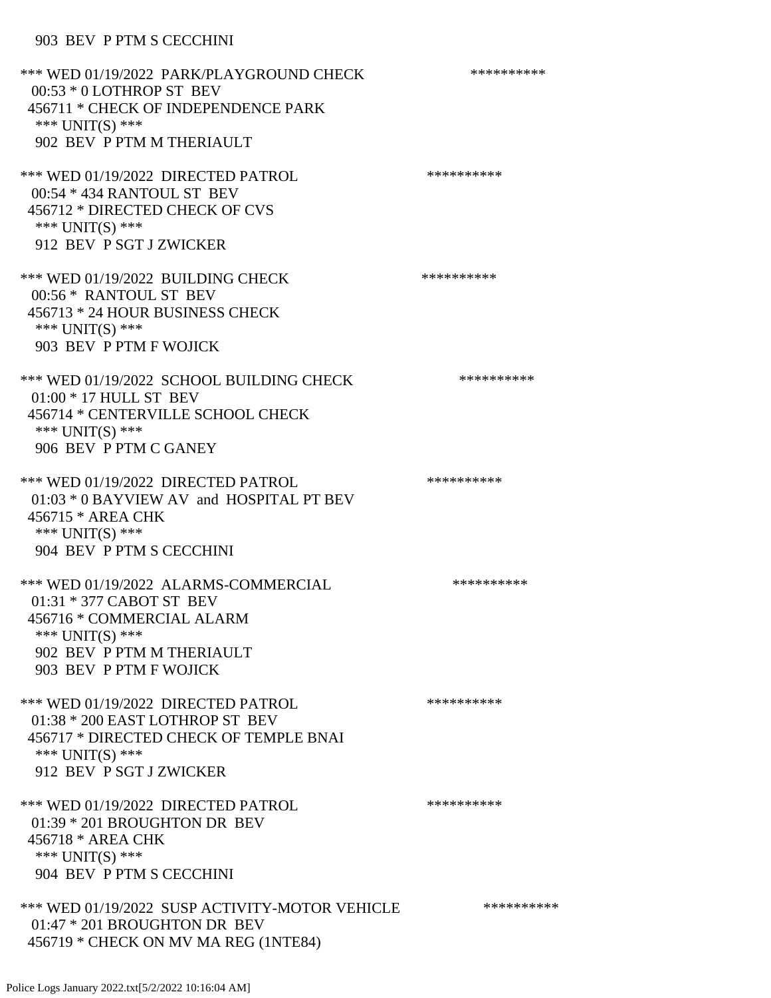### 903 BEV P PTM S CECCHINI

| *** WED 01/19/2022 PARK/PLAYGROUND CHECK<br>00:53 * 0 LOTHROP ST BEV<br>456711 * CHECK OF INDEPENDENCE PARK<br>*** UNIT(S) ***<br>902 BEV P PTM M THERIAULT             | ********** |
|-------------------------------------------------------------------------------------------------------------------------------------------------------------------------|------------|
| *** WED 01/19/2022 DIRECTED PATROL<br>00:54 * 434 RANTOUL ST BEV<br>456712 * DIRECTED CHECK OF CVS<br>*** $UNIT(S)$ ***<br>912 BEV P SGT J ZWICKER                      | ********** |
| *** WED 01/19/2022 BUILDING CHECK<br>00:56 * RANTOUL ST BEV<br>456713 * 24 HOUR BUSINESS CHECK<br>*** UNIT(S) ***<br>903 BEV P PTM F WOJICK                             | ********** |
| *** WED 01/19/2022 SCHOOL BUILDING CHECK<br>01:00 * 17 HULL ST BEV<br>456714 * CENTERVILLE SCHOOL CHECK<br>*** $UNIT(S)$ ***<br>906 BEV P PTM C GANEY                   | ********** |
| *** WED 01/19/2022 DIRECTED PATROL<br>01:03 * 0 BAYVIEW AV and HOSPITAL PT BEV<br>456715 * AREA CHK<br>*** UNIT(S) ***<br>904 BEV P PTM S CECCHINI                      | ********** |
| *** WED 01/19/2022 ALARMS-COMMERCIAL<br>01:31 * 377 CABOT ST BEV<br>456716 * COMMERCIAL ALARM<br>*** UNIT(S) ***<br>902 BEV P PTM M THERIAULT<br>903 BEV P PTM F WOJICK | ********** |
| *** WED 01/19/2022 DIRECTED PATROL<br>01:38 * 200 EAST LOTHROP ST BEV<br>456717 * DIRECTED CHECK OF TEMPLE BNAI<br>*** UNIT(S) ***<br>912 BEV P SGT J ZWICKER           | ********** |
| *** WED 01/19/2022 DIRECTED PATROL<br>01:39 * 201 BROUGHTON DR BEV<br>456718 * AREA CHK<br>*** UNIT(S) ***<br>904 BEV P PTM S CECCHINI                                  | ********** |
| *** WED 01/19/2022 SUSP ACTIVITY-MOTOR VEHICLE<br>01:47 * 201 BROUGHTON DR BEV<br>456719 * CHECK ON MV MA REG (1NTE84)                                                  | ********** |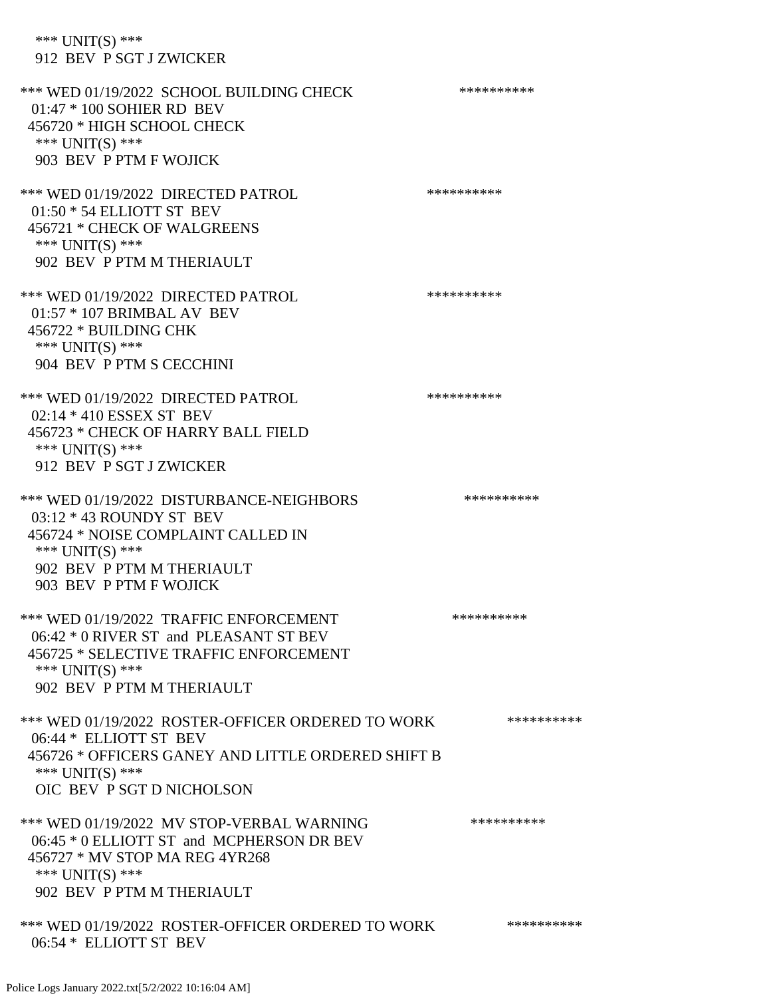\*\*\* UNIT(S) \*\*\* 912 BEV P SGT J ZWICKER

\*\*\* WED 01/19/2022 SCHOOL BUILDING CHECK \*\*\*\*\*\*\*\*\*\*\* 01:47 \* 100 SOHIER RD BEV 456720 \* HIGH SCHOOL CHECK \*\*\* UNIT(S) \*\*\* 903 BEV P PTM F WOJICK \*\*\* WED 01/19/2022 DIRECTED PATROL \*\*\*\*\*\*\*\*\*\* 01:50 \* 54 ELLIOTT ST BEV 456721 \* CHECK OF WALGREENS \*\*\* UNIT(S) \*\*\* 902 BEV P PTM M THERIAULT \*\*\* WED 01/19/2022 DIRECTED PATROL \*\*\*\*\*\*\*\*\*\* 01:57 \* 107 BRIMBAL AV BEV 456722 \* BUILDING CHK \*\*\* UNIT(S) \*\*\* 904 BEV P PTM S CECCHINI \*\*\* WED 01/19/2022 DIRECTED PATROL \*\*\*\*\*\*\*\*\*\* 02:14 \* 410 ESSEX ST BEV 456723 \* CHECK OF HARRY BALL FIELD \*\*\* UNIT(S) \*\*\* 912 BEV P SGT J ZWICKER \*\*\* WED 01/19/2022 DISTURBANCE-NEIGHBORS \*\*\*\*\*\*\*\*\*\*\*\* 03:12 \* 43 ROUNDY ST BEV 456724 \* NOISE COMPLAINT CALLED IN \*\*\* UNIT(S) \*\*\* 902 BEV P PTM M THERIAULT 903 BEV P PTM F WOJICK \*\*\* WED 01/19/2022 TRAFFIC ENFORCEMENT \*\*\*\*\*\*\*\*\*\*\*\* 06:42 \* 0 RIVER ST and PLEASANT ST BEV 456725 \* SELECTIVE TRAFFIC ENFORCEMENT \*\*\* UNIT(S) \*\*\* 902 BEV P PTM M THERIAULT \*\*\* WED 01/19/2022 ROSTER-OFFICER ORDERED TO WORK \*\*\*\*\*\*\*\*\*\*\* 06:44 \* ELLIOTT ST BEV 456726 \* OFFICERS GANEY AND LITTLE ORDERED SHIFT B \*\*\* UNIT(S) \*\*\* OIC BEV P SGT D NICHOLSON \*\*\* WED 01/19/2022 MV STOP-VERBAL WARNING \*\*\*\*\*\*\*\*\*\*\*\*\* 06:45 \* 0 ELLIOTT ST and MCPHERSON DR BEV 456727 \* MV STOP MA REG 4YR268 \*\*\* UNIT(S) \*\*\* 902 BEV P PTM M THERIAULT \*\*\* WED 01/19/2022 ROSTER-OFFICER ORDERED TO WORK \*\*\*\*\*\*\*\*\*\*\* 06:54 \* ELLIOTT ST BEV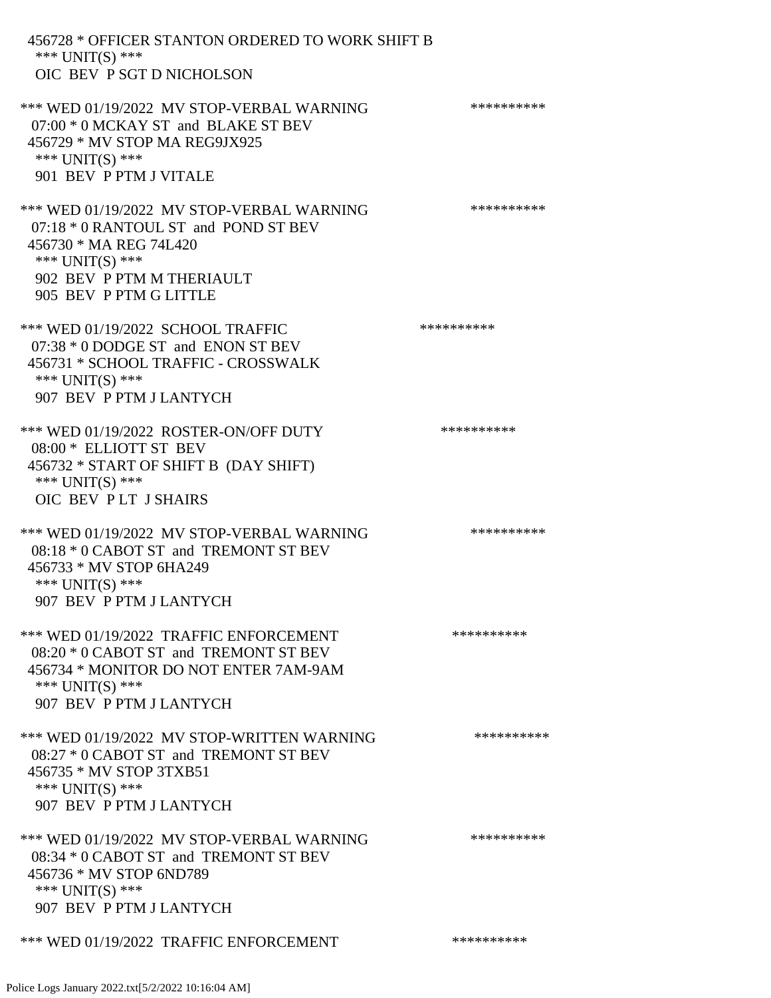| 456728 * OFFICER STANTON ORDERED TO WORK SHIFT B<br>*** UNIT(S) ***                                                                                                                     |            |
|-----------------------------------------------------------------------------------------------------------------------------------------------------------------------------------------|------------|
| OIC BEV P SGT D NICHOLSON                                                                                                                                                               |            |
| *** WED 01/19/2022 MV STOP-VERBAL WARNING<br>07:00 * 0 MCKAY ST and BLAKE ST BEV<br>456729 * MV STOP MA REG9JX925<br>*** UNIT(S) ***<br>901 BEV P PTM J VITALE                          | ********** |
| *** WED 01/19/2022 MV STOP-VERBAL WARNING<br>07:18 * 0 RANTOUL ST and POND ST BEV<br>456730 * MA REG 74L420<br>*** $UNIT(S)$ ***<br>902 BEV P PTM M THERIAULT<br>905 BEV P PTM G LITTLE | ********** |
| *** WED 01/19/2022 SCHOOL TRAFFIC<br>07:38 * 0 DODGE ST and ENON ST BEV<br>456731 * SCHOOL TRAFFIC - CROSSWALK<br>*** UNIT(S) ***<br>907 BEV P PTM J LANTYCH                            | ********** |
| *** WED 01/19/2022 ROSTER-ON/OFF DUTY<br>08:00 * ELLIOTT ST BEV<br>456732 * START OF SHIFT B (DAY SHIFT)<br>*** $UNIT(S)$ ***<br>OIC BEV PLT J SHAIRS                                   | ********** |
| *** WED 01/19/2022 MV STOP-VERBAL WARNING<br>08:18 * 0 CABOT ST and TREMONT ST BEV<br>456733 * MV STOP 6HA249<br>*** $UNIT(S)$ ***<br>907 BEV P PTM J LANTYCH                           | ********** |
| *** WED 01/19/2022 TRAFFIC ENFORCEMENT<br>08:20 * 0 CABOT ST and TREMONT ST BEV<br>456734 * MONITOR DO NOT ENTER 7AM-9AM<br>*** UNIT(S) ***<br>907 BEV P PTM J LANTYCH                  | ********** |
| *** WED 01/19/2022 MV STOP-WRITTEN WARNING<br>08:27 * 0 CABOT ST and TREMONT ST BEV<br>456735 * MV STOP 3TXB51<br>*** $UNIT(S)$ ***<br>907 BEV P PTM J LANTYCH                          | ********** |
| *** WED 01/19/2022 MV STOP-VERBAL WARNING<br>08:34 * 0 CABOT ST and TREMONT ST BEV<br>456736 * MV STOP 6ND789<br>*** UNIT(S) ***                                                        | ********** |
| 907 BEV P PTM J LANTYCH                                                                                                                                                                 |            |
| *** WED 01/19/2022 TRAFFIC ENFORCEMENT                                                                                                                                                  | ********** |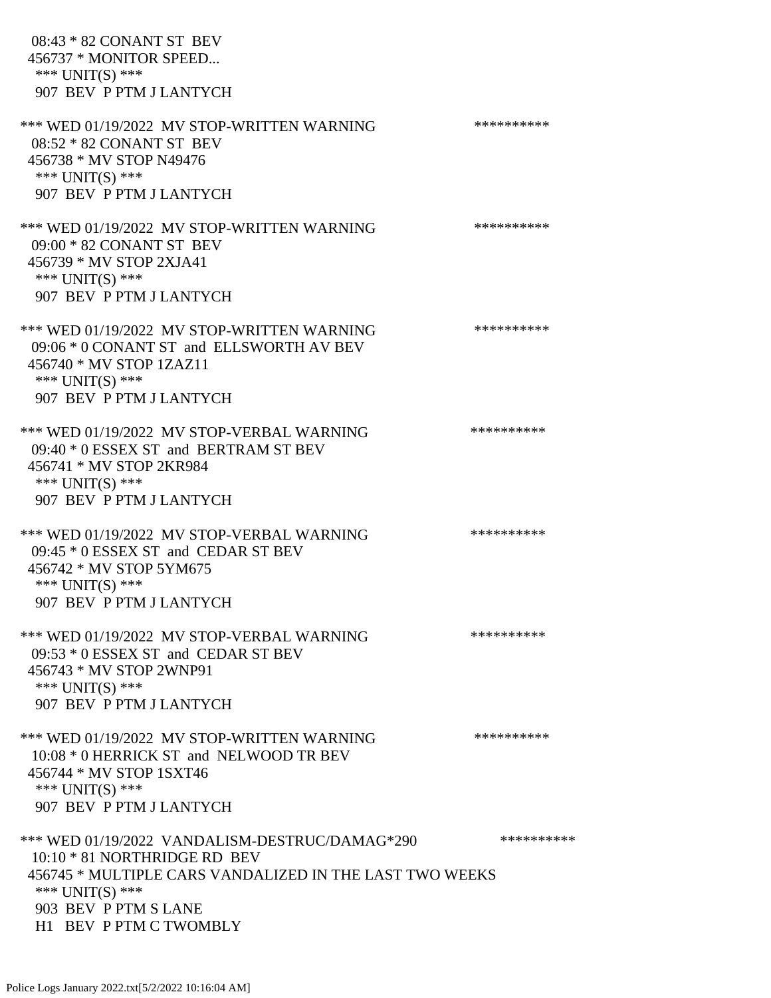08:43 \* 82 CONANT ST BEV 456737 \* MONITOR SPEED... \*\*\* UNIT(S) \*\*\* 907 BEV P PTM J LANTYCH \*\*\* WED 01/19/2022 MV STOP-WRITTEN WARNING \*\*\*\*\*\*\*\*\*\*\*\* 08:52 \* 82 CONANT ST BEV 456738 \* MV STOP N49476 \*\*\* UNIT(S) \*\*\* 907 BEV P PTM J LANTYCH \*\*\* WED 01/19/2022 MV STOP-WRITTEN WARNING \*\*\*\*\*\*\*\*\*\*\*\* 09:00 \* 82 CONANT ST BEV 456739 \* MV STOP 2XJA41 \*\*\* UNIT(S) \*\*\* 907 BEV P PTM J LANTYCH \*\*\* WED 01/19/2022 MV STOP-WRITTEN WARNING \*\*\*\*\*\*\*\*\*\*\*\* 09:06 \* 0 CONANT ST and ELLSWORTH AV BEV 456740 \* MV STOP 1ZAZ11 \*\*\* UNIT(S) \*\*\* 907 BEV P PTM J LANTYCH \*\*\* WED 01/19/2022 MV STOP-VERBAL WARNING \*\*\*\*\*\*\*\*\*\*\*\* 09:40 \* 0 ESSEX ST and BERTRAM ST BEV 456741 \* MV STOP 2KR984 \*\*\* UNIT(S) \*\*\* 907 BEV P PTM J LANTYCH \*\*\* WED 01/19/2022 MV STOP-VERBAL WARNING \*\*\*\*\*\*\*\*\*\*\*\* 09:45 \* 0 ESSEX ST and CEDAR ST BEV 456742 \* MV STOP 5YM675 \*\*\* UNIT(S) \*\*\* 907 BEV P PTM J LANTYCH \*\*\* WED 01/19/2022 MV STOP-VERBAL WARNING \*\*\*\*\*\*\*\*\*\*\*\* 09:53 \* 0 ESSEX ST and CEDAR ST BEV 456743 \* MV STOP 2WNP91 \*\*\* UNIT(S) \*\*\* 907 BEV P PTM J LANTYCH \*\*\* WED 01/19/2022 MV STOP-WRITTEN WARNING \*\*\*\*\*\*\*\*\*\*\*\*\* 10:08 \* 0 HERRICK ST and NELWOOD TR BEV 456744 \* MV STOP 1SXT46 \*\*\* UNIT(S) \*\*\* 907 BEV P PTM J LANTYCH \*\*\* WED 01/19/2022 VANDALISM-DESTRUC/DAMAG\*290 \*\*\*\*\*\*\*\*\*\*\*\* 10:10 \* 81 NORTHRIDGE RD BEV 456745 \* MULTIPLE CARS VANDALIZED IN THE LAST TWO WEEKS \*\*\* UNIT(S) \*\*\* 903 BEV P PTM S LANE H1 BEV P PTM C TWOMBLY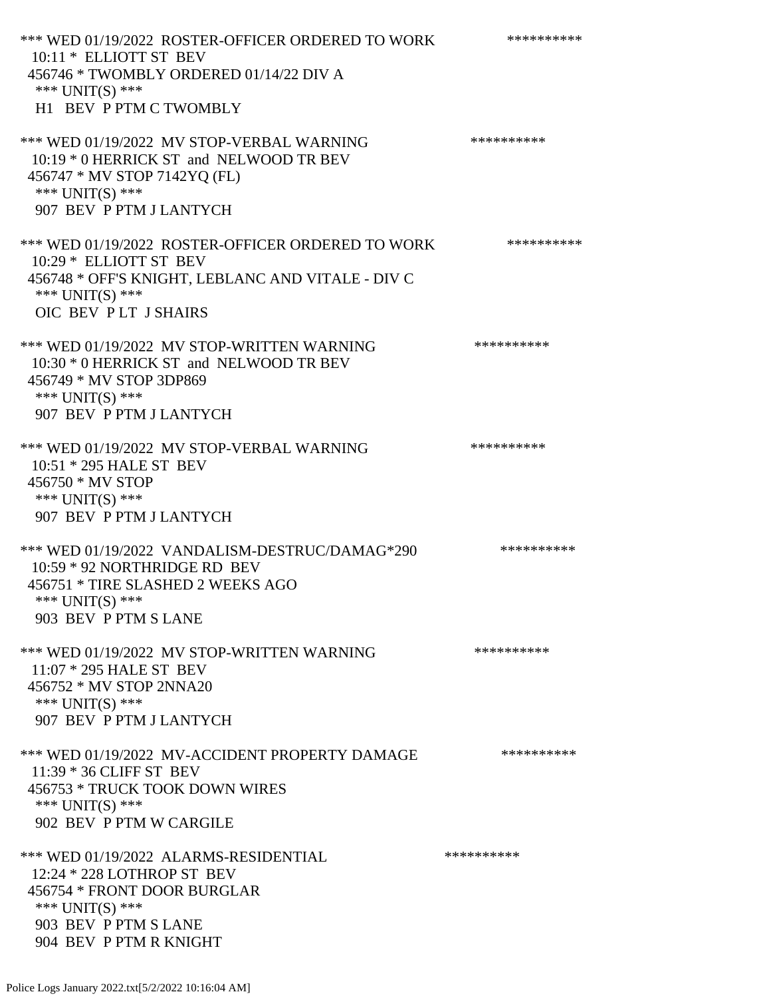\*\*\* WED 01/19/2022 ROSTER-OFFICER ORDERED TO WORK \*\*\*\*\*\*\*\*\*\*\*\* 10:11 \* ELLIOTT ST BEV 456746 \* TWOMBLY ORDERED 01/14/22 DIV A \*\*\* UNIT(S) \*\*\* H1 BEV P PTM C TWOMBLY \*\*\* WED 01/19/2022 MV STOP-VERBAL WARNING \*\*\*\*\*\*\*\*\*\*\*\* 10:19 \* 0 HERRICK ST and NELWOOD TR BEV 456747 \* MV STOP 7142YQ (FL) \*\*\* UNIT(S) \*\*\* 907 BEV P PTM J LANTYCH \*\*\* WED 01/19/2022 ROSTER-OFFICER ORDERED TO WORK \*\*\*\*\*\*\*\*\*\*\* 10:29 \* ELLIOTT ST BEV 456748 \* OFF'S KNIGHT, LEBLANC AND VITALE - DIV C \*\*\* UNIT(S) \*\*\* OIC BEV P LT J SHAIRS \*\*\* WED 01/19/2022 MV STOP-WRITTEN WARNING \*\*\*\*\*\*\*\*\*\*\*\* 10:30 \* 0 HERRICK ST and NELWOOD TR BEV 456749 \* MV STOP 3DP869 \*\*\* UNIT(S) \*\*\* 907 BEV P PTM J LANTYCH \*\*\* WED 01/19/2022 MV STOP-VERBAL WARNING \*\*\*\*\*\*\*\*\*\*\*\* 10:51 \* 295 HALE ST BEV 456750 \* MV STOP \*\*\* UNIT(S) \*\*\* 907 BEV P PTM J LANTYCH \*\*\* WED 01/19/2022 VANDALISM-DESTRUC/DAMAG\*290 \*\*\*\*\*\*\*\*\*\* 10:59 \* 92 NORTHRIDGE RD BEV 456751 \* TIRE SLASHED 2 WEEKS AGO \*\*\* UNIT(S) \*\*\* 903 BEV P PTM S LANE \*\*\* WED 01/19/2022 MV STOP-WRITTEN WARNING \*\*\*\*\*\*\*\*\*\*\*\* 11:07 \* 295 HALE ST BEV 456752 \* MV STOP 2NNA20 \*\*\* UNIT(S) \*\*\* 907 BEV P PTM J LANTYCH \*\*\* WED 01/19/2022 MV-ACCIDENT PROPERTY DAMAGE \*\*\*\*\*\*\*\*\*\*\*\* 11:39 \* 36 CLIFF ST BEV 456753 \* TRUCK TOOK DOWN WIRES \*\*\* UNIT(S) \*\*\* 902 BEV P PTM W CARGILE \*\*\* WED 01/19/2022 ALARMS-RESIDENTIAL \*\*\*\*\*\*\*\*\*\* 12:24 \* 228 LOTHROP ST BEV 456754 \* FRONT DOOR BURGLAR \*\*\* UNIT(S) \*\*\* 903 BEV P PTM S LANE 904 BEV P PTM R KNIGHT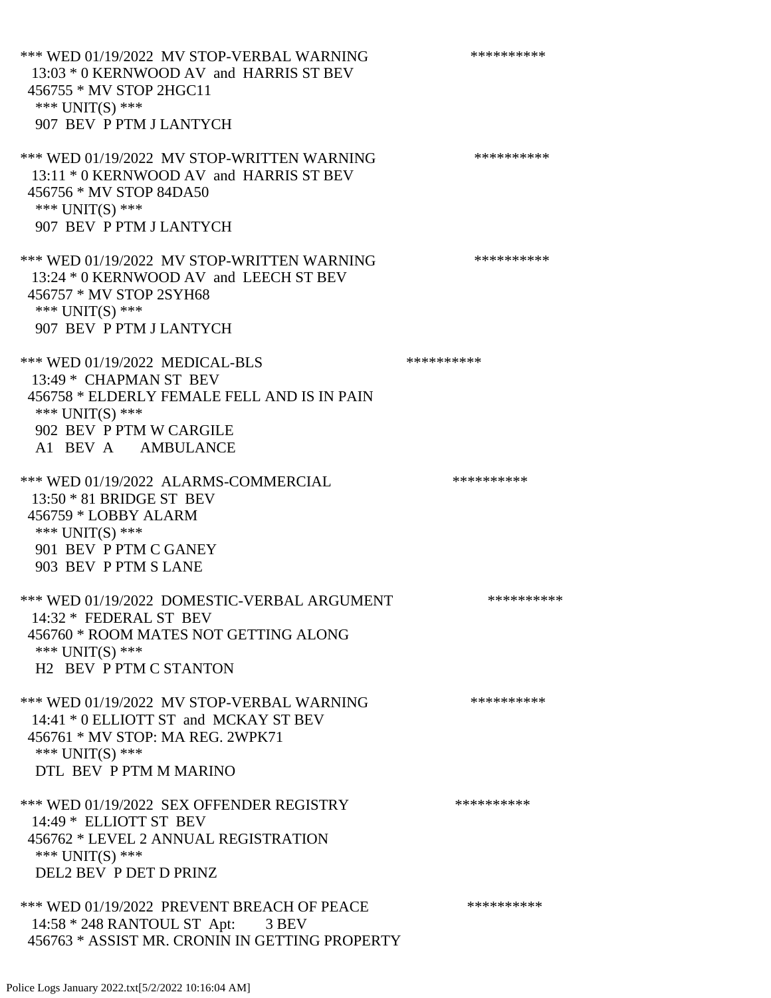\*\*\* WED 01/19/2022 MV STOP-VERBAL WARNING \*\*\*\*\*\*\*\*\*\*\*\* 13:03 \* 0 KERNWOOD AV and HARRIS ST BEV 456755 \* MV STOP 2HGC11 \*\*\* UNIT(S) \*\*\* 907 BEV P PTM J LANTYCH \*\*\* WED 01/19/2022 MV STOP-WRITTEN WARNING \*\*\*\*\*\*\*\*\*\*\*\* 13:11 \* 0 KERNWOOD AV and HARRIS ST BEV 456756 \* MV STOP 84DA50 \*\*\* UNIT(S) \*\*\* 907 BEV P PTM J LANTYCH \*\*\* WED 01/19/2022 MV STOP-WRITTEN WARNING \*\*\*\*\*\*\*\*\*\*\*\* 13:24 \* 0 KERNWOOD AV and LEECH ST BEV 456757 \* MV STOP 2SYH68 \*\*\* UNIT(S) \*\*\* 907 BEV P PTM J LANTYCH \*\*\* WED 01/19/2022 MEDICAL-BLS \*\*\*\*\*\*\*\*\*\*\*\*\* 13:49 \* CHAPMAN ST BEV 456758 \* ELDERLY FEMALE FELL AND IS IN PAIN \*\*\* UNIT(S) \*\*\* 902 BEV P PTM W CARGILE A1 BEV A AMBULANCE \*\*\* WED 01/19/2022 ALARMS-COMMERCIAL \*\*\*\*\*\*\*\*\*\* 13:50 \* 81 BRIDGE ST BEV 456759 \* LOBBY ALARM \*\*\* UNIT(S) \*\*\* 901 BEV P PTM C GANEY 903 BEV P PTM S LANE \*\*\* WED 01/19/2022 DOMESTIC-VERBAL ARGUMENT \*\*\*\*\*\*\*\*\*\*\*\*\* 14:32 \* FEDERAL ST BEV 456760 \* ROOM MATES NOT GETTING ALONG \*\*\* UNIT(S) \*\*\* H2 BEV P PTM C STANTON \*\*\* WED 01/19/2022 MV STOP-VERBAL WARNING \*\*\*\*\*\*\*\*\*\*\*\*\* 14:41 \* 0 ELLIOTT ST and MCKAY ST BEV 456761 \* MV STOP: MA REG. 2WPK71 \*\*\* UNIT(S) \*\*\* DTL BEV P PTM M MARINO \*\*\* WED 01/19/2022 SEX OFFENDER REGISTRY \*\*\*\*\*\*\*\*\*\*\*\* 14:49 \* ELLIOTT ST BEV 456762 \* LEVEL 2 ANNUAL REGISTRATION \*\*\* UNIT(S) \*\*\* DEL2 BEV P DET D PRINZ \*\*\* WED 01/19/2022 PREVENT BREACH OF PEACE \*\*\*\*\*\*\*\*\*\* 14:58 \* 248 RANTOUL ST Apt: 3 BEV 456763 \* ASSIST MR. CRONIN IN GETTING PROPERTY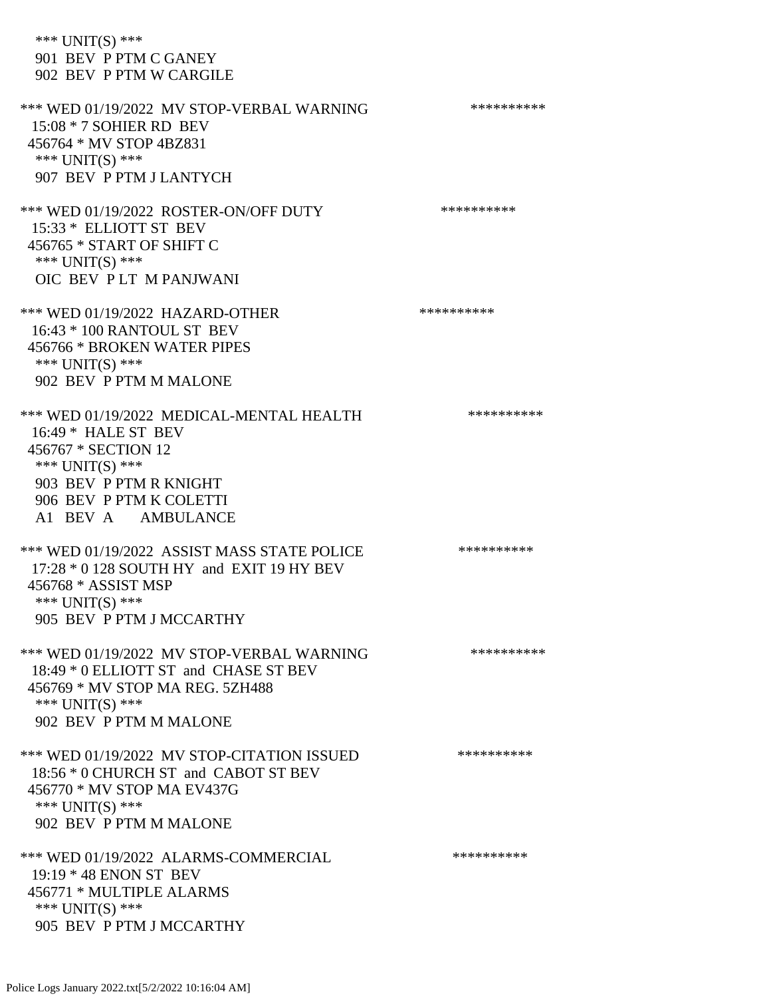\*\*\* UNIT(S) \*\*\* 901 BEV P PTM C GANEY 902 BEV P PTM W CARGILE \*\*\* WED 01/19/2022 MV STOP-VERBAL WARNING \*\*\*\*\*\*\*\*\*\*\*\* 15:08 \* 7 SOHIER RD BEV 456764 \* MV STOP 4BZ831 \*\*\* UNIT(S) \*\*\* 907 BEV P PTM J LANTYCH \*\*\* WED 01/19/2022 ROSTER-ON/OFF DUTY \*\*\*\*\*\*\*\*\*\* 15:33 \* ELLIOTT ST BEV 456765 \* START OF SHIFT C \*\*\* UNIT(S) \*\*\* OIC BEV P LT M PANJWANI \*\*\* WED 01/19/2022 HAZARD-OTHER \*\*\*\*\*\*\*\*\*\* 16:43 \* 100 RANTOUL ST BEV 456766 \* BROKEN WATER PIPES \*\*\* UNIT(S) \*\*\* 902 BEV P PTM M MALONE \*\*\* WED 01/19/2022 MEDICAL-MENTAL HEALTH \*\*\*\*\*\*\*\*\*\*\*\* 16:49 \* HALE ST BEV 456767 \* SECTION 12 \*\*\* UNIT(S) \*\*\* 903 BEV P PTM R KNIGHT 906 BEV P PTM K COLETTI A1 BEV A AMBULANCE \*\*\* WED 01/19/2022 ASSIST MASS STATE POLICE \*\*\*\*\*\*\*\*\*\*\*\* 17:28 \* 0 128 SOUTH HY and EXIT 19 HY BEV 456768 \* ASSIST MSP \*\*\* UNIT(S) \*\*\* 905 BEV P PTM J MCCARTHY \*\*\* WED 01/19/2022 MV STOP-VERBAL WARNING \*\*\*\*\*\*\*\*\*\*\*\* 18:49 \* 0 ELLIOTT ST and CHASE ST BEV 456769 \* MV STOP MA REG. 5ZH488 \*\*\* UNIT(S) \*\*\* 902 BEV P PTM M MALONE \*\*\* WED 01/19/2022 MV STOP-CITATION ISSUED \*\*\*\*\*\*\*\*\*\* 18:56 \* 0 CHURCH ST and CABOT ST BEV 456770 \* MV STOP MA EV437G \*\*\* UNIT(S) \*\*\* 902 BEV P PTM M MALONE \*\*\* WED 01/19/2022 ALARMS-COMMERCIAL \*\*\*\*\*\*\*\*\*\* 19:19 \* 48 ENON ST BEV 456771 \* MULTIPLE ALARMS \*\*\* UNIT(S) \*\*\* 905 BEV P PTM J MCCARTHY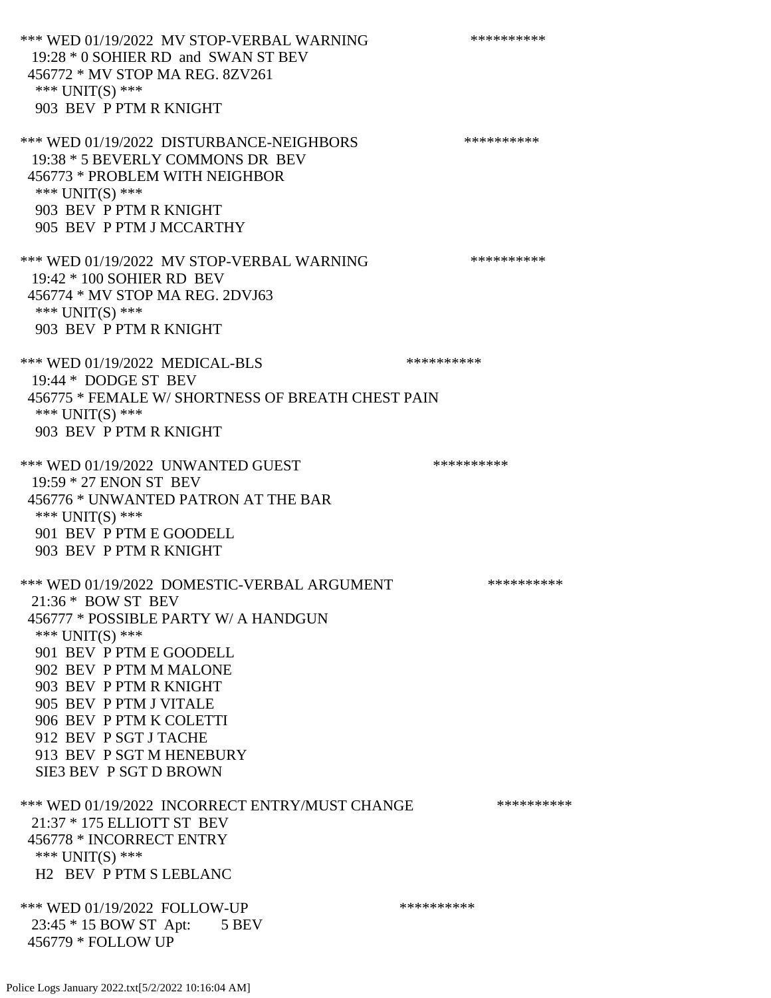\*\*\* WED 01/19/2022 MV STOP-VERBAL WARNING \*\*\*\*\*\*\*\*\*\*\*\* 19:28 \* 0 SOHIER RD and SWAN ST BEV 456772 \* MV STOP MA REG. 8ZV261 \*\*\* UNIT(S) \*\*\* 903 BEV P PTM R KNIGHT \*\*\* WED 01/19/2022 DISTURBANCE-NEIGHBORS \*\*\*\*\*\*\*\*\*\*\*\* 19:38 \* 5 BEVERLY COMMONS DR BEV 456773 \* PROBLEM WITH NEIGHBOR \*\*\* UNIT(S) \*\*\* 903 BEV P PTM R KNIGHT 905 BEV P PTM J MCCARTHY \*\*\* WED 01/19/2022 MV STOP-VERBAL WARNING \*\*\*\*\*\*\*\*\*\*\*\* 19:42 \* 100 SOHIER RD BEV 456774 \* MV STOP MA REG. 2DVJ63 \*\*\* UNIT(S) \*\*\* 903 BEV P PTM R KNIGHT \*\*\* WED 01/19/2022 MEDICAL-BLS \*\*\*\*\*\*\*\*\*\*\*\*\* 19:44 \* DODGE ST BEV 456775 \* FEMALE W/ SHORTNESS OF BREATH CHEST PAIN \*\*\* UNIT(S) \*\*\* 903 BEV P PTM R KNIGHT \*\*\* WED 01/19/2022 UNWANTED GUEST \*\*\*\*\*\*\*\*\*\*\*\*\* 19:59 \* 27 ENON ST BEV 456776 \* UNWANTED PATRON AT THE BAR \*\*\* UNIT(S) \*\*\* 901 BEV P PTM E GOODELL 903 BEV P PTM R KNIGHT \*\*\* WED 01/19/2022 DOMESTIC-VERBAL ARGUMENT \*\*\*\*\*\*\*\*\*\*\*\* 21:36 \* BOW ST BEV 456777 \* POSSIBLE PARTY W/ A HANDGUN \*\*\* UNIT(S) \*\*\* 901 BEV P PTM E GOODELL 902 BEV P PTM M MALONE 903 BEV P PTM R KNIGHT 905 BEV P PTM J VITALE 906 BEV P PTM K COLETTI 912 BEV P SGT J TACHE 913 BEV P SGT M HENEBURY SIE3 BEV P SGT D BROWN \*\*\* WED 01/19/2022 INCORRECT ENTRY/MUST CHANGE \*\*\*\*\*\*\*\*\*\*\*\* 21:37 \* 175 ELLIOTT ST BEV 456778 \* INCORRECT ENTRY \*\*\* UNIT(S) \*\*\* H2 BEV P PTM S LEBLANC \*\*\* WED 01/19/2022 FOLLOW-UP \*\*\*\*\*\*\*\*\*\*\*\*

Police Logs January 2022.txt[5/2/2022 10:16:04 AM]

456779 \* FOLLOW UP

23:45 \* 15 BOW ST Apt: 5 BEV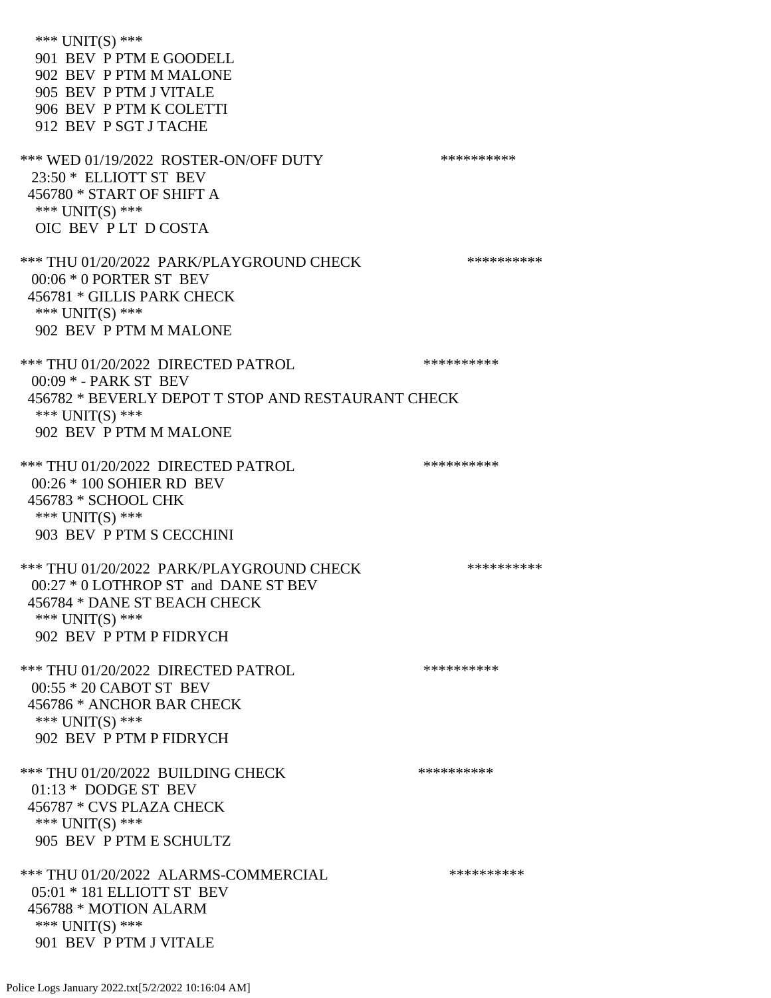\*\*\* UNIT(S) \*\*\* 901 BEV P PTM E GOODELL 902 BEV P PTM M MALONE 905 BEV P PTM J VITALE 906 BEV P PTM K COLETTI 912 BEV P SGT J TACHE \*\*\* WED 01/19/2022 ROSTER-ON/OFF DUTY \*\*\*\*\*\*\*\*\*\* 23:50 \* ELLIOTT ST BEV 456780 \* START OF SHIFT A \*\*\* UNIT(S) \*\*\* OIC BEV P LT D COSTA \*\*\* THU 01/20/2022 PARK/PLAYGROUND CHECK \*\*\*\*\*\*\*\*\*\*\* 00:06 \* 0 PORTER ST BEV 456781 \* GILLIS PARK CHECK \*\*\* UNIT(S) \*\*\* 902 BEV P PTM M MALONE \*\*\* THU 01/20/2022 DIRECTED PATROL \*\*\*\*\*\*\*\*\*\* 00:09 \* - PARK ST BEV 456782 \* BEVERLY DEPOT T STOP AND RESTAURANT CHECK \*\*\* UNIT(S) \*\*\* 902 BEV P PTM M MALONE \*\*\* THU 01/20/2022 DIRECTED PATROL 00:26 \* 100 SOHIER RD BEV 456783 \* SCHOOL CHK \*\*\* UNIT(S) \*\*\* 903 BEV P PTM S CECCHINI \*\*\* THU 01/20/2022 PARK/PLAYGROUND CHECK \*\*\*\*\*\*\*\*\*\*\*\* 00:27 \* 0 LOTHROP ST and DANE ST BEV 456784 \* DANE ST BEACH CHECK \*\*\* UNIT(S) \*\*\* 902 BEV P PTM P FIDRYCH \*\*\* THU 01/20/2022 DIRECTED PATROL \*\*\*\*\*\*\*\*\*\* 00:55 \* 20 CABOT ST BEV 456786 \* ANCHOR BAR CHECK \*\*\* UNIT(S) \*\*\* 902 BEV P PTM P FIDRYCH \*\*\* THU 01/20/2022 BUILDING CHECK \*\*\*\*\*\*\*\*\*\* 01:13 \* DODGE ST BEV 456787 \* CVS PLAZA CHECK \*\*\* UNIT(S) \*\*\* 905 BEV P PTM E SCHULTZ \*\*\* THU 01/20/2022 ALARMS-COMMERCIAL \*\*\*\*\*\*\*\*\*\* 05:01 \* 181 ELLIOTT ST BEV 456788 \* MOTION ALARM \*\*\* UNIT(S) \*\*\* 901 BEV P PTM J VITALE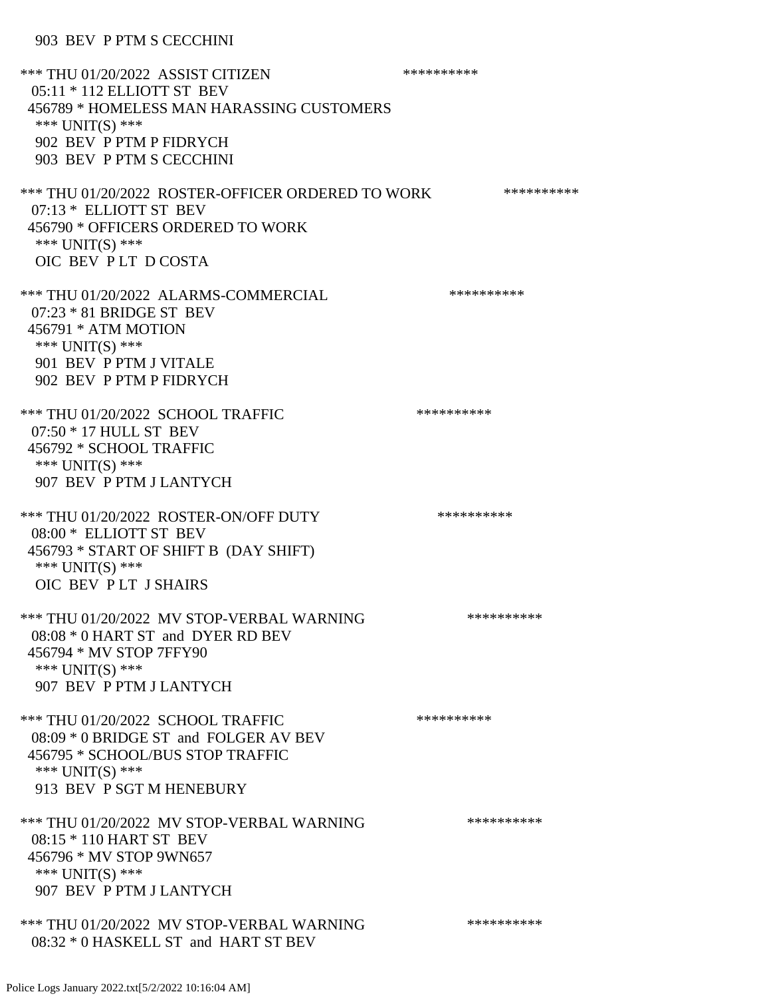903 BEV P PTM S CECCHINI

\*\*\* THU 01/20/2022 ASSIST CITIZEN \*\*\*\*\*\*\*\*\*\* 05:11 \* 112 ELLIOTT ST BEV 456789 \* HOMELESS MAN HARASSING CUSTOMERS \*\*\* UNIT(S) \*\*\* 902 BEV P PTM P FIDRYCH 903 BEV P PTM S CECCHINI \*\*\* THU 01/20/2022 ROSTER-OFFICER ORDERED TO WORK \*\*\*\*\*\*\*\*\*\*\*\* 07:13 \* ELLIOTT ST BEV 456790 \* OFFICERS ORDERED TO WORK \*\*\* UNIT(S) \*\*\* OIC BEV P LT D COSTA \*\*\* THU 01/20/2022 ALARMS-COMMERCIAL \*\*\*\*\*\*\*\*\*\* 07:23 \* 81 BRIDGE ST BEV 456791 \* ATM MOTION \*\*\* UNIT(S) \*\*\* 901 BEV P PTM J VITALE 902 BEV P PTM P FIDRYCH \*\*\* THU 01/20/2022 SCHOOL TRAFFIC \*\*\*\*\*\*\*\*\*\*\*\*\*\* 07:50 \* 17 HULL ST BEV 456792 \* SCHOOL TRAFFIC \*\*\* UNIT(S) \*\*\* 907 BEV P PTM J LANTYCH \*\*\* THU 01/20/2022 ROSTER-ON/OFF DUTY \*\*\*\*\*\*\*\*\*\* 08:00 \* ELLIOTT ST BEV 456793 \* START OF SHIFT B (DAY SHIFT) \*\*\* UNIT(S) \*\*\* OIC BEV P LT J SHAIRS \*\*\* THU 01/20/2022 MV STOP-VERBAL WARNING \*\*\*\*\*\*\*\*\*\*\*\*\* 08:08 \* 0 HART ST and DYER RD BEV 456794 \* MV STOP 7FFY90 \*\*\* UNIT(S) \*\*\* 907 BEV P PTM J LANTYCH \*\*\* THU 01/20/2022 SCHOOL TRAFFIC \*\*\*\*\*\*\*\*\*\* 08:09 \* 0 BRIDGE ST and FOLGER AV BEV 456795 \* SCHOOL/BUS STOP TRAFFIC \*\*\* UNIT(S) \*\*\* 913 BEV P SGT M HENEBURY \*\*\* THU 01/20/2022 MV STOP-VERBAL WARNING \*\*\*\*\*\*\*\*\*\*\*\* 08:15 \* 110 HART ST BEV 456796 \* MV STOP 9WN657 \*\*\* UNIT(S) \*\*\* 907 BEV P PTM J LANTYCH \*\*\* THU 01/20/2022 MV STOP-VERBAL WARNING \*\*\*\*\*\*\*\*\*\*\*\*\*\*\* 08:32 \* 0 HASKELL ST and HART ST BEV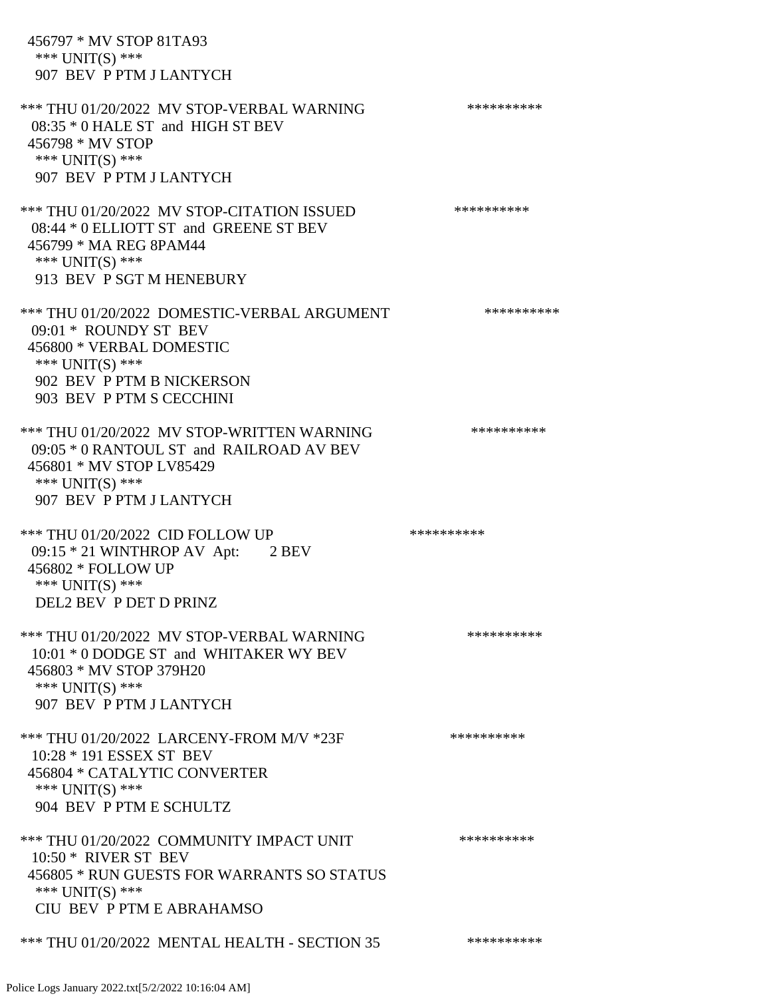456797 \* MV STOP 81TA93 \*\*\* UNIT(S) \*\*\* 907 BEV P PTM J LANTYCH \*\*\* THU 01/20/2022 MV STOP-VERBAL WARNING \*\*\*\*\*\*\*\*\*\*\*\* 08:35 \* 0 HALE ST and HIGH ST BEV 456798 \* MV STOP \*\*\* UNIT(S) \*\*\* 907 BEV P PTM J LANTYCH \*\*\* THU 01/20/2022 MV STOP-CITATION ISSUED \*\*\*\*\*\*\*\*\*\* 08:44 \* 0 ELLIOTT ST and GREENE ST BEV 456799 \* MA REG 8PAM44 \*\*\* UNIT(S) \*\*\* 913 BEV P SGT M HENEBURY \*\*\* THU 01/20/2022 DOMESTIC-VERBAL ARGUMENT \*\*\*\*\*\*\*\*\*\*\*\*\* 09:01 \* ROUNDY ST BEV 456800 \* VERBAL DOMESTIC \*\*\* UNIT(S) \*\*\* 902 BEV P PTM B NICKERSON 903 BEV P PTM S CECCHINI \*\*\* THU 01/20/2022 MV STOP-WRITTEN WARNING \*\*\*\*\*\*\*\*\*\* 09:05 \* 0 RANTOUL ST and RAILROAD AV BEV 456801 \* MV STOP LV85429 \*\*\* UNIT(S) \*\*\* 907 BEV P PTM J LANTYCH \*\*\* THU 01/20/2022 CID FOLLOW UP \*\*\*\*\*\*\*\*\*\*\* 09:15 \* 21 WINTHROP AV Apt: 2 BEV 456802 \* FOLLOW UP \*\*\* UNIT(S) \*\*\* DEL2 BEV P DET D PRINZ \*\*\* THU 01/20/2022 MV STOP-VERBAL WARNING \*\*\*\*\*\*\*\*\*\*\*\* 10:01 \* 0 DODGE ST and WHITAKER WY BEV 456803 \* MV STOP 379H20 \*\*\* UNIT(S) \*\*\* 907 BEV P PTM J LANTYCH \*\*\* THU 01/20/2022 LARCENY-FROM M/V \*23F \*\*\*\*\*\*\*\*\*\*\*\* 10:28 \* 191 ESSEX ST BEV 456804 \* CATALYTIC CONVERTER \*\*\* UNIT(S) \*\*\* 904 BEV P PTM E SCHULTZ \*\*\* THU 01/20/2022 COMMUNITY IMPACT UNIT \*\*\*\*\*\*\*\*\*\*\*\* 10:50 \* RIVER ST BEV 456805 \* RUN GUESTS FOR WARRANTS SO STATUS \*\*\* UNIT(S) \*\*\* CIU BEV P PTM E ABRAHAMSO \*\*\* THU 01/20/2022 MENTAL HEALTH - SECTION 35 \*\*\*\*\*\*\*\*\*\*\*\*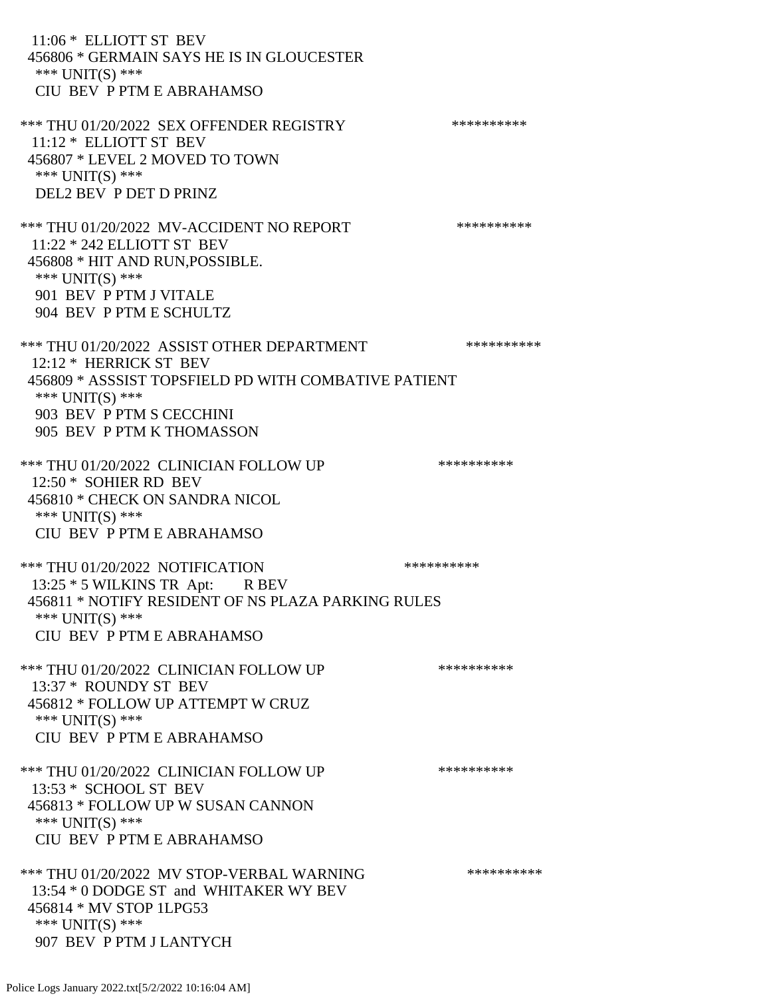11:06 \* ELLIOTT ST BEV 456806 \* GERMAIN SAYS HE IS IN GLOUCESTER \*\*\* UNIT(S) \*\*\* CIU BEV P PTM E ABRAHAMSO \*\*\* THU 01/20/2022 SEX OFFENDER REGISTRY \*\*\*\*\*\*\*\*\*\*\*\* 11:12 \* ELLIOTT ST BEV 456807 \* LEVEL 2 MOVED TO TOWN \*\*\* UNIT(S) \*\*\* DEL2 BEV P DET D PRINZ \*\*\* THU 01/20/2022 MV-ACCIDENT NO REPORT \*\*\*\*\*\*\*\*\*\*\*\* 11:22 \* 242 ELLIOTT ST BEV 456808 \* HIT AND RUN,POSSIBLE. \*\*\* UNIT(S) \*\*\* 901 BEV P PTM J VITALE 904 BEV P PTM E SCHULTZ \*\*\* THU 01/20/2022 ASSIST OTHER DEPARTMENT \*\*\*\*\*\*\*\*\*\*\*\*\* 12:12 \* HERRICK ST BEV 456809 \* ASSSIST TOPSFIELD PD WITH COMBATIVE PATIENT \*\*\* UNIT(S) \*\*\* 903 BEV P PTM S CECCHINI 905 BEV P PTM K THOMASSON \*\*\* THU 01/20/2022 CLINICIAN FOLLOW UP \*\*\*\*\*\*\*\*\*\* 12:50 \* SOHIER RD BEV 456810 \* CHECK ON SANDRA NICOL \*\*\* UNIT(S) \*\*\* CIU BEV P PTM E ABRAHAMSO \*\*\* THU 01/20/2022 NOTIFICATION \*\*\*\*\*\*\*\*\*\* 13:25  $*$  5 WILKINS TR Apt: R BEV 456811 \* NOTIFY RESIDENT OF NS PLAZA PARKING RULES \*\*\* UNIT(S) \*\*\* CIU BEV P PTM E ABRAHAMSO \*\*\* THU 01/20/2022 CLINICIAN FOLLOW UP \*\*\*\*\*\*\*\*\*\* 13:37 \* ROUNDY ST BEV 456812 \* FOLLOW UP ATTEMPT W CRUZ \*\*\* UNIT(S) \*\*\* CIU BEV P PTM E ABRAHAMSO \*\*\* THU 01/20/2022 CLINICIAN FOLLOW UP \*\*\*\*\*\*\*\*\*\*\*\* 13:53 \* SCHOOL ST BEV 456813 \* FOLLOW UP W SUSAN CANNON \*\*\* UNIT(S) \*\*\* CIU BEV P PTM E ABRAHAMSO \*\*\* THU 01/20/2022 MV STOP-VERBAL WARNING \*\*\*\*\*\*\*\*\*\*\*\* 13:54 \* 0 DODGE ST and WHITAKER WY BEV 456814 \* MV STOP 1LPG53 \*\*\* UNIT(S) \*\*\* 907 BEV P PTM J LANTYCH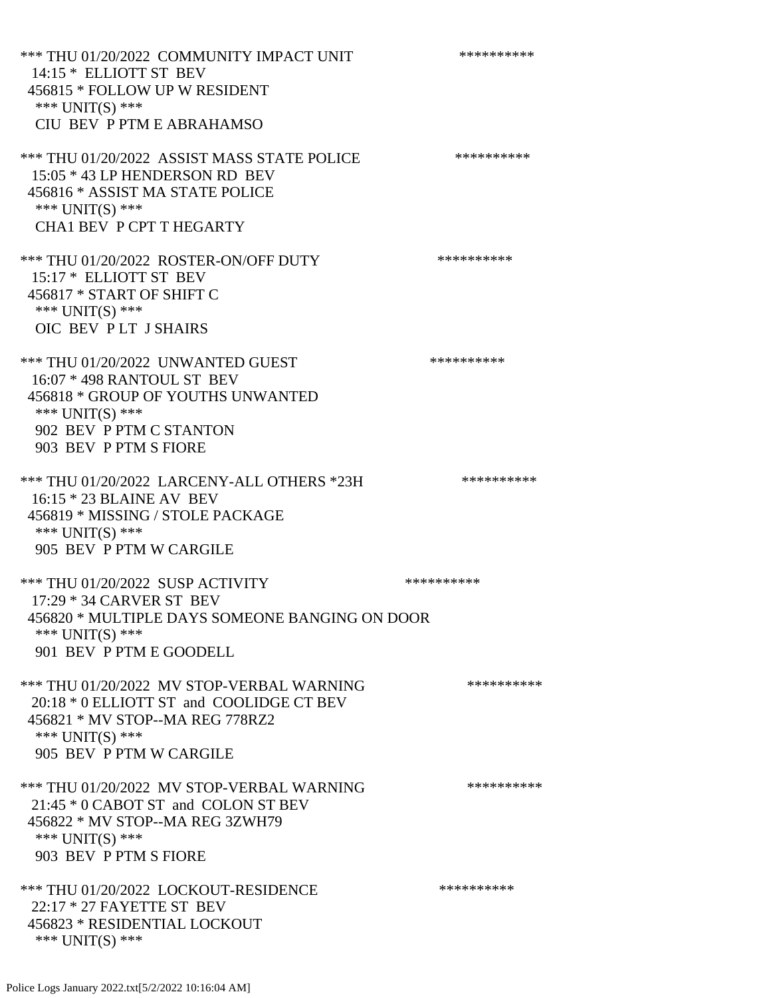\*\*\* THU 01/20/2022 COMMUNITY IMPACT UNIT \*\*\*\*\*\*\*\*\*\*\*\*\* 14:15 \* ELLIOTT ST BEV 456815 \* FOLLOW UP W RESIDENT \*\*\* UNIT(S) \*\*\* CIU BEV P PTM E ABRAHAMSO \*\*\* THU 01/20/2022 ASSIST MASS STATE POLICE \*\*\*\*\*\*\*\*\*\* 15:05 \* 43 LP HENDERSON RD BEV 456816 \* ASSIST MA STATE POLICE \*\*\* UNIT(S) \*\*\* CHA1 BEV P CPT T HEGARTY \*\*\* THU 01/20/2022 ROSTER-ON/OFF DUTY \*\*\*\*\*\*\*\*\*\* 15:17 \* ELLIOTT ST BEV 456817 \* START OF SHIFT C \*\*\* UNIT(S) \*\*\* OIC BEV P LT J SHAIRS \*\*\* THU 01/20/2022 UNWANTED GUEST \*\*\*\*\*\*\*\*\*\*\*\*\*\*\*\* 16:07 \* 498 RANTOUL ST BEV 456818 \* GROUP OF YOUTHS UNWANTED \*\*\* UNIT(S) \*\*\* 902 BEV P PTM C STANTON 903 BEV P PTM S FIORE \*\*\* THU 01/20/2022 LARCENY-ALL OTHERS \*23H \*\*\*\*\*\*\*\*\*\* 16:15 \* 23 BLAINE AV BEV 456819 \* MISSING / STOLE PACKAGE \*\*\* UNIT(S) \*\*\* 905 BEV P PTM W CARGILE \*\*\* THU 01/20/2022 SUSP ACTIVITY \*\*\*\*\*\*\*\*\*\*\*\* 17:29 \* 34 CARVER ST BEV 456820 \* MULTIPLE DAYS SOMEONE BANGING ON DOOR \*\*\* UNIT(S) \*\*\* 901 BEV P PTM E GOODELL \*\*\* THU 01/20/2022 MV STOP-VERBAL WARNING \*\*\*\*\*\*\*\*\*\*\*\*\* 20:18 \* 0 ELLIOTT ST and COOLIDGE CT BEV 456821 \* MV STOP--MA REG 778RZ2 \*\*\* UNIT(S) \*\*\* 905 BEV P PTM W CARGILE \*\*\* THU 01/20/2022 MV STOP-VERBAL WARNING \*\*\*\*\*\*\*\*\*\*\*\* 21:45 \* 0 CABOT ST and COLON ST BEV 456822 \* MV STOP--MA REG 3ZWH79 \*\*\* UNIT(S) \*\*\* 903 BEV P PTM S FIORE \*\*\* THU 01/20/2022 LOCKOUT-RESIDENCE \*\*\*\*\*\*\*\*\*\* 22:17 \* 27 FAYETTE ST BEV 456823 \* RESIDENTIAL LOCKOUT \*\*\* UNIT(S) \*\*\*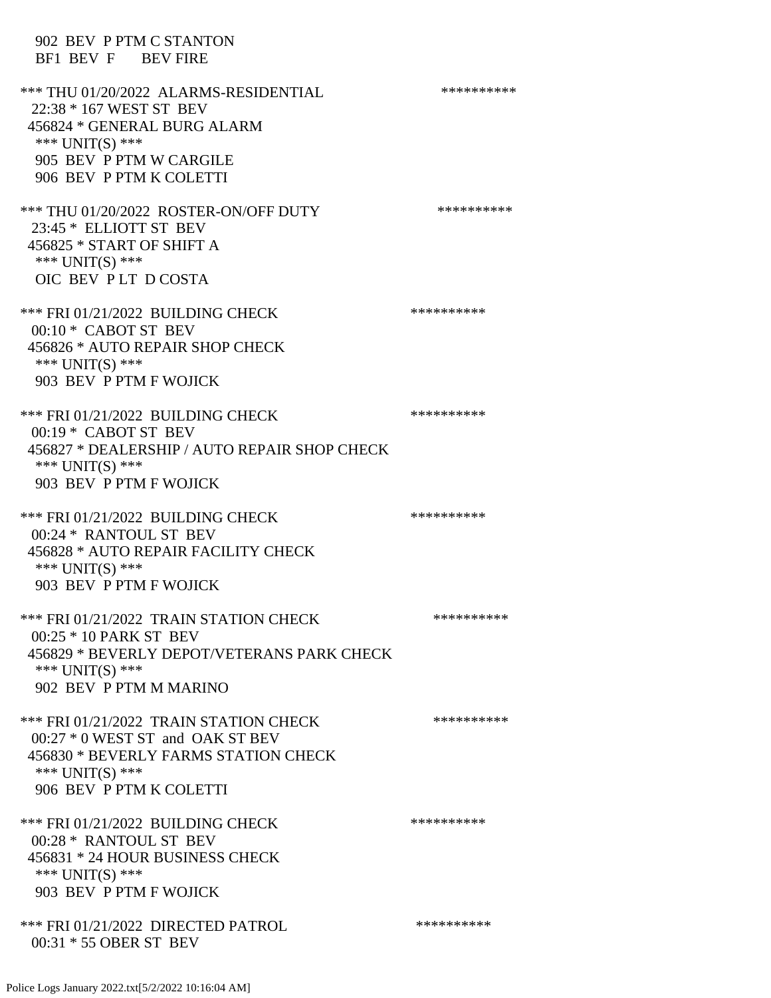| 902 BEV P PTM C STANTON<br>BF1 BEV F BEV FIRE                                                                                                                              |            |
|----------------------------------------------------------------------------------------------------------------------------------------------------------------------------|------------|
| *** THU 01/20/2022 ALARMS-RESIDENTIAL<br>22:38 * 167 WEST ST BEV<br>456824 * GENERAL BURG ALARM<br>*** $UNIT(S)$ ***<br>905 BEV P PTM W CARGILE<br>906 BEV P PTM K COLETTI | ********** |
| *** THU 01/20/2022 ROSTER-ON/OFF DUTY<br>23:45 * ELLIOTT ST BEV<br>456825 * START OF SHIFT A<br>*** UNIT(S) ***<br>OIC BEV PLT DCOSTA                                      | ********** |
| *** FRI 01/21/2022 BUILDING CHECK<br>$00:10*$ CABOT ST BEV<br>456826 * AUTO REPAIR SHOP CHECK<br>*** UNIT(S) ***<br>903 BEV P PTM F WOJICK                                 | ********** |
| *** FRI 01/21/2022 BUILDING CHECK<br>00:19 * CABOT ST BEV<br>456827 * DEALERSHIP / AUTO REPAIR SHOP CHECK<br>*** $UNIT(S)$ ***<br>903 BEV P PTM F WOJICK                   | ********** |
| *** FRI 01/21/2022 BUILDING CHECK<br>00:24 * RANTOUL ST BEV<br>456828 * AUTO REPAIR FACILITY CHECK<br>*** UNIT(S) ***<br>903 BEV P PTM F WOJICK                            | ********** |
| *** FRI 01/21/2022 TRAIN STATION CHECK<br>00:25 * 10 PARK ST BEV<br>456829 * BEVERLY DEPOT/VETERANS PARK CHECK<br>*** UNIT(S) ***<br>902 BEV P PTM M MARINO                | ********** |
| *** FRI 01/21/2022 TRAIN STATION CHECK<br>00:27 * 0 WEST ST and OAK ST BEV<br>456830 * BEVERLY FARMS STATION CHECK<br>*** UNIT(S) ***<br>906 BEV P PTM K COLETTI           | ********** |
| *** FRI 01/21/2022 BUILDING CHECK<br>00:28 * RANTOUL ST BEV<br>456831 * 24 HOUR BUSINESS CHECK<br>*** UNIT(S) ***<br>903 BEV P PTM F WOJICK                                | ********** |
| *** FRI 01/21/2022 DIRECTED PATROL<br>00:31 * 55 OBER ST BEV                                                                                                               | ********** |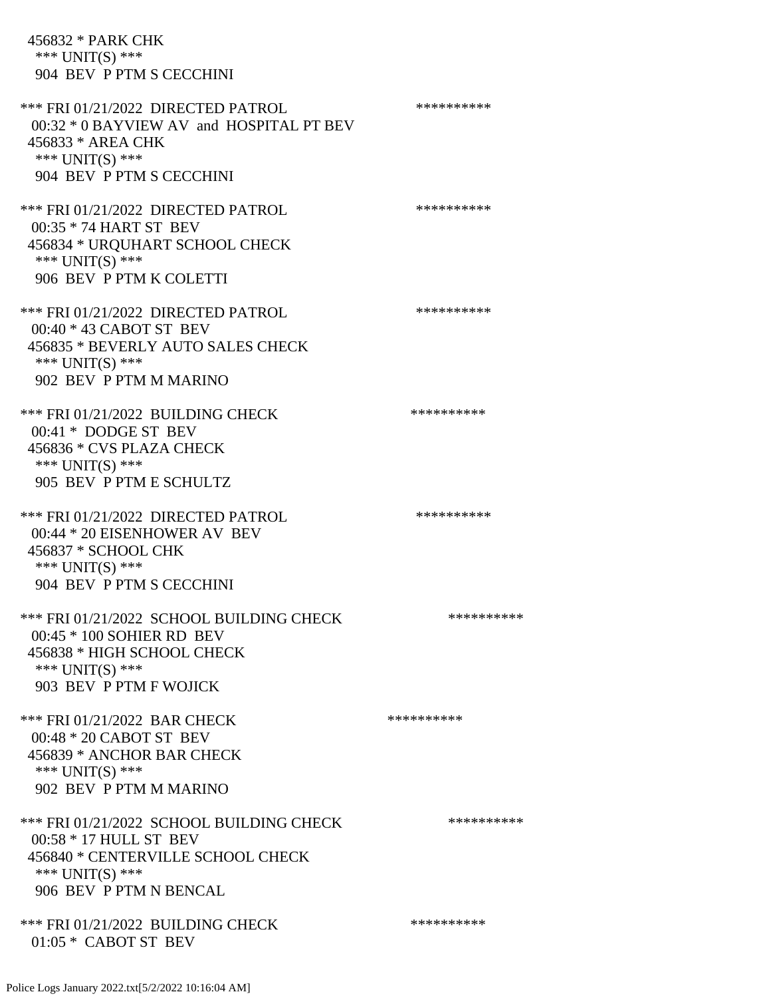456832 \* PARK CHK \*\*\* UNIT(S) \*\*\* 904 BEV P PTM S CECCHINI \*\*\* FRI 01/21/2022 DIRECTED PATROL \*\*\*\*\*\*\*\*\*\*\*\* 00:32 \* 0 BAYVIEW AV and HOSPITAL PT BEV 456833 \* AREA CHK \*\*\* UNIT(S) \*\*\* 904 BEV P PTM S CECCHINI \*\*\* FRI 01/21/2022 DIRECTED PATROL \*\*\*\*\*\*\*\*\*\* 00:35 \* 74 HART ST BEV 456834 \* URQUHART SCHOOL CHECK \*\*\* UNIT(S) \*\*\* 906 BEV P PTM K COLETTI \*\*\* FRI 01/21/2022 DIRECTED PATROL \*\*\*\*\*\*\*\*\*\*\*\* 00:40 \* 43 CABOT ST BEV 456835 \* BEVERLY AUTO SALES CHECK \*\*\* UNIT(S) \*\*\* 902 BEV P PTM M MARINO \*\*\* FRI 01/21/2022 BUILDING CHECK \*\*\*\*\*\*\*\*\*\* 00:41 \* DODGE ST BEV 456836 \* CVS PLAZA CHECK \*\*\* UNIT(S) \*\*\* 905 BEV P PTM E SCHULTZ \*\*\* FRI 01/21/2022 DIRECTED PATROL \*\*\*\*\*\*\*\*\*\* 00:44 \* 20 EISENHOWER AV BEV 456837 \* SCHOOL CHK \*\*\* UNIT(S) \*\*\* 904 BEV P PTM S CECCHINI \*\*\* FRI 01/21/2022 SCHOOL BUILDING CHECK \*\*\*\*\*\*\*\*\*\*\* 00:45 \* 100 SOHIER RD BEV 456838 \* HIGH SCHOOL CHECK \*\*\* UNIT(S) \*\*\* 903 BEV P PTM F WOJICK \*\*\* FRI 01/21/2022 BAR CHECK \*\*\*\*\*\*\*\*\*\*\*\* 00:48 \* 20 CABOT ST BEV 456839 \* ANCHOR BAR CHECK \*\*\* UNIT(S) \*\*\* 902 BEV P PTM M MARINO \*\*\* FRI 01/21/2022 SCHOOL BUILDING CHECK \*\*\*\*\*\*\*\*\*\* 00:58 \* 17 HULL ST BEV 456840 \* CENTERVILLE SCHOOL CHECK \*\*\* UNIT(S) \*\*\* 906 BEV P PTM N BENCAL \*\*\* FRI 01/21/2022 BUILDING CHECK \*\*\*\*\*\*\*\*\*\*\*\*\* 01:05 \* CABOT ST BEV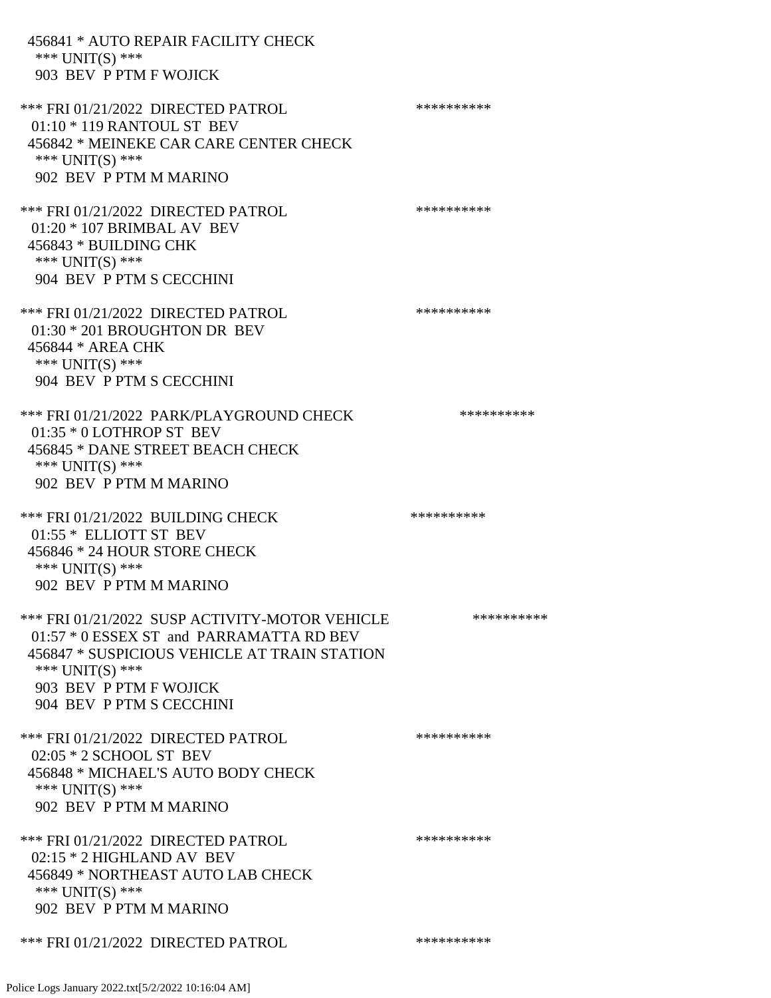456841 \* AUTO REPAIR FACILITY CHECK \*\*\* UNIT(S) \*\*\* 903 BEV P PTM F WOJICK \*\*\* FRI 01/21/2022 DIRECTED PATROL \*\*\*\*\*\*\*\*\*\* 01:10 \* 119 RANTOUL ST BEV 456842 \* MEINEKE CAR CARE CENTER CHECK \*\*\* UNIT(S) \*\*\* 902 BEV P PTM M MARINO \*\*\* FRI 01/21/2022 DIRECTED PATROL \*\*\*\*\*\*\*\*\*\* 01:20 \* 107 BRIMBAL AV BEV 456843 \* BUILDING CHK \*\*\* UNIT(S) \*\*\* 904 BEV P PTM S CECCHINI \*\*\* FRI 01/21/2022 DIRECTED PATROL \*\*\*\*\*\*\*\*\*\*\*\* 01:30 \* 201 BROUGHTON DR BEV 456844 \* AREA CHK \*\*\* UNIT(S) \*\*\* 904 BEV P PTM S CECCHINI \*\*\* FRI 01/21/2022 PARK/PLAYGROUND CHECK \*\*\*\*\*\*\*\*\*\*\*\* 01:35 \* 0 LOTHROP ST BEV 456845 \* DANE STREET BEACH CHECK \*\*\* UNIT(S) \*\*\* 902 BEV P PTM M MARINO \*\*\* FRI 01/21/2022 BUILDING CHECK \*\*\*\*\*\*\*\*\*\* 01:55 \* ELLIOTT ST BEV 456846 \* 24 HOUR STORE CHECK \*\*\* UNIT(S) \*\*\* 902 BEV P PTM M MARINO \*\*\* FRI 01/21/2022 SUSP ACTIVITY-MOTOR VEHICLE \*\*\*\*\*\*\*\*\*\*\*\* 01:57 \* 0 ESSEX ST and PARRAMATTA RD BEV 456847 \* SUSPICIOUS VEHICLE AT TRAIN STATION \*\*\* UNIT(S) \*\*\* 903 BEV P PTM F WOJICK 904 BEV P PTM S CECCHINI \*\*\* FRI 01/21/2022 DIRECTED PATROL \*\*\*\*\*\*\*\*\*\* 02:05 \* 2 SCHOOL ST BEV 456848 \* MICHAEL'S AUTO BODY CHECK \*\*\* UNIT(S) \*\*\* 902 BEV P PTM M MARINO \*\*\* FRI 01/21/2022 DIRECTED PATROL \*\*\*\*\*\*\*\*\*\* 02:15 \* 2 HIGHLAND AV BEV 456849 \* NORTHEAST AUTO LAB CHECK \*\*\* UNIT(S) \*\*\* 902 BEV P PTM M MARINO \*\*\* FRI 01/21/2022 DIRECTED PATROL \*\*\*\*\*\*\*\*\*\*\*\*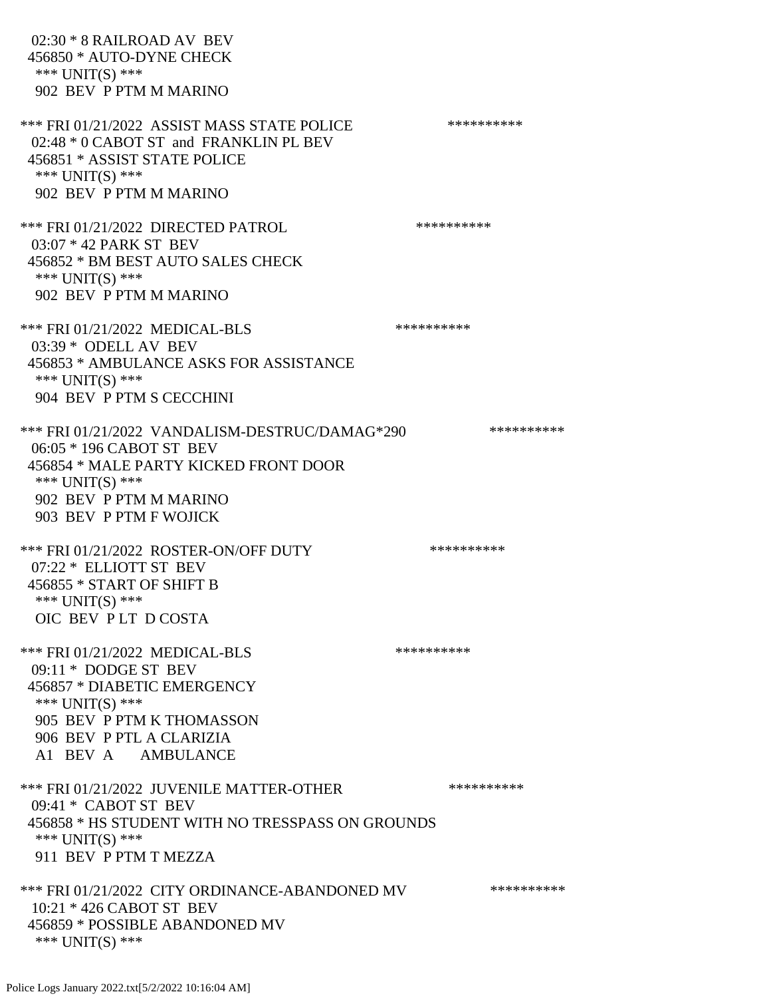02:30 \* 8 RAILROAD AV BEV 456850 \* AUTO-DYNE CHECK \*\*\* UNIT(S) \*\*\* 902 BEV P PTM M MARINO \*\*\* FRI 01/21/2022 ASSIST MASS STATE POLICE \*\*\*\*\*\*\*\*\*\* 02:48 \* 0 CABOT ST and FRANKLIN PL BEV 456851 \* ASSIST STATE POLICE \*\*\* UNIT(S) \*\*\* 902 BEV P PTM M MARINO \*\*\* FRI 01/21/2022 DIRECTED PATROL \*\*\*\*\*\*\*\*\*\* 03:07 \* 42 PARK ST BEV 456852 \* BM BEST AUTO SALES CHECK \*\*\* UNIT(S) \*\*\* 902 BEV P PTM M MARINO \*\*\* FRI 01/21/2022 MEDICAL-BLS \*\*\*\*\*\*\*\*\*\* 03:39 \* ODELL AV BEV 456853 \* AMBULANCE ASKS FOR ASSISTANCE \*\*\* UNIT(S) \*\*\* 904 BEV P PTM S CECCHINI \*\*\* FRI 01/21/2022 VANDALISM-DESTRUC/DAMAG\*290 \*\*\*\*\*\*\*\*\*\* 06:05 \* 196 CABOT ST BEV 456854 \* MALE PARTY KICKED FRONT DOOR \*\*\* UNIT(S) \*\*\* 902 BEV P PTM M MARINO 903 BEV P PTM F WOJICK \*\*\* FRI 01/21/2022 ROSTER-ON/OFF DUTY \*\*\*\*\*\*\*\*\*\*\*\* 07:22 \* ELLIOTT ST BEV 456855 \* START OF SHIFT B \*\*\* UNIT(S) \*\*\* OIC BEV P LT D COSTA \*\*\* FRI 01/21/2022 MEDICAL-BLS \*\*\*\*\*\*\*\*\*\*\*\*\* 09:11 \* DODGE ST BEV 456857 \* DIABETIC EMERGENCY \*\*\* UNIT(S) \*\*\* 905 BEV P PTM K THOMASSON 906 BEV P PTL A CLARIZIA A1 BEV A AMBULANCE \*\*\* FRI 01/21/2022 JUVENILE MATTER-OTHER \*\*\*\*\*\*\*\*\*\*\*\* 09:41 \* CABOT ST BEV 456858 \* HS STUDENT WITH NO TRESSPASS ON GROUNDS \*\*\* UNIT(S) \*\*\* 911 BEV P PTM T MEZZA \*\*\* FRI 01/21/2022 CITY ORDINANCE-ABANDONED MV \*\*\*\*\*\*\*\*\*\* 10:21 \* 426 CABOT ST BEV 456859 \* POSSIBLE ABANDONED MV \*\*\* UNIT(S) \*\*\*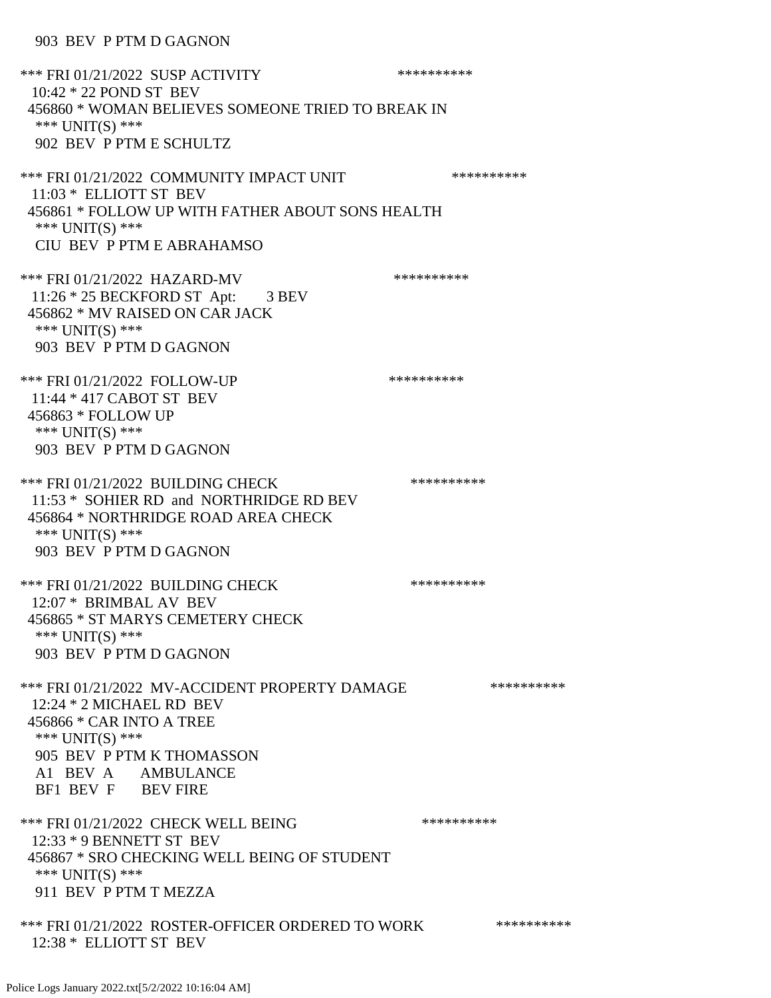## 903 BEV P PTM D GAGNON

\*\*\* FRI 01/21/2022 SUSP ACTIVITY \*\*\*\*\*\*\*\*\*\*\*\* 10:42 \* 22 POND ST BEV 456860 \* WOMAN BELIEVES SOMEONE TRIED TO BREAK IN \*\*\* UNIT(S) \*\*\* 902 BEV P PTM E SCHULTZ \*\*\* FRI 01/21/2022 COMMUNITY IMPACT UNIT \*\*\*\*\*\*\*\*\*\*\*\*\* 11:03 \* ELLIOTT ST BEV 456861 \* FOLLOW UP WITH FATHER ABOUT SONS HEALTH \*\*\* UNIT(S) \*\*\* CIU BEV P PTM E ABRAHAMSO \*\*\* FRI 01/21/2022 HAZARD-MV \*\*\*\*\*\*\*\*\*\*\*\*\*\* 11:26 \* 25 BECKFORD ST Apt: 3 BEV 456862 \* MV RAISED ON CAR JACK \*\*\* UNIT(S) \*\*\* 903 BEV P PTM D GAGNON \*\*\* FRI 01/21/2022 FOLLOW-UP \*\*\*\*\*\*\*\*\*\*\*\* 11:44 \* 417 CABOT ST BEV 456863 \* FOLLOW UP \*\*\* UNIT(S) \*\*\* 903 BEV P PTM D GAGNON \*\*\* FRI 01/21/2022 BUILDING CHECK \*\*\*\*\*\*\*\*\*\*\*\*\* 11:53 \* SOHIER RD and NORTHRIDGE RD BEV 456864 \* NORTHRIDGE ROAD AREA CHECK \*\*\* UNIT(S) \*\*\* 903 BEV P PTM D GAGNON \*\*\* FRI 01/21/2022 BUILDING CHECK \*\*\*\*\*\*\*\*\*\*\*\*\* 12:07 \* BRIMBAL AV BEV 456865 \* ST MARYS CEMETERY CHECK \*\*\* UNIT(S) \*\*\* 903 BEV P PTM D GAGNON \*\*\* FRI 01/21/2022 MV-ACCIDENT PROPERTY DAMAGE \*\*\*\*\*\*\*\*\*\* 12:24 \* 2 MICHAEL RD BEV 456866 \* CAR INTO A TREE \*\*\* UNIT(S) \*\*\* 905 BEV P PTM K THOMASSON A1 BEV A AMBULANCE BF1 BEV F BEV FIRE \*\*\* FRI 01/21/2022 CHECK WELL BEING \*\*\*\*\*\*\*\*\*\* 12:33 \* 9 BENNETT ST BEV 456867 \* SRO CHECKING WELL BEING OF STUDENT \*\*\* UNIT(S) \*\*\* 911 BEV P PTM T MEZZA \*\*\* FRI 01/21/2022 ROSTER-OFFICER ORDERED TO WORK \*\*\*\*\*\*\*\*\*\*\* 12:38 \* ELLIOTT ST BEV

Police Logs January 2022.txt[5/2/2022 10:16:04 AM]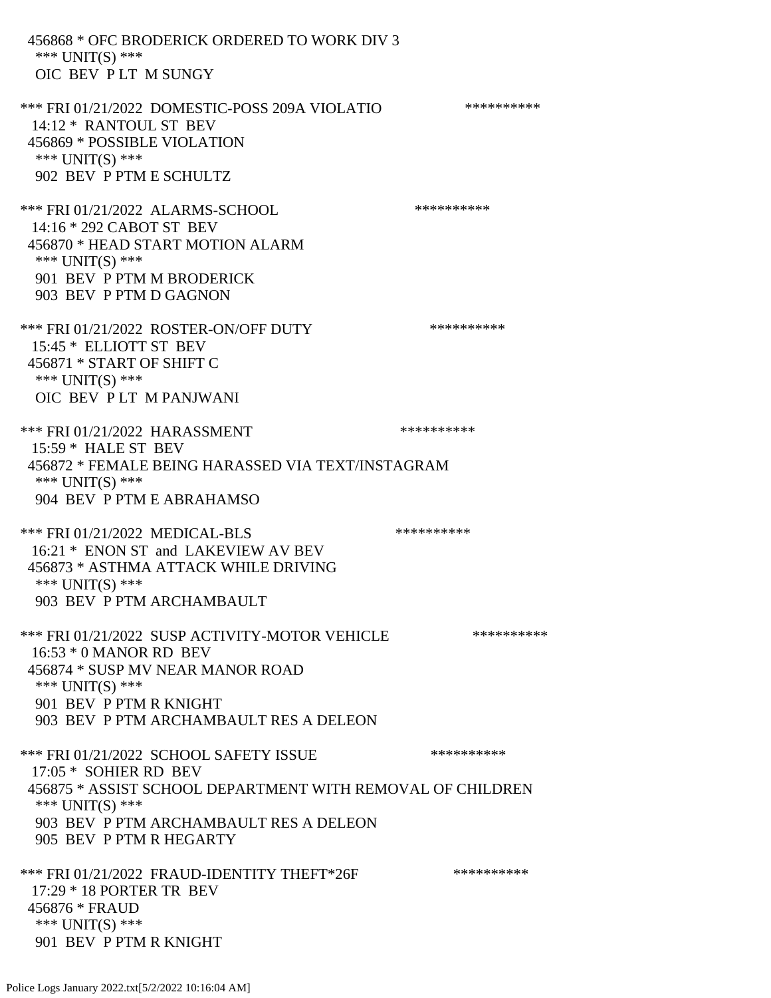456868 \* OFC BRODERICK ORDERED TO WORK DIV 3 \*\*\* UNIT(S) \*\*\* OIC BEV P LT M SUNGY \*\*\* FRI 01/21/2022 DOMESTIC-POSS 209A VIOLATIO \*\*\*\*\*\*\*\*\*\* 14:12 \* RANTOUL ST BEV 456869 \* POSSIBLE VIOLATION \*\*\* UNIT(S) \*\*\* 902 BEV P PTM E SCHULTZ \*\*\* FRI 01/21/2022 ALARMS-SCHOOL \*\*\*\*\*\*\*\*\*\* 14:16 \* 292 CABOT ST BEV 456870 \* HEAD START MOTION ALARM \*\*\* UNIT(S) \*\*\* 901 BEV P PTM M BRODERICK 903 BEV P PTM D GAGNON \*\*\* FRI 01/21/2022 ROSTER-ON/OFF DUTY \*\*\*\*\*\*\*\*\*\*\*\* 15:45 \* ELLIOTT ST BEV 456871 \* START OF SHIFT C \*\*\* UNIT(S) \*\*\* OIC BEV P LT M PANJWANI \*\*\* FRI 01/21/2022 HARASSMENT \*\*\*\*\*\*\*\*\*\*\*\*\*\* 15:59 \* HALE ST BEV 456872 \* FEMALE BEING HARASSED VIA TEXT/INSTAGRAM \*\*\* UNIT(S) \*\*\* 904 BEV P PTM E ABRAHAMSO \*\*\* FRI 01/21/2022 MEDICAL-BLS \*\*\*\*\*\*\*\*\*\*\*\*\* 16:21 \* ENON ST and LAKEVIEW AV BEV 456873 \* ASTHMA ATTACK WHILE DRIVING \*\*\* UNIT(S) \*\*\* 903 BEV P PTM ARCHAMBAULT \*\*\* FRI 01/21/2022 SUSP ACTIVITY-MOTOR VEHICLE \*\*\*\*\*\*\*\*\*\* 16:53 \* 0 MANOR RD BEV 456874 \* SUSP MV NEAR MANOR ROAD \*\*\* UNIT(S) \*\*\* 901 BEV P PTM R KNIGHT 903 BEV P PTM ARCHAMBAULT RES A DELEON \*\*\* FRI 01/21/2022 SCHOOL SAFETY ISSUE \*\*\*\*\*\*\*\*\*\* 17:05 \* SOHIER RD BEV 456875 \* ASSIST SCHOOL DEPARTMENT WITH REMOVAL OF CHILDREN \*\*\* UNIT(S) \*\*\* 903 BEV P PTM ARCHAMBAULT RES A DELEON 905 BEV P PTM R HEGARTY \*\*\* FRI 01/21/2022 FRAUD-IDENTITY THEFT\*26F \*\*\*\*\*\*\*\*\*\*\*\*\* 17:29 \* 18 PORTER TR BEV 456876 \* FRAUD \*\*\* UNIT(S) \*\*\* 901 BEV P PTM R KNIGHT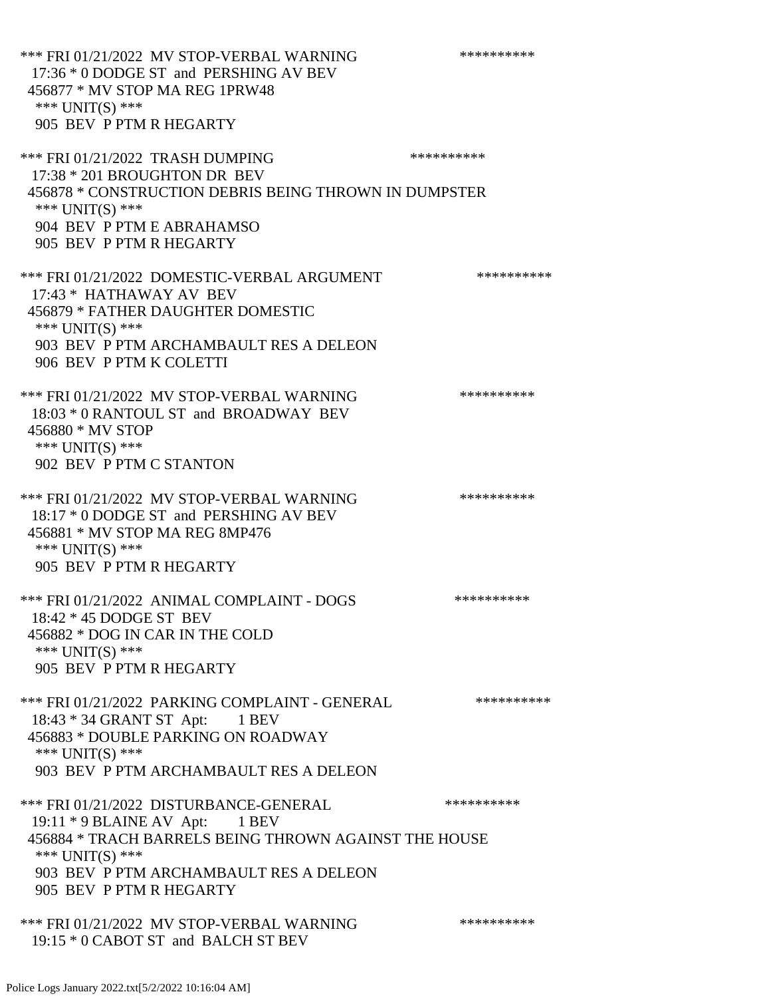\*\*\* FRI 01/21/2022 MV STOP-VERBAL WARNING \*\*\*\*\*\*\*\*\*\*\*\* 17:36 \* 0 DODGE ST and PERSHING AV BEV 456877 \* MV STOP MA REG 1PRW48 \*\*\* UNIT(S) \*\*\* 905 BEV P PTM R HEGARTY \*\*\* FRI 01/21/2022 TRASH DUMPING \*\*\*\*\*\*\*\*\*\* 17:38 \* 201 BROUGHTON DR BEV 456878 \* CONSTRUCTION DEBRIS BEING THROWN IN DUMPSTER \*\*\* UNIT(S) \*\*\* 904 BEV P PTM E ABRAHAMSO 905 BEV P PTM R HEGARTY \*\*\* FRI 01/21/2022 DOMESTIC-VERBAL ARGUMENT \*\*\*\*\*\*\*\*\*\*\*\* 17:43 \* HATHAWAY AV BEV 456879 \* FATHER DAUGHTER DOMESTIC \*\*\* UNIT(S) \*\*\* 903 BEV P PTM ARCHAMBAULT RES A DELEON 906 BEV P PTM K COLETTI \*\*\* FRI 01/21/2022 MV STOP-VERBAL WARNING \*\*\*\*\*\*\*\*\*\*\*\*\* 18:03 \* 0 RANTOUL ST and BROADWAY BEV 456880 \* MV STOP \*\*\* UNIT(S) \*\*\* 902 BEV P PTM C STANTON \*\*\* FRI 01/21/2022 MV STOP-VERBAL WARNING \*\*\*\*\*\*\*\*\*\*\*\* 18:17 \* 0 DODGE ST and PERSHING AV BEV 456881 \* MV STOP MA REG 8MP476 \*\*\* UNIT(S) \*\*\* 905 BEV P PTM R HEGARTY \*\*\* FRI 01/21/2022 ANIMAL COMPLAINT - DOGS \*\*\*\*\*\*\*\*\*\*\*\* 18:42 \* 45 DODGE ST BEV 456882 \* DOG IN CAR IN THE COLD \*\*\* UNIT(S) \*\*\* 905 BEV P PTM R HEGARTY \*\*\* FRI 01/21/2022 PARKING COMPLAINT - GENERAL \*\*\*\*\*\*\*\*\*\* 18:43 \* 34 GRANT ST Apt: 1 BEV 456883 \* DOUBLE PARKING ON ROADWAY \*\*\* UNIT(S) \*\*\* 903 BEV P PTM ARCHAMBAULT RES A DELEON \*\*\* FRI 01/21/2022 DISTURBANCE-GENERAL \*\*\*\*\*\*\*\*\*\* 19:11 \* 9 BLAINE AV Apt: 1 BEV 456884 \* TRACH BARRELS BEING THROWN AGAINST THE HOUSE \*\*\* UNIT(S) \*\*\* 903 BEV P PTM ARCHAMBAULT RES A DELEON 905 BEV P PTM R HEGARTY \*\*\* FRI 01/21/2022 MV STOP-VERBAL WARNING \*\*\*\*\*\*\*\*\*\*\*\*\* 19:15 \* 0 CABOT ST and BALCH ST BEV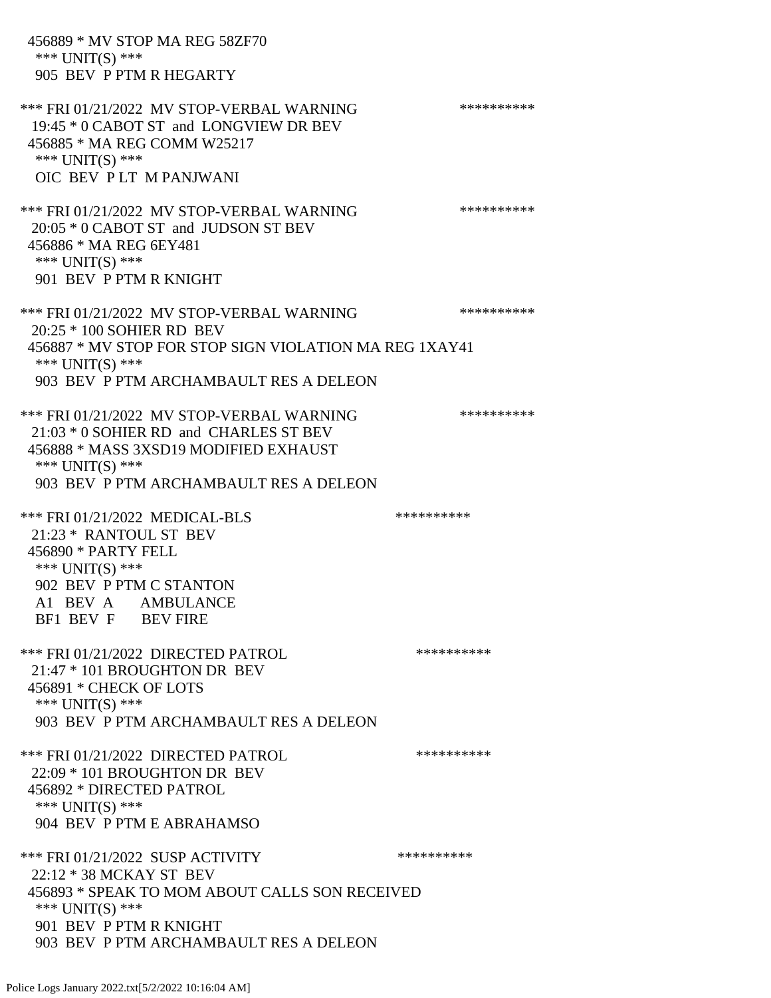456889 \* MV STOP MA REG 58ZF70 \*\*\* UNIT(S) \*\*\* 905 BEV P PTM R HEGARTY \*\*\* FRI 01/21/2022 MV STOP-VERBAL WARNING \*\*\*\*\*\*\*\*\*\*\*\* 19:45 \* 0 CABOT ST and LONGVIEW DR BEV 456885 \* MA REG COMM W25217 \*\*\* UNIT(S) \*\*\* OIC BEV P LT M PANJWANI \*\*\* FRI 01/21/2022 MV STOP-VERBAL WARNING \*\*\*\*\*\*\*\*\*\*\*\* 20:05 \* 0 CABOT ST and JUDSON ST BEV 456886 \* MA REG 6EY481 \*\*\* UNIT(S) \*\*\* 901 BEV P PTM R KNIGHT \*\*\* FRI 01/21/2022 MV STOP-VERBAL WARNING \*\*\*\*\*\*\*\*\*\*\*\* 20:25 \* 100 SOHIER RD BEV 456887 \* MV STOP FOR STOP SIGN VIOLATION MA REG 1XAY41 \*\*\* UNIT(S) \*\*\* 903 BEV P PTM ARCHAMBAULT RES A DELEON \*\*\* FRI 01/21/2022 MV STOP-VERBAL WARNING \*\*\*\*\*\*\*\*\*\*\*\* 21:03 \* 0 SOHIER RD and CHARLES ST BEV 456888 \* MASS 3XSD19 MODIFIED EXHAUST \*\*\* UNIT(S) \*\*\* 903 BEV P PTM ARCHAMBAULT RES A DELEON \*\*\* FRI 01/21/2022 MEDICAL-BLS \*\*\*\*\*\*\*\*\*\*\*\*\* 21:23 \* RANTOUL ST BEV 456890 \* PARTY FELL \*\*\* UNIT(S) \*\*\* 902 BEV P PTM C STANTON A1 BEV A AMBULANCE BF1 BEV F BEV FIRE \*\*\* FRI 01/21/2022 DIRECTED PATROL \*\*\*\*\*\*\*\*\*\*\*\* 21:47 \* 101 BROUGHTON DR BEV 456891 \* CHECK OF LOTS \*\*\* UNIT(S) \*\*\* 903 BEV P PTM ARCHAMBAULT RES A DELEON \*\*\* FRI 01/21/2022 DIRECTED PATROL \*\*\*\*\*\*\*\*\*\* 22:09 \* 101 BROUGHTON DR BEV 456892 \* DIRECTED PATROL \*\*\* UNIT(S) \*\*\* 904 BEV P PTM E ABRAHAMSO \*\*\* FRI 01/21/2022 SUSP ACTIVITY \*\*\*\*\*\*\*\*\*\*\*\* 22:12 \* 38 MCKAY ST BEV 456893 \* SPEAK TO MOM ABOUT CALLS SON RECEIVED \*\*\* UNIT(S) \*\*\* 901 BEV P PTM R KNIGHT 903 BEV P PTM ARCHAMBAULT RES A DELEON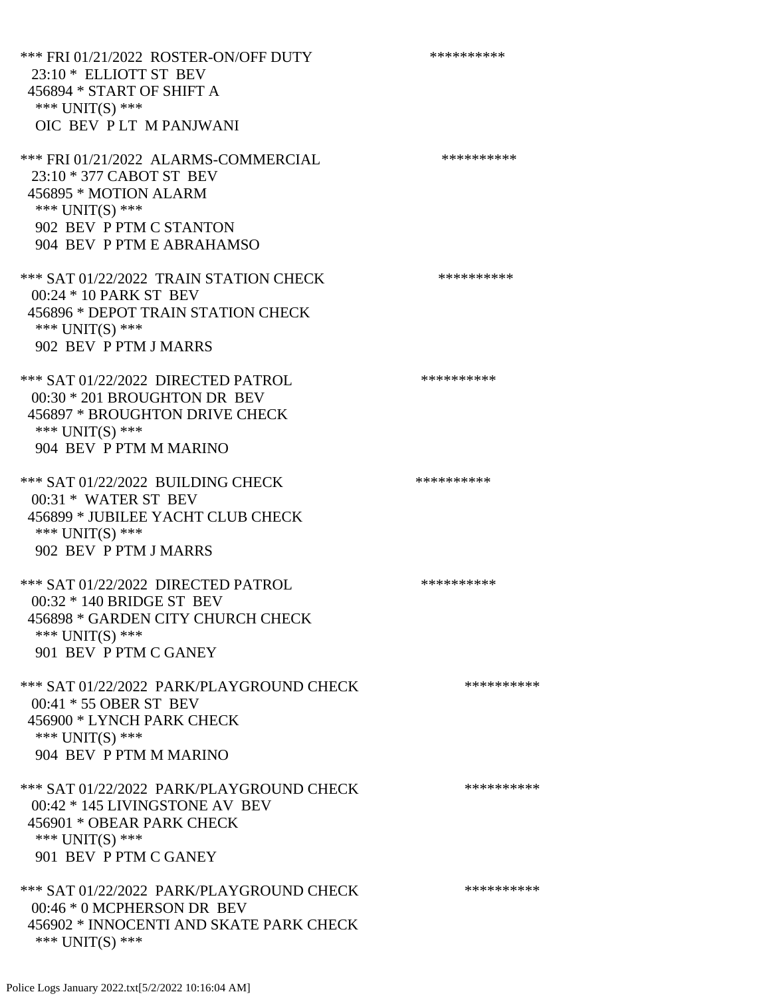\*\*\* FRI 01/21/2022 ROSTER-ON/OFF DUTY \*\*\*\*\*\*\*\*\*\* 23:10 \* ELLIOTT ST BEV 456894 \* START OF SHIFT A \*\*\* UNIT(S) \*\*\* OIC BEV P LT M PANJWANI \*\*\* FRI 01/21/2022 ALARMS-COMMERCIAL \*\*\*\*\*\*\*\*\*\* 23:10 \* 377 CABOT ST BEV 456895 \* MOTION ALARM \*\*\* UNIT(S) \*\*\* 902 BEV P PTM C STANTON 904 BEV P PTM E ABRAHAMSO \*\*\* SAT 01/22/2022 TRAIN STATION CHECK \*\*\*\*\*\*\*\*\*\*\*\* 00:24 \* 10 PARK ST BEV 456896 \* DEPOT TRAIN STATION CHECK \*\*\* UNIT(S) \*\*\* 902 BEV P PTM J MARRS \*\*\* SAT 01/22/2022 DIRECTED PATROL \*\*\*\*\*\*\*\*\*\* 00:30 \* 201 BROUGHTON DR BEV 456897 \* BROUGHTON DRIVE CHECK \*\*\* UNIT(S) \*\*\* 904 BEV P PTM M MARINO \*\*\* SAT 01/22/2022 BUILDING CHECK \*\*\*\*\*\*\*\*\*\*\*\*\* 00:31 \* WATER ST BEV 456899 \* JUBILEE YACHT CLUB CHECK \*\*\* UNIT(S) \*\*\* 902 BEV P PTM J MARRS \*\*\* SAT 01/22/2022 DIRECTED PATROL \*\*\*\*\*\*\*\*\*\* 00:32 \* 140 BRIDGE ST BEV 456898 \* GARDEN CITY CHURCH CHECK \*\*\* UNIT(S) \*\*\* 901 BEV P PTM C GANEY \*\*\* SAT 01/22/2022 PARK/PLAYGROUND CHECK \*\*\*\*\*\*\*\*\*\*\*\* 00:41 \* 55 OBER ST BEV 456900 \* LYNCH PARK CHECK \*\*\* UNIT(S) \*\*\* 904 BEV P PTM M MARINO \*\*\* SAT 01/22/2022 PARK/PLAYGROUND CHECK \*\*\*\*\*\*\*\*\*\* 00:42 \* 145 LIVINGSTONE AV BEV 456901 \* OBEAR PARK CHECK \*\*\* UNIT(S) \*\*\* 901 BEV P PTM C GANEY \*\*\* SAT 01/22/2022 PARK/PLAYGROUND CHECK \*\*\*\*\*\*\*\*\*\*\*\* 00:46 \* 0 MCPHERSON DR BEV 456902 \* INNOCENTI AND SKATE PARK CHECK \*\*\* UNIT(S) \*\*\*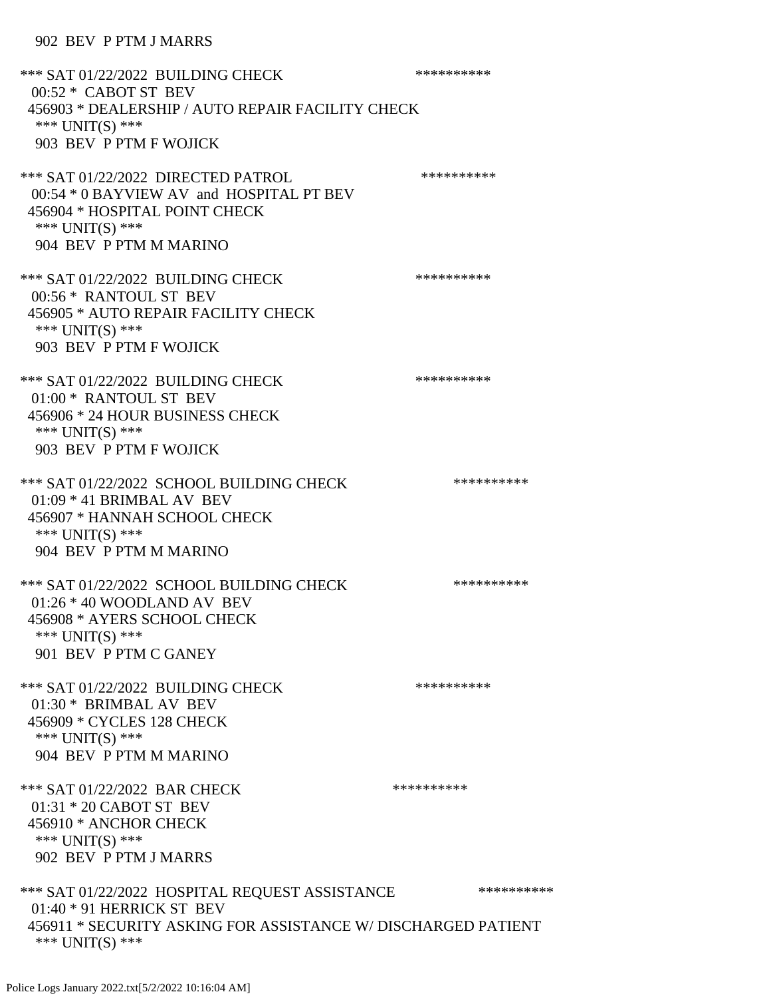| *** SAT 01/22/2022 BUILDING CHECK<br>00:52 * CABOT ST BEV<br>456903 * DEALERSHIP / AUTO REPAIR FACILITY CHECK<br>*** $UNIT(S)$ ***<br>903 BEV P PTM F WOJICK      | ********** |
|-------------------------------------------------------------------------------------------------------------------------------------------------------------------|------------|
| *** SAT 01/22/2022 DIRECTED PATROL<br>00:54 * 0 BAYVIEW AV and HOSPITAL PT BEV<br>456904 * HOSPITAL POINT CHECK<br>*** UNIT(S) ***<br>904 BEV P PTM M MARINO      | ********** |
| *** SAT 01/22/2022 BUILDING CHECK<br>00:56 * RANTOUL ST BEV<br>456905 * AUTO REPAIR FACILITY CHECK<br>*** $UNIT(S)$ ***<br>903 BEV P PTM F WOJICK                 | ********** |
| *** SAT 01/22/2022 BUILDING CHECK<br>01:00 * RANTOUL ST BEV<br>456906 * 24 HOUR BUSINESS CHECK<br>*** $UNIT(S)$ ***<br>903 BEV P PTM F WOJICK                     | ********** |
| *** SAT 01/22/2022 SCHOOL BUILDING CHECK<br>$01:09 * 41$ BRIMBAL AV BEV<br>456907 * HANNAH SCHOOL CHECK<br>*** $UNIT(S)$ ***<br>904 BEV P PTM M MARINO            | ********** |
| *** SAT 01/22/2022 SCHOOL BUILDING CHECK<br>$01:26 * 40$ WOODLAND AV BEV<br>456908 * AYERS SCHOOL CHECK<br>*** $UNIT(S)$ ***<br>901 BEV P PTM C GANEY             | ********** |
| *** SAT 01/22/2022 BUILDING CHECK<br>01:30 * BRIMBAL AV BEV<br>456909 * CYCLES 128 CHECK<br>*** UNIT(S) ***<br>904 BEV P PTM M MARINO                             | ********** |
| *** SAT 01/22/2022 BAR CHECK<br>01:31 * 20 CABOT ST BEV<br>456910 * ANCHOR CHECK<br>*** UNIT(S) ***<br>902 BEV P PTM J MARRS                                      | ********** |
| *** SAT 01/22/2022 HOSPITAL REQUEST ASSISTANCE<br>01:40 * 91 HERRICK ST BEV<br>456911 * SECURITY ASKING FOR ASSISTANCE W/ DISCHARGED PATIENT<br>*** $UNIT(S)$ *** | ********** |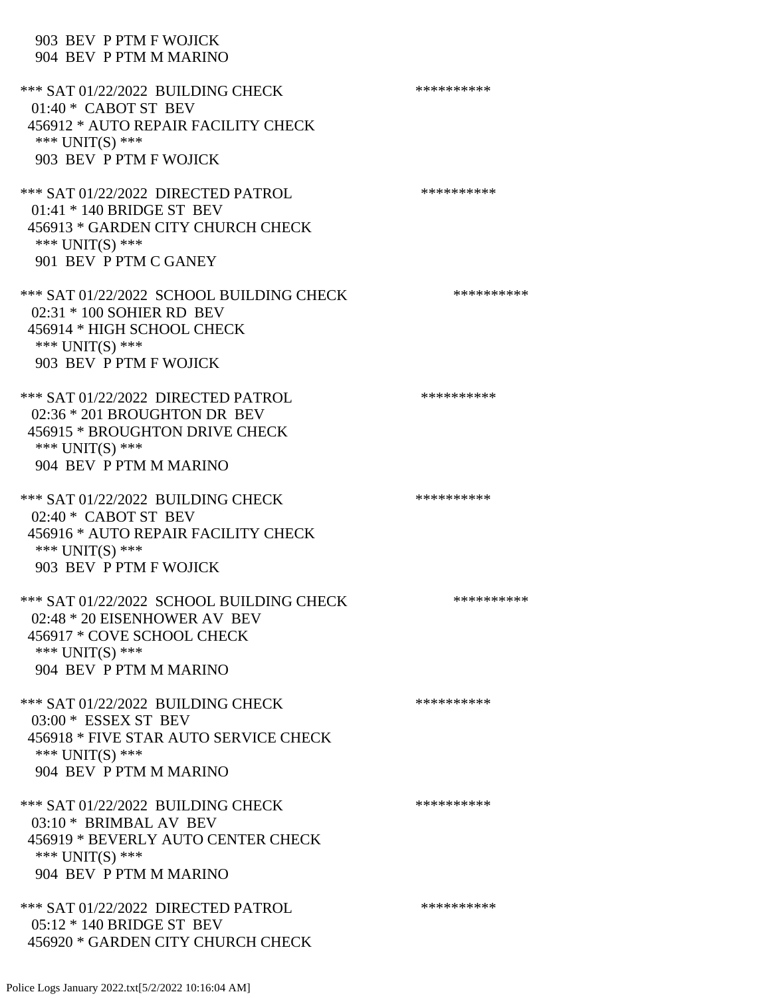## 903 BEV P PTM F WOJICK 904 BEV P PTM M MARINO

| *** SAT 01/22/2022 BUILDING CHECK<br>$01:40*$ CABOT ST BEV<br>456912 * AUTO REPAIR FACILITY CHECK<br>*** UNIT(S) ***<br>903 BEV P PTM F WOJICK      | ********** |
|-----------------------------------------------------------------------------------------------------------------------------------------------------|------------|
| *** SAT 01/22/2022 DIRECTED PATROL<br>01:41 * 140 BRIDGE ST BEV<br>456913 * GARDEN CITY CHURCH CHECK<br>*** $UNIT(S)$ ***<br>901 BEV P PTM C GANEY  | ********** |
| *** SAT 01/22/2022 SCHOOL BUILDING CHECK<br>02:31 * 100 SOHIER RD BEV<br>456914 * HIGH SCHOOL CHECK<br>*** $UNIT(S)$ ***<br>903 BEV P PTM F WOJICK  | ********** |
| *** SAT 01/22/2022 DIRECTED PATROL<br>02:36 * 201 BROUGHTON DR BEV<br>456915 * BROUGHTON DRIVE CHECK<br>*** UNIT(S) ***<br>904 BEV P PTM M MARINO   | ********** |
| *** SAT 01/22/2022 BUILDING CHECK<br>$02:40*$ CABOT ST BEV<br>456916 * AUTO REPAIR FACILITY CHECK<br>*** UNIT(S) ***<br>903 BEV P PTM F WOJICK      | ********** |
| *** SAT 01/22/2022 SCHOOL BUILDING CHECK<br>02:48 * 20 EISENHOWER AV BEV<br>456917 * COVE SCHOOL CHECK<br>*** UNIT(S) ***<br>904 BEV P PTM M MARINO | ********** |
| *** SAT 01/22/2022 BUILDING CHECK<br>$03:00*$ ESSEX ST BEV<br>456918 * FIVE STAR AUTO SERVICE CHECK<br>*** UNIT(S) ***<br>904 BEV P PTM M MARINO    | ********** |
| *** SAT 01/22/2022 BUILDING CHECK<br>03:10 * BRIMBAL AV BEV<br>456919 * BEVERLY AUTO CENTER CHECK<br>*** UNIT(S) ***<br>904 BEV P PTM M MARINO      | ********** |
| *** SAT 01/22/2022 DIRECTED PATROL<br>$05:12 * 140$ BRIDGE ST BEV<br>456920 * GARDEN CITY CHURCH CHECK                                              | ********** |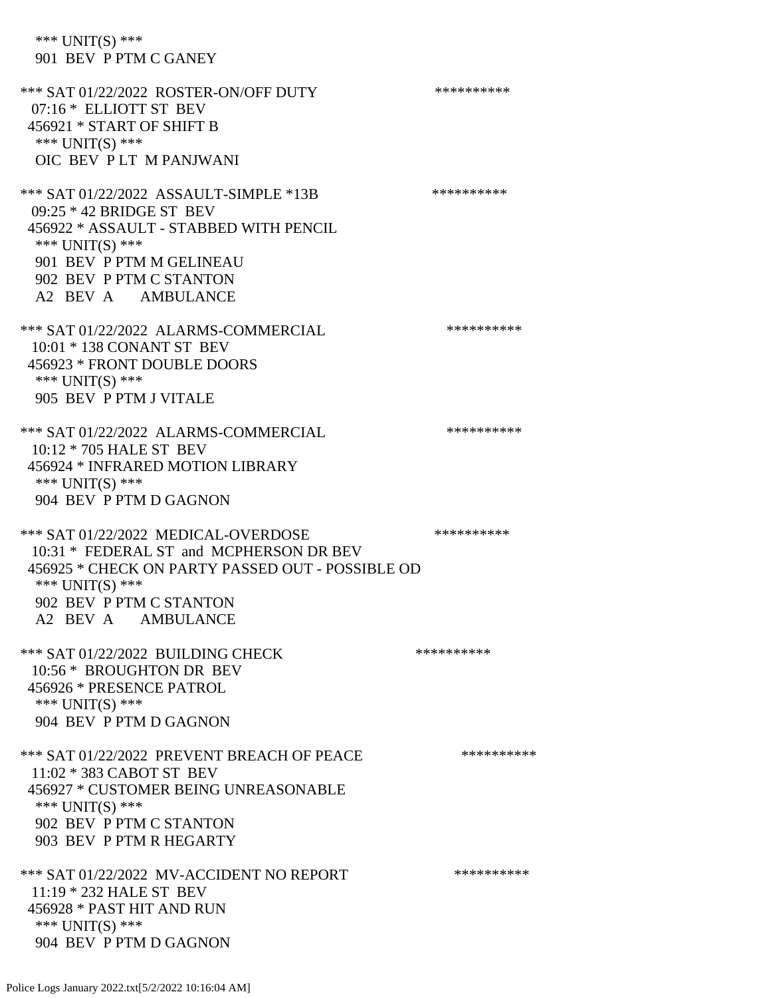\*\*\* UNIT(S) \*\*\* 901 BEV P PTM C GANEY \*\*\* SAT 01/22/2022 ROSTER-ON/OFF DUTY \*\*\*\*\*\*\*\*\*\* 07:16 \* ELLIOTT ST BEV 456921 \* START OF SHIFT B \*\*\* UNIT(S) \*\*\* OIC BEV P LT M PANJWANI \*\*\* SAT 01/22/2022 ASSAULT-SIMPLE \*13B \*\*\*\*\*\*\*\*\*\*\*\* 09:25 \* 42 BRIDGE ST BEV 456922 \* ASSAULT - STABBED WITH PENCIL \*\*\* UNIT(S) \*\*\* 901 BEV P PTM M GELINEAU 902 BEV P PTM C STANTON A2 BEV A AMBULANCE \*\*\* SAT 01/22/2022 ALARMS-COMMERCIAL \*\*\*\*\*\*\*\*\*\* 10:01 \* 138 CONANT ST BEV 456923 \* FRONT DOUBLE DOORS \*\*\* UNIT(S) \*\*\* 905 BEV P PTM J VITALE \*\*\* SAT 01/22/2022 ALARMS-COMMERCIAL \*\*\*\*\*\*\*\*\*\* 10:12 \* 705 HALE ST BEV 456924 \* INFRARED MOTION LIBRARY \*\*\* UNIT(S) \*\*\* 904 BEV P PTM D GAGNON \*\*\* SAT 01/22/2022 MEDICAL-OVERDOSE \*\*\*\*\*\*\*\*\*\* 10:31 \* FEDERAL ST and MCPHERSON DR BEV 456925 \* CHECK ON PARTY PASSED OUT - POSSIBLE OD \*\*\* UNIT(S) \*\*\* 902 BEV P PTM C STANTON A2 BEV A AMBULANCE \*\*\* SAT 01/22/2022 BUILDING CHECK \*\*\*\*\*\*\*\*\*\*\*\* 10:56 \* BROUGHTON DR BEV 456926 \* PRESENCE PATROL \*\*\* UNIT(S) \*\*\* 904 BEV P PTM D GAGNON \*\*\* SAT 01/22/2022 PREVENT BREACH OF PEACE \*\*\*\*\*\*\*\*\*\* 11:02 \* 383 CABOT ST BEV 456927 \* CUSTOMER BEING UNREASONABLE \*\*\* UNIT(S) \*\*\* 902 BEV P PTM C STANTON 903 BEV P PTM R HEGARTY \*\*\* SAT 01/22/2022 MV-ACCIDENT NO REPORT \*\*\*\*\*\*\*\*\*\*\*\* 11:19 \* 232 HALE ST BEV 456928 \* PAST HIT AND RUN \*\*\* UNIT(S) \*\*\* 904 BEV P PTM D GAGNON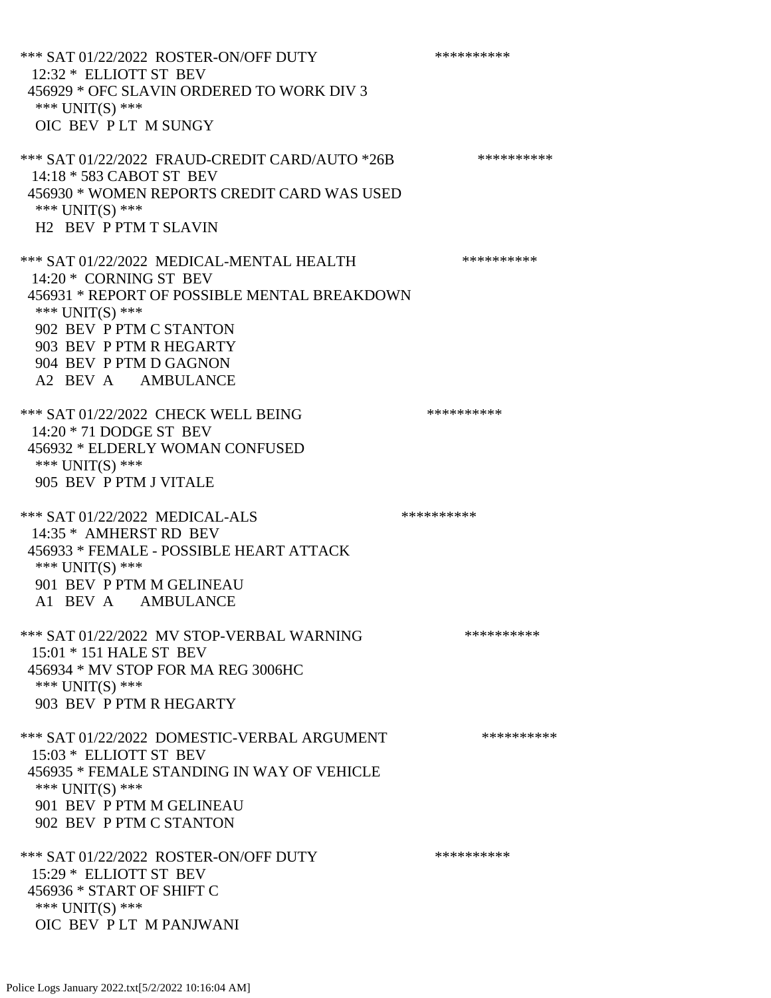\*\*\* SAT 01/22/2022 ROSTER-ON/OFF DUTY \*\*\*\*\*\*\*\*\*\* 12:32 \* ELLIOTT ST BEV 456929 \* OFC SLAVIN ORDERED TO WORK DIV 3 \*\*\* UNIT(S) \*\*\* OIC BEV P LT M SUNGY \*\*\* SAT 01/22/2022 FRAUD-CREDIT CARD/AUTO \*26B \*\*\*\*\*\*\*\*\*\* 14:18 \* 583 CABOT ST BEV 456930 \* WOMEN REPORTS CREDIT CARD WAS USED \*\*\* UNIT(S) \*\*\* H2 BEV P PTM T SLAVIN \*\*\* SAT 01/22/2022 MEDICAL-MENTAL HEALTH \*\*\*\*\*\*\*\*\*\* 14:20 \* CORNING ST BEV 456931 \* REPORT OF POSSIBLE MENTAL BREAKDOWN \*\*\* UNIT(S) \*\*\* 902 BEV P PTM C STANTON 903 BEV P PTM R HEGARTY 904 BEV P PTM D GAGNON A2 BEV A AMBULANCE \*\*\* SAT 01/22/2022 CHECK WELL BEING \*\*\*\*\*\*\*\*\*\* 14:20 \* 71 DODGE ST BEV 456932 \* ELDERLY WOMAN CONFUSED \*\*\* UNIT(S) \*\*\* 905 BEV P PTM J VITALE \*\*\* SAT 01/22/2022 MEDICAL-ALS \*\*\*\*\*\*\*\*\*\* 14:35 \* AMHERST RD BEV 456933 \* FEMALE - POSSIBLE HEART ATTACK \*\*\* UNIT(S) \*\*\* 901 BEV P PTM M GELINEAU A1 BEV A AMBULANCE \*\*\* SAT 01/22/2022 MV STOP-VERBAL WARNING \*\*\*\*\*\*\*\*\*\*\*\*\*\* 15:01 \* 151 HALE ST BEV 456934 \* MV STOP FOR MA REG 3006HC \*\*\* UNIT(S) \*\*\* 903 BEV P PTM R HEGARTY \*\*\* SAT 01/22/2022 DOMESTIC-VERBAL ARGUMENT \*\*\*\*\*\*\*\*\*\*\*\*\* 15:03 \* ELLIOTT ST BEV 456935 \* FEMALE STANDING IN WAY OF VEHICLE \*\*\* UNIT(S) \*\*\* 901 BEV P PTM M GELINEAU 902 BEV P PTM C STANTON \*\*\* SAT 01/22/2022 ROSTER-ON/OFF DUTY \*\*\*\*\*\*\*\*\*\* 15:29 \* ELLIOTT ST BEV 456936 \* START OF SHIFT C \*\*\* UNIT(S) \*\*\* OIC BEV P LT M PANJWANI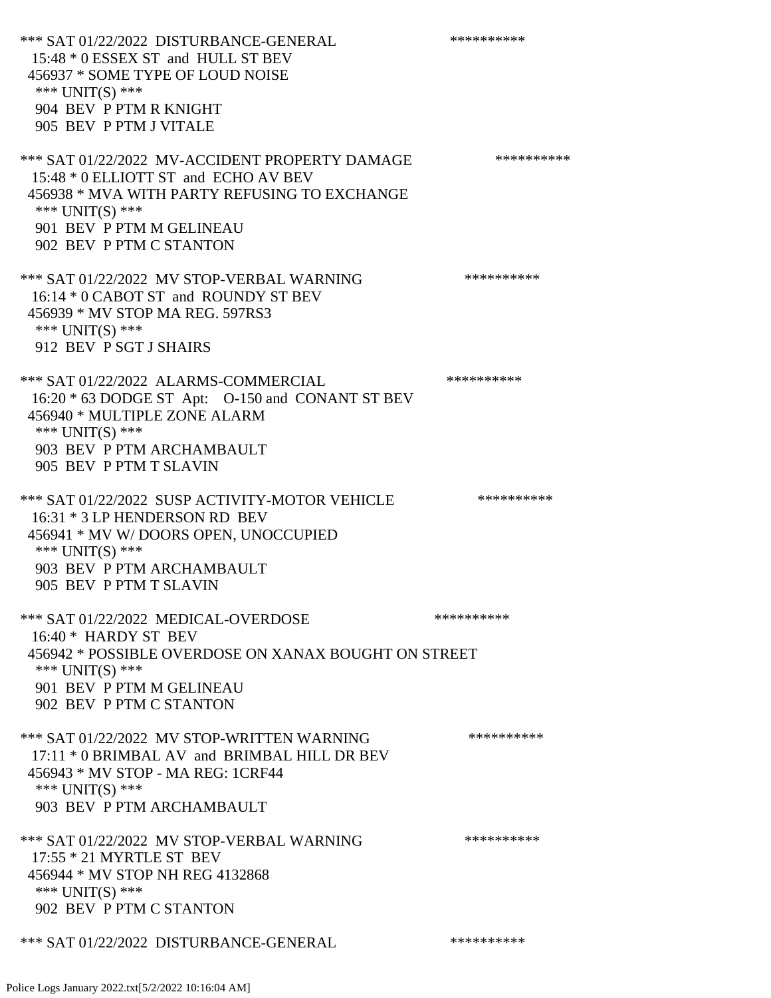\*\*\* SAT 01/22/2022 DISTURBANCE-GENERAL \*\*\*\*\*\*\*\*\*\* 15:48 \* 0 ESSEX ST and HULL ST BEV 456937 \* SOME TYPE OF LOUD NOISE \*\*\* UNIT(S) \*\*\* 904 BEV P PTM R KNIGHT 905 BEV P PTM J VITALE \*\*\* SAT 01/22/2022 MV-ACCIDENT PROPERTY DAMAGE \*\*\*\*\*\*\*\*\*\*\*\* 15:48 \* 0 ELLIOTT ST and ECHO AV BEV 456938 \* MVA WITH PARTY REFUSING TO EXCHANGE \*\*\* UNIT(S) \*\*\* 901 BEV P PTM M GELINEAU 902 BEV P PTM C STANTON \*\*\* SAT 01/22/2022 MV STOP-VERBAL WARNING \*\*\*\*\*\*\*\*\*\*\*\*\*\* 16:14 \* 0 CABOT ST and ROUNDY ST BEV 456939 \* MV STOP MA REG. 597RS3 \*\*\* UNIT(S) \*\*\* 912 BEV P SGT J SHAIRS \*\*\* SAT 01/22/2022 ALARMS-COMMERCIAL \*\*\*\*\*\*\*\*\*\* 16:20 \* 63 DODGE ST Apt: O-150 and CONANT ST BEV 456940 \* MULTIPLE ZONE ALARM \*\*\* UNIT(S) \*\*\* 903 BEV P PTM ARCHAMBAULT 905 BEV P PTM T SLAVIN \*\*\* SAT 01/22/2022 SUSP ACTIVITY-MOTOR VEHICLE \*\*\*\*\*\*\*\*\*\* 16:31 \* 3 LP HENDERSON RD BEV 456941 \* MV W/ DOORS OPEN, UNOCCUPIED \*\*\* UNIT(S) \*\*\* 903 BEV P PTM ARCHAMBAULT 905 BEV P PTM T SLAVIN \*\*\* SAT 01/22/2022 MEDICAL-OVERDOSE \*\*\*\*\*\*\*\*\*\* 16:40 \* HARDY ST BEV 456942 \* POSSIBLE OVERDOSE ON XANAX BOUGHT ON STREET \*\*\* UNIT(S) \*\*\* 901 BEV P PTM M GELINEAU 902 BEV P PTM C STANTON \*\*\* SAT 01/22/2022 MV STOP-WRITTEN WARNING \*\*\*\*\*\*\*\*\*\*\*\*\*\* 17:11 \* 0 BRIMBAL AV and BRIMBAL HILL DR BEV 456943 \* MV STOP - MA REG: 1CRF44 \*\*\* UNIT(S) \*\*\* 903 BEV P PTM ARCHAMBAULT \*\*\* SAT 01/22/2022 MV STOP-VERBAL WARNING \*\*\*\*\*\*\*\*\*\* 17:55 \* 21 MYRTLE ST BEV 456944 \* MV STOP NH REG 4132868 \*\*\* UNIT(S) \*\*\* 902 BEV P PTM C STANTON \*\*\* SAT 01/22/2022 DISTURBANCE-GENERAL \*\*\*\*\*\*\*\*\*\*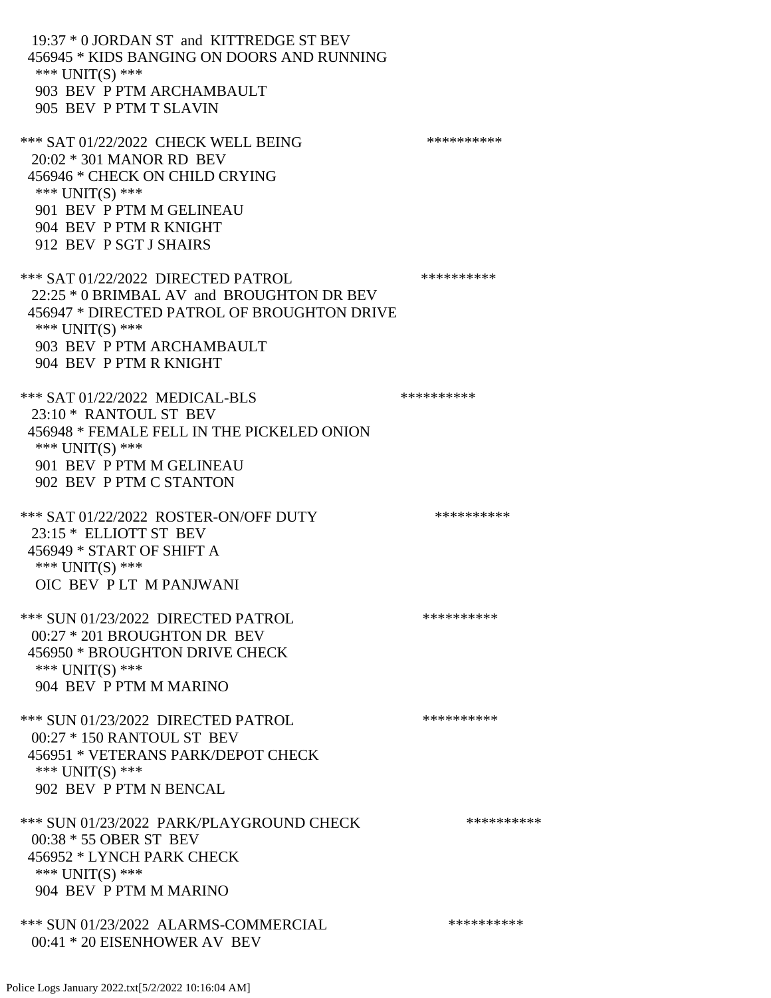19:37 \* 0 JORDAN ST and KITTREDGE ST BEV 456945 \* KIDS BANGING ON DOORS AND RUNNING \*\*\* UNIT(S) \*\*\* 903 BEV P PTM ARCHAMBAULT 905 BEV P PTM T SLAVIN \*\*\* SAT 01/22/2022 CHECK WELL BEING \*\*\*\*\*\*\*\*\*\*\*\*\* 20:02 \* 301 MANOR RD BEV 456946 \* CHECK ON CHILD CRYING \*\*\* UNIT(S) \*\*\* 901 BEV P PTM M GELINEAU 904 BEV P PTM R KNIGHT 912 BEV P SGT J SHAIRS \*\*\* SAT 01/22/2022 DIRECTED PATROL \*\*\*\*\*\*\*\*\*\* 22:25 \* 0 BRIMBAL AV and BROUGHTON DR BEV 456947 \* DIRECTED PATROL OF BROUGHTON DRIVE \*\*\* UNIT(S) \*\*\* 903 BEV P PTM ARCHAMBAULT 904 BEV P PTM R KNIGHT \*\*\* SAT 01/22/2022 MEDICAL-BLS \*\*\*\*\*\*\*\*\*\*\*\*\*\*\* 23:10 \* RANTOUL ST BEV 456948 \* FEMALE FELL IN THE PICKELED ONION \*\*\* UNIT(S) \*\*\* 901 BEV P PTM M GELINEAU 902 BEV P PTM C STANTON \*\*\* SAT 01/22/2022 ROSTER-ON/OFF DUTY \*\*\*\*\*\*\*\*\*\*\*\*\* 23:15 \* ELLIOTT ST BEV 456949 \* START OF SHIFT A \*\*\* UNIT(S) \*\*\* OIC BEV P LT M PANJWANI \*\*\* SUN 01/23/2022 DIRECTED PATROL \*\*\*\*\*\*\*\*\*\* 00:27 \* 201 BROUGHTON DR BEV 456950 \* BROUGHTON DRIVE CHECK \*\*\* UNIT(S) \*\*\* 904 BEV P PTM M MARINO \*\*\* SUN 01/23/2022 DIRECTED PATROL \*\*\*\*\*\*\*\*\*\* 00:27 \* 150 RANTOUL ST BEV 456951 \* VETERANS PARK/DEPOT CHECK \*\*\* UNIT(S) \*\*\* 902 BEV P PTM N BENCAL \*\*\* SUN 01/23/2022 PARK/PLAYGROUND CHECK \*\*\*\*\*\*\*\*\*\*\*\* 00:38 \* 55 OBER ST BEV 456952 \* LYNCH PARK CHECK \*\*\* UNIT(S) \*\*\* 904 BEV P PTM M MARINO \*\*\* SUN 01/23/2022 ALARMS-COMMERCIAL \*\*\*\*\*\*\*\*\*\* 00:41 \* 20 EISENHOWER AV BEV

Police Logs January 2022.txt[5/2/2022 10:16:04 AM]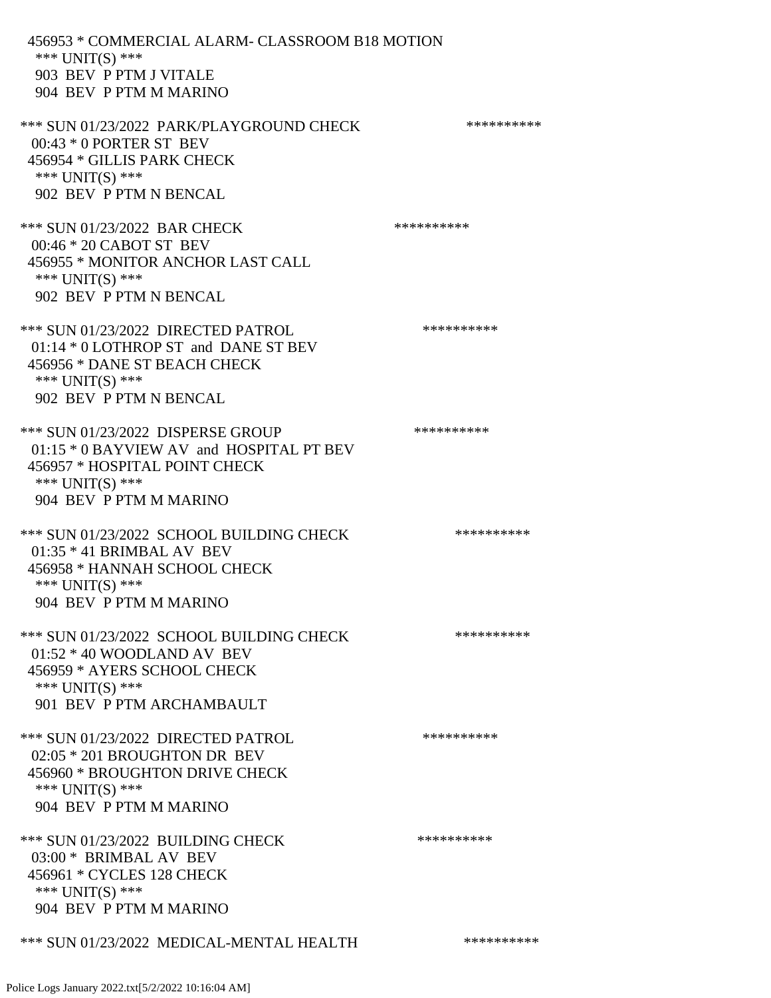456953 \* COMMERCIAL ALARM- CLASSROOM B18 MOTION \*\*\* UNIT(S) \*\*\* 903 BEV P PTM J VITALE 904 BEV P PTM M MARINO \*\*\* SUN 01/23/2022 PARK/PLAYGROUND CHECK \*\*\*\*\*\*\*\*\*\*\*\* 00:43 \* 0 PORTER ST BEV

 456954 \* GILLIS PARK CHECK \*\*\* UNIT(S) \*\*\* 902 BEV P PTM N BENCAL

\*\*\* SUN 01/23/2022 BAR CHECK \*\*\*\*\*\*\*\*\*\*\*\* 00:46 \* 20 CABOT ST BEV 456955 \* MONITOR ANCHOR LAST CALL \*\*\* UNIT(S) \*\*\* 902 BEV P PTM N BENCAL

\*\*\* SUN 01/23/2022 DIRECTED PATROL \*\*\*\*\*\*\*\*\*\* 01:14 \* 0 LOTHROP ST and DANE ST BEV 456956 \* DANE ST BEACH CHECK \*\*\* UNIT(S) \*\*\* 902 BEV P PTM N BENCAL

\*\*\* SUN 01/23/2022 DISPERSE GROUP \*\*\*\*\*\*\*\*\*\* 01:15 \* 0 BAYVIEW AV and HOSPITAL PT BEV 456957 \* HOSPITAL POINT CHECK \*\*\* UNIT(S) \*\*\* 904 BEV P PTM M MARINO

\*\*\* SUN 01/23/2022 SCHOOL BUILDING CHECK \*\*\*\*\*\*\*\*\*\*\* 01:35 \* 41 BRIMBAL AV BEV 456958 \* HANNAH SCHOOL CHECK \*\*\* UNIT(S) \*\*\* 904 BEV P PTM M MARINO

\*\*\* SUN 01/23/2022 SCHOOL BUILDING CHECK \*\*\*\*\*\*\*\*\*\*\* 01:52 \* 40 WOODLAND AV BEV 456959 \* AYERS SCHOOL CHECK \*\*\* UNIT(S) \*\*\* 901 BEV P PTM ARCHAMBAULT

\*\*\* SUN 01/23/2022 DIRECTED PATROL \*\*\*\*\*\*\*\*\*\* 02:05 \* 201 BROUGHTON DR BEV 456960 \* BROUGHTON DRIVE CHECK \*\*\* UNIT(S) \*\*\* 904 BEV P PTM M MARINO

\*\*\* SUN 01/23/2022 BUILDING CHECK \*\*\*\*\*\*\*\*\*\*\*\* 03:00 \* BRIMBAL AV BEV 456961 \* CYCLES 128 CHECK \*\*\* UNIT(S) \*\*\* 904 BEV P PTM M MARINO

\*\*\* SUN 01/23/2022 MEDICAL-MENTAL HEALTH \*\*\*\*\*\*\*\*\*\*\*\*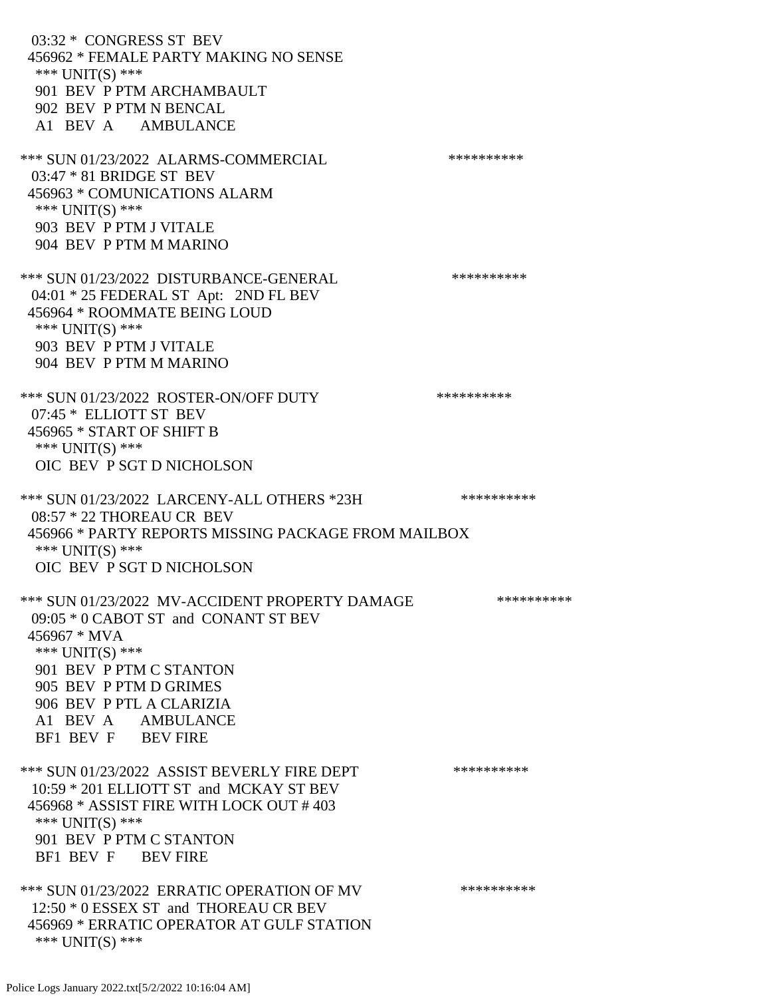03:32 \* CONGRESS ST BEV 456962 \* FEMALE PARTY MAKING NO SENSE \*\*\* UNIT(S) \*\*\* 901 BEV P PTM ARCHAMBAULT 902 BEV P PTM N BENCAL A1 BEV A AMBULANCE \*\*\* SUN 01/23/2022 ALARMS-COMMERCIAL \*\*\*\*\*\*\*\*\*\* 03:47 \* 81 BRIDGE ST BEV 456963 \* COMUNICATIONS ALARM \*\*\* UNIT(S) \*\*\* 903 BEV P PTM J VITALE 904 BEV P PTM M MARINO \*\*\* SUN 01/23/2022 DISTURBANCE-GENERAL \*\*\*\*\*\*\*\*\*\* 04:01 \* 25 FEDERAL ST Apt: 2ND FL BEV 456964 \* ROOMMATE BEING LOUD \*\*\* UNIT(S) \*\*\* 903 BEV P PTM J VITALE 904 BEV P PTM M MARINO \*\*\* SUN 01/23/2022 ROSTER-ON/OFF DUTY \*\*\*\*\*\*\*\*\*\* 07:45 \* ELLIOTT ST BEV 456965 \* START OF SHIFT B \*\*\* UNIT(S) \*\*\* OIC BEV P SGT D NICHOLSON \*\*\* SUN 01/23/2022 LARCENY-ALL OTHERS \*23H \*\*\*\*\*\*\*\*\*\*\*\* 08:57 \* 22 THOREAU CR BEV 456966 \* PARTY REPORTS MISSING PACKAGE FROM MAILBOX \*\*\* UNIT(S) \*\*\* OIC BEV P SGT D NICHOLSON \*\*\* SUN 01/23/2022 MV-ACCIDENT PROPERTY DAMAGE \*\*\*\*\*\*\*\*\*\*\*\* 09:05 \* 0 CABOT ST and CONANT ST BEV 456967 \* MVA \*\*\* UNIT(S) \*\*\* 901 BEV P PTM C STANTON 905 BEV P PTM D GRIMES 906 BEV P PTL A CLARIZIA A1 BEV A AMBULANCE BF1 BEV F BEV FIRE \*\*\* SUN 01/23/2022 ASSIST BEVERLY FIRE DEPT \*\*\*\*\*\*\*\*\*\*\* 10:59 \* 201 ELLIOTT ST and MCKAY ST BEV 456968 \* ASSIST FIRE WITH LOCK OUT # 403 \*\*\* UNIT(S) \*\*\* 901 BEV P PTM C STANTON BF1 BEV F BEV FIRE \*\*\* SUN 01/23/2022 ERRATIC OPERATION OF MV \*\*\*\*\*\*\*\*\*\* 12:50 \* 0 ESSEX ST and THOREAU CR BEV 456969 \* ERRATIC OPERATOR AT GULF STATION \*\*\* UNIT(S) \*\*\*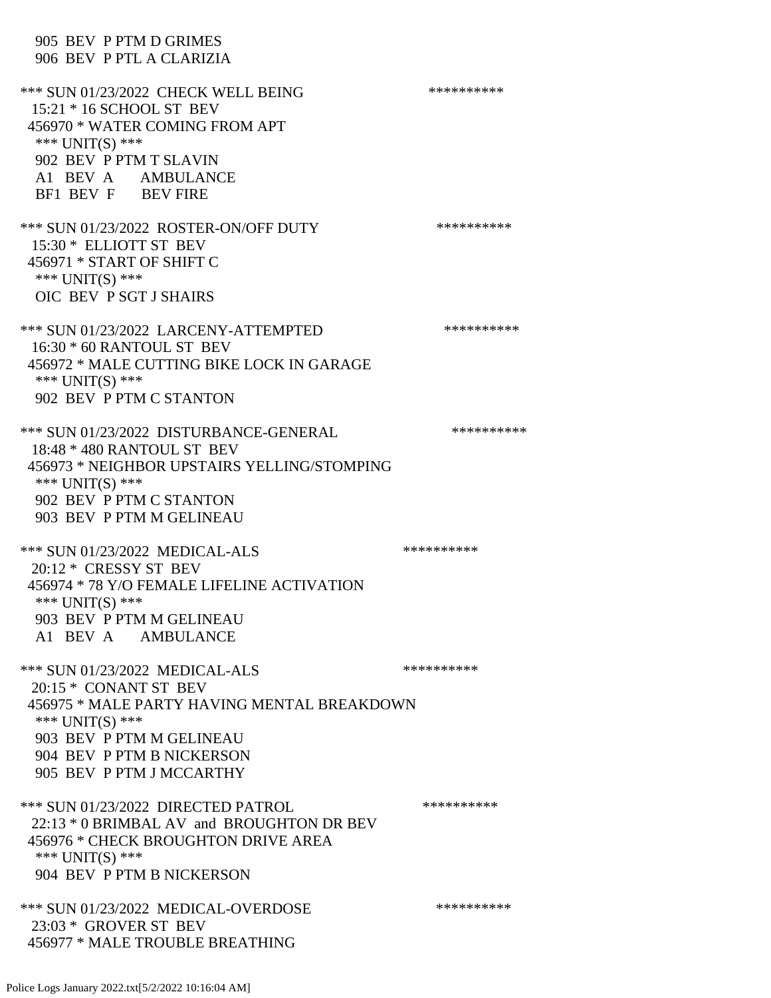905 BEV P PTM D GRIMES 906 BEV P PTL A CLARIZIA \*\*\* SUN 01/23/2022 CHECK WELL BEING \*\*\*\*\*\*\*\*\*\* 15:21 \* 16 SCHOOL ST BEV 456970 \* WATER COMING FROM APT \*\*\* UNIT(S) \*\*\* 902 BEV P PTM T SLAVIN A1 BEV A AMBULANCE BF1 BEV F BEV FIRE \*\*\* SUN 01/23/2022 ROSTER-ON/OFF DUTY \*\*\*\*\*\*\*\*\*\* 15:30 \* ELLIOTT ST BEV 456971 \* START OF SHIFT C \*\*\* UNIT(S) \*\*\* OIC BEV P SGT J SHAIRS \*\*\* SUN 01/23/2022 LARCENY-ATTEMPTED \*\*\*\*\*\*\*\*\*\* 16:30 \* 60 RANTOUL ST BEV 456972 \* MALE CUTTING BIKE LOCK IN GARAGE \*\*\* UNIT(S) \*\*\* 902 BEV P PTM C STANTON \*\*\* SUN 01/23/2022 DISTURBANCE-GENERAL \*\*\*\*\*\*\*\*\*\* 18:48 \* 480 RANTOUL ST BEV 456973 \* NEIGHBOR UPSTAIRS YELLING/STOMPING \*\*\* UNIT(S) \*\*\* 902 BEV P PTM C STANTON 903 BEV P PTM M GELINEAU \*\*\* SUN 01/23/2022 MEDICAL-ALS \*\*\*\*\*\*\*\*\*\* 20:12 \* CRESSY ST BEV 456974 \* 78 Y/O FEMALE LIFELINE ACTIVATION \*\*\* UNIT(S) \*\*\* 903 BEV P PTM M GELINEAU A1 BEV A AMBULANCE \*\*\* SUN 01/23/2022 MEDICAL-ALS \*\*\*\*\*\*\*\*\*\* 20:15 \* CONANT ST BEV 456975 \* MALE PARTY HAVING MENTAL BREAKDOWN \*\*\* UNIT(S) \*\*\* 903 BEV P PTM M GELINEAU 904 BEV P PTM B NICKERSON 905 BEV P PTM J MCCARTHY \*\*\* SUN 01/23/2022 DIRECTED PATROL \*\*\*\*\*\*\*\*\*\* 22:13 \* 0 BRIMBAL AV and BROUGHTON DR BEV 456976 \* CHECK BROUGHTON DRIVE AREA \*\*\* UNIT(S) \*\*\* 904 BEV P PTM B NICKERSON \*\*\* SUN 01/23/2022 MEDICAL-OVERDOSE \*\*\*\*\*\*\*\*\*\* 23:03 \* GROVER ST BEV 456977 \* MALE TROUBLE BREATHING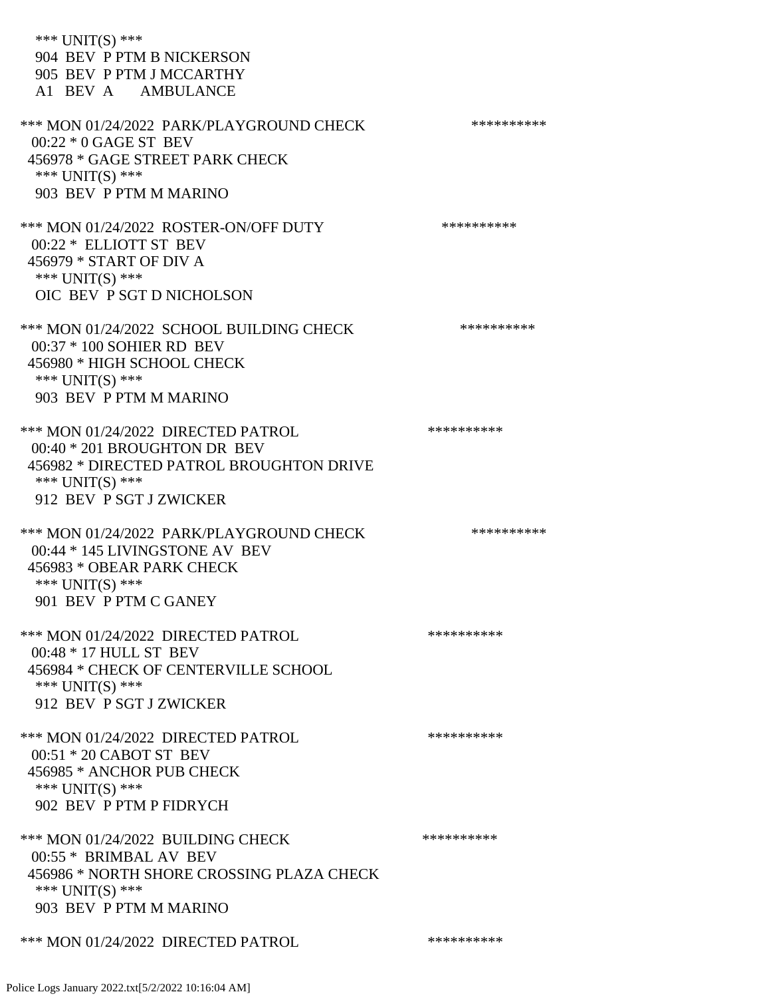\*\*\* UNIT(S) \*\*\* 904 BEV P PTM B NICKERSON 905 BEV P PTM J MCCARTHY A1 BEV A AMBULANCE \*\*\* MON 01/24/2022 PARK/PLAYGROUND CHECK \*\*\*\*\*\*\*\*\*\*\*\* 00:22 \* 0 GAGE ST BEV 456978 \* GAGE STREET PARK CHECK \*\*\* UNIT(S) \*\*\* 903 BEV P PTM M MARINO \*\*\* MON 01/24/2022 ROSTER-ON/OFF DUTY \*\*\*\*\*\*\*\*\*\* 00:22 \* ELLIOTT ST BEV 456979 \* START OF DIV A \*\*\* UNIT(S) \*\*\* OIC BEV P SGT D NICHOLSON \*\*\* MON 01/24/2022 SCHOOL BUILDING CHECK \*\*\*\*\*\*\*\*\*\*\*\* 00:37 \* 100 SOHIER RD BEV 456980 \* HIGH SCHOOL CHECK \*\*\* UNIT(S) \*\*\* 903 BEV P PTM M MARINO \*\*\* MON 01/24/2022 DIRECTED PATROL \*\*\*\*\*\*\*\*\*\* 00:40 \* 201 BROUGHTON DR BEV 456982 \* DIRECTED PATROL BROUGHTON DRIVE \*\*\* UNIT(S) \*\*\* 912 BEV P SGT J ZWICKER \*\*\* MON 01/24/2022 PARK/PLAYGROUND CHECK \*\*\*\*\*\*\*\*\*\*\*\* 00:44 \* 145 LIVINGSTONE AV BEV 456983 \* OBEAR PARK CHECK \*\*\* UNIT(S) \*\*\* 901 BEV P PTM C GANEY \*\*\* MON 01/24/2022 DIRECTED PATROL \*\*\*\*\*\*\*\*\*\* 00:48 \* 17 HULL ST BEV 456984 \* CHECK OF CENTERVILLE SCHOOL \*\*\* UNIT(S) \*\*\* 912 BEV P SGT J ZWICKER \*\*\* MON 01/24/2022 DIRECTED PATROL \*\*\*\*\*\*\*\*\*\* 00:51 \* 20 CABOT ST BEV 456985 \* ANCHOR PUB CHECK \*\*\* UNIT(S) \*\*\* 902 BEV P PTM P FIDRYCH \*\*\* MON 01/24/2022 BUILDING CHECK \*\*\*\*\*\*\*\*\*\*\* 00:55 \* BRIMBAL AV BEV 456986 \* NORTH SHORE CROSSING PLAZA CHECK \*\*\* UNIT(S) \*\*\* 903 BEV P PTM M MARINO \*\*\* MON 01/24/2022 DIRECTED PATROL \*\*\*\*\*\*\*\*\*\*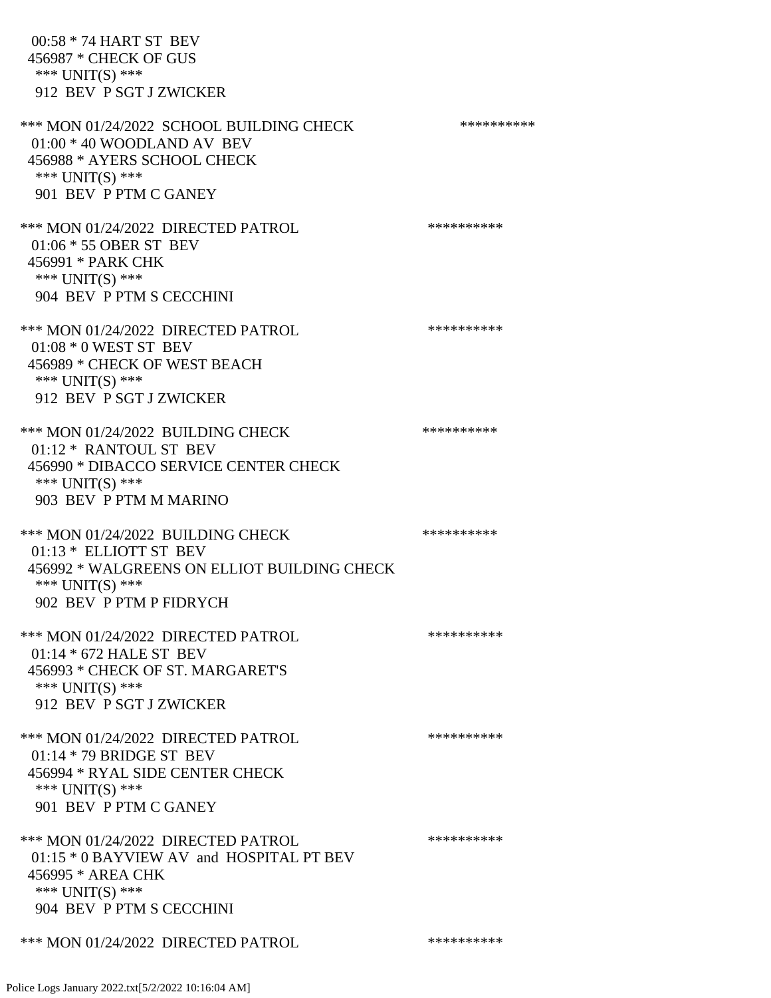| 00:58 * 74 HART ST BEV<br>456987 * CHECK OF GUS<br>*** UNIT(S) ***<br>912 BEV P SGT J ZWICKER                                                              |            |
|------------------------------------------------------------------------------------------------------------------------------------------------------------|------------|
| *** MON 01/24/2022 SCHOOL BUILDING CHECK<br>$01:00 * 40$ WOODLAND AV BEV<br>456988 * AYERS SCHOOL CHECK<br>*** UNIT(S) ***<br>901 BEV P PTM C GANEY        | ********** |
| *** MON 01/24/2022 DIRECTED PATROL<br>01:06 * 55 OBER ST BEV<br>456991 * PARK CHK<br>*** $UNIT(S)$ ***<br>904 BEV P PTM S CECCHINI                         | ********** |
| *** MON 01/24/2022 DIRECTED PATROL<br>$01:08 * 0$ WEST ST BEV<br>456989 * CHECK OF WEST BEACH<br>*** UNIT(S) ***<br>912 BEV P SGT J ZWICKER                | ********** |
| *** MON 01/24/2022 BUILDING CHECK<br>01:12 * RANTOUL ST BEV<br>456990 * DIBACCO SERVICE CENTER CHECK<br>*** UNIT(S) ***<br>903 BEV P PTM M MARINO          | ********** |
| *** MON 01/24/2022 BUILDING CHECK<br>01:13 * ELLIOTT ST BEV<br>456992 * WALGREENS ON ELLIOT BUILDING CHECK<br>*** $UNIT(S)$ ***<br>902 BEV P PTM P FIDRYCH | ********** |
| *** MON 01/24/2022 DIRECTED PATROL<br>$01:14 * 672$ HALE ST BEV<br>456993 * CHECK OF ST. MARGARET'S<br>*** $UNIT(S)$ ***<br>912 BEV P SGT J ZWICKER        | ********** |
| *** MON 01/24/2022 DIRECTED PATROL<br>$01:14 * 79$ BRIDGE ST BEV<br>456994 * RYAL SIDE CENTER CHECK<br>*** UNIT(S) ***<br>901 BEV P PTM C GANEY            | ********** |
| *** MON 01/24/2022 DIRECTED PATROL<br>01:15 * 0 BAYVIEW AV and HOSPITAL PT BEV<br>456995 * AREA CHK<br>*** $UNIT(S)$ ***<br>904 BEV P PTM S CECCHINI       | ********** |
| *** MON 01/24/2022 DIRECTED PATROL                                                                                                                         | ********** |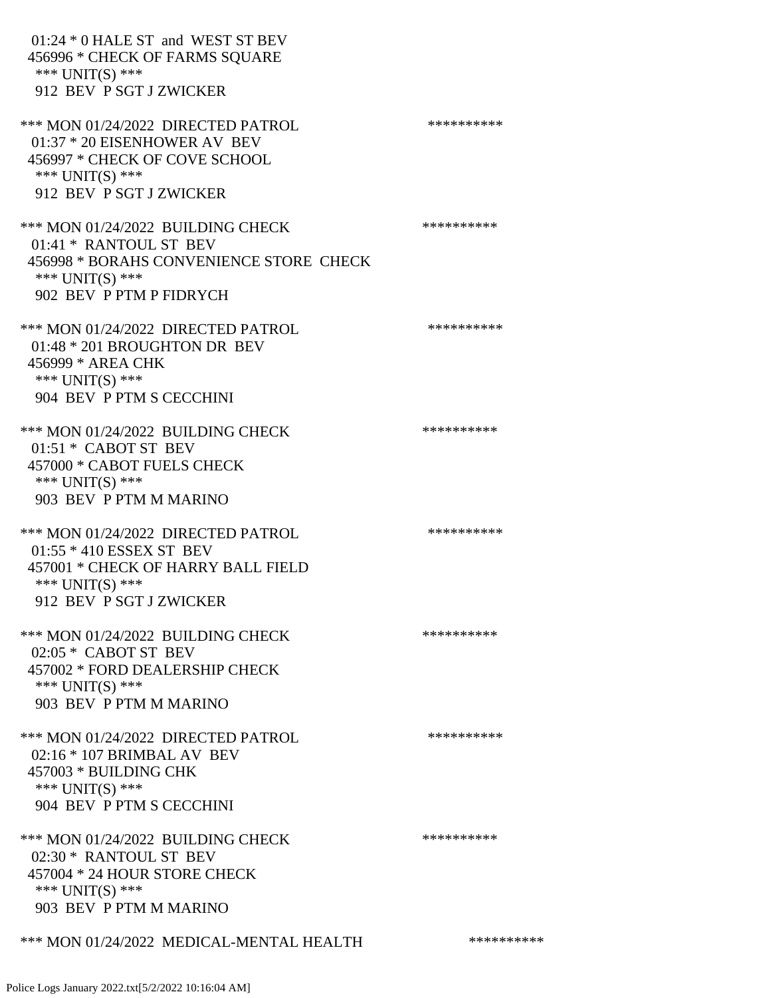01:24 \* 0 HALE ST and WEST ST BEV 456996 \* CHECK OF FARMS SQUARE \*\*\* UNIT(S) \*\*\* 912 BEV P SGT J ZWICKER \*\*\* MON 01/24/2022 DIRECTED PATROL \*\*\*\*\*\*\*\*\*\* 01:37 \* 20 EISENHOWER AV BEV 456997 \* CHECK OF COVE SCHOOL \*\*\* UNIT(S) \*\*\* 912 BEV P SGT J ZWICKER \*\*\* MON 01/24/2022 BUILDING CHECK \*\*\*\*\*\*\*\*\*\*\* 01:41 \* RANTOUL ST BEV 456998 \* BORAHS CONVENIENCE STORE CHECK \*\*\* UNIT(S) \*\*\* 902 BEV P PTM P FIDRYCH \*\*\* MON 01/24/2022 DIRECTED PATROL \*\*\*\*\*\*\*\*\*\* 01:48 \* 201 BROUGHTON DR BEV 456999 \* AREA CHK \*\*\* UNIT(S) \*\*\* 904 BEV P PTM S CECCHINI \*\*\* MON 01/24/2022 BUILDING CHECK \*\*\*\*\*\*\*\*\*\*\* 01:51 \* CABOT ST BEV 457000 \* CABOT FUELS CHECK \*\*\* UNIT(S) \*\*\* 903 BEV P PTM M MARINO \*\*\* MON 01/24/2022 DIRECTED PATROL \*\*\*\*\*\*\*\*\*\* 01:55 \* 410 ESSEX ST BEV 457001 \* CHECK OF HARRY BALL FIELD \*\*\* UNIT(S) \*\*\* 912 BEV P SGT J ZWICKER \*\*\* MON 01/24/2022 BUILDING CHECK \*\*\*\*\*\*\*\*\*\*\*\* 02:05 \* CABOT ST BEV 457002 \* FORD DEALERSHIP CHECK \*\*\* UNIT(S) \*\*\* 903 BEV P PTM M MARINO \*\*\* MON 01/24/2022 DIRECTED PATROL \*\*\*\*\*\*\*\*\*\* 02:16 \* 107 BRIMBAL AV BEV 457003 \* BUILDING CHK  $***$  UNIT(S)  $***$  904 BEV P PTM S CECCHINI \*\*\* MON 01/24/2022 BUILDING CHECK \*\*\*\*\*\*\*\*\*\*\* 02:30 \* RANTOUL ST BEV 457004 \* 24 HOUR STORE CHECK \*\*\* UNIT(S) \*\*\* 903 BEV P PTM M MARINO \*\*\* MON 01/24/2022 MEDICAL-MENTAL HEALTH \*\*\*\*\*\*\*\*\*\*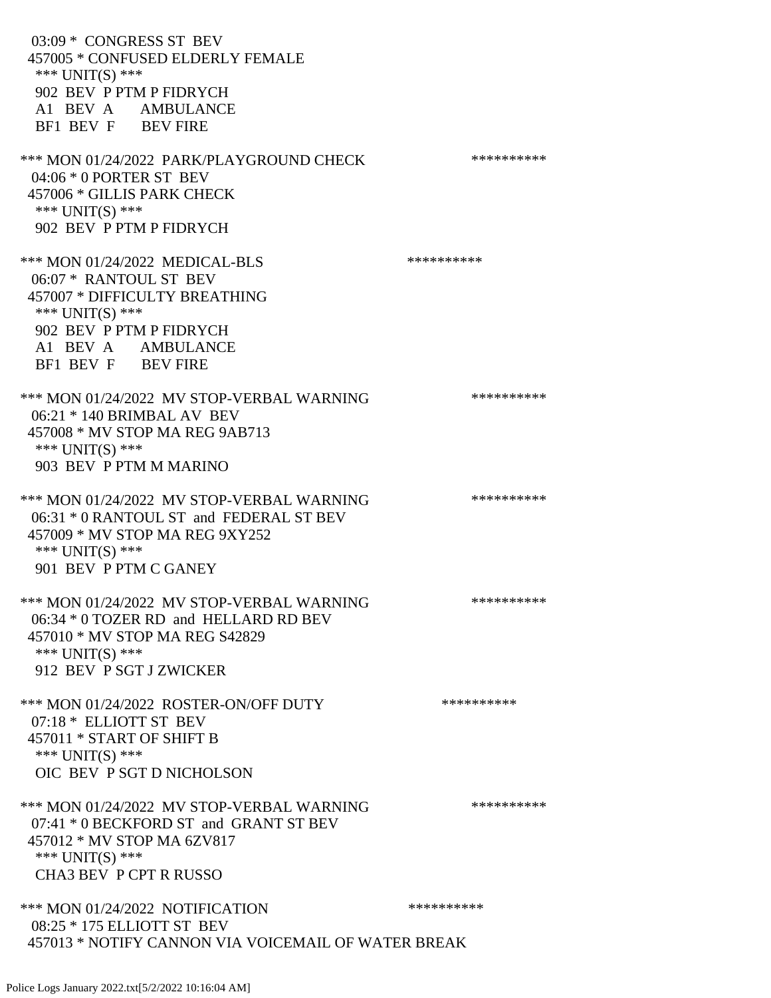03:09 \* CONGRESS ST BEV 457005 \* CONFUSED ELDERLY FEMALE \*\*\* UNIT(S) \*\*\* 902 BEV P PTM P FIDRYCH A1 BEV A AMBULANCE BF1 BEV F BEV FIRE \*\*\* MON 01/24/2022 PARK/PLAYGROUND CHECK \*\*\*\*\*\*\*\*\*\*\* 04:06 \* 0 PORTER ST BEV 457006 \* GILLIS PARK CHECK \*\*\* UNIT(S) \*\*\* 902 BEV P PTM P FIDRYCH \*\*\* MON 01/24/2022 MEDICAL-BLS \*\*\*\*\*\*\*\*\*\* 06:07 \* RANTOUL ST BEV 457007 \* DIFFICULTY BREATHING \*\*\* UNIT(S) \*\*\* 902 BEV P PTM P FIDRYCH A1 BEV A AMBULANCE BF1 BEV F BEV FIRE \*\*\* MON 01/24/2022 MV STOP-VERBAL WARNING \*\*\*\*\*\*\*\*\*\*\*\* 06:21 \* 140 BRIMBAL AV BEV 457008 \* MV STOP MA REG 9AB713 \*\*\* UNIT(S) \*\*\* 903 BEV P PTM M MARINO \*\*\* MON 01/24/2022 MV STOP-VERBAL WARNING \*\*\*\*\*\*\*\*\*\*\*\* 06:31 \* 0 RANTOUL ST and FEDERAL ST BEV 457009 \* MV STOP MA REG 9XY252 \*\*\* UNIT(S) \*\*\* 901 BEV P PTM C GANEY \*\*\* MON 01/24/2022 MV STOP-VERBAL WARNING \*\*\*\*\*\*\*\*\*\*\*\*\*\*\* 06:34 \* 0 TOZER RD and HELLARD RD BEV 457010 \* MV STOP MA REG S42829 \*\*\* UNIT(S) \*\*\* 912 BEV P SGT J ZWICKER \*\*\* MON 01/24/2022 ROSTER-ON/OFF DUTY \*\*\*\*\*\*\*\*\*\* 07:18 \* ELLIOTT ST BEV 457011 \* START OF SHIFT B \*\*\* UNIT(S) \*\*\* OIC BEV P SGT D NICHOLSON \*\*\* MON 01/24/2022 MV STOP-VERBAL WARNING \*\*\*\*\*\*\*\*\*\*\*\* 07:41 \* 0 BECKFORD ST and GRANT ST BEV 457012 \* MV STOP MA 6ZV817 \*\*\* UNIT(S) \*\*\* CHA3 BEV P CPT R RUSSO \*\*\* MON 01/24/2022 NOTIFICATION \*\*\*\*\*\*\*\*\*\* 08:25 \* 175 ELLIOTT ST BEV 457013 \* NOTIFY CANNON VIA VOICEMAIL OF WATER BREAK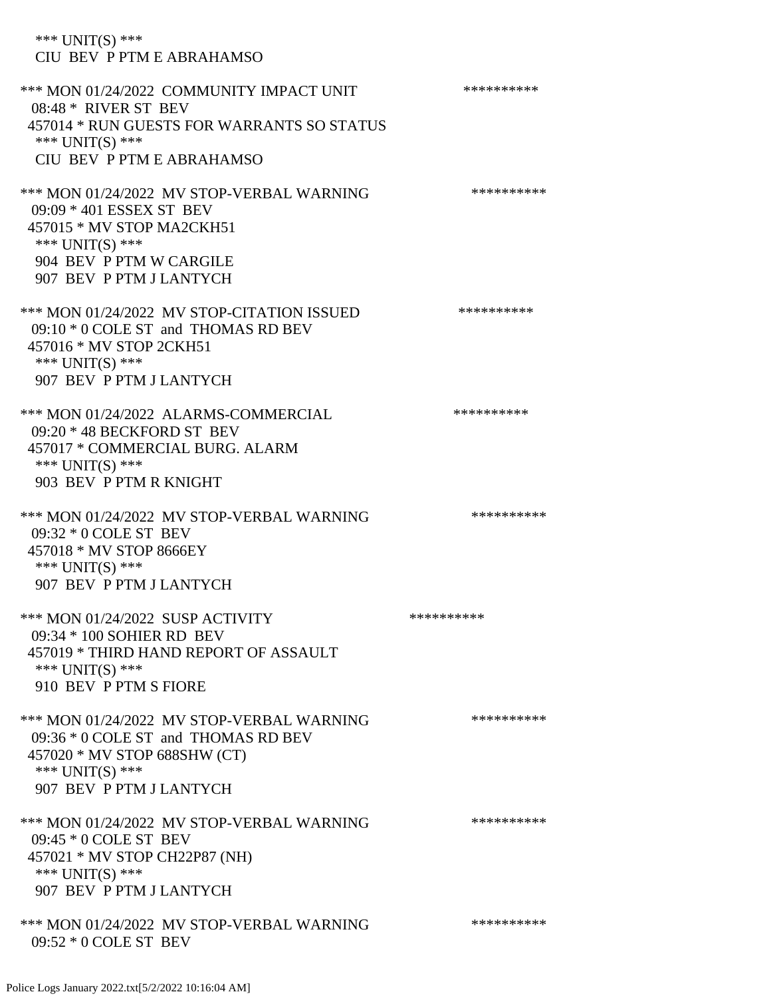CIU BEV P PTM E ABRAHAMSO \*\*\* MON 01/24/2022 COMMUNITY IMPACT UNIT \*\*\*\*\*\*\*\*\*\*\*\* 08:48 \* RIVER ST BEV 457014 \* RUN GUESTS FOR WARRANTS SO STATUS \*\*\* UNIT(S) \*\*\* CIU BEV P PTM E ABRAHAMSO \*\*\* MON 01/24/2022 MV STOP-VERBAL WARNING \*\*\*\*\*\*\*\*\*\*\*\*\*\* 09:09 \* 401 ESSEX ST BEV 457015 \* MV STOP MA2CKH51 \*\*\* UNIT(S) \*\*\* 904 BEV P PTM W CARGILE 907 BEV P PTM J LANTYCH \*\*\* MON 01/24/2022 MV STOP-CITATION ISSUED \*\*\*\*\*\*\*\*\*\* 09:10 \* 0 COLE ST and THOMAS RD BEV 457016 \* MV STOP 2CKH51 \*\*\* UNIT(S) \*\*\* 907 BEV P PTM J LANTYCH \*\*\* MON 01/24/2022 ALARMS-COMMERCIAL \*\*\*\*\*\*\*\*\*\* 09:20 \* 48 BECKFORD ST BEV 457017 \* COMMERCIAL BURG. ALARM \*\*\* UNIT(S) \*\*\* 903 BEV P PTM R KNIGHT \*\*\* MON 01/24/2022 MV STOP-VERBAL WARNING \*\*\*\*\*\*\*\*\*\*\*\* 09:32 \* 0 COLE ST BEV 457018 \* MV STOP 8666EY \*\*\* UNIT(S) \*\*\* 907 BEV P PTM J LANTYCH \*\*\* MON 01/24/2022 SUSP ACTIVITY \*\*\*\*\*\*\*\*\*\*\*\* 09:34 \* 100 SOHIER RD BEV 457019 \* THIRD HAND REPORT OF ASSAULT \*\*\* UNIT(S) \*\*\* 910 BEV P PTM S FIORE \*\*\* MON 01/24/2022 MV STOP-VERBAL WARNING \*\*\*\*\*\*\*\*\*\*\*\* 09:36 \* 0 COLE ST and THOMAS RD BEV 457020 \* MV STOP 688SHW (CT) \*\*\* UNIT(S) \*\*\* 907 BEV P PTM J LANTYCH \*\*\* MON 01/24/2022 MV STOP-VERBAL WARNING \*\*\*\*\*\*\*\*\*\*\*\* 09:45 \* 0 COLE ST BEV 457021 \* MV STOP CH22P87 (NH) \*\*\* UNIT(S) \*\*\* 907 BEV P PTM J LANTYCH \*\*\* MON 01/24/2022 MV STOP-VERBAL WARNING \*\*\*\*\*\*\*\*\*\*\*\*\* 09:52 \* 0 COLE ST BEV

\*\*\* UNIT(S) \*\*\*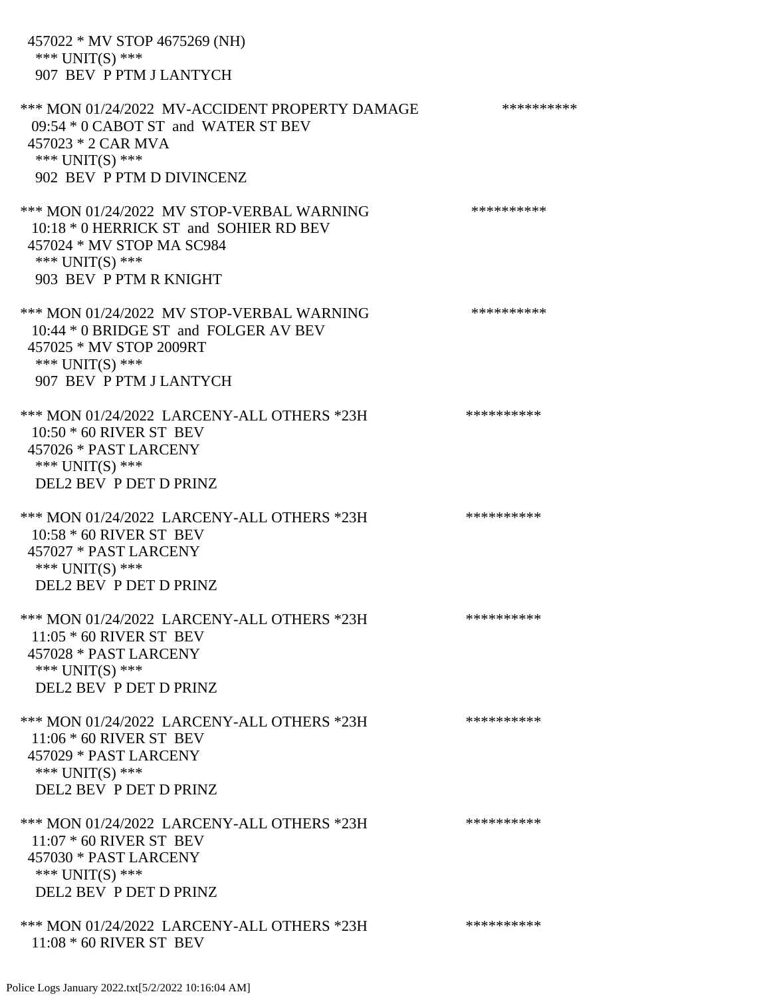457022 \* MV STOP 4675269 (NH) \*\*\* UNIT(S) \*\*\* 907 BEV P PTM J LANTYCH \*\*\* MON 01/24/2022 MV-ACCIDENT PROPERTY DAMAGE \*\*\*\*\*\*\*\*\*\*\*\* 09:54 \* 0 CABOT ST and WATER ST BEV 457023 \* 2 CAR MVA \*\*\* UNIT(S) \*\*\* 902 BEV P PTM D DIVINCENZ \*\*\* MON 01/24/2022 MV STOP-VERBAL WARNING \*\*\*\*\*\*\*\*\*\*\*\* 10:18 \* 0 HERRICK ST and SOHIER RD BEV 457024 \* MV STOP MA SC984 \*\*\* UNIT(S) \*\*\* 903 BEV P PTM R KNIGHT \*\*\* MON 01/24/2022 MV STOP-VERBAL WARNING \*\*\*\*\*\*\*\*\*\*\*\* 10:44 \* 0 BRIDGE ST and FOLGER AV BEV 457025 \* MV STOP 2009RT \*\*\* UNIT(S) \*\*\* 907 BEV P PTM J LANTYCH \*\*\* MON 01/24/2022 LARCENY-ALL OTHERS \*23H \*\*\*\*\*\*\*\*\*\*\*\* 10:50 \* 60 RIVER ST BEV 457026 \* PAST LARCENY \*\*\* UNIT(S) \*\*\* DEL2 BEV P DET D PRINZ \*\*\* MON 01/24/2022 LARCENY-ALL OTHERS \*23H \*\*\*\*\*\*\*\*\*\*\*\* 10:58 \* 60 RIVER ST BEV 457027 \* PAST LARCENY \*\*\* UNIT(S) \*\*\* DEL2 BEV P DET D PRINZ \*\*\* MON 01/24/2022 LARCENY-ALL OTHERS \*23H \*\*\*\*\*\*\*\*\*\* 11:05 \* 60 RIVER ST BEV 457028 \* PAST LARCENY \*\*\* UNIT(S) \*\*\* DEL2 BEV P DET D PRINZ \*\*\* MON 01/24/2022 LARCENY-ALL OTHERS \*23H \*\*\*\*\*\*\*\*\*\*\*\* 11:06 \* 60 RIVER ST BEV 457029 \* PAST LARCENY \*\*\* UNIT(S) \*\*\* DEL2 BEV P DET D PRINZ \*\*\* MON 01/24/2022 LARCENY-ALL OTHERS \*23H \*\*\*\*\*\*\*\*\*\*\* 11:07 \* 60 RIVER ST BEV 457030 \* PAST LARCENY \*\*\* UNIT(S) \*\*\* DEL2 BEV P DET D PRINZ \*\*\* MON 01/24/2022 LARCENY-ALL OTHERS \*23H \*\*\*\*\*\*\*\*\*\* 11:08 \* 60 RIVER ST BEV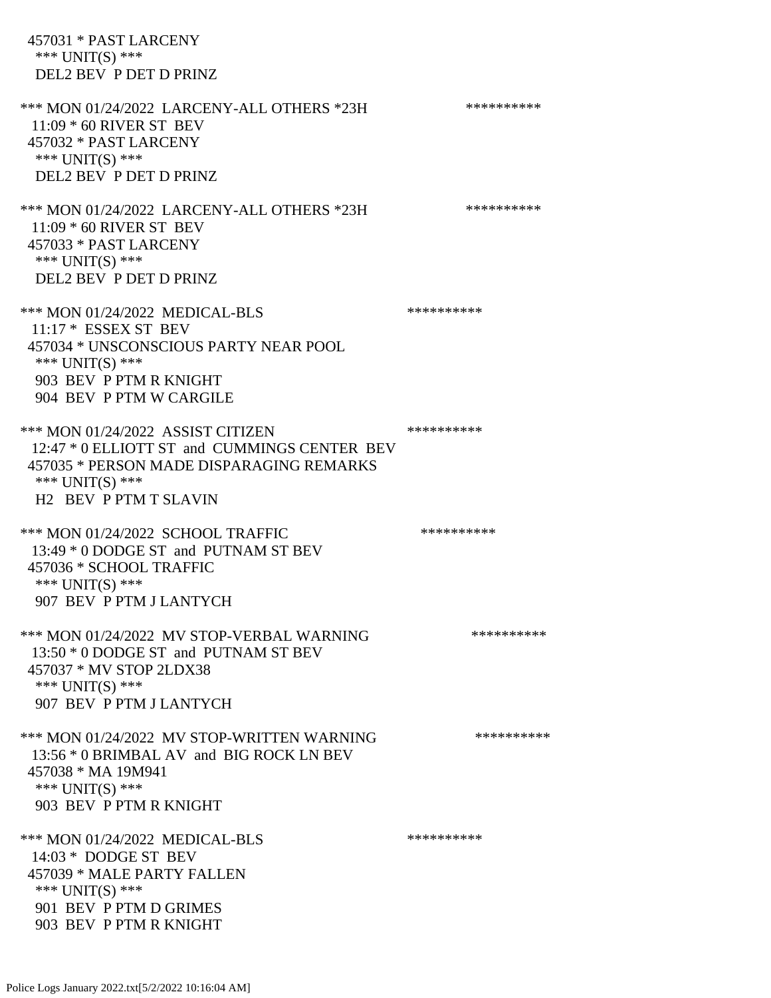457031 \* PAST LARCENY \*\*\* UNIT(S) \*\*\* DEL2 BEV P DET D PRINZ \*\*\* MON 01/24/2022 LARCENY-ALL OTHERS \*23H \*\*\*\*\*\*\*\*\*\*\*\* 11:09 \* 60 RIVER ST BEV 457032 \* PAST LARCENY \*\*\* UNIT(S) \*\*\* DEL2 BEV P DET D PRINZ \*\*\* MON 01/24/2022 LARCENY-ALL OTHERS \*23H \*\*\*\*\*\*\*\*\*\* 11:09 \* 60 RIVER ST BEV 457033 \* PAST LARCENY \*\*\* UNIT(S) \*\*\* DEL2 BEV P DET D PRINZ \*\*\* MON 01/24/2022 MEDICAL-BLS \*\*\*\*\*\*\*\*\*\*\*\* 11:17 \* ESSEX ST BEV 457034 \* UNSCONSCIOUS PARTY NEAR POOL \*\*\* UNIT(S) \*\*\* 903 BEV P PTM R KNIGHT 904 BEV P PTM W CARGILE \*\*\* MON 01/24/2022 ASSIST CITIZEN \*\*\*\*\*\*\*\*\*\*\*\* 12:47 \* 0 ELLIOTT ST and CUMMINGS CENTER BEV 457035 \* PERSON MADE DISPARAGING REMARKS \*\*\* UNIT(S) \*\*\* H2 BEV P PTM T SLAVIN \*\*\* MON 01/24/2022 SCHOOL TRAFFIC \*\*\*\*\*\*\*\*\*\*\*\*\* 13:49 \* 0 DODGE ST and PUTNAM ST BEV 457036 \* SCHOOL TRAFFIC \*\*\* UNIT(S) \*\*\* 907 BEV P PTM J LANTYCH \*\*\* MON 01/24/2022 MV STOP-VERBAL WARNING \*\*\*\*\*\*\*\*\*\*\*\*\*\* 13:50 \* 0 DODGE ST and PUTNAM ST BEV 457037 \* MV STOP 2LDX38 \*\*\* UNIT(S) \*\*\* 907 BEV P PTM J LANTYCH \*\*\* MON 01/24/2022 MV STOP-WRITTEN WARNING \*\*\*\*\*\*\*\*\*\*\*\* 13:56 \* 0 BRIMBAL AV and BIG ROCK LN BEV 457038 \* MA 19M941 \*\*\* UNIT(S) \*\*\* 903 BEV P PTM R KNIGHT \*\*\* MON 01/24/2022 MEDICAL-BLS \*\*\*\*\*\*\*\*\*\*\*\*\* 14:03 \* DODGE ST BEV 457039 \* MALE PARTY FALLEN \*\*\* UNIT(S) \*\*\* 901 BEV P PTM D GRIMES 903 BEV P PTM R KNIGHT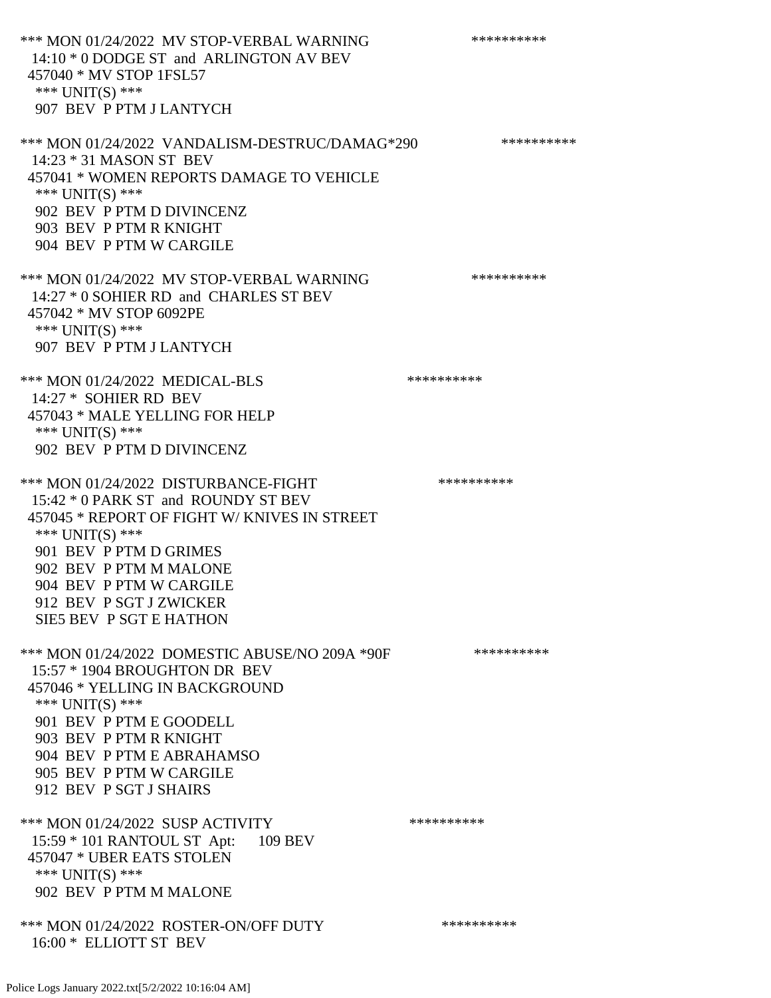\*\*\* MON 01/24/2022 MV STOP-VERBAL WARNING \*\*\*\*\*\*\*\*\*\*\*\* 14:10 \* 0 DODGE ST and ARLINGTON AV BEV 457040 \* MV STOP 1FSL57 \*\*\* UNIT(S) \*\*\* 907 BEV P PTM J LANTYCH

\*\*\* MON 01/24/2022 VANDALISM-DESTRUC/DAMAG\*290 \*\*\*\*\*\*\*\*\*\* 14:23 \* 31 MASON ST BEV 457041 \* WOMEN REPORTS DAMAGE TO VEHICLE \*\*\* UNIT(S) \*\*\* 902 BEV P PTM D DIVINCENZ 903 BEV P PTM R KNIGHT 904 BEV P PTM W CARGILE

\*\*\* MON 01/24/2022 MV STOP-VERBAL WARNING \*\*\*\*\*\*\*\*\*\*\*\*\* 14:27 \* 0 SOHIER RD and CHARLES ST BEV 457042 \* MV STOP 6092PE \*\*\* UNIT(S) \*\*\* 907 BEV P PTM J LANTYCH

\*\*\* MON 01/24/2022 MEDICAL-BLS \*\*\*\*\*\*\*\*\*\*\*\* 14:27 \* SOHIER RD BEV 457043 \* MALE YELLING FOR HELP \*\*\* UNIT(S) \*\*\* 902 BEV P PTM D DIVINCENZ

\*\*\* MON 01/24/2022 DISTURBANCE-FIGHT \*\*\*\*\*\*\*\*\*\*\*\*\* 15:42 \* 0 PARK ST and ROUNDY ST BEV 457045 \* REPORT OF FIGHT W/ KNIVES IN STREET \*\*\* UNIT(S) \*\*\* 901 BEV P PTM D GRIMES 902 BEV P PTM M MALONE 904 BEV P PTM W CARGILE 912 BEV P SGT J ZWICKER

SIE5 BEV P SGT E HATHON

\*\*\* MON 01/24/2022 DOMESTIC ABUSE/NO 209A \*90F \*\*\*\*\*\*\*\*\*\* 15:57 \* 1904 BROUGHTON DR BEV 457046 \* YELLING IN BACKGROUND \*\*\* UNIT(S) \*\*\* 901 BEV P PTM E GOODELL 903 BEV P PTM R KNIGHT 904 BEV P PTM E ABRAHAMSO 905 BEV P PTM W CARGILE 912 BEV P SGT J SHAIRS

\*\*\* MON 01/24/2022 SUSP ACTIVITY \*\*\*\*\*\*\*\*\*\*\*\*\* 15:59 \* 101 RANTOUL ST Apt: 109 BEV 457047 \* UBER EATS STOLEN \*\*\* UNIT(S) \*\*\* 902 BEV P PTM M MALONE

\*\*\* MON 01/24/2022 ROSTER-ON/OFF DUTY \*\*\*\*\*\*\*\*\*\* 16:00 \* ELLIOTT ST BEV

Police Logs January 2022.txt[5/2/2022 10:16:04 AM]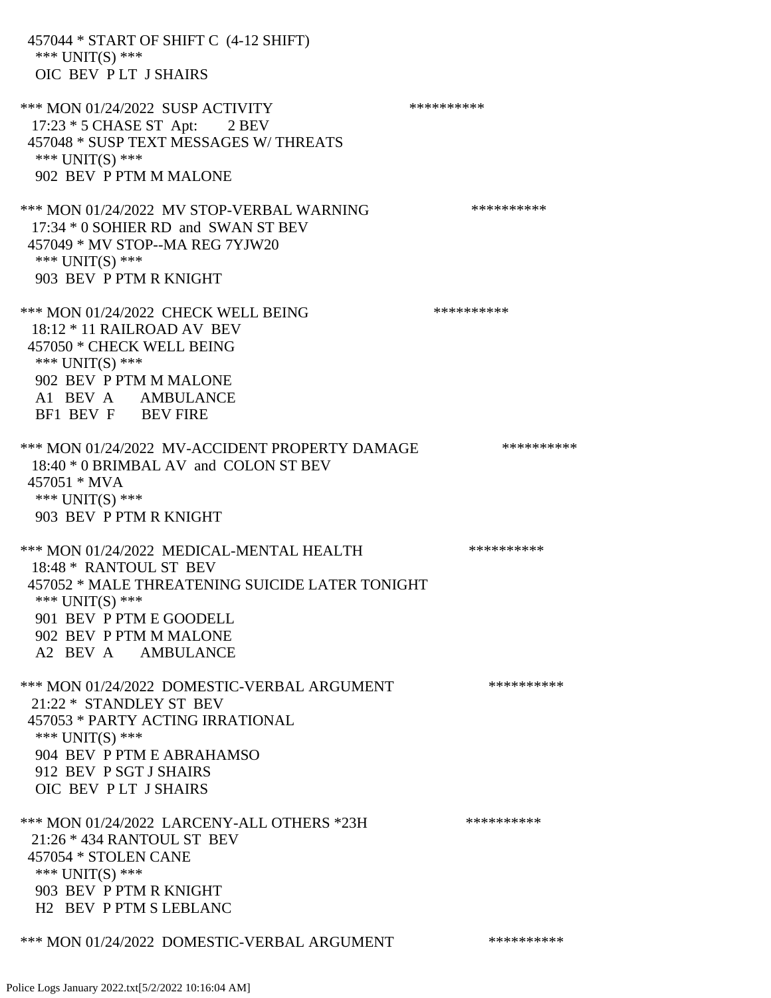457044 \* START OF SHIFT C (4-12 SHIFT) \*\*\* UNIT(S) \*\*\* OIC BEV P LT J SHAIRS \*\*\* MON 01/24/2022 SUSP ACTIVITY \*\*\*\*\*\*\*\*\*\*\*\* 17:23 \* 5 CHASE ST Apt: 2 BEV 457048 \* SUSP TEXT MESSAGES W/ THREATS \*\*\* UNIT(S) \*\*\* 902 BEV P PTM M MALONE \*\*\* MON 01/24/2022 MV STOP-VERBAL WARNING \*\*\*\*\*\*\*\*\*\*\*\*\*\* 17:34 \* 0 SOHIER RD and SWAN ST BEV 457049 \* MV STOP--MA REG 7YJW20 \*\*\* UNIT(S) \*\*\* 903 BEV P PTM R KNIGHT \*\*\* MON 01/24/2022 CHECK WELL BEING \*\*\*\*\*\*\*\*\*\* 18:12 \* 11 RAILROAD AV BEV 457050 \* CHECK WELL BEING \*\*\* UNIT(S) \*\*\* 902 BEV P PTM M MALONE A1 BEV A AMBULANCE BF1 BEV F BEV FIRE \*\*\* MON 01/24/2022 MV-ACCIDENT PROPERTY DAMAGE \*\*\*\*\*\*\*\*\*\*\*\* 18:40 \* 0 BRIMBAL AV and COLON ST BEV 457051 \* MVA \*\*\* UNIT(S) \*\*\* 903 BEV P PTM R KNIGHT \*\*\* MON 01/24/2022 MEDICAL-MENTAL HEALTH \*\*\*\*\*\*\*\*\*\*\*\* 18:48 \* RANTOUL ST BEV 457052 \* MALE THREATENING SUICIDE LATER TONIGHT \*\*\* UNIT(S) \*\*\* 901 BEV P PTM E GOODELL 902 BEV P PTM M MALONE A2 BEV A AMBULANCE \*\*\* MON 01/24/2022 DOMESTIC-VERBAL ARGUMENT \*\*\*\*\*\*\*\*\*\*\*\* 21:22 \* STANDLEY ST BEV 457053 \* PARTY ACTING IRRATIONAL \*\*\* UNIT(S) \*\*\* 904 BEV P PTM E ABRAHAMSO 912 BEV P SGT J SHAIRS OIC BEV P LT J SHAIRS \*\*\* MON 01/24/2022 LARCENY-ALL OTHERS \*23H \*\*\*\*\*\*\*\*\*\* 21:26 \* 434 RANTOUL ST BEV 457054 \* STOLEN CANE \*\*\* UNIT(S) \*\*\* 903 BEV P PTM R KNIGHT H2 BEV P PTM S LEBLANC \*\*\* MON 01/24/2022 DOMESTIC-VERBAL ARGUMENT \*\*\*\*\*\*\*\*\*\*\*\*\*

Police Logs January 2022.txt[5/2/2022 10:16:04 AM]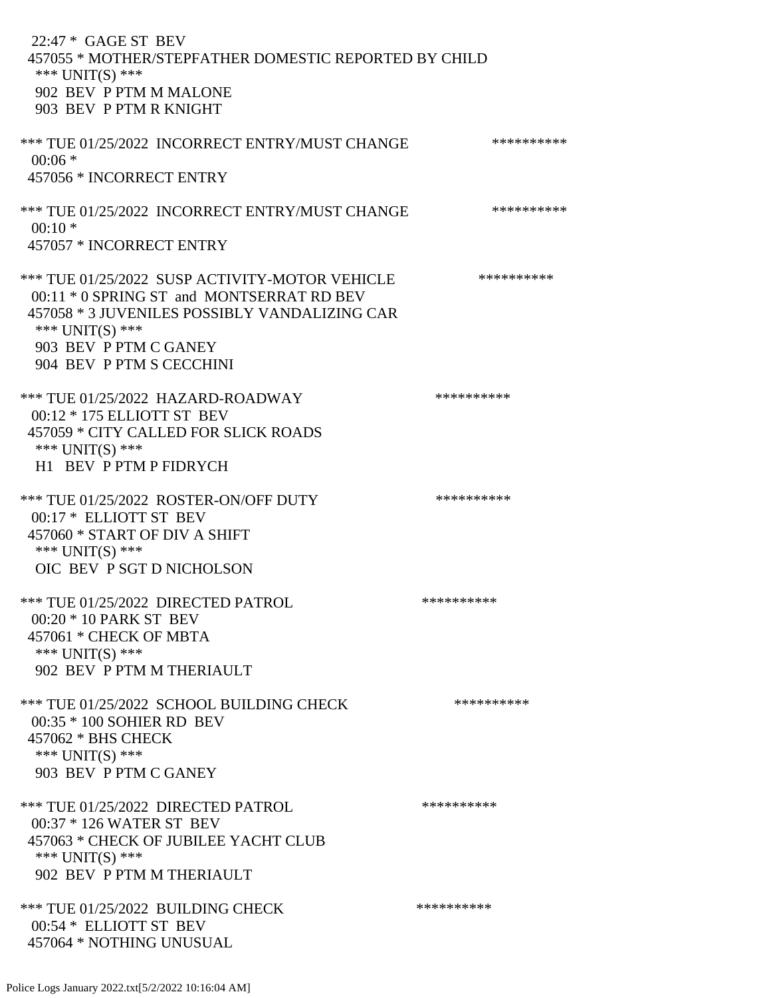22:47 \* GAGE ST BEV 457055 \* MOTHER/STEPFATHER DOMESTIC REPORTED BY CHILD \*\*\* UNIT(S) \*\*\* 902 BEV P PTM M MALONE 903 BEV P PTM R KNIGHT \*\*\* TUE 01/25/2022 INCORRECT ENTRY/MUST CHANGE \*\*\*\*\*\*\*\*\*\*  $00:06$  \* 457056 \* INCORRECT ENTRY \*\*\* TUE 01/25/2022 INCORRECT ENTRY/MUST CHANGE \*\*\*\*\*\*\*\*\*\*  $00:10*$  457057 \* INCORRECT ENTRY \*\*\* TUE 01/25/2022 SUSP ACTIVITY-MOTOR VEHICLE \*\*\*\*\*\*\*\*\*\* 00:11 \* 0 SPRING ST and MONTSERRAT RD BEV 457058 \* 3 JUVENILES POSSIBLY VANDALIZING CAR \*\*\* UNIT(S) \*\*\* 903 BEV P PTM C GANEY 904 BEV P PTM S CECCHINI \*\*\* TUE 01/25/2022 HAZARD-ROADWAY \*\*\*\*\*\*\*\*\*\* 00:12 \* 175 ELLIOTT ST BEV 457059 \* CITY CALLED FOR SLICK ROADS \*\*\* UNIT(S) \*\*\* H1 BEV P PTM P FIDRYCH \*\*\* TUE 01/25/2022 ROSTER-ON/OFF DUTY \*\*\*\*\*\*\*\*\*\* 00:17 \* ELLIOTT ST BEV 457060 \* START OF DIV A SHIFT \*\*\* UNIT(S) \*\*\* OIC BEV P SGT D NICHOLSON \*\*\* TUE 01/25/2022 DIRECTED PATROL \*\*\*\*\*\*\*\*\*\* 00:20 \* 10 PARK ST BEV 457061 \* CHECK OF MBTA \*\*\* UNIT(S) \*\*\* 902 BEV P PTM M THERIAULT \*\*\* TUE 01/25/2022 SCHOOL BUILDING CHECK \*\*\*\*\*\*\*\*\*\*\* 00:35 \* 100 SOHIER RD BEV 457062 \* BHS CHECK \*\*\* UNIT(S) \*\*\* 903 BEV P PTM C GANEY \*\*\* TUE 01/25/2022 DIRECTED PATROL \*\*\*\*\*\*\*\*\*\* 00:37 \* 126 WATER ST BEV 457063 \* CHECK OF JUBILEE YACHT CLUB \*\*\* UNIT(S) \*\*\* 902 BEV P PTM M THERIAULT \*\*\* TUE 01/25/2022 BUILDING CHECK \*\*\*\*\*\*\*\*\*\* 00:54 \* ELLIOTT ST BEV 457064 \* NOTHING UNUSUAL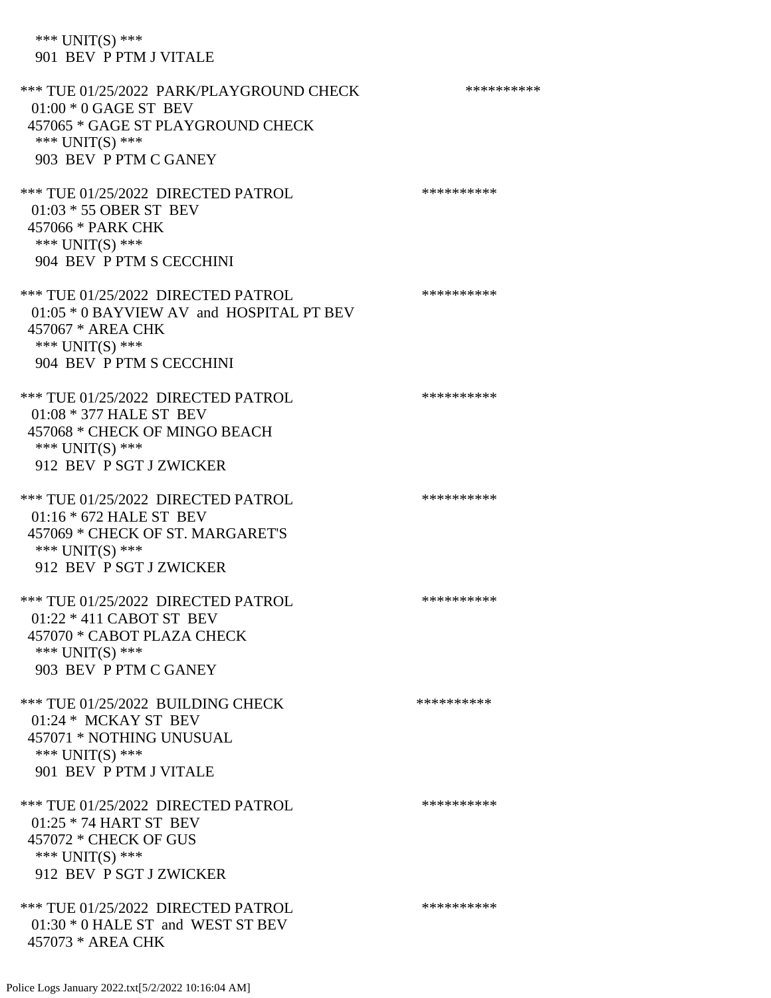## \*\*\* UNIT(S) \*\*\* 901 BEV P PTM J VITALE

| *** TUE 01/25/2022 PARK/PLAYGROUND CHECK<br>$01:00 * 0$ GAGE ST BEV<br>457065 * GAGE ST PLAYGROUND CHECK<br>*** UNIT(S) ***<br>903 BEV P PTM C GANEY | ********** |
|------------------------------------------------------------------------------------------------------------------------------------------------------|------------|
| *** TUE 01/25/2022 DIRECTED PATROL<br>01:03 * 55 OBER ST BEV<br>457066 * PARK CHK<br>*** UNIT(S) ***<br>904 BEV P PTM S CECCHINI                     | ********** |
| *** TUE 01/25/2022 DIRECTED PATROL<br>01:05 * 0 BAYVIEW AV and HOSPITAL PT BEV<br>457067 * AREA CHK<br>*** UNIT(S) ***<br>904 BEV P PTM S CECCHINI   | ********** |
| *** TUE 01/25/2022 DIRECTED PATROL<br>01:08 * 377 HALE ST BEV<br>457068 * CHECK OF MINGO BEACH<br>*** UNIT(S) ***<br>912 BEV P SGT J ZWICKER         | ********** |
| *** TUE 01/25/2022 DIRECTED PATROL<br>01:16 * 672 HALE ST BEV<br>457069 * CHECK OF ST. MARGARET'S<br>*** UNIT(S) ***<br>912 BEV P SGT J ZWICKER      | ********** |
| *** TUE 01/25/2022 DIRECTED PATROL<br>$01:22 * 411$ CABOT ST BEV<br>457070 * CABOT PLAZA CHECK<br>*** UNIT(S) ***<br>903 BEV P PTM C GANEY           | ********** |
| *** TUE 01/25/2022 BUILDING CHECK<br>01:24 * MCKAY ST BEV<br>457071 * NOTHING UNUSUAL<br>*** $UNIT(S)$ ***<br>901 BEV P PTM J VITALE                 | ********** |
| *** TUE 01/25/2022 DIRECTED PATROL<br>01:25 * 74 HART ST BEV<br>457072 * CHECK OF GUS<br>*** UNIT(S) ***<br>912 BEV P SGT J ZWICKER                  | ********** |
| *** TUE 01/25/2022 DIRECTED PATROL<br>$01:30 * 0$ HALE ST and WEST ST BEV<br>457073 * AREA CHK                                                       | ********** |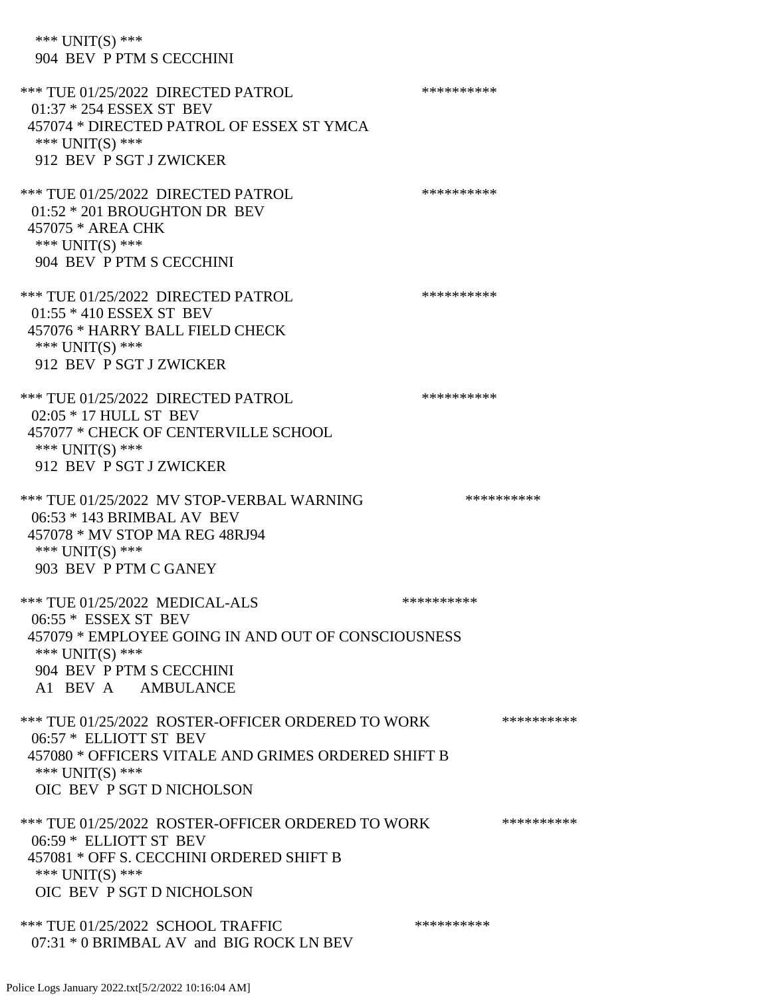\*\*\* UNIT(S) \*\*\* 904 BEV P PTM S CECCHINI \*\*\* TUE 01/25/2022 DIRECTED PATROL \*\*\*\*\*\*\*\*\*\* 01:37 \* 254 ESSEX ST BEV 457074 \* DIRECTED PATROL OF ESSEX ST YMCA \*\*\* UNIT(S) \*\*\* 912 BEV P SGT J ZWICKER \*\*\* TUE 01/25/2022 DIRECTED PATROL \*\*\*\*\*\*\*\*\*\* 01:52 \* 201 BROUGHTON DR BEV 457075 \* AREA CHK \*\*\* UNIT(S) \*\*\* 904 BEV P PTM S CECCHINI \*\*\* TUE 01/25/2022 DIRECTED PATROL \*\*\*\*\*\*\*\*\*\* 01:55 \* 410 ESSEX ST BEV 457076 \* HARRY BALL FIELD CHECK \*\*\* UNIT(S) \*\*\* 912 BEV P SGT J ZWICKER \*\*\* TUE 01/25/2022 DIRECTED PATROL \*\*\*\*\*\*\*\*\*\* 02:05 \* 17 HULL ST BEV 457077 \* CHECK OF CENTERVILLE SCHOOL \*\*\* UNIT(S) \*\*\* 912 BEV P SGT J ZWICKER \*\*\* TUE 01/25/2022 MV STOP-VERBAL WARNING \*\*\*\*\*\*\*\*\*\*\*\* 06:53 \* 143 BRIMBAL AV BEV 457078 \* MV STOP MA REG 48RJ94 \*\*\* UNIT(S) \*\*\* 903 BEV P PTM C GANEY \*\*\* TUE 01/25/2022 MEDICAL-ALS \*\*\*\*\*\*\*\*\*\*\*\*\* 06:55 \* ESSEX ST BEV 457079 \* EMPLOYEE GOING IN AND OUT OF CONSCIOUSNESS \*\*\* UNIT(S) \*\*\* 904 BEV P PTM S CECCHINI A1 BEV A AMBULANCE \*\*\* TUE 01/25/2022 ROSTER-OFFICER ORDERED TO WORK \*\*\*\*\*\*\*\*\*\*\* 06:57 \* ELLIOTT ST BEV 457080 \* OFFICERS VITALE AND GRIMES ORDERED SHIFT B \*\*\* UNIT(S) \*\*\* OIC BEV P SGT D NICHOLSON \*\*\* TUE 01/25/2022 ROSTER-OFFICER ORDERED TO WORK \*\*\*\*\*\*\*\*\*\*\* 06:59 \* ELLIOTT ST BEV 457081 \* OFF S. CECCHINI ORDERED SHIFT B \*\*\* UNIT(S) \*\*\* OIC BEV P SGT D NICHOLSON \*\*\* TUE 01/25/2022 SCHOOL TRAFFIC \*\*\*\*\*\*\*\*\*\*\*\*\*\* 07:31 \* 0 BRIMBAL AV and BIG ROCK LN BEV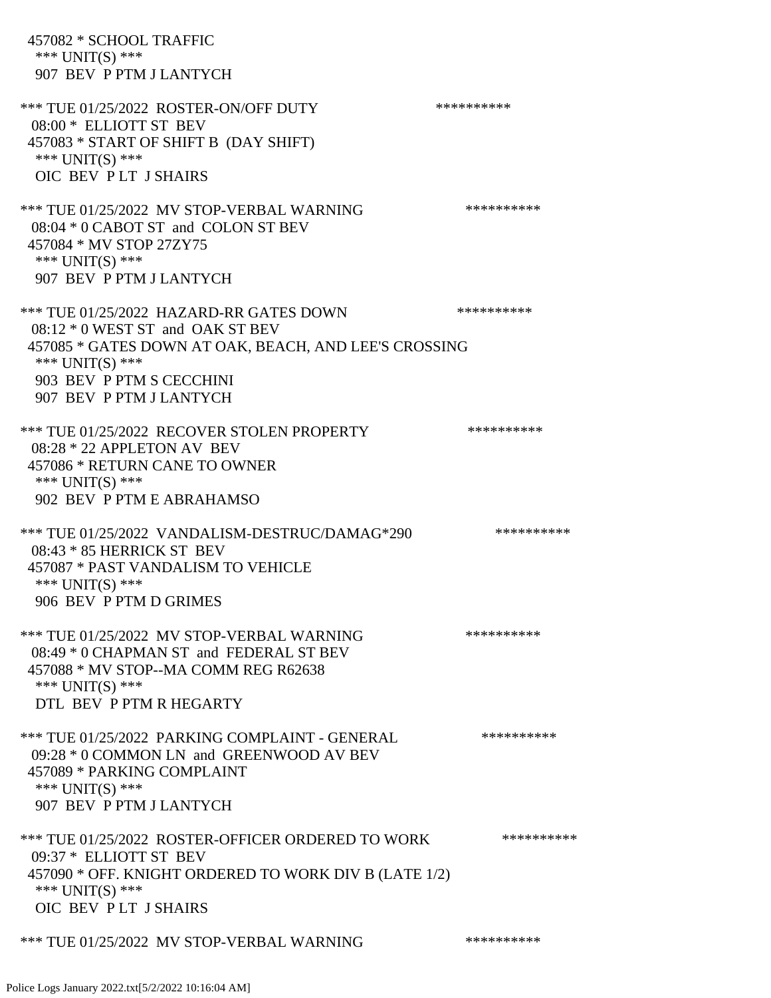| 457082 * SCHOOL TRAFFIC<br>*** $UNIT(S)$ ***<br>907 BEV P PTM J LANTYCH                                                                                                                                          |            |
|------------------------------------------------------------------------------------------------------------------------------------------------------------------------------------------------------------------|------------|
| *** TUE 01/25/2022 ROSTER-ON/OFF DUTY<br>08:00 * ELLIOTT ST BEV<br>457083 * START OF SHIFT B (DAY SHIFT)<br>*** UNIT(S) ***<br>OIC BEV PLT J SHAIRS                                                              | ********** |
| *** TUE 01/25/2022 MV STOP-VERBAL WARNING<br>08:04 * 0 CABOT ST and COLON ST BEV<br>457084 * MV STOP 27ZY75<br>*** UNIT(S) ***<br>907 BEV P PTM J LANTYCH                                                        | ********** |
| *** TUE 01/25/2022 HAZARD-RR GATES DOWN<br>$08:12 * 0$ WEST ST and OAK ST BEV<br>457085 * GATES DOWN AT OAK, BEACH, AND LEE'S CROSSING<br>*** UNIT(S) ***<br>903 BEV P PTM S CECCHINI<br>907 BEV P PTM J LANTYCH | ********** |
| *** TUE 01/25/2022 RECOVER STOLEN PROPERTY<br>08:28 * 22 APPLETON AV BEV<br>457086 * RETURN CANE TO OWNER<br>*** UNIT(S) ***<br>902 BEV P PTM E ABRAHAMSO                                                        | ********** |
| *** TUE 01/25/2022 VANDALISM-DESTRUC/DAMAG*290<br>08:43 * 85 HERRICK ST BEV<br>457087 * PAST VANDALISM TO VEHICLE<br>*** $UNIT(S)$ ***<br>906 BEV P PTM D GRIMES                                                 | ********** |
| *** TUE 01/25/2022 MV STOP-VERBAL WARNING<br>08:49 * 0 CHAPMAN ST and FEDERAL ST BEV<br>457088 * MV STOP--MA COMM REG R62638<br>*** $UNIT(S)$ ***<br>DTL BEV P PTM R HEGARTY                                     | ********** |
| *** TUE 01/25/2022 PARKING COMPLAINT - GENERAL<br>09:28 * 0 COMMON LN and GREENWOOD AV BEV<br>457089 * PARKING COMPLAINT<br>*** UNIT(S) ***<br>907 BEV P PTM J LANTYCH                                           | ********** |
| *** TUE 01/25/2022 ROSTER-OFFICER ORDERED TO WORK<br>09:37 * ELLIOTT ST BEV<br>457090 * OFF. KNIGHT ORDERED TO WORK DIV B (LATE 1/2)<br>*** UNIT(S) ***<br>OIC BEV PLT J SHAIRS                                  | ********** |
| *** TUE 01/25/2022 MV STOP-VERBAL WARNING                                                                                                                                                                        | ********** |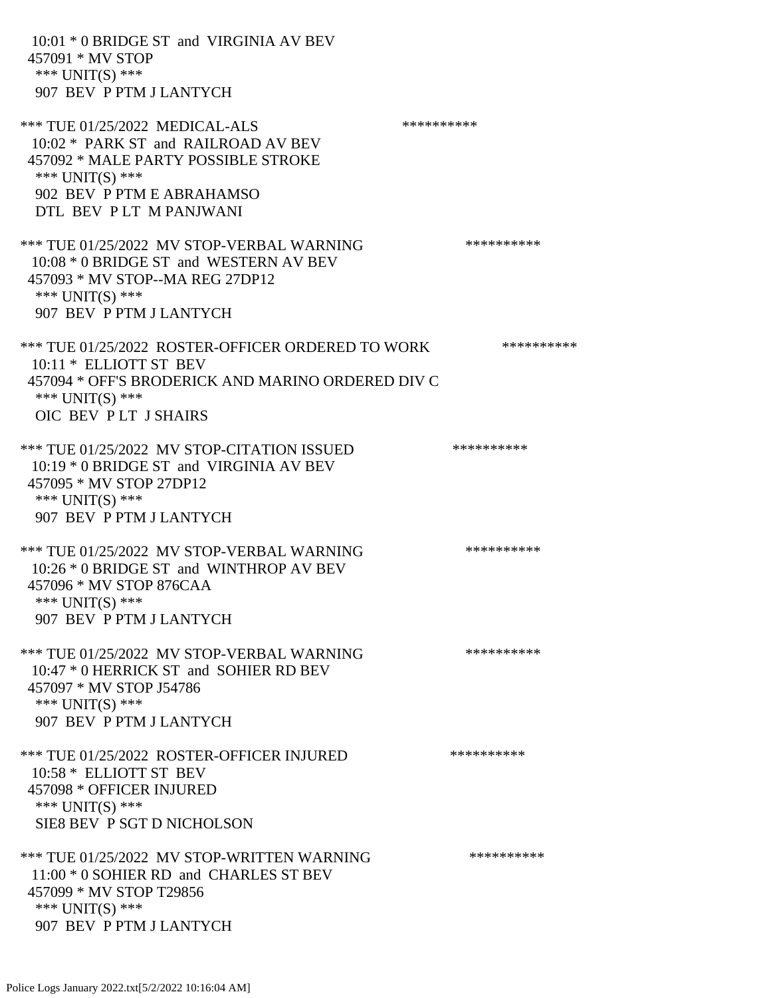| 10:01 * 0 BRIDGE ST and VIRGINIA AV BEV<br>457091 * MV STOP<br>*** $UNIT(S)$ ***<br>907 BEV P PTM J LANTYCH                                                                            |            |
|----------------------------------------------------------------------------------------------------------------------------------------------------------------------------------------|------------|
| *** TUE 01/25/2022 MEDICAL-ALS<br>10:02 * PARK ST and RAILROAD AV BEV<br>457092 * MALE PARTY POSSIBLE STROKE<br>*** UNIT(S) ***<br>902 BEV P PTM E ABRAHAMSO<br>DTL BEV PLT M PANJWANI | ********** |
| *** TUE 01/25/2022 MV STOP-VERBAL WARNING<br>10:08 * 0 BRIDGE ST and WESTERN AV BEV<br>457093 * MV STOP--MA REG 27DP12<br>*** UNIT(S) ***<br>907 BEV P PTM J LANTYCH                   | ********** |
| *** TUE 01/25/2022 ROSTER-OFFICER ORDERED TO WORK<br>10:11 * ELLIOTT ST BEV<br>457094 * OFF'S BRODERICK AND MARINO ORDERED DIV C<br>*** UNIT(S) ***<br>OIC BEV PLT J SHAIRS            | ********** |
| *** TUE 01/25/2022 MV STOP-CITATION ISSUED<br>10:19 * 0 BRIDGE ST and VIRGINIA AV BEV<br>457095 * MV STOP 27DP12<br>*** UNIT(S) ***<br>907 BEV P PTM J LANTYCH                         | ********** |
| *** TUE 01/25/2022 MV STOP-VERBAL WARNING<br>10:26 * 0 BRIDGE ST and WINTHROP AV BEV<br>457096 * MV STOP 876CAA<br>*** UNIT(S) ***<br>907 BEV P PTM J LANTYCH                          | ********** |
| *** TUE 01/25/2022 MV STOP-VERBAL WARNING<br>10:47 * 0 HERRICK ST and SOHIER RD BEV<br>457097 * MV STOP J54786<br>*** UNIT(S) ***<br>907 BEV P PTM J LANTYCH                           | ********** |
| *** TUE 01/25/2022 ROSTER-OFFICER INJURED<br>10:58 * ELLIOTT ST BEV<br>457098 * OFFICER INJURED<br>*** UNIT(S) ***<br>SIE8 BEV P SGT D NICHOLSON                                       | ********** |
| *** TUE 01/25/2022 MV STOP-WRITTEN WARNING<br>11:00 * 0 SOHIER RD and CHARLES ST BEV<br>457099 * MV STOP T29856<br>*** UNIT(S) ***<br>907 BEV P PTM J LANTYCH                          | ********** |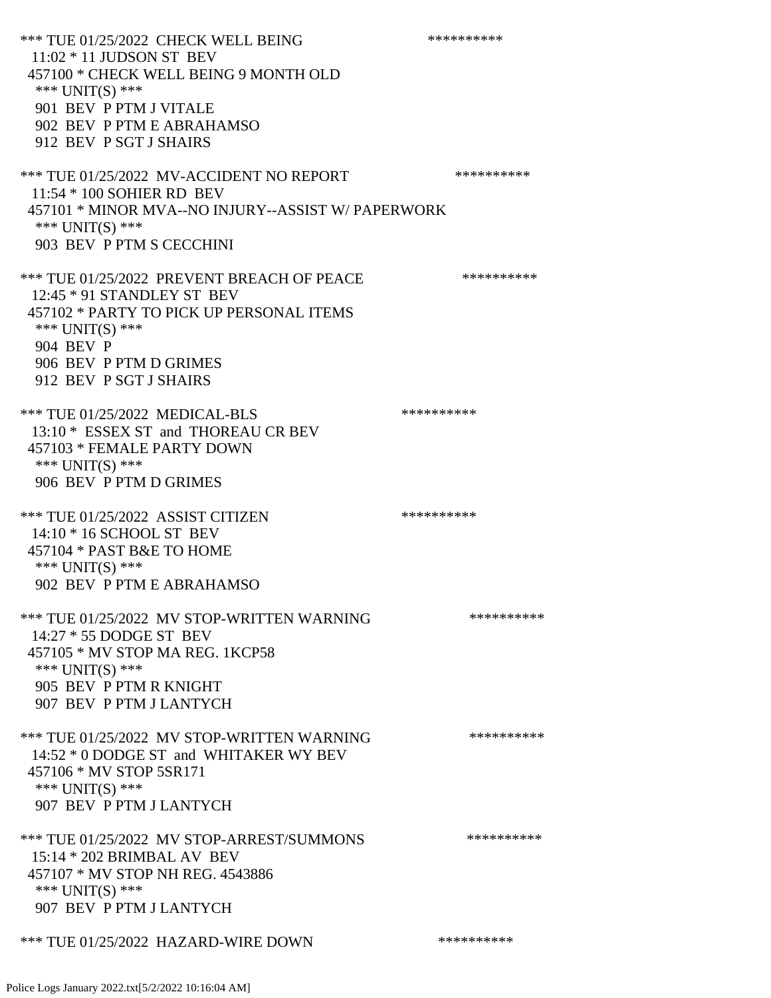\*\*\* TUE 01/25/2022 CHECK WELL BEING \*\*\*\*\*\*\*\*\*\* 11:02 \* 11 JUDSON ST BEV 457100 \* CHECK WELL BEING 9 MONTH OLD \*\*\* UNIT(S) \*\*\* 901 BEV P PTM J VITALE 902 BEV P PTM E ABRAHAMSO 912 BEV P SGT J SHAIRS \*\*\* TUE 01/25/2022 MV-ACCIDENT NO REPORT \*\*\*\*\*\*\*\*\*\*\*\* 11:54 \* 100 SOHIER RD BEV 457101 \* MINOR MVA--NO INJURY--ASSIST W/ PAPERWORK \*\*\* UNIT(S) \*\*\* 903 BEV P PTM S CECCHINI \*\*\* TUE 01/25/2022 PREVENT BREACH OF PEACE \*\*\*\*\*\*\*\*\*\*\*\* 12:45 \* 91 STANDLEY ST BEV 457102 \* PARTY TO PICK UP PERSONAL ITEMS \*\*\* UNIT(S) \*\*\* 904 BEV P 906 BEV P PTM D GRIMES 912 BEV P SGT J SHAIRS \*\*\* TUE 01/25/2022 MEDICAL-BLS \*\*\*\*\*\*\*\*\*\* 13:10 \* ESSEX ST and THOREAU CR BEV 457103 \* FEMALE PARTY DOWN \*\*\* UNIT(S) \*\*\* 906 BEV P PTM D GRIMES \*\*\* TUE 01/25/2022 ASSIST CITIZEN \*\*\*\*\*\*\*\*\*\* 14:10 \* 16 SCHOOL ST BEV 457104 \* PAST B&E TO HOME \*\*\* UNIT(S) \*\*\* 902 BEV P PTM E ABRAHAMSO \*\*\* TUE 01/25/2022 MV STOP-WRITTEN WARNING \*\*\*\*\*\*\*\*\*\*\*\* 14:27 \* 55 DODGE ST BEV 457105 \* MV STOP MA REG. 1KCP58 \*\*\* UNIT(S) \*\*\* 905 BEV P PTM R KNIGHT 907 BEV P PTM J LANTYCH \*\*\* TUE 01/25/2022 MV STOP-WRITTEN WARNING \*\*\*\*\*\*\*\*\*\*\*\*\* 14:52 \* 0 DODGE ST and WHITAKER WY BEV 457106 \* MV STOP 5SR171 \*\*\* UNIT(S) \*\*\* 907 BEV P PTM J LANTYCH \*\*\* TUE 01/25/2022 MV STOP-ARREST/SUMMONS \*\*\*\*\*\*\*\*\*\*\*\*\*\* 15:14 \* 202 BRIMBAL AV BEV 457107 \* MV STOP NH REG. 4543886 \*\*\* UNIT(S) \*\*\* 907 BEV P PTM J LANTYCH \*\*\* TUE 01/25/2022 HAZARD-WIRE DOWN \*\*\*\*\*\*\*\*\*\*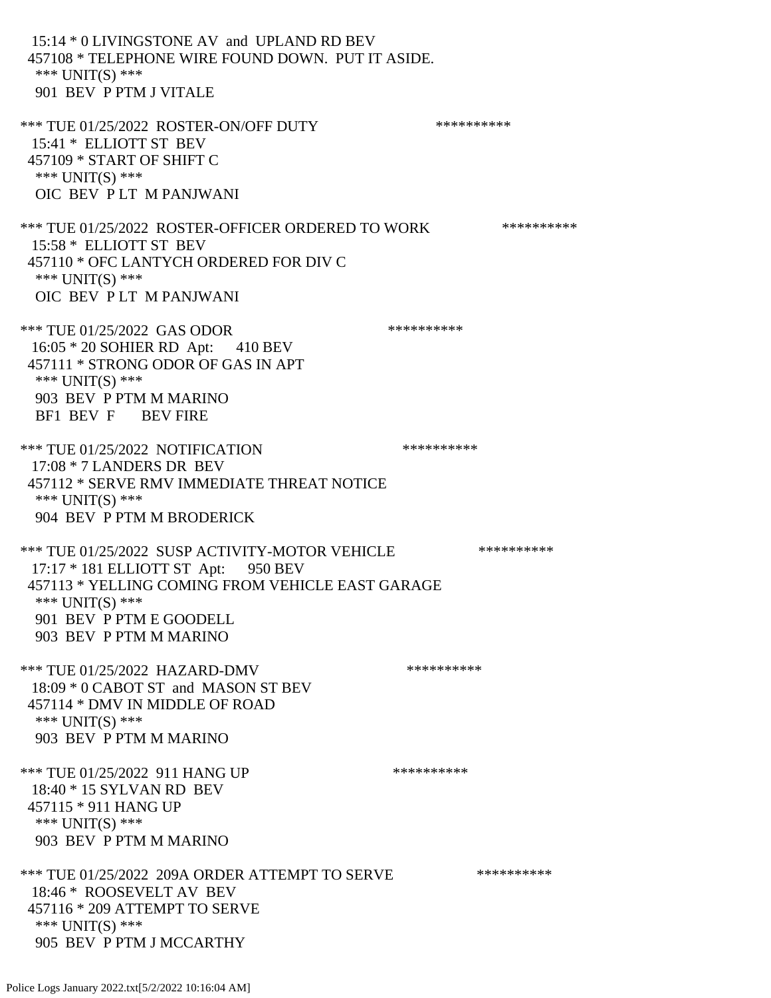15:14 \* 0 LIVINGSTONE AV and UPLAND RD BEV 457108 \* TELEPHONE WIRE FOUND DOWN. PUT IT ASIDE. \*\*\* UNIT(S) \*\*\* 901 BEV P PTM J VITALE \*\*\* TUE 01/25/2022 ROSTER-ON/OFF DUTY \*\*\*\*\*\*\*\*\*\* 15:41 \* ELLIOTT ST BEV 457109 \* START OF SHIFT C \*\*\* UNIT(S) \*\*\* OIC BEV P LT M PANJWANI \*\*\* TUE 01/25/2022 ROSTER-OFFICER ORDERED TO WORK \*\*\*\*\*\*\*\*\*\*\* 15:58 \* ELLIOTT ST BEV 457110 \* OFC LANTYCH ORDERED FOR DIV C \*\*\* UNIT(S) \*\*\* OIC BEV P LT M PANJWANI \*\*\* TUE 01/25/2022 GAS ODOR \*\*\*\*\*\*\*\*\*\*\* 16:05 \* 20 SOHIER RD Apt: 410 BEV 457111 \* STRONG ODOR OF GAS IN APT \*\*\* UNIT(S) \*\*\* 903 BEV P PTM M MARINO BF1 BEV F BEV FIRE \*\*\* TUE 01/25/2022 NOTIFICATION \*\*\*\*\*\*\*\*\*\*\*\* 17:08 \* 7 LANDERS DR BEV 457112 \* SERVE RMV IMMEDIATE THREAT NOTICE \*\*\* UNIT(S) \*\*\* 904 BEV P PTM M BRODERICK \*\*\* TUE 01/25/2022 SUSP ACTIVITY-MOTOR VEHICLE \*\*\*\*\*\*\*\*\*\* 17:17 \* 181 ELLIOTT ST Apt: 950 BEV 457113 \* YELLING COMING FROM VEHICLE EAST GARAGE \*\*\* UNIT(S) \*\*\* 901 BEV P PTM E GOODELL 903 BEV P PTM M MARINO \*\*\* TUE 01/25/2022 HAZARD-DMV \*\*\*\*\*\*\*\*\*\* 18:09 \* 0 CABOT ST and MASON ST BEV 457114 \* DMV IN MIDDLE OF ROAD \*\*\* UNIT(S) \*\*\* 903 BEV P PTM M MARINO \*\*\* TUE 01/25/2022 911 HANG UP \*\*\*\*\*\*\*\*\*\*\*\*\* 18:40 \* 15 SYLVAN RD BEV 457115 \* 911 HANG UP \*\*\* UNIT(S) \*\*\* 903 BEV P PTM M MARINO \*\*\* TUE 01/25/2022 209A ORDER ATTEMPT TO SERVE \*\*\*\*\*\*\*\*\*\* 18:46 \* ROOSEVELT AV BEV 457116 \* 209 ATTEMPT TO SERVE \*\*\* UNIT(S) \*\*\* 905 BEV P PTM J MCCARTHY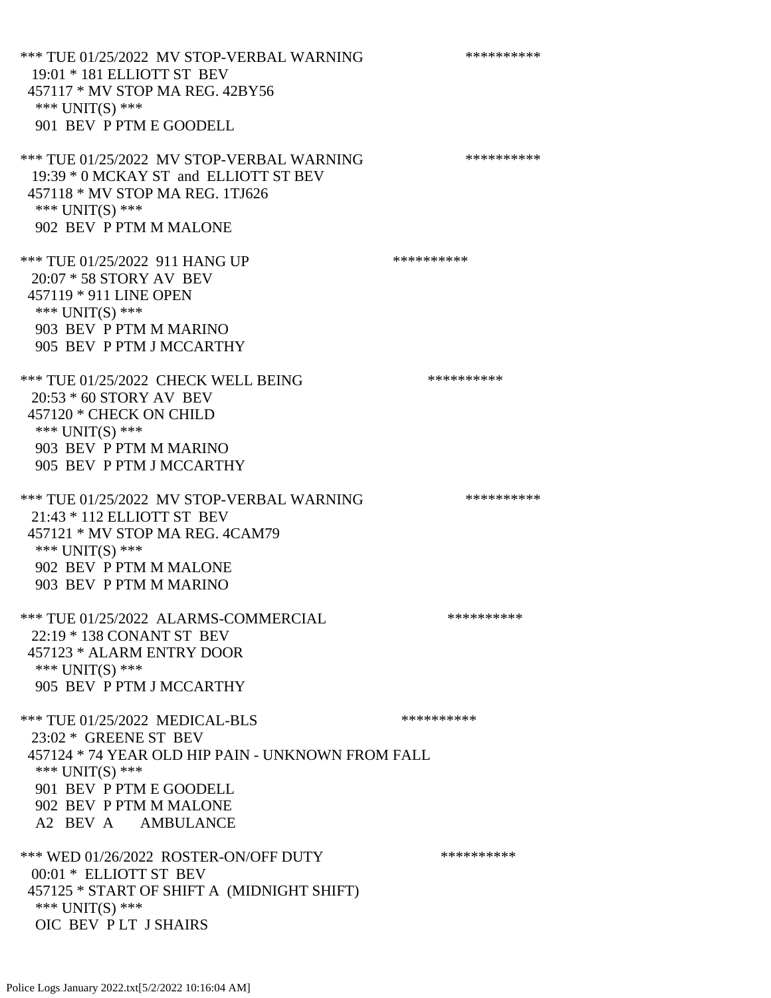\*\*\* TUE 01/25/2022 MV STOP-VERBAL WARNING \*\*\*\*\*\*\*\*\*\*\*\*\* 19:01 \* 181 ELLIOTT ST BEV 457117 \* MV STOP MA REG. 42BY56 \*\*\* UNIT(S) \*\*\* 901 BEV P PTM E GOODELL \*\*\* TUE 01/25/2022 MV STOP-VERBAL WARNING \*\*\*\*\*\*\*\*\*\*\*\*\* 19:39 \* 0 MCKAY ST and ELLIOTT ST BEV 457118 \* MV STOP MA REG. 1TJ626 \*\*\* UNIT(S) \*\*\* 902 BEV P PTM M MALONE \*\*\* TUE 01/25/2022 911 HANG UP \*\*\*\*\*\*\*\*\*\*\*\*\* 20:07 \* 58 STORY AV BEV 457119 \* 911 LINE OPEN \*\*\* UNIT(S) \*\*\* 903 BEV P PTM M MARINO 905 BEV P PTM J MCCARTHY \*\*\* TUE 01/25/2022 CHECK WELL BEING \*\*\*\*\*\*\*\*\*\* 20:53 \* 60 STORY AV BEV 457120 \* CHECK ON CHILD \*\*\* UNIT(S) \*\*\* 903 BEV P PTM M MARINO 905 BEV P PTM J MCCARTHY \*\*\* TUE 01/25/2022 MV STOP-VERBAL WARNING \*\*\*\*\*\*\*\*\*\*\*\*\* 21:43 \* 112 ELLIOTT ST BEV 457121 \* MV STOP MA REG. 4CAM79 \*\*\* UNIT(S) \*\*\* 902 BEV P PTM M MALONE 903 BEV P PTM M MARINO \*\*\* TUE 01/25/2022 ALARMS-COMMERCIAL \*\*\*\*\*\*\*\*\*\* 22:19 \* 138 CONANT ST BEV 457123 \* ALARM ENTRY DOOR \*\*\* UNIT(S) \*\*\* 905 BEV P PTM J MCCARTHY \*\*\* TUE 01/25/2022 MEDICAL-BLS \*\*\*\*\*\*\*\*\*\*\*\* 23:02 \* GREENE ST BEV 457124 \* 74 YEAR OLD HIP PAIN - UNKNOWN FROM FALL \*\*\* UNIT(S) \*\*\* 901 BEV P PTM E GOODELL 902 BEV P PTM M MALONE A2 BEV A AMBULANCE \*\*\* WED 01/26/2022 ROSTER-ON/OFF DUTY \*\*\*\*\*\*\*\*\*\* 00:01 \* ELLIOTT ST BEV 457125 \* START OF SHIFT A (MIDNIGHT SHIFT) \*\*\* UNIT(S) \*\*\* OIC BEV P LT J SHAIRS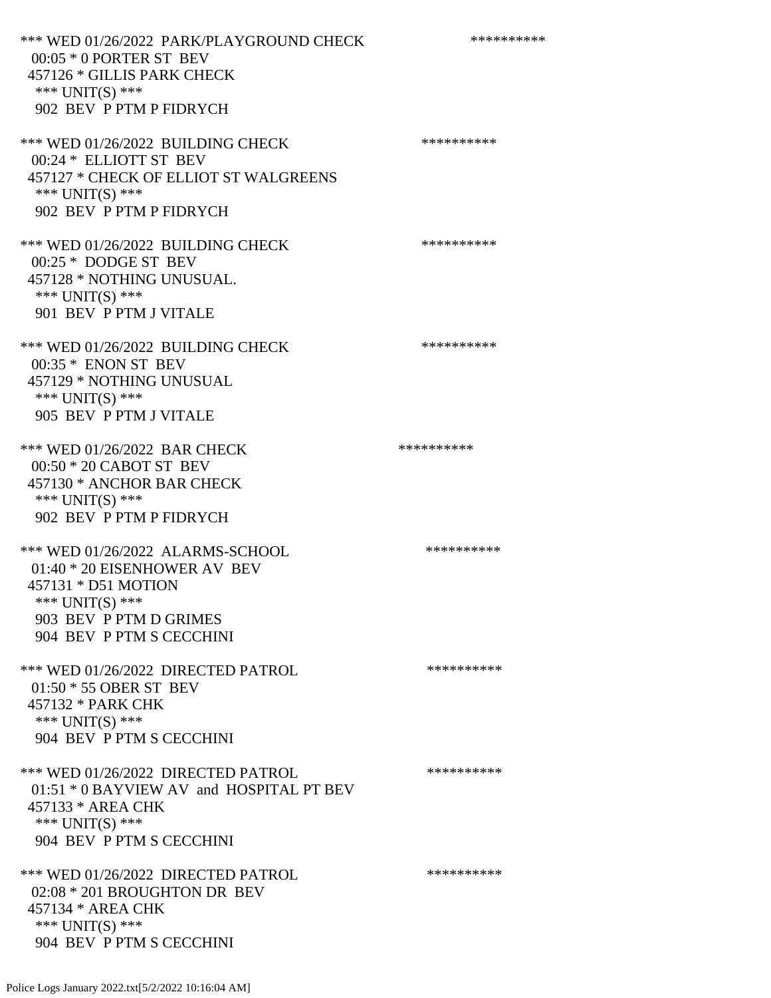\*\*\* WED 01/26/2022 PARK/PLAYGROUND CHECK \*\*\*\*\*\*\*\*\*\*\*\* 00:05 \* 0 PORTER ST BEV 457126 \* GILLIS PARK CHECK \*\*\* UNIT(S) \*\*\* 902 BEV P PTM P FIDRYCH \*\*\* WED 01/26/2022 BUILDING CHECK \*\*\*\*\*\*\*\*\*\*\*\*\* 00:24 \* ELLIOTT ST BEV 457127 \* CHECK OF ELLIOT ST WALGREENS \*\*\* UNIT(S) \*\*\* 902 BEV P PTM P FIDRYCH \*\*\* WED 01/26/2022 BUILDING CHECK \*\*\*\*\*\*\*\*\*\*\* 00:25 \* DODGE ST BEV 457128 \* NOTHING UNUSUAL. \*\*\* UNIT(S) \*\*\* 901 BEV P PTM J VITALE \*\*\* WED 01/26/2022 BUILDING CHECK \*\*\*\*\*\*\*\*\*\*\* 00:35 \* ENON ST BEV 457129 \* NOTHING UNUSUAL \*\*\* UNIT(S) \*\*\* 905 BEV P PTM J VITALE \*\*\* WED 01/26/2022 BAR CHECK \*\*\*\*\*\*\*\*\*\*\*\* 00:50 \* 20 CABOT ST BEV 457130 \* ANCHOR BAR CHECK \*\*\* UNIT(S) \*\*\* 902 BEV P PTM P FIDRYCH \*\*\* WED 01/26/2022 ALARMS-SCHOOL \*\*\*\*\*\*\*\*\*\*\*\* 01:40 \* 20 EISENHOWER AV BEV 457131 \* D51 MOTION \*\*\* UNIT(S) \*\*\* 903 BEV P PTM D GRIMES 904 BEV P PTM S CECCHINI \*\*\* WED 01/26/2022 DIRECTED PATROL \*\*\*\*\*\*\*\*\*\* 01:50 \* 55 OBER ST BEV 457132 \* PARK CHK \*\*\* UNIT(S) \*\*\* 904 BEV P PTM S CECCHINI \*\*\* WED 01/26/2022 DIRECTED PATROL \*\*\*\*\*\*\*\*\*\* 01:51 \* 0 BAYVIEW AV and HOSPITAL PT BEV 457133 \* AREA CHK \*\*\* UNIT(S) \*\*\* 904 BEV P PTM S CECCHINI \*\*\* WED 01/26/2022 DIRECTED PATROL \*\*\*\*\*\*\*\*\*\* 02:08 \* 201 BROUGHTON DR BEV 457134 \* AREA CHK \*\*\* UNIT(S) \*\*\* 904 BEV P PTM S CECCHINI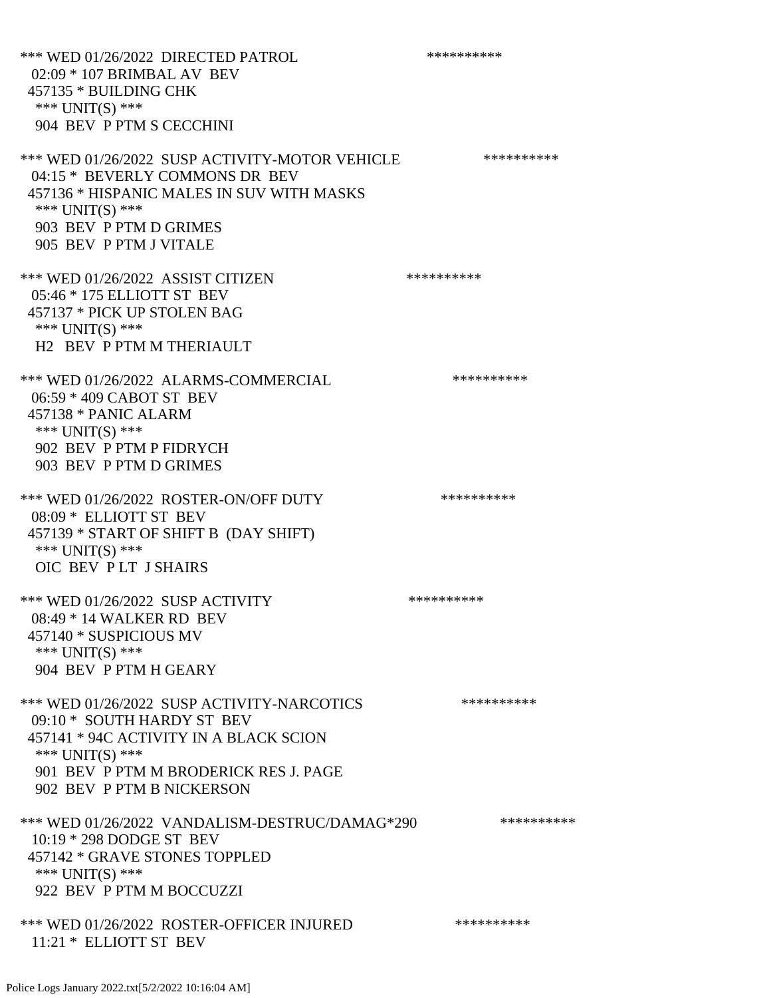\*\*\* WED 01/26/2022 DIRECTED PATROL \*\*\*\*\*\*\*\*\*\* 02:09 \* 107 BRIMBAL AV BEV 457135 \* BUILDING CHK \*\*\* UNIT(S) \*\*\* 904 BEV P PTM S CECCHINI \*\*\* WED 01/26/2022 SUSP ACTIVITY-MOTOR VEHICLE \*\*\*\*\*\*\*\*\*\*\*\* 04:15 \* BEVERLY COMMONS DR BEV 457136 \* HISPANIC MALES IN SUV WITH MASKS \*\*\* UNIT(S) \*\*\* 903 BEV P PTM D GRIMES 905 BEV P PTM J VITALE \*\*\* WED 01/26/2022 ASSIST CITIZEN \*\*\*\*\*\*\*\*\*\*\*\* 05:46 \* 175 ELLIOTT ST BEV 457137 \* PICK UP STOLEN BAG \*\*\* UNIT(S) \*\*\* H2 BEV P PTM M THERIAULT \*\*\* WED 01/26/2022 ALARMS-COMMERCIAL \*\*\*\*\*\*\*\*\*\*\*\* 06:59 \* 409 CABOT ST BEV 457138 \* PANIC ALARM \*\*\* UNIT(S) \*\*\* 902 BEV P PTM P FIDRYCH 903 BEV P PTM D GRIMES \*\*\* WED 01/26/2022 ROSTER-ON/OFF DUTY \*\*\*\*\*\*\*\*\*\* 08:09 \* ELLIOTT ST BEV 457139 \* START OF SHIFT B (DAY SHIFT) \*\*\* UNIT(S) \*\*\* OIC BEV P LT J SHAIRS \*\*\* WED 01/26/2022 SUSP ACTIVITY \*\*\*\*\*\*\*\*\*\*\*\* 08:49 \* 14 WALKER RD BEV 457140 \* SUSPICIOUS MV \*\*\* UNIT(S) \*\*\* 904 BEV P PTM H GEARY \*\*\* WED 01/26/2022 SUSP ACTIVITY-NARCOTICS \*\*\*\*\*\*\*\*\*\*\*\* 09:10 \* SOUTH HARDY ST BEV 457141 \* 94C ACTIVITY IN A BLACK SCION \*\*\* UNIT(S) \*\*\* 901 BEV P PTM M BRODERICK RES J. PAGE 902 BEV P PTM B NICKERSON \*\*\* WED 01/26/2022 VANDALISM-DESTRUC/DAMAG\*290 \*\*\*\*\*\*\*\*\*\* 10:19 \* 298 DODGE ST BEV 457142 \* GRAVE STONES TOPPLED \*\*\* UNIT(S) \*\*\* 922 BEV P PTM M BOCCUZZI \*\*\* WED 01/26/2022 ROSTER-OFFICER INJURED \*\*\*\*\*\*\*\*\*\* 11:21 \* ELLIOTT ST BEV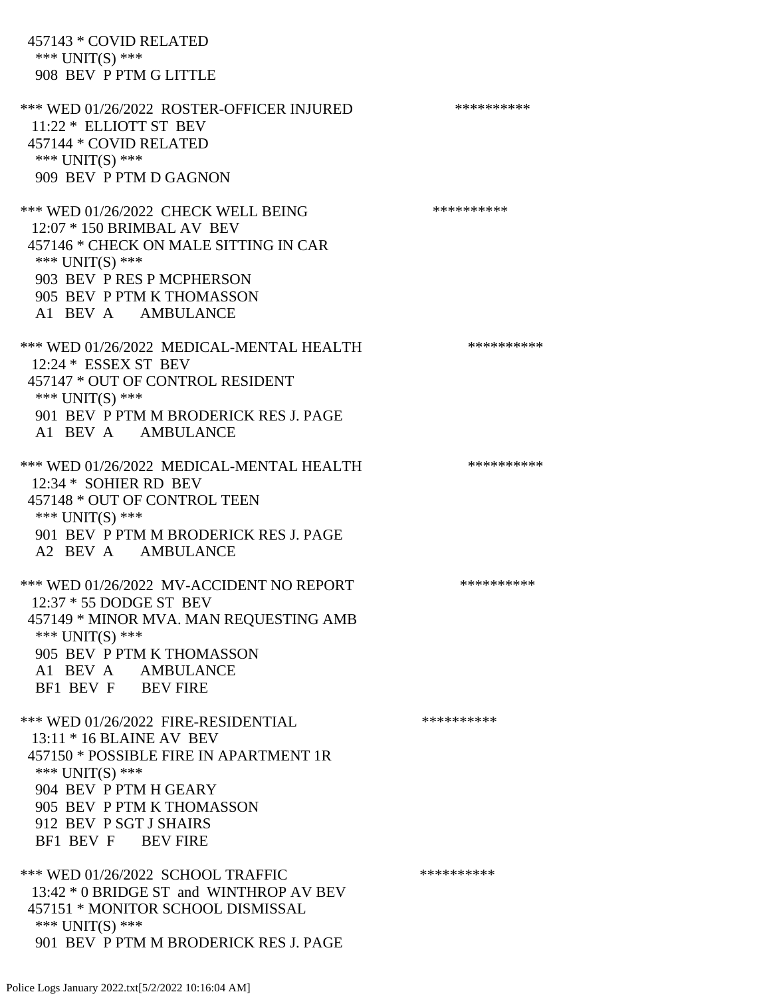457143 \* COVID RELATED \*\*\* UNIT(S) \*\*\* 908 BEV P PTM G LITTLE \*\*\* WED 01/26/2022 ROSTER-OFFICER INJURED \*\*\*\*\*\*\*\*\*\* 11:22 \* ELLIOTT ST BEV 457144 \* COVID RELATED \*\*\* UNIT(S) \*\*\* 909 BEV P PTM D GAGNON \*\*\* WED 01/26/2022 CHECK WELL BEING \*\*\*\*\*\*\*\*\*\* 12:07 \* 150 BRIMBAL AV BEV 457146 \* CHECK ON MALE SITTING IN CAR \*\*\* UNIT(S) \*\*\* 903 BEV P RES P MCPHERSON 905 BEV P PTM K THOMASSON A1 BEV A AMBULANCE \*\*\* WED 01/26/2022 MEDICAL-MENTAL HEALTH \*\*\*\*\*\*\*\*\*\*\* 12:24 \* ESSEX ST BEV 457147 \* OUT OF CONTROL RESIDENT \*\*\* UNIT(S) \*\*\* 901 BEV P PTM M BRODERICK RES J. PAGE A1 BEV A AMBULANCE \*\*\* WED 01/26/2022 MEDICAL-MENTAL HEALTH \*\*\*\*\*\*\*\*\*\* 12:34 \* SOHIER RD BEV 457148 \* OUT OF CONTROL TEEN \*\*\* UNIT(S) \*\*\* 901 BEV P PTM M BRODERICK RES J. PAGE A2 BEV A AMBULANCE \*\*\* WED 01/26/2022 MV-ACCIDENT NO REPORT \*\*\*\*\*\*\*\*\*\*\*\* 12:37 \* 55 DODGE ST BEV 457149 \* MINOR MVA. MAN REQUESTING AMB \*\*\* UNIT(S) \*\*\* 905 BEV P PTM K THOMASSON A1 BEV A AMBULANCE BF1 BEV F BEV FIRE \*\*\* WED 01/26/2022 FIRE-RESIDENTIAL \*\*\*\*\*\*\*\*\*\* 13:11 \* 16 BLAINE AV BEV 457150 \* POSSIBLE FIRE IN APARTMENT 1R \*\*\* UNIT(S) \*\*\* 904 BEV P PTM H GEARY 905 BEV P PTM K THOMASSON 912 BEV P SGT J SHAIRS BF1 BEV F BEV FIRE \*\*\* WED 01/26/2022 SCHOOL TRAFFIC \*\*\*\*\*\*\*\*\*\*\*\*\* 13:42 \* 0 BRIDGE ST and WINTHROP AV BEV 457151 \* MONITOR SCHOOL DISMISSAL \*\*\* UNIT(S) \*\*\* 901 BEV P PTM M BRODERICK RES J. PAGE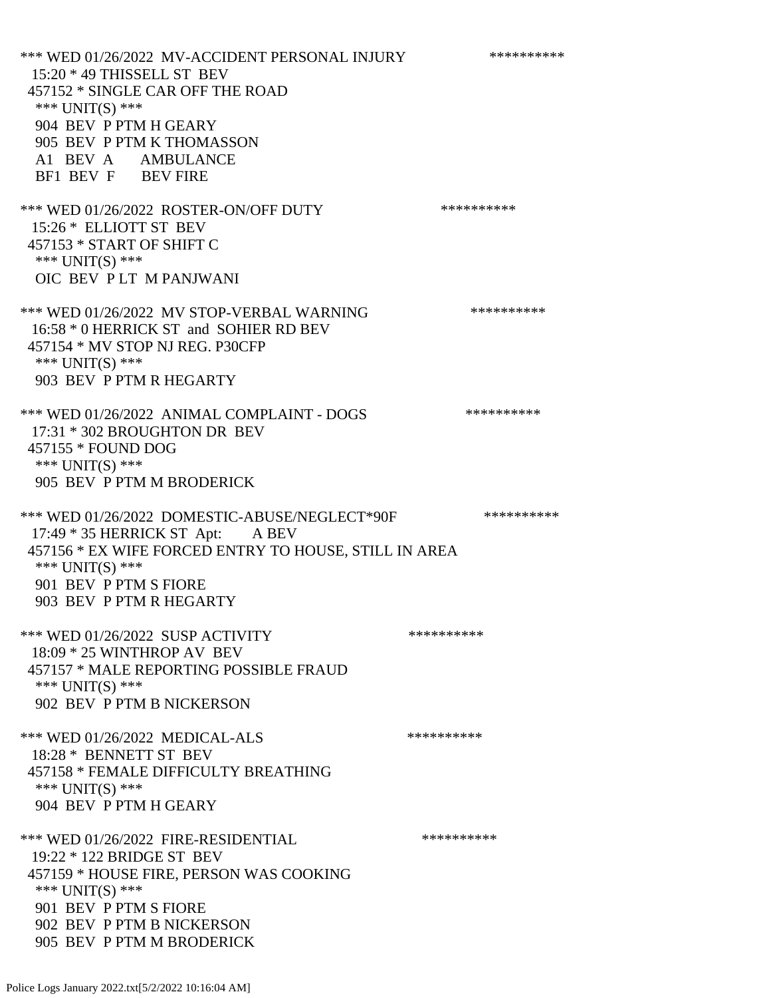\*\*\* WED 01/26/2022 MV-ACCIDENT PERSONAL INJURY \*\*\*\*\*\*\*\*\*\* 15:20 \* 49 THISSELL ST BEV 457152 \* SINGLE CAR OFF THE ROAD \*\*\* UNIT(S) \*\*\* 904 BEV P PTM H GEARY 905 BEV P PTM K THOMASSON A1 BEV A AMBULANCE BF1 BEV F BEV FIRE \*\*\* WED 01/26/2022 ROSTER-ON/OFF DUTY \*\*\*\*\*\*\*\*\*\*\*\* 15:26 \* ELLIOTT ST BEV 457153 \* START OF SHIFT C \*\*\* UNIT(S) \*\*\* OIC BEV P LT M PANJWANI \*\*\* WED 01/26/2022 MV STOP-VERBAL WARNING \*\*\*\*\*\*\*\*\*\*\*\*\* 16:58 \* 0 HERRICK ST and SOHIER RD BEV 457154 \* MV STOP NJ REG. P30CFP \*\*\* UNIT(S) \*\*\* 903 BEV P PTM R HEGARTY \*\*\* WED 01/26/2022 ANIMAL COMPLAINT - DOGS \*\*\*\*\*\*\*\*\*\*\*\* 17:31 \* 302 BROUGHTON DR BEV 457155 \* FOUND DOG \*\*\* UNIT(S) \*\*\* 905 BEV P PTM M BRODERICK \*\*\* WED 01/26/2022 DOMESTIC-ABUSE/NEGLECT\*90F \*\*\*\*\*\*\*\*\*\* 17:49 \* 35 HERRICK ST Apt: A BEV 457156 \* EX WIFE FORCED ENTRY TO HOUSE, STILL IN AREA \*\*\* UNIT(S) \*\*\* 901 BEV P PTM S FIORE 903 BEV P PTM R HEGARTY \*\*\* WED 01/26/2022 SUSP ACTIVITY \*\*\*\*\*\*\*\*\*\*\*\*\* 18:09 \* 25 WINTHROP AV BEV 457157 \* MALE REPORTING POSSIBLE FRAUD \*\*\* UNIT(S) \*\*\* 902 BEV P PTM B NICKERSON \*\*\* WED 01/26/2022 MEDICAL-ALS \*\*\*\*\*\*\*\*\*\*\*\*\* 18:28 \* BENNETT ST BEV 457158 \* FEMALE DIFFICULTY BREATHING \*\*\* UNIT(S) \*\*\* 904 BEV P PTM H GEARY \*\*\* WED 01/26/2022 FIRE-RESIDENTIAL \*\*\*\*\*\*\*\*\*\* 19:22 \* 122 BRIDGE ST BEV 457159 \* HOUSE FIRE, PERSON WAS COOKING \*\*\* UNIT(S) \*\*\* 901 BEV P PTM S FIORE 902 BEV P PTM B NICKERSON 905 BEV P PTM M BRODERICK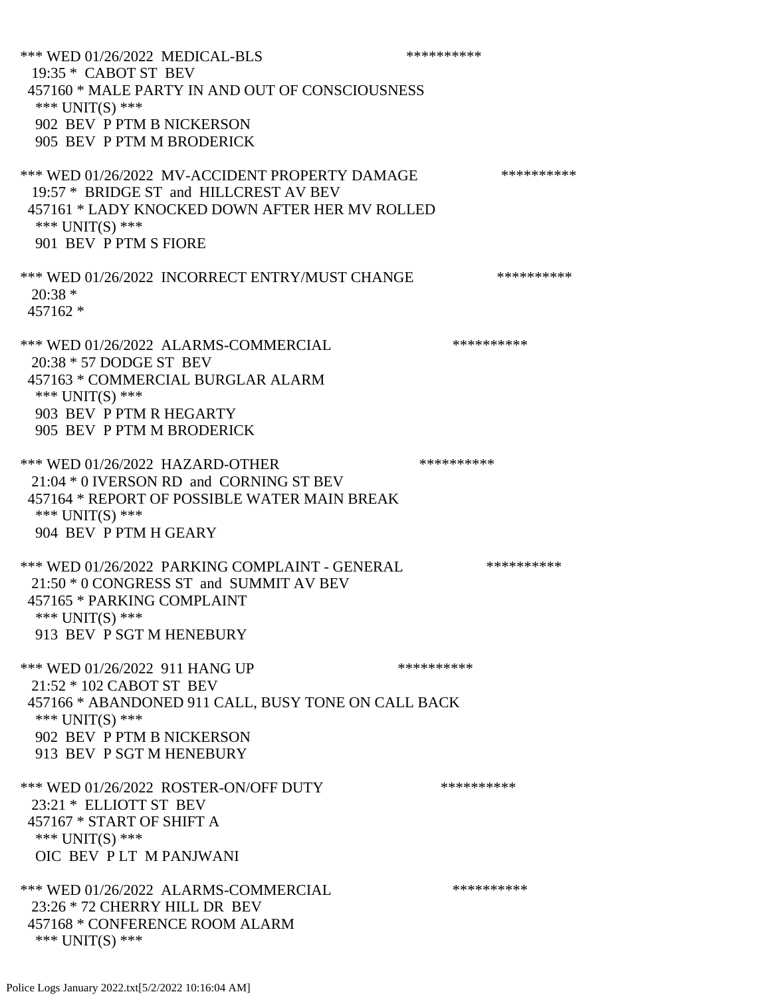\*\*\* WED 01/26/2022 MEDICAL-BLS \*\*\*\*\*\*\*\*\*\*\*\* 19:35 \* CABOT ST BEV 457160 \* MALE PARTY IN AND OUT OF CONSCIOUSNESS \*\*\* UNIT(S) \*\*\* 902 BEV P PTM B NICKERSON 905 BEV P PTM M BRODERICK \*\*\* WED 01/26/2022 MV-ACCIDENT PROPERTY DAMAGE \*\*\*\*\*\*\*\*\*\*\*\* 19:57 \* BRIDGE ST and HILLCREST AV BEV 457161 \* LADY KNOCKED DOWN AFTER HER MV ROLLED \*\*\* UNIT(S) \*\*\* 901 BEV P PTM S FIORE \*\*\* WED 01/26/2022 INCORRECT ENTRY/MUST CHANGE \*\*\*\*\*\*\*\*\*\*\*\* 20:38 \* 457162 \* \*\*\* WED 01/26/2022 ALARMS-COMMERCIAL \*\*\*\*\*\*\*\*\*\* 20:38 \* 57 DODGE ST BEV 457163 \* COMMERCIAL BURGLAR ALARM \*\*\* UNIT(S) \*\*\* 903 BEV P PTM R HEGARTY 905 BEV P PTM M BRODERICK \*\*\* WED 01/26/2022 HAZARD-OTHER \*\*\*\*\*\*\*\*\*\*\*\*\* 21:04 \* 0 IVERSON RD and CORNING ST BEV 457164 \* REPORT OF POSSIBLE WATER MAIN BREAK \*\*\* UNIT(S) \*\*\* 904 BEV P PTM H GEARY \*\*\* WED 01/26/2022 PARKING COMPLAINT - GENERAL \*\*\*\*\*\*\*\*\*\* 21:50 \* 0 CONGRESS ST and SUMMIT AV BEV 457165 \* PARKING COMPLAINT \*\*\* UNIT(S) \*\*\* 913 BEV P SGT M HENEBURY \*\*\* WED 01/26/2022 911 HANG UP \*\*\*\*\*\*\*\*\*\*\*\* 21:52 \* 102 CABOT ST BEV 457166 \* ABANDONED 911 CALL, BUSY TONE ON CALL BACK \*\*\* UNIT(S) \*\*\* 902 BEV P PTM B NICKERSON 913 BEV P SGT M HENEBURY \*\*\* WED 01/26/2022 ROSTER-ON/OFF DUTY \*\*\*\*\*\*\*\*\*\* 23:21 \* ELLIOTT ST BEV 457167 \* START OF SHIFT A \*\*\* UNIT(S) \*\*\* OIC BEV P LT M PANJWANI \*\*\* WED 01/26/2022 ALARMS-COMMERCIAL \*\*\*\*\*\*\*\*\*\* 23:26 \* 72 CHERRY HILL DR BEV 457168 \* CONFERENCE ROOM ALARM \*\*\* UNIT(S) \*\*\*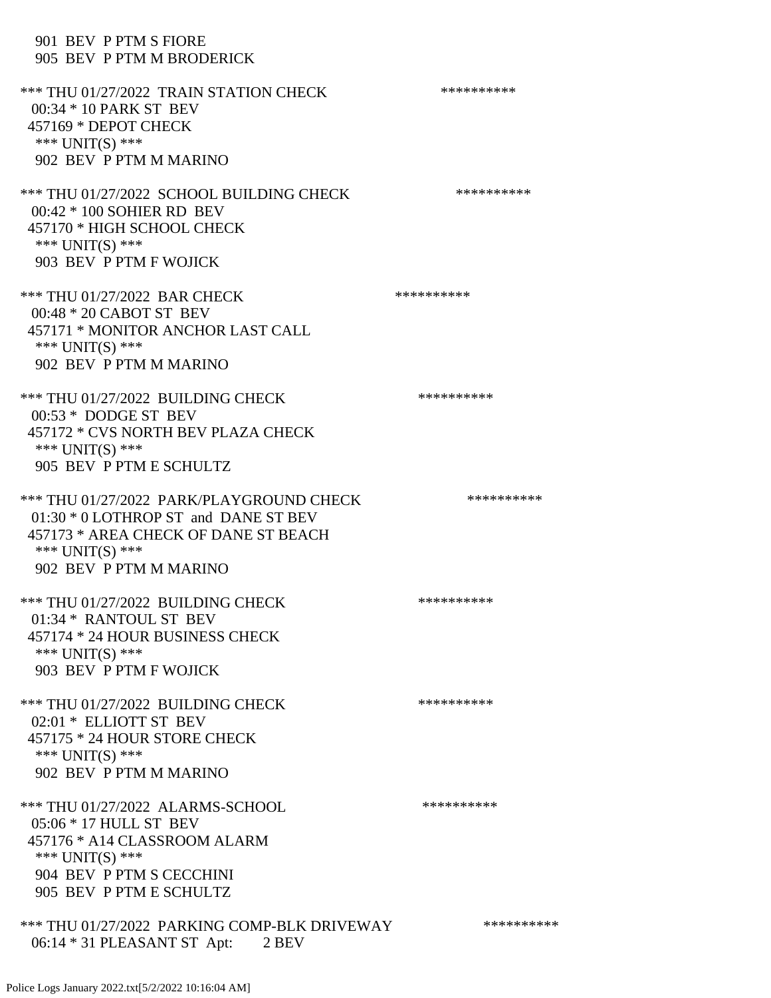## 901 BEV P PTM S FIORE 905 BEV P PTM M BRODERICK

\*\*\* THU 01/27/2022 TRAIN STATION CHECK \*\*\*\*\*\*\*\*\*\*\*\* 00:34 \* 10 PARK ST BEV 457169 \* DEPOT CHECK \*\*\* UNIT(S) \*\*\* 902 BEV P PTM M MARINO \*\*\* THU 01/27/2022 SCHOOL BUILDING CHECK \*\*\*\*\*\*\*\*\*\*\* 00:42 \* 100 SOHIER RD BEV 457170 \* HIGH SCHOOL CHECK \*\*\* UNIT(S) \*\*\* 903 BEV P PTM F WOJICK \*\*\* THU 01/27/2022 BAR CHECK \*\*\*\*\*\*\*\*\*\*\*\*\*\* 00:48 \* 20 CABOT ST BEV 457171 \* MONITOR ANCHOR LAST CALL \*\*\* UNIT(S) \*\*\* 902 BEV P PTM M MARINO \*\*\* THU 01/27/2022 BUILDING CHECK \*\*\*\*\*\*\*\*\*\*\*\* 00:53 \* DODGE ST BEV 457172 \* CVS NORTH BEV PLAZA CHECK \*\*\* UNIT(S) \*\*\* 905 BEV P PTM E SCHULTZ \*\*\* THU 01/27/2022 PARK/PLAYGROUND CHECK \*\*\*\*\*\*\*\*\*\*\*\* 01:30 \* 0 LOTHROP ST and DANE ST BEV 457173 \* AREA CHECK OF DANE ST BEACH \*\*\* UNIT(S) \*\*\* 902 BEV P PTM M MARINO \*\*\* THU 01/27/2022 BUILDING CHECK \*\*\*\*\*\*\*\*\*\*\*\* 01:34 \* RANTOUL ST BEV 457174 \* 24 HOUR BUSINESS CHECK \*\*\* UNIT(S) \*\*\* 903 BEV P PTM F WOJICK \*\*\* THU 01/27/2022 BUILDING CHECK \*\*\*\*\*\*\*\*\*\*\*\* 02:01 \* ELLIOTT ST BEV 457175 \* 24 HOUR STORE CHECK \*\*\* UNIT(S) \*\*\* 902 BEV P PTM M MARINO \*\*\* THU 01/27/2022 ALARMS-SCHOOL \*\*\*\*\*\*\*\*\*\* 05:06 \* 17 HULL ST BEV 457176 \* A14 CLASSROOM ALARM \*\*\* UNIT(S) \*\*\* 904 BEV P PTM S CECCHINI 905 BEV P PTM E SCHULTZ \*\*\* THU 01/27/2022 PARKING COMP-BLK DRIVEWAY \*\*\*\*\*\*\*\*\*\*\*\* 06:14 \* 31 PLEASANT ST Apt: 2 BEV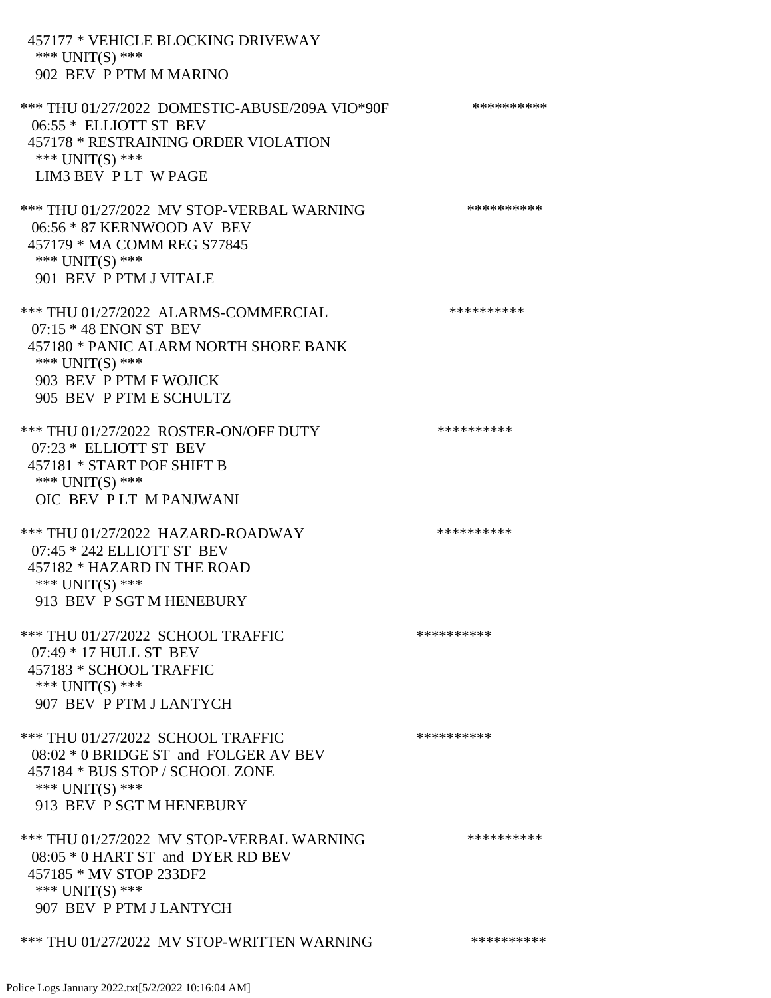| 457177 * VEHICLE BLOCKING DRIVEWAY<br>*** $UNIT(S)$ ***<br>902 BEV P PTM M MARINO                                                                                                   |            |
|-------------------------------------------------------------------------------------------------------------------------------------------------------------------------------------|------------|
| *** THU 01/27/2022 DOMESTIC-ABUSE/209A VIO*90F<br>06:55 * ELLIOTT ST BEV<br>457178 * RESTRAINING ORDER VIOLATION<br>*** $UNIT(S)$ ***<br>LIM3 BEV PLT WPAGE                         | ********** |
| *** THU 01/27/2022 MV STOP-VERBAL WARNING<br>06:56 * 87 KERNWOOD AV BEV<br>457179 * MA COMM REG S77845<br>*** UNIT(S) ***<br>901 BEV P PTM J VITALE                                 | ********** |
| *** THU 01/27/2022 ALARMS-COMMERCIAL<br>$07:15 * 48$ ENON ST BEV<br>457180 * PANIC ALARM NORTH SHORE BANK<br>*** $UNIT(S)$ ***<br>903 BEV P PTM F WOJICK<br>905 BEV P PTM E SCHULTZ | ********** |
| *** THU 01/27/2022 ROSTER-ON/OFF DUTY<br>07:23 * ELLIOTT ST BEV<br>457181 * START POF SHIFT B<br>*** UNIT(S) ***<br>OIC BEV PLT M PANJWANI                                          | ********** |
| *** THU 01/27/2022 HAZARD-ROADWAY<br>07:45 * 242 ELLIOTT ST BEV<br>457182 * HAZARD IN THE ROAD<br>*** UNIT(S) ***<br>913 BEV P SGT M HENEBURY                                       | ********** |
| *** THU 01/27/2022 SCHOOL TRAFFIC<br>07:49 * 17 HULL ST BEV<br>457183 * SCHOOL TRAFFIC<br>*** UNIT(S) ***<br>907 BEV P PTM J LANTYCH                                                | ********** |
| *** THU 01/27/2022 SCHOOL TRAFFIC<br>08:02 * 0 BRIDGE ST and FOLGER AV BEV<br>457184 * BUS STOP / SCHOOL ZONE<br>*** UNIT(S) ***<br>913 BEV P SGT M HENEBURY                        | ********** |
| *** THU 01/27/2022 MV STOP-VERBAL WARNING<br>08:05 * 0 HART ST and DYER RD BEV<br>457185 * MV STOP 233DF2<br>*** $UNIT(S)$ ***<br>907 BEV P PTM J LANTYCH                           | ********** |
| *** THU 01/27/2022 MV STOP-WRITTEN WARNING                                                                                                                                          | ********** |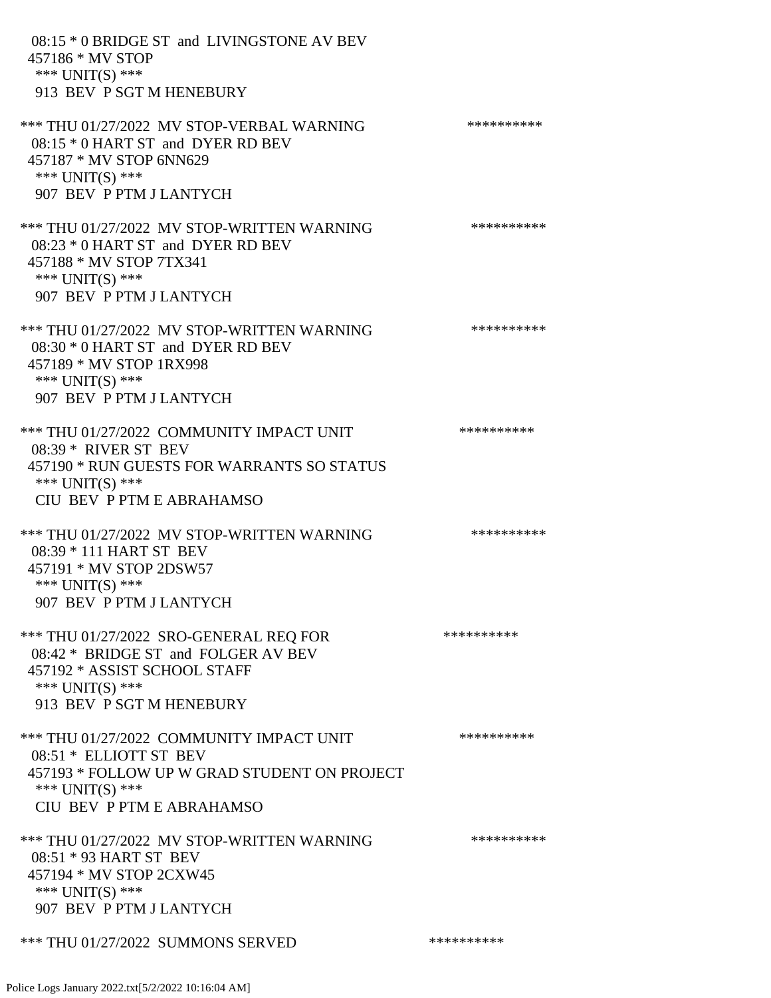08:15 \* 0 BRIDGE ST and LIVINGSTONE AV BEV 457186 \* MV STOP \*\*\* UNIT(S) \*\*\* 913 BEV P SGT M HENEBURY \*\*\* THU 01/27/2022 MV STOP-VERBAL WARNING \*\*\*\*\*\*\*\*\*\*\*\*\* 08:15 \* 0 HART ST and DYER RD BEV 457187 \* MV STOP 6NN629 \*\*\* UNIT(S) \*\*\* 907 BEV P PTM J LANTYCH \*\*\* THU 01/27/2022 MV STOP-WRITTEN WARNING \*\*\*\*\*\*\*\*\*\*\*\* 08:23 \* 0 HART ST and DYER RD BEV 457188 \* MV STOP 7TX341 \*\*\* UNIT(S) \*\*\* 907 BEV P PTM J LANTYCH \*\*\* THU 01/27/2022 MV STOP-WRITTEN WARNING \*\*\*\*\*\*\*\*\*\*\*\* 08:30 \* 0 HART ST and DYER RD BEV 457189 \* MV STOP 1RX998 \*\*\* UNIT(S) \*\*\* 907 BEV P PTM J LANTYCH \*\*\* THU 01/27/2022 COMMUNITY IMPACT UNIT \*\*\*\*\*\*\*\*\*\*\*\*\* 08:39 \* RIVER ST BEV 457190 \* RUN GUESTS FOR WARRANTS SO STATUS \*\*\* UNIT(S) \*\*\* CIU BEV P PTM E ABRAHAMSO \*\*\* THU 01/27/2022 MV STOP-WRITTEN WARNING \*\*\*\*\*\*\*\*\*\*\*\* 08:39 \* 111 HART ST BEV 457191 \* MV STOP 2DSW57 \*\*\* UNIT(S) \*\*\* 907 BEV P PTM J LANTYCH \*\*\* THU 01/27/2022 SRO-GENERAL REQ FOR \*\*\*\*\*\*\*\*\*\* 08:42 \* BRIDGE ST and FOLGER AV BEV 457192 \* ASSIST SCHOOL STAFF \*\*\* UNIT(S) \*\*\* 913 BEV P SGT M HENEBURY \*\*\* THU 01/27/2022 COMMUNITY IMPACT UNIT \*\*\*\*\*\*\*\*\*\*\*\*\* 08:51 \* ELLIOTT ST BEV 457193 \* FOLLOW UP W GRAD STUDENT ON PROJECT \*\*\* UNIT(S) \*\*\* CIU BEV P PTM E ABRAHAMSO \*\*\* THU 01/27/2022 MV STOP-WRITTEN WARNING \*\*\*\*\*\*\*\*\*\* 08:51 \* 93 HART ST BEV 457194 \* MV STOP 2CXW45 \*\*\* UNIT(S) \*\*\* 907 BEV P PTM J LANTYCH \*\*\* THU 01/27/2022 SUMMONS SERVED \*\*\*\*\*\*\*\*\*\*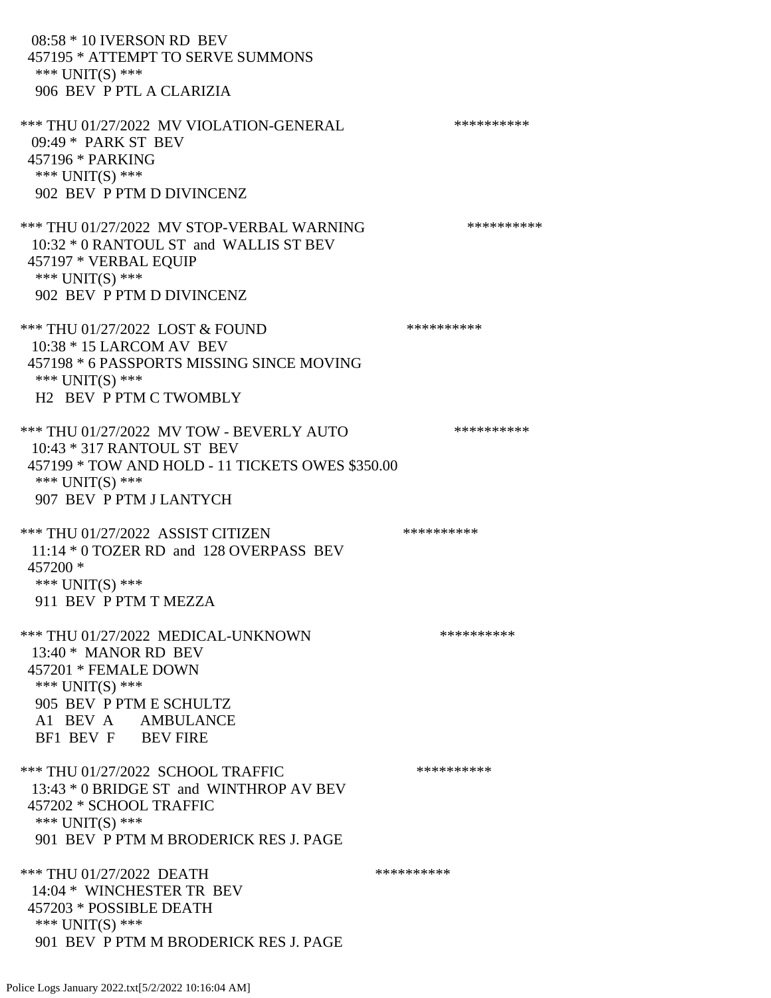08:58 \* 10 IVERSON RD BEV 457195 \* ATTEMPT TO SERVE SUMMONS \*\*\* UNIT(S) \*\*\* 906 BEV P PTL A CLARIZIA \*\*\* THU 01/27/2022 MV VIOLATION-GENERAL \*\*\*\*\*\*\*\*\*\*\*\* 09:49 \* PARK ST BEV 457196 \* PARKING \*\*\* UNIT(S) \*\*\* 902 BEV P PTM D DIVINCENZ \*\*\* THU 01/27/2022 MV STOP-VERBAL WARNING \*\*\*\*\*\*\*\*\*\*\*\* 10:32 \* 0 RANTOUL ST and WALLIS ST BEV 457197 \* VERBAL EQUIP \*\*\* UNIT(S) \*\*\* 902 BEV P PTM D DIVINCENZ \*\*\* THU 01/27/2022 LOST & FOUND \*\*\*\*\*\*\*\*\*\* 10:38 \* 15 LARCOM AV BEV 457198 \* 6 PASSPORTS MISSING SINCE MOVING \*\*\* UNIT(S) \*\*\* H2 BEV P PTM C TWOMBLY \*\*\* THU 01/27/2022 MV TOW - BEVERLY AUTO \*\*\*\*\*\*\*\*\*\* 10:43 \* 317 RANTOUL ST BEV 457199 \* TOW AND HOLD - 11 TICKETS OWES \$350.00 \*\*\* UNIT(S) \*\*\* 907 BEV P PTM J LANTYCH \*\*\* THU 01/27/2022 ASSIST CITIZEN \*\*\*\*\*\*\*\*\*\*\*\* 11:14 \* 0 TOZER RD and 128 OVERPASS BEV 457200 \* \*\*\* UNIT(S) \*\*\* 911 BEV P PTM T MEZZA \*\*\* THU 01/27/2022 MEDICAL-UNKNOWN \*\*\*\*\*\*\*\*\*\* 13:40 \* MANOR RD BEV 457201 \* FEMALE DOWN \*\*\* UNIT(S) \*\*\* 905 BEV P PTM E SCHULTZ A1 BEV A AMBULANCE BF1 BEV F BEV FIRE \*\*\* THU 01/27/2022 SCHOOL TRAFFIC \*\*\*\*\*\*\*\*\*\* 13:43 \* 0 BRIDGE ST and WINTHROP AV BEV 457202 \* SCHOOL TRAFFIC \*\*\* UNIT(S) \*\*\* 901 BEV P PTM M BRODERICK RES J. PAGE \*\*\* THU 01/27/2022 DEATH 14:04 \* WINCHESTER TR BEV 457203 \* POSSIBLE DEATH \*\*\* UNIT(S) \*\*\* 901 BEV P PTM M BRODERICK RES J. PAGE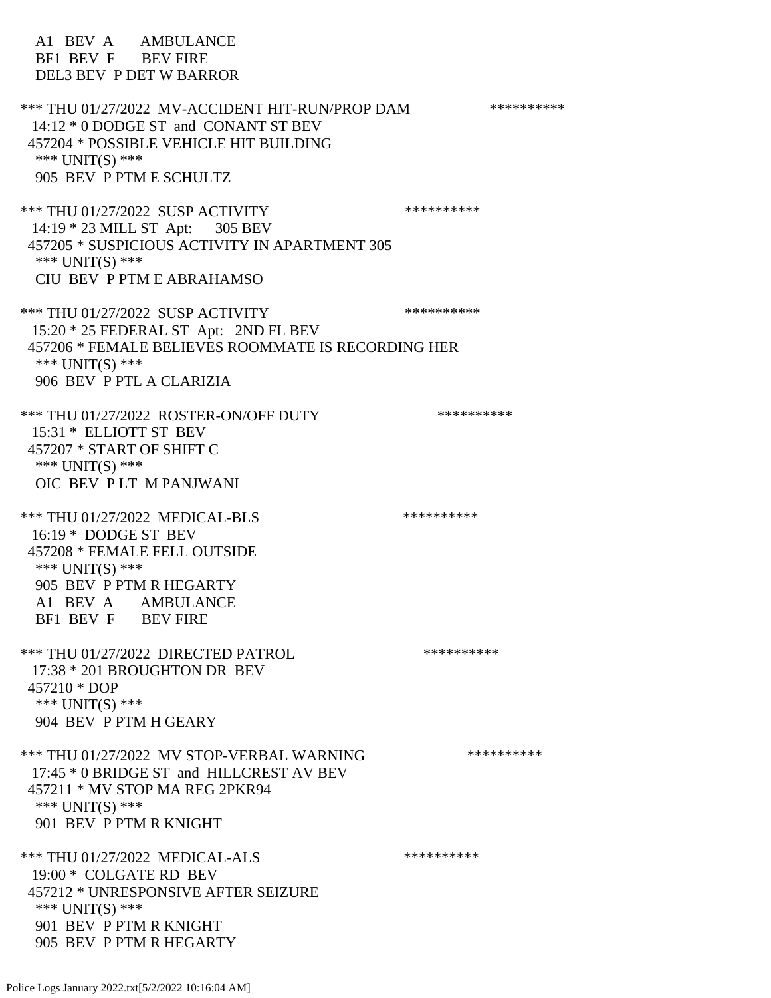A1 BEV A AMBULANCE BF1 BEV F BEV FIRE DEL3 BEV P DET W BARROR \*\*\* THU 01/27/2022 MV-ACCIDENT HIT-RUN/PROP DAM \*\*\*\*\*\*\*\*\*\* 14:12 \* 0 DODGE ST and CONANT ST BEV 457204 \* POSSIBLE VEHICLE HIT BUILDING \*\*\* UNIT(S) \*\*\* 905 BEV P PTM E SCHULTZ \*\*\* THU 01/27/2022 SUSP ACTIVITY \*\*\*\*\*\*\*\*\*\*\*\* 14:19 \* 23 MILL ST Apt: 305 BEV 457205 \* SUSPICIOUS ACTIVITY IN APARTMENT 305 \*\*\* UNIT(S) \*\*\* CIU BEV P PTM E ABRAHAMSO \*\*\* THU 01/27/2022 SUSP ACTIVITY \*\*\*\*\*\*\*\*\*\*\*\* 15:20 \* 25 FEDERAL ST Apt: 2ND FL BEV 457206 \* FEMALE BELIEVES ROOMMATE IS RECORDING HER \*\*\* UNIT(S) \*\*\* 906 BEV P PTL A CLARIZIA \*\*\* THU 01/27/2022 ROSTER-ON/OFF DUTY \*\*\*\*\*\*\*\*\*\* 15:31 \* ELLIOTT ST BEV 457207 \* START OF SHIFT C \*\*\* UNIT(S) \*\*\* OIC BEV P LT M PANJWANI \*\*\* THU 01/27/2022 MEDICAL-BLS \*\*\*\*\*\*\*\*\*\* 16:19 \* DODGE ST BEV 457208 \* FEMALE FELL OUTSIDE \*\*\* UNIT(S) \*\*\* 905 BEV P PTM R HEGARTY A1 BEV A AMBULANCE BF1 BEV F BEV FIRE \*\*\* THU 01/27/2022 DIRECTED PATROL \*\*\*\*\*\*\*\*\*\* 17:38 \* 201 BROUGHTON DR BEV 457210 \* DOP \*\*\* UNIT(S) \*\*\* 904 BEV P PTM H GEARY \*\*\* THU 01/27/2022 MV STOP-VERBAL WARNING \*\*\*\*\*\*\*\*\*\*\*\*\* 17:45 \* 0 BRIDGE ST and HILLCREST AV BEV 457211 \* MV STOP MA REG 2PKR94 \*\*\* UNIT(S) \*\*\* 901 BEV P PTM R KNIGHT \*\*\* THU 01/27/2022 MEDICAL-ALS \*\*\*\*\*\*\*\*\*\* 19:00 \* COLGATE RD BEV 457212 \* UNRESPONSIVE AFTER SEIZURE \*\*\* UNIT(S) \*\*\* 901 BEV P PTM R KNIGHT 905 BEV P PTM R HEGARTY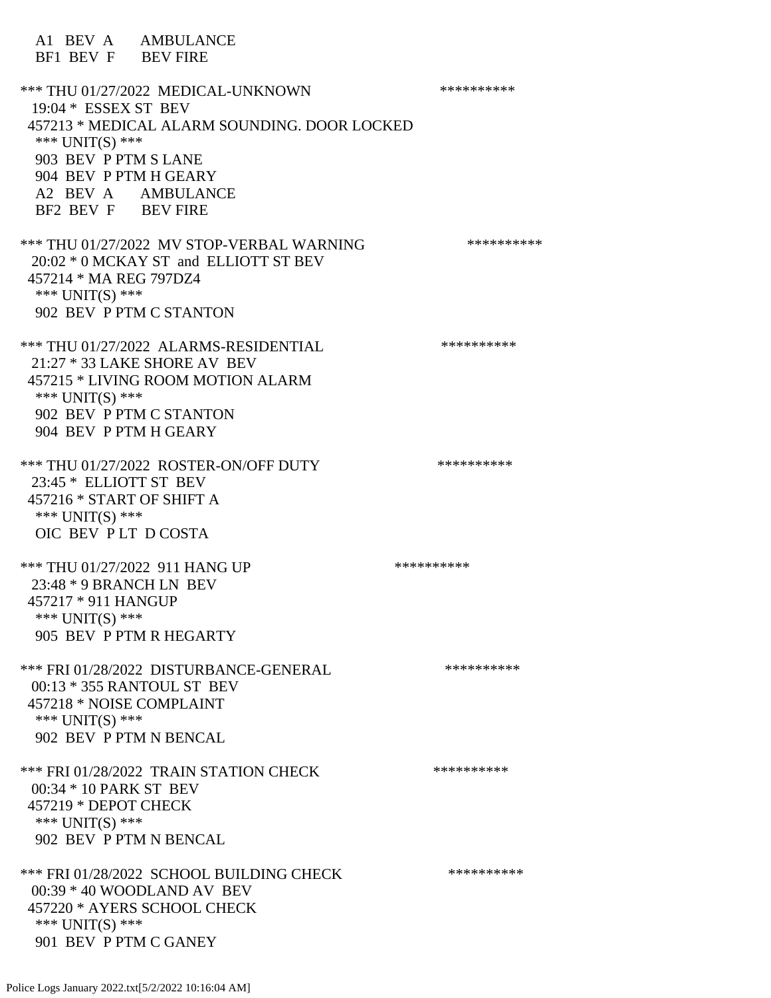A1 BEV A AMBULANCE BF1 BEV F BEV FIRE \*\*\* THU 01/27/2022 MEDICAL-UNKNOWN \*\*\*\*\*\*\*\*\*\* 19:04 \* ESSEX ST BEV 457213 \* MEDICAL ALARM SOUNDING. DOOR LOCKED \*\*\* UNIT(S) \*\*\* 903 BEV P PTM S LANE 904 BEV P PTM H GEARY A2 BEV A AMBULANCE BF2 BEV F BEV FIRE \*\*\* THU 01/27/2022 MV STOP-VERBAL WARNING \*\*\*\*\*\*\*\*\*\* 20:02 \* 0 MCKAY ST and ELLIOTT ST BEV 457214 \* MA REG 797DZ4 \*\*\* UNIT(S) \*\*\* 902 BEV P PTM C STANTON \*\*\* THU 01/27/2022 ALARMS-RESIDENTIAL \*\*\*\*\*\*\*\*\*\* 21:27 \* 33 LAKE SHORE AV BEV 457215 \* LIVING ROOM MOTION ALARM \*\*\* UNIT(S) \*\*\* 902 BEV P PTM C STANTON 904 BEV P PTM H GEARY \*\*\* THU 01/27/2022 ROSTER-ON/OFF DUTY \*\*\*\*\*\*\*\*\*\*\* 23:45 \* ELLIOTT ST BEV 457216 \* START OF SHIFT A \*\*\* UNIT(S) \*\*\* OIC BEV P LT D COSTA \*\*\* THU 01/27/2022 911 HANG UP \*\*\*\*\*\*\*\*\*\*\*\*\* 23:48 \* 9 BRANCH LN BEV 457217 \* 911 HANGUP \*\*\* UNIT(S) \*\*\* 905 BEV P PTM R HEGARTY \*\*\* FRI 01/28/2022 DISTURBANCE-GENERAL \*\*\*\*\*\*\*\*\*\* 00:13 \* 355 RANTOUL ST BEV 457218 \* NOISE COMPLAINT \*\*\* UNIT(S) \*\*\* 902 BEV P PTM N BENCAL \*\*\* FRI 01/28/2022 TRAIN STATION CHECK \*\*\*\*\*\*\*\*\*\* 00:34 \* 10 PARK ST BEV 457219 \* DEPOT CHECK \*\*\* UNIT(S) \*\*\* 902 BEV P PTM N BENCAL \*\*\* FRI 01/28/2022 SCHOOL BUILDING CHECK \*\*\*\*\*\*\*\*\*\*\* 00:39 \* 40 WOODLAND AV BEV 457220 \* AYERS SCHOOL CHECK \*\*\* UNIT(S) \*\*\* 901 BEV P PTM C GANEY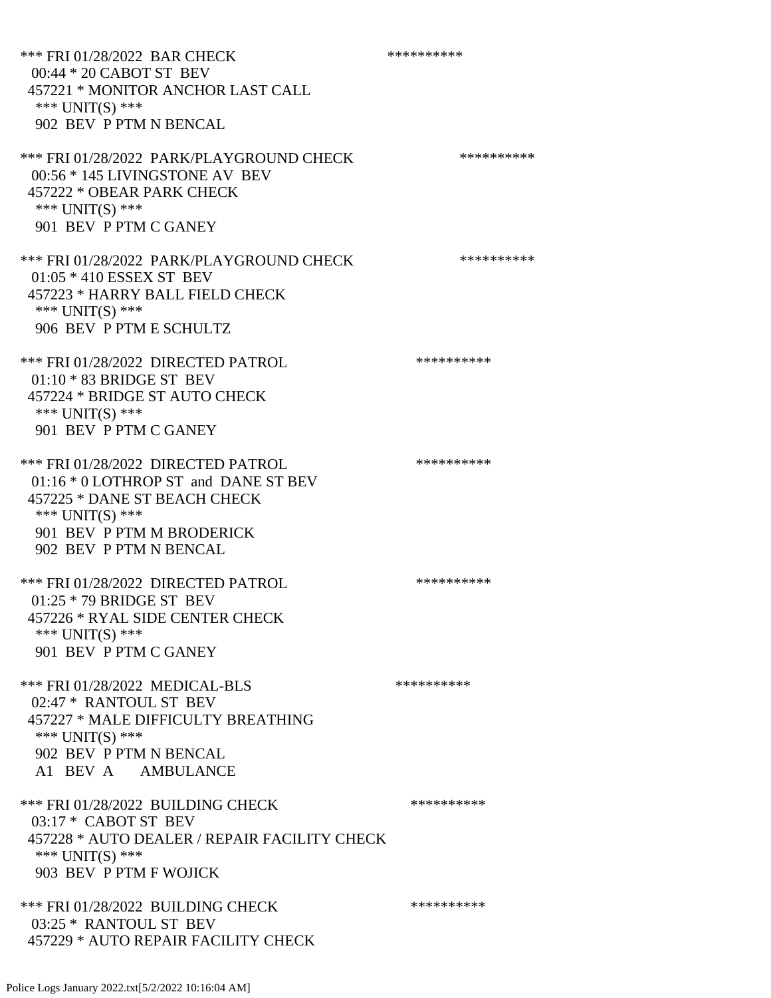\*\*\* FRI 01/28/2022 BAR CHECK \*\*\*\*\*\*\*\*\*\*\* 00:44 \* 20 CABOT ST BEV 457221 \* MONITOR ANCHOR LAST CALL \*\*\* UNIT(S) \*\*\* 902 BEV P PTM N BENCAL \*\*\* FRI 01/28/2022 PARK/PLAYGROUND CHECK \*\*\*\*\*\*\*\*\*\*\*\* 00:56 \* 145 LIVINGSTONE AV BEV 457222 \* OBEAR PARK CHECK \*\*\* UNIT(S) \*\*\* 901 BEV P PTM C GANEY \*\*\* FRI 01/28/2022 PARK/PLAYGROUND CHECK \*\*\*\*\*\*\*\*\*\*\*\* 01:05 \* 410 ESSEX ST BEV 457223 \* HARRY BALL FIELD CHECK \*\*\* UNIT(S) \*\*\* 906 BEV P PTM E SCHULTZ \*\*\* FRI 01/28/2022 DIRECTED PATROL \*\*\*\*\*\*\*\*\*\* 01:10 \* 83 BRIDGE ST BEV 457224 \* BRIDGE ST AUTO CHECK \*\*\* UNIT(S) \*\*\* 901 BEV P PTM C GANEY \*\*\* FRI 01/28/2022 DIRECTED PATROL \*\*\*\*\*\*\*\*\*\*\*\* 01:16 \* 0 LOTHROP ST and DANE ST BEV 457225 \* DANE ST BEACH CHECK \*\*\* UNIT(S) \*\*\* 901 BEV P PTM M BRODERICK 902 BEV P PTM N BENCAL \*\*\* FRI 01/28/2022 DIRECTED PATROL \*\*\*\*\*\*\*\*\*\*\*\* 01:25 \* 79 BRIDGE ST BEV 457226 \* RYAL SIDE CENTER CHECK \*\*\* UNIT(S) \*\*\* 901 BEV P PTM C GANEY \*\*\* FRI 01/28/2022 MEDICAL-BLS \*\*\*\*\*\*\*\*\*\*\*\*\* 02:47 \* RANTOUL ST BEV 457227 \* MALE DIFFICULTY BREATHING \*\*\* UNIT(S) \*\*\* 902 BEV P PTM N BENCAL A1 BEV A AMBULANCE \*\*\* FRI 01/28/2022 BUILDING CHECK \*\*\*\*\*\*\*\*\*\*\*\* 03:17 \* CABOT ST BEV 457228 \* AUTO DEALER / REPAIR FACILITY CHECK \*\*\* UNIT(S) \*\*\* 903 BEV P PTM F WOJICK \*\*\* FRI 01/28/2022 BUILDING CHECK \*\*\*\*\*\*\*\*\*\* 03:25 \* RANTOUL ST BEV 457229 \* AUTO REPAIR FACILITY CHECK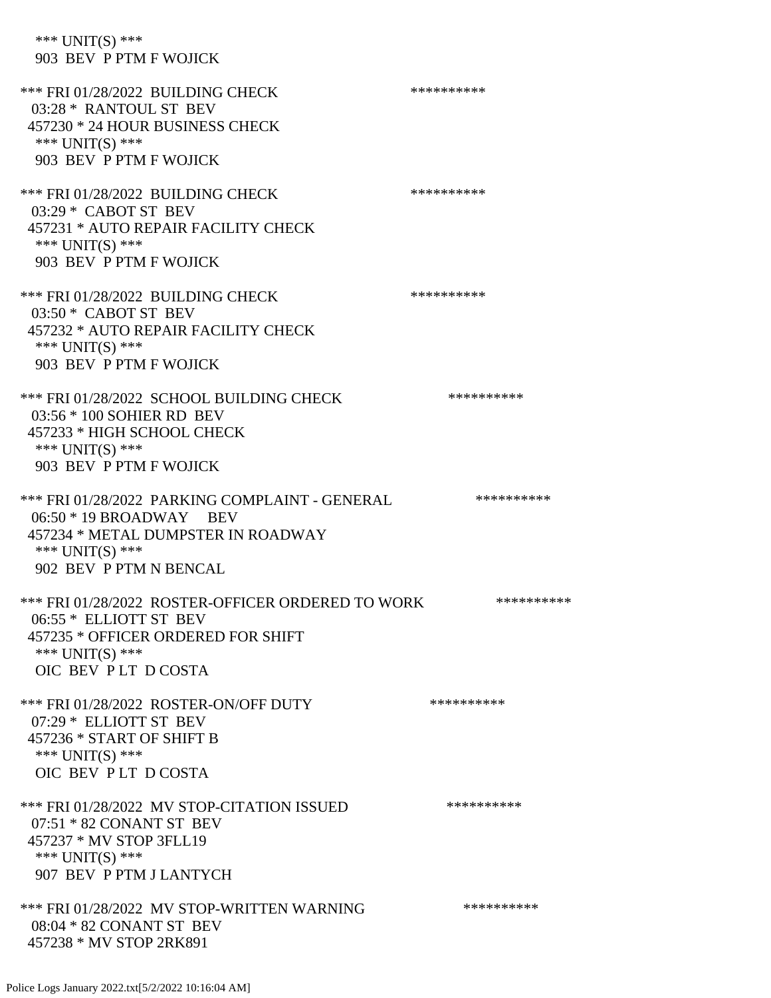\*\*\* UNIT(S) \*\*\* 903 BEV P PTM F WOJICK

\*\*\* FRI 01/28/2022 BUILDING CHECK \*\*\*\*\*\*\*\*\*\*\*\* 03:28 \* RANTOUL ST BEV 457230 \* 24 HOUR BUSINESS CHECK \*\*\* UNIT(S) \*\*\* 903 BEV P PTM F WOJICK \*\*\* FRI 01/28/2022 BUILDING CHECK \*\*\*\*\*\*\*\*\*\*\*\* 03:29 \* CABOT ST BEV 457231 \* AUTO REPAIR FACILITY CHECK \*\*\* UNIT(S) \*\*\* 903 BEV P PTM F WOJICK \*\*\* FRI 01/28/2022 BUILDING CHECK \*\*\*\*\*\*\*\*\*\*\*\*\* 03:50 \* CABOT ST BEV 457232 \* AUTO REPAIR FACILITY CHECK \*\*\* UNIT(S) \*\*\* 903 BEV P PTM F WOJICK \*\*\* FRI 01/28/2022 SCHOOL BUILDING CHECK \*\*\*\*\*\*\*\*\*\*\* 03:56 \* 100 SOHIER RD BEV 457233 \* HIGH SCHOOL CHECK \*\*\* UNIT(S) \*\*\* 903 BEV P PTM F WOJICK \*\*\* FRI 01/28/2022 PARKING COMPLAINT - GENERAL \*\*\*\*\*\*\*\*\*\* 06:50 \* 19 BROADWAY BEV 457234 \* METAL DUMPSTER IN ROADWAY \*\*\* UNIT(S) \*\*\* 902 BEV P PTM N BENCAL \*\*\* FRI 01/28/2022 ROSTER-OFFICER ORDERED TO WORK \*\*\*\*\*\*\*\*\*\*\* 06:55 \* ELLIOTT ST BEV 457235 \* OFFICER ORDERED FOR SHIFT \*\*\* UNIT(S) \*\*\* OIC BEV P LT D COSTA \*\*\* FRI 01/28/2022 ROSTER-ON/OFF DUTY \*\*\*\*\*\*\*\*\*\* 07:29 \* ELLIOTT ST BEV 457236 \* START OF SHIFT B \*\*\* UNIT(S) \*\*\* OIC BEV P LT D COSTA \*\*\* FRI 01/28/2022 MV STOP-CITATION ISSUED \*\*\*\*\*\*\*\*\*\* 07:51 \* 82 CONANT ST BEV 457237 \* MV STOP 3FLL19 \*\*\* UNIT(S) \*\*\* 907 BEV P PTM J LANTYCH \*\*\* FRI 01/28/2022 MV STOP-WRITTEN WARNING \*\*\*\*\*\*\*\*\*\*\*\*\* 08:04 \* 82 CONANT ST BEV 457238 \* MV STOP 2RK891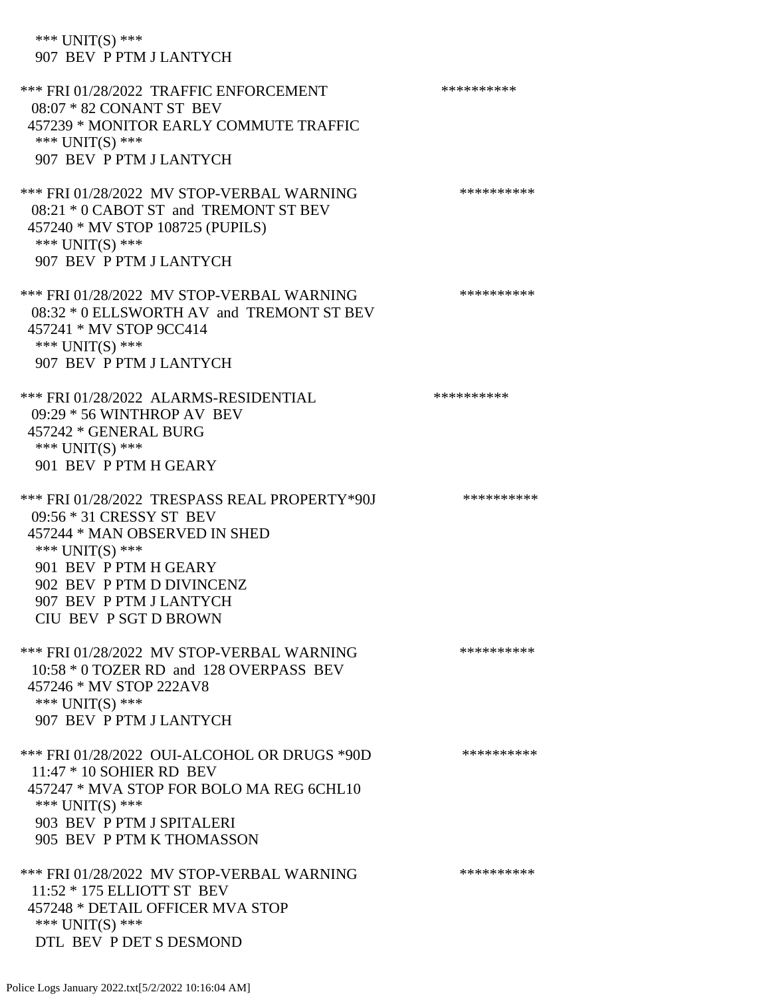\*\*\* UNIT(S) \*\*\* 907 BEV P PTM J LANTYCH \*\*\* FRI 01/28/2022 TRAFFIC ENFORCEMENT \*\*\*\*\*\*\*\*\*\* 08:07 \* 82 CONANT ST BEV 457239 \* MONITOR EARLY COMMUTE TRAFFIC \*\*\* UNIT(S) \*\*\* 907 BEV P PTM J LANTYCH \*\*\* FRI 01/28/2022 MV STOP-VERBAL WARNING \*\*\*\*\*\*\*\*\*\*\*\*\* 08:21 \* 0 CABOT ST and TREMONT ST BEV 457240 \* MV STOP 108725 (PUPILS) \*\*\* UNIT(S) \*\*\* 907 BEV P PTM J LANTYCH \*\*\* FRI 01/28/2022 MV STOP-VERBAL WARNING \*\*\*\*\*\*\*\*\*\*\*\* 08:32 \* 0 ELLSWORTH AV and TREMONT ST BEV 457241 \* MV STOP 9CC414 \*\*\* UNIT(S) \*\*\* 907 BEV P PTM J LANTYCH \*\*\* FRI 01/28/2022 ALARMS-RESIDENTIAL \*\*\*\*\*\*\*\*\*\* 09:29 \* 56 WINTHROP AV BEV 457242 \* GENERAL BURG \*\*\* UNIT(S) \*\*\* 901 BEV P PTM H GEARY \*\*\* FRI 01/28/2022 TRESPASS REAL PROPERTY\*90J \*\*\*\*\*\*\*\*\*\* 09:56 \* 31 CRESSY ST BEV 457244 \* MAN OBSERVED IN SHED \*\*\* UNIT(S) \*\*\* 901 BEV P PTM H GEARY 902 BEV P PTM D DIVINCENZ 907 BEV P PTM J LANTYCH CIU BEV P SGT D BROWN \*\*\* FRI 01/28/2022 MV STOP-VERBAL WARNING \*\*\*\*\*\*\*\*\*\*\*\* 10:58 \* 0 TOZER RD and 128 OVERPASS BEV 457246 \* MV STOP 222AV8 \*\*\* UNIT(S) \*\*\* 907 BEV P PTM J LANTYCH \*\*\* FRI 01/28/2022 OUI-ALCOHOL OR DRUGS \*90D \*\*\*\*\*\*\*\*\*\* 11:47 \* 10 SOHIER RD BEV 457247 \* MVA STOP FOR BOLO MA REG 6CHL10 \*\*\* UNIT(S) \*\*\* 903 BEV P PTM J SPITALERI 905 BEV P PTM K THOMASSON \*\*\* FRI 01/28/2022 MV STOP-VERBAL WARNING \*\*\*\*\*\*\*\*\*\*\*\* 11:52 \* 175 ELLIOTT ST BEV 457248 \* DETAIL OFFICER MVA STOP \*\*\* UNIT(S) \*\*\*

DTL BEV P DET S DESMOND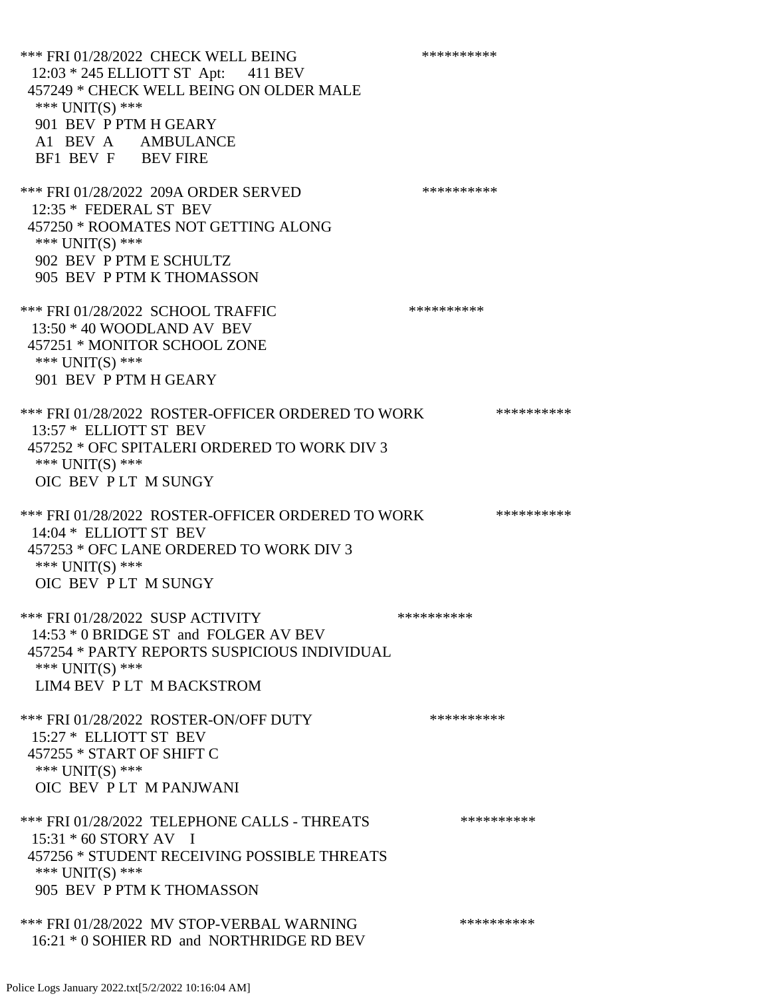\*\*\* FRI 01/28/2022 CHECK WELL BEING \*\*\*\*\*\*\*\*\*\* 12:03 \* 245 ELLIOTT ST Apt: 411 BEV 457249 \* CHECK WELL BEING ON OLDER MALE \*\*\* UNIT(S) \*\*\* 901 BEV P PTM H GEARY A1 BEV A AMBULANCE BF1 BEV F BEV FIRE \*\*\* FRI 01/28/2022 209A ORDER SERVED \*\*\*\*\*\*\*\*\*\* 12:35 \* FEDERAL ST BEV 457250 \* ROOMATES NOT GETTING ALONG \*\*\* UNIT(S) \*\*\* 902 BEV P PTM E SCHULTZ 905 BEV P PTM K THOMASSON \*\*\* FRI 01/28/2022 SCHOOL TRAFFIC \*\*\*\*\*\*\*\*\*\*\*\*\* 13:50 \* 40 WOODLAND AV BEV 457251 \* MONITOR SCHOOL ZONE \*\*\* UNIT(S) \*\*\* 901 BEV P PTM H GEARY \*\*\* FRI 01/28/2022 ROSTER-OFFICER ORDERED TO WORK \*\*\*\*\*\*\*\*\*\*\* 13:57 \* ELLIOTT ST BEV 457252 \* OFC SPITALERI ORDERED TO WORK DIV 3 \*\*\* UNIT(S) \*\*\* OIC BEV P LT M SUNGY \*\*\* FRI 01/28/2022 ROSTER-OFFICER ORDERED TO WORK \*\*\*\*\*\*\*\*\*\*\*\* 14:04 \* ELLIOTT ST BEV 457253 \* OFC LANE ORDERED TO WORK DIV 3 \*\*\* UNIT(S) \*\*\* OIC BEV P LT M SUNGY \*\*\* FRI 01/28/2022 SUSP ACTIVITY \*\*\*\*\*\*\*\*\*\*\*\* 14:53 \* 0 BRIDGE ST and FOLGER AV BEV 457254 \* PARTY REPORTS SUSPICIOUS INDIVIDUAL \*\*\* UNIT(S) \*\*\* LIM4 BEV P LT M BACKSTROM \*\*\* FRI 01/28/2022 ROSTER-ON/OFF DUTY \*\*\*\*\*\*\*\*\*\* 15:27 \* ELLIOTT ST BEV 457255 \* START OF SHIFT C \*\*\* UNIT(S) \*\*\* OIC BEV P LT M PANJWANI \*\*\* FRI 01/28/2022 TELEPHONE CALLS - THREATS \*\*\*\*\*\*\*\*\*\*\*\* 15:31 \* 60 STORY AV I 457256 \* STUDENT RECEIVING POSSIBLE THREATS \*\*\* UNIT(S) \*\*\* 905 BEV P PTM K THOMASSON \*\*\* FRI 01/28/2022 MV STOP-VERBAL WARNING \*\*\*\*\*\*\*\*\*\*\*\*\*\* 16:21 \* 0 SOHIER RD and NORTHRIDGE RD BEV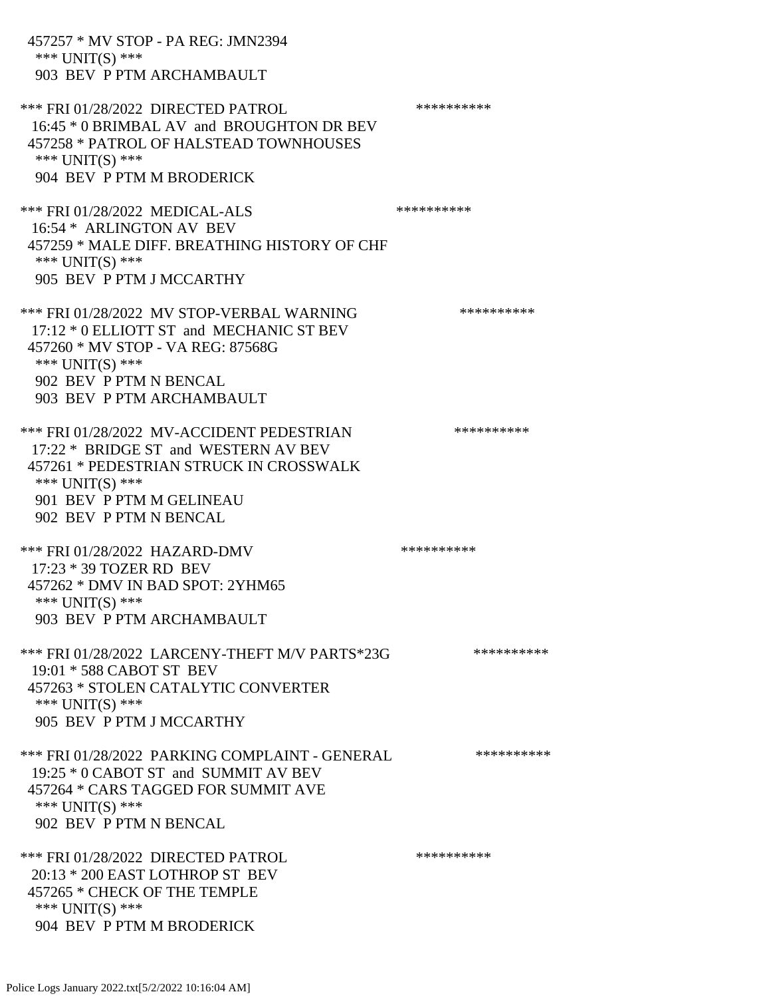| 457257 * MV STOP - PA REG: JMN2394<br>*** $UNIT(S)$ ***<br>903 BEV P PTM ARCHAMBAULT                                                                                                                    |            |
|---------------------------------------------------------------------------------------------------------------------------------------------------------------------------------------------------------|------------|
| *** FRI 01/28/2022 DIRECTED PATROL<br>16:45 * 0 BRIMBAL AV and BROUGHTON DR BEV<br>457258 * PATROL OF HALSTEAD TOWNHOUSES<br>*** $UNIT(S)$ ***<br>904 BEV P PTM M BRODERICK                             | ********** |
| *** FRI 01/28/2022 MEDICAL-ALS<br>16:54 * ARLINGTON AV BEV<br>457259 * MALE DIFF. BREATHING HISTORY OF CHF<br>*** $UNIT(S)$ ***<br>905 BEV P PTM J MCCARTHY                                             | ********** |
| *** FRI 01/28/2022 MV STOP-VERBAL WARNING<br>17:12 * 0 ELLIOTT ST and MECHANIC ST BEV<br>457260 * MV STOP - VA REG: 87568G<br>*** UNIT(S) ***<br>902 BEV P PTM N BENCAL<br>903 BEV P PTM ARCHAMBAULT    | ********** |
| *** FRI 01/28/2022 MV-ACCIDENT PEDESTRIAN<br>17:22 * BRIDGE ST and WESTERN AV BEV<br>457261 * PEDESTRIAN STRUCK IN CROSSWALK<br>*** $UNIT(S)$ ***<br>901 BEV P PTM M GELINEAU<br>902 BEV P PTM N BENCAL | ********** |
| *** FRI 01/28/2022 HAZARD-DMV<br>17:23 * 39 TOZER RD BEV<br>457262 * DMV IN BAD SPOT: 2YHM65<br>*** $UNIT(S)$ ***<br>903 BEV P PTM ARCHAMBAULT                                                          | ********** |
| *** FRI 01/28/2022 LARCENY-THEFT M/V PARTS*23G<br>19:01 * 588 CABOT ST BEV<br>457263 * STOLEN CATALYTIC CONVERTER<br>*** $UNIT(S)$ ***<br>905 BEV P PTM J MCCARTHY                                      | ********** |
| *** FRI 01/28/2022 PARKING COMPLAINT - GENERAL<br>19:25 * 0 CABOT ST and SUMMIT AV BEV<br>457264 * CARS TAGGED FOR SUMMIT AVE<br>*** UNIT(S) ***<br>902 BEV P PTM N BENCAL                              | ********** |
| *** FRI 01/28/2022 DIRECTED PATROL<br>20:13 * 200 EAST LOTHROP ST BEV<br>457265 * CHECK OF THE TEMPLE<br>*** UNIT(S) ***<br>904 BEV P PTM M BRODERICK                                                   | ********** |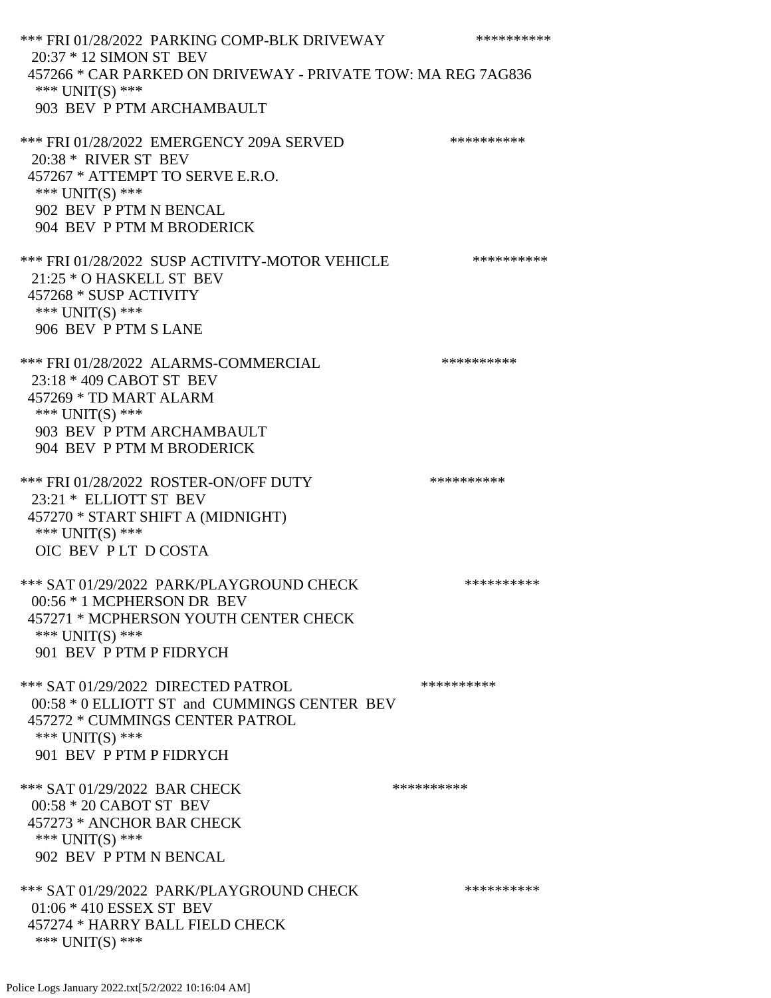\*\*\* FRI 01/28/2022 PARKING COMP-BLK DRIVEWAY \*\*\*\*\*\*\*\*\*\* 20:37 \* 12 SIMON ST BEV 457266 \* CAR PARKED ON DRIVEWAY - PRIVATE TOW: MA REG 7AG836 \*\*\* UNIT(S) \*\*\* 903 BEV P PTM ARCHAMBAULT \*\*\* FRI 01/28/2022 EMERGENCY 209A SERVED \*\*\*\*\*\*\*\*\*\* 20:38 \* RIVER ST BEV 457267 \* ATTEMPT TO SERVE E.R.O. \*\*\* UNIT(S) \*\*\* 902 BEV P PTM N BENCAL 904 BEV P PTM M BRODERICK \*\*\* FRI 01/28/2022 SUSP ACTIVITY-MOTOR VEHICLE \*\*\*\*\*\*\*\*\*\*\*\* 21:25 \* O HASKELL ST BEV 457268 \* SUSP ACTIVITY \*\*\* UNIT(S) \*\*\* 906 BEV P PTM S LANE \*\*\* FRI 01/28/2022 ALARMS-COMMERCIAL \*\*\*\*\*\*\*\*\*\* 23:18 \* 409 CABOT ST BEV 457269 \* TD MART ALARM \*\*\* UNIT(S) \*\*\* 903 BEV P PTM ARCHAMBAULT 904 BEV P PTM M BRODERICK \*\*\* FRI 01/28/2022 ROSTER-ON/OFF DUTY \*\*\*\*\*\*\*\*\*\*\*\* 23:21 \* ELLIOTT ST BEV 457270 \* START SHIFT A (MIDNIGHT) \*\*\* UNIT(S) \*\*\* OIC BEV P LT D COSTA \*\*\* SAT 01/29/2022 PARK/PLAYGROUND CHECK \*\*\*\*\*\*\*\*\*\*\*\* 00:56 \* 1 MCPHERSON DR BEV 457271 \* MCPHERSON YOUTH CENTER CHECK \*\*\* UNIT(S) \*\*\* 901 BEV P PTM P FIDRYCH \*\*\* SAT 01/29/2022 DIRECTED PATROL \*\*\*\*\*\*\*\*\*\* 00:58 \* 0 ELLIOTT ST and CUMMINGS CENTER BEV 457272 \* CUMMINGS CENTER PATROL \*\*\* UNIT(S) \*\*\* 901 BEV P PTM P FIDRYCH \*\*\* SAT 01/29/2022 BAR CHECK \*\*\*\*\*\*\*\*\*\*\*\*\*\* 00:58 \* 20 CABOT ST BEV 457273 \* ANCHOR BAR CHECK \*\*\* UNIT(S) \*\*\* 902 BEV P PTM N BENCAL \*\*\* SAT 01/29/2022 PARK/PLAYGROUND CHECK \*\*\*\*\*\*\*\*\*\*\*\* 01:06 \* 410 ESSEX ST BEV 457274 \* HARRY BALL FIELD CHECK \*\*\* UNIT(S) \*\*\*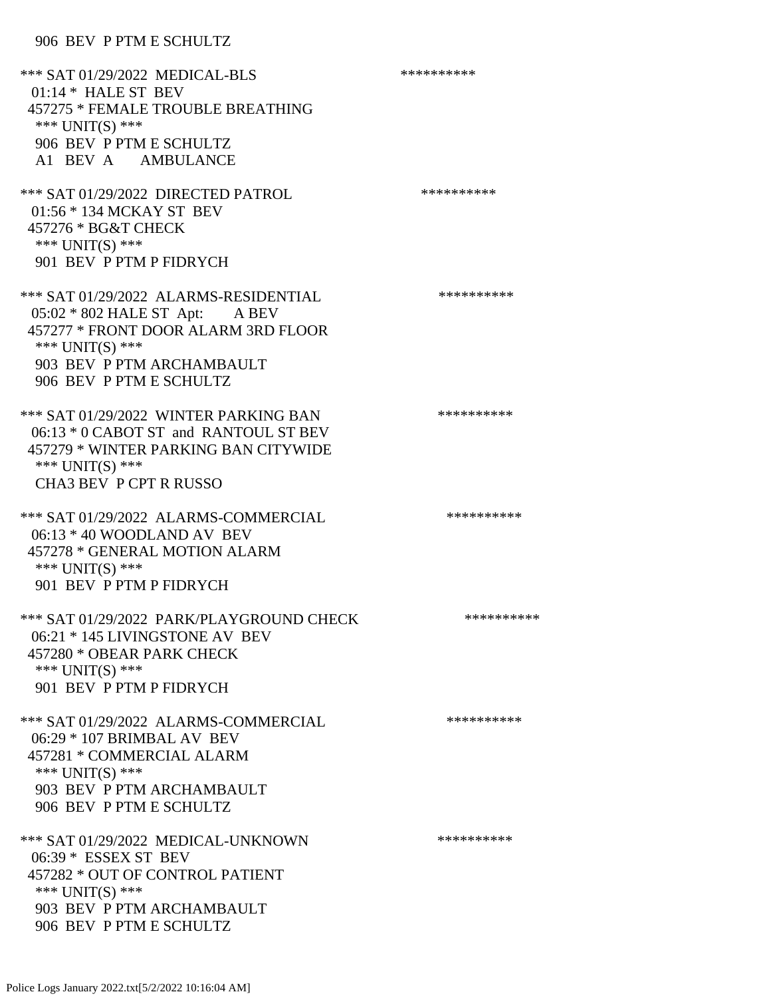906 BEV P PTM E SCHULTZ

\*\*\* SAT 01/29/2022 MEDICAL-BLS \*\*\*\*\*\*\*\*\*\*\*\*\* 01:14 \* HALE ST BEV 457275 \* FEMALE TROUBLE BREATHING \*\*\* UNIT(S) \*\*\* 906 BEV P PTM E SCHULTZ A1 BEV A AMBULANCE \*\*\* SAT 01/29/2022 DIRECTED PATROL \*\*\*\*\*\*\*\*\*\* 01:56 \* 134 MCKAY ST BEV 457276 \* BG&T CHECK \*\*\* UNIT(S) \*\*\* 901 BEV P PTM P FIDRYCH \*\*\* SAT 01/29/2022 ALARMS-RESIDENTIAL \*\*\*\*\*\*\*\*\*\*\*\* 05:02 \* 802 HALE ST Apt: A BEV 457277 \* FRONT DOOR ALARM 3RD FLOOR \*\*\* UNIT(S) \*\*\* 903 BEV P PTM ARCHAMBAULT 906 BEV P PTM E SCHULTZ \*\*\* SAT 01/29/2022 WINTER PARKING BAN \*\*\*\*\*\*\*\*\*\* 06:13 \* 0 CABOT ST and RANTOUL ST BEV 457279 \* WINTER PARKING BAN CITYWIDE \*\*\* UNIT(S) \*\*\* CHA3 BEV P CPT R RUSSO \*\*\* SAT 01/29/2022 ALARMS-COMMERCIAL \*\*\*\*\*\*\*\*\*\* 06:13 \* 40 WOODLAND AV BEV 457278 \* GENERAL MOTION ALARM \*\*\* UNIT(S) \*\*\* 901 BEV P PTM P FIDRYCH \*\*\* SAT 01/29/2022 PARK/PLAYGROUND CHECK \*\*\*\*\*\*\*\*\*\*\*\* 06:21 \* 145 LIVINGSTONE AV BEV 457280 \* OBEAR PARK CHECK \*\*\* UNIT(S) \*\*\* 901 BEV P PTM P FIDRYCH \*\*\* SAT 01/29/2022 ALARMS-COMMERCIAL \*\*\*\*\*\*\*\*\*\* 06:29 \* 107 BRIMBAL AV BEV 457281 \* COMMERCIAL ALARM \*\*\*  $UNIT(S)$  \*\*\* 903 BEV P PTM ARCHAMBAULT 906 BEV P PTM E SCHULTZ \*\*\* SAT 01/29/2022 MEDICAL-UNKNOWN \*\*\*\*\*\*\*\*\*\* 06:39 \* ESSEX ST BEV 457282 \* OUT OF CONTROL PATIENT \*\*\* UNIT(S) \*\*\* 903 BEV P PTM ARCHAMBAULT 906 BEV P PTM E SCHULTZ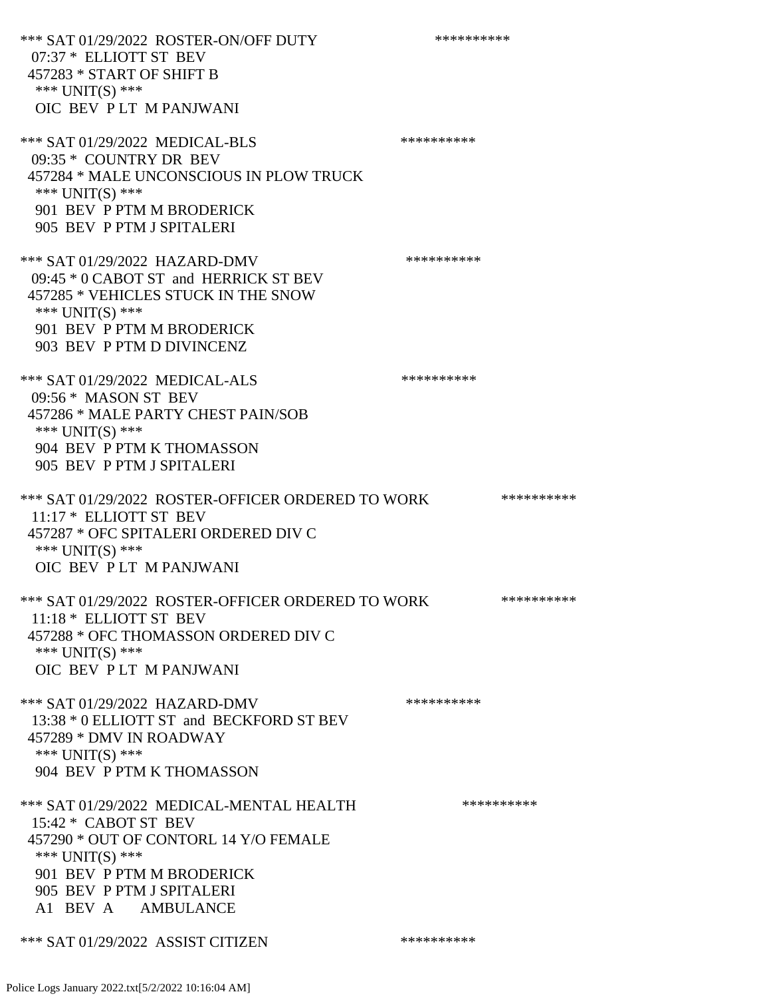\*\*\* SAT 01/29/2022 ROSTER-ON/OFF DUTY \*\*\*\*\*\*\*\*\*\* 07:37 \* ELLIOTT ST BEV 457283 \* START OF SHIFT B \*\*\* UNIT(S) \*\*\* OIC BEV P LT M PANJWANI \*\*\* SAT 01/29/2022 MEDICAL-BLS \*\*\*\*\*\*\*\*\*\*\*\*\* 09:35 \* COUNTRY DR BEV 457284 \* MALE UNCONSCIOUS IN PLOW TRUCK \*\*\* UNIT(S) \*\*\* 901 BEV P PTM M BRODERICK 905 BEV P PTM J SPITALERI \*\*\* SAT 01/29/2022 HAZARD-DMV \*\*\*\*\*\*\*\*\*\* 09:45 \* 0 CABOT ST and HERRICK ST BEV 457285 \* VEHICLES STUCK IN THE SNOW \*\*\* UNIT(S) \*\*\* 901 BEV P PTM M BRODERICK 903 BEV P PTM D DIVINCENZ \*\*\* SAT 01/29/2022 MEDICAL-ALS \*\*\*\*\*\*\*\*\*\*\*\*\* 09:56 \* MASON ST BEV 457286 \* MALE PARTY CHEST PAIN/SOB \*\*\* UNIT(S) \*\*\* 904 BEV P PTM K THOMASSON 905 BEV P PTM J SPITALERI \*\*\* SAT 01/29/2022 ROSTER-OFFICER ORDERED TO WORK \*\*\*\*\*\*\*\*\*\*\* 11:17 \* ELLIOTT ST BEV 457287 \* OFC SPITALERI ORDERED DIV C \*\*\* UNIT(S) \*\*\* OIC BEV P LT M PANJWANI \*\*\* SAT 01/29/2022 ROSTER-OFFICER ORDERED TO WORK \*\*\*\*\*\*\*\*\*\*\* 11:18 \* ELLIOTT ST BEV 457288 \* OFC THOMASSON ORDERED DIV C \*\*\* UNIT(S) \*\*\* OIC BEV P LT M PANJWANI \*\*\* SAT 01/29/2022 HAZARD-DMV \*\*\*\*\*\*\*\*\*\* 13:38 \* 0 ELLIOTT ST and BECKFORD ST BEV 457289 \* DMV IN ROADWAY \*\*\* UNIT(S) \*\*\* 904 BEV P PTM K THOMASSON \*\*\* SAT 01/29/2022 MEDICAL-MENTAL HEALTH \*\*\*\*\*\*\*\*\*\* 15:42 \* CABOT ST BEV 457290 \* OUT OF CONTORL 14 Y/O FEMALE \*\*\* UNIT(S) \*\*\* 901 BEV P PTM M BRODERICK 905 BEV P PTM J SPITALERI A1 BEV A AMBULANCE \*\*\* SAT 01/29/2022 ASSIST CITIZEN \*\*\*\*\*\*\*\*\*\*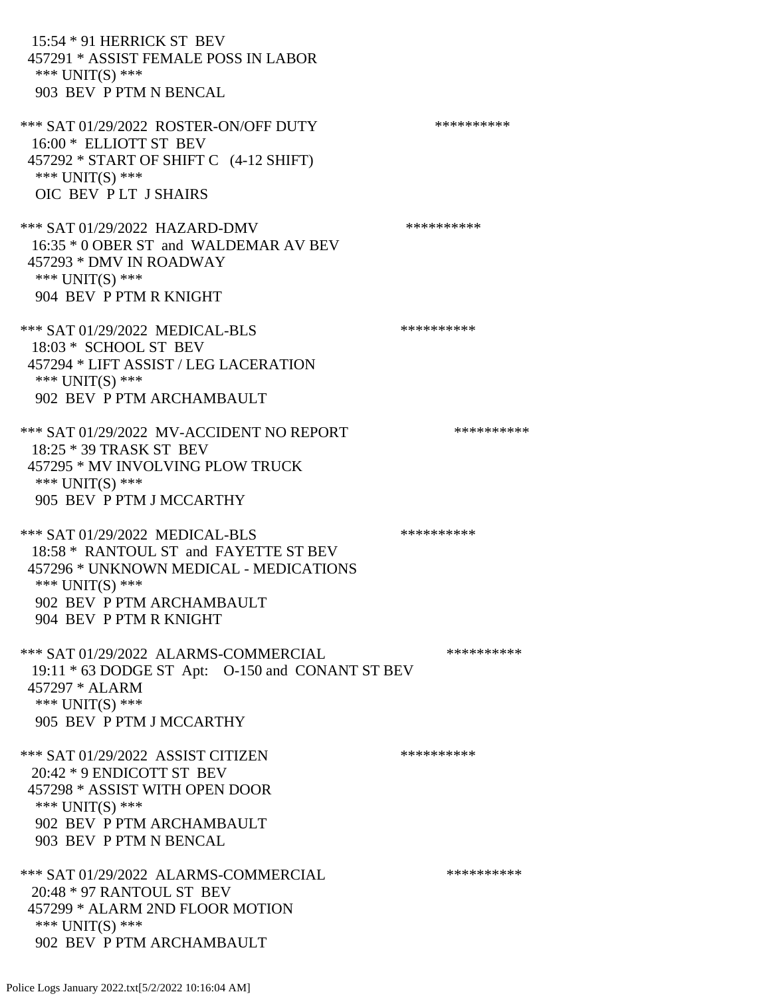15:54 \* 91 HERRICK ST BEV 457291 \* ASSIST FEMALE POSS IN LABOR \*\*\* UNIT(S) \*\*\* 903 BEV P PTM N BENCAL \*\*\* SAT 01/29/2022 ROSTER-ON/OFF DUTY \*\*\*\*\*\*\*\*\*\* 16:00 \* ELLIOTT ST BEV 457292 \* START OF SHIFT C (4-12 SHIFT) \*\*\* UNIT(S) \*\*\* OIC BEV P LT J SHAIRS \*\*\* SAT 01/29/2022 HAZARD-DMV \*\*\*\*\*\*\*\*\*\*\*\*\* 16:35 \* 0 OBER ST and WALDEMAR AV BEV 457293 \* DMV IN ROADWAY \*\*\* UNIT(S) \*\*\* 904 BEV P PTM R KNIGHT \*\*\* SAT 01/29/2022 MEDICAL-BLS \*\*\*\*\*\*\*\*\*\*\*\*\* 18:03 \* SCHOOL ST BEV 457294 \* LIFT ASSIST / LEG LACERATION \*\*\* UNIT(S) \*\*\* 902 BEV P PTM ARCHAMBAULT \*\*\* SAT 01/29/2022 MV-ACCIDENT NO REPORT \*\*\*\*\*\*\*\*\*\*\*\* 18:25 \* 39 TRASK ST BEV 457295 \* MV INVOLVING PLOW TRUCK \*\*\* UNIT(S) \*\*\* 905 BEV P PTM J MCCARTHY \*\*\* SAT 01/29/2022 MEDICAL-BLS \*\*\*\*\*\*\*\*\*\*\*\*\* 18:58 \* RANTOUL ST and FAYETTE ST BEV 457296 \* UNKNOWN MEDICAL - MEDICATIONS \*\*\* UNIT(S) \*\*\* 902 BEV P PTM ARCHAMBAULT 904 BEV P PTM R KNIGHT \*\*\* SAT 01/29/2022 ALARMS-COMMERCIAL \*\*\*\*\*\*\*\*\*\* 19:11 \* 63 DODGE ST Apt: O-150 and CONANT ST BEV 457297 \* ALARM \*\*\* UNIT(S) \*\*\* 905 BEV P PTM J MCCARTHY \*\*\* SAT 01/29/2022 ASSIST CITIZEN \*\*\*\*\*\*\*\*\*\*\*\* 20:42 \* 9 ENDICOTT ST BEV 457298 \* ASSIST WITH OPEN DOOR \*\*\* UNIT(S) \*\*\* 902 BEV P PTM ARCHAMBAULT 903 BEV P PTM N BENCAL \*\*\* SAT 01/29/2022 ALARMS-COMMERCIAL \*\*\*\*\*\*\*\*\*\* 20:48 \* 97 RANTOUL ST BEV 457299 \* ALARM 2ND FLOOR MOTION \*\*\* UNIT(S) \*\*\* 902 BEV P PTM ARCHAMBAULT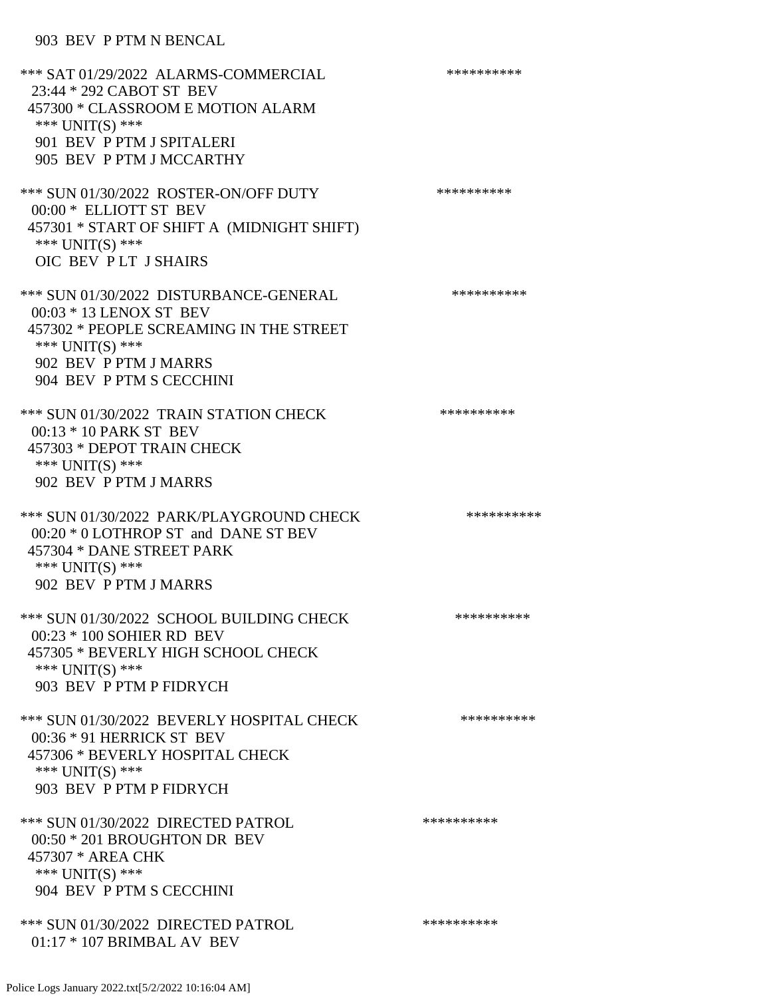## 903 BEV P PTM N BENCAL

| *** SAT 01/29/2022 ALARMS-COMMERCIAL<br>23:44 * 292 CABOT ST BEV<br>457300 * CLASSROOM E MOTION ALARM<br>*** UNIT(S) ***<br>901 BEV P PTM J SPITALERI<br>905 BEV P PTM J MCCARTHY    | ********** |
|--------------------------------------------------------------------------------------------------------------------------------------------------------------------------------------|------------|
| *** SUN 01/30/2022 ROSTER-ON/OFF DUTY<br>00:00 * ELLIOTT ST BEV<br>457301 * START OF SHIFT A (MIDNIGHT SHIFT)<br>*** UNIT(S) ***<br>OIC BEV PLT J SHAIRS                             | ********** |
| *** SUN 01/30/2022 DISTURBANCE-GENERAL<br>00:03 * 13 LENOX ST BEV<br>457302 * PEOPLE SCREAMING IN THE STREET<br>*** UNIT(S) ***<br>902 BEV P PTM J MARRS<br>904 BEV P PTM S CECCHINI | ********** |
| *** SUN 01/30/2022 TRAIN STATION CHECK<br>00:13 * 10 PARK ST BEV<br>457303 * DEPOT TRAIN CHECK<br>*** UNIT(S) ***<br>902 BEV P PTM J MARRS                                           | ********** |
| *** SUN 01/30/2022 PARK/PLAYGROUND CHECK<br>00:20 * 0 LOTHROP ST and DANE ST BEV<br>457304 * DANE STREET PARK<br>*** UNIT(S) ***<br>902 BEV P PTM J MARRS                            | ********** |
| *** SUN 01/30/2022 SCHOOL BUILDING CHECK<br>00:23 * 100 SOHIER RD BEV<br>457305 * BEVERLY HIGH SCHOOL CHECK<br>*** UNIT(S) ***<br>903 BEV P PTM P FIDRYCH                            | ********** |
| *** SUN 01/30/2022 BEVERLY HOSPITAL CHECK<br>00:36 * 91 HERRICK ST BEV<br>457306 * BEVERLY HOSPITAL CHECK<br>*** $UNIT(S)$ ***<br>903 BEV P PTM P FIDRYCH                            | ********** |
| *** SUN 01/30/2022 DIRECTED PATROL<br>00:50 * 201 BROUGHTON DR BEV<br>457307 * AREA CHK<br>*** UNIT(S) ***<br>904 BEV P PTM S CECCHINI                                               | ********** |
| *** SUN 01/30/2022 DIRECTED PATROL<br>01:17 * 107 BRIMBAL AV BEV                                                                                                                     | ********** |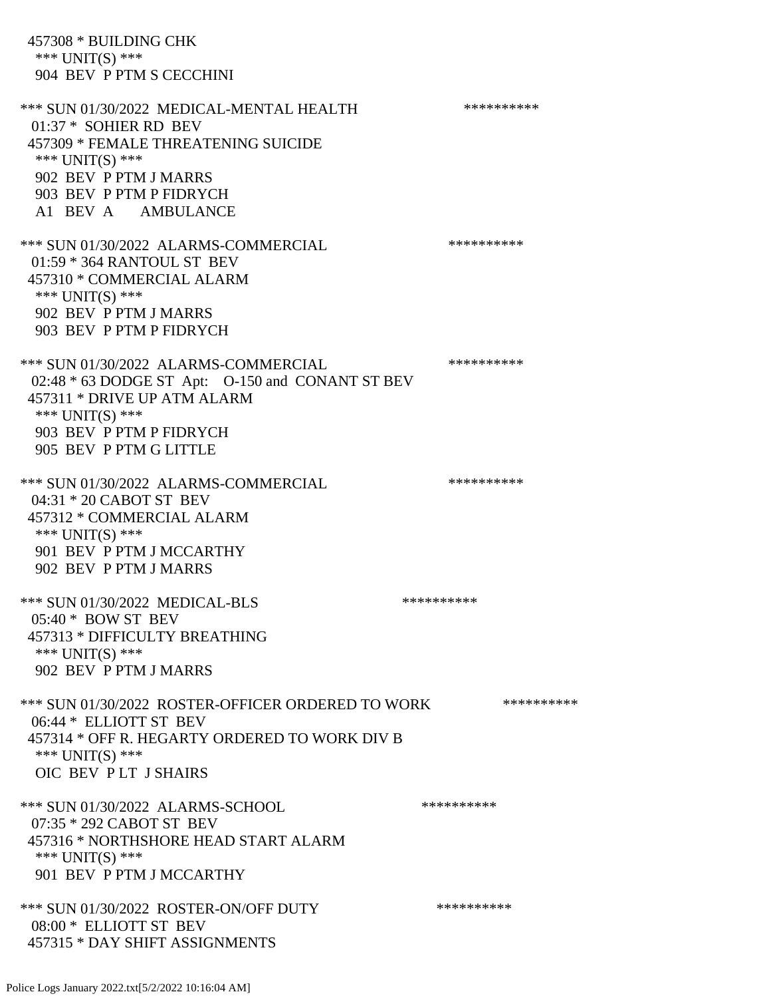457308 \* BUILDING CHK \*\*\* UNIT(S) \*\*\* 904 BEV P PTM S CECCHINI \*\*\* SUN 01/30/2022 MEDICAL-MENTAL HEALTH \*\*\*\*\*\*\*\*\*\* 01:37 \* SOHIER RD BEV 457309 \* FEMALE THREATENING SUICIDE \*\*\* UNIT(S) \*\*\* 902 BEV P PTM J MARRS 903 BEV P PTM P FIDRYCH A1 BEV A AMBULANCE \*\*\* SUN 01/30/2022 ALARMS-COMMERCIAL \*\*\*\*\*\*\*\*\*\* 01:59 \* 364 RANTOUL ST BEV 457310 \* COMMERCIAL ALARM \*\*\* UNIT(S) \*\*\* 902 BEV P PTM J MARRS 903 BEV P PTM P FIDRYCH \*\*\* SUN 01/30/2022 ALARMS-COMMERCIAL \*\*\*\*\*\*\*\*\*\* 02:48 \* 63 DODGE ST Apt: O-150 and CONANT ST BEV 457311 \* DRIVE UP ATM ALARM \*\*\* UNIT(S) \*\*\* 903 BEV P PTM P FIDRYCH 905 BEV P PTM G LITTLE \*\*\* SUN 01/30/2022 ALARMS-COMMERCIAL \*\*\*\*\*\*\*\*\*\* 04:31 \* 20 CABOT ST BEV 457312 \* COMMERCIAL ALARM \*\*\*  $UNIT(S)$  \*\*\* 901 BEV P PTM J MCCARTHY 902 BEV P PTM J MARRS \*\*\* SUN 01/30/2022 MEDICAL-BLS \*\*\*\*\*\*\*\*\*\*\*\* 05:40 \* BOW ST BEV 457313 \* DIFFICULTY BREATHING \*\*\* UNIT(S) \*\*\* 902 BEV P PTM J MARRS \*\*\* SUN 01/30/2022 ROSTER-OFFICER ORDERED TO WORK \*\*\*\*\*\*\*\*\*\*\* 06:44 \* ELLIOTT ST BEV 457314 \* OFF R. HEGARTY ORDERED TO WORK DIV B \*\*\* UNIT(S) \*\*\* OIC BEV P LT J SHAIRS \*\*\* SUN 01/30/2022 ALARMS-SCHOOL \*\*\*\*\*\*\*\*\*\* 07:35 \* 292 CABOT ST BEV 457316 \* NORTHSHORE HEAD START ALARM \*\*\* UNIT(S) \*\*\* 901 BEV P PTM J MCCARTHY \*\*\* SUN 01/30/2022 ROSTER-ON/OFF DUTY \*\*\*\*\*\*\*\*\*\* 08:00 \* ELLIOTT ST BEV 457315 \* DAY SHIFT ASSIGNMENTS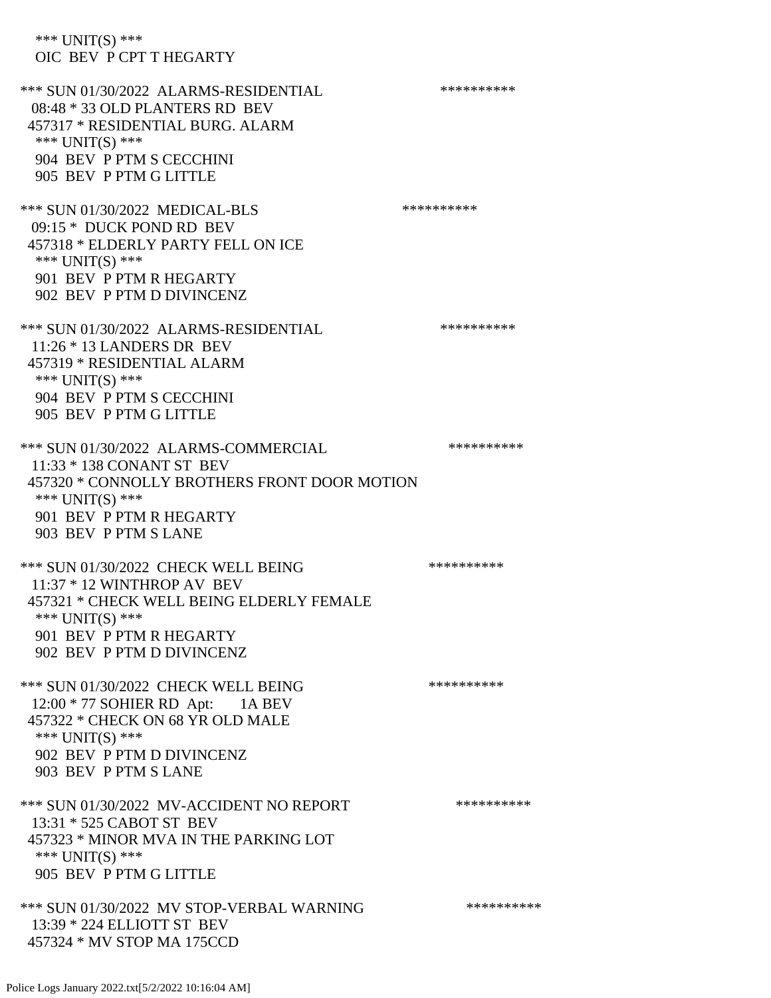\*\*\* UNIT(S) \*\*\* OIC BEV P CPT T HEGARTY \*\*\* SUN 01/30/2022 ALARMS-RESIDENTIAL \*\*\*\*\*\*\*\*\*\* 08:48 \* 33 OLD PLANTERS RD BEV 457317 \* RESIDENTIAL BURG. ALARM \*\*\* UNIT(S) \*\*\* 904 BEV P PTM S CECCHINI 905 BEV P PTM G LITTLE \*\*\* SUN 01/30/2022 MEDICAL-BLS \*\*\*\*\*\*\*\*\*\* 09:15 \* DUCK POND RD BEV 457318 \* ELDERLY PARTY FELL ON ICE \*\*\* UNIT(S) \*\*\* 901 BEV P PTM R HEGARTY 902 BEV P PTM D DIVINCENZ \*\*\* SUN 01/30/2022 ALARMS-RESIDENTIAL \*\*\*\*\*\*\*\*\*\* 11:26 \* 13 LANDERS DR BEV 457319 \* RESIDENTIAL ALARM \*\*\* UNIT(S) \*\*\* 904 BEV P PTM S CECCHINI 905 BEV P PTM G LITTLE \*\*\* SUN 01/30/2022 ALARMS-COMMERCIAL \*\*\*\*\*\*\*\*\*\* 11:33 \* 138 CONANT ST BEV 457320 \* CONNOLLY BROTHERS FRONT DOOR MOTION \*\*\* UNIT(S) \*\*\* 901 BEV P PTM R HEGARTY 903 BEV P PTM S LANE \*\*\* SUN 01/30/2022 CHECK WELL BEING \*\*\*\*\*\*\*\*\*\* 11:37 \* 12 WINTHROP AV BEV 457321 \* CHECK WELL BEING ELDERLY FEMALE \*\*\* UNIT(S) \*\*\* 901 BEV P PTM R HEGARTY 902 BEV P PTM D DIVINCENZ \*\*\* SUN 01/30/2022 CHECK WELL BEING \*\*\*\*\*\*\*\*\*\*\*\* 12:00 \* 77 SOHIER RD Apt: 1A BEV 457322 \* CHECK ON 68 YR OLD MALE \*\*\* UNIT(S) \*\*\* 902 BEV P PTM D DIVINCENZ 903 BEV P PTM S LANE \*\*\* SUN 01/30/2022 MV-ACCIDENT NO REPORT \*\*\*\*\*\*\*\*\*\*\*\* 13:31 \* 525 CABOT ST BEV 457323 \* MINOR MVA IN THE PARKING LOT \*\*\* UNIT(S) \*\*\* 905 BEV P PTM G LITTLE \*\*\* SUN 01/30/2022 MV STOP-VERBAL WARNING \*\*\*\*\*\*\*\*\*\*\*\* 13:39 \* 224 ELLIOTT ST BEV

457324 \* MV STOP MA 175CCD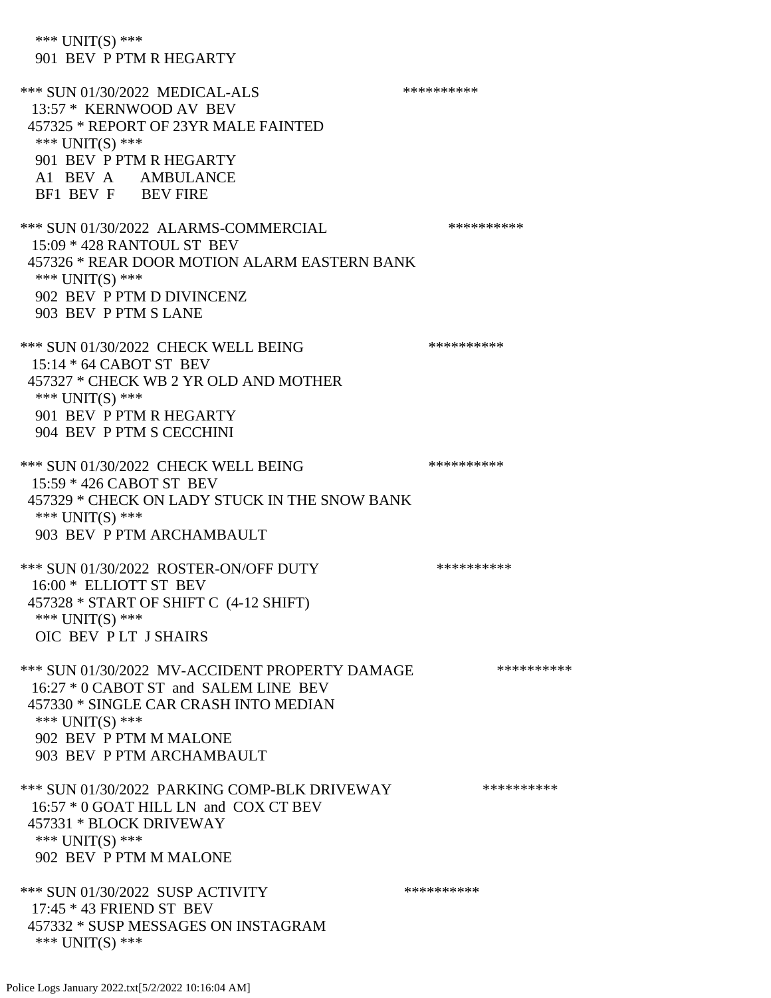\*\*\* UNIT(S) \*\*\* 901 BEV P PTM R HEGARTY \*\*\* SUN 01/30/2022 MEDICAL-ALS \*\*\*\*\*\*\*\*\*\*\*\*\* 13:57 \* KERNWOOD AV BEV 457325 \* REPORT OF 23YR MALE FAINTED \*\*\* UNIT(S) \*\*\* 901 BEV P PTM R HEGARTY A1 BEV A AMBULANCE BF1 BEV F BEV FIRE \*\*\* SUN 01/30/2022 ALARMS-COMMERCIAL \*\*\*\*\*\*\*\*\*\*\*\* 15:09 \* 428 RANTOUL ST BEV 457326 \* REAR DOOR MOTION ALARM EASTERN BANK \*\*\* UNIT(S) \*\*\* 902 BEV P PTM D DIVINCENZ 903 BEV P PTM S LANE \*\*\* SUN 01/30/2022 CHECK WELL BEING \*\*\*\*\*\*\*\*\*\*\*\* 15:14 \* 64 CABOT ST BEV 457327 \* CHECK WB 2 YR OLD AND MOTHER \*\*\* UNIT(S) \*\*\* 901 BEV P PTM R HEGARTY 904 BEV P PTM S CECCHINI \*\*\* SUN 01/30/2022 CHECK WELL BEING \*\*\*\*\*\*\*\*\*\*\*\*\*\*\*\*\* 15:59 \* 426 CABOT ST BEV 457329 \* CHECK ON LADY STUCK IN THE SNOW BANK \*\*\* UNIT(S) \*\*\* 903 BEV P PTM ARCHAMBAULT \*\*\* SUN 01/30/2022 ROSTER-ON/OFF DUTY \*\*\*\*\*\*\*\*\*\* 16:00 \* ELLIOTT ST BEV 457328 \* START OF SHIFT C (4-12 SHIFT) \*\*\* UNIT(S) \*\*\* OIC BEV P LT J SHAIRS \*\*\* SUN 01/30/2022 MV-ACCIDENT PROPERTY DAMAGE \*\*\*\*\*\*\*\*\*\*\*\* 16:27 \* 0 CABOT ST and SALEM LINE BEV 457330 \* SINGLE CAR CRASH INTO MEDIAN \*\*\* UNIT(S) \*\*\* 902 BEV P PTM M MALONE 903 BEV P PTM ARCHAMBAULT \*\*\* SUN 01/30/2022 PARKING COMP-BLK DRIVEWAY \*\*\*\*\*\*\*\*\*\*\*\* 16:57 \* 0 GOAT HILL LN and COX CT BEV 457331 \* BLOCK DRIVEWAY \*\*\* UNIT(S) \*\*\* 902 BEV P PTM M MALONE \*\*\* SUN 01/30/2022 SUSP ACTIVITY \*\*\*\*\*\*\*\*\*\*\*\*\*\*\* 17:45 \* 43 FRIEND ST BEV 457332 \* SUSP MESSAGES ON INSTAGRAM \*\*\* UNIT(S) \*\*\*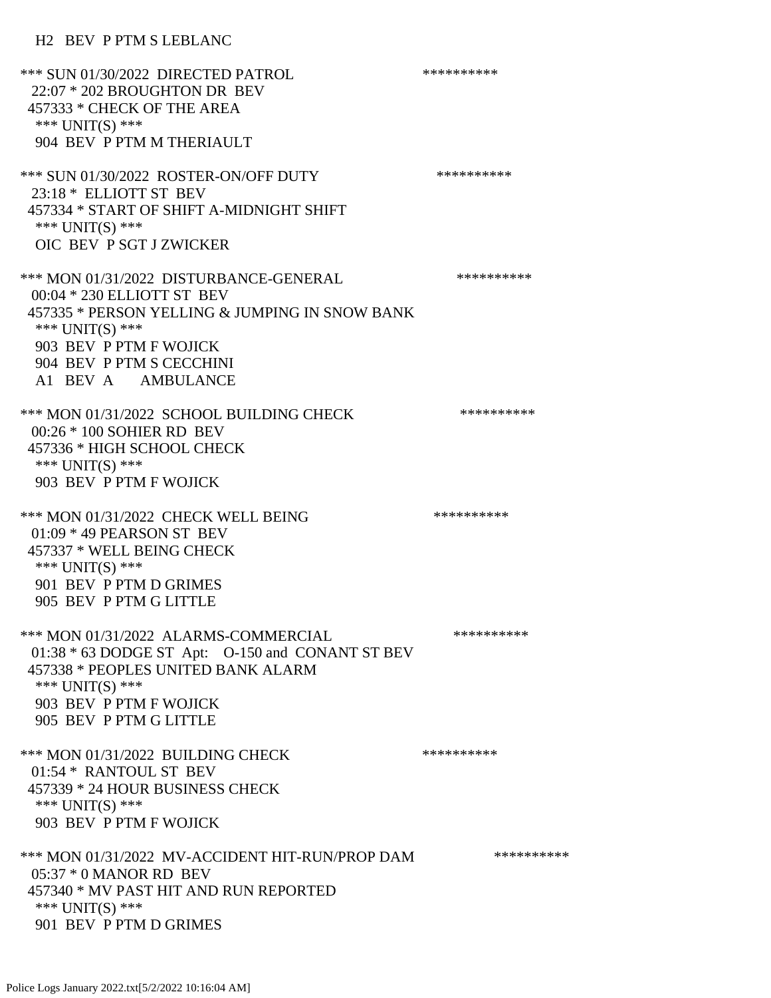## H2 BEV P PTM S LEBLANC

\*\*\* SUN 01/30/2022 DIRECTED PATROL \*\*\*\*\*\*\*\*\*\* 22:07 \* 202 BROUGHTON DR BEV 457333 \* CHECK OF THE AREA \*\*\* UNIT(S) \*\*\* 904 BEV P PTM M THERIAULT \*\*\* SUN 01/30/2022 ROSTER-ON/OFF DUTY \*\*\*\*\*\*\*\*\*\* 23:18 \* ELLIOTT ST BEV 457334 \* START OF SHIFT A-MIDNIGHT SHIFT \*\*\* UNIT(S) \*\*\* OIC BEV P SGT J ZWICKER \*\*\* MON 01/31/2022 DISTURBANCE-GENERAL \*\*\*\*\*\*\*\*\*\* 00:04 \* 230 ELLIOTT ST BEV 457335 \* PERSON YELLING & JUMPING IN SNOW BANK \*\*\* UNIT(S) \*\*\* 903 BEV P PTM F WOJICK 904 BEV P PTM S CECCHINI A1 BEV A AMBULANCE \*\*\* MON 01/31/2022 SCHOOL BUILDING CHECK \*\*\*\*\*\*\*\*\*\*\*\* 00:26 \* 100 SOHIER RD BEV 457336 \* HIGH SCHOOL CHECK \*\*\* UNIT(S) \*\*\* 903 BEV P PTM F WOJICK \*\*\* MON 01/31/2022 CHECK WELL BEING \*\*\*\*\*\*\*\*\*\*\*\*\* 01:09 \* 49 PEARSON ST BEV 457337 \* WELL BEING CHECK \*\*\* UNIT(S) \*\*\* 901 BEV P PTM D GRIMES 905 BEV P PTM G LITTLE \*\*\* MON 01/31/2022 ALARMS-COMMERCIAL \*\*\*\*\*\*\*\*\*\* 01:38 \* 63 DODGE ST Apt: O-150 and CONANT ST BEV 457338 \* PEOPLES UNITED BANK ALARM \*\*\* UNIT(S) \*\*\* 903 BEV P PTM F WOJICK 905 BEV P PTM G LITTLE \*\*\* MON 01/31/2022 BUILDING CHECK \*\*\*\*\*\*\*\*\*\*\* 01:54 \* RANTOUL ST BEV 457339 \* 24 HOUR BUSINESS CHECK \*\*\* UNIT(S) \*\*\* 903 BEV P PTM F WOJICK \*\*\* MON 01/31/2022 MV-ACCIDENT HIT-RUN/PROP DAM \*\*\*\*\*\*\*\*\*\* 05:37 \* 0 MANOR RD BEV 457340 \* MV PAST HIT AND RUN REPORTED \*\*\* UNIT(S) \*\*\* 901 BEV P PTM D GRIMES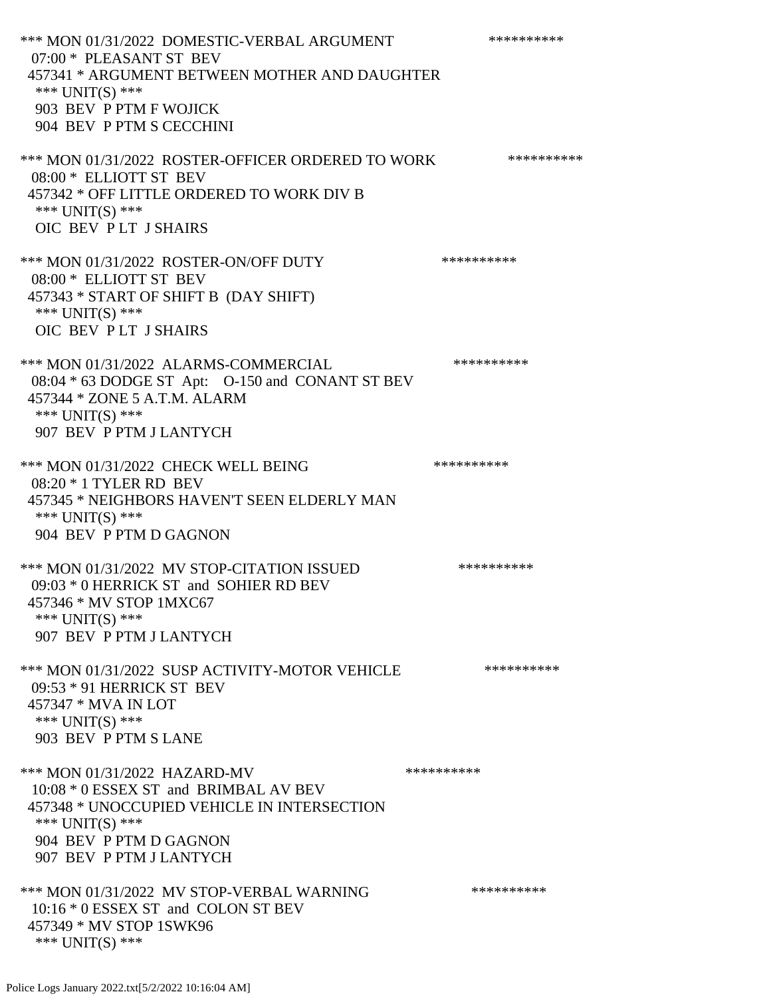\*\*\* MON 01/31/2022 DOMESTIC-VERBAL ARGUMENT \*\*\*\*\*\*\*\*\*\*\*\*\* 07:00 \* PLEASANT ST BEV 457341 \* ARGUMENT BETWEEN MOTHER AND DAUGHTER \*\*\* UNIT(S) \*\*\* 903 BEV P PTM F WOJICK 904 BEV P PTM S CECCHINI \*\*\* MON 01/31/2022 ROSTER-OFFICER ORDERED TO WORK \*\*\*\*\*\*\*\*\*\*\* 08:00 \* ELLIOTT ST BEV 457342 \* OFF LITTLE ORDERED TO WORK DIV B \*\*\* UNIT(S) \*\*\* OIC BEV P LT J SHAIRS \*\*\* MON 01/31/2022 ROSTER-ON/OFF DUTY \*\*\*\*\*\*\*\*\*\* 08:00 \* ELLIOTT ST BEV 457343 \* START OF SHIFT B (DAY SHIFT) \*\*\* UNIT(S) \*\*\* OIC BEV P LT J SHAIRS \*\*\* MON 01/31/2022 ALARMS-COMMERCIAL \*\*\*\*\*\*\*\*\*\* 08:04 \* 63 DODGE ST Apt: O-150 and CONANT ST BEV 457344 \* ZONE 5 A.T.M. ALARM \*\*\* UNIT(S) \*\*\* 907 BEV P PTM J LANTYCH \*\*\* MON 01/31/2022 CHECK WELL BEING \*\*\*\*\*\*\*\*\*\*\*\*\* 08:20 \* 1 TYLER RD BEV 457345 \* NEIGHBORS HAVEN'T SEEN ELDERLY MAN \*\*\* UNIT(S) \*\*\* 904 BEV P PTM D GAGNON \*\*\* MON 01/31/2022 MV STOP-CITATION ISSUED \*\*\*\*\*\*\*\*\*\* 09:03 \* 0 HERRICK ST and SOHIER RD BEV 457346 \* MV STOP 1MXC67 \*\*\* UNIT(S) \*\*\* 907 BEV P PTM J LANTYCH \*\*\* MON 01/31/2022 SUSP ACTIVITY-MOTOR VEHICLE \*\*\*\*\*\*\*\*\*\*\*\* 09:53 \* 91 HERRICK ST BEV 457347 \* MVA IN LOT \*\*\* UNIT(S) \*\*\* 903 BEV P PTM S LANE \*\*\* MON 01/31/2022 HAZARD-MV \*\*\*\*\*\*\*\*\*\*\*\*\* 10:08 \* 0 ESSEX ST and BRIMBAL AV BEV 457348 \* UNOCCUPIED VEHICLE IN INTERSECTION \*\*\* UNIT(S) \*\*\* 904 BEV P PTM D GAGNON 907 BEV P PTM J LANTYCH \*\*\* MON 01/31/2022 MV STOP-VERBAL WARNING \*\*\*\*\*\*\*\*\*\*\*\* 10:16 \* 0 ESSEX ST and COLON ST BEV 457349 \* MV STOP 1SWK96 \*\*\* UNIT(S) \*\*\*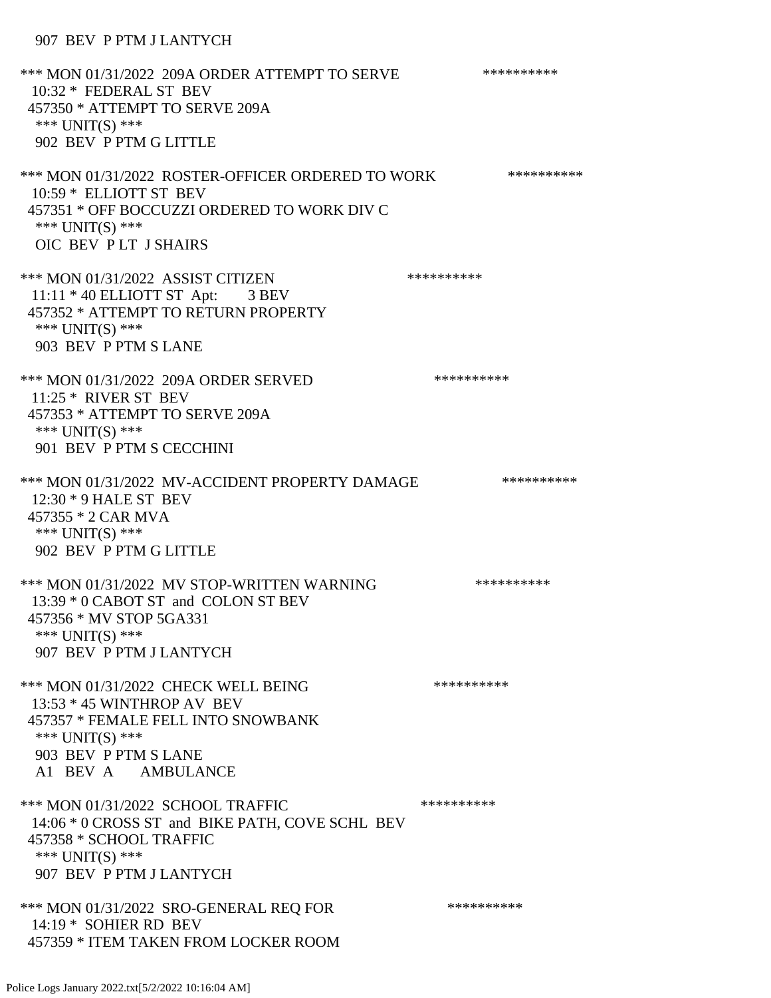## 907 BEV P PTM J LANTYCH

\*\*\* MON 01/31/2022 209A ORDER ATTEMPT TO SERVE \*\*\*\*\*\*\*\*\*\* 10:32 \* FEDERAL ST BEV 457350 \* ATTEMPT TO SERVE 209A \*\*\* UNIT(S) \*\*\* 902 BEV P PTM G LITTLE \*\*\* MON 01/31/2022 ROSTER-OFFICER ORDERED TO WORK \*\*\*\*\*\*\*\*\*\*\* 10:59 \* ELLIOTT ST BEV 457351 \* OFF BOCCUZZI ORDERED TO WORK DIV C \*\*\* UNIT(S) \*\*\* OIC BEV P LT J SHAIRS \*\*\* MON 01/31/2022 ASSIST CITIZEN \*\*\*\*\*\*\*\*\*\*\* 11:11 \* 40 ELLIOTT ST Apt: 3 BEV 457352 \* ATTEMPT TO RETURN PROPERTY \*\*\* UNIT(S) \*\*\* 903 BEV P PTM S LANE \*\*\* MON 01/31/2022 209A ORDER SERVED \*\*\*\*\*\*\*\*\*\* 11:25 \* RIVER ST BEV 457353 \* ATTEMPT TO SERVE 209A \*\*\* UNIT(S) \*\*\* 901 BEV P PTM S CECCHINI \*\*\* MON 01/31/2022 MV-ACCIDENT PROPERTY DAMAGE \*\*\*\*\*\*\*\*\*\*\*\* 12:30 \* 9 HALE ST BEV 457355 \* 2 CAR MVA \*\*\* UNIT(S) \*\*\* 902 BEV P PTM G LITTLE \*\*\* MON 01/31/2022 MV STOP-WRITTEN WARNING \*\*\*\*\*\*\*\*\*\*\*\* 13:39 \* 0 CABOT ST and COLON ST BEV 457356 \* MV STOP 5GA331 \*\*\* UNIT(S) \*\*\* 907 BEV P PTM J LANTYCH \*\*\* MON 01/31/2022 CHECK WELL BEING \*\*\*\*\*\*\*\*\*\*\*\* 13:53 \* 45 WINTHROP AV BEV 457357 \* FEMALE FELL INTO SNOWBANK \*\*\* UNIT(S) \*\*\* 903 BEV P PTM S LANE A1 BEV A AMBULANCE \*\*\* MON 01/31/2022 SCHOOL TRAFFIC \*\*\*\*\*\*\*\*\*\*\*\*\*\* 14:06 \* 0 CROSS ST and BIKE PATH, COVE SCHL BEV 457358 \* SCHOOL TRAFFIC \*\*\* UNIT(S) \*\*\* 907 BEV P PTM J LANTYCH \*\*\* MON 01/31/2022 SRO-GENERAL REQ FOR \*\*\*\*\*\*\*\*\*\* 14:19 \* SOHIER RD BEV 457359 \* ITEM TAKEN FROM LOCKER ROOM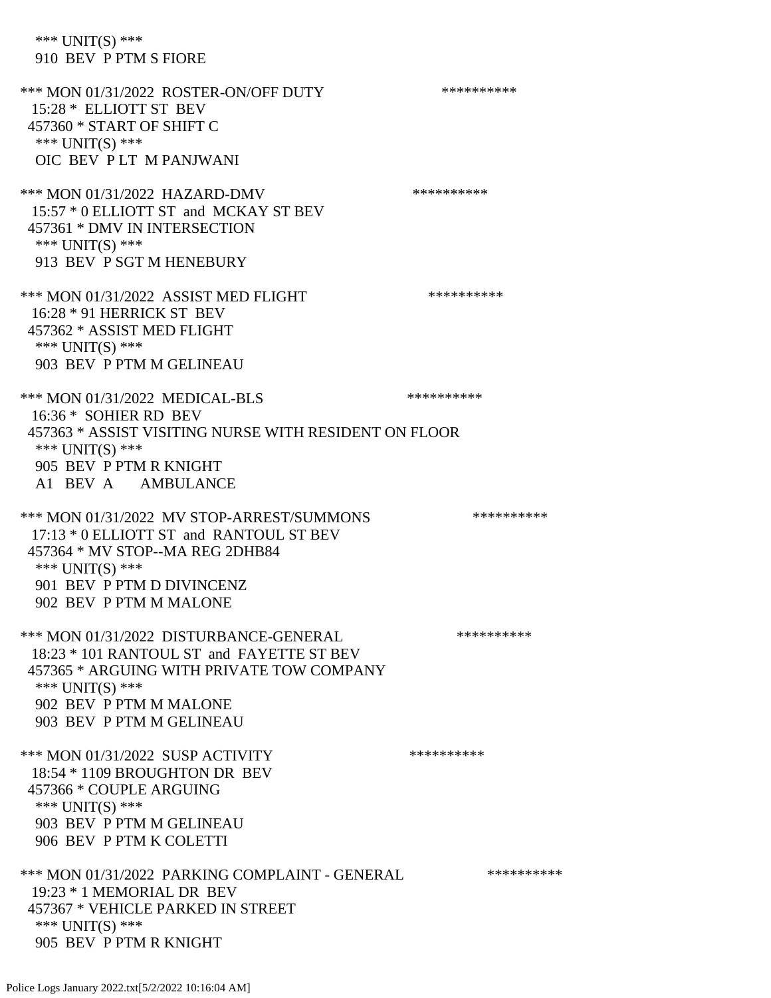\*\*\* UNIT(S) \*\*\* 910 BEV P PTM S FIORE \*\*\* MON 01/31/2022 ROSTER-ON/OFF DUTY \*\*\*\*\*\*\*\*\*\* 15:28 \* ELLIOTT ST BEV 457360 \* START OF SHIFT C \*\*\* UNIT(S) \*\*\* OIC BEV P LT M PANJWANI \*\*\* MON 01/31/2022 HAZARD-DMV \*\*\*\*\*\*\*\*\*\*\*\* 15:57 \* 0 ELLIOTT ST and MCKAY ST BEV 457361 \* DMV IN INTERSECTION \*\*\* UNIT(S) \*\*\* 913 BEV P SGT M HENEBURY \*\*\* MON 01/31/2022 ASSIST MED FLIGHT \*\*\*\*\*\*\*\*\*\*\*\*\*\* 16:28 \* 91 HERRICK ST BEV 457362 \* ASSIST MED FLIGHT \*\*\* UNIT(S) \*\*\* 903 BEV P PTM M GELINEAU \*\*\* MON 01/31/2022 MEDICAL-BLS \*\*\*\*\*\*\*\*\*\*\*\* 16:36 \* SOHIER RD BEV 457363 \* ASSIST VISITING NURSE WITH RESIDENT ON FLOOR \*\*\* UNIT(S) \*\*\* 905 BEV P PTM R KNIGHT A1 BEV A AMBULANCE \*\*\* MON 01/31/2022 MV STOP-ARREST/SUMMONS \*\*\*\*\*\*\*\*\*\*\*\*\* 17:13 \* 0 ELLIOTT ST and RANTOUL ST BEV 457364 \* MV STOP--MA REG 2DHB84 \*\*\* UNIT(S) \*\*\* 901 BEV P PTM D DIVINCENZ 902 BEV P PTM M MALONE \*\*\* MON 01/31/2022 DISTURBANCE-GENERAL \*\*\*\*\*\*\*\*\*\* 18:23 \* 101 RANTOUL ST and FAYETTE ST BEV 457365 \* ARGUING WITH PRIVATE TOW COMPANY \*\*\* UNIT(S) \*\*\* 902 BEV P PTM M MALONE 903 BEV P PTM M GELINEAU \*\*\* MON 01/31/2022 SUSP ACTIVITY \*\*\*\*\*\*\*\*\*\*\*\* 18:54 \* 1109 BROUGHTON DR BEV 457366 \* COUPLE ARGUING \*\*\* UNIT(S) \*\*\* 903 BEV P PTM M GELINEAU 906 BEV P PTM K COLETTI \*\*\* MON 01/31/2022 PARKING COMPLAINT - GENERAL \*\*\*\*\*\*\*\*\*\* 19:23 \* 1 MEMORIAL DR BEV 457367 \* VEHICLE PARKED IN STREET \*\*\* UNIT(S) \*\*\* 905 BEV P PTM R KNIGHT